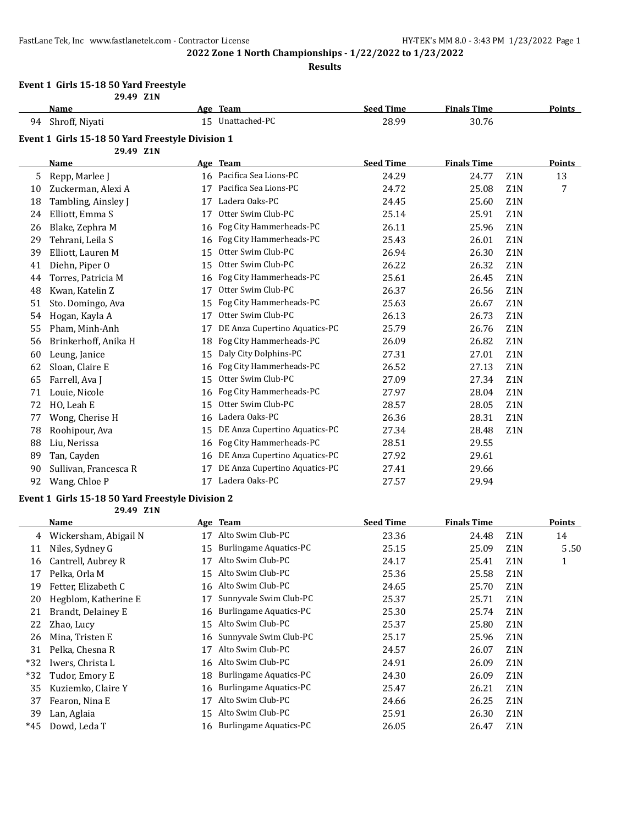#### **Results**

#### **Event 1 Girls 15-18 50 Yard Freestyle 29.49 Z1N**

|    | <i>LJ.TJ L</i> IIV                               |    |                               |                  |                    |                  |        |
|----|--------------------------------------------------|----|-------------------------------|------------------|--------------------|------------------|--------|
|    | Name                                             |    | Age Team                      | <b>Seed Time</b> | <b>Finals Time</b> |                  | Points |
| 94 | Shroff, Niyati                                   |    | 15 Unattached-PC              | 28.99            | 30.76              |                  |        |
|    | Event 1 Girls 15-18 50 Yard Freestyle Division 1 |    |                               |                  |                    |                  |        |
|    | 29.49 Z1N                                        |    |                               |                  |                    |                  |        |
|    | <b>Name</b>                                      |    | Age Team                      | <b>Seed Time</b> | <b>Finals Time</b> |                  | Points |
| 5  | Repp, Marlee J                                   |    | 16 Pacifica Sea Lions-PC      | 24.29            | 24.77              | Z1N              | 13     |
| 10 | Zuckerman, Alexi A                               | 17 | Pacifica Sea Lions-PC         | 24.72            | 25.08              | Z1N              | 7      |
| 18 | Tambling, Ainsley J                              | 17 | Ladera Oaks-PC                | 24.45            | 25.60              | Z1N              |        |
| 24 | Elliott, Emma S                                  | 17 | Otter Swim Club-PC            | 25.14            | 25.91              | Z1N              |        |
| 26 | Blake, Zephra M                                  | 16 | Fog City Hammerheads-PC       | 26.11            | 25.96              | Z1N              |        |
| 29 | Tehrani, Leila S                                 | 16 | Fog City Hammerheads-PC       | 25.43            | 26.01              | Z <sub>1</sub> N |        |
| 39 | Elliott, Lauren M                                | 15 | Otter Swim Club-PC            | 26.94            | 26.30              | Z1N              |        |
| 41 | Diehn, Piper O                                   | 15 | Otter Swim Club-PC            | 26.22            | 26.32              | Z1N              |        |
| 44 | Torres, Patricia M                               | 16 | Fog City Hammerheads-PC       | 25.61            | 26.45              | Z1N              |        |
| 48 | Kwan, Katelin Z                                  | 17 | Otter Swim Club-PC            | 26.37            | 26.56              | Z1N              |        |
| 51 | Sto. Domingo, Ava                                | 15 | Fog City Hammerheads-PC       | 25.63            | 26.67              | Z1N              |        |
| 54 | Hogan, Kayla A                                   | 17 | Otter Swim Club-PC            | 26.13            | 26.73              | Z1N              |        |
| 55 | Pham, Minh-Anh                                   | 17 | DE Anza Cupertino Aquatics-PC | 25.79            | 26.76              | Z1N              |        |
| 56 | Brinkerhoff, Anika H                             | 18 | Fog City Hammerheads-PC       | 26.09            | 26.82              | Z1N              |        |
| 60 | Leung, Janice                                    | 15 | Daly City Dolphins-PC         | 27.31            | 27.01              | Z <sub>1</sub> N |        |
| 62 | Sloan, Claire E                                  | 16 | Fog City Hammerheads-PC       | 26.52            | 27.13              | Z1N              |        |
| 65 | Farrell, Ava J                                   | 15 | Otter Swim Club-PC            | 27.09            | 27.34              | Z1N              |        |
| 71 | Louie, Nicole                                    | 16 | Fog City Hammerheads-PC       | 27.97            | 28.04              | Z1N              |        |
| 72 | HO, Leah E                                       | 15 | Otter Swim Club-PC            | 28.57            | 28.05              | Z1N              |        |
| 77 | Wong, Cherise H                                  | 16 | Ladera Oaks-PC                | 26.36            | 28.31              | Z1N              |        |
| 78 | Roohipour, Ava                                   | 15 | DE Anza Cupertino Aquatics-PC | 27.34            | 28.48              | Z1N              |        |
| 88 | Liu, Nerissa                                     | 16 | Fog City Hammerheads-PC       | 28.51            | 29.55              |                  |        |
| 89 | Tan, Cayden                                      | 16 | DE Anza Cupertino Aquatics-PC | 27.92            | 29.61              |                  |        |
| 90 | Sullivan, Francesca R                            | 17 | DE Anza Cupertino Aquatics-PC | 27.41            | 29.66              |                  |        |
| 92 | Wang, Chloe P                                    | 17 | Ladera Oaks-PC                | 27.57            | 29.94              |                  |        |

#### **Event 1 Girls 15-18 50 Yard Freestyle Division 2 29.49 Z1N**

|       | <b>Name</b>           |    | Age Team                      | <b>Seed Time</b> | <b>Finals Time</b> |                  | Points |
|-------|-----------------------|----|-------------------------------|------------------|--------------------|------------------|--------|
| 4     | Wickersham, Abigail N | 17 | Alto Swim Club-PC             | 23.36            | 24.48              | Z <sub>1</sub> N | 14     |
| 11    | Niles, Sydney G       | 15 | <b>Burlingame Aquatics-PC</b> | 25.15            | 25.09              | Z <sub>1</sub> N | 5.50   |
| 16    | Cantrell, Aubrey R    | 17 | Alto Swim Club-PC             | 24.17            | 25.41              | Z <sub>1</sub> N | 1      |
| 17    | Pelka, Orla M         | 15 | Alto Swim Club-PC             | 25.36            | 25.58              | Z <sub>1</sub> N |        |
| 19    | Fetter, Elizabeth C   | 16 | Alto Swim Club-PC             | 24.65            | 25.70              | Z1N              |        |
| 20    | Hegblom, Katherine E  | 17 | Sunnyvale Swim Club-PC        | 25.37            | 25.71              | Z1N              |        |
| 21    | Brandt, Delainey E    | 16 | Burlingame Aquatics-PC        | 25.30            | 25.74              | Z <sub>1</sub> N |        |
| 22    | Zhao, Lucy            | 15 | Alto Swim Club-PC             | 25.37            | 25.80              | Z <sub>1</sub> N |        |
| 26    | Mina, Tristen E       | 16 | Sunnyvale Swim Club-PC        | 25.17            | 25.96              | Z <sub>1</sub> N |        |
| 31    | Pelka, Chesna R       | 17 | Alto Swim Club-PC             | 24.57            | 26.07              | Z1N              |        |
| $*32$ | Iwers, Christa L      | 16 | Alto Swim Club-PC             | 24.91            | 26.09              | Z <sub>1</sub> N |        |
| $*32$ | Tudor, Emory E        | 18 | Burlingame Aquatics-PC        | 24.30            | 26.09              | Z <sub>1</sub> N |        |
| 35    | Kuziemko, Claire Y    | 16 | Burlingame Aquatics-PC        | 25.47            | 26.21              | Z <sub>1</sub> N |        |
| 37    | Fearon, Nina E        | 17 | Alto Swim Club-PC             | 24.66            | 26.25              | Z <sub>1</sub> N |        |
| 39    | Lan, Aglaia           | 15 | Alto Swim Club-PC             | 25.91            | 26.30              | Z <sub>1</sub> N |        |
| $*45$ | Dowd, Leda T          | 16 | Burlingame Aquatics-PC        | 26.05            | 26.47              | Z <sub>1</sub> N |        |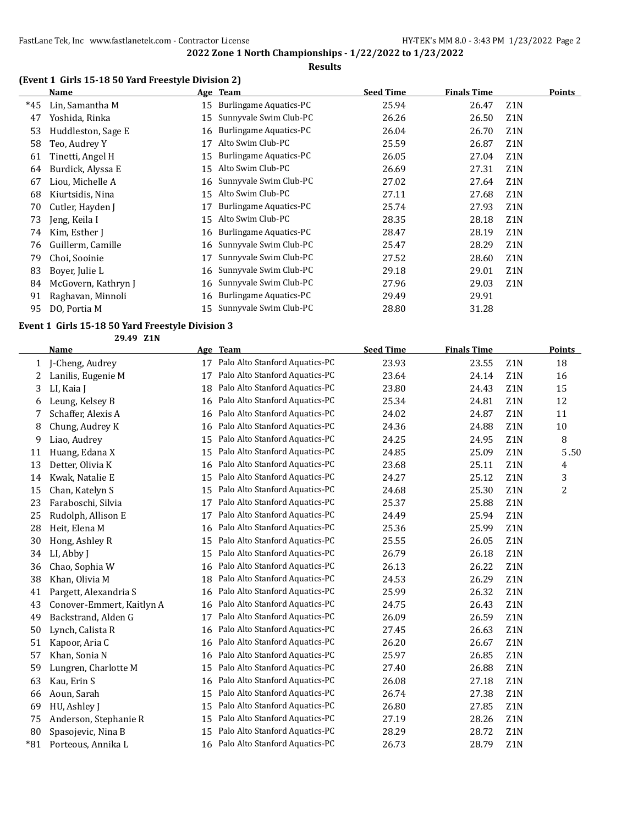## **(Event 1 Girls 15-18 50 Yard Freestyle Division 2)**

|       | <b>Name</b>         |    | Age Team                      | <b>Seed Time</b> | <b>Finals Time</b> | Points           |  |
|-------|---------------------|----|-------------------------------|------------------|--------------------|------------------|--|
| $*45$ | Lin, Samantha M     | 15 | Burlingame Aquatics-PC        | 25.94            | 26.47              | Z <sub>1</sub> N |  |
| 47    | Yoshida, Rinka      | 15 | Sunnyvale Swim Club-PC        | 26.26            | 26.50              | Z <sub>1</sub> N |  |
| 53    | Huddleston, Sage E  | 16 | <b>Burlingame Aquatics-PC</b> | 26.04            | 26.70              | Z <sub>1</sub> N |  |
| 58    | Teo, Audrey Y       | 17 | Alto Swim Club-PC             | 25.59            | 26.87              | Z1N              |  |
| 61    | Tinetti, Angel H    | 15 | <b>Burlingame Aquatics-PC</b> | 26.05            | 27.04              | Z <sub>1</sub> N |  |
| 64    | Burdick, Alyssa E   | 15 | Alto Swim Club-PC             | 26.69            | 27.31              | Z <sub>1</sub> N |  |
| 67    | Liou, Michelle A    | 16 | Sunnyvale Swim Club-PC        | 27.02            | 27.64              | Z <sub>1</sub> N |  |
| 68    | Kiurtsidis, Nina    | 15 | Alto Swim Club-PC             | 27.11            | 27.68              | Z <sub>1</sub> N |  |
| 70    | Cutler, Hayden J    | 17 | Burlingame Aquatics-PC        | 25.74            | 27.93              | Z <sub>1</sub> N |  |
| 73    | Jeng, Keila I       | 15 | Alto Swim Club-PC             | 28.35            | 28.18              | Z <sub>1</sub> N |  |
| 74    | Kim, Esther I       | 16 | Burlingame Aquatics-PC        | 28.47            | 28.19              | Z <sub>1</sub> N |  |
| 76    | Guillerm, Camille   | 16 | Sunnyvale Swim Club-PC        | 25.47            | 28.29              | Z <sub>1</sub> N |  |
| 79    | Choi, Sooinie       | 17 | Sunnyvale Swim Club-PC        | 27.52            | 28.60              | Z <sub>1</sub> N |  |
| 83    | Boyer, Julie L      | 16 | Sunnyvale Swim Club-PC        | 29.18            | 29.01              | Z <sub>1</sub> N |  |
| 84    | McGovern, Kathryn J | 16 | Sunnyvale Swim Club-PC        | 27.96            | 29.03              | Z <sub>1</sub> N |  |
| 91    | Raghavan, Minnoli   | 16 | Burlingame Aquatics-PC        | 29.49            | 29.91              |                  |  |
| 95    | DO, Portia M        | 15 | Sunnyvale Swim Club-PC        | 28.80            | 31.28              |                  |  |

#### **Event 1 Girls 15-18 50 Yard Freestyle Division 3 29.49 Z1N**

|       | 29.49 LIN                 |    |                                |                  |                    |                  |               |
|-------|---------------------------|----|--------------------------------|------------------|--------------------|------------------|---------------|
|       | <b>Name</b>               |    | Age Team                       | <b>Seed Time</b> | <b>Finals Time</b> |                  | <b>Points</b> |
| 1     | J-Cheng, Audrey           | 17 | Palo Alto Stanford Aquatics-PC | 23.93            | 23.55              | Z <sub>1</sub> N | 18            |
| 2     | Lanilis, Eugenie M        | 17 | Palo Alto Stanford Aquatics-PC | 23.64            | 24.14              | Z1N              | 16            |
| 3     | LI, Kaia J                | 18 | Palo Alto Stanford Aquatics-PC | 23.80            | 24.43              | Z1N              | 15            |
| 6     | Leung, Kelsey B           | 16 | Palo Alto Stanford Aquatics-PC | 25.34            | 24.81              | Z1N              | 12            |
| 7     | Schaffer, Alexis A        | 16 | Palo Alto Stanford Aquatics-PC | 24.02            | 24.87              | Z1N              | 11            |
| 8     | Chung, Audrey K           | 16 | Palo Alto Stanford Aquatics-PC | 24.36            | 24.88              | Z1N              | 10            |
| 9     | Liao, Audrey              | 15 | Palo Alto Stanford Aquatics-PC | 24.25            | 24.95              | Z1N              | 8             |
| 11    | Huang, Edana X            | 15 | Palo Alto Stanford Aquatics-PC | 24.85            | 25.09              | Z1N              | 5.50          |
| 13    | Detter, Olivia K          | 16 | Palo Alto Stanford Aquatics-PC | 23.68            | 25.11              | Z1N              | 4             |
| 14    | Kwak, Natalie E           | 15 | Palo Alto Stanford Aquatics-PC | 24.27            | 25.12              | Z1N              | 3             |
| 15    | Chan, Katelyn S           | 15 | Palo Alto Stanford Aquatics-PC | 24.68            | 25.30              | Z1N              | 2             |
| 23    | Faraboschi, Silvia        | 17 | Palo Alto Stanford Aquatics-PC | 25.37            | 25.88              | Z1N              |               |
| 25    | Rudolph, Allison E        | 17 | Palo Alto Stanford Aquatics-PC | 24.49            | 25.94              | Z1N              |               |
| 28    | Heit, Elena M             | 16 | Palo Alto Stanford Aquatics-PC | 25.36            | 25.99              | Z1N              |               |
| 30    | Hong, Ashley R            | 15 | Palo Alto Stanford Aquatics-PC | 25.55            | 26.05              | Z1N              |               |
| 34    | LI, Abby J                | 15 | Palo Alto Stanford Aquatics-PC | 26.79            | 26.18              | Z1N              |               |
| 36    | Chao, Sophia W            | 16 | Palo Alto Stanford Aquatics-PC | 26.13            | 26.22              | Z1N              |               |
| 38    | Khan, Olivia M            | 18 | Palo Alto Stanford Aquatics-PC | 24.53            | 26.29              | Z <sub>1</sub> N |               |
| 41    | Pargett, Alexandria S     | 16 | Palo Alto Stanford Aquatics-PC | 25.99            | 26.32              | Z1N              |               |
| 43    | Conover-Emmert, Kaitlyn A | 16 | Palo Alto Stanford Aquatics-PC | 24.75            | 26.43              | Z1N              |               |
| 49    | Backstrand, Alden G       | 17 | Palo Alto Stanford Aquatics-PC | 26.09            | 26.59              | Z1N              |               |
| 50    | Lynch, Calista R          | 16 | Palo Alto Stanford Aquatics-PC | 27.45            | 26.63              | Z1N              |               |
| 51    | Kapoor, Aria C            | 16 | Palo Alto Stanford Aquatics-PC | 26.20            | 26.67              | Z1N              |               |
| 57    | Khan, Sonia N             | 16 | Palo Alto Stanford Aquatics-PC | 25.97            | 26.85              | Z1N              |               |
| 59    | Lungren, Charlotte M      | 15 | Palo Alto Stanford Aquatics-PC | 27.40            | 26.88              | Z1N              |               |
| 63    | Kau, Erin S               | 16 | Palo Alto Stanford Aquatics-PC | 26.08            | 27.18              | Z1N              |               |
| 66    | Aoun, Sarah               | 15 | Palo Alto Stanford Aquatics-PC | 26.74            | 27.38              | Z1N              |               |
| 69    | HU, Ashley J              | 15 | Palo Alto Stanford Aquatics-PC | 26.80            | 27.85              | Z1N              |               |
| 75    | Anderson, Stephanie R     | 15 | Palo Alto Stanford Aquatics-PC | 27.19            | 28.26              | Z1N              |               |
| 80    | Spasojevic, Nina B        | 15 | Palo Alto Stanford Aquatics-PC | 28.29            | 28.72              | Z1N              |               |
| $*81$ | Porteous, Annika L        | 16 | Palo Alto Stanford Aquatics-PC | 26.73            | 28.79              | Z1N              |               |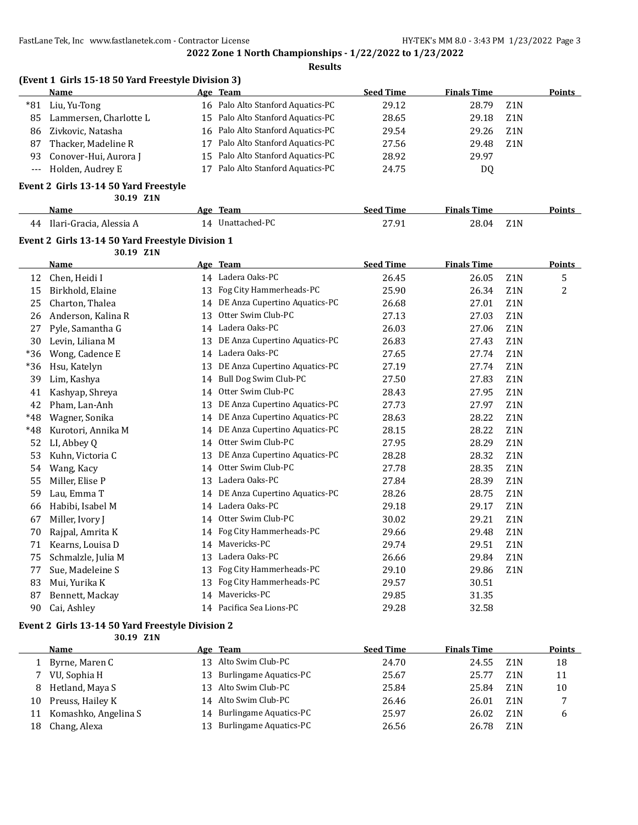**Results**

|                | (Event 1 Girls 15-18 50 Yard Freestyle Division 3) |    |                                   |                  |                    |                  |               |
|----------------|----------------------------------------------------|----|-----------------------------------|------------------|--------------------|------------------|---------------|
|                | <b>Name</b>                                        |    | Age Team                          | <b>Seed Time</b> | <b>Finals Time</b> |                  | <b>Points</b> |
| $*81$          | Liu, Yu-Tong                                       |    | 16 Palo Alto Stanford Aquatics-PC | 29.12            | 28.79              | Z1N              |               |
| 85             | Lammersen, Charlotte L                             |    | 15 Palo Alto Stanford Aquatics-PC | 28.65            | 29.18              | Z1N              |               |
| 86             | Zivkovic, Natasha                                  |    | 16 Palo Alto Stanford Aquatics-PC | 29.54            | 29.26              | Z1N              |               |
| 87             | Thacker, Madeline R                                |    | 17 Palo Alto Stanford Aquatics-PC | 27.56            | 29.48              | Z <sub>1</sub> N |               |
| 93             | Conover-Hui, Aurora J                              | 15 | Palo Alto Stanford Aquatics-PC    | 28.92            | 29.97              |                  |               |
| $\overline{a}$ | Holden, Audrey E                                   |    | 17 Palo Alto Stanford Aquatics-PC | 24.75            | DQ                 |                  |               |
|                | Event 2 Girls 13-14 50 Yard Freestyle              |    |                                   |                  |                    |                  |               |
|                | 30.19 Z1N                                          |    |                                   |                  |                    |                  |               |
|                | Name                                               |    | Age Team                          | <b>Seed Time</b> | <b>Finals Time</b> |                  | <b>Points</b> |
| 44             | Ilari-Gracia, Alessia A                            |    | 14 Unattached-PC                  | 27.91            | 28.04              | Z1N              |               |
|                | Event 2 Girls 13-14 50 Yard Freestyle Division 1   |    |                                   |                  |                    |                  |               |
|                | 30.19 Z1N                                          |    |                                   |                  |                    |                  |               |
|                | <b>Name</b>                                        |    | Age Team                          | <b>Seed Time</b> | <b>Finals Time</b> |                  | <b>Points</b> |
| 12             | Chen, Heidi I                                      |    | 14 Ladera Oaks-PC                 | 26.45            | 26.05              | Z1N              | 5             |
| 15             | Birkhold, Elaine                                   |    | 13 Fog City Hammerheads-PC        | 25.90            | 26.34              | Z1N              | 2             |
| 25             | Charton, Thalea                                    |    | 14 DE Anza Cupertino Aquatics-PC  | 26.68            | 27.01              | Z1N              |               |
| 26             | Anderson, Kalina R                                 |    | 13 Otter Swim Club-PC             | 27.13            | 27.03              | Z1N              |               |
| 27             | Pyle, Samantha G                                   |    | 14 Ladera Oaks-PC                 | 26.03            | 27.06              | Z1N              |               |
| 30             | Levin, Liliana M                                   |    | 13 DE Anza Cupertino Aquatics-PC  | 26.83            | 27.43              | Z1N              |               |
| *36            | Wong, Cadence E                                    |    | 14 Ladera Oaks-PC                 | 27.65            | 27.74              | Z1N              |               |
| $*36$          | Hsu, Katelyn                                       | 13 | DE Anza Cupertino Aquatics-PC     | 27.19            | 27.74              | Z1N              |               |
| 39             | Lim, Kashya                                        |    | 14 Bull Dog Swim Club-PC          | 27.50            | 27.83              | Z1N              |               |
| 41             | Kashyap, Shreya                                    |    | 14 Otter Swim Club-PC             | 28.43            | 27.95              | Z1N              |               |
| 42             | Pham, Lan-Anh                                      | 13 | DE Anza Cupertino Aquatics-PC     | 27.73            | 27.97              | Z1N              |               |
| $*48$          | Wagner, Sonika                                     |    | 14 DE Anza Cupertino Aquatics-PC  | 28.63            | 28.22              | Z1N              |               |
| *48            | Kurotori, Annika M                                 |    | 14 DE Anza Cupertino Aquatics-PC  | 28.15            | 28.22              | Z1N              |               |
| 52             | LI, Abbey Q                                        |    | 14 Otter Swim Club-PC             | 27.95            | 28.29              | Z1N              |               |
| 53             | Kuhn, Victoria C                                   |    | 13 DE Anza Cupertino Aquatics-PC  | 28.28            | 28.32              | Z1N              |               |
| 54             | Wang, Kacy                                         | 14 | Otter Swim Club-PC                | 27.78            | 28.35              | Z1N              |               |
| 55             | Miller, Elise P                                    |    | 13 Ladera Oaks-PC                 | 27.84            | 28.39              | Z1N              |               |
| 59             | Lau, Emma T                                        |    | 14 DE Anza Cupertino Aquatics-PC  | 28.26            | 28.75              | Z1N              |               |
| 66             | Habibi, Isabel M                                   |    | 14 Ladera Oaks-PC                 | 29.18            | 29.17              | Z1N              |               |
| 67             | Miller, Ivory J                                    |    | 14 Otter Swim Club-PC             | 30.02            | 29.21              | Z1N              |               |
| 70             | Rajpal, Amrita K                                   | 14 | Fog City Hammerheads-PC           | 29.66            | 29.48              | Z1N              |               |
| 71             | Kearns, Louisa D                                   | 14 | Mavericks-PC                      | 29.74            | 29.51              | Z1N              |               |
| 75             | Schmalzle, Julia M                                 | 13 | Ladera Oaks-PC                    | 26.66            | 29.84              | Z1N              |               |
| 77             | Sue, Madeleine S                                   | 13 | Fog City Hammerheads-PC           | 29.10            | 29.86              | Z1N              |               |
| 83             | Mui, Yurika K                                      |    | 13 Fog City Hammerheads-PC        | 29.57            | 30.51              |                  |               |
| 87             | Bennett, Mackay                                    |    | 14 Mavericks-PC                   | 29.85            | 31.35              |                  |               |

#### **Event 2 Girls 13-14 50 Yard Freestyle Division 2**

**30.19 Z1N Name Age Team Seed Time Finals Time Points** 1 Byrne, Maren C 13 Alto Swim Club-PC 24.70 24.55 Z1N 18 7 VU, Sophia H 13 Burlingame Aquatics-PC 25.67 25.77 Z1N 11 8 Hetland, Maya S 13 Alto Swim Club-PC 25.84 25.84 25.84 25.84 25.84 25.84 25.84 25.84 25.84 25.84 25.84 25.84 25.84 25.84 25.84 25.84 25.84 25.84 25.84 25.84 25.84 25.84 25.84 25.84 25.84 25.84 25.84 25.84 25.84 25.84 25. 10 Preuss, Hailey K 14 Alto Swim Club-PC 26.46 26.01 Z1N 7 11 Komashko, Angelina S 14 Burlingame Aquatics-PC 25.97 26.02 Z1N 6 18 Chang, Alexa 13 Burlingame Aquatics-PC 26.56 26.78 Z1N

90 Cai, Ashley 14 Pacifica Sea Lions-PC 29.28 32.58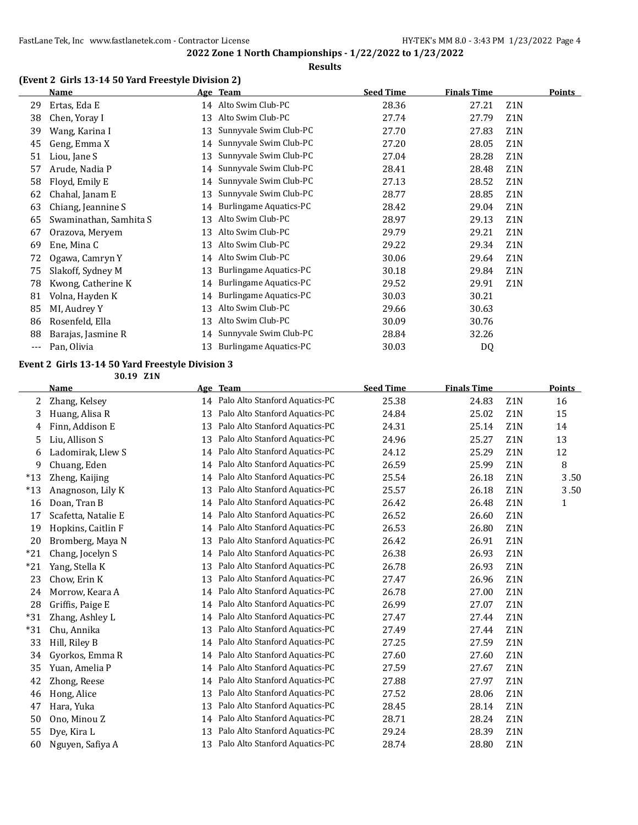#### **(Event 2 Girls 13-14 50 Yard Freestyle Division 2)**

|       | Name                   |    | Age Team                      | <b>Seed Time</b> | <b>Finals Time</b> |                  | Points |
|-------|------------------------|----|-------------------------------|------------------|--------------------|------------------|--------|
| 29    | Ertas, Eda E           |    | 14 Alto Swim Club-PC          | 28.36            | 27.21              | Z1N              |        |
| 38    | Chen, Yoray I          | 13 | Alto Swim Club-PC             | 27.74            | 27.79              | Z <sub>1</sub> N |        |
| 39    | Wang, Karina I         | 13 | Sunnyvale Swim Club-PC        | 27.70            | 27.83              | Z1N              |        |
| 45    | Geng, Emma X           | 14 | Sunnyvale Swim Club-PC        | 27.20            | 28.05              | Z1N              |        |
| 51    | Liou, Jane S           | 13 | Sunnyvale Swim Club-PC        | 27.04            | 28.28              | Z1N              |        |
| 57    | Arude, Nadia P         | 14 | Sunnyvale Swim Club-PC        | 28.41            | 28.48              | Z <sub>1</sub> N |        |
| 58    | Floyd, Emily E         | 14 | Sunnyvale Swim Club-PC        | 27.13            | 28.52              | Z <sub>1</sub> N |        |
| 62    | Chahal, Janam E        | 13 | Sunnyvale Swim Club-PC        | 28.77            | 28.85              | Z1N              |        |
| 63    | Chiang, Jeannine S     | 14 | <b>Burlingame Aquatics-PC</b> | 28.42            | 29.04              | Z <sub>1</sub> N |        |
| 65    | Swaminathan, Samhita S | 13 | Alto Swim Club-PC             | 28.97            | 29.13              | Z1N              |        |
| 67    | Orazova, Meryem        | 13 | Alto Swim Club-PC             | 29.79            | 29.21              | Z <sub>1</sub> N |        |
| 69    | Ene, Mina C            | 13 | Alto Swim Club-PC             | 29.22            | 29.34              | Z <sub>1</sub> N |        |
| 72    | Ogawa, Camryn Y        | 14 | Alto Swim Club-PC             | 30.06            | 29.64              | Z <sub>1</sub> N |        |
| 75    | Slakoff, Sydney M      | 13 | <b>Burlingame Aquatics-PC</b> | 30.18            | 29.84              | Z <sub>1</sub> N |        |
| 78    | Kwong, Catherine K     | 14 | Burlingame Aquatics-PC        | 29.52            | 29.91              | Z <sub>1</sub> N |        |
| 81    | Volna, Hayden K        | 14 | <b>Burlingame Aquatics-PC</b> | 30.03            | 30.21              |                  |        |
| 85    | MI, Audrey Y           | 13 | Alto Swim Club-PC             | 29.66            | 30.63              |                  |        |
| 86    | Rosenfeld, Ella        | 13 | Alto Swim Club-PC             | 30.09            | 30.76              |                  |        |
| 88    | Barajas, Jasmine R     | 14 | Sunnyvale Swim Club-PC        | 28.84            | 32.26              |                  |        |
| $---$ | Pan, Olivia            | 13 | <b>Burlingame Aquatics-PC</b> | 30.03            | DQ                 |                  |        |
|       |                        |    |                               |                  |                    |                  |        |

## **Event 2 Girls 13-14 50 Yard Freestyle Division 3**

**30.19 Z1N**

|       | <b>Name</b>         | Age | <b>Team</b>                    | <b>Seed Time</b> | <b>Finals Time</b> |                  | <b>Points</b> |
|-------|---------------------|-----|--------------------------------|------------------|--------------------|------------------|---------------|
| 2     | Zhang, Kelsey       | 14  | Palo Alto Stanford Aquatics-PC | 25.38            | 24.83              | Z <sub>1</sub> N | 16            |
| 3     | Huang, Alisa R      | 13  | Palo Alto Stanford Aquatics-PC | 24.84            | 25.02              | Z <sub>1</sub> N | 15            |
| 4     | Finn, Addison E     | 13  | Palo Alto Stanford Aquatics-PC | 24.31            | 25.14              | Z <sub>1</sub> N | 14            |
| 5     | Liu, Allison S      | 13  | Palo Alto Stanford Aquatics-PC | 24.96            | 25.27              | Z <sub>1</sub> N | 13            |
| 6     | Ladomirak, Llew S   | 14  | Palo Alto Stanford Aquatics-PC | 24.12            | 25.29              | Z1N              | 12            |
| 9     | Chuang, Eden        | 14  | Palo Alto Stanford Aquatics-PC | 26.59            | 25.99              | Z <sub>1</sub> N | 8             |
| $*13$ | Zheng, Kaijing      | 14  | Palo Alto Stanford Aquatics-PC | 25.54            | 26.18              | Z <sub>1</sub> N | 3.50          |
| $*13$ | Anagnoson, Lily K   | 13  | Palo Alto Stanford Aquatics-PC | 25.57            | 26.18              | Z <sub>1</sub> N | 3.50          |
| 16    | Doan, Tran B        | 14  | Palo Alto Stanford Aquatics-PC | 26.42            | 26.48              | Z <sub>1</sub> N | 1             |
| 17    | Scafetta, Natalie E | 14  | Palo Alto Stanford Aquatics-PC | 26.52            | 26.60              | Z1N              |               |
| 19    | Hopkins, Caitlin F  | 14  | Palo Alto Stanford Aquatics-PC | 26.53            | 26.80              | Z1N              |               |
| 20    | Bromberg, Maya N    | 13  | Palo Alto Stanford Aquatics-PC | 26.42            | 26.91              | Z <sub>1</sub> N |               |
| $*21$ | Chang, Jocelyn S    | 14  | Palo Alto Stanford Aquatics-PC | 26.38            | 26.93              | Z <sub>1</sub> N |               |
| $*21$ | Yang, Stella K      | 13  | Palo Alto Stanford Aquatics-PC | 26.78            | 26.93              | Z <sub>1</sub> N |               |
| 23    | Chow, Erin K        | 13  | Palo Alto Stanford Aquatics-PC | 27.47            | 26.96              | Z <sub>1</sub> N |               |
| 24    | Morrow, Keara A     | 14  | Palo Alto Stanford Aquatics-PC | 26.78            | 27.00              | Z <sub>1</sub> N |               |
| 28    | Griffis, Paige E    | 14  | Palo Alto Stanford Aquatics-PC | 26.99            | 27.07              | Z1N              |               |
| $*31$ | Zhang, Ashley L     | 14  | Palo Alto Stanford Aquatics-PC | 27.47            | 27.44              | Z1N              |               |
| $*31$ | Chu, Annika         | 13  | Palo Alto Stanford Aquatics-PC | 27.49            | 27.44              | Z1N              |               |
| 33    | Hill, Riley B       | 14  | Palo Alto Stanford Aquatics-PC | 27.25            | 27.59              | Z <sub>1</sub> N |               |
| 34    | Gyorkos, Emma R     | 14  | Palo Alto Stanford Aquatics-PC | 27.60            | 27.60              | Z1N              |               |
| 35    | Yuan, Amelia P      | 14  | Palo Alto Stanford Aquatics-PC | 27.59            | 27.67              | Z1N              |               |
| 42    | Zhong, Reese        | 14  | Palo Alto Stanford Aquatics-PC | 27.88            | 27.97              | Z1N              |               |
| 46    | Hong, Alice         | 13  | Palo Alto Stanford Aquatics-PC | 27.52            | 28.06              | Z1N              |               |
| 47    | Hara, Yuka          | 13  | Palo Alto Stanford Aquatics-PC | 28.45            | 28.14              | Z1N              |               |
| 50    | Ono, Minou Z        | 14  | Palo Alto Stanford Aquatics-PC | 28.71            | 28.24              | Z1N              |               |
| 55    | Dye, Kira L         | 13  | Palo Alto Stanford Aquatics-PC | 29.24            | 28.39              | Z1N              |               |
| 60    | Nguyen, Safiya A    | 13  | Palo Alto Stanford Aquatics-PC | 28.74            | 28.80              | Z1N              |               |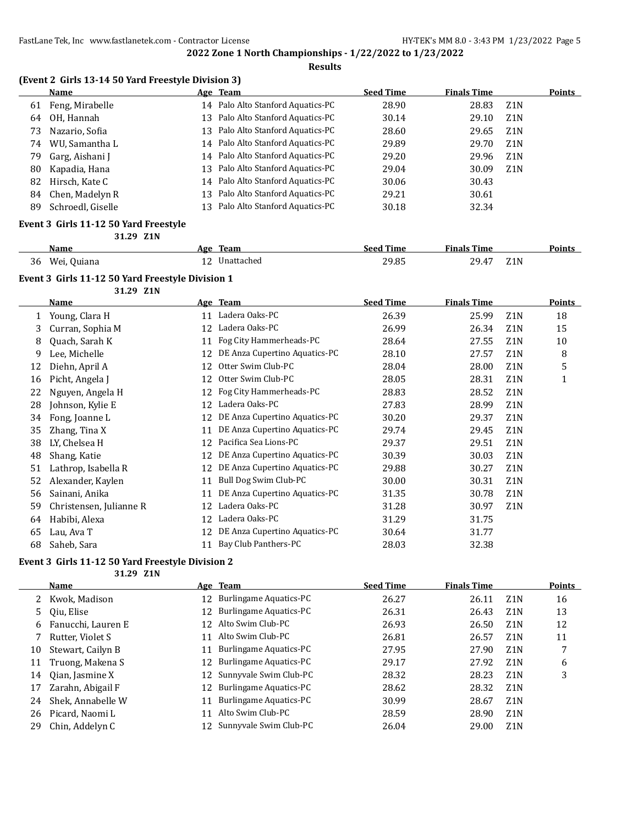#### **Results**

|  |  | (Event 2 Girls 13-14 50 Yard Freestyle Division 3) |
|--|--|----------------------------------------------------|
|  |  |                                                    |

|     | <b>Name</b>       |    | Age Team                          | <b>Seed Time</b> | <b>Finals Time</b> |                  | <b>Points</b> |
|-----|-------------------|----|-----------------------------------|------------------|--------------------|------------------|---------------|
| 61  | Feng, Mirabelle   |    | 14 Palo Alto Stanford Aquatics-PC | 28.90            | 28.83              | Z <sub>1</sub> N |               |
| 64  | OH, Hannah        |    | 13 Palo Alto Stanford Aquatics-PC | 30.14            | 29.10              | Z1N              |               |
| 73. | Nazario, Sofia    |    | 13 Palo Alto Stanford Aquatics-PC | 28.60            | 29.65              | Z <sub>1</sub> N |               |
| 74  | WU, Samantha L    |    | 14 Palo Alto Stanford Aquatics-PC | 29.89            | 29.70              | Z <sub>1</sub> N |               |
| 79  | Garg, Aishani J   |    | 14 Palo Alto Stanford Aquatics-PC | 29.20            | 29.96              | Z <sub>1</sub> N |               |
| 80  | Kapadia, Hana     |    | 13 Palo Alto Stanford Aquatics-PC | 29.04            | 30.09              | Z <sub>1</sub> N |               |
| 82  | Hirsch, Kate C    |    | 14 Palo Alto Stanford Aquatics-PC | 30.06            | 30.43              |                  |               |
| 84  | Chen, Madelyn R   |    | 13 Palo Alto Stanford Aquatics-PC | 29.21            | 30.61              |                  |               |
| 89  | Schroedl, Giselle | 13 | Palo Alto Stanford Aquatics-PC    | 30.18            | 32.34              |                  |               |
|     |                   |    |                                   |                  |                    |                  |               |

#### **Event 3 Girls 11-12 50 Yard Freestyle 31.29 Z1N**

|    | Name        | Age | Team       | <b>Seed Time</b> | <b>Finals Time</b>                                            |                  | Points |
|----|-------------|-----|------------|------------------|---------------------------------------------------------------|------------------|--------|
| 36 | Wei, Quiana |     | Unattached | 29.85            | 29.4<br>$\overline{A}$<br>the contract of the contract of the | Z <sub>1</sub> N |        |

#### **Event 3 Girls 11-12 50 Yard Freestyle Division 1**

**31.29 Z1N**

|    | Name                    |    | Age Team                      | <b>Seed Time</b> | <b>Finals Time</b> |                  | Points |
|----|-------------------------|----|-------------------------------|------------------|--------------------|------------------|--------|
| 1  | Young, Clara H          | 11 | Ladera Oaks-PC                | 26.39            | 25.99              | Z <sub>1</sub> N | 18     |
| 3  | Curran, Sophia M        | 12 | Ladera Oaks-PC                | 26.99            | 26.34              | Z <sub>1</sub> N | 15     |
| 8  | Quach, Sarah K          | 11 | Fog City Hammerheads-PC       | 28.64            | 27.55              | Z <sub>1</sub> N | 10     |
| 9  | Lee, Michelle           | 12 | DE Anza Cupertino Aquatics-PC | 28.10            | 27.57              | Z <sub>1</sub> N | 8      |
| 12 | Diehn, April A          | 12 | Otter Swim Club-PC            | 28.04            | 28.00              | Z1N              | 5      |
| 16 | Picht, Angela J         | 12 | Otter Swim Club-PC            | 28.05            | 28.31              | Z <sub>1</sub> N | 1      |
| 22 | Nguyen, Angela H        | 12 | Fog City Hammerheads-PC       | 28.83            | 28.52              | Z1N              |        |
| 28 | Johnson, Kylie E        | 12 | Ladera Oaks-PC                | 27.83            | 28.99              | Z <sub>1</sub> N |        |
| 34 | Fong, Joanne L          | 12 | DE Anza Cupertino Aquatics-PC | 30.20            | 29.37              | Z <sub>1</sub> N |        |
| 35 | Zhang, Tina X           | 11 | DE Anza Cupertino Aquatics-PC | 29.74            | 29.45              | Z <sub>1</sub> N |        |
| 38 | LY, Chelsea H           | 12 | Pacifica Sea Lions-PC         | 29.37            | 29.51              | Z <sub>1</sub> N |        |
| 48 | Shang, Katie            | 12 | DE Anza Cupertino Aquatics-PC | 30.39            | 30.03              | Z <sub>1</sub> N |        |
| 51 | Lathrop, Isabella R     | 12 | DE Anza Cupertino Aquatics-PC | 29.88            | 30.27              | Z <sub>1</sub> N |        |
| 52 | Alexander, Kaylen       | 11 | Bull Dog Swim Club-PC         | 30.00            | 30.31              | Z <sub>1</sub> N |        |
| 56 | Sainani, Anika          | 11 | DE Anza Cupertino Aquatics-PC | 31.35            | 30.78              | Z <sub>1</sub> N |        |
| 59 | Christensen, Julianne R | 12 | Ladera Oaks-PC                | 31.28            | 30.97              | Z <sub>1</sub> N |        |
| 64 | Habibi, Alexa           | 12 | Ladera Oaks-PC                | 31.29            | 31.75              |                  |        |
| 65 | Lau, Ava T              | 12 | DE Anza Cupertino Aquatics-PC | 30.64            | 31.77              |                  |        |
| 68 | Saheb, Sara             | 11 | Bay Club Panthers-PC          | 28.03            | 32.38              |                  |        |

# **Event 3 Girls 11-12 50 Yard Freestyle Division 2**

**31.29 Z1N**

|    | Name                 |     | Age Team                      | <b>Seed Time</b> | <b>Finals Time</b> |                  | Points |
|----|----------------------|-----|-------------------------------|------------------|--------------------|------------------|--------|
|    | 2 Kwok, Madison      |     | 12 Burlingame Aquatics-PC     | 26.27            | 26.11              | Z <sub>1</sub> N | 16     |
|    | 5 Oiu, Elise         | 12  | <b>Burlingame Aquatics-PC</b> | 26.31            | 26.43              | Z <sub>1</sub> N | 13     |
|    | 6 Fanucchi, Lauren E |     | 12 Alto Swim Club-PC          | 26.93            | 26.50              | Z <sub>1</sub> N | 12     |
|    | Rutter, Violet S     | 11  | Alto Swim Club-PC             | 26.81            | 26.57              | Z <sub>1</sub> N | 11     |
| 10 | Stewart, Cailyn B    | 11  | <b>Burlingame Aquatics-PC</b> | 27.95            | 27.90              | Z <sub>1</sub> N |        |
| 11 | Truong, Makena S     | 12. | Burlingame Aquatics-PC        | 29.17            | 27.92              | Z <sub>1</sub> N | 6      |
| 14 | Oian, Jasmine X      |     | 12 Sunnyvale Swim Club-PC     | 28.32            | 28.23              | Z <sub>1</sub> N | 3      |
| 17 | Zarahn, Abigail F    |     | 12 Burlingame Aquatics-PC     | 28.62            | 28.32              | Z <sub>1</sub> N |        |
| 24 | Shek, Annabelle W    | 11  | Burlingame Aquatics-PC        | 30.99            | 28.67              | Z <sub>1</sub> N |        |
| 26 | Picard, Naomi L      | 11  | Alto Swim Club-PC             | 28.59            | 28.90              | Z <sub>1</sub> N |        |
| 29 | Chin, Addelyn C      |     | 12 Sunnyvale Swim Club-PC     | 26.04            | 29.00              | Z <sub>1</sub> N |        |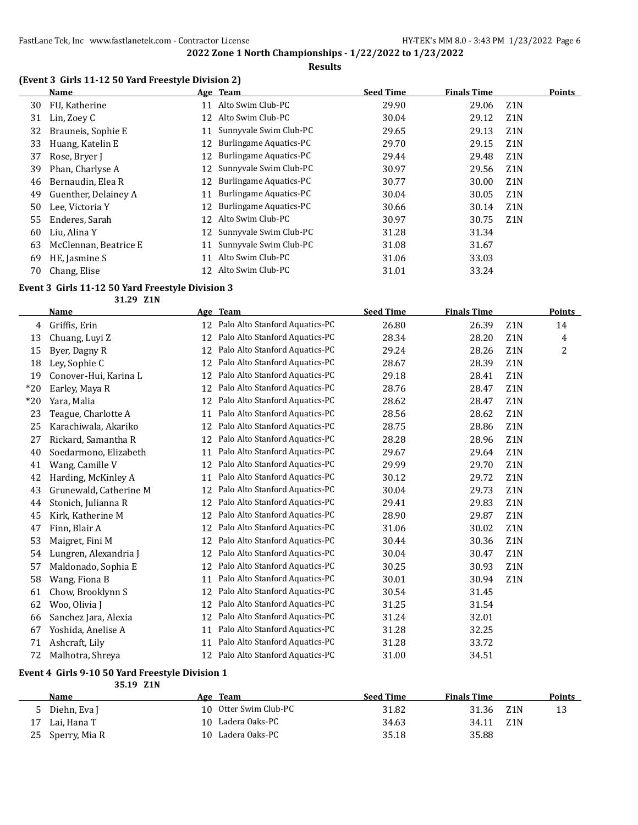## **(Event 3 Girls 11-12 50 Yard Freestyle Division 2)**

|    | Name                  |     | Age Team                      | <b>Seed Time</b> | <b>Finals Time</b> |                  | Points |
|----|-----------------------|-----|-------------------------------|------------------|--------------------|------------------|--------|
| 30 | FU, Katherine         | 11  | Alto Swim Club-PC             | 29.90            | 29.06              | Z <sub>1</sub> N |        |
| 31 | Lin, Zoey C           | 12  | Alto Swim Club-PC             | 30.04            | 29.12              | Z <sub>1</sub> N |        |
| 32 | Brauneis, Sophie E    | 11  | Sunnyvale Swim Club-PC        | 29.65            | 29.13              | Z <sub>1</sub> N |        |
| 33 | Huang, Katelin E      | 12  | <b>Burlingame Aquatics-PC</b> | 29.70            | 29.15              | Z <sub>1</sub> N |        |
| 37 | Rose, Bryer J         | 12  | Burlingame Aquatics-PC        | 29.44            | 29.48              | Z <sub>1</sub> N |        |
| 39 | Phan, Charlyse A      |     | 12 Sunnyvale Swim Club-PC     | 30.97            | 29.56              | Z <sub>1</sub> N |        |
| 46 | Bernaudin, Elea R     | 12  | Burlingame Aquatics-PC        | 30.77            | 30.00              | Z <sub>1</sub> N |        |
| 49 | Guenther, Delainey A  | 11  | Burlingame Aquatics-PC        | 30.04            | 30.05              | Z <sub>1</sub> N |        |
| 50 | Lee, Victoria Y       | 12  | Burlingame Aquatics-PC        | 30.66            | 30.14              | Z <sub>1</sub> N |        |
| 55 | Enderes, Sarah        | 12  | Alto Swim Club-PC             | 30.97            | 30.75              | Z <sub>1</sub> N |        |
| 60 | Liu. Alina Y          |     | 12 Sunnyvale Swim Club-PC     | 31.28            | 31.34              |                  |        |
| 63 | McClennan, Beatrice E | 11  | Sunnyvale Swim Club-PC        | 31.08            | 31.67              |                  |        |
| 69 | HE, Jasmine S         | 11  | Alto Swim Club-PC             | 31.06            | 33.03              |                  |        |
| 70 | Chang, Elise          | 12. | Alto Swim Club-PC             | 31.01            | 33.24              |                  |        |

## **Event 3 Girls 11-12 50 Yard Freestyle Division 3**

**31.29 Z1N**

|       | <b>Name</b>            | Age | <b>Team</b>                    | <b>Seed Time</b> | <b>Finals Time</b> |                  | Points |
|-------|------------------------|-----|--------------------------------|------------------|--------------------|------------------|--------|
| 4     | Griffis, Erin          | 12  | Palo Alto Stanford Aquatics-PC | 26.80            | 26.39              | Z1N              | 14     |
| 13    | Chuang, Luyi Z         | 12  | Palo Alto Stanford Aquatics-PC | 28.34            | 28.20              | Z1N              | 4      |
| 15    | Byer, Dagny R          | 12  | Palo Alto Stanford Aquatics-PC | 29.24            | 28.26              | Z <sub>1</sub> N | 2      |
| 18    | Ley, Sophie C          | 12  | Palo Alto Stanford Aquatics-PC | 28.67            | 28.39              | Z1N              |        |
| 19    | Conover-Hui, Karina L  | 12  | Palo Alto Stanford Aquatics-PC | 29.18            | 28.41              | Z1N              |        |
| $*20$ | Earley, Maya R         | 12  | Palo Alto Stanford Aquatics-PC | 28.76            | 28.47              | Z <sub>1</sub> N |        |
| $*20$ | Yara, Malia            | 12  | Palo Alto Stanford Aquatics-PC | 28.62            | 28.47              | Z1N              |        |
| 23    | Teague, Charlotte A    | 11  | Palo Alto Stanford Aquatics-PC | 28.56            | 28.62              | Z <sub>1</sub> N |        |
| 25    | Karachiwala, Akariko   | 12  | Palo Alto Stanford Aquatics-PC | 28.75            | 28.86              | Z1N              |        |
| 27    | Rickard, Samantha R    | 12  | Palo Alto Stanford Aquatics-PC | 28.28            | 28.96              | Z <sub>1</sub> N |        |
| 40    | Soedarmono, Elizabeth  | 11  | Palo Alto Stanford Aquatics-PC | 29.67            | 29.64              | Z1N              |        |
| 41    | Wang, Camille V        | 12  | Palo Alto Stanford Aquatics-PC | 29.99            | 29.70              | Z1N              |        |
| 42    | Harding, McKinley A    | 11  | Palo Alto Stanford Aquatics-PC | 30.12            | 29.72              | Z1N              |        |
| 43    | Grunewald, Catherine M | 12  | Palo Alto Stanford Aquatics-PC | 30.04            | 29.73              | Z1N              |        |
| 44    | Stonich, Julianna R    | 12  | Palo Alto Stanford Aquatics-PC | 29.41            | 29.83              | Z1N              |        |
| 45    | Kirk, Katherine M      | 12  | Palo Alto Stanford Aquatics-PC | 28.90            | 29.87              | Z1N              |        |
| 47    | Finn, Blair A          | 12  | Palo Alto Stanford Aquatics-PC | 31.06            | 30.02              | Z1N              |        |
| 53    | Maigret, Fini M        | 12  | Palo Alto Stanford Aquatics-PC | 30.44            | 30.36              | Z1N              |        |
| 54    | Lungren, Alexandria J  | 12  | Palo Alto Stanford Aquatics-PC | 30.04            | 30.47              | Z1N              |        |
| 57    | Maldonado, Sophia E    | 12  | Palo Alto Stanford Aquatics-PC | 30.25            | 30.93              | Z1N              |        |
| 58    | Wang, Fiona B          | 11  | Palo Alto Stanford Aquatics-PC | 30.01            | 30.94              | Z <sub>1</sub> N |        |
| 61    | Chow, Brooklynn S      | 12  | Palo Alto Stanford Aquatics-PC | 30.54            | 31.45              |                  |        |
| 62    | Woo, Olivia J          | 12  | Palo Alto Stanford Aquatics-PC | 31.25            | 31.54              |                  |        |
| 66    | Sanchez Jara, Alexia   | 12  | Palo Alto Stanford Aquatics-PC | 31.24            | 32.01              |                  |        |
| 67    | Yoshida, Anelise A     | 11  | Palo Alto Stanford Aquatics-PC | 31.28            | 32.25              |                  |        |
| 71    | Ashcraft, Lily         | 11  | Palo Alto Stanford Aquatics-PC | 31.28            | 33.72              |                  |        |
| 72    | Malhotra, Shreya       | 12  | Palo Alto Stanford Aquatics-PC | 31.00            | 34.51              |                  |        |

#### **Event 4 Girls 9-10 50 Yard Freestyle Division 1**

**35.19 Z1N**

|    | Name          | Age Team              | <b>Seed Time</b> | <b>Finals Time</b> | Points |
|----|---------------|-----------------------|------------------|--------------------|--------|
|    | Diehn, Eva I  | 10 Otter Swim Club-PC | 31.82            | 31.36<br>- Z1 N    | 13     |
| 17 | Lai, Hana T   | 10 Ladera Oaks-PC     | 34.63            | Z1N<br>34.11       |        |
| 25 | Sperry, Mia R | 10 Ladera Oaks-PC     | 35.18            | 35.88              |        |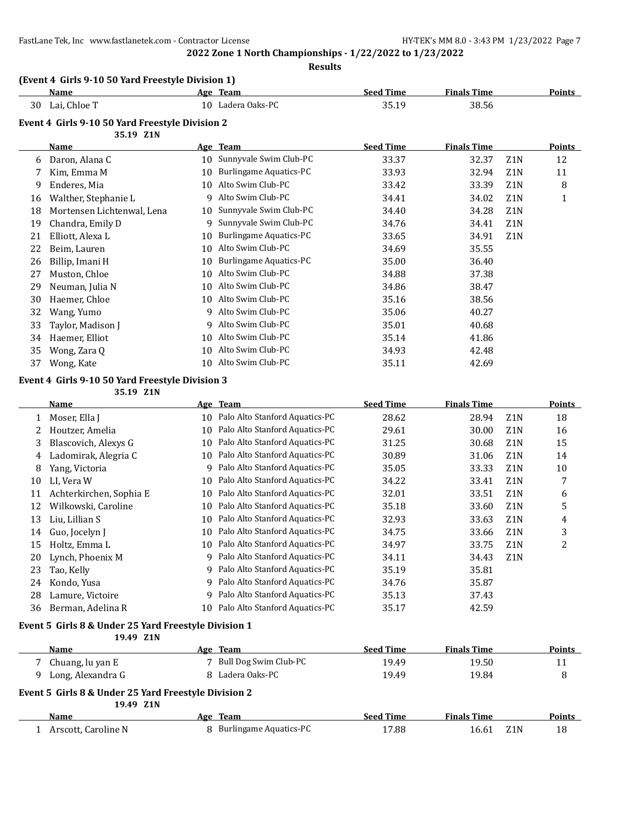FastLane Tek, Inc www.fastlanetek.com - Contractor License HY-TEK's MM 8.0 - 3:43 PM 1/23/2022 Page 7

**2022 Zone 1 North Championships - 1/22/2022 to 1/23/2022 Results**

## **(Event 4 Girls 9-10 50 Yard Freestyle Division 1)**

|    | Name             | Age | <b>Team</b>    | <b>Seed Time</b> | <b>Finals Time</b> | Points |
|----|------------------|-----|----------------|------------------|--------------------|--------|
| 30 | . Chloe T<br>Lai | 10  | Ladera Oaks-PC | 35.19            | 38.56              |        |

#### **Event 4 Girls 9-10 50 Yard Freestyle Division 2**

|    | 35.19 Z1N                  |    |                        |                  |                    |                  |        |
|----|----------------------------|----|------------------------|------------------|--------------------|------------------|--------|
|    | <b>Name</b>                |    | Age Team               | <b>Seed Time</b> | <b>Finals Time</b> |                  | Points |
| 6  | Daron, Alana C             | 10 | Sunnyvale Swim Club-PC | 33.37            | 32.37              | Z1N              | 12     |
|    | Kim, Emma M                | 10 | Burlingame Aquatics-PC | 33.93            | 32.94              | Z <sub>1</sub> N | 11     |
| 9  | Enderes, Mia               | 10 | Alto Swim Club-PC      | 33.42            | 33.39              | Z <sub>1</sub> N | 8      |
| 16 | Walther, Stephanie L       | 9  | Alto Swim Club-PC      | 34.41            | 34.02              | Z <sub>1</sub> N | 1      |
| 18 | Mortensen Lichtenwal, Lena | 10 | Sunnyvale Swim Club-PC | 34.40            | 34.28              | Z <sub>1</sub> N |        |
| 19 | Chandra, Emily D           | 9  | Sunnyvale Swim Club-PC | 34.76            | 34.41              | Z1N              |        |
| 21 | Elliott, Alexa L           | 10 | Burlingame Aquatics-PC | 33.65            | 34.91              | Z1N              |        |
| 22 | Beim, Lauren               | 10 | Alto Swim Club-PC      | 34.69            | 35.55              |                  |        |
| 26 | Billip, Imani H            | 10 | Burlingame Aquatics-PC | 35.00            | 36.40              |                  |        |
| 27 | Muston, Chloe              | 10 | Alto Swim Club-PC      | 34.88            | 37.38              |                  |        |
| 29 | Neuman, Julia N            | 10 | Alto Swim Club-PC      | 34.86            | 38.47              |                  |        |
| 30 | Haemer, Chloe              | 10 | Alto Swim Club-PC      | 35.16            | 38.56              |                  |        |
| 32 | Wang, Yumo                 | 9  | Alto Swim Club-PC      | 35.06            | 40.27              |                  |        |
| 33 | Taylor, Madison J          | 9  | Alto Swim Club-PC      | 35.01            | 40.68              |                  |        |
| 34 | Haemer, Elliot             | 10 | Alto Swim Club-PC      | 35.14            | 41.86              |                  |        |
| 35 | Wong, Zara Q               | 10 | Alto Swim Club-PC      | 34.93            | 42.48              |                  |        |
| 37 | Wong, Kate                 | 10 | Alto Swim Club-PC      | 35.11            | 42.69              |                  |        |

## **Event 4 Girls 9-10 50 Yard Freestyle Division 3**

**35.19 Z1N**

|    | Name                    |    | Age Team                       | <b>Seed Time</b> | <b>Finals Time</b> |                  | Points         |
|----|-------------------------|----|--------------------------------|------------------|--------------------|------------------|----------------|
|    | Moser, Ella J           | 10 | Palo Alto Stanford Aquatics-PC | 28.62            | 28.94              | Z <sub>1</sub> N | 18             |
| 2  | Houtzer, Amelia         | 10 | Palo Alto Stanford Aquatics-PC | 29.61            | 30.00              | Z <sub>1</sub> N | 16             |
| 3  | Blascovich, Alexys G    | 10 | Palo Alto Stanford Aquatics-PC | 31.25            | 30.68              | Z <sub>1</sub> N | 15             |
| 4  | Ladomirak, Alegria C    | 10 | Palo Alto Stanford Aquatics-PC | 30.89            | 31.06              | Z <sub>1</sub> N | 14             |
| 8  | Yang, Victoria          | q  | Palo Alto Stanford Aquatics-PC | 35.05            | 33.33              | Z <sub>1</sub> N | 10             |
| 10 | LI. Vera W              | 10 | Palo Alto Stanford Aquatics-PC | 34.22            | 33.41              | Z <sub>1</sub> N | 7              |
| 11 | Achterkirchen, Sophia E | 10 | Palo Alto Stanford Aquatics-PC | 32.01            | 33.51              | Z <sub>1</sub> N | 6              |
| 12 | Wilkowski, Caroline     | 10 | Palo Alto Stanford Aquatics-PC | 35.18            | 33.60              | Z <sub>1</sub> N | 5              |
| 13 | Liu, Lillian S          | 10 | Palo Alto Stanford Aquatics-PC | 32.93            | 33.63              | Z <sub>1</sub> N | 4              |
| 14 | Guo, Jocelyn J          | 10 | Palo Alto Stanford Aquatics-PC | 34.75            | 33.66              | Z <sub>1</sub> N | 3              |
| 15 | Holtz, Emma L           | 10 | Palo Alto Stanford Aquatics-PC | 34.97            | 33.75              | Z <sub>1</sub> N | $\overline{2}$ |
| 20 | Lynch, Phoenix M        | 9  | Palo Alto Stanford Aquatics-PC | 34.11            | 34.43              | Z <sub>1</sub> N |                |
| 23 | Tao, Kelly              | q  | Palo Alto Stanford Aquatics-PC | 35.19            | 35.81              |                  |                |
| 24 | Kondo, Yusa             | 9  | Palo Alto Stanford Aquatics-PC | 34.76            | 35.87              |                  |                |
| 28 | Lamure, Victoire        | q  | Palo Alto Stanford Aquatics-PC | 35.13            | 37.43              |                  |                |
| 36 | Berman, Adelina R       | 10 | Palo Alto Stanford Aquatics-PC | 35.17            | 42.59              |                  |                |

## **Event 5 Girls 8 & Under 25 Yard Freestyle Division 1**

|                                                      | 19.49 Z1N           |  |                          |                  |                    |     |               |
|------------------------------------------------------|---------------------|--|--------------------------|------------------|--------------------|-----|---------------|
|                                                      | Name                |  | Age Team                 | <b>Seed Time</b> | <b>Finals Time</b> |     | <b>Points</b> |
|                                                      | Chuang, lu yan E    |  | 7 Bull Dog Swim Club-PC  | 19.49            | 19.50              |     | 11            |
|                                                      | Long, Alexandra G   |  | 8 Ladera Oaks-PC         | 19.49            | 19.84              |     | 8             |
| Event 5 Girls 8 & Under 25 Yard Freestyle Division 2 |                     |  |                          |                  |                    |     |               |
|                                                      | 19.49 Z1N           |  |                          |                  |                    |     |               |
|                                                      | Name                |  | Age Team                 | <b>Seed Time</b> | <b>Finals Time</b> |     | <b>Points</b> |
|                                                      | Arscott, Caroline N |  | 8 Burlingame Aquatics-PC | 17.88            | 16.61              | Z1N | 18            |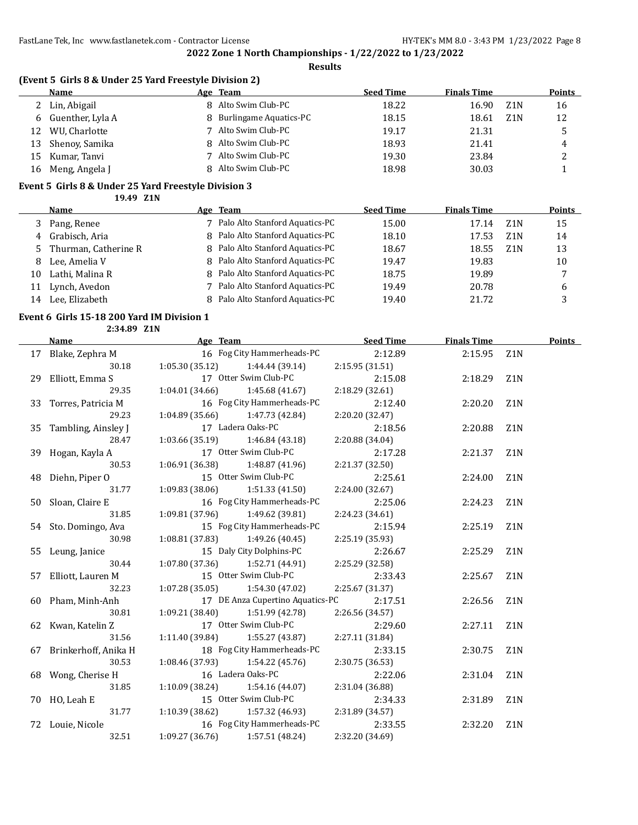#### **Results**

## **(Event 5 Girls 8 & Under 25 Yard Freestyle Division 2)**

|    | Name               | Age Team                 | <b>Seed Time</b> | <b>Finals Time</b> |     | <b>Points</b> |
|----|--------------------|--------------------------|------------------|--------------------|-----|---------------|
|    | 2 Lin, Abigail     | 8 Alto Swim Club-PC      | 18.22            | 16.90              | Z1N | 16            |
|    | 6 Guenther, Lyla A | 8 Burlingame Aquatics-PC | 18.15            | 18.61              | Z1N | 12            |
| 12 | WU, Charlotte      | Alto Swim Club-PC        | 19.17            | 21.31              |     |               |
| 13 | Shenoy, Samika     | 8 Alto Swim Club-PC      | 18.93            | 21.41              |     | 4             |
| 15 | Kumar, Tanvi       | Alto Swim Club-PC        | 19.30            | 23.84              |     |               |
| 16 | Meng, Angela J     | 8 Alto Swim Club-PC      | 18.98            | 30.03              |     |               |

#### **Event 5 Girls 8 & Under 25 Yard Freestyle Division 3**

**19.49 Z1N**

|    | Name                   | Age Team                         | <b>Seed Time</b> | <b>Finals Time</b> |     | <b>Points</b> |
|----|------------------------|----------------------------------|------------------|--------------------|-----|---------------|
| 3  | Pang, Renee            | 7 Palo Alto Stanford Aquatics-PC | 15.00            | 17.14              | Z1N | 15            |
|    | 4 Grabisch, Aria       | 8 Palo Alto Stanford Aquatics-PC | 18.10            | 17.53              | Z1N | 14            |
|    | 5 Thurman, Catherine R | 8 Palo Alto Stanford Aquatics-PC | 18.67            | 18.55              | Z1N | 13            |
| 8  | Lee, Amelia V          | 8 Palo Alto Stanford Aquatics-PC | 19.47            | 19.83              |     | 10            |
| 10 | Lathi, Malina R        | 8 Palo Alto Stanford Aquatics-PC | 18.75            | 19.89              |     | 7             |
|    | Lynch, Avedon          | 7 Palo Alto Stanford Aquatics-PC | 19.49            | 20.78              |     | b             |
| 14 | Lee. Elizabeth         | 8 Palo Alto Stanford Aquatics-PC | 19.40            | 21.72              |     |               |

#### **Event 6 Girls 15-18 200 Yard IM Division 1**

**2:34.89 Z1N**

| Name                    | Age Team                            | Seed Time       | <b>Finals Time</b> |                  | Points |
|-------------------------|-------------------------------------|-----------------|--------------------|------------------|--------|
| 17 Blake, Zephra M      | 16 Fog City Hammerheads-PC          | 2:12.89         | 2:15.95            | Z <sub>1</sub> N |        |
| 30.18                   | $1:05.30(35.12)$ $1:44.44(39.14)$   | 2:15.95 (31.51) |                    |                  |        |
| 29 Elliott, Emma S      | 17 Otter Swim Club-PC               | 2:15.08         | 2:18.29            | Z <sub>1</sub> N |        |
| 29.35                   | $1:04.01(34.66)$ $1:45.68(41.67)$   | 2:18.29 (32.61) |                    |                  |        |
| 33 Torres, Patricia M   | 16 Fog City Hammerheads-PC          | 2:12.40         | 2:20.20            | Z <sub>1</sub> N |        |
| 29.23                   | $1:04.89(35.66)$ $1:47.73(42.84)$   | 2:20.20 (32.47) |                    |                  |        |
| 35 Tambling, Ainsley J  | 17 Ladera Oaks-PC                   | 2:18.56         | 2:20.88            | Z <sub>1</sub> N |        |
| 28.47                   | $1:03.66(35.19)$ $1:46.84(43.18)$   | 2:20.88 (34.04) |                    |                  |        |
| 39 Hogan, Kayla A       | 17 Otter Swim Club-PC               | 2:17.28         | 2:21.37            | Z <sub>1</sub> N |        |
| 30.53                   | $1:06.91(36.38)$ $1:48.87(41.96)$   | 2:21.37 (32.50) |                    |                  |        |
| 48 Diehn, Piper O       | 15 Otter Swim Club-PC               | 2:25.61         | 2:24.00            | Z1N              |        |
| 31.77                   | $1:09.83(38.06)$ $1:51.33(41.50)$   | 2:24.00 (32.67) |                    |                  |        |
| 50 Sloan, Claire E      | 16 Fog City Hammerheads-PC          | 2:25.06         | 2:24.23            | Z <sub>1</sub> N |        |
| 31.85                   | 1:09.81 (37.96) 1:49.62 (39.81)     | 2:24.23 (34.61) |                    |                  |        |
| 54 Sto. Domingo, Ava    | 15 Fog City Hammerheads-PC          | 2:15.94         | 2:25.19            | Z <sub>1</sub> N |        |
| 30.98                   | 1:08.81 (37.83) 1:49.26 (40.45)     | 2:25.19 (35.93) |                    |                  |        |
| 55 Leung, Janice        | 15 Daly City Dolphins-PC            | 2:26.67         | 2:25.29            | Z <sub>1</sub> N |        |
| 30.44                   | $1:07.80(37.36)$ $1:52.71(44.91)$   | 2:25.29 (32.58) |                    |                  |        |
| 57 Elliott, Lauren M    | 15 Otter Swim Club-PC               | 2:33.43         | 2:25.67            | Z <sub>1</sub> N |        |
| 32.23                   | $1:07.28(35.05)$ $1:54.30(47.02)$   | 2:25.67 (31.37) |                    |                  |        |
| 60 Pham, Minh-Anh       | 17 DE Anza Cupertino Aquatics-PC    | 2:17.51         | 2:26.56            | Z <sub>1</sub> N |        |
| 30.81                   | 1:09.21(38.40)<br>1:51.99 (42.78)   | 2:26.56 (34.57) |                    |                  |        |
| 62 Kwan, Katelin Z      | 17 Otter Swim Club-PC               | 2:29.60         | 2:27.11            | Z <sub>1</sub> N |        |
| 31.56                   | $1:11.40(39.84)$ $1:55.27(43.87)$   | 2:27.11 (31.84) |                    |                  |        |
| 67 Brinkerhoff, Anika H | 18 Fog City Hammerheads-PC          | 2:33.15         | 2:30.75            | Z1N              |        |
| 30.53                   | 1:08.46 (37.93) 1:54.22 (45.76)     | 2:30.75 (36.53) |                    |                  |        |
| 68 Wong, Cherise H      | 16 Ladera Oaks-PC                   | 2:22.06         | 2:31.04            | Z <sub>1</sub> N |        |
| 31.85                   | $1:10.09$ (38.24) $1:54.16$ (44.07) | 2:31.04 (36.88) |                    |                  |        |
| 70 HO, Leah E           | 15 Otter Swim Club-PC               | 2:34.33         | 2:31.89            | Z1N              |        |
| 31.77                   | 1:10.39(38.62)<br>1:57.32 (46.93)   | 2:31.89 (34.57) |                    |                  |        |
| 72 Louie, Nicole        | 16 Fog City Hammerheads-PC          | 2:33.55         | 2:32.20            | Z <sub>1</sub> N |        |
| 32.51                   | $1:09.27(36.76)$ $1:57.51(48.24)$   | 2:32.20 (34.69) |                    |                  |        |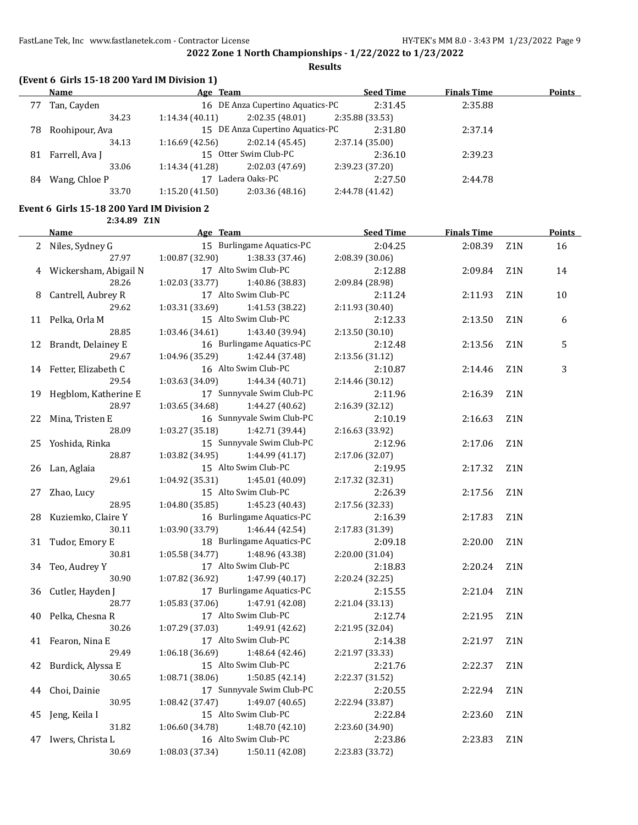**Results**

|  | (Event 6 Girls 15-18 200 Yard IM Division 1) |
|--|----------------------------------------------|
|--|----------------------------------------------|

|     | Name           | Age Team             |                                  | <b>Seed Time</b> | <b>Finals Time</b> | <b>Points</b> |
|-----|----------------|----------------------|----------------------------------|------------------|--------------------|---------------|
| 77  | Tan, Cayden    |                      | 16 DE Anza Cupertino Aquatics-PC | 2:31.45          | 2:35.88            |               |
|     | 34.23          | 1:14.34(40.11)       | 2:02.35(48.01)                   | 2:35.88 (33.53)  |                    |               |
| 78. | Roohipour, Ava |                      | 15 DE Anza Cupertino Aquatics-PC | 2:31.80          | 2:37.14            |               |
|     | 34.13          | 1:16.69(42.56)       | 2:02.14(45.45)                   | 2:37.14(35.00)   |                    |               |
| 81  | Farrell, Ava J |                      | 15 Otter Swim Club-PC            |                  | 2:39.23            |               |
|     | 33.06          | 1:14.34 (41.28)      | 2:02.03 (47.69)                  | 2:39.23 (37.20)  |                    |               |
| 84  | Wang, Chloe P  | Ladera Oaks-PC<br>17 |                                  | 2:27.50          | 2:44.78            |               |
|     | 33.70          | 1:15.20(41.50)       | 2:03.36(48.16)                   | 2:44.78 (41.42)  |                    |               |

## **Event 6 Girls 15-18 200 Yard IM Division 2**

**2:34.89 Z1N**

|    | <u>Name</u>           | Age Team                           | <b>Seed Time</b> | <b>Finals Time</b> |                  | <u>Points</u> |
|----|-----------------------|------------------------------------|------------------|--------------------|------------------|---------------|
| 2  | Niles, Sydney G       | 15 Burlingame Aquatics-PC          | 2:04.25          | 2:08.39            | Z1N              | 16            |
|    | 27.97                 | 1:00.87 (32.90)<br>1:38.33(37.46)  | 2:08.39 (30.06)  |                    |                  |               |
| 4  | Wickersham, Abigail N | 17 Alto Swim Club-PC               | 2:12.88          | 2:09.84            | Z <sub>1</sub> N | 14            |
|    | 28.26                 | 1:02.03 (33.77)<br>1:40.86 (38.83) | 2:09.84 (28.98)  |                    |                  |               |
| 8  | Cantrell, Aubrey R    | 17 Alto Swim Club-PC               | 2:11.24          | 2:11.93            | Z <sub>1</sub> N | 10            |
|    | 29.62                 | 1:03.31 (33.69)<br>1:41.53 (38.22) | 2:11.93 (30.40)  |                    |                  |               |
|    | 11 Pelka, Orla M      | 15 Alto Swim Club-PC               | 2:12.33          | 2:13.50            | Z1N              | 6             |
|    | 28.85                 | 1:03.46 (34.61)<br>1:43.40 (39.94) | 2:13.50 (30.10)  |                    |                  |               |
| 12 | Brandt, Delainey E    | 16 Burlingame Aquatics-PC          | 2:12.48          | 2:13.56            | Z1N              | 5             |
|    | 29.67                 | 1:04.96 (35.29)<br>1:42.44 (37.48) | 2:13.56 (31.12)  |                    |                  |               |
| 14 | Fetter, Elizabeth C   | 16 Alto Swim Club-PC               | 2:10.87          | 2:14.46            | Z1N              | 3             |
|    | 29.54                 | 1:03.63 (34.09)<br>1:44.34 (40.71) | 2:14.46 (30.12)  |                    |                  |               |
| 19 | Hegblom, Katherine E  | 17 Sunnyvale Swim Club-PC          | 2:11.96          | 2:16.39            | Z1N              |               |
|    | 28.97                 | 1:03.65 (34.68)<br>1:44.27 (40.62) | 2:16.39 (32.12)  |                    |                  |               |
| 22 | Mina, Tristen E       | 16 Sunnyvale Swim Club-PC          | 2:10.19          | 2:16.63            | Z <sub>1</sub> N |               |
|    | 28.09                 | 1:03.27 (35.18)<br>1:42.71 (39.44) | 2:16.63 (33.92)  |                    |                  |               |
|    | 25 Yoshida, Rinka     | 15 Sunnyvale Swim Club-PC          | 2:12.96          | 2:17.06            | Z1N              |               |
|    | 28.87                 | 1:03.82 (34.95)<br>1:44.99 (41.17) | 2:17.06 (32.07)  |                    |                  |               |
| 26 | Lan, Aglaia           | 15 Alto Swim Club-PC               | 2:19.95          | 2:17.32            | Z1N              |               |
|    | 29.61                 | 1:04.92 (35.31)<br>1:45.01 (40.09) | 2:17.32 (32.31)  |                    |                  |               |
| 27 | Zhao, Lucy            | 15 Alto Swim Club-PC               | 2:26.39          | 2:17.56            | Z1N              |               |
|    | 28.95                 | 1:04.80 (35.85)<br>1:45.23 (40.43) | 2:17.56 (32.33)  |                    |                  |               |
| 28 | Kuziemko, Claire Y    | 16 Burlingame Aquatics-PC          | 2:16.39          | 2:17.83            | Z <sub>1</sub> N |               |
|    | 30.11                 | 1:03.90 (33.79)<br>1:46.44 (42.54) | 2:17.83 (31.39)  |                    |                  |               |
| 31 | Tudor, Emory E        | 18 Burlingame Aquatics-PC          | 2:09.18          | 2:20.00            | Z1N              |               |
|    | 30.81                 | 1:05.58(34.77)<br>1:48.96 (43.38)  | 2:20.00 (31.04)  |                    |                  |               |
| 34 | Teo, Audrey Y         | 17 Alto Swim Club-PC               | 2:18.83          | 2:20.24            | Z1N              |               |
|    | 30.90                 | 1:07.82 (36.92)<br>1:47.99 (40.17) | 2:20.24 (32.25)  |                    |                  |               |
| 36 | Cutler, Hayden J      | 17 Burlingame Aquatics-PC          | 2:15.55          | 2:21.04            | Z1N              |               |
|    | 28.77                 | 1:05.83 (37.06)<br>1:47.91 (42.08) | 2:21.04 (33.13)  |                    |                  |               |
| 40 | Pelka, Chesna R       | 17 Alto Swim Club-PC               | 2:12.74          | 2:21.95            | Z1N              |               |
|    | 30.26                 | 1:07.29 (37.03)<br>1:49.91 (42.62) | 2:21.95 (32.04)  |                    |                  |               |
|    | 41 Fearon, Nina E     | 17 Alto Swim Club-PC               | 2:14.38          | 2:21.97            | Z1N              |               |
|    | 29.49                 | 1:06.18(36.69)<br>1:48.64(42.46)   | 2:21.97 (33.33)  |                    |                  |               |
| 42 | Burdick, Alyssa E     | 15 Alto Swim Club-PC               | 2:21.76          | 2:22.37            | Z <sub>1</sub> N |               |
|    | 30.65                 | 1:08.71 (38.06)<br>1:50.85(42.14)  | 2:22.37 (31.52)  |                    |                  |               |
| 44 | Choi, Dainie          | 17 Sunnyvale Swim Club-PC          | 2:20.55          | 2:22.94            | Z1N              |               |
|    | 30.95                 | 1:08.42 (37.47)<br>1:49.07 (40.65) | 2:22.94 (33.87)  |                    |                  |               |
| 45 | Jeng, Keila I         | 15 Alto Swim Club-PC               | 2:22.84          | 2:23.60            | Z <sub>1</sub> N |               |
|    | 31.82                 | 1:06.60 (34.78)<br>1:48.70 (42.10) | 2:23.60 (34.90)  |                    |                  |               |
| 47 | Iwers, Christa L      | 16 Alto Swim Club-PC               | 2:23.86          | 2:23.83            | Z1N              |               |
|    | 30.69                 | 1:08.03 (37.34)<br>1:50.11 (42.08) | 2:23.83 (33.72)  |                    |                  |               |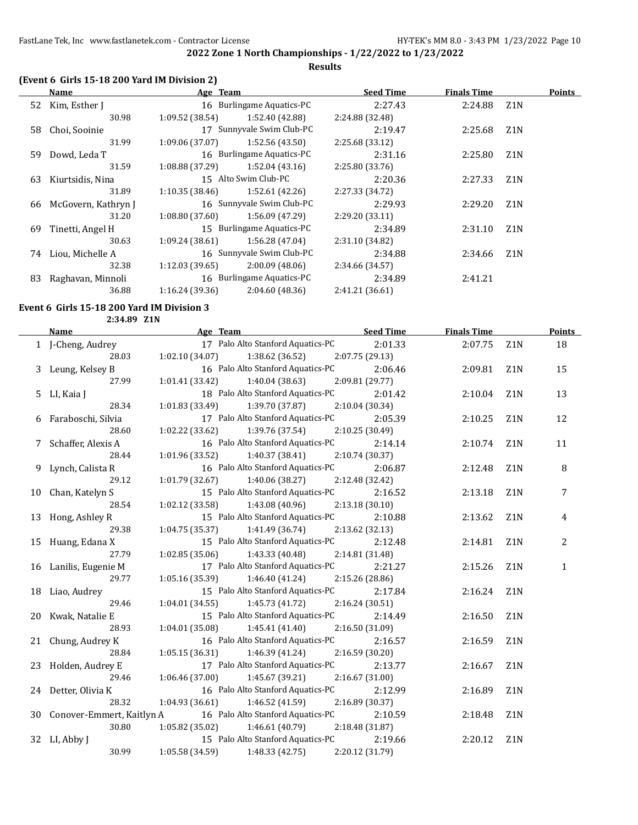## **(Event 6 Girls 15-18 200 Yard IM Division 2)**

|    | Name                | Age Team       |                           | <b>Seed Time</b> | <b>Finals Time</b> |                  | <b>Points</b> |
|----|---------------------|----------------|---------------------------|------------------|--------------------|------------------|---------------|
|    | 52 Kim, Esther J    |                | 16 Burlingame Aquatics-PC | 2:27.43          | 2:24.88            | Z1N              |               |
|    | 30.98               | 1:09.52(38.54) | 1:52.40 (42.88)           | 2:24.88 (32.48)  |                    |                  |               |
| 58 | Choi, Sooinie       |                | 17 Sunnyvale Swim Club-PC | 2:19.47          | 2:25.68            | Z <sub>1</sub> N |               |
|    | 31.99               | 1:09.06(37.07) | 1:52.56(43.50)            | 2:25.68 (33.12)  |                    |                  |               |
| 59 | Dowd, Leda T        |                | 16 Burlingame Aquatics-PC | 2:31.16          | 2:25.80            | Z <sub>1</sub> N |               |
|    | 31.59               | 1:08.88(37.29) | 1:52.04(43.16)            | 2:25.80 (33.76)  |                    |                  |               |
| 63 | Kiurtsidis, Nina    |                | 15 Alto Swim Club-PC      | 2:20.36          | 2:27.33            | Z <sub>1</sub> N |               |
|    | 31.89               | 1:10.35(38.46) | 1:52.61(42.26)            | 2:27.33 (34.72)  |                    |                  |               |
| 66 | McGovern, Kathryn J |                | 16 Sunnyvale Swim Club-PC | 2:29.93          | 2:29.20            | Z <sub>1</sub> N |               |
|    | 31.20               | 1:08.80(37.60) | 1:56.09 (47.29)           | 2:29.20(33.11)   |                    |                  |               |
| 69 | Tinetti, Angel H    |                | 15 Burlingame Aquatics-PC | 2:34.89          | 2:31.10            | Z <sub>1</sub> N |               |
|    | 30.63               | 1:09.24(38.61) | 1:56.28(47.04)            | 2:31.10 (34.82)  |                    |                  |               |
| 74 | Liou, Michelle A    |                | 16 Sunnyvale Swim Club-PC | 2:34.88          | 2:34.66            | Z <sub>1</sub> N |               |
|    | 32.38               | 1:12.03(39.65) | 2:00.09(48.06)            | 2:34.66 (34.57)  |                    |                  |               |
| 83 | Raghavan, Minnoli   |                | 16 Burlingame Aquatics-PC | 2:34.89          | 2:41.21            |                  |               |
|    | 36.88               | 1:16.24(39.36) | 2:04.60(48.36)            | 2:41.21 (36.61)  |                    |                  |               |

## **Event 6 Girls 15-18 200 Yard IM Division 3**

**2:34.89 Z1N**

| <b>Name</b>                  | Age Team and the state of the state of the state of the state of the state of the state of the state of the state of the state of the state of the state of the state of the state of the state of the state of the state of t | <b>Seed Time</b> | <b>Finals Time</b> |                  | <b>Points</b> |
|------------------------------|--------------------------------------------------------------------------------------------------------------------------------------------------------------------------------------------------------------------------------|------------------|--------------------|------------------|---------------|
| 1 J-Cheng, Audrey            | 17 Palo Alto Stanford Aquatics-PC                                                                                                                                                                                              | 2:01.33          | 2:07.75            | Z1N              | 18            |
| 28.03                        | $1:02.10(34.07)$ $1:38.62(36.52)$ $2:07.75(29.13)$                                                                                                                                                                             |                  |                    |                  |               |
| 3 Leung, Kelsey B            | 16 Palo Alto Stanford Aquatics-PC                                                                                                                                                                                              | 2:06.46          | 2:09.81            | Z <sub>1</sub> N | 15            |
| 27.99                        | 1:40.04 (38.63) 2:09.81 (29.77)<br>1:01.41(33.42)                                                                                                                                                                              |                  |                    |                  |               |
| 5 LI, Kaia J                 | 18 Palo Alto Stanford Aquatics-PC                                                                                                                                                                                              | 2:01.42          | 2:10.04            | Z <sub>1</sub> N | 13            |
| 28.34                        | 1:39.70 (37.87)<br>1:01.83 (33.49)                                                                                                                                                                                             | 2:10.04 (30.34)  |                    |                  |               |
| 6 Faraboschi, Silvia         | 17 Palo Alto Stanford Aquatics-PC                                                                                                                                                                                              | 2:05.39          | 2:10.25            | Z <sub>1</sub> N | 12            |
| 28.60                        | $1:02.22$ (33.62) $1:39.76$ (37.54)                                                                                                                                                                                            | 2:10.25 (30.49)  |                    |                  |               |
| 7 Schaffer, Alexis A         | 16 Palo Alto Stanford Aquatics-PC                                                                                                                                                                                              | 2:14.14          | 2:10.74            | Z <sub>1</sub> N | 11            |
| 28.44                        | $1:01.96(33.52)$ $1:40.37(38.41)$ $2:10.74(30.37)$                                                                                                                                                                             |                  |                    |                  |               |
| 9 Lynch, Calista R           | 16 Palo Alto Stanford Aquatics-PC                                                                                                                                                                                              | 2:06.87          | 2:12.48            | Z <sub>1</sub> N | 8             |
| 29.12                        | $1:01.79$ (32.67) $1:40.06$ (38.27) $2:12.48$ (32.42)                                                                                                                                                                          |                  |                    |                  |               |
| 10 Chan, Katelyn S           | 15 Palo Alto Stanford Aquatics-PC                                                                                                                                                                                              | 2:16.52          | 2:13.18            | Z1N              | 7             |
| 28.54                        | $1:02.12$ (33.58) $1:43.08$ (40.96)                                                                                                                                                                                            | 2:13.18(30.10)   |                    |                  |               |
| 13 Hong, Ashley R            | 15 Palo Alto Stanford Aquatics-PC                                                                                                                                                                                              | 2:10.88          | 2:13.62            | Z <sub>1</sub> N | 4             |
| 29.38                        | $1:04.75(35.37)$ $1:41.49(36.74)$                                                                                                                                                                                              | 2:13.62 (32.13)  |                    |                  |               |
| 15 Huang, Edana X            | 15 Palo Alto Stanford Aquatics-PC                                                                                                                                                                                              | 2:12.48          | 2:14.81            | Z1N              | 2             |
| 27.79                        | 1:02.85 (35.06)<br>1:43.33 (40.48)                                                                                                                                                                                             | 2:14.81 (31.48)  |                    |                  |               |
| 16 Lanilis, Eugenie M        | 17 Palo Alto Stanford Aquatics-PC                                                                                                                                                                                              | 2:21.27          | 2:15.26            | Z <sub>1</sub> N | $\mathbf{1}$  |
| 29.77                        | $1:05.16(35.39)$ $1:46.40(41.24)$                                                                                                                                                                                              | 2:15.26 (28.86)  |                    |                  |               |
| 18 Liao, Audrey              | 15 Palo Alto Stanford Aquatics-PC                                                                                                                                                                                              | 2:17.84          | 2:16.24            | Z <sub>1</sub> N |               |
| 29.46                        | $1:04.01(34.55)$ $1:45.73(41.72)$                                                                                                                                                                                              | 2:16.24(30.51)   |                    |                  |               |
| 20 Kwak, Natalie E           | 15 Palo Alto Stanford Aquatics-PC                                                                                                                                                                                              | 2:14.49          | 2:16.50            | Z <sub>1</sub> N |               |
| 28.93                        | $1:04.01(35.08)$ $1:45.41(41.40)$ $2:16.50(31.09)$                                                                                                                                                                             |                  |                    |                  |               |
| 21 Chung, Audrey K           | 16 Palo Alto Stanford Aquatics-PC                                                                                                                                                                                              | 2:16.57          | 2:16.59            | Z1N              |               |
| 28.84                        | $1:05.15(36.31)$ $1:46.39(41.24)$                                                                                                                                                                                              | 2:16.59(30.20)   |                    |                  |               |
| 23 Holden, Audrey E          | 17 Palo Alto Stanford Aquatics-PC                                                                                                                                                                                              | 2:13.77          | 2:16.67            | Z <sub>1</sub> N |               |
| 29.46                        | $1:06.46(37.00)$ $1:45.67(39.21)$                                                                                                                                                                                              | 2:16.67 (31.00)  |                    |                  |               |
| 24 Detter, Olivia K          | 16 Palo Alto Stanford Aquatics-PC                                                                                                                                                                                              | 2:12.99          | 2:16.89            | Z <sub>1</sub> N |               |
| 28.32                        | $1:04.93(36.61)$ $1:46.52(41.59)$                                                                                                                                                                                              | 2:16.89 (30.37)  |                    |                  |               |
| 30 Conover-Emmert, Kaitlyn A | 16 Palo Alto Stanford Aquatics-PC                                                                                                                                                                                              | 2:10.59          | 2:18.48            | Z <sub>1</sub> N |               |
| 30.80                        | 1:05.82(35.02)<br>1:46.61 (40.79)                                                                                                                                                                                              | 2:18.48 (31.87)  |                    |                  |               |
| 32 LI, Abby J                | 15 Palo Alto Stanford Aquatics-PC                                                                                                                                                                                              | 2:19.66          | 2:20.12            | Z <sub>1</sub> N |               |
| 30.99                        | $1:05.58(34.59)$ $1:48.33(42.75)$                                                                                                                                                                                              | 2:20.12 (31.79)  |                    |                  |               |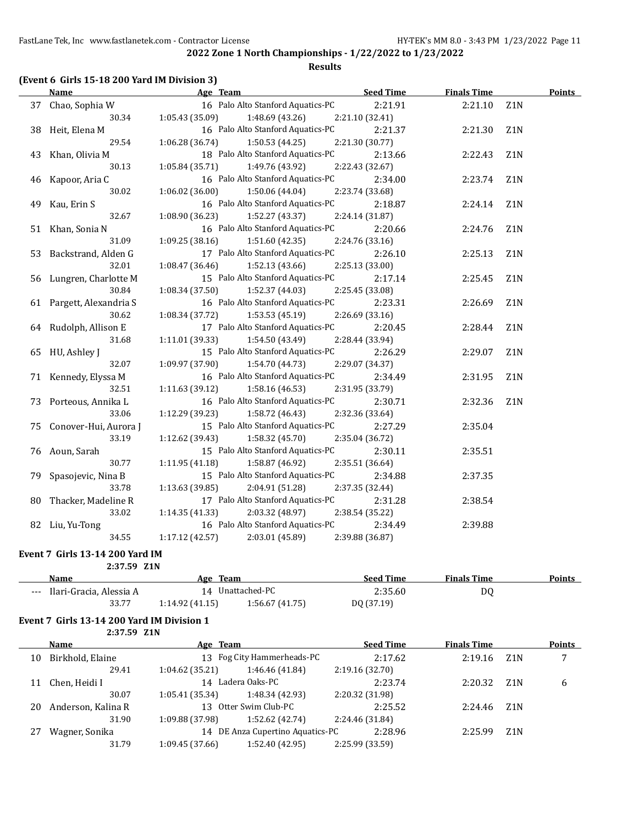## **(Event 6 Girls 15-18 200 Yard IM Division 3)**

| <b>Name</b>              | Age Team                           | <b>Seed Time</b> | <b>Finals Time</b> | <b>Points</b>    |
|--------------------------|------------------------------------|------------------|--------------------|------------------|
| 37 Chao, Sophia W        | 16 Palo Alto Stanford Aquatics-PC  | 2:21.91          | 2:21.10            | Z <sub>1</sub> N |
| 30.34                    | 1:48.69 (43.26)<br>1:05.43(35.09)  | 2:21.10 (32.41)  |                    |                  |
| 38 Heit, Elena M         | 16 Palo Alto Stanford Aquatics-PC  | 2:21.37          | 2:21.30            | Z <sub>1</sub> N |
| 29.54                    | $1:06.28(36.74)$ $1:50.53(44.25)$  | 2:21.30 (30.77)  |                    |                  |
| 43 Khan, Olivia M        | 18 Palo Alto Stanford Aquatics-PC  | 2:13.66          | 2:22.43            | Z1N              |
| 30.13                    | $1:05.84(35.71)$ $1:49.76(43.92)$  | 2:22.43 (32.67)  |                    |                  |
| 46 Kapoor, Aria C        | 16 Palo Alto Stanford Aquatics-PC  | 2:34.00          | 2:23.74            | Z1N              |
| 30.02                    | 1:06.02(36.00)<br>1:50.06(44.04)   | 2:23.74 (33.68)  |                    |                  |
| 49 Kau, Erin S           | 16 Palo Alto Stanford Aquatics-PC  | 2:18.87          | 2:24.14            | Z1N              |
| 32.67                    | 1:08.90(36.23)<br>1:52.27(43.37)   | 2:24.14 (31.87)  |                    |                  |
| 51 Khan, Sonia N         | 16 Palo Alto Stanford Aquatics-PC  | 2:20.66          | 2:24.76            | Z1N              |
| 31.09                    | 1:51.60(42.35)<br>1:09.25(38.16)   | 2:24.76 (33.16)  |                    |                  |
| 53 Backstrand, Alden G   | 17 Palo Alto Stanford Aquatics-PC  | 2:26.10          | 2:25.13            | Z1N              |
| 32.01                    | 1:52.13 (43.66)<br>1:08.47(36.46)  | 2:25.13 (33.00)  |                    |                  |
| 56 Lungren, Charlotte M  | 15 Palo Alto Stanford Aquatics-PC  | 2:17.14          | 2:25.45            | Z1N              |
| 30.84                    | 1:08.34 (37.50)<br>1:52.37 (44.03) | 2:25.45 (33.08)  |                    |                  |
| 61 Pargett, Alexandria S | 16 Palo Alto Stanford Aquatics-PC  | 2:23.31          | 2:26.69            | Z1N              |
| 30.62                    | 1:08.34(37.72)<br>1:53.53(45.19)   | 2:26.69(33.16)   |                    |                  |
| 64 Rudolph, Allison E    | 17 Palo Alto Stanford Aquatics-PC  | 2:20.45          | 2:28.44            | Z <sub>1</sub> N |
| 31.68                    | 1:11.01(39.33)<br>1:54.50(43.49)   | 2:28.44 (33.94)  |                    |                  |
| 65 HU, Ashley J          | 15 Palo Alto Stanford Aquatics-PC  | 2:26.29          | 2:29.07            | Z1N              |
| 32.07                    | 1:09.97(37.90)<br>1:54.70 (44.73)  | 2:29.07 (34.37)  |                    |                  |
| 71 Kennedy, Elyssa M     | 16 Palo Alto Stanford Aquatics-PC  | 2:34.49          | 2:31.95            | Z1N              |
| 32.51                    | 1:58.16(46.53)<br>1:11.63(39.12)   | 2:31.95 (33.79)  |                    |                  |
| 73 Porteous, Annika L    | 16 Palo Alto Stanford Aquatics-PC  | 2:30.71          | 2:32.36            | Z <sub>1</sub> N |
| 33.06                    | 1:12.29(39.23)<br>1:58.72 (46.43)  | 2:32.36 (33.64)  |                    |                  |
| 75 Conover-Hui, Aurora J | 15 Palo Alto Stanford Aquatics-PC  | 2:27.29          | 2:35.04            |                  |
| 33.19                    | 1:12.62(39.43)<br>1:58.32(45.70)   | 2:35.04 (36.72)  |                    |                  |
| 76 Aoun, Sarah           | 15 Palo Alto Stanford Aquatics-PC  | 2:30.11          | 2:35.51            |                  |
| 30.77                    | 1:11.95(41.18)<br>1:58.87 (46.92)  | 2:35.51 (36.64)  |                    |                  |
| 79 Spasojevic, Nina B    | 15 Palo Alto Stanford Aquatics-PC  | 2:34.88          | 2:37.35            |                  |
| 33.78                    | 1:13.63(39.85)<br>2:04.91 (51.28)  | 2:37.35 (32.44)  |                    |                  |
| 80 Thacker, Madeline R   | 17 Palo Alto Stanford Aquatics-PC  | 2:31.28          | 2:38.54            |                  |
| 33.02                    | 1:14.35(41.33)<br>2:03.32 (48.97)  | 2:38.54 (35.22)  |                    |                  |
| 82 Liu, Yu-Tong          | 16 Palo Alto Stanford Aquatics-PC  | 2:34.49          | 2:39.88            |                  |
| 34.55                    | 1:17.12 (42.57)<br>2:03.01 (45.89) | 2:39.88 (36.87)  |                    |                  |

#### **Event 7 Girls 13-14 200 Yard IM**

| 2:37.59 Z1N                 |                |                  |                  |                    |        |
|-----------------------------|----------------|------------------|------------------|--------------------|--------|
| <b>Name</b>                 | Age Team       |                  | <b>Seed Time</b> | <b>Finals Time</b> | Points |
| --- Ilari-Gracia, Alessia A |                | 14 Unattached-PC | 2:35.60          | DQ                 |        |
| 33.77                       | 1:14.92(41.15) | 1:56.67 (41.75)  | DQ (37.19)       |                    |        |

# **Event 7 Girls 13-14 200 Yard IM Division 1**

**2:37.59 Z1N**

|    | Name               | Age Team        |                                  | <b>Seed Time</b> | <b>Finals Time</b> |     | Points |
|----|--------------------|-----------------|----------------------------------|------------------|--------------------|-----|--------|
| 10 | Birkhold, Elaine   |                 | 13 Fog City Hammerheads-PC       | 2:17.62          | 2:19.16            | Z1N | 7      |
|    | 29.41              | 1:04.62(35.21)  | 1:46.46 (41.84)                  | 2:19.16 (32.70)  |                    |     |        |
| 11 | Chen, Heidi I      |                 | 14 Ladera Oaks-PC                | 2:23.74          | 2:20.32            | Z1N | 6      |
|    | 30.07              | 1:05.41(35.34)  | 1:48.34 (42.93)                  | 2:20.32 (31.98)  |                    |     |        |
| 20 | Anderson, Kalina R |                 | 13 Otter Swim Club-PC            | 2:25.52          | 2:24.46            | Z1N |        |
|    | 31.90              | 1:09.88 (37.98) | 1:52.62 (42.74)                  | 2:24.46 (31.84)  |                    |     |        |
| 27 | Wagner, Sonika     |                 | 14 DE Anza Cupertino Aquatics-PC | 2:28.96          | 2:25.99            | Z1N |        |
|    | 31.79              | 1:09.45(37.66)  | 1:52.40 (42.95)                  | 2:25.99 (33.59)  |                    |     |        |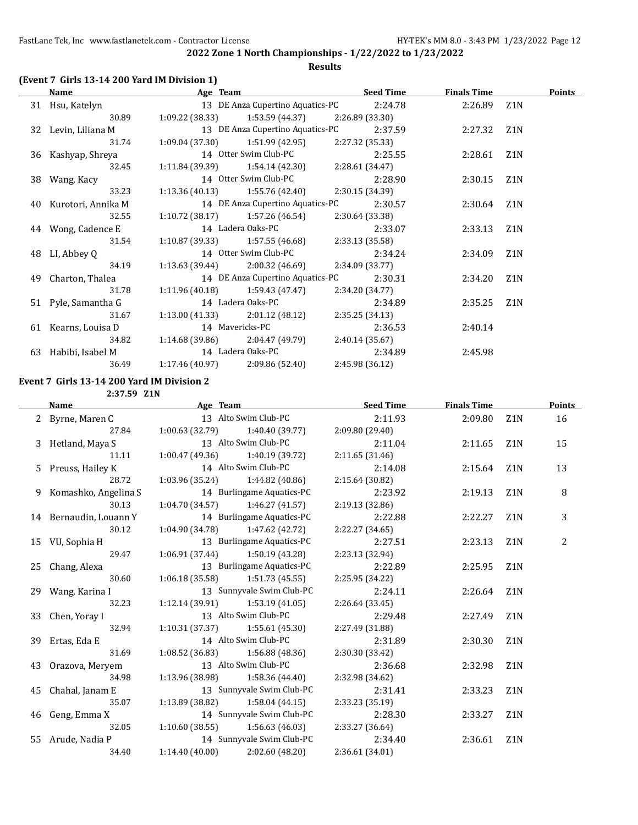| <b>Name</b>           |                                                                    |                                                                                                                                                     |                                                                                                                                                                                                               |                                                                                                                                                                                                                                                                                                                                                                                                                                                                                                                                                                                                                                                                         |                  | <b>Points</b>                                                                                                             |
|-----------------------|--------------------------------------------------------------------|-----------------------------------------------------------------------------------------------------------------------------------------------------|---------------------------------------------------------------------------------------------------------------------------------------------------------------------------------------------------------------|-------------------------------------------------------------------------------------------------------------------------------------------------------------------------------------------------------------------------------------------------------------------------------------------------------------------------------------------------------------------------------------------------------------------------------------------------------------------------------------------------------------------------------------------------------------------------------------------------------------------------------------------------------------------------|------------------|---------------------------------------------------------------------------------------------------------------------------|
| 31 Hsu, Katelyn       |                                                                    |                                                                                                                                                     |                                                                                                                                                                                                               |                                                                                                                                                                                                                                                                                                                                                                                                                                                                                                                                                                                                                                                                         |                  |                                                                                                                           |
| 30.89                 |                                                                    |                                                                                                                                                     |                                                                                                                                                                                                               |                                                                                                                                                                                                                                                                                                                                                                                                                                                                                                                                                                                                                                                                         |                  |                                                                                                                           |
| 32 Levin, Liliana M   |                                                                    |                                                                                                                                                     | 2:37.59                                                                                                                                                                                                       |                                                                                                                                                                                                                                                                                                                                                                                                                                                                                                                                                                                                                                                                         | Z <sub>1</sub> N |                                                                                                                           |
| 31.74                 |                                                                    |                                                                                                                                                     |                                                                                                                                                                                                               |                                                                                                                                                                                                                                                                                                                                                                                                                                                                                                                                                                                                                                                                         |                  |                                                                                                                           |
|                       |                                                                    |                                                                                                                                                     | 2:25.55                                                                                                                                                                                                       |                                                                                                                                                                                                                                                                                                                                                                                                                                                                                                                                                                                                                                                                         | Z <sub>1</sub> N |                                                                                                                           |
| 32.45                 |                                                                    |                                                                                                                                                     |                                                                                                                                                                                                               |                                                                                                                                                                                                                                                                                                                                                                                                                                                                                                                                                                                                                                                                         |                  |                                                                                                                           |
| 38 Wang, Kacy         |                                                                    |                                                                                                                                                     |                                                                                                                                                                                                               |                                                                                                                                                                                                                                                                                                                                                                                                                                                                                                                                                                                                                                                                         | Z1N              |                                                                                                                           |
| 33.23                 |                                                                    |                                                                                                                                                     |                                                                                                                                                                                                               |                                                                                                                                                                                                                                                                                                                                                                                                                                                                                                                                                                                                                                                                         |                  |                                                                                                                           |
| 40 Kurotori, Annika M |                                                                    |                                                                                                                                                     |                                                                                                                                                                                                               |                                                                                                                                                                                                                                                                                                                                                                                                                                                                                                                                                                                                                                                                         | Z1N              |                                                                                                                           |
| 32.55                 |                                                                    |                                                                                                                                                     |                                                                                                                                                                                                               |                                                                                                                                                                                                                                                                                                                                                                                                                                                                                                                                                                                                                                                                         |                  |                                                                                                                           |
| 44 Wong, Cadence E    |                                                                    |                                                                                                                                                     |                                                                                                                                                                                                               |                                                                                                                                                                                                                                                                                                                                                                                                                                                                                                                                                                                                                                                                         | Z1N              |                                                                                                                           |
| 31.54                 |                                                                    |                                                                                                                                                     |                                                                                                                                                                                                               |                                                                                                                                                                                                                                                                                                                                                                                                                                                                                                                                                                                                                                                                         |                  |                                                                                                                           |
| 48 LI, Abbey Q        |                                                                    |                                                                                                                                                     | 2:34.24                                                                                                                                                                                                       |                                                                                                                                                                                                                                                                                                                                                                                                                                                                                                                                                                                                                                                                         | Z1N              |                                                                                                                           |
| 34.19                 |                                                                    |                                                                                                                                                     |                                                                                                                                                                                                               |                                                                                                                                                                                                                                                                                                                                                                                                                                                                                                                                                                                                                                                                         |                  |                                                                                                                           |
| 49 Charton, Thalea    |                                                                    |                                                                                                                                                     | 2:30.31                                                                                                                                                                                                       |                                                                                                                                                                                                                                                                                                                                                                                                                                                                                                                                                                                                                                                                         | Z <sub>1</sub> N |                                                                                                                           |
| 31.78                 |                                                                    |                                                                                                                                                     |                                                                                                                                                                                                               |                                                                                                                                                                                                                                                                                                                                                                                                                                                                                                                                                                                                                                                                         |                  |                                                                                                                           |
| 51 Pyle, Samantha G   |                                                                    |                                                                                                                                                     | 2:34.89                                                                                                                                                                                                       |                                                                                                                                                                                                                                                                                                                                                                                                                                                                                                                                                                                                                                                                         | Z1N              |                                                                                                                           |
| 31.67                 |                                                                    |                                                                                                                                                     |                                                                                                                                                                                                               |                                                                                                                                                                                                                                                                                                                                                                                                                                                                                                                                                                                                                                                                         |                  |                                                                                                                           |
|                       |                                                                    |                                                                                                                                                     | 2:36.53                                                                                                                                                                                                       | 2:40.14                                                                                                                                                                                                                                                                                                                                                                                                                                                                                                                                                                                                                                                                 |                  |                                                                                                                           |
| 34.82                 |                                                                    |                                                                                                                                                     |                                                                                                                                                                                                               |                                                                                                                                                                                                                                                                                                                                                                                                                                                                                                                                                                                                                                                                         |                  |                                                                                                                           |
|                       |                                                                    |                                                                                                                                                     | 2:34.89                                                                                                                                                                                                       | 2:45.98                                                                                                                                                                                                                                                                                                                                                                                                                                                                                                                                                                                                                                                                 |                  |                                                                                                                           |
| 36.49                 |                                                                    |                                                                                                                                                     |                                                                                                                                                                                                               |                                                                                                                                                                                                                                                                                                                                                                                                                                                                                                                                                                                                                                                                         |                  |                                                                                                                           |
|                       | (Event 7 Girls 13-14 200 Yard IM Division 1)<br>36 Kashyap, Shreya | <b>Example 2</b> Age Team<br>14 Ladera Oaks-PC<br>14 Ladera Oaks-PC<br>61 Kearns, Louisa D 14 Mavericks-PC<br>63 Habibi, Isabel M 14 Ladera Oaks-PC | 14 Otter Swim Club-PC<br>$1:13.63$ (39.44) $2:00.32$ (46.69)<br>14 DE Anza Cupertino Aquatics-PC<br>$1:11.96(40.18)$ $1:59.43(47.47)$<br>$1:13.00(41.33)$ $2:01.12(48.12)$<br>$1:17.46(40.97)$ 2:09.86(52.40) | 13 DE Anza Cupertino Aquatics-PC 2:24.78<br>$1:09.22$ (38.33) $1:53.59$ (44.37) $2:26.89$ (33.30)<br>13 DE Anza Cupertino Aquatics-PC<br>$1:09.04(37.30)$ $1:51.99(42.95)$ $2:27.32(35.33)$<br>$1:11.84(39.39)$ $1:54.14(42.30)$ $2:28.61(34.47)$<br>14 Otter Swim Club-PC 2:28.90<br>$1:13.36(40.13)$ $1:55.76(42.40)$ $2:30.15(34.39)$<br>14 DE Anza Cupertino Aquatics-PC 2:30.57<br>1:10.72 (38.17) $1:57.26$ (46.54) $2:30.64$ (33.38)<br>2:33.07<br>$1:10.87(39.33)$ $1:57.55(46.68)$ $2:33.13(35.58)$<br>14 Otter Swim Club-PC<br>2:34.09 (33.77)<br>2:34.20 (34.77)<br>2:35.25 (34.13)<br>$1:14.68(39.86)$ $2:04.47(49.79)$ $2:40.14(35.67)$<br>2:45.98 (36.12) | <u>Seed Time</u> | <b>Finals Time</b><br>2:26.89 Z1N<br>2:27.32<br>2:28.61<br>2:30.15<br>2:30.64<br>2:33.13<br>2:34.09<br>2:34.20<br>2:35.25 |

## **Event 7 Girls 13-14 200 Yard IM Division 2**

**2:37.59 Z1N**

| Name                   | Age Team                          |                                   | <b>Seed Time</b> | <b>Finals Time</b> |                  | <b>Points</b> |
|------------------------|-----------------------------------|-----------------------------------|------------------|--------------------|------------------|---------------|
| 2 Byrne, Maren C       |                                   | 13 Alto Swim Club-PC              | 2:11.93          | 2:09.80            | Z1N              | 16            |
| 27.84                  | $1:00.63(32.79)$ 1:40.40 (39.77)  |                                   | 2:09.80(29.40)   |                    |                  |               |
| 3 Hetland, Maya S      | 13 Alto Swim Club-PC              |                                   | 2:11.04          | 2:11.65            | Z1N              | 15            |
| 11.11                  | $1:00.47(49.36)$ $1:40.19(39.72)$ |                                   | 2:11.65(31.46)   |                    |                  |               |
| 5 Preuss, Hailey K     | 14 Alto Swim Club-PC              |                                   | 2:14.08          | 2:15.64            | Z <sub>1</sub> N | 13            |
| 28.72                  |                                   | $1:03.96(35.24)$ $1:44.82(40.86)$ | 2:15.64 (30.82)  |                    |                  |               |
| 9 Komashko, Angelina S |                                   | 14 Burlingame Aquatics-PC         | 2:23.92          | 2:19.13            | Z1N              | 8             |
| 30.13                  |                                   | $1:04.70(34.57)$ $1:46.27(41.57)$ | 2:19.13(32.86)   |                    |                  |               |
| 14 Bernaudin, Louann Y |                                   | 14 Burlingame Aquatics-PC         | 2:22.88          | 2:22.27            | Z1N              | 3             |
| 30.12                  | $1:04.90(34.78)$ $1:47.62(42.72)$ |                                   | 2:22.27 (34.65)  |                    |                  |               |
| 15 VU, Sophia H        |                                   | 13 Burlingame Aquatics-PC         | 2:27.51          | 2:23.13            | Z1N              | 2             |
| 29.47                  |                                   | $1:06.91(37.44)$ $1:50.19(43.28)$ | 2:23.13 (32.94)  |                    |                  |               |
| 25 Chang, Alexa        |                                   | 13 Burlingame Aquatics-PC         | 2:22.89          | 2:25.95            | Z <sub>1</sub> N |               |
| 30.60                  | $1:06.18(35.58)$ $1:51.73(45.55)$ |                                   | 2:25.95 (34.22)  |                    |                  |               |
| 29 Wang, Karina I      |                                   | 13 Sunnyvale Swim Club-PC         | 2:24.11          | 2:26.64            | Z1N              |               |
| 32.23                  | $1:12.14(39.91)$ $1:53.19(41.05)$ |                                   | 2:26.64 (33.45)  |                    |                  |               |
| 33 Chen, Yoray I       |                                   | 13 Alto Swim Club-PC              | 2:29.48          | 2:27.49            | Z1N              |               |
| 32.94                  | $1:10.31(37.37)$ $1:55.61(45.30)$ |                                   | 2:27.49 (31.88)  |                    |                  |               |
| 39 Ertas, Eda E        | 14 Alto Swim Club-PC              |                                   | 2:31.89          | 2:30.30            | Z <sub>1</sub> N |               |
| 31.69                  | $1:08.52(36.83)$ $1:56.88(48.36)$ |                                   | 2:30.30 (33.42)  |                    |                  |               |
| 43 Orazova, Meryem     |                                   | 13 Alto Swim Club-PC              | 2:36.68          | 2:32.98            | Z <sub>1</sub> N |               |
| 34.98                  |                                   | $1:13.96(38.98)$ $1:58.36(44.40)$ | 2:32.98 (34.62)  |                    |                  |               |
| 45 Chahal, Janam E     |                                   | 13 Sunnyvale Swim Club-PC         | 2:31.41          | 2:33.23            | Z1N              |               |
| 35.07                  | $1:13.89(38.82)$ $1:58.04(44.15)$ |                                   | 2:33.23 (35.19)  |                    |                  |               |
| 46 Geng, Emma X        |                                   | 14 Sunnyvale Swim Club-PC         | 2:28.30          | 2:33.27            | Z1N              |               |
| 32.05                  |                                   | $1:10.60(38.55)$ $1:56.63(46.03)$ | 2:33.27 (36.64)  |                    |                  |               |
| 55 Arude, Nadia P      |                                   | 14 Sunnyvale Swim Club-PC         | 2:34.40          | 2:36.61            | Z1N              |               |
| 34.40                  | $1:14.40(40.00)$ $2:02.60(48.20)$ |                                   | 2:36.61 (34.01)  |                    |                  |               |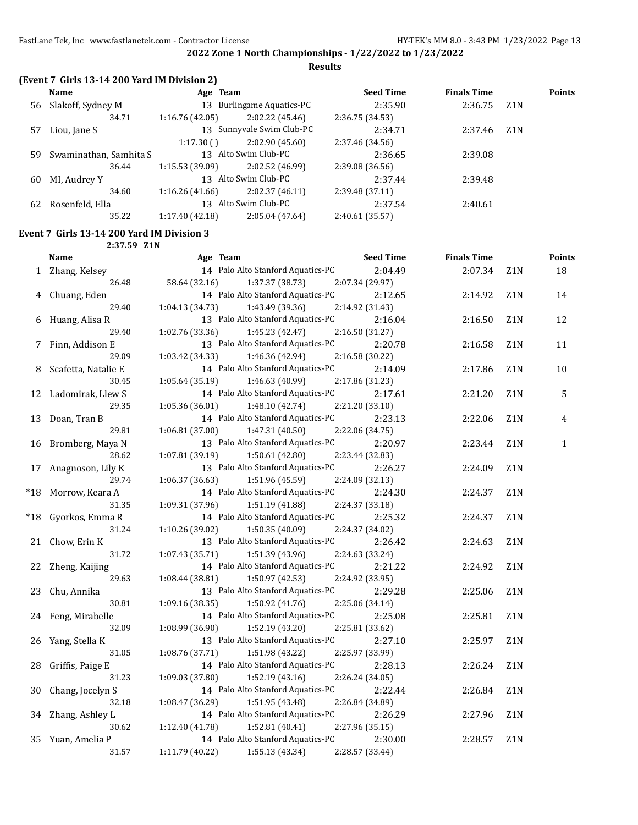**Results**

|  |  | (Event 7 Girls 13-14 200 Yard IM Division 2) |
|--|--|----------------------------------------------|
|--|--|----------------------------------------------|

|    | Name                   | Age Team        |                           | <b>Seed Time</b> | <b>Finals Time</b> |                  | Points |
|----|------------------------|-----------------|---------------------------|------------------|--------------------|------------------|--------|
| 56 | Slakoff, Sydney M      | 13              | Burlingame Aquatics-PC    | 2:35.90          | 2:36.75            | Z1N              |        |
|    | 34.71                  | 1:16.76(42.05)  | 2:02.22(45.46)            | 2:36.75 (34.53)  |                    |                  |        |
| 57 | Liou, Jane S           |                 | 13 Sunnyvale Swim Club-PC | 2:34.71          | 2:37.46            | Z <sub>1</sub> N |        |
|    |                        | 1:17.30()       | 2:02.90(45.60)            | 2:37.46 (34.56)  |                    |                  |        |
| 59 | Swaminathan, Samhita S |                 | 13 Alto Swim Club-PC      | 2:36.65          | 2:39.08            |                  |        |
|    | 36.44                  | 1:15.53(39.09)  | 2:02.52 (46.99)           | 2:39.08 (36.56)  |                    |                  |        |
| 60 | MI, Audrey Y           |                 | 13 Alto Swim Club-PC      | 2:37.44          | 2:39.48            |                  |        |
|    | 34.60                  | 1:16.26(41.66)  | 2:02.37(46.11)            | 2:39.48 (37.11)  |                    |                  |        |
| 62 | Rosenfeld, Ella        |                 | 13 Alto Swim Club-PC      | 2:37.54          | 2:40.61            |                  |        |
|    | 35.22                  | 1:17.40 (42.18) | 2:05.04(47.64)            | 2:40.61(35.57)   |                    |                  |        |

## **Event 7 Girls 13-14 200 Yard IM Division 3**

**2:37.59 Z1N**

|       | <b>Name</b>          | Age Team                           | <b>Seed Time</b> | <b>Finals Time</b> |                  | Points      |
|-------|----------------------|------------------------------------|------------------|--------------------|------------------|-------------|
|       | 1 Zhang, Kelsey      | 14 Palo Alto Stanford Aquatics-PC  | 2:04.49          | 2:07.34            | Z <sub>1</sub> N | 18          |
|       | 26.48                | 58.64 (32.16)<br>1:37.37 (38.73)   | 2:07.34 (29.97)  |                    |                  |             |
|       | 4 Chuang, Eden       | 14 Palo Alto Stanford Aquatics-PC  | 2:12.65          | 2:14.92            | Z1N              | 14          |
|       | 29.40                | 1:04.13 (34.73)<br>1:43.49 (39.36) | 2:14.92 (31.43)  |                    |                  |             |
|       | 6 Huang, Alisa R     | 13 Palo Alto Stanford Aquatics-PC  | 2:16.04          | 2:16.50            | Z1N              | 12          |
|       | 29.40                | 1:02.76(33.36)<br>1:45.23 (42.47)  | 2:16.50 (31.27)  |                    |                  |             |
|       | 7 Finn, Addison E    | 13 Palo Alto Stanford Aquatics-PC  | 2:20.78          | 2:16.58            | Z <sub>1</sub> N | 11          |
|       | 29.09                | 1:03.42(34.33)<br>1:46.36 (42.94)  | 2:16.58 (30.22)  |                    |                  |             |
| 8     | Scafetta, Natalie E  | 14 Palo Alto Stanford Aquatics-PC  | 2:14.09          | 2:17.86            | Z1N              | 10          |
|       | 30.45                | 1:46.63 (40.99)<br>1:05.64(35.19)  | 2:17.86 (31.23)  |                    |                  |             |
|       | 12 Ladomirak, Llew S | 14 Palo Alto Stanford Aquatics-PC  | 2:17.61          | 2:21.20            | Z1N              | 5           |
|       | 29.35                | 1:05.36(36.01)<br>1:48.10(42.74)   | 2:21.20 (33.10)  |                    |                  |             |
|       | 13 Doan, Tran B      | 14 Palo Alto Stanford Aquatics-PC  | 2:23.13          | 2:22.06            | Z <sub>1</sub> N | 4           |
|       | 29.81                | 1:06.81(37.00)<br>1:47.31 (40.50)  | 2:22.06 (34.75)  |                    |                  |             |
|       | 16 Bromberg, Maya N  | 13 Palo Alto Stanford Aquatics-PC  | 2:20.97          | 2:23.44            | Z1N              | $\mathbf 1$ |
|       | 28.62                | 1:07.81(39.19)<br>1:50.61 (42.80)  | 2:23.44 (32.83)  |                    |                  |             |
|       | 17 Anagnoson, Lily K | 13 Palo Alto Stanford Aquatics-PC  | 2:26.27          | 2:24.09            | Z1N              |             |
|       | 29.74                | 1:06.37(36.63)<br>1:51.96 (45.59)  | 2:24.09 (32.13)  |                    |                  |             |
|       | *18 Morrow, Keara A  | 14 Palo Alto Stanford Aquatics-PC  | 2:24.30          | 2:24.37            | Z1N              |             |
|       | 31.35                | 1:51.19 (41.88)<br>1:09.31(37.96)  | 2:24.37 (33.18)  |                    |                  |             |
| $*18$ | Gyorkos, Emma R      | 14 Palo Alto Stanford Aquatics-PC  | 2:25.32          | 2:24.37            | Z1N              |             |
|       | 31.24                | 1:10.26 (39.02)<br>1:50.35(40.09)  | 2:24.37 (34.02)  |                    |                  |             |
|       | 21 Chow, Erin K      | 13 Palo Alto Stanford Aquatics-PC  | 2:26.42          | 2:24.63            | Z1N              |             |
|       | 31.72                | 1:07.43 (35.71)<br>1:51.39 (43.96) | 2:24.63 (33.24)  |                    |                  |             |
|       | 22 Zheng, Kaijing    | 14 Palo Alto Stanford Aquatics-PC  | 2:21.22          | 2:24.92            | Z1N              |             |
|       | 29.63                | 1:50.97 (42.53)<br>1:08.44(38.81)  | 2:24.92 (33.95)  |                    |                  |             |
|       | 23 Chu, Annika       | 13 Palo Alto Stanford Aquatics-PC  | 2:29.28          | 2:25.06            | Z1N              |             |
|       | 30.81                | 1:09.16 (38.35)<br>1:50.92 (41.76) | 2:25.06 (34.14)  |                    |                  |             |
|       | 24 Feng, Mirabelle   | 14 Palo Alto Stanford Aquatics-PC  | 2:25.08          | 2:25.81            | Z1N              |             |
|       | 32.09                | 1:08.99 (36.90)<br>1:52.19 (43.20) | 2:25.81 (33.62)  |                    |                  |             |
| 26    | Yang, Stella K       | 13 Palo Alto Stanford Aquatics-PC  | 2:27.10          | 2:25.97            | Z1N              |             |
|       | 31.05                | 1:08.76 (37.71)<br>1:51.98 (43.22) | 2:25.97 (33.99)  |                    |                  |             |
| 28    | Griffis, Paige E     | 14 Palo Alto Stanford Aquatics-PC  | 2:28.13          | 2:26.24            | Z1N              |             |
|       | 31.23                | 1:09.03 (37.80)<br>1:52.19(43.16)  | 2:26.24 (34.05)  |                    |                  |             |
| 30    | Chang, Jocelyn S     | 14 Palo Alto Stanford Aquatics-PC  | 2:22.44          | 2:26.84            | Z1N              |             |
|       | 32.18                | 1:08.47 (36.29)<br>1:51.95 (43.48) | 2:26.84 (34.89)  |                    |                  |             |
|       | 34 Zhang, Ashley L   | 14 Palo Alto Stanford Aquatics-PC  | 2:26.29          | 2:27.96            | Z1N              |             |
|       | 30.62                | 1:12.40(41.78)<br>1:52.81 (40.41)  | 2:27.96 (35.15)  |                    |                  |             |
|       | 35 Yuan, Amelia P    | 14 Palo Alto Stanford Aquatics-PC  | 2:30.00          | 2:28.57            | Z1N              |             |
|       | 31.57                | 1:11.79 (40.22)<br>1:55.13 (43.34) | 2:28.57 (33.44)  |                    |                  |             |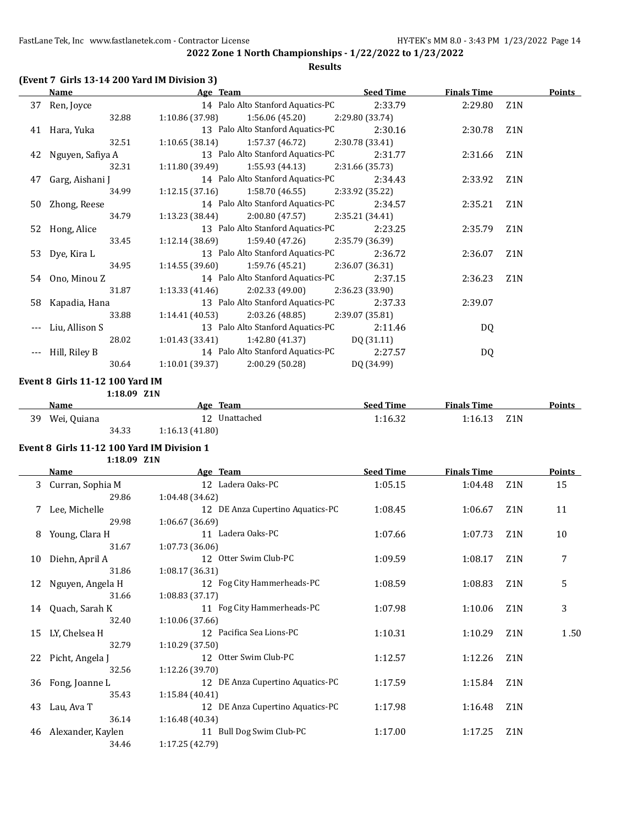**Results**

|    | Name                | Age Team                                              | <b>Seed Time</b> | <b>Finals Time</b> | <b>Points</b> |
|----|---------------------|-------------------------------------------------------|------------------|--------------------|---------------|
|    | 37 Ren, Joyce       | 14 Palo Alto Stanford Aquatics-PC                     | 2:33.79          | 2:29.80            | Z1N           |
|    | 32.88               | $1:10.86(37.98)$ $1:56.06(45.20)$                     | 2:29.80 (33.74)  |                    |               |
|    | 41 Hara, Yuka       | 13 Palo Alto Stanford Aquatics-PC                     | 2:30.16          | 2:30.78            | Z1N           |
|    | 32.51               | $1:10.65(38.14)$ $1:57.37(46.72)$                     | 2:30.78 (33.41)  |                    |               |
|    | 42 Nguyen, Safiya A | 13 Palo Alto Stanford Aquatics-PC                     | 2:31.77          | 2:31.66            | Z1N           |
|    | 32.31               | $1:11.80(39.49)$ $1:55.93(44.13)$ $2:31.66(35.73)$    |                  |                    |               |
| 47 | Garg, Aishani J     | 14 Palo Alto Stanford Aquatics-PC                     | 2:34.43          | 2:33.92            | Z1N           |
|    | 34.99               | $1:12.15(37.16)$ $1:58.70(46.55)$                     | 2:33.92 (35.22)  |                    |               |
|    | 50 Zhong, Reese     | 14 Palo Alto Stanford Aquatics-PC                     | 2:34.57          | 2:35.21            | Z1N           |
|    | 34.79               | $1:13.23$ (38.44) $2:00.80$ (47.57) $2:35.21$ (34.41) |                  |                    |               |
|    | 52 Hong, Alice      | 13 Palo Alto Stanford Aquatics-PC                     | 2:23.25          | 2:35.79            | Z1N           |
|    | 33.45               | $1:12.14(38.69)$ $1:59.40(47.26)$                     | 2:35.79 (36.39)  |                    |               |
|    | 53 Dye, Kira L      | 13 Palo Alto Stanford Aquatics-PC                     | 2:36.72          | 2:36.07            | Z1N           |
|    | 34.95               | $1:14.55(39.60)$ $1:59.76(45.21)$ $2:36.07(36.31)$    |                  |                    |               |
|    | 54 Ono, Minou Z     | 14 Palo Alto Stanford Aquatics-PC                     | 2:37.15          | 2:36.23            | Z1N           |
|    | 31.87               | 1:13.33 (41.46)<br>2:02.33 (49.00)                    | 2:36.23 (33.90)  |                    |               |
|    | 58 Kapadia, Hana    | 13 Palo Alto Stanford Aquatics-PC                     | 2:37.33          | 2:39.07            |               |
|    | 33.88               | $1:14.41(40.53)$ $2:03.26(48.85)$                     | 2:39.07 (35.81)  |                    |               |
|    | --- Liu, Allison S  | 13 Palo Alto Stanford Aquatics-PC                     | 2:11.46          | DQ                 |               |
|    | 28.02               | 1:01.43 (33.41) 1:42.80 (41.37) DQ (31.11)            |                  |                    |               |
|    | Hill, Riley B       | 14 Palo Alto Stanford Aquatics-PC                     | 2:27.57          | DQ                 |               |
|    | 30.64               | 2:00.29 (50.28)<br>1:10.01 (39.37)                    | DQ (34.99)       |                    |               |
|    |                     |                                                       |                  |                    |               |

## **Event 8 Girls 11-12 100 Yard IM**

**1:18.09 Z1N**

|    | Name        |       | Age            | Team       | <b>Seed Time</b> | <b>Finals Time</b> |     | <b>Points</b> |
|----|-------------|-------|----------------|------------|------------------|--------------------|-----|---------------|
| 39 | Wei, Quiana |       | $\perp$        | Unattached | 1:16.32          | :16.13             | Z1N |               |
|    |             | 34.33 | 1:16.13(41.80) |            |                  |                    |     |               |

|    | 1:18.09 Z1N        |                                  |                  |                    |                  |        |
|----|--------------------|----------------------------------|------------------|--------------------|------------------|--------|
|    | <b>Name</b>        | Age Team                         | <b>Seed Time</b> | <b>Finals Time</b> |                  | Points |
|    | 3 Curran, Sophia M | 12 Ladera Oaks-PC                | 1:05.15          | 1:04.48            | Z <sub>1</sub> N | 15     |
|    | 29.86              | 1:04.48 (34.62)                  |                  |                    |                  |        |
| 7  | Lee, Michelle      | 12 DE Anza Cupertino Aquatics-PC | 1:08.45          | 1:06.67            | Z <sub>1</sub> N | 11     |
|    | 29.98              | 1:06.67(36.69)                   |                  |                    |                  |        |
| 8  | Young, Clara H     | 11 Ladera Oaks-PC                | 1:07.66          | 1:07.73            | Z <sub>1</sub> N | 10     |
|    | 31.67              | 1:07.73 (36.06)                  |                  |                    |                  |        |
| 10 | Diehn, April A     | 12 Otter Swim Club-PC            | 1:09.59          | 1:08.17            | Z <sub>1</sub> N | 7      |
|    | 31.86              | 1:08.17 (36.31)                  |                  |                    |                  |        |
| 12 | Nguyen, Angela H   | 12 Fog City Hammerheads-PC       | 1:08.59          | 1:08.83            | Z1N              | 5      |
|    | 31.66              | 1:08.83(37.17)                   |                  |                    |                  |        |
| 14 | Quach, Sarah K     | 11 Fog City Hammerheads-PC       | 1:07.98          | 1:10.06            | Z <sub>1</sub> N | 3      |
|    | 32.40              | 1:10.06 (37.66)                  |                  |                    |                  |        |
| 15 | LY, Chelsea H      | 12 Pacifica Sea Lions-PC         | 1:10.31          | 1:10.29            | Z <sub>1</sub> N | 1.50   |
|    | 32.79              | 1:10.29(37.50)                   |                  |                    |                  |        |
| 22 | Picht, Angela J    | 12 Otter Swim Club-PC            | 1:12.57          | 1:12.26            | Z1N              |        |
|    | 32.56              | 1:12.26 (39.70)                  |                  |                    |                  |        |
| 36 | Fong, Joanne L     | 12 DE Anza Cupertino Aquatics-PC | 1:17.59          | 1:15.84            | Z1N              |        |
|    | 35.43              | 1:15.84 (40.41)                  |                  |                    |                  |        |
| 43 | Lau, Ava T         | 12 DE Anza Cupertino Aquatics-PC | 1:17.98          | 1:16.48            | Z <sub>1</sub> N |        |
|    | 36.14              | 1:16.48 (40.34)                  |                  |                    |                  |        |
| 46 | Alexander, Kaylen  | 11 Bull Dog Swim Club-PC         | 1:17.00          | 1:17.25            | Z <sub>1</sub> N |        |
|    | 34.46              | 1:17.25 (42.79)                  |                  |                    |                  |        |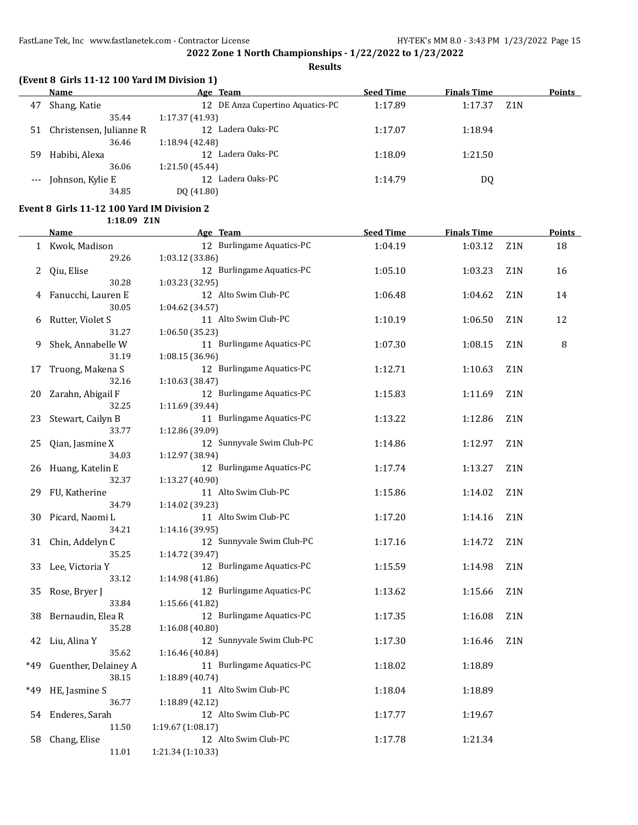**Results**

|    | Name                    | Age Team                          | <b>Seed Time</b> | <b>Finals Time</b> |                  | Points |
|----|-------------------------|-----------------------------------|------------------|--------------------|------------------|--------|
| 47 | Shang, Katie            | 12 DE Anza Cupertino Aquatics-PC  | 1:17.89          | 1:17.37            | Z <sub>1</sub> N |        |
|    | 35.44                   | 1:17.37 (41.93)                   |                  |                    |                  |        |
| 51 | Christensen, Julianne R | Ladera Oaks-PC<br>12 <sup>1</sup> | 1:17.07          | 1:18.94            |                  |        |
|    | 36.46                   | 1:18.94 (42.48)                   |                  |                    |                  |        |
| 59 | Habibi, Alexa           | Ladera Oaks-PC<br>12 <sup>°</sup> | 1:18.09          | 1:21.50            |                  |        |
|    | 36.06                   | 1:21.50 (45.44)                   |                  |                    |                  |        |
|    | Johnson, Kylie E        | Ladera Oaks-PC<br>12 <sup>°</sup> | 1:14.79          | DQ                 |                  |        |
|    | 34.85                   | DQ (41.80)                        |                  |                    |                  |        |

## **Event 8 Girls 11-12 100 Yard IM Division 2**

**1:18.09 Z1N**

|              | <b>Name</b>          | Age Team                  | <b>Seed Time</b> | <b>Finals Time</b> |                  | <b>Points</b> |
|--------------|----------------------|---------------------------|------------------|--------------------|------------------|---------------|
| $\mathbf{1}$ | Kwok, Madison        | 12 Burlingame Aquatics-PC | 1:04.19          | 1:03.12            | Z1N              | 18            |
|              | 29.26                | 1:03.12 (33.86)           |                  |                    |                  |               |
| 2            | Qiu, Elise           | 12 Burlingame Aquatics-PC | 1:05.10          | 1:03.23            | Z <sub>1</sub> N | 16            |
|              | 30.28                | 1:03.23 (32.95)           |                  |                    |                  |               |
| 4            | Fanucchi, Lauren E   | 12 Alto Swim Club-PC      | 1:06.48          | 1:04.62            | Z <sub>1</sub> N | 14            |
|              | 30.05                | 1:04.62 (34.57)           |                  |                    |                  |               |
| 6            | Rutter, Violet S     | 11 Alto Swim Club-PC      | 1:10.19          | 1:06.50            | Z1N              | 12            |
|              | 31.27                | 1:06.50 (35.23)           |                  |                    |                  |               |
| 9            | Shek, Annabelle W    | 11 Burlingame Aquatics-PC | 1:07.30          | 1:08.15            | Z <sub>1</sub> N | 8             |
|              | 31.19                | 1:08.15 (36.96)           |                  |                    |                  |               |
| 17           | Truong, Makena S     | 12 Burlingame Aquatics-PC | 1:12.71          | 1:10.63            | Z1N              |               |
|              | 32.16                | 1:10.63 (38.47)           |                  |                    |                  |               |
| 20           | Zarahn, Abigail F    | 12 Burlingame Aquatics-PC | 1:15.83          | 1:11.69            | Z <sub>1</sub> N |               |
|              | 32.25                | 1:11.69 (39.44)           |                  |                    |                  |               |
| 23           | Stewart, Cailyn B    | 11 Burlingame Aquatics-PC | 1:13.22          | 1:12.86            | Z <sub>1</sub> N |               |
|              | 33.77                | 1:12.86 (39.09)           |                  |                    |                  |               |
| 25           | Qian, Jasmine X      | 12 Sunnyvale Swim Club-PC | 1:14.86          | 1:12.97            | Z1N              |               |
|              | 34.03                | 1:12.97 (38.94)           |                  |                    |                  |               |
| 26           | Huang, Katelin E     | 12 Burlingame Aquatics-PC | 1:17.74          | 1:13.27            | Z <sub>1</sub> N |               |
|              | 32.37                | 1:13.27 (40.90)           |                  |                    |                  |               |
| 29           | FU, Katherine        | 11 Alto Swim Club-PC      | 1:15.86          | 1:14.02            | Z1N              |               |
|              | 34.79                | 1:14.02 (39.23)           |                  |                    |                  |               |
| 30           | Picard, Naomi L      | 11 Alto Swim Club-PC      | 1:17.20          | 1:14.16            | Z <sub>1</sub> N |               |
|              | 34.21                | 1:14.16 (39.95)           |                  |                    |                  |               |
| 31           | Chin, Addelyn C      | 12 Sunnyvale Swim Club-PC | 1:17.16          | 1:14.72            | Z <sub>1</sub> N |               |
|              | 35.25                | 1:14.72 (39.47)           |                  |                    |                  |               |
| 33           | Lee, Victoria Y      | 12 Burlingame Aquatics-PC | 1:15.59          | 1:14.98            | Z1N              |               |
|              | 33.12                | 1:14.98 (41.86)           |                  |                    |                  |               |
| 35           | Rose, Bryer J        | 12 Burlingame Aquatics-PC | 1:13.62          | 1:15.66            | Z <sub>1</sub> N |               |
|              | 33.84                | 1:15.66 (41.82)           |                  |                    |                  |               |
| 38           | Bernaudin, Elea R    | 12 Burlingame Aquatics-PC | 1:17.35          | 1:16.08            | Z1N              |               |
|              | 35.28                | 1:16.08 (40.80)           |                  |                    |                  |               |
| 42           | Liu, Alina Y         | 12 Sunnyvale Swim Club-PC | 1:17.30          | 1:16.46            | Z <sub>1</sub> N |               |
|              | 35.62                | 1:16.46 (40.84)           |                  |                    |                  |               |
| *49          | Guenther, Delainey A | 11 Burlingame Aquatics-PC | 1:18.02          | 1:18.89            |                  |               |
|              | 38.15                | 1:18.89 (40.74)           |                  |                    |                  |               |
| *49          | HE, Jasmine S        | 11 Alto Swim Club-PC      | 1:18.04          | 1:18.89            |                  |               |
|              | 36.77                | 1:18.89(42.12)            |                  |                    |                  |               |
| 54           | Enderes, Sarah       | 12 Alto Swim Club-PC      | 1:17.77          | 1:19.67            |                  |               |
|              | 11.50                | 1:19.67(1:08.17)          |                  |                    |                  |               |
| 58           | Chang, Elise         | 12 Alto Swim Club-PC      | 1:17.78          | 1:21.34            |                  |               |
|              | 11.01                | 1:21.34 (1:10.33)         |                  |                    |                  |               |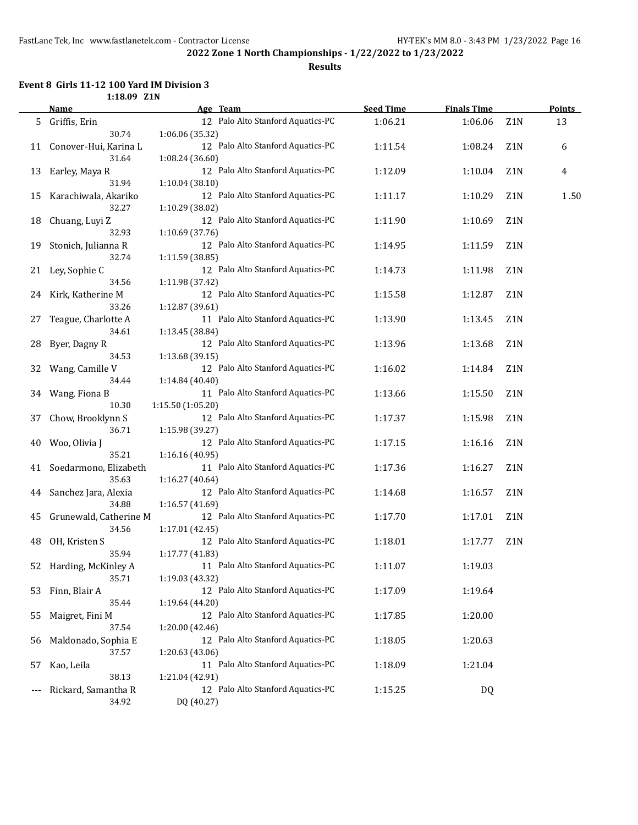**Results**

#### **Event 8 Girls 11-12 100 Yard IM Division 3 1:18.09 Z1N**

|    | Name                   | Age Team                          | <b>Seed Time</b> | <b>Finals Time</b> |                  | <b>Points</b> |
|----|------------------------|-----------------------------------|------------------|--------------------|------------------|---------------|
| 5  | Griffis, Erin          | 12 Palo Alto Stanford Aquatics-PC | 1:06.21          | 1:06.06            | Z1N              | 13            |
|    | 30.74                  | 1:06.06 (35.32)                   |                  |                    |                  |               |
| 11 | Conover-Hui, Karina L  | 12 Palo Alto Stanford Aquatics-PC | 1:11.54          | 1:08.24            | Z1N              | 6             |
|    | 31.64                  | 1:08.24 (36.60)                   |                  |                    |                  |               |
| 13 | Earley, Maya R         | 12 Palo Alto Stanford Aquatics-PC | 1:12.09          | 1:10.04            | Z1N              | 4             |
|    | 31.94                  | 1:10.04 (38.10)                   |                  |                    |                  |               |
| 15 | Karachiwala, Akariko   | 12 Palo Alto Stanford Aquatics-PC | 1:11.17          | 1:10.29            | Z1N              | 1.50          |
|    | 32.27                  | 1:10.29 (38.02)                   |                  |                    |                  |               |
| 18 | Chuang, Luyi Z         | 12 Palo Alto Stanford Aquatics-PC | 1:11.90          | 1:10.69            | Z1N              |               |
|    | 32.93                  | 1:10.69 (37.76)                   |                  |                    |                  |               |
| 19 | Stonich, Julianna R    | 12 Palo Alto Stanford Aquatics-PC | 1:14.95          | 1:11.59            | Z1N              |               |
|    | 32.74                  | 1:11.59 (38.85)                   |                  |                    |                  |               |
| 21 | Ley, Sophie C          | 12 Palo Alto Stanford Aquatics-PC | 1:14.73          | 1:11.98            | Z1N              |               |
|    | 34.56                  | 1:11.98 (37.42)                   |                  |                    |                  |               |
| 24 | Kirk, Katherine M      | 12 Palo Alto Stanford Aquatics-PC | 1:15.58          | 1:12.87            | Z <sub>1</sub> N |               |
|    | 33.26                  | 1:12.87 (39.61)                   |                  |                    |                  |               |
| 27 | Teague, Charlotte A    | 11 Palo Alto Stanford Aquatics-PC | 1:13.90          | 1:13.45            | Z <sub>1</sub> N |               |
|    | 34.61                  | 1:13.45 (38.84)                   |                  |                    |                  |               |
| 28 | Byer, Dagny R          | 12 Palo Alto Stanford Aquatics-PC | 1:13.96          | 1:13.68            | Z <sub>1</sub> N |               |
|    | 34.53                  | 1:13.68 (39.15)                   |                  |                    |                  |               |
| 32 | Wang, Camille V        | 12 Palo Alto Stanford Aquatics-PC | 1:16.02          | 1:14.84            | Z1N              |               |
|    | 34.44                  | 1:14.84 (40.40)                   |                  |                    |                  |               |
| 34 | Wang, Fiona B          | 11 Palo Alto Stanford Aquatics-PC | 1:13.66          | 1:15.50            | Z1N              |               |
|    | 10.30                  | 1:15.50 (1:05.20)                 |                  |                    |                  |               |
| 37 | Chow, Brooklynn S      | 12 Palo Alto Stanford Aquatics-PC | 1:17.37          | 1:15.98            | Z <sub>1</sub> N |               |
|    | 36.71                  | 1:15.98 (39.27)                   |                  |                    |                  |               |
| 40 | Woo, Olivia J          | 12 Palo Alto Stanford Aquatics-PC | 1:17.15          | 1:16.16            | Z1N              |               |
|    | 35.21                  | 1:16.16 (40.95)                   |                  |                    |                  |               |
| 41 | Soedarmono, Elizabeth  | 11 Palo Alto Stanford Aquatics-PC | 1:17.36          | 1:16.27            | Z1N              |               |
|    | 35.63                  | 1:16.27 (40.64)                   |                  |                    |                  |               |
| 44 | Sanchez Jara, Alexia   | 12 Palo Alto Stanford Aquatics-PC | 1:14.68          | 1:16.57            | Z1N              |               |
|    | 34.88                  | 1:16.57 (41.69)                   |                  |                    |                  |               |
| 45 | Grunewald, Catherine M | 12 Palo Alto Stanford Aquatics-PC | 1:17.70          | 1:17.01            | Z1N              |               |
|    | 34.56                  | 1:17.01 (42.45)                   |                  |                    |                  |               |
| 48 | OH, Kristen S          | 12 Palo Alto Stanford Aquatics-PC | 1:18.01          | 1:17.77            | Z <sub>1</sub> N |               |
|    | 35.94                  | 1:17.77 (41.83)                   |                  |                    |                  |               |
| 52 | Harding, McKinley A    | 11 Palo Alto Stanford Aquatics-PC | 1:11.07          | 1:19.03            |                  |               |
|    | 35.71                  | 1:19.03 (43.32)                   |                  |                    |                  |               |
| 53 | Finn, Blair A          | 12 Palo Alto Stanford Aquatics-PC | 1:17.09          | 1:19.64            |                  |               |
|    | 35.44                  | 1:19.64 (44.20)                   |                  |                    |                  |               |
| 55 | Maigret, Fini M        | 12 Palo Alto Stanford Aquatics-PC | 1:17.85          | 1:20.00            |                  |               |
|    | 37.54                  | 1:20.00 (42.46)                   |                  |                    |                  |               |
| 56 | Maldonado, Sophia E    | 12 Palo Alto Stanford Aquatics-PC | 1:18.05          | 1:20.63            |                  |               |
|    | 37.57                  | 1:20.63 (43.06)                   |                  |                    |                  |               |
| 57 | Kao, Leila             | 11 Palo Alto Stanford Aquatics-PC | 1:18.09          | 1:21.04            |                  |               |
|    | 38.13                  | 1:21.04 (42.91)                   |                  |                    |                  |               |
|    | Rickard, Samantha R    | 12 Palo Alto Stanford Aquatics-PC | 1:15.25          | DQ                 |                  |               |
|    | 34.92                  | DQ (40.27)                        |                  |                    |                  |               |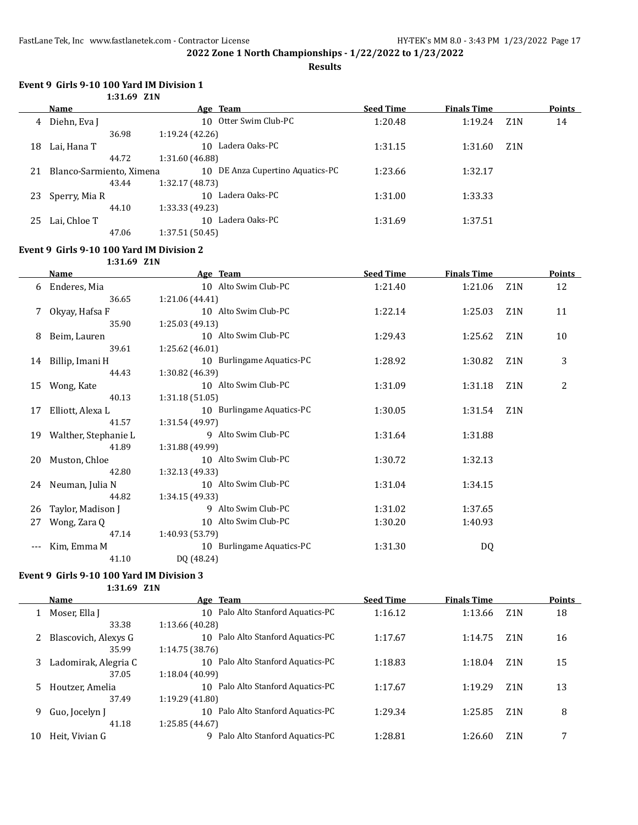**Results**

#### **Event 9 Girls 9-10 100 Yard IM Division 1 1:31.69 Z1N**

|    | Name                     | Age Team                            | <b>Seed Time</b> | <b>Finals Time</b> |                  | <b>Points</b> |
|----|--------------------------|-------------------------------------|------------------|--------------------|------------------|---------------|
| 4  | Diehn, Eva J             | 10 Otter Swim Club-PC               | 1:20.48          | 1:19.24            | Z <sub>1</sub> N | 14            |
|    | 36.98                    | 1:19.24(42.26)                      |                  |                    |                  |               |
| 18 | Lai, Hana T              | Ladera Oaks-PC<br>10 <sup>1</sup>   | 1:31.15          | 1:31.60            | Z <sub>1</sub> N |               |
|    | 44.72                    | 1:31.60 (46.88)                     |                  |                    |                  |               |
| 21 | Blanco-Sarmiento, Ximena | DE Anza Cupertino Aquatics-PC<br>10 | 1:23.66          | 1:32.17            |                  |               |
|    | 43.44                    | 1:32.17(48.73)                      |                  |                    |                  |               |
| 23 | Sperry, Mia R            | Ladera Oaks-PC<br>10                | 1:31.00          | 1:33.33            |                  |               |
|    | 44.10                    | 1:33.33(49.23)                      |                  |                    |                  |               |
| 25 | Lai, Chloe T             | Ladera Oaks-PC<br>10                | 1:31.69          | 1:37.51            |                  |               |
|    | 47.06                    | 1:37.51(50.45)                      |                  |                    |                  |               |

## **Event 9 Girls 9-10 100 Yard IM Division 2**

**1:31.69 Z1N**

|                     | Name                 | Age Team                  | <b>Seed Time</b> | <b>Finals Time</b> |                  | <b>Points</b> |
|---------------------|----------------------|---------------------------|------------------|--------------------|------------------|---------------|
| 6                   | Enderes, Mia         | 10 Alto Swim Club-PC      | 1:21.40          | 1:21.06            | Z1N              | 12            |
|                     | 36.65                | 1:21.06 (44.41)           |                  |                    |                  |               |
| 7                   | Okyay, Hafsa F       | 10 Alto Swim Club-PC      | 1:22.14          | 1:25.03            | Z <sub>1</sub> N | 11            |
|                     | 35.90                | 1:25.03(49.13)            |                  |                    |                  |               |
| 8                   | Beim, Lauren         | 10 Alto Swim Club-PC      | 1:29.43          | 1:25.62            | Z <sub>1</sub> N | 10            |
|                     | 39.61                | 1:25.62(46.01)            |                  |                    |                  |               |
| 14                  | Billip, Imani H      | 10 Burlingame Aquatics-PC | 1:28.92          | 1:30.82            | Z1N              | 3             |
|                     | 44.43                | 1:30.82 (46.39)           |                  |                    |                  |               |
| 15                  | Wong, Kate           | 10 Alto Swim Club-PC      | 1:31.09          | 1:31.18            | Z <sub>1</sub> N | 2             |
|                     | 40.13                | 1:31.18(51.05)            |                  |                    |                  |               |
| 17                  | Elliott, Alexa L     | 10 Burlingame Aquatics-PC | 1:30.05          | 1:31.54            | Z <sub>1</sub> N |               |
|                     | 41.57                | 1:31.54 (49.97)           |                  |                    |                  |               |
| 19                  | Walther, Stephanie L | 9 Alto Swim Club-PC       | 1:31.64          | 1:31.88            |                  |               |
|                     | 41.89                | 1:31.88 (49.99)           |                  |                    |                  |               |
| 20                  | Muston, Chloe        | 10 Alto Swim Club-PC      | 1:30.72          | 1:32.13            |                  |               |
|                     | 42.80                | 1:32.13 (49.33)           |                  |                    |                  |               |
| 24                  | Neuman, Julia N      | 10 Alto Swim Club-PC      | 1:31.04          | 1:34.15            |                  |               |
|                     | 44.82                | 1:34.15 (49.33)           |                  |                    |                  |               |
| 26                  | Taylor, Madison J    | 9 Alto Swim Club-PC       | 1:31.02          | 1:37.65            |                  |               |
| 27                  | Wong, Zara Q         | 10 Alto Swim Club-PC      | 1:30.20          | 1:40.93            |                  |               |
|                     | 47.14                | 1:40.93 (53.79)           |                  |                    |                  |               |
| $\qquad \qquad - -$ | Kim, Emma M          | 10 Burlingame Aquatics-PC | 1:31.30          | DQ                 |                  |               |
|                     | 41.10                | DQ (48.24)                |                  |                    |                  |               |

#### **Event 9 Girls 9-10 100 Yard IM Division 3**

**1:31.69 Z1N**

|    | Name                 | Age Team                                          | <b>Seed Time</b> | <b>Finals Time</b> |                  | Points |
|----|----------------------|---------------------------------------------------|------------------|--------------------|------------------|--------|
|    | Moser, Ella J        | Palo Alto Stanford Aquatics-PC<br>10              | 1:16.12          | 1:13.66            | Z <sub>1</sub> N | 18     |
|    | 33.38                | 1:13.66 (40.28)                                   |                  |                    |                  |        |
|    | Blascovich, Alexys G | Palo Alto Stanford Aquatics-PC<br>10              | 1:17.67          | 1:14.75            | Z <sub>1</sub> N | 16     |
|    | 35.99                | 1:14.75(38.76)                                    |                  |                    |                  |        |
| 3  | Ladomirak, Alegria C | Palo Alto Stanford Aquatics-PC<br>10              | 1:18.83          | 1:18.04            | Z1N              | 15     |
|    | 37.05                | 1:18.04 (40.99)                                   |                  |                    |                  |        |
| 5. | Houtzer, Amelia      | Palo Alto Stanford Aquatics-PC<br>10              | 1:17.67          | 1:19.29            | Z <sub>1</sub> N | 13     |
|    | 37.49                | 1:19.29(41.80)                                    |                  |                    |                  |        |
| 9  | Guo, Jocelyn J       | Palo Alto Stanford Aquatics-PC<br>10 <sup>1</sup> | 1:29.34          | 1:25.85            | Z <sub>1</sub> N | 8      |
|    | 41.18                | 1:25.85 (44.67)                                   |                  |                    |                  |        |
| 10 | Heit, Vivian G       | Palo Alto Stanford Aquatics-PC<br>q               | 1:28.81          | 1:26.60            | Z1N              | 7      |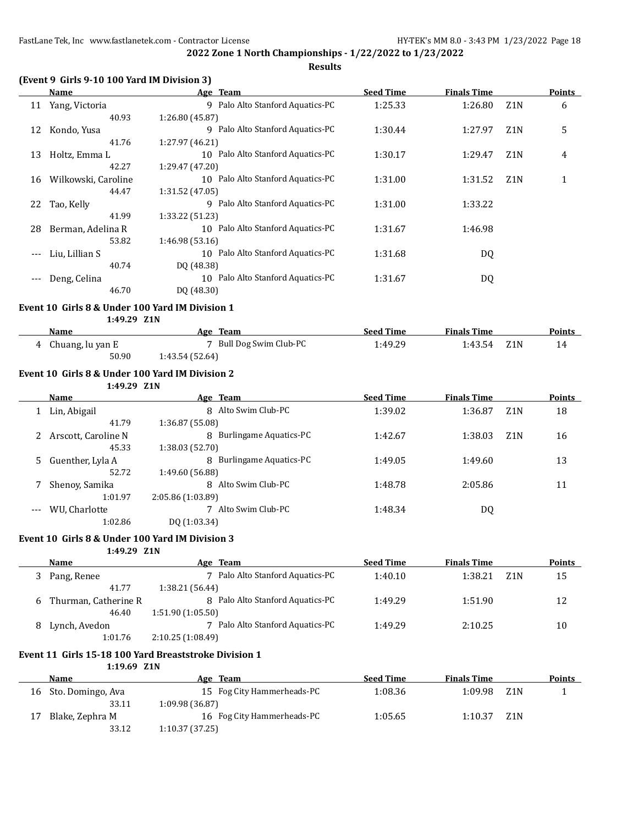**(Event 9 Girls 9-10 100 Yard IM Division 3)**

|       | Name                | Age Team                                          | <b>Seed Time</b> | <b>Finals Time</b> |                  | <b>Points</b> |
|-------|---------------------|---------------------------------------------------|------------------|--------------------|------------------|---------------|
| 11    | Yang, Victoria      | 9 Palo Alto Stanford Aquatics-PC                  | 1:25.33          | 1:26.80            | Z <sub>1</sub> N | 6             |
|       | 40.93               | 1:26.80 (45.87)                                   |                  |                    |                  |               |
| 12    | Kondo, Yusa         | Palo Alto Stanford Aquatics-PC<br>9               | 1:30.44          | 1:27.97            | Z <sub>1</sub> N | 5             |
|       | 41.76               | 1:27.97 (46.21)                                   |                  |                    |                  |               |
| 13    | Holtz, Emma L       | 10 Palo Alto Stanford Aquatics-PC                 | 1:30.17          | 1:29.47            | Z <sub>1</sub> N | 4             |
|       | 42.27               | 1:29.47 (47.20)                                   |                  |                    |                  |               |
| 16    | Wilkowski, Caroline | 10 Palo Alto Stanford Aquatics-PC                 | 1:31.00          | 1:31.52            | Z <sub>1</sub> N | 1             |
|       | 44.47               | 1:31.52 (47.05)                                   |                  |                    |                  |               |
| 22    | Tao, Kelly          | Palo Alto Stanford Aquatics-PC<br>9               | 1:31.00          | 1:33.22            |                  |               |
|       | 41.99               | 1:33.22 (51.23)                                   |                  |                    |                  |               |
| 28    | Berman, Adelina R   | 10 Palo Alto Stanford Aquatics-PC                 | 1:31.67          | 1:46.98            |                  |               |
|       | 53.82               | 1:46.98 (53.16)                                   |                  |                    |                  |               |
| $---$ | Liu, Lillian S      | Palo Alto Stanford Aquatics-PC<br>10              | 1:31.68          | DQ                 |                  |               |
|       | 40.74               | DQ (48.38)                                        |                  |                    |                  |               |
| $---$ | Deng, Celina        | Palo Alto Stanford Aquatics-PC<br>10 <sup>1</sup> | 1:31.67          | DQ                 |                  |               |
|       | 46.70               | DQ (48.30)                                        |                  |                    |                  |               |

#### **Event 10 Girls 8 & Under 100 Yard IM Division 1**

**1:49.29 Z1N**

| Name             | Team<br>Age             | <b>Seed Time</b> | <b>Finals Time</b> | <b>Points</b> |
|------------------|-------------------------|------------------|--------------------|---------------|
| Chuang, lu yan E | 7 Bull Dog Swim Club-PC | 1:49.29          | 1:43.54<br>Z1N     |               |
| 50.90            | 1:43.54(52.64)          |                  |                    |               |

#### **Event 10 Girls 8 & Under 100 Yard IM Division 2**

**1:49.29 Z1N**

|   | <b>Name</b>         | Age Team                    | <b>Seed Time</b> | <b>Finals Time</b> |                  | <b>Points</b> |
|---|---------------------|-----------------------------|------------------|--------------------|------------------|---------------|
|   | Lin, Abigail        | 8 Alto Swim Club-PC         | 1:39.02          | 1:36.87            | Z <sub>1</sub> N | 18            |
|   | 41.79               | 1:36.87 (55.08)             |                  |                    |                  |               |
|   | Arscott, Caroline N | Burlingame Aquatics-PC<br>8 | 1:42.67          | 1:38.03            | Z <sub>1</sub> N | 16            |
|   | 45.33               | 1:38.03 (52.70)             |                  |                    |                  |               |
| 5 | Guenther, Lyla A    | Burlingame Aquatics-PC<br>8 | 1:49.05          | 1:49.60            |                  | 13            |
|   | 52.72               | 1:49.60 (56.88)             |                  |                    |                  |               |
|   | Shenoy, Samika      | Alto Swim Club-PC<br>8      | 1:48.78          | 2:05.86            |                  | 11            |
|   | 1:01.97             | 2:05.86 (1:03.89)           |                  |                    |                  |               |
|   | WU, Charlotte       | Alto Swim Club-PC           | 1:48.34          | DQ                 |                  |               |
|   | 1:02.86             | DQ (1:03.34)                |                  |                    |                  |               |

#### **Event 10 Girls 8 & Under 100 Yard IM Division 3**

**1:49.29 Z1N**

|    | Name                 | Age Team                         | <b>Seed Time</b> | <b>Finals Time</b> | <b>Points</b> |
|----|----------------------|----------------------------------|------------------|--------------------|---------------|
|    | Pang, Renee          | 7 Palo Alto Stanford Aquatics-PC | 1:40.10          | 1:38.21<br>Z1 N    | 15            |
|    | 41.77                | 1:38.21(56.44)                   |                  |                    |               |
| -6 | Thurman, Catherine R | 8 Palo Alto Stanford Aquatics-PC | 1:49.29          | 1:51.90            | 12            |
|    | 46.40                | 1:51.90(1:05.50)                 |                  |                    |               |
| 8  | Lynch, Avedon        | Palo Alto Stanford Aquatics-PC   | 1:49.29          | 2:10.25            | 10            |
|    | 1:01.76              | 2:10.25(1:08.49)                 |                  |                    |               |

## **Event 11 Girls 15-18 100 Yard Breaststroke Division 1**

**1:19.69 Z1N**

|    | Name              | Age Team                   | <b>Seed Time</b> | <b>Finals Time</b> |                  | Points |
|----|-------------------|----------------------------|------------------|--------------------|------------------|--------|
| 16 | Sto. Domingo, Ava | 15 Fog City Hammerheads-PC | 1:08.36          | 1:09.98            | Z1N              |        |
|    | 33.11             | 1:09.98 (36.87)            |                  |                    |                  |        |
| 17 | Blake, Zephra M   | 16 Fog City Hammerheads-PC | 1:05.65          | 1:10.37            | Z <sub>1</sub> N |        |
|    | 33.12             | 1:10.37(37.25)             |                  |                    |                  |        |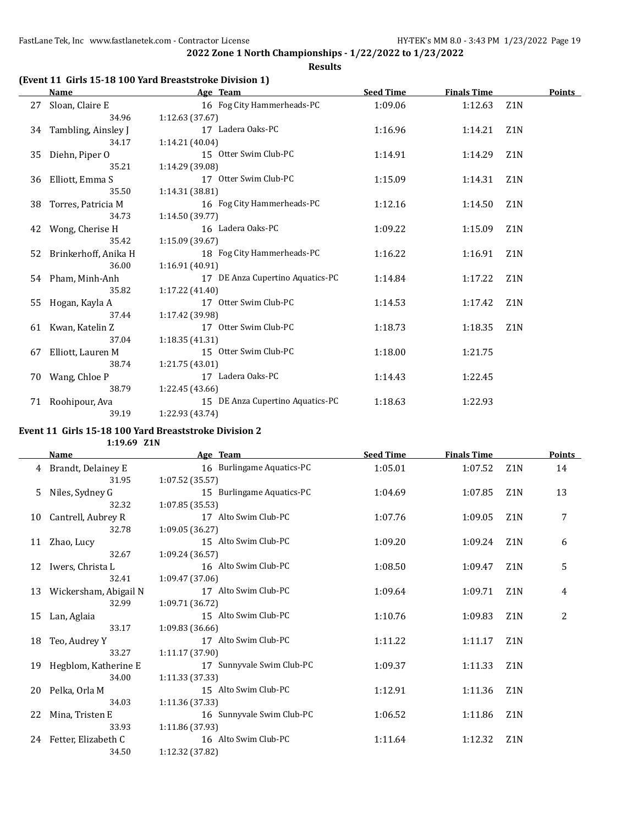**Results**

## **(Event 11 Girls 15-18 100 Yard Breaststroke Division 1)**

|    | <b>Name</b>            | Age Team                         | <b>Seed Time</b> | <b>Finals Time</b> |                  | <b>Points</b> |
|----|------------------------|----------------------------------|------------------|--------------------|------------------|---------------|
| 27 | Sloan, Claire E        | 16 Fog City Hammerheads-PC       | 1:09.06          | 1:12.63            | Z <sub>1</sub> N |               |
|    | 34.96                  | 1:12.63 (37.67)                  |                  |                    |                  |               |
|    | 34 Tambling, Ainsley J | 17 Ladera Oaks-PC                | 1:16.96          | 1:14.21            | Z <sub>1</sub> N |               |
|    | 34.17                  | 1:14.21 (40.04)                  |                  |                    |                  |               |
| 35 | Diehn, Piper O         | 15 Otter Swim Club-PC            | 1:14.91          | 1:14.29            | Z <sub>1</sub> N |               |
|    | 35.21                  | 1:14.29 (39.08)                  |                  |                    |                  |               |
| 36 | Elliott, Emma S        | 17 Otter Swim Club-PC            | 1:15.09          | 1:14.31            | Z <sub>1</sub> N |               |
|    | 35.50                  | 1:14.31 (38.81)                  |                  |                    |                  |               |
| 38 | Torres, Patricia M     | 16 Fog City Hammerheads-PC       | 1:12.16          | 1:14.50            | Z <sub>1</sub> N |               |
|    | 34.73                  | 1:14.50(39.77)                   |                  |                    |                  |               |
| 42 | Wong, Cherise H        | 16 Ladera Oaks-PC                | 1:09.22          | 1:15.09            | Z <sub>1</sub> N |               |
|    | 35.42                  | 1:15.09(39.67)                   |                  |                    |                  |               |
| 52 | Brinkerhoff, Anika H   | 18 Fog City Hammerheads-PC       | 1:16.22          | 1:16.91            | Z <sub>1</sub> N |               |
|    | 36.00                  | 1:16.91(40.91)                   |                  |                    |                  |               |
|    | 54 Pham, Minh-Anh      | 17 DE Anza Cupertino Aquatics-PC | 1:14.84          | 1:17.22            | Z <sub>1</sub> N |               |
|    | 35.82                  | 1:17.22(41.40)                   |                  |                    |                  |               |
| 55 | Hogan, Kayla A         | 17 Otter Swim Club-PC            | 1:14.53          | 1:17.42            | Z <sub>1</sub> N |               |
|    | 37.44                  | 1:17.42 (39.98)                  |                  |                    |                  |               |
|    | 61 Kwan, Katelin Z     | 17 Otter Swim Club-PC            | 1:18.73          | 1:18.35            | Z <sub>1</sub> N |               |
|    | 37.04                  | 1:18.35(41.31)                   |                  |                    |                  |               |
| 67 | Elliott, Lauren M      | 15 Otter Swim Club-PC            | 1:18.00          | 1:21.75            |                  |               |
|    | 38.74                  | 1:21.75(43.01)                   |                  |                    |                  |               |
| 70 | Wang, Chloe P          | 17 Ladera Oaks-PC                | 1:14.43          | 1:22.45            |                  |               |
|    | 38.79                  | 1:22.45(43.66)                   |                  |                    |                  |               |
| 71 | Roohipour, Ava         | 15 DE Anza Cupertino Aquatics-PC | 1:18.63          | 1:22.93            |                  |               |
|    | 39.19                  | 1:22.93 (43.74)                  |                  |                    |                  |               |

# **Event 11 Girls 15-18 100 Yard Breaststroke Division 2**

**1:19.69 Z1N**

|    | <b>Name</b>           | Age Team                  | <b>Seed Time</b> | <b>Finals Time</b> |                  | <b>Points</b> |
|----|-----------------------|---------------------------|------------------|--------------------|------------------|---------------|
| 4  | Brandt, Delainey E    | 16 Burlingame Aquatics-PC | 1:05.01          | 1:07.52            | Z <sub>1</sub> N | 14            |
|    | 31.95                 | 1:07.52(35.57)            |                  |                    |                  |               |
| 5. | Niles, Sydney G       | 15 Burlingame Aquatics-PC | 1:04.69          | 1:07.85            | Z1N              | 13            |
|    | 32.32                 | 1:07.85(35.53)            |                  |                    |                  |               |
| 10 | Cantrell, Aubrey R    | 17 Alto Swim Club-PC      | 1:07.76          | 1:09.05            | Z1N              | 7             |
|    | 32.78                 | 1:09.05 (36.27)           |                  |                    |                  |               |
| 11 | Zhao, Lucy            | 15 Alto Swim Club-PC      | 1:09.20          | 1:09.24            | Z <sub>1</sub> N | 6             |
|    | 32.67                 | 1:09.24 (36.57)           |                  |                    |                  |               |
| 12 | Iwers, Christa L      | 16 Alto Swim Club-PC      | 1:08.50          | 1:09.47            | Z <sub>1</sub> N | 5             |
|    | 32.41                 | 1:09.47 (37.06)           |                  |                    |                  |               |
| 13 | Wickersham, Abigail N | 17 Alto Swim Club-PC      | 1:09.64          | 1:09.71            | Z1N              | 4             |
|    | 32.99                 | 1:09.71 (36.72)           |                  |                    |                  |               |
| 15 | Lan, Aglaia           | 15 Alto Swim Club-PC      | 1:10.76          | 1:09.83            | Z <sub>1</sub> N | 2             |
|    | 33.17                 | 1:09.83(36.66)            |                  |                    |                  |               |
| 18 | Teo, Audrey Y         | 17 Alto Swim Club-PC      | 1:11.22          | 1:11.17            | Z1N              |               |
|    | 33.27                 | 1:11.17 (37.90)           |                  |                    |                  |               |
| 19 | Hegblom, Katherine E  | 17 Sunnyvale Swim Club-PC | 1:09.37          | 1:11.33            | Z1N              |               |
|    | 34.00                 | 1:11.33 (37.33)           |                  |                    |                  |               |
| 20 | Pelka, Orla M         | 15 Alto Swim Club-PC      | 1:12.91          | 1:11.36            | Z <sub>1</sub> N |               |
|    | 34.03                 | 1:11.36 (37.33)           |                  |                    |                  |               |
| 22 | Mina, Tristen E       | 16 Sunnyvale Swim Club-PC | 1:06.52          | 1:11.86            | Z <sub>1</sub> N |               |
|    | 33.93                 | 1:11.86 (37.93)           |                  |                    |                  |               |
| 24 | Fetter, Elizabeth C   | 16 Alto Swim Club-PC      | 1:11.64          | 1:12.32            | Z1N              |               |
|    | 34.50                 | 1:12.32 (37.82)           |                  |                    |                  |               |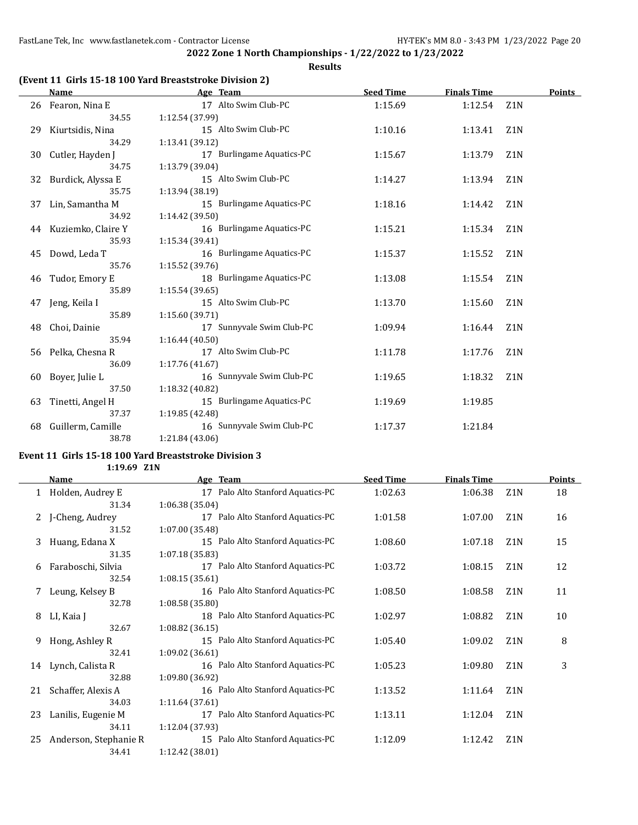### **Results**

## **(Event 11 Girls 15-18 100 Yard Breaststroke Division 2)**

|    | <b>Name</b>           | Age Team                  | <b>Seed Time</b> | <b>Finals Time</b> |                  | Points |
|----|-----------------------|---------------------------|------------------|--------------------|------------------|--------|
|    | 26 Fearon, Nina E     | 17 Alto Swim Club-PC      | 1:15.69          | 1:12.54            | Z <sub>1</sub> N |        |
|    | 34.55                 | 1:12.54 (37.99)           |                  |                    |                  |        |
| 29 | Kiurtsidis, Nina      | 15 Alto Swim Club-PC      | 1:10.16          | 1:13.41            | Z1N              |        |
|    | 34.29                 | 1:13.41 (39.12)           |                  |                    |                  |        |
| 30 | Cutler, Hayden J      | 17 Burlingame Aquatics-PC | 1:15.67          | 1:13.79            | Z <sub>1</sub> N |        |
|    | 34.75                 | 1:13.79 (39.04)           |                  |                    |                  |        |
| 32 | Burdick, Alyssa E     | 15 Alto Swim Club-PC      | 1:14.27          | 1:13.94            | Z <sub>1</sub> N |        |
|    | 35.75                 | 1:13.94 (38.19)           |                  |                    |                  |        |
| 37 | Lin, Samantha M       | 15 Burlingame Aquatics-PC | 1:18.16          | 1:14.42            | Z <sub>1</sub> N |        |
|    | 34.92                 | 1:14.42 (39.50)           |                  |                    |                  |        |
|    | 44 Kuziemko, Claire Y | 16 Burlingame Aquatics-PC | 1:15.21          | 1:15.34            | Z <sub>1</sub> N |        |
|    | 35.93                 | 1:15.34 (39.41)           |                  |                    |                  |        |
| 45 | Dowd, Leda T          | 16 Burlingame Aquatics-PC | 1:15.37          | 1:15.52            | Z <sub>1</sub> N |        |
|    | 35.76                 | 1:15.52 (39.76)           |                  |                    |                  |        |
| 46 | Tudor, Emory E        | 18 Burlingame Aquatics-PC | 1:13.08          | 1:15.54            | Z <sub>1</sub> N |        |
|    | 35.89                 | 1:15.54(39.65)            |                  |                    |                  |        |
| 47 | Jeng, Keila I         | 15 Alto Swim Club-PC      | 1:13.70          | 1:15.60            | Z <sub>1</sub> N |        |
|    | 35.89                 | 1:15.60 (39.71)           |                  |                    |                  |        |
| 48 | Choi, Dainie          | 17 Sunnyvale Swim Club-PC | 1:09.94          | 1:16.44            | Z <sub>1</sub> N |        |
|    | 35.94                 | 1:16.44(40.50)            |                  |                    |                  |        |
| 56 | Pelka, Chesna R       | 17 Alto Swim Club-PC      | 1:11.78          | 1:17.76            | Z <sub>1</sub> N |        |
|    | 36.09                 | 1:17.76(41.67)            |                  |                    |                  |        |
| 60 | Boyer, Julie L        | 16 Sunnyvale Swim Club-PC | 1:19.65          | 1:18.32            | Z1N              |        |
|    | 37.50                 | 1:18.32 (40.82)           |                  |                    |                  |        |
| 63 | Tinetti, Angel H      | 15 Burlingame Aquatics-PC | 1:19.69          | 1:19.85            |                  |        |
|    | 37.37                 | 1:19.85 (42.48)           |                  |                    |                  |        |
| 68 | Guillerm, Camille     | 16 Sunnyvale Swim Club-PC | 1:17.37          | 1:21.84            |                  |        |
|    | 38.78                 | 1:21.84 (43.06)           |                  |                    |                  |        |

## **Event 11 Girls 15-18 100 Yard Breaststroke Division 3**

**1:19.69 Z1N**

|    | Name                  | Age Team                          | <b>Seed Time</b> | <b>Finals Time</b> |                  | <b>Points</b> |
|----|-----------------------|-----------------------------------|------------------|--------------------|------------------|---------------|
| 1  | Holden, Audrey E      | 17 Palo Alto Stanford Aquatics-PC | 1:02.63          | 1:06.38            | Z <sub>1</sub> N | 18            |
|    | 31.34                 | 1:06.38(35.04)                    |                  |                    |                  |               |
| 2  | J-Cheng, Audrey       | 17 Palo Alto Stanford Aquatics-PC | 1:01.58          | 1:07.00            | Z <sub>1</sub> N | 16            |
|    | 31.52                 | 1:07.00 (35.48)                   |                  |                    |                  |               |
| 3  | Huang, Edana X        | 15 Palo Alto Stanford Aquatics-PC | 1:08.60          | 1:07.18            | Z <sub>1</sub> N | 15            |
|    | 31.35                 | 1:07.18(35.83)                    |                  |                    |                  |               |
| 6  | Faraboschi, Silvia    | 17 Palo Alto Stanford Aquatics-PC | 1:03.72          | 1:08.15            | Z <sub>1</sub> N | 12            |
|    | 32.54                 | 1:08.15(35.61)                    |                  |                    |                  |               |
|    | 7 Leung, Kelsey B     | 16 Palo Alto Stanford Aquatics-PC | 1:08.50          | 1:08.58            | Z <sub>1</sub> N | 11            |
|    | 32.78                 | 1:08.58(35.80)                    |                  |                    |                  |               |
| 8  | LI, Kaia J            | 18 Palo Alto Stanford Aquatics-PC | 1:02.97          | 1:08.82            | Z <sub>1</sub> N | 10            |
|    | 32.67                 | 1:08.82(36.15)                    |                  |                    |                  |               |
| 9  | Hong, Ashley R        | 15 Palo Alto Stanford Aquatics-PC | 1:05.40          | 1:09.02            | Z <sub>1</sub> N | 8             |
|    | 32.41                 | 1:09.02(36.61)                    |                  |                    |                  |               |
|    | 14 Lynch, Calista R   | 16 Palo Alto Stanford Aquatics-PC | 1:05.23          | 1:09.80            | Z <sub>1</sub> N | 3             |
|    | 32.88                 | 1:09.80 (36.92)                   |                  |                    |                  |               |
| 21 | Schaffer, Alexis A    | 16 Palo Alto Stanford Aquatics-PC | 1:13.52          | 1:11.64            | Z <sub>1</sub> N |               |
|    | 34.03                 | 1:11.64(37.61)                    |                  |                    |                  |               |
| 23 | Lanilis, Eugenie M    | 17 Palo Alto Stanford Aquatics-PC | 1:13.11          | 1:12.04            | Z <sub>1</sub> N |               |
|    | 34.11                 | 1:12.04 (37.93)                   |                  |                    |                  |               |
| 25 | Anderson, Stephanie R | 15 Palo Alto Stanford Aquatics-PC | 1:12.09          | 1:12.42            | Z <sub>1</sub> N |               |
|    | 34.41                 | 1:12.42 (38.01)                   |                  |                    |                  |               |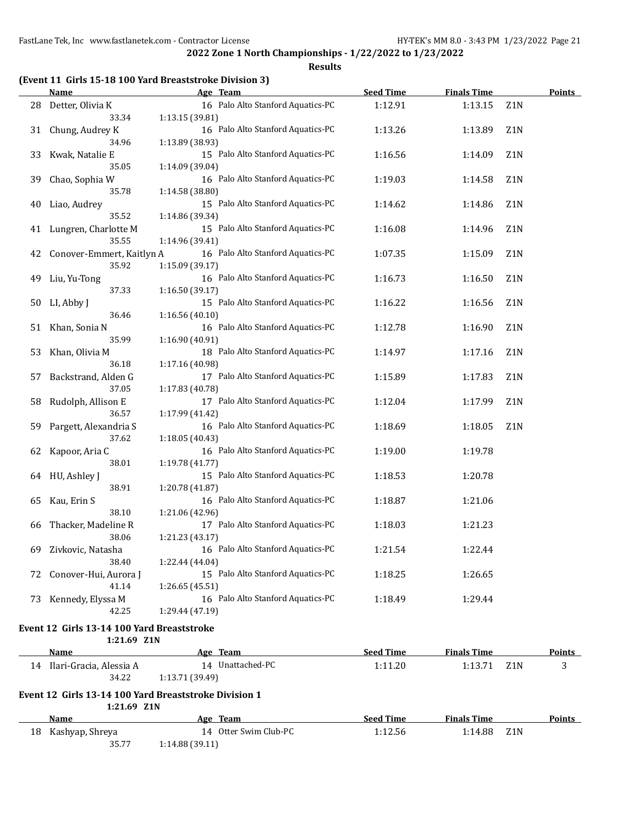|  |  | (Event 11 Girls 15-18 100 Yard Breaststroke Division 3) |  |
|--|--|---------------------------------------------------------|--|
|--|--|---------------------------------------------------------|--|

|    | <b>Name</b>                                               | Age Team                                              | <b>Seed Time</b> | <b>Finals Time</b> |                  | <b>Points</b> |
|----|-----------------------------------------------------------|-------------------------------------------------------|------------------|--------------------|------------------|---------------|
| 28 | Detter, Olivia K<br>33.34                                 | 16 Palo Alto Stanford Aquatics-PC<br>1:13.15 (39.81)  | 1:12.91          | 1:13.15            | Z1N              |               |
| 31 | Chung, Audrey K<br>34.96                                  | 16 Palo Alto Stanford Aquatics-PC<br>1:13.89 (38.93)  | 1:13.26          | 1:13.89            | Z <sub>1</sub> N |               |
| 33 | Kwak, Natalie E<br>35.05                                  | 15 Palo Alto Stanford Aquatics-PC<br>1:14.09 (39.04)  | 1:16.56          | 1:14.09            | Z <sub>1</sub> N |               |
| 39 | Chao, Sophia W<br>35.78                                   | 16 Palo Alto Stanford Aquatics-PC<br>1:14.58 (38.80)  | 1:19.03          | 1:14.58            | Z <sub>1</sub> N |               |
| 40 | Liao, Audrey<br>35.52                                     | 15 Palo Alto Stanford Aquatics-PC<br>1:14.86 (39.34)  | 1:14.62          | 1:14.86            | Z1N              |               |
| 41 | Lungren, Charlotte M<br>35.55                             | 15 Palo Alto Stanford Aquatics-PC<br>1:14.96 (39.41)  | 1:16.08          | 1:14.96            | Z1N              |               |
| 42 | Conover-Emmert, Kaitlyn A<br>35.92                        | 16 Palo Alto Stanford Aquatics-PC<br>1:15.09 (39.17)  | 1:07.35          | 1:15.09            | Z1N              |               |
| 49 | Liu, Yu-Tong<br>37.33                                     | 16 Palo Alto Stanford Aquatics-PC<br>1:16.50 (39.17)  | 1:16.73          | 1:16.50            | Z1N              |               |
| 50 | LI, Abby J<br>36.46                                       | 15 Palo Alto Stanford Aquatics-PC<br>1:16.56 (40.10)  | 1:16.22          | 1:16.56            | Z1N              |               |
| 51 | Khan, Sonia N<br>35.99                                    | 16 Palo Alto Stanford Aquatics-PC<br>1:16.90 (40.91)  | 1:12.78          | 1:16.90            | Z1N              |               |
| 53 | Khan, Olivia M<br>36.18                                   | 18 Palo Alto Stanford Aquatics-PC<br>1:17.16 (40.98)  | 1:14.97          | 1:17.16            | Z1N              |               |
| 57 | Backstrand, Alden G<br>37.05                              | 17 Palo Alto Stanford Aquatics-PC<br>1:17.83 (40.78)  | 1:15.89          | 1:17.83            | Z1N              |               |
| 58 | Rudolph, Allison E<br>36.57                               | 17 Palo Alto Stanford Aquatics-PC<br>1:17.99 (41.42)  | 1:12.04          | 1:17.99            | Z <sub>1</sub> N |               |
| 59 | Pargett, Alexandria S<br>37.62                            | 16 Palo Alto Stanford Aquatics-PC<br>1:18.05 (40.43)  | 1:18.69          | 1:18.05            | Z <sub>1</sub> N |               |
| 62 | Kapoor, Aria C<br>38.01                                   | 16 Palo Alto Stanford Aquatics-PC<br>1:19.78 (41.77)  | 1:19.00          | 1:19.78            |                  |               |
| 64 | HU, Ashley J<br>38.91                                     | 15 Palo Alto Stanford Aquatics-PC<br>1:20.78 (41.87)  | 1:18.53          | 1:20.78            |                  |               |
| 65 | Kau, Erin S<br>38.10                                      | 16 Palo Alto Stanford Aquatics-PC<br>1:21.06 (42.96)  | 1:18.87          | 1:21.06            |                  |               |
| 66 | Thacker, Madeline R<br>38.06                              | 17 Palo Alto Stanford Aquatics-PC<br>1:21.23 (43.17)  | 1:18.03          | 1:21.23            |                  |               |
| 69 | Zivkovic, Natasha<br>38.40                                | 16 Palo Alto Stanford Aquatics-PC<br>1:22.44 (44.04)  | 1:21.54          | 1:22.44            |                  |               |
|    | 72 Conover-Hui, Aurora J<br>41.14                         | 15 Palo Alto Stanford Aquatics-PC<br>1:26.65 (45.51)  | 1:18.25          | 1:26.65            |                  |               |
|    | 73 Kennedy, Elyssa M<br>42.25                             | 16 Palo Alto Stanford Aquatics-PC<br>1:29.44 (47.19)  | 1:18.49          | 1:29.44            |                  |               |
|    | Event 12 Girls 13-14 100 Yard Breaststroke<br>1:21.69 Z1N |                                                       |                  |                    |                  |               |
|    | Name                                                      | Age Team                                              | <b>Seed Time</b> | <b>Finals Time</b> |                  | <b>Points</b> |
|    | 14 Ilari-Gracia, Alessia A<br>34.22                       | 14 Unattached-PC<br>1:13.71 (39.49)                   | 1:11.20          | 1:13.71            | Z <sub>1</sub> N | 3             |
|    | 1:21.69 Z1N                                               | Event 12 Girls 13-14 100 Yard Breaststroke Division 1 |                  |                    |                  |               |
|    | <b>Name</b>                                               | Age Team                                              | <b>Seed Time</b> | <b>Finals Time</b> |                  | <b>Points</b> |
| 18 | Kashyap, Shreya                                           | 14 Otter Swim Club-PC                                 | 1:12.56          | 1:14.88            | Z1N              |               |
|    | 35.77                                                     | 1:14.88 (39.11)                                       |                  |                    |                  |               |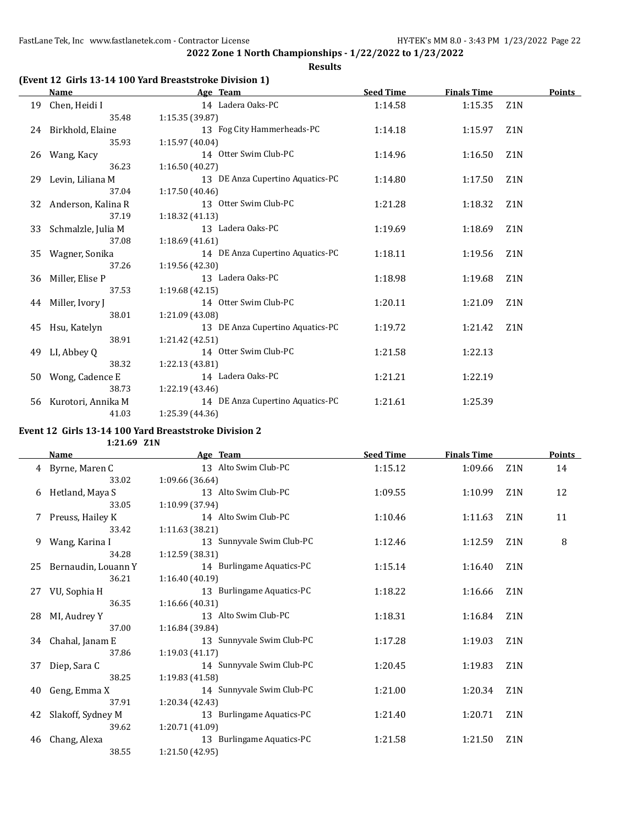**Results**

## **(Event 12 Girls 13-14 100 Yard Breaststroke Division 1)**

|    | <b>Name</b>         | Age Team                         | <b>Seed Time</b> | <b>Finals Time</b> |                  | Points |
|----|---------------------|----------------------------------|------------------|--------------------|------------------|--------|
| 19 | Chen, Heidi I       | 14 Ladera Oaks-PC                | 1:14.58          | 1:15.35            | Z <sub>1</sub> N |        |
|    | 35.48               | 1:15.35 (39.87)                  |                  |                    |                  |        |
|    | 24 Birkhold, Elaine | 13 Fog City Hammerheads-PC       | 1:14.18          | 1:15.97            | Z <sub>1</sub> N |        |
|    | 35.93               | 1:15.97 (40.04)                  |                  |                    |                  |        |
| 26 | Wang, Kacy          | 14 Otter Swim Club-PC            | 1:14.96          | 1:16.50            | Z <sub>1</sub> N |        |
|    | 36.23               | 1:16.50(40.27)                   |                  |                    |                  |        |
| 29 | Levin, Liliana M    | 13 DE Anza Cupertino Aquatics-PC | 1:14.80          | 1:17.50            | Z <sub>1</sub> N |        |
|    | 37.04               | 1:17.50(40.46)                   |                  |                    |                  |        |
| 32 | Anderson, Kalina R  | 13 Otter Swim Club-PC            | 1:21.28          | 1:18.32            | Z <sub>1</sub> N |        |
|    | 37.19               | 1:18.32(41.13)                   |                  |                    |                  |        |
| 33 | Schmalzle, Julia M  | 13 Ladera Oaks-PC                | 1:19.69          | 1:18.69            | Z <sub>1</sub> N |        |
|    | 37.08               | 1:18.69(41.61)                   |                  |                    |                  |        |
| 35 | Wagner, Sonika      | 14 DE Anza Cupertino Aquatics-PC | 1:18.11          | 1:19.56            | Z <sub>1</sub> N |        |
|    | 37.26               | 1:19.56(42.30)                   |                  |                    |                  |        |
| 36 | Miller, Elise P     | 13 Ladera Oaks-PC                | 1:18.98          | 1:19.68            | Z <sub>1</sub> N |        |
|    | 37.53               | 1:19.68(42.15)                   |                  |                    |                  |        |
| 44 | Miller, Ivory J     | 14 Otter Swim Club-PC            | 1:20.11          | 1:21.09            | Z <sub>1</sub> N |        |
|    | 38.01               | 1:21.09 (43.08)                  |                  |                    |                  |        |
| 45 | Hsu, Katelyn        | 13 DE Anza Cupertino Aquatics-PC | 1:19.72          | 1:21.42            | Z <sub>1</sub> N |        |
|    | 38.91               | 1:21.42(42.51)                   |                  |                    |                  |        |
| 49 | LI, Abbey Q         | 14 Otter Swim Club-PC            | 1:21.58          | 1:22.13            |                  |        |
|    | 38.32               | 1:22.13(43.81)                   |                  |                    |                  |        |
| 50 | Wong, Cadence E     | 14 Ladera Oaks-PC                | 1:21.21          | 1:22.19            |                  |        |
|    | 38.73               | 1:22.19(43.46)                   |                  |                    |                  |        |
| 56 | Kurotori, Annika M  | 14 DE Anza Cupertino Aquatics-PC | 1:21.61          | 1:25.39            |                  |        |
|    | 41.03               | 1:25.39 (44.36)                  |                  |                    |                  |        |

## **Event 12 Girls 13-14 100 Yard Breaststroke Division 2**

**1:21.69 Z1N**

|    | <b>Name</b>         | Age Team                  | <b>Seed Time</b> | <b>Finals Time</b> |                  | <b>Points</b> |
|----|---------------------|---------------------------|------------------|--------------------|------------------|---------------|
|    | 4 Byrne, Maren C    | 13 Alto Swim Club-PC      | 1:15.12          | 1:09.66            | Z <sub>1</sub> N | 14            |
|    | 33.02               | 1:09.66 (36.64)           |                  |                    |                  |               |
| 6  | Hetland, Maya S     | 13 Alto Swim Club-PC      | 1:09.55          | 1:10.99            | Z <sub>1</sub> N | 12            |
|    | 33.05               | 1:10.99 (37.94)           |                  |                    |                  |               |
| 7  | Preuss, Hailey K    | 14 Alto Swim Club-PC      | 1:10.46          | 1:11.63            | Z <sub>1</sub> N | 11            |
|    | 33.42               | 1:11.63 (38.21)           |                  |                    |                  |               |
| 9  | Wang, Karina I      | 13 Sunnyvale Swim Club-PC | 1:12.46          | 1:12.59            | Z <sub>1</sub> N | 8             |
|    | 34.28               | 1:12.59 (38.31)           |                  |                    |                  |               |
| 25 | Bernaudin, Louann Y | 14 Burlingame Aquatics-PC | 1:15.14          | 1:16.40            | Z1N              |               |
|    | 36.21               | 1:16.40 (40.19)           |                  |                    |                  |               |
| 27 | VU, Sophia H        | 13 Burlingame Aquatics-PC | 1:18.22          | 1:16.66            | Z <sub>1</sub> N |               |
|    | 36.35               | 1:16.66 (40.31)           |                  |                    |                  |               |
| 28 | MI, Audrey Y        | 13 Alto Swim Club-PC      | 1:18.31          | 1:16.84            | Z <sub>1</sub> N |               |
|    | 37.00               | 1:16.84 (39.84)           |                  |                    |                  |               |
| 34 | Chahal, Janam E     | 13 Sunnyvale Swim Club-PC | 1:17.28          | 1:19.03            | Z <sub>1</sub> N |               |
|    | 37.86               | 1:19.03 (41.17)           |                  |                    |                  |               |
| 37 | Diep, Sara C        | 14 Sunnyvale Swim Club-PC | 1:20.45          | 1:19.83            | Z <sub>1</sub> N |               |
|    | 38.25               | 1:19.83(41.58)            |                  |                    |                  |               |
| 40 | Geng, Emma X        | 14 Sunnyvale Swim Club-PC | 1:21.00          | 1:20.34            | Z1N              |               |
|    | 37.91               | 1:20.34 (42.43)           |                  |                    |                  |               |
| 42 | Slakoff, Sydney M   | 13 Burlingame Aquatics-PC | 1:21.40          | 1:20.71            | Z1N              |               |
|    | 39.62               | 1:20.71 (41.09)           |                  |                    |                  |               |
| 46 | Chang, Alexa        | 13 Burlingame Aquatics-PC | 1:21.58          | 1:21.50            | Z <sub>1</sub> N |               |
|    | 38.55               | 1:21.50 (42.95)           |                  |                    |                  |               |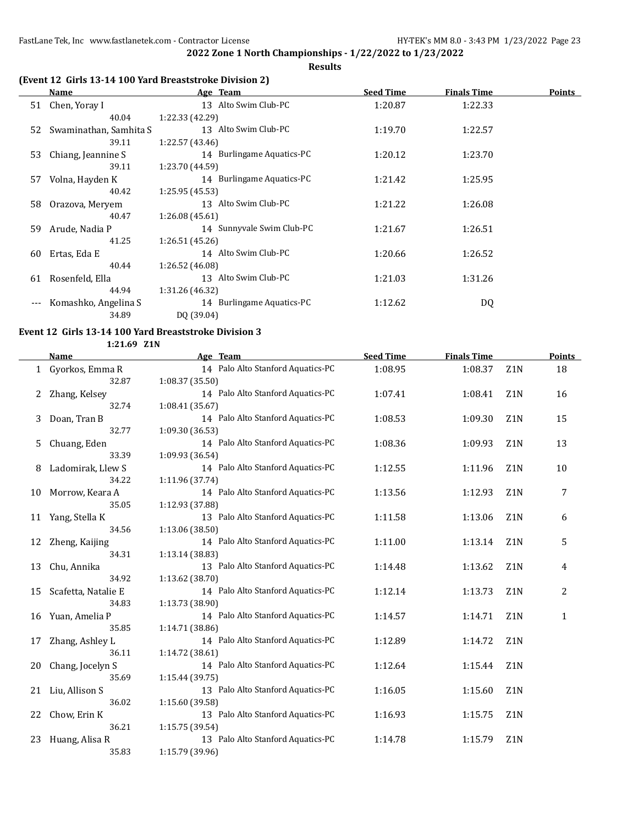**Results**

## **(Event 12 Girls 13-14 100 Yard Breaststroke Division 2)**

|       | Name                   | Age Team                  | <b>Seed Time</b> | <b>Finals Time</b> | <b>Points</b> |
|-------|------------------------|---------------------------|------------------|--------------------|---------------|
| 51    | Chen, Yoray I          | 13 Alto Swim Club-PC      | 1:20.87          | 1:22.33            |               |
|       | 40.04                  | 1:22.33 (42.29)           |                  |                    |               |
| 52    | Swaminathan, Samhita S | 13 Alto Swim Club-PC      | 1:19.70          | 1:22.57            |               |
|       | 39.11                  | 1:22.57(43.46)            |                  |                    |               |
| 53    | Chiang, Jeannine S     | 14 Burlingame Aquatics-PC | 1:20.12          | 1:23.70            |               |
|       | 39.11                  | 1:23.70 (44.59)           |                  |                    |               |
| 57    | Volna, Hayden K        | 14 Burlingame Aquatics-PC | 1:21.42          | 1:25.95            |               |
|       | 40.42                  | 1:25.95(45.53)            |                  |                    |               |
| 58    | Orazova, Meryem        | 13 Alto Swim Club-PC      | 1:21.22          | 1:26.08            |               |
|       | 40.47                  | 1:26.08(45.61)            |                  |                    |               |
| 59.   | Arude, Nadia P         | 14 Sunnyvale Swim Club-PC | 1:21.67          | 1:26.51            |               |
|       | 41.25                  | 1:26.51(45.26)            |                  |                    |               |
| 60    | Ertas, Eda E           | 14 Alto Swim Club-PC      | 1:20.66          | 1:26.52            |               |
|       | 40.44                  | 1:26.52 (46.08)           |                  |                    |               |
| 61    | Rosenfeld, Ella        | 13 Alto Swim Club-PC      | 1:21.03          | 1:31.26            |               |
|       | 44.94                  | 1:31.26 (46.32)           |                  |                    |               |
| $---$ | Komashko, Angelina S   | 14 Burlingame Aquatics-PC | 1:12.62          | DQ                 |               |
|       | 34.89                  | DQ (39.04)                |                  |                    |               |

#### **Event 12 Girls 13-14 100 Yard Breaststroke Division 3 1:21.69 Z1N**

|    | Name                | Age Team                          | <b>Seed Time</b> | <b>Finals Time</b> |                  | Points       |
|----|---------------------|-----------------------------------|------------------|--------------------|------------------|--------------|
|    | 1 Gyorkos, Emma R   | 14 Palo Alto Stanford Aquatics-PC | 1:08.95          | 1:08.37            | Z1N              | 18           |
|    | 32.87               | 1:08.37 (35.50)                   |                  |                    |                  |              |
| 2  | Zhang, Kelsey       | 14 Palo Alto Stanford Aquatics-PC | 1:07.41          | 1:08.41            | Z <sub>1</sub> N | 16           |
|    | 32.74               | 1:08.41 (35.67)                   |                  |                    |                  |              |
| 3  | Doan, Tran B        | 14 Palo Alto Stanford Aquatics-PC | 1:08.53          | 1:09.30            | Z <sub>1</sub> N | 15           |
|    | 32.77               | 1:09.30 (36.53)                   |                  |                    |                  |              |
| 5  | Chuang, Eden        | 14 Palo Alto Stanford Aquatics-PC | 1:08.36          | 1:09.93            | Z <sub>1</sub> N | 13           |
|    | 33.39               | 1:09.93 (36.54)                   |                  |                    |                  |              |
| 8  | Ladomirak, Llew S   | 14 Palo Alto Stanford Aquatics-PC | 1:12.55          | 1:11.96            | Z <sub>1</sub> N | 10           |
|    | 34.22               | 1:11.96 (37.74)                   |                  |                    |                  |              |
| 10 | Morrow, Keara A     | 14 Palo Alto Stanford Aquatics-PC | 1:13.56          | 1:12.93            | Z <sub>1</sub> N | 7            |
|    | 35.05               | 1:12.93 (37.88)                   |                  |                    |                  |              |
|    | 11 Yang, Stella K   | 13 Palo Alto Stanford Aquatics-PC | 1:11.58          | 1:13.06            | Z <sub>1</sub> N | 6            |
|    | 34.56               | 1:13.06(38.50)                    |                  |                    |                  |              |
| 12 | Zheng, Kaijing      | 14 Palo Alto Stanford Aquatics-PC | 1:11.00          | 1:13.14            | Z <sub>1</sub> N | 5            |
|    | 34.31               | 1:13.14 (38.83)                   |                  |                    |                  |              |
| 13 | Chu, Annika         | 13 Palo Alto Stanford Aquatics-PC | 1:14.48          | 1:13.62            | Z <sub>1</sub> N | 4            |
|    | 34.92               | 1:13.62 (38.70)                   |                  |                    |                  |              |
| 15 | Scafetta, Natalie E | 14 Palo Alto Stanford Aquatics-PC | 1:12.14          | 1:13.73            | Z <sub>1</sub> N | 2            |
|    | 34.83               | 1:13.73 (38.90)                   |                  |                    |                  |              |
| 16 | Yuan, Amelia P      | 14 Palo Alto Stanford Aquatics-PC | 1:14.57          | 1:14.71            | Z <sub>1</sub> N | $\mathbf{1}$ |
|    | 35.85               | 1:14.71 (38.86)                   |                  |                    |                  |              |
| 17 | Zhang, Ashley L     | 14 Palo Alto Stanford Aquatics-PC | 1:12.89          | 1:14.72            | Z <sub>1</sub> N |              |
|    | 36.11               | 1:14.72 (38.61)                   |                  |                    |                  |              |
| 20 | Chang, Jocelyn S    | 14 Palo Alto Stanford Aquatics-PC | 1:12.64          | 1:15.44            | Z <sub>1</sub> N |              |
|    | 35.69               | 1:15.44 (39.75)                   |                  |                    |                  |              |
| 21 | Liu, Allison S      | 13 Palo Alto Stanford Aquatics-PC | 1:16.05          | 1:15.60            | Z1N              |              |
|    | 36.02               | 1:15.60 (39.58)                   |                  |                    |                  |              |
| 22 | Chow, Erin K        | 13 Palo Alto Stanford Aquatics-PC | 1:16.93          | 1:15.75            | Z <sub>1</sub> N |              |
|    | 36.21               | 1:15.75 (39.54)                   |                  |                    |                  |              |
| 23 | Huang, Alisa R      | 13 Palo Alto Stanford Aquatics-PC | 1:14.78          | 1:15.79            | Z <sub>1</sub> N |              |
|    | 35.83               | 1:15.79 (39.96)                   |                  |                    |                  |              |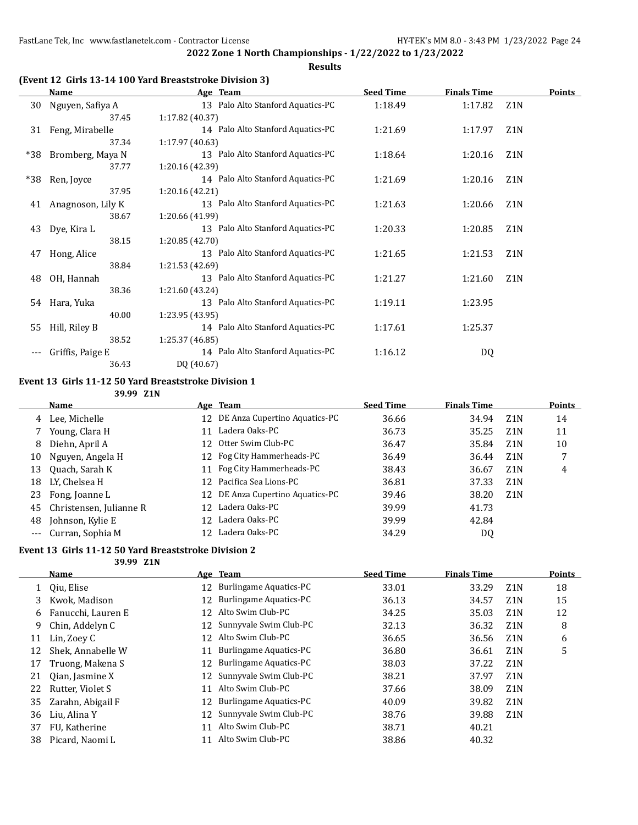**Results**

## **(Event 12 Girls 13-14 100 Yard Breaststroke Division 3)**

|     | <b>Name</b>       | Age Team                          | <b>Seed Time</b> | <b>Finals Time</b> |                  | <b>Points</b> |
|-----|-------------------|-----------------------------------|------------------|--------------------|------------------|---------------|
| 30  | Nguyen, Safiya A  | 13 Palo Alto Stanford Aquatics-PC | 1:18.49          | 1:17.82            | Z1N              |               |
|     | 37.45             | 1:17.82 (40.37)                   |                  |                    |                  |               |
| 31  | Feng, Mirabelle   | 14 Palo Alto Stanford Aquatics-PC | 1:21.69          | 1:17.97            | Z <sub>1</sub> N |               |
|     | 37.34             | 1:17.97(40.63)                    |                  |                    |                  |               |
| *38 | Bromberg, Maya N  | 13 Palo Alto Stanford Aquatics-PC | 1:18.64          | 1:20.16            | Z <sub>1</sub> N |               |
|     | 37.77             | 1:20.16 (42.39)                   |                  |                    |                  |               |
| *38 | Ren, Joyce        | 14 Palo Alto Stanford Aquatics-PC | 1:21.69          | 1:20.16            | Z <sub>1</sub> N |               |
|     | 37.95             | 1:20.16 (42.21)                   |                  |                    |                  |               |
| 41  | Anagnoson, Lily K | 13 Palo Alto Stanford Aquatics-PC | 1:21.63          | 1:20.66            | Z <sub>1</sub> N |               |
|     | 38.67             | 1:20.66 (41.99)                   |                  |                    |                  |               |
| 43  | Dye, Kira L       | 13 Palo Alto Stanford Aquatics-PC | 1:20.33          | 1:20.85            | Z <sub>1</sub> N |               |
|     | 38.15             | 1:20.85 (42.70)                   |                  |                    |                  |               |
| 47  | Hong, Alice       | 13 Palo Alto Stanford Aquatics-PC | 1:21.65          | 1:21.53            | Z <sub>1</sub> N |               |
|     | 38.84             | 1:21.53 (42.69)                   |                  |                    |                  |               |
| 48  | OH, Hannah        | 13 Palo Alto Stanford Aquatics-PC | 1:21.27          | 1:21.60            | Z <sub>1</sub> N |               |
|     | 38.36             | 1:21.60 (43.24)                   |                  |                    |                  |               |
| 54  | Hara, Yuka        | 13 Palo Alto Stanford Aquatics-PC | 1:19.11          | 1:23.95            |                  |               |
|     | 40.00             | 1:23.95 (43.95)                   |                  |                    |                  |               |
| 55  | Hill, Riley B     | 14 Palo Alto Stanford Aquatics-PC | 1:17.61          | 1:25.37            |                  |               |
|     | 38.52             | 1:25.37 (46.85)                   |                  |                    |                  |               |
|     | Griffis, Paige E  | 14 Palo Alto Stanford Aquatics-PC | 1:16.12          | DQ                 |                  |               |
|     | 36.43             | DQ (40.67)                        |                  |                    |                  |               |

# **Event 13 Girls 11-12 50 Yard Breaststroke Division 1**

**39.99 Z1N**

|    | Name                    |     | Age Team                         | <b>Seed Time</b> | <b>Finals Time</b> |                  | <b>Points</b> |
|----|-------------------------|-----|----------------------------------|------------------|--------------------|------------------|---------------|
|    | 4 Lee, Michelle         |     | 12 DE Anza Cupertino Aquatics-PC | 36.66            | 34.94              | Z1N              | 14            |
|    | Young, Clara H          | 11  | Ladera Oaks-PC                   | 36.73            | 35.25              | Z1N              | 11            |
| 8  | Diehn, April A          |     | 12 Otter Swim Club-PC            | 36.47            | 35.84              | Z <sub>1</sub> N | 10            |
| 10 | Nguyen, Angela H        |     | 12 Fog City Hammerheads-PC       | 36.49            | 36.44              | Z <sub>1</sub> N |               |
| 13 | Quach, Sarah K          | 11  | Fog City Hammerheads-PC          | 38.43            | 36.67              | Z <sub>1</sub> N | 4             |
| 18 | LY, Chelsea H           |     | 12 Pacifica Sea Lions-PC         | 36.81            | 37.33              | Z1N              |               |
| 23 | Fong, Joanne L          |     | 12 DE Anza Cupertino Aquatics-PC | 39.46            | 38.20              | Z <sub>1</sub> N |               |
| 45 | Christensen, Julianne R | 12  | Ladera Oaks-PC                   | 39.99            | 41.73              |                  |               |
| 48 | Johnson, Kylie E        | 12. | Ladera Oaks-PC                   | 39.99            | 42.84              |                  |               |
|    | --- Curran, Sophia M    | 12  | Ladera Oaks-PC                   | 34.29            | DQ                 |                  |               |

# **Event 13 Girls 11-12 50 Yard Breaststroke Division 2**

**39.99 Z1N**

| Name               |    |                               | <b>Seed Time</b>                                                                                                                                                             | <b>Finals Time</b> |                  | <b>Points</b> |
|--------------------|----|-------------------------------|------------------------------------------------------------------------------------------------------------------------------------------------------------------------------|--------------------|------------------|---------------|
| Oiu, Elise         |    |                               | 33.01                                                                                                                                                                        | 33.29              | Z <sub>1</sub> N | 18            |
| Kwok, Madison      |    | <b>Burlingame Aquatics-PC</b> | 36.13                                                                                                                                                                        | 34.57              | Z <sub>1</sub> N | 15            |
| Fanucchi, Lauren E |    | Alto Swim Club-PC             | 34.25                                                                                                                                                                        | 35.03              | Z <sub>1</sub> N | 12            |
| Chin, Addelyn C    |    |                               | 32.13                                                                                                                                                                        | 36.32              | Z <sub>1</sub> N | 8             |
| Lin, Zoey C        |    |                               | 36.65                                                                                                                                                                        | 36.56              | Z <sub>1</sub> N | 6             |
| Shek, Annabelle W  | 11 | <b>Burlingame Aquatics-PC</b> | 36.80                                                                                                                                                                        | 36.61              | Z <sub>1</sub> N | 5             |
| Truong, Makena S   |    | Burlingame Aquatics-PC        | 38.03                                                                                                                                                                        | 37.22              | Z <sub>1</sub> N |               |
| Oian, Jasmine X    |    |                               | 38.21                                                                                                                                                                        | 37.97              | Z <sub>1</sub> N |               |
| Rutter, Violet S   | 11 | Alto Swim Club-PC             | 37.66                                                                                                                                                                        | 38.09              | Z <sub>1</sub> N |               |
| Zarahn, Abigail F  |    | <b>Burlingame Aquatics-PC</b> | 40.09                                                                                                                                                                        | 39.82              | Z <sub>1</sub> N |               |
| Liu, Alina Y       |    |                               | 38.76                                                                                                                                                                        | 39.88              | Z <sub>1</sub> N |               |
| FU, Katherine      | 11 | Alto Swim Club-PC             | 38.71                                                                                                                                                                        | 40.21              |                  |               |
| Picard, Naomi L    |    | Alto Swim Club-PC             | 38.86                                                                                                                                                                        | 40.32              |                  |               |
|                    |    |                               | Age Team<br>12 Burlingame Aquatics-PC<br>12<br>12<br>12 Sunnyvale Swim Club-PC<br>12 Alto Swim Club-PC<br>12<br>12 Sunnyvale Swim Club-PC<br>12<br>12 Sunnyvale Swim Club-PC |                    |                  |               |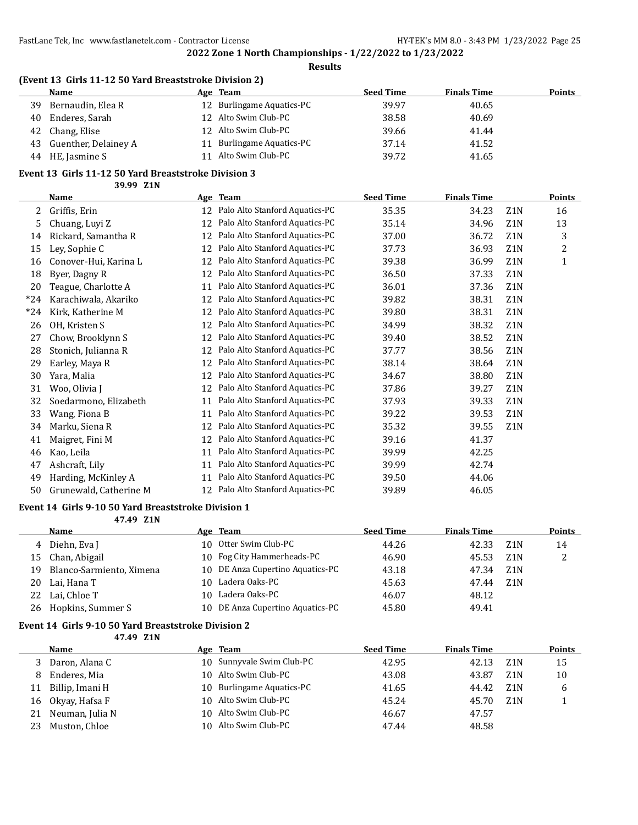**Results**

## **(Event 13 Girls 11-12 50 Yard Breaststroke Division 2)**

|    | <b>Name</b>          | Age | Team                      | <b>Seed Time</b> | <b>Finals Time</b> | <b>Points</b> |
|----|----------------------|-----|---------------------------|------------------|--------------------|---------------|
| 39 | Bernaudin, Elea R    |     | 12 Burlingame Aquatics-PC | 39.97            | 40.65              |               |
| 40 | Enderes, Sarah       |     | 12 Alto Swim Club-PC      | 38.58            | 40.69              |               |
| 42 | Chang, Elise         |     | 12 Alto Swim Club-PC      | 39.66            | 41.44              |               |
| 43 | Guenther, Delainey A |     | Burlingame Aquatics-PC    | 37.14            | 41.52              |               |
| 44 | HE, Jasmine S        |     | Alto Swim Club-PC         | 39.72            | 41.65              |               |

# **Event 13 Girls 11-12 50 Yard Breaststroke Division 3**

**39.99 Z1N**

|       | Name                   |    | Age Team                       | <b>Seed Time</b> | <b>Finals Time</b> |                  | <b>Points</b> |
|-------|------------------------|----|--------------------------------|------------------|--------------------|------------------|---------------|
| 2     | Griffis, Erin          | 12 | Palo Alto Stanford Aquatics-PC | 35.35            | 34.23              | Z <sub>1</sub> N | 16            |
| 5     | Chuang, Luyi Z         | 12 | Palo Alto Stanford Aquatics-PC | 35.14            | 34.96              | Z1N              | 13            |
| 14    | Rickard, Samantha R    | 12 | Palo Alto Stanford Aquatics-PC | 37.00            | 36.72              | Z1N              | 3             |
| 15    | Ley, Sophie C          | 12 | Palo Alto Stanford Aquatics-PC | 37.73            | 36.93              | Z1N              | 2             |
| 16    | Conover-Hui, Karina L  | 12 | Palo Alto Stanford Aquatics-PC | 39.38            | 36.99              | Z1N              | 1             |
| 18    | Byer, Dagny R          | 12 | Palo Alto Stanford Aquatics-PC | 36.50            | 37.33              | Z1N              |               |
| 20    | Teague, Charlotte A    | 11 | Palo Alto Stanford Aquatics-PC | 36.01            | 37.36              | Z <sub>1</sub> N |               |
| $*24$ | Karachiwala, Akariko   | 12 | Palo Alto Stanford Aquatics-PC | 39.82            | 38.31              | Z1N              |               |
| $*24$ | Kirk, Katherine M      | 12 | Palo Alto Stanford Aquatics-PC | 39.80            | 38.31              | Z1N              |               |
| 26    | OH, Kristen S          | 12 | Palo Alto Stanford Aquatics-PC | 34.99            | 38.32              | Z <sub>1</sub> N |               |
| 27    | Chow, Brooklynn S      | 12 | Palo Alto Stanford Aquatics-PC | 39.40            | 38.52              | Z1N              |               |
| 28    | Stonich, Julianna R    | 12 | Palo Alto Stanford Aquatics-PC | 37.77            | 38.56              | Z <sub>1</sub> N |               |
| 29    | Earley, Maya R         | 12 | Palo Alto Stanford Aquatics-PC | 38.14            | 38.64              | Z1N              |               |
| 30    | Yara, Malia            | 12 | Palo Alto Stanford Aquatics-PC | 34.67            | 38.80              | Z1N              |               |
| 31    | Woo, Olivia J          | 12 | Palo Alto Stanford Aquatics-PC | 37.86            | 39.27              | Z1N              |               |
| 32    | Soedarmono, Elizabeth  | 11 | Palo Alto Stanford Aquatics-PC | 37.93            | 39.33              | Z1N              |               |
| 33    | Wang, Fiona B          | 11 | Palo Alto Stanford Aquatics-PC | 39.22            | 39.53              | Z1N              |               |
| 34    | Marku, Siena R         | 12 | Palo Alto Stanford Aquatics-PC | 35.32            | 39.55              | Z <sub>1</sub> N |               |
| 41    | Maigret, Fini M        | 12 | Palo Alto Stanford Aquatics-PC | 39.16            | 41.37              |                  |               |
| 46    | Kao, Leila             | 11 | Palo Alto Stanford Aquatics-PC | 39.99            | 42.25              |                  |               |
| 47    | Ashcraft, Lily         | 11 | Palo Alto Stanford Aquatics-PC | 39.99            | 42.74              |                  |               |
| 49    | Harding, McKinley A    | 11 | Palo Alto Stanford Aquatics-PC | 39.50            | 44.06              |                  |               |
| 50    | Grunewald, Catherine M | 12 | Palo Alto Stanford Aquatics-PC | 39.89            | 46.05              |                  |               |

#### **Event 14 Girls 9-10 50 Yard Breaststroke Division 1**

**47.49 Z1N**

|    | Name                     | Age Team                         | <b>Seed Time</b> | <b>Finals Time</b> |                  | <b>Points</b> |
|----|--------------------------|----------------------------------|------------------|--------------------|------------------|---------------|
|    | 4 Diehn, Eva J           | 10 Otter Swim Club-PC            | 44.26            | 42.33              | Z1N              | 14            |
| 15 | Chan, Abigail            | 10 Fog City Hammerheads-PC       | 46.90            | 45.53              | Z <sub>1</sub> N |               |
| 19 | Blanco-Sarmiento, Ximena | 10 DE Anza Cupertino Aquatics-PC | 43.18            | 47.34              | Z <sub>1</sub> N |               |
| 20 | Lai, Hana T              | 10 Ladera Oaks-PC                | 45.63            | 47.44              | Z1N              |               |
| 22 | Lai. Chloe T             | Ladera Oaks-PC                   | 46.07            | 48.12              |                  |               |
| 26 | Hopkins, Summer S        | 10 DE Anza Cupertino Aquatics-PC | 45.80            | 49.41              |                  |               |

### **Event 14 Girls 9-10 50 Yard Breaststroke Division 2**

**47.49 Z1N**

|    | <b>Name</b>        | Age Team                  | <b>Seed Time</b> | <b>Finals Time</b> |                  | <b>Points</b> |
|----|--------------------|---------------------------|------------------|--------------------|------------------|---------------|
|    | Daron, Alana C     | 10 Sunnyvale Swim Club-PC | 42.95            | 42.13              | Z <sub>1</sub> N | 15            |
| 8  | Enderes, Mia       | 10 Alto Swim Club-PC      | 43.08            | 43.87              | Z <sub>1</sub> N | 10            |
| 11 | Billip, Imani H    | 10 Burlingame Aquatics-PC | 41.65            | 44.42              | Z1N              | 6             |
|    | 16 Okyay, Hafsa F  | 10 Alto Swim Club-PC      | 45.24            | 45.70              | Z <sub>1</sub> N |               |
|    | 21 Neuman, Julia N | 10 Alto Swim Club-PC      | 46.67            | 47.57              |                  |               |
| 23 | Muston, Chloe      | 10 Alto Swim Club-PC      | 47.44            | 48.58              |                  |               |
|    |                    |                           |                  |                    |                  |               |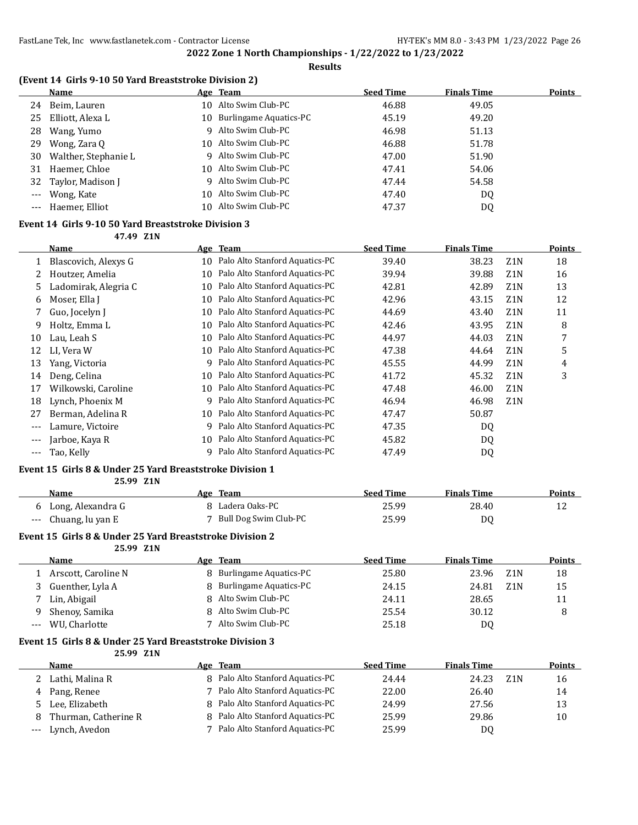#### **Results**

## **(Event 14 Girls 9-10 50 Yard Breaststroke Division 2)**

|       | Name                    | Age Team                  | <b>Seed Time</b> | <b>Finals Time</b> | <b>Points</b> |
|-------|-------------------------|---------------------------|------------------|--------------------|---------------|
| 24    | Beim, Lauren            | 10 Alto Swim Club-PC      | 46.88            | 49.05              |               |
| 25    | Elliott, Alexa L        | 10 Burlingame Aquatics-PC | 45.19            | 49.20              |               |
| 28    | Wang, Yumo              | 9 Alto Swim Club-PC       | 46.98            | 51.13              |               |
|       | 29 Wong, Zara Q         | 10 Alto Swim Club-PC      | 46.88            | 51.78              |               |
|       | 30 Walther, Stephanie L | 9 Alto Swim Club-PC       | 47.00            | 51.90              |               |
|       | 31 Haemer, Chloe        | 10 Alto Swim Club-PC      | 47.41            | 54.06              |               |
|       | 32 Taylor, Madison J    | 9 Alto Swim Club-PC       | 47.44            | 54.58              |               |
|       | --- Wong, Kate          | 10 Alto Swim Club-PC      | 47.40            | DQ                 |               |
| $---$ | Haemer, Elliot          | 10 Alto Swim Club-PC      | 47.37            | DQ                 |               |
|       |                         |                           |                  |                    |               |

## **Event 14 Girls 9-10 50 Yard Breaststroke Division 3**

**47.49 Z1N**

|     | Name                 |    | Age Team                       | <b>Seed Time</b> | <b>Finals Time</b> |                  | <b>Points</b> |
|-----|----------------------|----|--------------------------------|------------------|--------------------|------------------|---------------|
| 1   | Blascovich, Alexys G | 10 | Palo Alto Stanford Aquatics-PC | 39.40            | 38.23              | Z <sub>1</sub> N | 18            |
|     | Houtzer, Amelia      | 10 | Palo Alto Stanford Aquatics-PC | 39.94            | 39.88              | Z <sub>1</sub> N | 16            |
| 5.  | Ladomirak, Alegria C | 10 | Palo Alto Stanford Aquatics-PC | 42.81            | 42.89              | Z <sub>1</sub> N | 13            |
| 6   | Moser, Ella J        | 10 | Palo Alto Stanford Aquatics-PC | 42.96            | 43.15              | Z <sub>1</sub> N | 12            |
|     | Guo, Jocelyn J       | 10 | Palo Alto Stanford Aquatics-PC | 44.69            | 43.40              | Z <sub>1</sub> N | 11            |
| 9   | Holtz, Emma L        | 10 | Palo Alto Stanford Aquatics-PC | 42.46            | 43.95              | Z <sub>1</sub> N | 8             |
| 10  | Lau, Leah S          | 10 | Palo Alto Stanford Aquatics-PC | 44.97            | 44.03              | Z <sub>1</sub> N | 7             |
| 12  | LI. Vera W           | 10 | Palo Alto Stanford Aquatics-PC | 47.38            | 44.64              | Z <sub>1</sub> N | 5             |
| 13  | Yang, Victoria       | 9  | Palo Alto Stanford Aquatics-PC | 45.55            | 44.99              | Z <sub>1</sub> N | 4             |
| 14  | Deng, Celina         | 10 | Palo Alto Stanford Aquatics-PC | 41.72            | 45.32              | Z <sub>1</sub> N | 3             |
| 17  | Wilkowski, Caroline  | 10 | Palo Alto Stanford Aquatics-PC | 47.48            | 46.00              | Z <sub>1</sub> N |               |
| 18  | Lynch, Phoenix M     | 9  | Palo Alto Stanford Aquatics-PC | 46.94            | 46.98              | Z <sub>1</sub> N |               |
| 27  | Berman, Adelina R    | 10 | Palo Alto Stanford Aquatics-PC | 47.47            | 50.87              |                  |               |
|     | Lamure, Victoire     | 9  | Palo Alto Stanford Aquatics-PC | 47.35            | DQ                 |                  |               |
|     | Jarboe, Kaya R       | 10 | Palo Alto Stanford Aquatics-PC | 45.82            | DQ                 |                  |               |
| --- | Tao, Kelly           | q  | Palo Alto Stanford Aquatics-PC | 47.49            | DQ                 |                  |               |

#### **Event 15 Girls 8 & Under 25 Yard Breaststroke Division 1**

**25.99 Z1N**

| Name                 | Age Team                | <b>Seed Time</b> | <b>Finals Time</b> | Points |
|----------------------|-------------------------|------------------|--------------------|--------|
| 6 Long, Alexandra G  | 8 Ladera Oaks-PC        | 25.99            | 28.40              |        |
| --- Chuang, lu yan E | 7 Bull Dog Swim Club-PC | 25.99            | DO                 |        |

#### **Event 15 Girls 8 & Under 25 Yard Breaststroke Division 2**

**25.99 Z1N**

|   | Name                | Age Team                 | <b>Seed Time</b> | <b>Finals Time</b> |                  | <b>Points</b> |
|---|---------------------|--------------------------|------------------|--------------------|------------------|---------------|
|   | Arscott, Caroline N | 8 Burlingame Aquatics-PC | 25.80            | 23.96              | Z1N              | 18            |
|   | Guenther, Lyla A    | 8 Burlingame Aquatics-PC | 24.15            | 24.81              | Z <sub>1</sub> N | 15            |
|   | Lin, Abigail        | 8 Alto Swim Club-PC      | 24.11            | 28.65              |                  | 11            |
| 9 | Shenoy, Samika      | 8 Alto Swim Club-PC      | 25.54            | 30.12              |                  |               |
|   | WU, Charlotte       | Alto Swim Club-PC        | 25.18            | DQ                 |                  |               |

#### **Event 15 Girls 8 & Under 25 Yard Breaststroke Division 3 25.99 Z1N**

|   | <b>Name</b>          | Age Team                         | <b>Seed Time</b> | <b>Finals Time</b> |     | <b>Points</b> |
|---|----------------------|----------------------------------|------------------|--------------------|-----|---------------|
|   | Lathi, Malina R      | 8 Palo Alto Stanford Aquatics-PC | 24.44            | 24.23              | Z1N | 16            |
|   | 4 Pang, Renee        | 7 Palo Alto Stanford Aquatics-PC | 22.00            | 26.40              |     | 14            |
|   | 5 Lee. Elizabeth     | 8 Palo Alto Stanford Aquatics-PC | 24.99            | 27.56              |     | 13            |
| 8 | Thurman, Catherine R | 8 Palo Alto Stanford Aquatics-PC | 25.99            | 29.86              |     | 10            |
|   | --- Lynch, Avedon    | Palo Alto Stanford Aquatics-PC   | 25.99            | D0                 |     |               |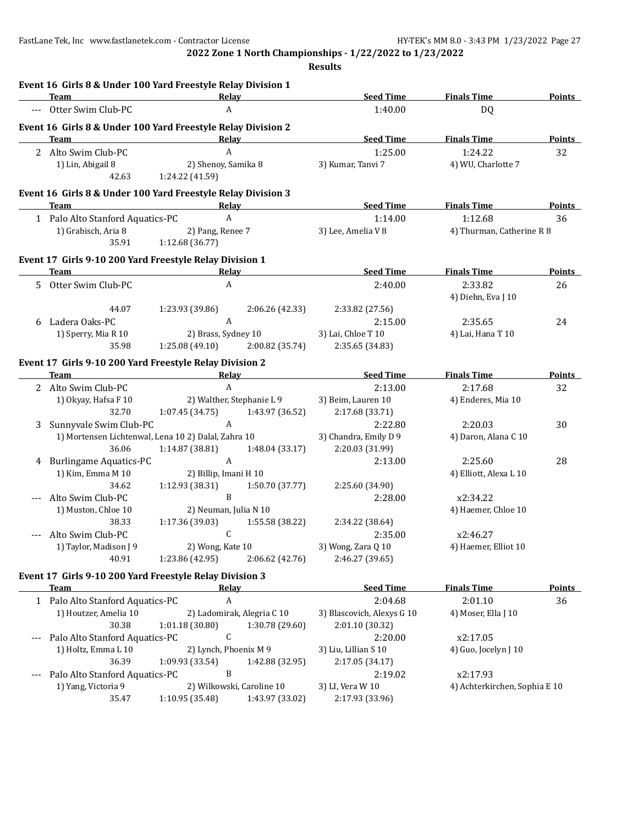|      | Event 16 Girls 8 & Under 100 Yard Freestyle Relay Division 1<br>Team | Relay                                                                       |                                     | <b>Seed Time</b>                      | <b>Finals Time</b>            | <b>Points</b> |
|------|----------------------------------------------------------------------|-----------------------------------------------------------------------------|-------------------------------------|---------------------------------------|-------------------------------|---------------|
|      | --- Otter Swim Club-PC                                               | A                                                                           |                                     | 1:40.00                               | DQ                            |               |
|      | Event 16 Girls 8 & Under 100 Yard Freestyle Relay Division 2         |                                                                             |                                     |                                       |                               |               |
|      | Team                                                                 | Relay                                                                       |                                     | <b>Seed Time</b>                      | <b>Finals Time</b>            | <b>Points</b> |
|      | 2 Alto Swim Club-PC                                                  | $\mathbf{A}$                                                                |                                     | 1:25.00                               | 1:24.22                       | 32            |
|      | 1) Lin, Abigail 8                                                    | 2) Shenoy, Samika 8                                                         |                                     | 3) Kumar, Tanvi 7                     | 4) WU, Charlotte 7            |               |
|      | 42.63                                                                | 1:24.22 (41.59)                                                             |                                     |                                       |                               |               |
|      | Event 16 Girls 8 & Under 100 Yard Freestyle Relay Division 3         |                                                                             |                                     |                                       |                               |               |
|      | Team                                                                 | <b>Relay</b><br>the control of the control of the control of the control of |                                     | <b>Seed Time</b>                      | <b>Finals Time</b>            | <b>Points</b> |
|      | 1 Palo Alto Stanford Aquatics-PC                                     | A                                                                           |                                     | 1:14.00                               | 1:12.68                       | 36            |
|      | 1) Grabisch, Aria 8<br>35.91                                         | 2) Pang, Renee 7<br>1:12.68 (36.77)                                         |                                     | 3) Lee, Amelia V 8                    | 4) Thurman, Catherine R 8     |               |
|      | Event 17 Girls 9-10 200 Yard Freestyle Relay Division 1              |                                                                             |                                     |                                       |                               |               |
|      | Team                                                                 | Relay                                                                       |                                     | <b>Seed Time</b>                      | <b>Finals Time</b>            | <b>Points</b> |
|      | 5 Otter Swim Club-PC                                                 | A                                                                           |                                     | 2:40.00                               | 2:33.82<br>4) Diehn, Eva J 10 | 26            |
|      | 44.07                                                                | 1:23.93 (39.86)                                                             | 2:06.26 (42.33)                     | 2:33.82 (27.56)                       |                               |               |
| 6    | Ladera Oaks-PC                                                       | $\boldsymbol{A}$                                                            |                                     | 2:15.00                               | 2:35.65                       | 24            |
|      | 1) Sperry, Mia R 10                                                  | 2) Brass, Sydney 10                                                         |                                     | 3) Lai, Chloe T 10                    | 4) Lai, Hana T 10             |               |
|      | 35.98                                                                | 1:25.08 (49.10)                                                             | 2:00.82 (35.74)                     | 2:35.65 (34.83)                       |                               |               |
|      | Event 17 Girls 9-10 200 Yard Freestyle Relay Division 2              |                                                                             |                                     |                                       |                               |               |
|      | Team                                                                 | Relay                                                                       |                                     | <b>Seed Time</b>                      | <b>Finals Time</b>            | Points        |
|      | 2 Alto Swim Club-PC                                                  | A                                                                           |                                     | 2:13.00                               | 2:17.68                       | 32            |
|      | 1) Okyay, Hafsa F 10                                                 | 2) Walther, Stephanie L 9                                                   |                                     | 3) Beim, Lauren 10                    | 4) Enderes, Mia 10            |               |
|      | 32.70                                                                | 1:07.45 (34.75)                                                             | 1:43.97 (36.52)                     | 2:17.68 (33.71)                       |                               |               |
| 3    | Sunnyvale Swim Club-PC                                               | A                                                                           |                                     | 2:22.80                               | 2:20.03                       | 30            |
|      |                                                                      | 1) Mortensen Lichtenwal, Lena 10 2) Dalal, Zahra 10                         |                                     | 3) Chandra, Emily D 9                 | 4) Daron, Alana C 10          |               |
|      | 36.06                                                                | 1:14.87 (38.81)                                                             | 1:48.04 (33.17)                     | 2:20.03 (31.99)                       |                               |               |
| 4    | <b>Burlingame Aquatics-PC</b>                                        | A                                                                           |                                     | 2:13.00                               | 2:25.60                       | 28            |
|      | 1) Kim, Emma M 10                                                    | 2) Billip, Imani H 10                                                       |                                     |                                       | 4) Elliott, Alexa L 10        |               |
|      | 34.62                                                                | 1:12.93 (38.31)<br>$\mathbf{B}$                                             | 1:50.70 (37.77)                     | 2:25.60 (34.90)                       |                               |               |
|      | Alto Swim Club-PC                                                    |                                                                             |                                     | 2:28.00                               | x2:34.22                      |               |
|      | 1) Muston, Chloe 10<br>38.33                                         | 2) Neuman, Julia N 10                                                       |                                     |                                       | 4) Haemer, Chloe 10           |               |
|      |                                                                      | 1:17.36 (39.03)<br>C                                                        | 1:55.58 (38.22)                     | 2:34.22 (38.64)                       |                               |               |
|      | Alto Swim Club-PC<br>1) Taylor, Madison J 9                          |                                                                             |                                     | 2:35.00                               | x2:46.27                      |               |
|      | 40.91                                                                | 1:23.86 (42.95)                                                             | 2) Wong, Kate 10<br>2:06.62 (42.76) | 3) Wong, Zara Q 10<br>2:46.27 (39.65) | 4) Haemer, Elliot 10          |               |
|      |                                                                      |                                                                             |                                     |                                       |                               |               |
|      | Event 17 Girls 9-10 200 Yard Freestyle Relay Division 3<br>Team      | Relay                                                                       |                                     | <b>Seed Time</b>                      | <b>Finals Time</b>            | <b>Points</b> |
|      | 1 Palo Alto Stanford Aquatics-PC                                     | A                                                                           |                                     | 2:04.68                               | 2:01.10                       | 36            |
|      | 1) Houtzer, Amelia 10                                                |                                                                             | 2) Ladomirak, Alegria C 10          | 3) Blascovich, Alexys G 10            | 4) Moser, Ella J 10           |               |
|      | 30.38                                                                | 1:01.18(30.80)                                                              | 1:30.78 (29.60)                     | 2:01.10 (30.32)                       |                               |               |
| $--$ | Palo Alto Stanford Aquatics-PC                                       | $\mathsf{C}$                                                                |                                     | 2:20.00                               | x2:17.05                      |               |
|      | 1) Holtz, Emma L 10                                                  | 2) Lynch, Phoenix M 9                                                       |                                     | 3) Liu, Lillian S 10                  | 4) Guo, Jocelyn J 10          |               |
|      | 36.39                                                                | 1:09.93 (33.54)                                                             | 1:42.88 (32.95)                     | 2:17.05 (34.17)                       |                               |               |
|      | Palo Alto Stanford Aquatics-PC                                       | B                                                                           |                                     | 2:19.02                               | x2:17.93                      |               |
|      | 1) Yang, Victoria 9                                                  | 2) Wilkowski, Caroline 10                                                   |                                     | 3) LI, Vera W 10                      | 4) Achterkirchen, Sophia E 10 |               |
|      |                                                                      |                                                                             |                                     | 2:17.93 (33.96)                       |                               |               |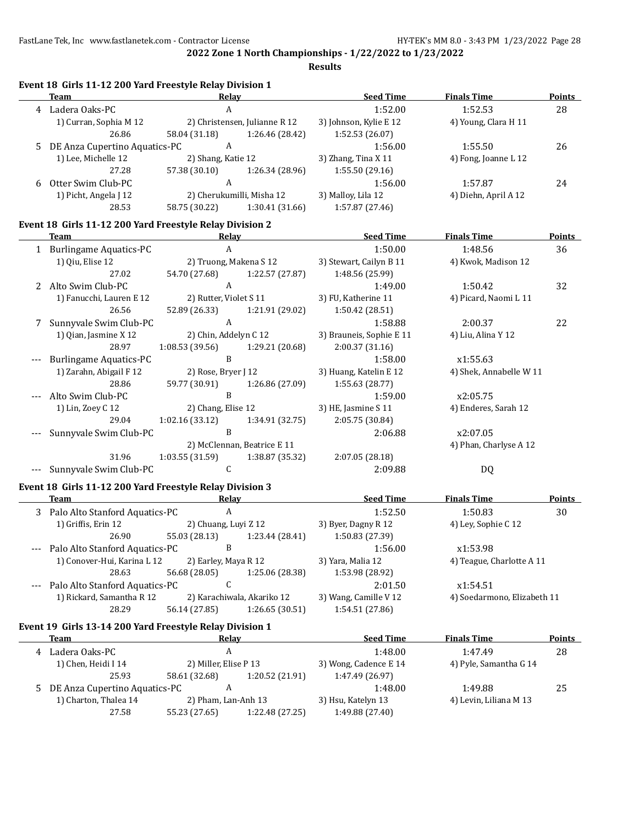|       | Event 18 Girls 11-12 200 Yard Freestyle Relay Division 1<br><b>Team</b> | Relay                     |                               | <b>Seed Time</b>         | <b>Finals Time</b>          | <b>Points</b> |
|-------|-------------------------------------------------------------------------|---------------------------|-------------------------------|--------------------------|-----------------------------|---------------|
|       | 4 Ladera Oaks-PC                                                        | $\boldsymbol{A}$          |                               | 1:52.00                  | 1:52.53                     | 28            |
|       | 1) Curran, Sophia M 12                                                  |                           | 2) Christensen, Julianne R 12 | 3) Johnson, Kylie E 12   | 4) Young, Clara H 11        |               |
|       | 26.86                                                                   | 58.04 (31.18)             | 1:26.46 (28.42)               | 1:52.53 (26.07)          |                             |               |
| 5     | DE Anza Cupertino Aquatics-PC                                           | $\mathbf{A}$              |                               | 1:56.00                  | 1:55.50                     | 26            |
|       | 1) Lee, Michelle 12                                                     | 2) Shang, Katie 12        |                               | 3) Zhang, Tina X 11      | 4) Fong, Joanne L 12        |               |
|       | 27.28                                                                   | 57.38 (30.10)             | 1:26.34 (28.96)               | 1:55.50 (29.16)          |                             |               |
| 6     | Otter Swim Club-PC                                                      | $\mathbf{A}$              |                               | 1:56.00                  | 1:57.87                     | 24            |
|       | 1) Picht, Angela J 12                                                   | 2) Cherukumilli, Misha 12 |                               | 3) Malloy, Lila 12       | 4) Diehn, April A 12        |               |
|       | 28.53                                                                   | 58.75 (30.22)             | 1:30.41 (31.66)               | 1:57.87 (27.46)          |                             |               |
|       | Event 18 Girls 11-12 200 Yard Freestyle Relay Division 2                |                           |                               |                          |                             |               |
|       | Team                                                                    | Relay                     |                               | <b>Seed Time</b>         | <b>Finals Time</b>          | <b>Points</b> |
|       | 1 Burlingame Aquatics-PC                                                | $\mathbf{A}$              |                               | 1:50.00                  | 1:48.56                     | 36            |
|       | 1) Qiu, Elise 12                                                        | 2) Truong, Makena S 12    |                               | 3) Stewart, Cailyn B 11  | 4) Kwok, Madison 12         |               |
|       | 27.02                                                                   | 54.70 (27.68)             | 1:22.57 (27.87)               | 1:48.56 (25.99)          |                             |               |
|       | 2 Alto Swim Club-PC                                                     | $\mathbf{A}$              |                               | 1:49.00                  | 1:50.42                     | 32            |
|       | 1) Fanucchi, Lauren E 12                                                | 2) Rutter, Violet S 11    |                               | 3) FU, Katherine 11      | 4) Picard, Naomi L 11       |               |
|       | 26.56                                                                   | 52.89 (26.33)             | 1:21.91 (29.02)               | 1:50.42 (28.51)          |                             |               |
| 7     | Sunnyvale Swim Club-PC                                                  | $\mathbf{A}$              |                               | 1:58.88                  | 2:00.37                     | 22            |
|       | 1) Qian, Jasmine X 12                                                   | 2) Chin, Addelyn C 12     |                               | 3) Brauneis, Sophie E 11 | 4) Liu, Alina Y 12          |               |
|       | 28.97                                                                   | 1:08.53(39.56)            | 1:29.21 (20.68)               | 2:00.37 (31.16)          |                             |               |
|       | <b>Burlingame Aquatics-PC</b>                                           | $\mathbf{B}$              |                               | 1:58.00                  | x1:55.63                    |               |
|       | 1) Zarahn, Abigail F 12                                                 | 2) Rose, Bryer J 12       |                               | 3) Huang, Katelin E 12   | 4) Shek, Annabelle W 11     |               |
|       | 28.86                                                                   | 59.77 (30.91)             | 1:26.86 (27.09)               | 1:55.63 (28.77)          |                             |               |
|       | Alto Swim Club-PC                                                       | B                         |                               | 1:59.00                  | x2:05.75                    |               |
|       | 1) Lin, Zoey C 12                                                       | 2) Chang, Elise 12        |                               | 3) HE, Jasmine S 11      | 4) Enderes, Sarah 12        |               |
|       | 29.04                                                                   | 1:02.16 (33.12)           | 1:34.91 (32.75)               | 2:05.75 (30.84)          |                             |               |
|       | Sunnyvale Swim Club-PC                                                  | $\mathbf{B}$              |                               | 2:06.88                  | x2:07.05                    |               |
|       |                                                                         |                           | 2) McClennan, Beatrice E 11   |                          | 4) Phan, Charlyse A 12      |               |
|       | 31.96                                                                   | 1:03.55 (31.59)           | 1:38.87 (35.32)               | 2:07.05 (28.18)          |                             |               |
|       | Sunnyvale Swim Club-PC                                                  | C                         |                               | 2:09.88                  | DQ                          |               |
|       | Event 18 Girls 11-12 200 Yard Freestyle Relay Division 3                |                           |                               |                          |                             |               |
|       | Team                                                                    | Relay                     |                               | <b>Seed Time</b>         | <b>Finals Time</b>          | <b>Points</b> |
|       | 3 Palo Alto Stanford Aquatics-PC                                        | $\mathbf{A}$              |                               | 1:52.50                  | 1:50.83                     | 30            |
|       | 1) Griffis, Erin 12                                                     | 2) Chuang, Luyi Z 12      |                               | 3) Byer, Dagny R 12      | 4) Ley, Sophie C 12         |               |
|       | 26.90                                                                   | 55.03 (28.13)             | 1:23.44 (28.41)               | 1:50.83 (27.39)          |                             |               |
|       | Palo Alto Stanford Aquatics-PC                                          | B                         |                               | 1:56.00                  | x1:53.98                    |               |
|       | 1) Conover-Hui, Karina L 12                                             | 2) Earley, Maya R 12      |                               | 3) Yara, Malia 12        | 4) Teague, Charlotte A 11   |               |
|       | 28.63                                                                   | 56.68 (28.05)             | 1:25.06 (28.38)               | 1:53.98 (28.92)          |                             |               |
| $---$ | Palo Alto Stanford Aquatics-PC                                          | C                         |                               | 2:01.50                  | x1:54.51                    |               |
|       | 1) Rickard, Samantha R 12                                               |                           | 2) Karachiwala, Akariko 12    | 3) Wang, Camille V 12    | 4) Soedarmono, Elizabeth 11 |               |
|       | 28.29                                                                   | 56.14 (27.85)             | 1:26.65 (30.51)               | 1:54.51 (27.86)          |                             |               |
|       | Event 19 Girls 13-14 200 Yard Freestyle Relay Division 1                |                           |                               |                          |                             |               |
|       | <b>Team</b>                                                             | <b>Relay</b>              |                               | <b>Seed Time</b>         | <b>Finals Time</b>          | <b>Points</b> |
|       | 4 Ladera Oaks-PC                                                        | $\boldsymbol{\mathsf{A}}$ |                               | 1:48.00                  | 1:47.49                     | 28            |
|       | 1) Chen, Heidi I 14                                                     | 2) Miller, Elise P 13     |                               | 3) Wong, Cadence E 14    | 4) Pyle, Samantha G 14      |               |
|       | 25.93                                                                   | 58.61 (32.68)             | 1:20.52 (21.91)               | 1:47.49 (26.97)          |                             |               |
| 5     | DE Anza Cupertino Aquatics-PC                                           | $\boldsymbol{A}$          |                               | 1:48.00                  | 1:49.88                     | 25            |
|       | 1) Charton, Thalea 14                                                   | 2) Pham, Lan-Anh 13       |                               | 3) Hsu, Katelyn 13       | 4) Levin, Liliana M 13      |               |
|       | 27.58                                                                   | 55.23 (27.65)             | 1:22.48 (27.25)               | 1:49.88 (27.40)          |                             |               |
|       |                                                                         |                           |                               |                          |                             |               |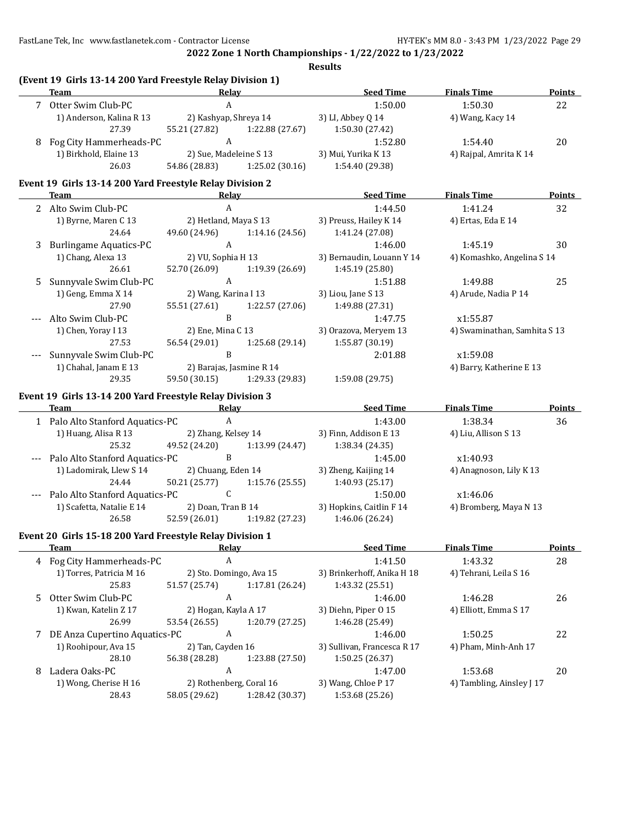FastLane Tek, Inc www.fastlanetek.com - Contractor License HY-TEK's MM 8.0 - 3:43 PM 1/23/2022 Page 29

**(Event 19 Girls 13-14 200 Yard Freestyle Relay Division 1)**

**2022 Zone 1 North Championships - 1/22/2022 to 1/23/2022**

|      | Team                                                     | Relay                                                    |                 | <b>Seed Time</b>            | <b>Finals Time</b>           | <b>Points</b> |
|------|----------------------------------------------------------|----------------------------------------------------------|-----------------|-----------------------------|------------------------------|---------------|
|      | 7 Otter Swim Club-PC                                     | $\mathbf{A}$                                             |                 | 1:50.00                     | 1:50.30                      | 22            |
|      | 1) Anderson, Kalina R 13                                 | 2) Kashyap, Shreya 14                                    |                 | 3) LI, Abbey Q 14           | 4) Wang, Kacy 14             |               |
|      | 27.39                                                    | 55.21 (27.82) 1:22.88 (27.67)                            |                 | 1:50.30 (27.42)             |                              |               |
|      | 8 Fog City Hammerheads-PC                                | $\mathbf{A}$                                             |                 | 1:52.80                     | 1:54.40                      | 20            |
|      | 1) Birkhold, Elaine 13                                   | 2) Sue, Madeleine S 13                                   |                 | 3) Mui, Yurika K 13         | 4) Rajpal, Amrita K 14       |               |
|      | 26.03                                                    | 54.86 (28.83) 1:25.02 (30.16)                            |                 | 1:54.40 (29.38)             |                              |               |
|      | Event 19 Girls 13-14 200 Yard Freestyle Relay Division 2 |                                                          |                 |                             |                              |               |
|      | Team                                                     | Relay                                                    |                 | <u>Seed Time</u>            | <b>Finals Time</b>           | <b>Points</b> |
|      | 2 Alto Swim Club-PC                                      | $\mathbf{A}$                                             |                 | 1:44.50                     | 1:41.24                      | 32            |
|      | 1) Byrne, Maren C 13                                     | 2) Hetland, Maya S 13                                    |                 | 3) Preuss, Hailey K 14      | 4) Ertas, Eda E 14           |               |
|      | 24.64                                                    | 49.60 (24.96) 1:14.16 (24.56)                            |                 | 1:41.24 (27.08)             |                              |               |
| 3    | <b>Burlingame Aquatics-PC</b>                            | $\mathbf{A}$                                             |                 | 1:46.00                     | 1:45.19                      | 30            |
|      | 1) Chang, Alexa 13                                       | 2) VU, Sophia H 13                                       |                 | 3) Bernaudin, Louann Y 14   | 4) Komashko, Angelina S 14   |               |
|      | 26.61                                                    | 52.70 (26.09) 1:19.39 (26.69)                            |                 | 1:45.19 (25.80)             |                              |               |
| 5    | Sunnyvale Swim Club-PC                                   | $\mathbf{A}$                                             |                 | 1:51.88                     | 1:49.88                      | 25            |
|      | 1) Geng, Emma X 14                                       | 2) Wang, Karina I 13                                     |                 | 3) Liou, Jane S 13          | 4) Arude, Nadia P 14         |               |
|      | 27.90                                                    | 55.51 (27.61) 1:22.57 (27.06)                            |                 | 1:49.88 (27.31)             |                              |               |
|      | Alto Swim Club-PC                                        | $\, {\bf B}$                                             |                 | 1:47.75                     | x1:55.87                     |               |
|      | 1) Chen, Yoray I 13                                      | 2) Ene, Mina C 13                                        |                 | 3) Orazova, Meryem 13       | 4) Swaminathan, Samhita S 13 |               |
|      | 27.53                                                    | 56.54 (29.01)                                            | 1:25.68 (29.14) | 1:55.87 (30.19)             |                              |               |
|      | Sunnyvale Swim Club-PC                                   | $\, {\bf B}$                                             |                 | 2:01.88                     | x1:59.08                     |               |
|      | 1) Chahal, Janam E 13                                    | 2) Barajas, Jasmine R 14                                 |                 |                             | 4) Barry, Katherine E 13     |               |
|      | 29.35                                                    | 59.50 (30.15) 1:29.33 (29.83)                            |                 | 1:59.08 (29.75)             |                              |               |
|      | Event 19 Girls 13-14 200 Yard Freestyle Relay Division 3 |                                                          |                 |                             |                              |               |
|      | Team                                                     | Relay                                                    |                 | <u>Seed Time</u>            | <b>Finals Time</b>           | <b>Points</b> |
|      | 1 Palo Alto Stanford Aquatics-PC                         | $\mathbf{A}$                                             |                 | 1:43.00                     | 1:38.34                      | 36            |
|      | 1) Huang, Alisa R 13                                     | 2) Zhang, Kelsey 14                                      |                 | 3) Finn, Addison E 13       | 4) Liu, Allison S 13         |               |
|      | 25.32                                                    | 49.52 (24.20)                                            | 1:13.99 (24.47) | 1:38.34 (24.35)             |                              |               |
|      | --- Palo Alto Stanford Aquatics-PC                       | $\mathbf{B}$                                             |                 | 1:45.00                     | x1:40.93                     |               |
|      | 1) Ladomirak, Llew S 14                                  | 2) Chuang, Eden 14                                       |                 | 3) Zheng, Kaijing 14        | 4) Anagnoson, Lily K 13      |               |
|      | 24.44                                                    | 50.21 (25.77) 1:15.76 (25.55)                            |                 | 1:40.93 (25.17)             |                              |               |
| $--$ | Palo Alto Stanford Aquatics-PC                           | $\mathsf{C}$                                             |                 | 1:50.00                     | x1:46.06                     |               |
|      | 1) Scafetta, Natalie E 14                                | 2) Doan, Tran B 14                                       |                 | 3) Hopkins, Caitlin F 14    | 4) Bromberg, Maya N 13       |               |
|      | 26.58                                                    | 52.59 (26.01) 1:19.82 (27.23)                            |                 | 1:46.06 (26.24)             |                              |               |
|      |                                                          |                                                          |                 |                             |                              |               |
|      |                                                          |                                                          |                 |                             |                              |               |
|      |                                                          | Event 20 Girls 15-18 200 Yard Freestyle Relay Division 1 |                 |                             |                              |               |
|      | <b>Team</b>                                              | <u>Relay</u>                                             |                 | <b>Seed Time</b>            | <b>Finals Time</b>           | <b>Points</b> |
| 4    | Fog City Hammerheads-PC                                  | A                                                        |                 | 1:41.50                     | 1:43.32                      | 28            |
|      | 1) Torres, Patricia M 16                                 | 2) Sto. Domingo, Ava 15                                  |                 | 3) Brinkerhoff, Anika H 18  | 4) Tehrani, Leila S 16       |               |
|      | 25.83                                                    | 51.57 (25.74)                                            | 1:17.81 (26.24) | 1:43.32 (25.51)             |                              |               |
| 5    | Otter Swim Club-PC                                       | A                                                        |                 | 1:46.00                     | 1:46.28                      | 26            |
|      | 1) Kwan, Katelin Z 17                                    | 2) Hogan, Kayla A 17                                     |                 | 3) Diehn, Piper 0 15        | 4) Elliott, Emma S 17        |               |
|      | 26.99                                                    | 53.54 (26.55)                                            | 1:20.79 (27.25) | 1:46.28 (25.49)             |                              |               |
| 7    | DE Anza Cupertino Aquatics-PC                            | A                                                        |                 | 1:46.00                     | 1:50.25                      | 22            |
|      | 1) Roohipour, Ava 15                                     | 2) Tan, Cayden 16                                        |                 | 3) Sullivan, Francesca R 17 | 4) Pham, Minh-Anh 17         |               |
|      | 28.10                                                    | 56.38 (28.28)                                            | 1:23.88 (27.50) | 1:50.25 (26.37)             |                              |               |
| 8    | Ladera Oaks-PC                                           | A                                                        |                 | 1:47.00                     | 1:53.68                      | 20            |
|      | 1) Wong, Cherise H 16                                    | 2) Rothenberg, Coral 16                                  |                 | 3) Wang, Chloe P 17         | 4) Tambling, Ainsley J 17    |               |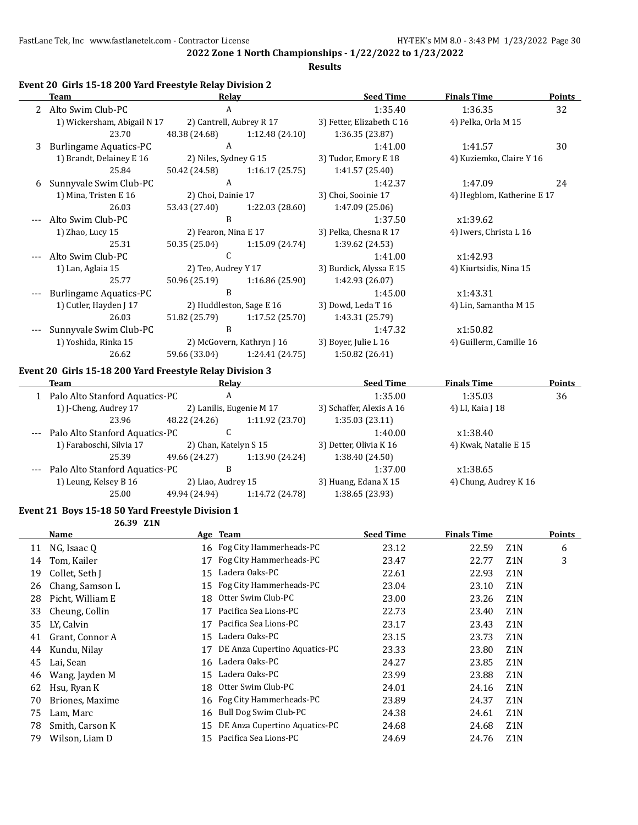**Results**

## **Event 20 Girls 15-18 200 Yard Freestyle Relay Division 2**

|   | <b>Team</b>                                              | Relay                    |                           | <b>Seed Time</b>          | <b>Finals Time</b>         | <b>Points</b> |
|---|----------------------------------------------------------|--------------------------|---------------------------|---------------------------|----------------------------|---------------|
|   | Alto Swim Club-PC                                        | A                        |                           | 1:35.40                   | 1:36.35                    | 32            |
|   | 1) Wickersham, Abigail N 17                              | 2) Cantrell, Aubrey R 17 |                           | 3) Fetter, Elizabeth C 16 | 4) Pelka, Orla M 15        |               |
|   | 23.70                                                    | 48.38 (24.68)            | 1:12.48 (24.10)           | 1:36.35 (23.87)           |                            |               |
| 3 | <b>Burlingame Aquatics-PC</b>                            | A                        |                           | 1:41.00                   | 1:41.57                    | 30            |
|   | 1) Brandt, Delainey E 16                                 | 2) Niles, Sydney G 15    |                           | 3) Tudor, Emory E 18      | 4) Kuziemko, Claire Y 16   |               |
|   | 25.84                                                    | 50.42 (24.58)            | 1:16.17(25.75)            | 1:41.57 (25.40)           |                            |               |
| 6 | Sunnyvale Swim Club-PC                                   | $\mathbf{A}$             |                           | 1:42.37                   | 1:47.09                    | 24            |
|   | 1) Mina, Tristen E 16                                    | 2) Choi, Dainie 17       |                           | 3) Choi, Sooinie 17       | 4) Hegblom, Katherine E 17 |               |
|   | 26.03                                                    | 53.43 (27.40)            | 1:22.03 (28.60)           | 1:47.09 (25.06)           |                            |               |
|   | Alto Swim Club-PC                                        | B                        |                           | 1:37.50                   | x1:39.62                   |               |
|   | 1) Zhao, Lucy 15                                         | 2) Fearon, Nina E 17     |                           | 3) Pelka, Chesna R 17     | 4) Iwers, Christa L 16     |               |
|   | 25.31                                                    | 50.35 (25.04)            | 1:15.09 (24.74)           | 1:39.62 (24.53)           |                            |               |
|   | Alto Swim Club-PC                                        | C                        |                           | 1:41.00                   | x1:42.93                   |               |
|   | 1) Lan, Aglaia 15                                        | 2) Teo, Audrey Y 17      |                           | 3) Burdick, Alyssa E 15   | 4) Kiurtsidis, Nina 15     |               |
|   | 25.77                                                    | 50.96 (25.19)            | 1:16.86(25.90)            | 1:42.93 (26.07)           |                            |               |
|   | <b>Burlingame Aquatics-PC</b>                            | B                        |                           | 1:45.00                   | x1:43.31                   |               |
|   | 1) Cutler, Hayden J 17                                   |                          | 2) Huddleston, Sage E 16  | 3) Dowd, Leda T 16        | 4) Lin, Samantha M 15      |               |
|   | 26.03                                                    | 51.82 (25.79)            | 1:17.52 (25.70)           | 1:43.31 (25.79)           |                            |               |
|   | Sunnyvale Swim Club-PC                                   | B                        |                           | 1:47.32                   | x1:50.82                   |               |
|   | 1) Yoshida, Rinka 15                                     |                          | 2) McGovern, Kathryn J 16 | 3) Boyer, Julie L 16      | 4) Guillerm, Camille 16    |               |
|   | 26.62                                                    | 59.66 (33.04)            | 1:24.41 (24.75)           | 1:50.82 (26.41)           |                            |               |
|   | Event 20 Girls 15-18 200 Yard Freestyle Relay Division 3 |                          |                           |                           |                            |               |
|   | <b>Team</b>                                              | Relay                    |                           | <b>Seed Time</b>          | <b>Finals Time</b>         | Points        |
|   | Palo Alto Stanford Aquatics-PC                           | A                        |                           | 1:35.00                   | 1:35.03                    | 36            |

|       | теаш                           | waa                      |                 | <u>Jeeu Thine</u>        | гшагэ гшис            | <u>i viii</u> |
|-------|--------------------------------|--------------------------|-----------------|--------------------------|-----------------------|---------------|
|       | Palo Alto Stanford Aquatics-PC | A                        |                 | 1:35.00                  | 1:35.03               | 36            |
|       | 1) J-Cheng, Audrey 17          | 2) Lanilis, Eugenie M 17 |                 | 3) Schaffer, Alexis A 16 | 4) LI, Kaia J 18      |               |
|       | 23.96                          | 48.22 (24.26)            | 1:11.92 (23.70) | 1:35.03(23.11)           |                       |               |
| $---$ | Palo Alto Stanford Aquatics-PC |                          |                 | 1:40.00                  | x1:38.40              |               |
|       | 1) Faraboschi, Silvia 17       | 2) Chan, Katelyn S 15    |                 | 3) Detter, Olivia K 16   | 4) Kwak, Natalie E 15 |               |
|       | 25.39                          | 49.66 (24.27)            | 1:13.90 (24.24) | 1:38.40 (24.50)          |                       |               |
| $---$ | Palo Alto Stanford Aquatics-PC | B                        |                 | 1:37.00                  | x1:38.65              |               |
|       | 1) Leung, Kelsey B 16          | 2) Liao, Audrey 15       |                 | 3) Huang, Edana X 15     | 4) Chung, Audrey K 16 |               |

25.00 49.94 (24.94) 1:14.72 (24.78) 1:38.65 (23.93)

#### **Event 21 Boys 15-18 50 Yard Freestyle Division 1**

**26.39 Z1N**

|    | <b>Name</b>      |     | Age Team                      | <b>Seed Time</b> | <b>Finals Time</b> |                  | Points |
|----|------------------|-----|-------------------------------|------------------|--------------------|------------------|--------|
| 11 | NG, Isaac Q      |     | 16 Fog City Hammerheads-PC    | 23.12            | 22.59              | Z <sub>1</sub> N | 6      |
| 14 | Tom, Kailer      | 17  | Fog City Hammerheads-PC       | 23.47            | 22.77              | Z1N              | 3      |
| 19 | Collet, Seth J   | 15  | Ladera Oaks-PC                | 22.61            | 22.93              | Z <sub>1</sub> N |        |
| 26 | Chang, Samson L  | 15  | Fog City Hammerheads-PC       | 23.04            | 23.10              | Z <sub>1</sub> N |        |
| 28 | Picht, William E | 18  | Otter Swim Club-PC            | 23.00            | 23.26              | Z <sub>1</sub> N |        |
| 33 | Cheung, Collin   | 17  | Pacifica Sea Lions-PC         | 22.73            | 23.40              | Z <sub>1</sub> N |        |
| 35 | LY, Calvin       | 17  | Pacifica Sea Lions-PC         | 23.17            | 23.43              | Z <sub>1</sub> N |        |
| 41 | Grant, Connor A  | 15  | Ladera Oaks-PC                | 23.15            | 23.73              | Z <sub>1</sub> N |        |
| 44 | Kundu, Nilay     | 17  | DE Anza Cupertino Aquatics-PC | 23.33            | 23.80              | Z <sub>1</sub> N |        |
| 45 | Lai, Sean        | 16  | Ladera Oaks-PC                | 24.27            | 23.85              | Z <sub>1</sub> N |        |
| 46 | Wang, Jayden M   | 15  | Ladera Oaks-PC                | 23.99            | 23.88              | Z <sub>1</sub> N |        |
| 62 | Hsu, Ryan K      | 18  | Otter Swim Club-PC            | 24.01            | 24.16              | Z <sub>1</sub> N |        |
| 70 | Briones, Maxime  |     | 16 Fog City Hammerheads-PC    | 23.89            | 24.37              | Z <sub>1</sub> N |        |
| 75 | Lam, Marc        | 16  | Bull Dog Swim Club-PC         | 24.38            | 24.61              | Z <sub>1</sub> N |        |
| 78 | Smith, Carson K  | 15  | DE Anza Cupertino Aquatics-PC | 24.68            | 24.68              | Z <sub>1</sub> N |        |
| 79 | Wilson, Liam D   | 15. | Pacifica Sea Lions-PC         | 24.69            | 24.76              | Z1N              |        |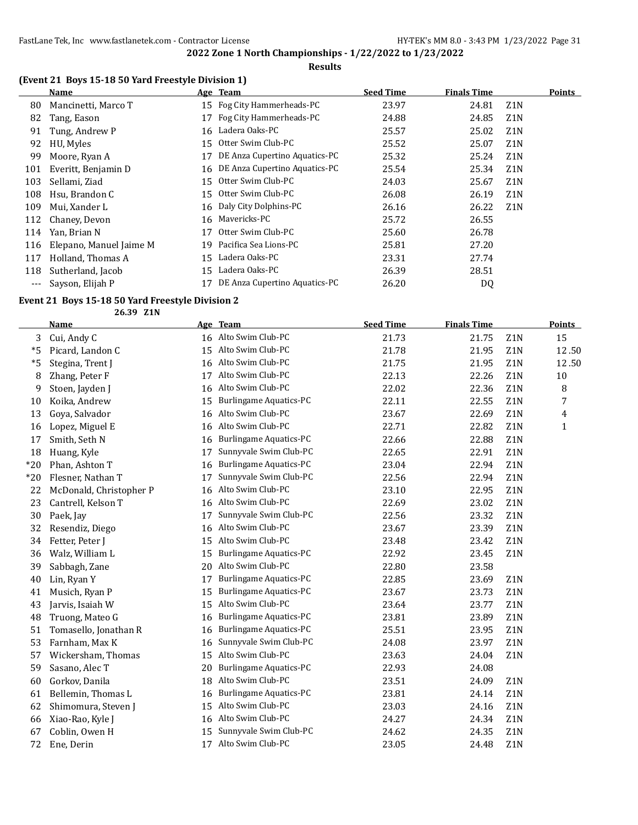## **Results**

## **(Event 21 Boys 15-18 50 Yard Freestyle Division 1)**

|     | <b>Name</b>             |    | Age Team                      | <b>Seed Time</b> | <b>Finals Time</b> |                  | <b>Points</b> |
|-----|-------------------------|----|-------------------------------|------------------|--------------------|------------------|---------------|
| 80  | Mancinetti, Marco T     | 15 | Fog City Hammerheads-PC       | 23.97            | 24.81              | Z <sub>1</sub> N |               |
| 82  | Tang, Eason             | 17 | Fog City Hammerheads-PC       | 24.88            | 24.85              | Z <sub>1</sub> N |               |
| 91  | Tung, Andrew P          | 16 | Ladera Oaks-PC                | 25.57            | 25.02              | Z <sub>1</sub> N |               |
| 92  | HU, Myles               | 15 | Otter Swim Club-PC            | 25.52            | 25.07              | Z <sub>1</sub> N |               |
| 99  | Moore, Ryan A           | 17 | DE Anza Cupertino Aquatics-PC | 25.32            | 25.24              | Z <sub>1</sub> N |               |
| 101 | Everitt, Benjamin D     | 16 | DE Anza Cupertino Aquatics-PC | 25.54            | 25.34              | Z <sub>1</sub> N |               |
| 103 | Sellami, Ziad           | 15 | Otter Swim Club-PC            | 24.03            | 25.67              | Z <sub>1</sub> N |               |
| 108 | Hsu, Brandon C          | 15 | Otter Swim Club-PC            | 26.08            | 26.19              | Z <sub>1</sub> N |               |
| 109 | Mui, Xander L           |    | 16 Daly City Dolphins-PC      | 26.16            | 26.22              | Z <sub>1</sub> N |               |
| 112 | Chaney, Devon           | 16 | Mavericks-PC                  | 25.72            | 26.55              |                  |               |
| 114 | Yan, Brian N            | 17 | Otter Swim Club-PC            | 25.60            | 26.78              |                  |               |
| 116 | Elepano, Manuel Jaime M | 19 | Pacifica Sea Lions-PC         | 25.81            | 27.20              |                  |               |
| 117 | Holland, Thomas A       | 15 | Ladera Oaks-PC                | 23.31            | 27.74              |                  |               |
| 118 | Sutherland, Jacob       | 15 | Ladera Oaks-PC                | 26.39            | 28.51              |                  |               |
|     | Sayson, Elijah P        |    | DE Anza Cupertino Aquatics-PC | 26.20            | D <sub>0</sub>     |                  |               |

## **Event 21 Boys 15-18 50 Yard Freestyle Division 2**

**26.39 Z1N**

|       | <b>Name</b>             |    | Age Team                      | <b>Seed Time</b> | <b>Finals Time</b> |                  | <b>Points</b> |
|-------|-------------------------|----|-------------------------------|------------------|--------------------|------------------|---------------|
| 3     | Cui, Andy C             |    | 16 Alto Swim Club-PC          | 21.73            | 21.75              | Z <sub>1</sub> N | 15            |
| *5    | Picard, Landon C        | 15 | Alto Swim Club-PC             | 21.78            | 21.95              | Z1N              | 12.50         |
| $*5$  | Stegina, Trent J        |    | 16 Alto Swim Club-PC          | 21.75            | 21.95              | Z1N              | 12.50         |
| 8     | Zhang, Peter F          | 17 | Alto Swim Club-PC             | 22.13            | 22.26              | Z1N              | $10\,$        |
| 9     | Stoen, Jayden J         | 16 | Alto Swim Club-PC             | 22.02            | 22.36              | Z1N              | 8             |
| 10    | Koika, Andrew           | 15 | <b>Burlingame Aquatics-PC</b> | 22.11            | 22.55              | Z <sub>1</sub> N | 7             |
| 13    | Goya, Salvador          | 16 | Alto Swim Club-PC             | 23.67            | 22.69              | Z1N              | 4             |
| 16    | Lopez, Miguel E         | 16 | Alto Swim Club-PC             | 22.71            | 22.82              | Z1N              | $\mathbf{1}$  |
| 17    | Smith, Seth N           | 16 | <b>Burlingame Aquatics-PC</b> | 22.66            | 22.88              | Z1N              |               |
| 18    | Huang, Kyle             | 17 | Sunnyvale Swim Club-PC        | 22.65            | 22.91              | Z1N              |               |
| $*20$ | Phan, Ashton T          | 16 | <b>Burlingame Aquatics-PC</b> | 23.04            | 22.94              | Z1N              |               |
| $*20$ | Flesner, Nathan T       | 17 | Sunnyvale Swim Club-PC        | 22.56            | 22.94              | Z1N              |               |
| 22    | McDonald, Christopher P | 16 | Alto Swim Club-PC             | 23.10            | 22.95              | Z1N              |               |
| 23    | Cantrell, Kelson T      | 16 | Alto Swim Club-PC             | 22.69            | 23.02              | Z1N              |               |
| 30    | Paek, Jay               | 17 | Sunnyvale Swim Club-PC        | 22.56            | 23.32              | Z1N              |               |
| 32    | Resendiz, Diego         | 16 | Alto Swim Club-PC             | 23.67            | 23.39              | Z1N              |               |
| 34    | Fetter, Peter J         | 15 | Alto Swim Club-PC             | 23.48            | 23.42              | Z1N              |               |
| 36    | Walz, William L         | 15 | <b>Burlingame Aquatics-PC</b> | 22.92            | 23.45              | Z1N              |               |
| 39    | Sabbagh, Zane           | 20 | Alto Swim Club-PC             | 22.80            | 23.58              |                  |               |
| 40    | Lin, Ryan Y             | 17 | <b>Burlingame Aquatics-PC</b> | 22.85            | 23.69              | Z <sub>1</sub> N |               |
| 41    | Musich, Ryan P          | 15 | <b>Burlingame Aquatics-PC</b> | 23.67            | 23.73              | Z1N              |               |
| 43    | Jarvis, Isaiah W        | 15 | Alto Swim Club-PC             | 23.64            | 23.77              | Z1N              |               |
| 48    | Truong, Mateo G         | 16 | Burlingame Aquatics-PC        | 23.81            | 23.89              | Z1N              |               |
| 51    | Tomasello, Jonathan R   | 16 | Burlingame Aquatics-PC        | 25.51            | 23.95              | Z1N              |               |
| 53    | Farnham, Max K          | 16 | Sunnyvale Swim Club-PC        | 24.08            | 23.97              | Z1N              |               |
| 57    | Wickersham, Thomas      | 15 | Alto Swim Club-PC             | 23.63            | 24.04              | Z1N              |               |
| 59    | Sasano, Alec T          | 20 | <b>Burlingame Aquatics-PC</b> | 22.93            | 24.08              |                  |               |
| 60    | Gorkov, Danila          | 18 | Alto Swim Club-PC             | 23.51            | 24.09              | Z1N              |               |
| 61    | Bellemin, Thomas L      | 16 | Burlingame Aquatics-PC        | 23.81            | 24.14              | Z <sub>1</sub> N |               |
| 62    | Shimomura, Steven J     | 15 | Alto Swim Club-PC             | 23.03            | 24.16              | Z1N              |               |
| 66    | Xiao-Rao, Kyle J        | 16 | Alto Swim Club-PC             | 24.27            | 24.34              | Z1N              |               |
| 67    | Coblin, Owen H          | 15 | Sunnyvale Swim Club-PC        | 24.62            | 24.35              | Z1N              |               |
| 72    | Ene, Derin              | 17 | Alto Swim Club-PC             | 23.05            | 24.48              | Z1N              |               |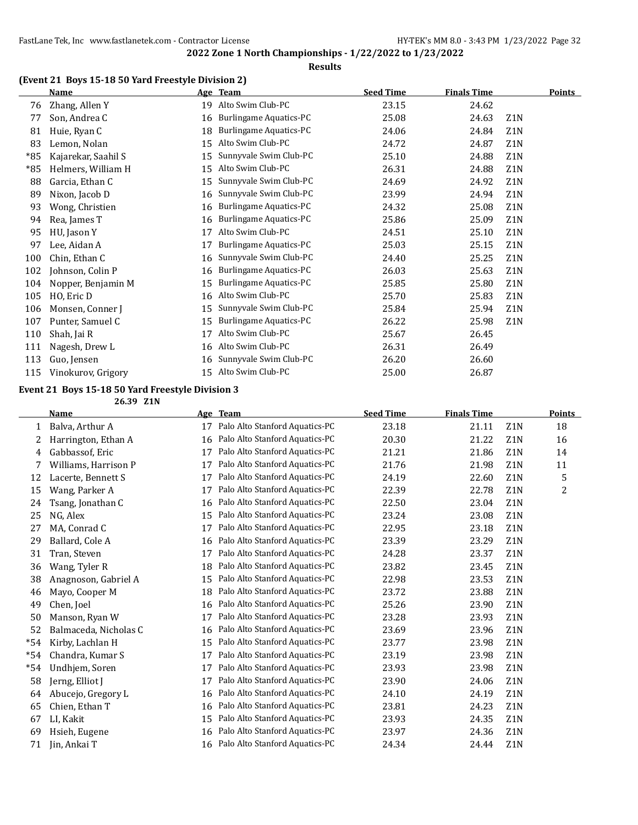#### **Results**

## **(Event 21 Boys 15-18 50 Yard Freestyle Division 2)**

|     | <b>Name</b>         |    | Age Team                      | <b>Seed Time</b> | <b>Finals Time</b> |                  | <b>Points</b> |
|-----|---------------------|----|-------------------------------|------------------|--------------------|------------------|---------------|
| 76  | Zhang, Allen Y      | 19 | Alto Swim Club-PC             | 23.15            | 24.62              |                  |               |
| 77  | Son, Andrea C       | 16 | <b>Burlingame Aquatics-PC</b> | 25.08            | 24.63              | Z <sub>1</sub> N |               |
| 81  | Huie, Ryan C        | 18 | Burlingame Aquatics-PC        | 24.06            | 24.84              | Z1N              |               |
| 83  | Lemon, Nolan        | 15 | Alto Swim Club-PC             | 24.72            | 24.87              | Z <sub>1</sub> N |               |
| *85 | Kajarekar, Saahil S | 15 | Sunnyvale Swim Club-PC        | 25.10            | 24.88              | Z <sub>1</sub> N |               |
| *85 | Helmers, William H  | 15 | Alto Swim Club-PC             | 26.31            | 24.88              | Z1N              |               |
| 88  | Garcia, Ethan C     | 15 | Sunnyvale Swim Club-PC        | 24.69            | 24.92              | Z <sub>1</sub> N |               |
| 89  | Nixon, Jacob D      | 16 | Sunnyvale Swim Club-PC        | 23.99            | 24.94              | Z1N              |               |
| 93  | Wong, Christien     | 16 | <b>Burlingame Aquatics-PC</b> | 24.32            | 25.08              | Z <sub>1</sub> N |               |
| 94  | Rea, James T        | 16 | <b>Burlingame Aquatics-PC</b> | 25.86            | 25.09              | Z1N              |               |
| 95  | HU, Jason Y         | 17 | Alto Swim Club-PC             | 24.51            | 25.10              | Z <sub>1</sub> N |               |
| 97  | Lee, Aidan A        | 17 | <b>Burlingame Aquatics-PC</b> | 25.03            | 25.15              | Z <sub>1</sub> N |               |
| 100 | Chin, Ethan C       | 16 | Sunnyvale Swim Club-PC        | 24.40            | 25.25              | Z <sub>1</sub> N |               |
| 102 | Johnson, Colin P    | 16 | <b>Burlingame Aquatics-PC</b> | 26.03            | 25.63              | Z1N              |               |
| 104 | Nopper, Benjamin M  | 15 | Burlingame Aquatics-PC        | 25.85            | 25.80              | Z1N              |               |
| 105 | HO, Eric D          | 16 | Alto Swim Club-PC             | 25.70            | 25.83              | Z <sub>1</sub> N |               |
| 106 | Monsen, Conner J    | 15 | Sunnyvale Swim Club-PC        | 25.84            | 25.94              | Z1N              |               |
| 107 | Punter, Samuel C    | 15 | <b>Burlingame Aquatics-PC</b> | 26.22            | 25.98              | Z1N              |               |
| 110 | Shah, Jai R         | 17 | Alto Swim Club-PC             | 25.67            | 26.45              |                  |               |
| 111 | Nagesh, Drew L      | 16 | Alto Swim Club-PC             | 26.31            | 26.49              |                  |               |
| 113 | Guo, Jensen         | 16 | Sunnyvale Swim Club-PC        | 26.20            | 26.60              |                  |               |
| 115 | Vinokurov, Grigory  | 15 | Alto Swim Club-PC             | 25.00            | 26.87              |                  |               |

## **Event 21 Boys 15-18 50 Yard Freestyle Division 3**

**26.39 Z1N**

|       | <b>Name</b>           | Age | <b>Team</b>                    | <b>Seed Time</b> | <b>Finals Time</b> |                  | Points |
|-------|-----------------------|-----|--------------------------------|------------------|--------------------|------------------|--------|
| 1     | Balva, Arthur A       | 17  | Palo Alto Stanford Aquatics-PC | 23.18            | 21.11              | Z <sub>1</sub> N | 18     |
| 2     | Harrington, Ethan A   | 16  | Palo Alto Stanford Aquatics-PC | 20.30            | 21.22              | Z1N              | 16     |
| 4     | Gabbassof, Eric       | 17  | Palo Alto Stanford Aquatics-PC | 21.21            | 21.86              | Z1N              | 14     |
| 7     | Williams, Harrison P  | 17  | Palo Alto Stanford Aquatics-PC | 21.76            | 21.98              | Z1N              | 11     |
| 12    | Lacerte, Bennett S    | 17  | Palo Alto Stanford Aquatics-PC | 24.19            | 22.60              | Z <sub>1</sub> N | 5      |
| 15    | Wang, Parker A        | 17  | Palo Alto Stanford Aquatics-PC | 22.39            | 22.78              | Z1N              | 2      |
| 24    | Tsang, Jonathan C     | 16  | Palo Alto Stanford Aquatics-PC | 22.50            | 23.04              | Z1N              |        |
| 25    | NG, Alex              | 15  | Palo Alto Stanford Aquatics-PC | 23.24            | 23.08              | Z1N              |        |
| 27    | MA, Conrad C          | 17  | Palo Alto Stanford Aquatics-PC | 22.95            | 23.18              | Z <sub>1</sub> N |        |
| 29    | Ballard, Cole A       | 16  | Palo Alto Stanford Aquatics-PC | 23.39            | 23.29              | Z <sub>1</sub> N |        |
| 31    | Tran, Steven          | 17  | Palo Alto Stanford Aquatics-PC | 24.28            | 23.37              | Z1N              |        |
| 36    | Wang, Tyler R         | 18  | Palo Alto Stanford Aquatics-PC | 23.82            | 23.45              | Z1N              |        |
| 38    | Anagnoson, Gabriel A  | 15  | Palo Alto Stanford Aquatics-PC | 22.98            | 23.53              | Z1N              |        |
| 46    | Mayo, Cooper M        | 18  | Palo Alto Stanford Aquatics-PC | 23.72            | 23.88              | Z1N              |        |
| 49    | Chen, Joel            | 16  | Palo Alto Stanford Aquatics-PC | 25.26            | 23.90              | Z <sub>1</sub> N |        |
| 50    | Manson, Ryan W        | 17  | Palo Alto Stanford Aquatics-PC | 23.28            | 23.93              | Z1N              |        |
| 52    | Balmaceda, Nicholas C | 16  | Palo Alto Stanford Aquatics-PC | 23.69            | 23.96              | Z <sub>1</sub> N |        |
| $*54$ | Kirby, Lachlan H      | 15  | Palo Alto Stanford Aquatics-PC | 23.77            | 23.98              | Z <sub>1</sub> N |        |
| $*54$ | Chandra, Kumar S      | 17  | Palo Alto Stanford Aquatics-PC | 23.19            | 23.98              | Z <sub>1</sub> N |        |
| $*54$ | Undhjem, Soren        | 17  | Palo Alto Stanford Aquatics-PC | 23.93            | 23.98              | Z <sub>1</sub> N |        |
| 58    | Jerng, Elliot J       | 17  | Palo Alto Stanford Aquatics-PC | 23.90            | 24.06              | Z <sub>1</sub> N |        |
| 64    | Abucejo, Gregory L    | 16  | Palo Alto Stanford Aquatics-PC | 24.10            | 24.19              | Z <sub>1</sub> N |        |
| 65    | Chien, Ethan T        | 16  | Palo Alto Stanford Aquatics-PC | 23.81            | 24.23              | Z <sub>1</sub> N |        |
| 67    | LI, Kakit             | 15  | Palo Alto Stanford Aquatics-PC | 23.93            | 24.35              | Z <sub>1</sub> N |        |
| 69    | Hsieh, Eugene         | 16  | Palo Alto Stanford Aquatics-PC | 23.97            | 24.36              | Z <sub>1</sub> N |        |
| 71    | Jin, Ankai T          | 16  | Palo Alto Stanford Aquatics-PC | 24.34            | 24.44              | Z <sub>1</sub> N |        |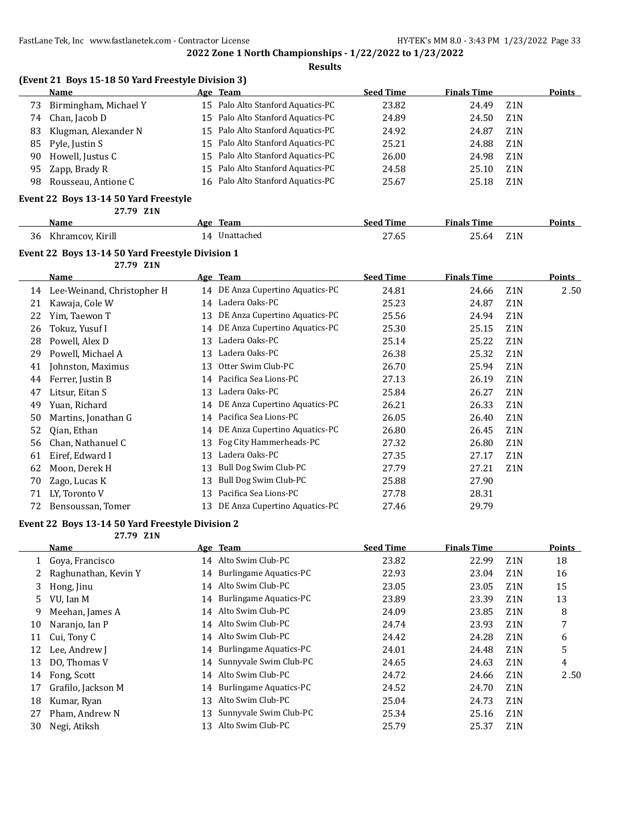**Results**

|    | Name                                  | Age Team                          | <b>Seed Time</b> | <b>Finals Time</b> |                  | Points |
|----|---------------------------------------|-----------------------------------|------------------|--------------------|------------------|--------|
| 73 | Birmingham, Michael Y                 | 15 Palo Alto Stanford Aquatics-PC | 23.82            | 24.49              | Z <sub>1</sub> N |        |
| 74 | Chan, Jacob D                         | 15 Palo Alto Stanford Aquatics-PC | 24.89            | 24.50              | Z <sub>1</sub> N |        |
| 83 | Klugman, Alexander N                  | 15 Palo Alto Stanford Aquatics-PC | 24.92            | 24.87              | Z <sub>1</sub> N |        |
| 85 | Pyle, Justin S                        | 15 Palo Alto Stanford Aquatics-PC | 25.21            | 24.88              | Z1N              |        |
| 90 | Howell, Justus C                      | 15 Palo Alto Stanford Aquatics-PC | 26.00            | 24.98              | Z <sub>1</sub> N |        |
| 95 | Zapp, Brady R                         | 15 Palo Alto Stanford Aquatics-PC | 24.58            | 25.10              | Z <sub>1</sub> N |        |
| 98 | Rousseau, Antione C                   | 16 Palo Alto Stanford Aquatics-PC | 25.67            | 25.18              | Z1N              |        |
|    | Event 22 Boys 13-14 50 Yard Freestyle |                                   |                  |                    |                  |        |
|    | 27.79 Z1N                             |                                   |                  |                    |                  |        |
|    |                                       |                                   | - --             | ----               |                  |        |

|    | Name             | Ασρ | Team       | seed Time     | <b>Finals Time</b>          | 'oınts |
|----|------------------|-----|------------|---------------|-----------------------------|--------|
| 36 | Khramcov, Kirill | 14  | Unattached | 27.65<br>$ -$ | 71 N<br>∠5.64<br>ப்ப<br>___ |        |

## **Event 22 Boys 13-14 50 Yard Freestyle Division 1**

**27.79 Z1N**

|    | Name                       |    | Age Team                      | <b>Seed Time</b> | <b>Finals Time</b> |                  | <b>Points</b> |
|----|----------------------------|----|-------------------------------|------------------|--------------------|------------------|---------------|
| 14 | Lee-Weinand, Christopher H | 14 | DE Anza Cupertino Aquatics-PC | 24.81            | 24.66              | Z <sub>1</sub> N | 2.50          |
| 21 | Kawaja, Cole W             | 14 | Ladera Oaks-PC                | 25.23            | 24.87              | Z <sub>1</sub> N |               |
| 22 | Yim, Taewon T              | 13 | DE Anza Cupertino Aquatics-PC | 25.56            | 24.94              | Z <sub>1</sub> N |               |
| 26 | Tokuz, Yusuf I             | 14 | DE Anza Cupertino Aquatics-PC | 25.30            | 25.15              | Z <sub>1</sub> N |               |
| 28 | Powell, Alex D             | 13 | Ladera Oaks-PC                | 25.14            | 25.22              | Z <sub>1</sub> N |               |
| 29 | Powell, Michael A          | 13 | Ladera Oaks-PC                | 26.38            | 25.32              | Z <sub>1</sub> N |               |
| 41 | Johnston, Maximus          | 13 | Otter Swim Club-PC            | 26.70            | 25.94              | Z <sub>1</sub> N |               |
| 44 | Ferrer, Justin B           | 14 | Pacifica Sea Lions-PC         | 27.13            | 26.19              | Z <sub>1</sub> N |               |
| 47 | Litsur, Eitan S            | 13 | Ladera Oaks-PC                | 25.84            | 26.27              | Z <sub>1</sub> N |               |
| 49 | Yuan, Richard              | 14 | DE Anza Cupertino Aquatics-PC | 26.21            | 26.33              | Z <sub>1</sub> N |               |
| 50 | Martins, Jonathan G        | 14 | Pacifica Sea Lions-PC         | 26.05            | 26.40              | Z <sub>1</sub> N |               |
| 52 | Qian, Ethan                | 14 | DE Anza Cupertino Aquatics-PC | 26.80            | 26.45              | Z <sub>1</sub> N |               |
| 56 | Chan, Nathanuel C          | 13 | Fog City Hammerheads-PC       | 27.32            | 26.80              | Z <sub>1</sub> N |               |
| 61 | Eiref, Edward I            | 13 | Ladera Oaks-PC                | 27.35            | 27.17              | Z <sub>1</sub> N |               |
| 62 | Moon, Derek H              | 13 | Bull Dog Swim Club-PC         | 27.79            | 27.21              | Z <sub>1</sub> N |               |
| 70 | Zago, Lucas K              | 13 | Bull Dog Swim Club-PC         | 25.88            | 27.90              |                  |               |
| 71 | LY, Toronto V              | 13 | Pacifica Sea Lions-PC         | 27.78            | 28.31              |                  |               |
| 72 | Bensoussan, Tomer          | 13 | DE Anza Cupertino Aquatics-PC | 27.46            | 29.79              |                  |               |

#### **Event 22 Boys 13-14 50 Yard Freestyle Division 2**

**27.79 Z1N**

|    | Name                 |    | Age Team                      | <b>Seed Time</b> | <b>Finals Time</b> |                  | <b>Points</b> |
|----|----------------------|----|-------------------------------|------------------|--------------------|------------------|---------------|
|    | Gova, Francisco      |    | 14 Alto Swim Club-PC          | 23.82            | 22.99              | Z <sub>1</sub> N | 18            |
|    | Raghunathan, Kevin Y | 14 | <b>Burlingame Aquatics-PC</b> | 22.93            | 23.04              | Z <sub>1</sub> N | 16            |
| 3  | Hong, Jinu           | 14 | Alto Swim Club-PC             | 23.05            | 23.05              | Z <sub>1</sub> N | 15            |
| 5. | VU. Ian M            |    | 14 Burlingame Aquatics-PC     | 23.89            | 23.39              | Z <sub>1</sub> N | 13            |
| 9  | Meehan, James A      |    | 14 Alto Swim Club-PC          | 24.09            | 23.85              | Z <sub>1</sub> N | 8             |
| 10 | Naranjo, Ian P       | 14 | Alto Swim Club-PC             | 24.74            | 23.93              | Z <sub>1</sub> N | 7             |
| 11 | Cui, Tony C          |    | 14 Alto Swim Club-PC          | 24.42            | 24.28              | Z <sub>1</sub> N | 6             |
| 12 | Lee, Andrew J        |    | 14 Burlingame Aquatics-PC     | 24.01            | 24.48              | Z <sub>1</sub> N | 5             |
| 13 | DO, Thomas V         |    | 14 Sunnyvale Swim Club-PC     | 24.65            | 24.63              | Z <sub>1</sub> N | 4             |
| 14 | Fong, Scott          | 14 | Alto Swim Club-PC             | 24.72            | 24.66              | Z <sub>1</sub> N | 2.50          |
| 17 | Grafilo, Jackson M   | 14 | <b>Burlingame Aquatics-PC</b> | 24.52            | 24.70              | Z <sub>1</sub> N |               |
| 18 | Kumar, Ryan          | 13 | Alto Swim Club-PC             | 25.04            | 24.73              | Z <sub>1</sub> N |               |
| 27 | Pham, Andrew N       | 13 | Sunnyvale Swim Club-PC        | 25.34            | 25.16              | Z <sub>1</sub> N |               |
| 30 | Negi, Atiksh         | 13 | Alto Swim Club-PC             | 25.79            | 25.37              | Z <sub>1</sub> N |               |
|    |                      |    |                               |                  |                    |                  |               |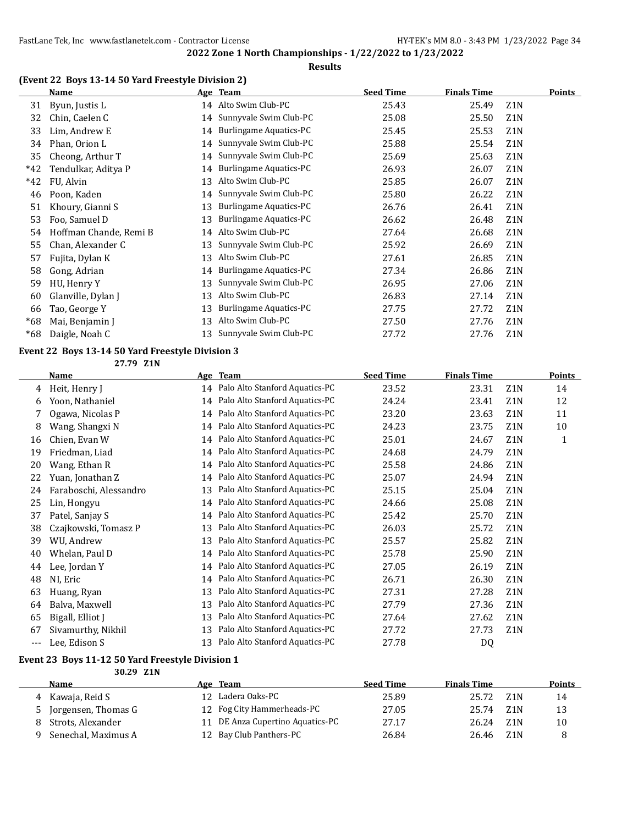## **Results**

## **(Event 22 Boys 13-14 50 Yard Freestyle Division 2)**

|       | Name                   |    | Age Team                      | <b>Seed Time</b> | <b>Finals Time</b> |                  | <b>Points</b> |
|-------|------------------------|----|-------------------------------|------------------|--------------------|------------------|---------------|
| 31    | Byun, Justis L         |    | 14 Alto Swim Club-PC          | 25.43            | 25.49              | Z <sub>1</sub> N |               |
| 32    | Chin, Caelen C         | 14 | Sunnyvale Swim Club-PC        | 25.08            | 25.50              | Z <sub>1</sub> N |               |
| 33    | Lim, Andrew E          | 14 | <b>Burlingame Aquatics-PC</b> | 25.45            | 25.53              | Z <sub>1</sub> N |               |
| 34    | Phan, Orion L          | 14 | Sunnyvale Swim Club-PC        | 25.88            | 25.54              | Z <sub>1</sub> N |               |
| 35    | Cheong, Arthur T       | 14 | Sunnyvale Swim Club-PC        | 25.69            | 25.63              | Z <sub>1</sub> N |               |
| $*42$ | Tendulkar, Aditya P    | 14 | <b>Burlingame Aquatics-PC</b> | 26.93            | 26.07              | Z <sub>1</sub> N |               |
| $*42$ | FU, Alvin              | 13 | Alto Swim Club-PC             | 25.85            | 26.07              | Z <sub>1</sub> N |               |
| 46    | Poon, Kaden            | 14 | Sunnyvale Swim Club-PC        | 25.80            | 26.22              | Z <sub>1</sub> N |               |
| 51    | Khoury, Gianni S       | 13 | Burlingame Aquatics-PC        | 26.76            | 26.41              | Z <sub>1</sub> N |               |
| 53    | Foo, Samuel D          | 13 | <b>Burlingame Aquatics-PC</b> | 26.62            | 26.48              | Z <sub>1</sub> N |               |
| 54    | Hoffman Chande, Remi B | 14 | Alto Swim Club-PC             | 27.64            | 26.68              | Z <sub>1</sub> N |               |
| 55    | Chan, Alexander C      | 13 | Sunnyvale Swim Club-PC        | 25.92            | 26.69              | Z <sub>1</sub> N |               |
| 57    | Fujita, Dylan K        | 13 | Alto Swim Club-PC             | 27.61            | 26.85              | Z <sub>1</sub> N |               |
| 58    | Gong, Adrian           | 14 | Burlingame Aquatics-PC        | 27.34            | 26.86              | Z <sub>1</sub> N |               |
| 59    | HU, Henry Y            | 13 | Sunnyvale Swim Club-PC        | 26.95            | 27.06              | Z <sub>1</sub> N |               |
| 60    | Glanville, Dylan J     | 13 | Alto Swim Club-PC             | 26.83            | 27.14              | Z <sub>1</sub> N |               |
| 66    | Tao, George Y          | 13 | <b>Burlingame Aquatics-PC</b> | 27.75            | 27.72              | Z <sub>1</sub> N |               |
| $*68$ | Mai, Benjamin J        | 13 | Alto Swim Club-PC             | 27.50            | 27.76              | Z <sub>1</sub> N |               |
| $*68$ | Daigle, Noah C         | 13 | Sunnyvale Swim Club-PC        | 27.72            | 27.76              | Z <sub>1</sub> N |               |

#### **Event 22 Boys 13-14 50 Yard Freestyle Division 3**

**27.79 Z1N**

|       | Name                   |    | Age Team                          | <b>Seed Time</b> | <b>Finals Time</b> |                  | <b>Points</b> |
|-------|------------------------|----|-----------------------------------|------------------|--------------------|------------------|---------------|
| 4     | Heit, Henry J          |    | 14 Palo Alto Stanford Aquatics-PC | 23.52            | 23.31              | Z <sub>1</sub> N | 14            |
| 6     | Yoon, Nathaniel        | 14 | Palo Alto Stanford Aquatics-PC    | 24.24            | 23.41              | Z <sub>1</sub> N | 12            |
| 7     | Ogawa, Nicolas P       | 14 | Palo Alto Stanford Aquatics-PC    | 23.20            | 23.63              | Z <sub>1</sub> N | 11            |
| 8     | Wang, Shangxi N        | 14 | Palo Alto Stanford Aquatics-PC    | 24.23            | 23.75              | Z1N              | 10            |
| 16    | Chien, Evan W          | 14 | Palo Alto Stanford Aquatics-PC    | 25.01            | 24.67              | Z <sub>1</sub> N | $\mathbf{1}$  |
| 19    | Friedman, Liad         | 14 | Palo Alto Stanford Aquatics-PC    | 24.68            | 24.79              | Z1N              |               |
| 20    | Wang, Ethan R          | 14 | Palo Alto Stanford Aquatics-PC    | 25.58            | 24.86              | Z <sub>1</sub> N |               |
| 22    | Yuan, Jonathan Z       | 14 | Palo Alto Stanford Aquatics-PC    | 25.07            | 24.94              | Z1N              |               |
| 24    | Faraboschi, Alessandro | 13 | Palo Alto Stanford Aquatics-PC    | 25.15            | 25.04              | Z <sub>1</sub> N |               |
| 25    | Lin, Hongyu            | 14 | Palo Alto Stanford Aquatics-PC    | 24.66            | 25.08              | Z <sub>1</sub> N |               |
| 37    | Patel, Sanjay S        | 14 | Palo Alto Stanford Aquatics-PC    | 25.42            | 25.70              | Z <sub>1</sub> N |               |
| 38    | Czajkowski, Tomasz P   | 13 | Palo Alto Stanford Aquatics-PC    | 26.03            | 25.72              | Z <sub>1</sub> N |               |
| 39    | WU, Andrew             | 13 | Palo Alto Stanford Aquatics-PC    | 25.57            | 25.82              | Z1N              |               |
| 40    | Whelan, Paul D         | 14 | Palo Alto Stanford Aquatics-PC    | 25.78            | 25.90              | Z <sub>1</sub> N |               |
| 44    | Lee, Jordan Y          | 14 | Palo Alto Stanford Aquatics-PC    | 27.05            | 26.19              | Z <sub>1</sub> N |               |
| 48    | NI, Eric               | 14 | Palo Alto Stanford Aquatics-PC    | 26.71            | 26.30              | Z1N              |               |
| 63    | Huang, Ryan            | 13 | Palo Alto Stanford Aquatics-PC    | 27.31            | 27.28              | Z <sub>1</sub> N |               |
| 64    | Balva, Maxwell         | 13 | Palo Alto Stanford Aquatics-PC    | 27.79            | 27.36              | Z <sub>1</sub> N |               |
| 65    | Bigall, Elliot J       | 13 | Palo Alto Stanford Aquatics-PC    | 27.64            | 27.62              | Z <sub>1</sub> N |               |
| 67    | Sivamurthy, Nikhil     | 13 | Palo Alto Stanford Aquatics-PC    | 27.72            | 27.73              | Z <sub>1</sub> N |               |
| $---$ | Lee, Edison S          | 13 | Palo Alto Stanford Aquatics-PC    | 27.78            | DQ                 |                  |               |

#### **Event 23 Boys 11-12 50 Yard Freestyle Division 1 30.29 Z1N**

| Name                |                 | Age Team                      | <b>Seed Time</b> | <b>Finals Time</b> |                  | <b>Points</b> |
|---------------------|-----------------|-------------------------------|------------------|--------------------|------------------|---------------|
| 4 Kawaja, Reid S    | 12 <sup>1</sup> | Ladera Oaks-PC                | 25.89            | 25.72              | Z1N              | 14            |
| Jorgensen, Thomas G |                 | 12 Fog City Hammerheads-PC    | 27.05            | 25.74              | Z1N              | 13            |
| Strots, Alexander   |                 | DE Anza Cupertino Aquatics-PC | 27.17            | 26.24              | Z <sub>1</sub> N | 10            |
| Senechal, Maximus A | 12              | Bay Club Panthers-PC          | 26.84            | 26.46              | Z <sub>1</sub> N |               |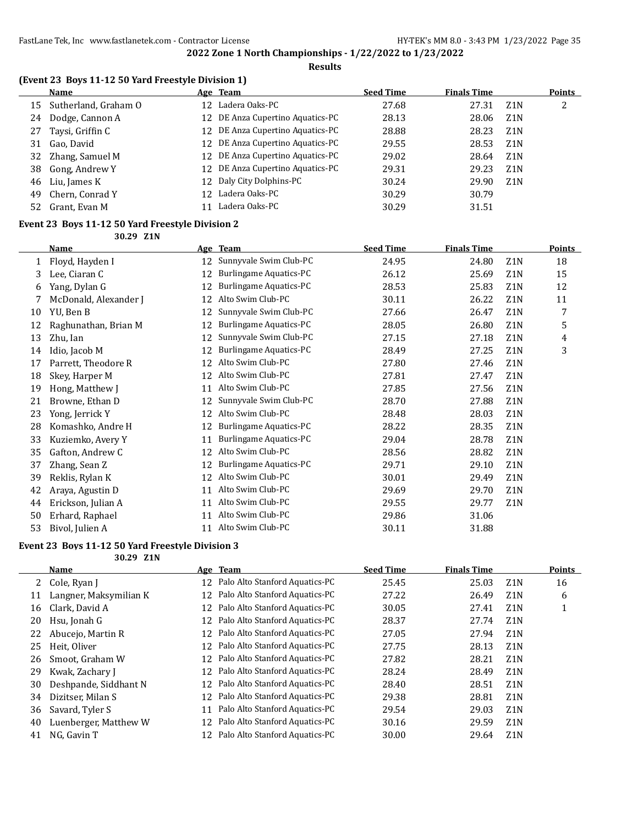#### **Results**

|  | (Event 23 Boys 11-12 50 Yard Freestyle Division 1) |  |
|--|----------------------------------------------------|--|
|  |                                                    |  |

|    | Name                 | <u>Age Team</u>                  | <b>Seed Time</b> | <b>Finals Time</b> |                  | <b>Points</b> |
|----|----------------------|----------------------------------|------------------|--------------------|------------------|---------------|
| 15 | Sutherland, Graham O | 12 Ladera Oaks-PC                | 27.68            | 27.31              | Z1N              | 2             |
| 24 | Dodge, Cannon A      | 12 DE Anza Cupertino Aquatics-PC | 28.13            | 28.06              | Z1N              |               |
| 27 | Taysi, Griffin C     | 12 DE Anza Cupertino Aquatics-PC | 28.88            | 28.23              | Z <sub>1</sub> N |               |
| 31 | Gao, David           | 12 DE Anza Cupertino Aquatics-PC | 29.55            | 28.53              | Z1N              |               |
|    | 32 Zhang, Samuel M   | 12 DE Anza Cupertino Aquatics-PC | 29.02            | 28.64              | Z1N              |               |
| 38 | Gong, Andrew Y       | 12 DE Anza Cupertino Aquatics-PC | 29.31            | 29.23              | Z <sub>1</sub> N |               |
| 46 | Liu, James K         | 12 Daly City Dolphins-PC         | 30.24            | 29.90              | Z <sub>1</sub> N |               |
| 49 | Chern, Conrad Y      | 12 Ladera Oaks-PC                | 30.29            | 30.79              |                  |               |
| 52 | Grant, Evan M        | Ladera Oaks-PC                   | 30.29            | 31.51              |                  |               |

#### **Event 23 Boys 11-12 50 Yard Freestyle Division 2 30.29 Z1N**

|    | Name                  |    | Age Team                      | <b>Seed Time</b> | <b>Finals Time</b> |                  | <b>Points</b> |
|----|-----------------------|----|-------------------------------|------------------|--------------------|------------------|---------------|
| 1  | Floyd, Hayden I       | 12 | Sunnyvale Swim Club-PC        | 24.95            | 24.80              | Z1N              | 18            |
| 3  | Lee, Ciaran C         | 12 | <b>Burlingame Aquatics-PC</b> | 26.12            | 25.69              | Z1N              | 15            |
| 6  | Yang, Dylan G         | 12 | <b>Burlingame Aquatics-PC</b> | 28.53            | 25.83              | Z <sub>1</sub> N | 12            |
|    | McDonald, Alexander J | 12 | Alto Swim Club-PC             | 30.11            | 26.22              | Z1N              | 11            |
| 10 | YU, Ben B             | 12 | Sunnyvale Swim Club-PC        | 27.66            | 26.47              | Z1N              | 7             |
| 12 | Raghunathan, Brian M  | 12 | <b>Burlingame Aquatics-PC</b> | 28.05            | 26.80              | Z1N              | 5             |
| 13 | Zhu, Ian              | 12 | Sunnyvale Swim Club-PC        | 27.15            | 27.18              | Z <sub>1</sub> N | 4             |
| 14 | Idio, Jacob M         | 12 | <b>Burlingame Aquatics-PC</b> | 28.49            | 27.25              | Z1N              | 3             |
| 17 | Parrett, Theodore R   | 12 | Alto Swim Club-PC             | 27.80            | 27.46              | Z1N              |               |
| 18 | Skey, Harper M        | 12 | Alto Swim Club-PC             | 27.81            | 27.47              | Z1N              |               |
| 19 | Hong, Matthew J       | 11 | Alto Swim Club-PC             | 27.85            | 27.56              | Z1N              |               |
| 21 | Browne, Ethan D       | 12 | Sunnyvale Swim Club-PC        | 28.70            | 27.88              | Z1N              |               |
| 23 | Yong, Jerrick Y       | 12 | Alto Swim Club-PC             | 28.48            | 28.03              | Z1N              |               |
| 28 | Komashko, Andre H     | 12 | <b>Burlingame Aquatics-PC</b> | 28.22            | 28.35              | Z1N              |               |
| 33 | Kuziemko, Avery Y     | 11 | <b>Burlingame Aquatics-PC</b> | 29.04            | 28.78              | Z <sub>1</sub> N |               |
| 35 | Gafton, Andrew C      | 12 | Alto Swim Club-PC             | 28.56            | 28.82              | Z1N              |               |
| 37 | Zhang, Sean Z         | 12 | Burlingame Aquatics-PC        | 29.71            | 29.10              | Z1N              |               |
| 39 | Reklis, Rylan K       | 12 | Alto Swim Club-PC             | 30.01            | 29.49              | Z1N              |               |
| 42 | Araya, Agustin D      | 11 | Alto Swim Club-PC             | 29.69            | 29.70              | Z1N              |               |
| 44 | Erickson, Julian A    | 11 | Alto Swim Club-PC             | 29.55            | 29.77              | Z1N              |               |
| 50 | Erhard, Raphael       | 11 | Alto Swim Club-PC             | 29.86            | 31.06              |                  |               |
| 53 | Bivol, Julien A       | 11 | Alto Swim Club-PC             | 30.11            | 31.88              |                  |               |

#### **Event 23 Boys 11-12 50 Yard Freestyle Division 3**

**30.29 Z1N**

| Name                   |                |                                | <b>Seed Time</b>                                                                                                                                                                                             | <b>Finals Time</b> |                  | <b>Points</b> |
|------------------------|----------------|--------------------------------|--------------------------------------------------------------------------------------------------------------------------------------------------------------------------------------------------------------|--------------------|------------------|---------------|
|                        |                | Palo Alto Stanford Aquatics-PC | 25.45                                                                                                                                                                                                        | 25.03              | Z <sub>1</sub> N | 16            |
| Langner, Maksymilian K |                |                                | 27.22                                                                                                                                                                                                        | 26.49              | Z <sub>1</sub> N | 6             |
| Clark, David A         |                | Palo Alto Stanford Aquatics-PC | 30.05                                                                                                                                                                                                        | 27.41              | Z1N              |               |
| Hsu, Jonah G           |                | Palo Alto Stanford Aquatics-PC | 28.37                                                                                                                                                                                                        | 27.74              | Z <sub>1</sub> N |               |
| Abucejo, Martin R      |                |                                | 27.05                                                                                                                                                                                                        | 27.94              | Z <sub>1</sub> N |               |
| Heit, Oliver           |                | Palo Alto Stanford Aquatics-PC | 27.75                                                                                                                                                                                                        | 28.13              | Z <sub>1</sub> N |               |
| Smoot, Graham W        |                |                                | 27.82                                                                                                                                                                                                        | 28.21              | Z <sub>1</sub> N |               |
| Kwak, Zachary J        |                | Palo Alto Stanford Aquatics-PC | 28.24                                                                                                                                                                                                        | 28.49              | Z <sub>1</sub> N |               |
| Deshpande, Siddhant N  |                | Palo Alto Stanford Aquatics-PC | 28.40                                                                                                                                                                                                        | 28.51              | Z <sub>1</sub> N |               |
| Dizitser, Milan S      |                |                                | 29.38                                                                                                                                                                                                        | 28.81              | Z <sub>1</sub> N |               |
| Savard, Tyler S        | 11             | Palo Alto Stanford Aquatics-PC | 29.54                                                                                                                                                                                                        | 29.03              | Z <sub>1</sub> N |               |
| Luenberger, Matthew W  |                | Palo Alto Stanford Aquatics-PC | 30.16                                                                                                                                                                                                        | 29.59              | Z <sub>1</sub> N |               |
| NG, Gavin T            |                | Palo Alto Stanford Aquatics-PC | 30.00                                                                                                                                                                                                        | 29.64              | Z <sub>1</sub> N |               |
|                        | 2 Cole, Ryan J |                                | Age Team<br>12<br>12 Palo Alto Stanford Aquatics-PC<br>12<br>12<br>12 Palo Alto Stanford Aquatics-PC<br>12<br>12 Palo Alto Stanford Aquatics-PC<br>12<br>12<br>12 Palo Alto Stanford Aquatics-PC<br>12<br>12 |                    |                  |               |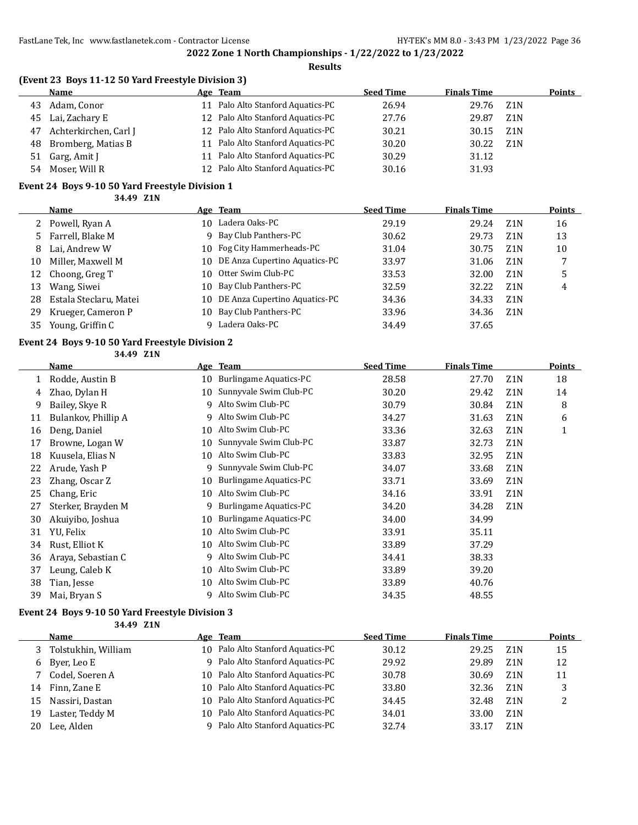#### **Results**

| Name                  |                                                            | <b>Seed Time</b>                                                                                                                                                                                                                 | <b>Finals Time</b> |                  | <b>Points</b> |
|-----------------------|------------------------------------------------------------|----------------------------------------------------------------------------------------------------------------------------------------------------------------------------------------------------------------------------------|--------------------|------------------|---------------|
| Adam, Conor           |                                                            | 26.94                                                                                                                                                                                                                            | 29.76              | Z1N              |               |
|                       |                                                            | 27.76                                                                                                                                                                                                                            | 29.87              | Z1N              |               |
| Achterkirchen, Carl J |                                                            | 30.21                                                                                                                                                                                                                            | 30.15              | Z <sub>1</sub> N |               |
|                       |                                                            | 30.20                                                                                                                                                                                                                            | 30.22              | Z <sub>1</sub> N |               |
|                       |                                                            | 30.29                                                                                                                                                                                                                            | 31.12              |                  |               |
| Moser, Will R         |                                                            | 30.16                                                                                                                                                                                                                            | 31.93              |                  |               |
|                       | 45 Lai, Zachary E<br>48 Bromberg, Matias B<br>Garg, Amit J | Age Team<br>Palo Alto Stanford Aquatics-PC<br>12 Palo Alto Stanford Aquatics-PC<br>12 Palo Alto Stanford Aquatics-PC<br>11 Palo Alto Stanford Aquatics-PC<br>Palo Alto Stanford Aquatics-PC<br>12 Palo Alto Stanford Aquatics-PC |                    |                  |               |

#### **Event 24 Boys 9-10 50 Yard Freestyle Division 1**

**34.49 Z1N**

|    | Name                   |     | Age Team                         | <b>Seed Time</b> | <b>Finals Time</b> |                  | <b>Points</b> |
|----|------------------------|-----|----------------------------------|------------------|--------------------|------------------|---------------|
|    | 2 Powell, Ryan A       | 10. | Ladera Oaks-PC                   | 29.19            | 29.24              | Z <sub>1</sub> N | 16            |
|    | 5 Farrell, Blake M     | 9   | Bay Club Panthers-PC             | 30.62            | 29.73              | Z <sub>1</sub> N | 13            |
| 8  | Lai, Andrew W          |     | 10 Fog City Hammerheads-PC       | 31.04            | 30.75              | Z <sub>1</sub> N | 10            |
| 10 | Miller, Maxwell M      |     | 10 DE Anza Cupertino Aquatics-PC | 33.97            | 31.06              | Z1N              |               |
|    | 12 Choong, Greg T      |     | 10 Otter Swim Club-PC            | 33.53            | 32.00              | Z <sub>1</sub> N | 5             |
| 13 | Wang, Siwei            | 10. | Bay Club Panthers-PC             | 32.59            | 32.22              | Z <sub>1</sub> N | 4             |
| 28 | Estala Steclaru, Matei |     | 10 DE Anza Cupertino Aquatics-PC | 34.36            | 34.33              | Z <sub>1</sub> N |               |
| 29 | Krueger, Cameron P     |     | 10 Bay Club Panthers-PC          | 33.96            | 34.36              | Z <sub>1</sub> N |               |
| 35 | Young, Griffin C       | Q   | Ladera Oaks-PC                   | 34.49            | 37.65              |                  |               |

# **Event 24 Boys 9-10 50 Yard Freestyle Division 2**

**34.49 Z1N**

|    | Name                |    | Age Team                      | <b>Seed Time</b> | <b>Finals Time</b> |                  | Points |
|----|---------------------|----|-------------------------------|------------------|--------------------|------------------|--------|
|    | Rodde, Austin B     | 10 | Burlingame Aquatics-PC        | 28.58            | 27.70              | Z1N              | 18     |
| 4  | Zhao, Dylan H       | 10 | Sunnyvale Swim Club-PC        | 30.20            | 29.42              | Z <sub>1</sub> N | 14     |
| 9  | Bailey, Skye R      | q  | Alto Swim Club-PC             | 30.79            | 30.84              | Z <sub>1</sub> N | 8      |
| 11 | Bulankov, Phillip A | 9  | Alto Swim Club-PC             | 34.27            | 31.63              | Z <sub>1</sub> N | 6      |
| 16 | Deng, Daniel        | 10 | Alto Swim Club-PC             | 33.36            | 32.63              | Z <sub>1</sub> N | 1      |
| 17 | Browne, Logan W     | 10 | Sunnyvale Swim Club-PC        | 33.87            | 32.73              | Z <sub>1</sub> N |        |
| 18 | Kuusela, Elias N    | 10 | Alto Swim Club-PC             | 33.83            | 32.95              | Z <sub>1</sub> N |        |
| 22 | Arude, Yash P       | 9  | Sunnyvale Swim Club-PC        | 34.07            | 33.68              | Z <sub>1</sub> N |        |
| 23 | Zhang, Oscar Z      | 10 | <b>Burlingame Aquatics-PC</b> | 33.71            | 33.69              | Z <sub>1</sub> N |        |
| 25 | Chang, Eric         | 10 | Alto Swim Club-PC             | 34.16            | 33.91              | Z <sub>1</sub> N |        |
| 27 | Sterker, Brayden M  | 9  | <b>Burlingame Aquatics-PC</b> | 34.20            | 34.28              | Z <sub>1</sub> N |        |
| 30 | Akuiyibo, Joshua    | 10 | Burlingame Aquatics-PC        | 34.00            | 34.99              |                  |        |
| 31 | YU, Felix           | 10 | Alto Swim Club-PC             | 33.91            | 35.11              |                  |        |
| 34 | Rust, Elliot K      | 10 | Alto Swim Club-PC             | 33.89            | 37.29              |                  |        |
| 36 | Araya, Sebastian C  | 9  | Alto Swim Club-PC             | 34.41            | 38.33              |                  |        |
| 37 | Leung, Caleb K      | 10 | Alto Swim Club-PC             | 33.89            | 39.20              |                  |        |
| 38 | Tian, Jesse         | 10 | Alto Swim Club-PC             | 33.89            | 40.76              |                  |        |
| 39 | Mai, Bryan S        | q  | Alto Swim Club-PC             | 34.35            | 48.55              |                  |        |

#### **Event 24 Boys 9-10 50 Yard Freestyle Division 3**

**34.49 Z1N**

|                | Name                |     | Age Team                          | <b>Seed Time</b> | <b>Finals Time</b> |                  | Points |
|----------------|---------------------|-----|-----------------------------------|------------------|--------------------|------------------|--------|
| 3 <sup>7</sup> | Tolstukhin, William |     | 10 Palo Alto Stanford Aquatics-PC | 30.12            | 29.25              | Z1N              | 15     |
|                | 6 Byer, Leo E       | q.  | Palo Alto Stanford Aquatics-PC    | 29.92            | 29.89              | Z <sub>1</sub> N | 12     |
|                | 7 Codel, Soeren A   | 10. | Palo Alto Stanford Aquatics-PC    | 30.78            | 30.69              | Z <sub>1</sub> N | 11     |
| 14             | Finn. Zane E        |     | 10 Palo Alto Stanford Aquatics-PC | 33.80            | 32.36              | Z <sub>1</sub> N |        |
| 15             | Nassiri, Dastan     |     | 10 Palo Alto Stanford Aquatics-PC | 34.45            | 32.48              | Z <sub>1</sub> N |        |
| 19             | Laster, Teddy M     | 10. | Palo Alto Stanford Aquatics-PC    | 34.01            | 33.00              | Z <sub>1</sub> N |        |
| 20             | Lee. Alden          |     | Palo Alto Stanford Aquatics-PC    | 32.74            | 33.17              | Z <sub>1</sub> N |        |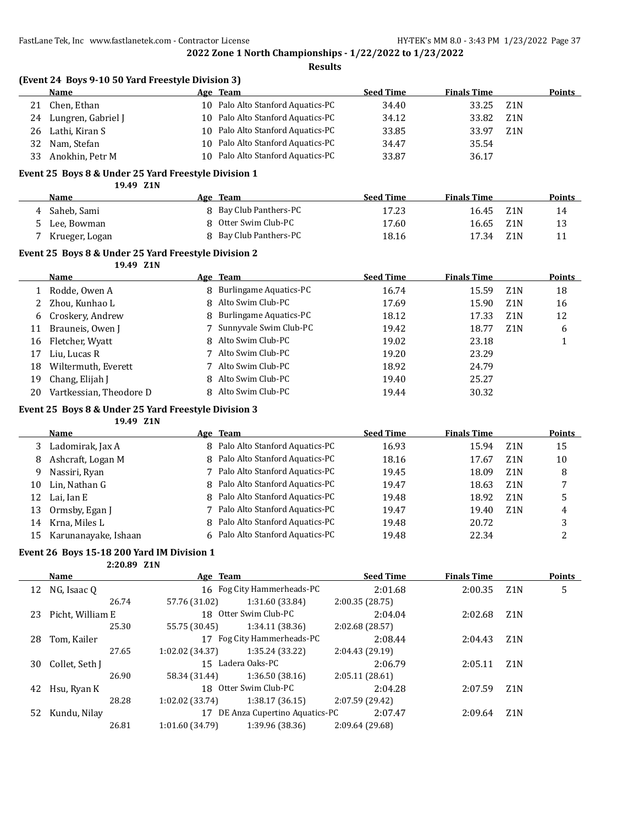**Results**

|    | (Event 24 Boys 9-10 50 Yard Freestyle Division 3) |  |                                   |                  |                    |                  |        |  |  |  |
|----|---------------------------------------------------|--|-----------------------------------|------------------|--------------------|------------------|--------|--|--|--|
|    | Name                                              |  | Age Team                          | <b>Seed Time</b> | <b>Finals Time</b> |                  | Points |  |  |  |
| 21 | Chen, Ethan                                       |  | 10 Palo Alto Stanford Aquatics-PC | 34.40            | 33.25              | Z1N              |        |  |  |  |
| 24 | Lungren, Gabriel J                                |  | 10 Palo Alto Stanford Aquatics-PC | 34.12            | 33.82              | Z1N              |        |  |  |  |
| 26 | Lathi, Kiran S                                    |  | 10 Palo Alto Stanford Aquatics-PC | 33.85            | 33.97              | Z <sub>1</sub> N |        |  |  |  |
| 32 | Nam, Stefan                                       |  | 10 Palo Alto Stanford Aquatics-PC | 34.47            | 35.54              |                  |        |  |  |  |
| 33 | Anokhin, Petr M                                   |  | 10 Palo Alto Stanford Aquatics-PC | 33.87            | 36.17              |                  |        |  |  |  |

### **Event 25 Boys 8 & Under 25 Yard Freestyle Division 1**

**19.49 Z1N**

| <b>Name</b> |                | Age Team               | <b>Seed Time</b> | <b>Finals Time</b> |        | <b>Points</b> |
|-------------|----------------|------------------------|------------------|--------------------|--------|---------------|
|             | Saheb. Sami    | 8 Bay Club Panthers-PC | 17.23            | 16.45              | Z1N    | 14            |
|             | Lee. Bowman    | 8 Otter Swim Club-PC   | 17.60            | 16.65              | – Z1 N | 13            |
|             | Krueger, Logan | 8 Bay Club Panthers-PC | 18.16            | 17.34              | Z1N    |               |

#### **Event 25 Boys 8 & Under 25 Yard Freestyle Division 2**

**19.49 Z1N**

|    | Name                    | Age Team                 | <b>Seed Time</b> | <b>Finals Time</b> |                  | <b>Points</b> |
|----|-------------------------|--------------------------|------------------|--------------------|------------------|---------------|
|    | Rodde, Owen A           | 8 Burlingame Aquatics-PC | 16.74            | 15.59              | Z1N              | 18            |
|    | Zhou, Kunhao L          | 8 Alto Swim Club-PC      | 17.69            | 15.90              | Z <sub>1</sub> N | 16            |
| 6  | Croskery, Andrew        | 8 Burlingame Aquatics-PC | 18.12            | 17.33              | Z <sub>1</sub> N | 12            |
| 11 | Brauneis, Owen J        | 7 Sunnyvale Swim Club-PC | 19.42            | 18.77              | Z <sub>1</sub> N | 6             |
| 16 | Fletcher, Wyatt         | 8 Alto Swim Club-PC      | 19.02            | 23.18              |                  |               |
| 17 | Liu, Lucas R            | 7 Alto Swim Club-PC      | 19.20            | 23.29              |                  |               |
| 18 | Wiltermuth, Everett     | 7 Alto Swim Club-PC      | 18.92            | 24.79              |                  |               |
| 19 | Chang, Elijah J         | 8 Alto Swim Club-PC      | 19.40            | 25.27              |                  |               |
| 20 | Vartkessian, Theodore D | 8 Alto Swim Club-PC      | 19.44            | 30.32              |                  |               |

#### **Event 25 Boys 8 & Under 25 Yard Freestyle Division 3**

**19.49 Z1N**

|     | Name                 | Age Team                         | Seed Time | <b>Finals Time</b> |                  | <b>Points</b> |
|-----|----------------------|----------------------------------|-----------|--------------------|------------------|---------------|
|     | Ladomirak, Jax A     | 8 Palo Alto Stanford Aquatics-PC | 16.93     | 15.94              | Z <sub>1</sub> N | 15            |
| 8   | Ashcraft, Logan M    | 8 Palo Alto Stanford Aquatics-PC | 18.16     | 17.67              | Z <sub>1</sub> N | 10            |
| 9   | Nassiri, Ryan        | 7 Palo Alto Stanford Aquatics-PC | 19.45     | 18.09              | Z <sub>1</sub> N | 8             |
| 10  | Lin, Nathan G        | 8 Palo Alto Stanford Aquatics-PC | 19.47     | 18.63              | Z <sub>1</sub> N |               |
| 12  | Lai. Ian E           | 8 Palo Alto Stanford Aquatics-PC | 19.48     | 18.92              | Z <sub>1</sub> N | 5             |
| 13  | Ormsby, Egan J       | 7 Palo Alto Stanford Aquatics-PC | 19.47     | 19.40              | Z <sub>1</sub> N | 4             |
| 14  | Krna, Miles L        | 8 Palo Alto Stanford Aquatics-PC | 19.48     | 20.72              |                  | 3             |
| 15. | Karunanayake, Ishaan | 6 Palo Alto Stanford Aquatics-PC | 19.48     | 22.34              |                  |               |

### **Event 26 Boys 15-18 200 Yard IM Division 1**

**2:20.89 Z1N**

|    | <b>Name</b>      | Age Team              |                               | <b>Seed Time</b> | <b>Finals Time</b> |                  | <b>Points</b> |
|----|------------------|-----------------------|-------------------------------|------------------|--------------------|------------------|---------------|
| 12 | NG, Isaac Q      |                       | 16 Fog City Hammerheads-PC    | 2:01.68          | 2:00.35            | Z1N              | 5             |
|    | 26.74            | 57.76 (31.02)         | 1:31.60 (33.84)               | 2:00.35(28.75)   |                    |                  |               |
| 23 | Picht, William E | 18 Otter Swim Club-PC |                               | 2:04.04          | 2:02.68            | Z1N              |               |
|    | 25.30            | 55.75 (30.45)         | 1:34.11 (38.36)               | 2:02.68 (28.57)  |                    |                  |               |
| 28 | Tom, Kailer      |                       | 17 Fog City Hammerheads-PC    | 2:08.44          | 2:04.43            | Z1N              |               |
|    | 27.65            | 1:02.02(34.37)        | 1:35.24 (33.22)               | 2:04.43(29.19)   |                    |                  |               |
| 30 | Collet, Seth J   |                       | 15 Ladera Oaks-PC             | 2:06.79          | 2:05.11            | Z <sub>1</sub> N |               |
|    | 26.90            | 58.34 (31.44)         | 1:36.50(38.16)                | 2:05.11(28.61)   |                    |                  |               |
| 42 | Hsu, Ryan K      |                       | 18 Otter Swim Club-PC         | 2:04.28          | 2:07.59            | Z <sub>1</sub> N |               |
|    | 28.28            | 1:02.02(33.74)        | 1:38.17(36.15)                | 2:07.59 (29.42)  |                    |                  |               |
| 52 | Kundu, Nilay     |                       | DE Anza Cupertino Aquatics-PC | 2:07.47          | 2:09.64            | Z <sub>1</sub> N |               |
|    | 26.81            | 1:01.60 (34.79)       | 1:39.96 (38.36)               | 2:09.64 (29.68)  |                    |                  |               |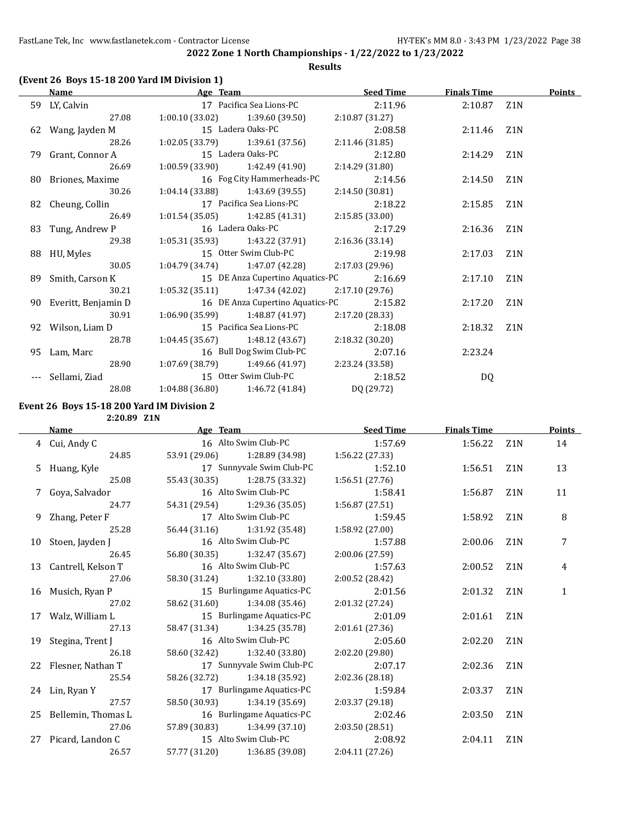### **Results**

## **(Event 26 Boys 15-18 200 Yard IM Division 1)**

| <b>Name</b>            | Age Team                          |                                                    | <b>Seed Time</b> | <b>Finals Time</b> |                  | <b>Points</b> |
|------------------------|-----------------------------------|----------------------------------------------------|------------------|--------------------|------------------|---------------|
| 59 LY, Calvin          |                                   | 17 Pacifica Sea Lions-PC                           | 2:11.96          | 2:10.87            | Z1N              |               |
| 27.08                  |                                   | $1:00.10(33.02)$ $1:39.60(39.50)$                  | 2:10.87 (31.27)  |                    |                  |               |
| 62 Wang, Jayden M      |                                   | 15 Ladera Oaks-PC                                  | 2:08.58          | 2:11.46            | Z1N              |               |
| 28.26                  |                                   | $1:02.05(33.79)$ $1:39.61(37.56)$                  | 2:11.46 (31.85)  |                    |                  |               |
| 79 Grant, Connor A     |                                   | 15 Ladera Oaks-PC                                  | 2:12.80          | 2:14.29            | Z1N              |               |
| 26.69                  |                                   | $1:00.59(33.90)$ $1:42.49(41.90)$                  | 2:14.29 (31.80)  |                    |                  |               |
| 80 Briones, Maxime     |                                   | 16 Fog City Hammerheads-PC                         | 2:14.56          | 2:14.50            | Z1N              |               |
| 30.26                  | $1:04.14(33.88)$ $1:43.69(39.55)$ |                                                    | 2:14.50(30.81)   |                    |                  |               |
| 82 Cheung, Collin      |                                   | 17 Pacifica Sea Lions-PC                           | 2:18.22          | 2:15.85            | Z1N              |               |
| 26.49                  |                                   | $1:01.54(35.05)$ $1:42.85(41.31)$                  | 2:15.85(33.00)   |                    |                  |               |
| 83 Tung, Andrew P      |                                   | 16 Ladera Oaks-PC                                  | 2:17.29          | 2:16.36            | Z1N              |               |
| 29.38                  |                                   | $1:05.31(35.93)$ $1:43.22(37.91)$ $2:16.36(33.14)$ |                  |                    |                  |               |
| 88 HU, Myles           |                                   | 15 Otter Swim Club-PC                              | 2:19.98          | 2:17.03            | Z1N              |               |
| 30.05                  |                                   | $1:04.79(34.74)$ $1:47.07(42.28)$                  | 2:17.03 (29.96)  |                    |                  |               |
| 89 Smith, Carson K     |                                   | 15 DE Anza Cupertino Aquatics-PC                   | 2:16.69          | 2:17.10            | Z <sub>1</sub> N |               |
| 30.21                  |                                   | $1:05.32(35.11)$ $1:47.34(42.02)$                  | 2:17.10 (29.76)  |                    |                  |               |
| 90 Everitt, Benjamin D |                                   | 16 DE Anza Cupertino Aquatics-PC                   | 2:15.82          | 2:17.20            | Z <sub>1</sub> N |               |
| 30.91                  |                                   | $1:06.90(35.99)$ $1:48.87(41.97)$                  | 2:17.20 (28.33)  |                    |                  |               |
| 92 Wilson, Liam D      |                                   | 15 Pacifica Sea Lions-PC                           | 2:18.08          | 2:18.32            | Z1N              |               |
| 28.78                  |                                   | $1:04.45(35.67)$ $1:48.12(43.67)$                  | 2:18.32(30.20)   |                    |                  |               |
| 95 Lam, Marc           |                                   | 16 Bull Dog Swim Club-PC                           | 2:07.16          | 2:23.24            |                  |               |
| 28.90                  |                                   | $1:07.69(38.79)$ $1:49.66(41.97)$                  | 2:23.24 (33.58)  |                    |                  |               |
| --- Sellami, Ziad      |                                   | 15 Otter Swim Club-PC                              | 2:18.52          | DQ                 |                  |               |
| 28.08                  |                                   | $1:04.88(36.80)$ $1:46.72(41.84)$                  | DQ (29.72)       |                    |                  |               |

#### **Event 26 Boys 15-18 200 Yard IM Division 2**

**2:20.89 Z1N**

| Name |                       | Age Team             | <b>Seed Time</b>              |                 | <b>Finals Time</b> |                  | <b>Points</b> |
|------|-----------------------|----------------------|-------------------------------|-----------------|--------------------|------------------|---------------|
|      | 4 Cui, Andy C         |                      | 16 Alto Swim Club-PC          | 1:57.69         | 1:56.22 Z1N        |                  | 14            |
|      | 24.85                 |                      | 53.91 (29.06) 1:28.89 (34.98) | 1:56.22 (27.33) |                    |                  |               |
|      | 5 Huang, Kyle         |                      | 17 Sunnyvale Swim Club-PC     | 1:52.10         | 1:56.51            | Z1N              | 13            |
|      | 25.08                 |                      | 55.43 (30.35) 1:28.75 (33.32) | 1:56.51(27.76)  |                    |                  |               |
|      | 7 Goya, Salvador      |                      | 16 Alto Swim Club-PC          | 1:58.41         | 1:56.87            | Z <sub>1</sub> N | 11            |
|      | 24.77                 |                      | 54.31 (29.54) 1:29.36 (35.05) | 1:56.87(27.51)  |                    |                  |               |
|      | 9 Zhang, Peter F      |                      | 17 Alto Swim Club-PC          | 1:59.45         | 1:58.92            | Z1N              | 8             |
|      | 25.28                 |                      | 56.44 (31.16) 1:31.92 (35.48) | 1:58.92 (27.00) |                    |                  |               |
|      | 10 Stoen, Jayden J    |                      | 16 Alto Swim Club-PC          | 1:57.88         | 2:00.06            | Z <sub>1</sub> N | 7             |
|      | 26.45                 |                      | 56.80 (30.35) 1:32.47 (35.67) | 2:00.06 (27.59) |                    |                  |               |
|      | 13 Cantrell, Kelson T | 16 Alto Swim Club-PC |                               | 1:57.63         | 2:00.52            | Z1N              | 4             |
|      | 27.06                 |                      | 58.30 (31.24) 1:32.10 (33.80) | 2:00.52 (28.42) |                    |                  |               |
|      | 16 Musich, Ryan P     |                      | 15 Burlingame Aquatics-PC     | 2:01.56         | 2:01.32 Z1N        |                  | 1             |
|      | 27.02                 |                      | 58.62 (31.60) 1:34.08 (35.46) | 2:01.32(27.24)  |                    |                  |               |
|      | 17 Walz, William L    |                      | 15 Burlingame Aquatics-PC     | 2:01.09         | 2:01.61            | Z <sub>1</sub> N |               |
|      | 27.13                 |                      | 58.47 (31.34) 1:34.25 (35.78) | 2:01.61(27.36)  |                    |                  |               |
|      | 19 Stegina, Trent J   |                      | 16 Alto Swim Club-PC          | 2:05.60         | 2:02.20            | Z <sub>1</sub> N |               |
|      | 26.18                 |                      | 58.60 (32.42) 1:32.40 (33.80) | 2:02.20(29.80)  |                    |                  |               |
|      | 22 Flesner, Nathan T  |                      | 17 Sunnyvale Swim Club-PC     | 2:07.17         | 2:02.36            | Z <sub>1</sub> N |               |
|      | 25.54                 |                      | 58.26 (32.72) 1:34.18 (35.92) | 2:02.36(28.18)  |                    |                  |               |
|      | 24 Lin, Ryan Y        |                      | 17 Burlingame Aquatics-PC     | 1:59.84         | 2:03.37            | Z <sub>1</sub> N |               |
|      | 27.57                 |                      | 58.50 (30.93) 1:34.19 (35.69) | 2:03.37(29.18)  |                    |                  |               |
|      | 25 Bellemin, Thomas L |                      | 16 Burlingame Aquatics-PC     | 2:02.46         | 2:03.50            | Z <sub>1</sub> N |               |
|      | 27.06                 |                      | 57.89 (30.83) 1:34.99 (37.10) | 2:03.50(28.51)  |                    |                  |               |
|      | 27 Picard, Landon C   |                      | 15 Alto Swim Club-PC          | 2:08.92         | 2:04.11            | Z1N              |               |
|      | 26.57                 |                      | 57.77 (31.20) 1:36.85 (39.08) | 2:04.11(27.26)  |                    |                  |               |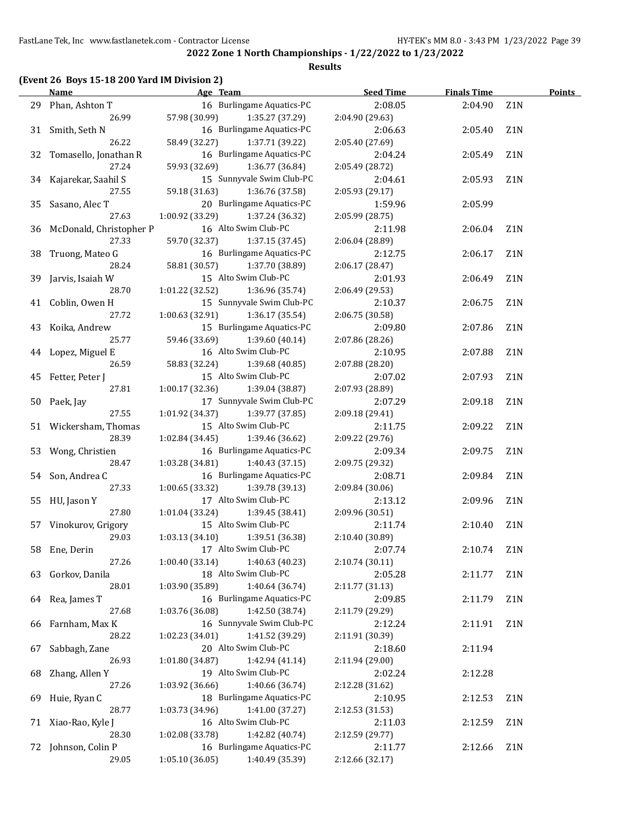#### **Results**

## **(Event 26 Boys 15-18 200 Yard IM Division 2)**

|    | Name                        | Age Team                                                       | <b>Seed Time</b> | <b>Finals Time</b> | <b>Points</b>    |  |
|----|-----------------------------|----------------------------------------------------------------|------------------|--------------------|------------------|--|
|    | 29 Phan, Ashton T           | 16 Burlingame Aquatics-PC                                      | 2:08.05          | 2:04.90            | Z <sub>1</sub> N |  |
|    | 26.99                       | 57.98 (30.99)<br>1:35.27 (37.29)                               | 2:04.90 (29.63)  |                    |                  |  |
|    | 31 Smith, Seth N            | 16 Burlingame Aquatics-PC                                      | 2:06.63          | 2:05.40            | Z <sub>1</sub> N |  |
|    | 26.22                       | 58.49 (32.27)<br>1:37.71 (39.22)                               | 2:05.40 (27.69)  |                    |                  |  |
|    | 32 Tomasello, Jonathan R    | 16 Burlingame Aquatics-PC                                      | 2:04.24          | 2:05.49            | Z <sub>1</sub> N |  |
|    | 27.24                       | 59.93 (32.69)<br>1:36.77 (36.84)                               | 2:05.49 (28.72)  |                    |                  |  |
|    | 34 Kajarekar, Saahil S      | 15 Sunnyvale Swim Club-PC                                      | 2:04.61          | 2:05.93            | Z <sub>1</sub> N |  |
|    | 27.55                       | 59.18 (31.63)<br>1:36.76 (37.58)                               | 2:05.93 (29.17)  |                    |                  |  |
|    | 35 Sasano, Alec T           | 20 Burlingame Aquatics-PC                                      | 1:59.96          | 2:05.99            |                  |  |
|    | 27.63                       | 1:00.92(33.29)<br>1:37.24 (36.32)                              | 2:05.99 (28.75)  |                    |                  |  |
|    | 36 McDonald, Christopher P  | 16 Alto Swim Club-PC                                           | 2:11.98          | 2:06.04            | Z1N              |  |
|    | 27.33                       | 59.70 (32.37)<br>1:37.15 (37.45)                               | 2:06.04 (28.89)  |                    |                  |  |
|    | 38 Truong, Mateo G          | 16 Burlingame Aquatics-PC                                      | 2:12.75          | 2:06.17            | Z1N              |  |
|    | 28.24                       | 58.81 (30.57)<br>1:37.70 (38.89)                               | 2:06.17 (28.47)  |                    |                  |  |
|    | 39 Jarvis, Isaiah W         | 15 Alto Swim Club-PC                                           | 2:01.93          | 2:06.49            | Z <sub>1</sub> N |  |
|    | 28.70                       | 1:01.22(32.52)<br>1:36.96 (35.74)                              | 2:06.49 (29.53)  |                    |                  |  |
|    | 41 Coblin, Owen H           | 15 Sunnyvale Swim Club-PC                                      | 2:10.37          | 2:06.75            | Z <sub>1</sub> N |  |
|    | 27.72                       | 1:00.63(32.91)<br>1:36.17 (35.54)                              | 2:06.75 (30.58)  |                    |                  |  |
|    | 43 Koika, Andrew            | 15 Burlingame Aquatics-PC                                      | 2:09.80          | 2:07.86            | Z <sub>1</sub> N |  |
|    | 25.77                       | 59.46 (33.69)<br>1:39.60 (40.14)                               | 2:07.86 (28.26)  |                    |                  |  |
|    |                             | 16 Alto Swim Club-PC                                           | 2:10.95          |                    | Z <sub>1</sub> N |  |
|    | 44 Lopez, Miguel E<br>26.59 | 58.83 (32.24)                                                  |                  | 2:07.88            |                  |  |
|    |                             | 1:39.68 (40.85)<br>15 Alto Swim Club-PC                        | 2:07.88 (28.20)  |                    |                  |  |
|    | 45 Fetter, Peter J          |                                                                | 2:07.02          | 2:07.93            | Z <sub>1</sub> N |  |
|    | 27.81                       | 1:00.17(32.36)<br>1:39.04 (38.87)<br>17 Sunnyvale Swim Club-PC | 2:07.93 (28.89)  |                    |                  |  |
|    | 50 Paek, Jay                |                                                                | 2:07.29          | 2:09.18            | Z1N              |  |
|    | 27.55                       | 1:01.92 (34.37)<br>1:39.77 (37.85)                             | 2:09.18 (29.41)  |                    |                  |  |
|    | 51 Wickersham, Thomas       | 15 Alto Swim Club-PC                                           | 2:11.75          | 2:09.22            | Z <sub>1</sub> N |  |
|    | 28.39                       | 1:02.84 (34.45)<br>1:39.46 (36.62)                             | 2:09.22 (29.76)  |                    |                  |  |
|    | 53 Wong, Christien          | 16 Burlingame Aquatics-PC                                      | 2:09.34          | 2:09.75            | Z1N              |  |
|    | 28.47                       | $1:03.28(34.81)$ $1:40.43(37.15)$                              | 2:09.75 (29.32)  |                    |                  |  |
|    | 54 Son, Andrea C            | 16 Burlingame Aquatics-PC                                      | 2:08.71          | 2:09.84            | Z1N              |  |
|    | 27.33                       | $1:00.65(33.32)$ $1:39.78(39.13)$                              | 2:09.84 (30.06)  |                    |                  |  |
|    | 55 HU, Jason Y              | 17 Alto Swim Club-PC                                           | 2:13.12          | 2:09.96            | Z <sub>1</sub> N |  |
|    | 27.80                       | 1:01.04 (33.24)<br>1:39.45 (38.41)                             | 2:09.96 (30.51)  |                    |                  |  |
|    | 57 Vinokurov, Grigory       | 15 Alto Swim Club-PC                                           | 2:11.74          | 2:10.40            | Z <sub>1</sub> N |  |
|    | 29.03                       | 1:03.13 (34.10)<br>1:39.51 (36.38)                             | 2:10.40 (30.89)  |                    |                  |  |
|    | 58 Ene, Derin               | 17 Alto Swim Club-PC                                           | 2:07.74          | 2:10.74            | Z <sub>1</sub> N |  |
|    | 27.26                       | 1:00.40 (33.14)<br>1:40.63 (40.23)                             | 2:10.74 (30.11)  |                    |                  |  |
|    | 63 Gorkov, Danila           | 18 Alto Swim Club-PC                                           | 2:05.28          | 2:11.77            | Z1N              |  |
|    | 28.01                       | 1:40.64 (36.74)<br>1:03.90 (35.89)                             | 2:11.77 (31.13)  |                    |                  |  |
|    | 64 Rea, James T             | 16 Burlingame Aquatics-PC                                      | 2:09.85          | 2:11.79            | Z1N              |  |
|    | 27.68                       | 1:03.76 (36.08)<br>1:42.50 (38.74)                             | 2:11.79 (29.29)  |                    |                  |  |
| 66 | Farnham, Max K              | 16 Sunnyvale Swim Club-PC                                      | 2:12.24          | 2:11.91            | Z1N              |  |
|    | 28.22                       | 1:41.52 (39.29)<br>1:02.23 (34.01)                             | 2:11.91 (30.39)  |                    |                  |  |
| 67 | Sabbagh, Zane               | 20 Alto Swim Club-PC                                           | 2:18.60          | 2:11.94            |                  |  |
|    | 26.93                       | 1:01.80 (34.87)<br>1:42.94 (41.14)                             | 2:11.94 (29.00)  |                    |                  |  |
| 68 | Zhang, Allen Y              | 19 Alto Swim Club-PC                                           | 2:02.24          | 2:12.28            |                  |  |
|    | 27.26                       | 1:03.92 (36.66)<br>1:40.66 (36.74)                             | 2:12.28 (31.62)  |                    |                  |  |
| 69 | Huie, Ryan C                | 18 Burlingame Aquatics-PC                                      | 2:10.95          | 2:12.53            | Z1N              |  |
|    | 28.77                       | 1:41.00 (37.27)<br>1:03.73 (34.96)                             | 2:12.53 (31.53)  |                    |                  |  |
| 71 | Xiao-Rao, Kyle J            | 16 Alto Swim Club-PC                                           | 2:11.03          | 2:12.59            | Z1N              |  |
|    | 28.30                       | 1:42.82 (40.74)<br>1:02.08 (33.78)                             | 2:12.59 (29.77)  |                    |                  |  |
| 72 | Johnson, Colin P            | 16 Burlingame Aquatics-PC                                      | 2:11.77          | 2:12.66            | Z1N              |  |
|    | 29.05                       | 1:05.10(36.05)<br>1:40.49 (35.39)                              | 2:12.66 (32.17)  |                    |                  |  |
|    |                             |                                                                |                  |                    |                  |  |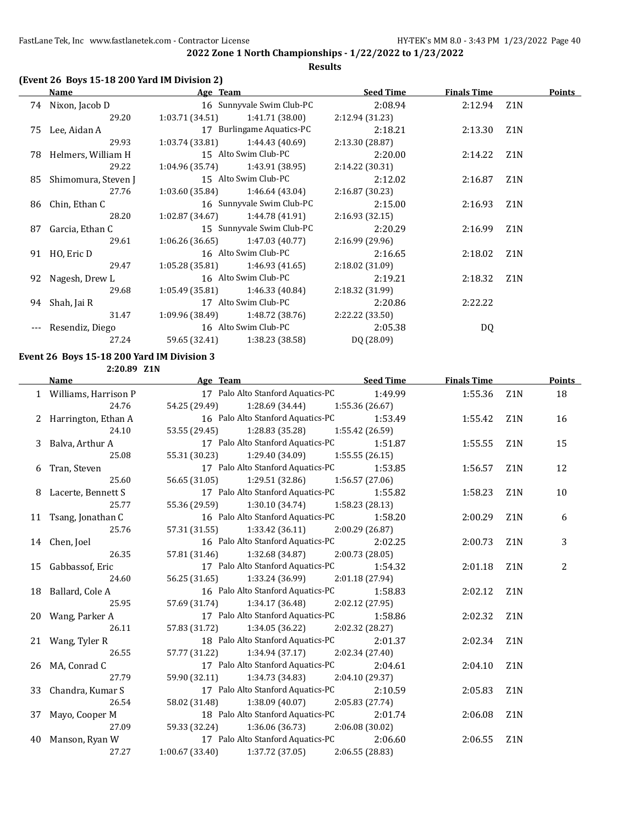## **2022 Zone 1 North Championships - 1/22/2022 to 1/23/2022 Results**

## **(Event 26 Boys 15-18 200 Yard IM Division 2)**

| Name                   | Age Team                          |                                   | <b>Seed Time</b> | <b>Finals Time</b> |                  | <b>Points</b> |
|------------------------|-----------------------------------|-----------------------------------|------------------|--------------------|------------------|---------------|
| 74 Nixon, Jacob D      |                                   | 16 Sunnyvale Swim Club-PC         | 2:08.94          | 2:12.94 Z1N        |                  |               |
| 29.20                  |                                   | $1:03.71(34.51)$ $1:41.71(38.00)$ | 2:12.94 (31.23)  |                    |                  |               |
| 75 Lee, Aidan A        |                                   | 17 Burlingame Aquatics-PC         | 2:18.21          | 2:13.30            | Z1N              |               |
| 29.93                  | $1:03.74(33.81)$ $1:44.43(40.69)$ |                                   | 2:13.30(28.87)   |                    |                  |               |
| 78 Helmers, William H  |                                   | 15 Alto Swim Club-PC              | 2:20.00          | 2:14.22            | Z1N              |               |
| 29.22                  |                                   | $1:04.96(35.74)$ $1:43.91(38.95)$ | 2:14.22(30.31)   |                    |                  |               |
| 85 Shimomura, Steven J |                                   | 15 Alto Swim Club-PC              | 2:12.02          | 2:16.87            | Z <sub>1</sub> N |               |
| 27.76                  |                                   | $1:03.60(35.84)$ $1:46.64(43.04)$ | 2:16.87(30.23)   |                    |                  |               |
| 86 Chin, Ethan C       |                                   | 16 Sunnyvale Swim Club-PC         | 2:15.00          | 2:16.93            | Z1N              |               |
| 28.20                  |                                   | $1:02.87(34.67)$ $1:44.78(41.91)$ | 2:16.93(32.15)   |                    |                  |               |
| 87 Garcia, Ethan C     |                                   | 15 Sunnyvale Swim Club-PC         | 2:20.29          | 2:16.99            | Z <sub>1</sub> N |               |
| 29.61                  | $1:06.26(36.65)$ $1:47.03(40.77)$ |                                   | 2:16.99(29.96)   |                    |                  |               |
| 91 HO, Eric D          |                                   | 16 Alto Swim Club-PC              | 2:16.65          | 2:18.02            | Z1N              |               |
| 29.47                  |                                   | $1:05.28(35.81)$ $1:46.93(41.65)$ | 2:18.02(31.09)   |                    |                  |               |
| 92 Nagesh, Drew L      | 16 Alto Swim Club-PC              |                                   | 2:19.21          | 2:18.32            | Z <sub>1</sub> N |               |
| 29.68                  | $1:05.49(35.81)$ $1:46.33(40.84)$ |                                   | 2:18.32 (31.99)  |                    |                  |               |
| 94 Shah, Jai R         |                                   | 17 Alto Swim Club-PC              | 2:20.86          | 2:22.22            |                  |               |
| 31.47                  |                                   | $1:09.96(38.49)$ $1:48.72(38.76)$ | 2:22.22 (33.50)  |                    |                  |               |
| Resendiz, Diego        | 16 Alto Swim Club-PC              |                                   | 2:05.38          | DQ                 |                  |               |
| 27.24                  |                                   | 59.65 (32.41) 1:38.23 (38.58)     | DQ (28.09)       |                    |                  |               |
|                        |                                   |                                   |                  |                    |                  |               |

#### **Event 26 Boys 15-18 200 Yard IM Division 3 2:20.89 Z1N**

| <b>Name</b>            | Age Team Seed Time                            |                | <b>Finals Time</b> |                  | <b>Points</b> |
|------------------------|-----------------------------------------------|----------------|--------------------|------------------|---------------|
| 1 Williams, Harrison P | 17 Palo Alto Stanford Aquatics-PC 1:49.99     |                | 1:55.36 Z1N        |                  | 18            |
| 24.76                  | 54.25 (29.49) 1:28.69 (34.44) 1:55.36 (26.67) |                |                    |                  |               |
| 2 Harrington, Ethan A  | 16 Palo Alto Stanford Aquatics-PC 1:53.49     |                | 1:55.42            | Z <sub>1</sub> N | 16            |
| 24.10                  | 53.55 (29.45) 1:28.83 (35.28) 1:55.42 (26.59) |                |                    |                  |               |
| 3 Balva, Arthur A      | 17 Palo Alto Stanford Aquatics-PC 1:51.87     |                | 1:55.55            | Z1N              | 15            |
| 25.08                  | 55.31 (30.23) 1:29.40 (34.09) 1:55.55 (26.15) |                |                    |                  |               |
| 6 Tran, Steven         | 17 Palo Alto Stanford Aquatics-PC 1:53.85     |                | 1:56.57            | Z <sub>1</sub> N | 12            |
| 25.60                  | 56.65 (31.05) 1:29.51 (32.86) 1:56.57 (27.06) |                |                    |                  |               |
| 8 Lacerte, Bennett S   | 17 Palo Alto Stanford Aquatics-PC 1:55.82     |                | 1:58.23            | Z <sub>1</sub> N | 10            |
| 25.77                  | 55.36 (29.59) 1:30.10 (34.74) 1:58.23 (28.13) |                |                    |                  |               |
| 11 Tsang, Jonathan C   | 16 Palo Alto Stanford Aquatics-PC             | 1:58.20        | 2:00.29            | Z <sub>1</sub> N | 6             |
| 25.76                  | 57.31 (31.55) 1:33.42 (36.11) 2:00.29 (26.87) |                |                    |                  |               |
| 14 Chen, Joel          | 16 Palo Alto Stanford Aquatics-PC 2:02.25     |                | 2:00.73            | Z <sub>1</sub> N | 3             |
| 26.35                  | 57.81 (31.46) 1:32.68 (34.87) 2:00.73 (28.05) |                |                    |                  |               |
| 15 Gabbassof, Eric     | 17 Palo Alto Stanford Aquatics-PC             | 1:54.32        | 2:01.18            | Z <sub>1</sub> N | 2             |
| 24.60                  | 56.25 (31.65) 1:33.24 (36.99) 2:01.18 (27.94) |                |                    |                  |               |
| 18 Ballard, Cole A     | 16 Palo Alto Stanford Aquatics-PC 1:58.83     |                | 2:02.12            | Z <sub>1</sub> N |               |
| 25.95                  | 57.69 (31.74) 1:34.17 (36.48) 2:02.12 (27.95) |                |                    |                  |               |
| 20 Wang, Parker A      | 17 Palo Alto Stanford Aquatics-PC             | 1:58.86        | 2:02.32            | Z <sub>1</sub> N |               |
| 26.11                  | 57.83 (31.72) 1:34.05 (36.22) 2:02.32 (28.27) |                |                    |                  |               |
| 21 Wang, Tyler R       | 18 Palo Alto Stanford Aquatics-PC 2:01.37     |                | 2:02.34            | Z <sub>1</sub> N |               |
| 26.55                  | 57.77 (31.22) 1:34.94 (37.17) 2:02.34 (27.40) |                |                    |                  |               |
| 26 MA, Conrad C        | 17 Palo Alto Stanford Aquatics-PC 2:04.61     |                | 2:04.10            | Z <sub>1</sub> N |               |
| 27.79                  | 59.90 (32.11) 1:34.73 (34.83) 2:04.10 (29.37) |                |                    |                  |               |
| 33 Chandra, Kumar S    | 17 Palo Alto Stanford Aquatics-PC 2:10.59     |                | 2:05.83            | Z <sub>1</sub> N |               |
| 26.54                  | 58.02 (31.48) 1:38.09 (40.07) 2:05.83 (27.74) |                |                    |                  |               |
| 37 Mayo, Cooper M      | 18 Palo Alto Stanford Aquatics-PC 2:01.74     |                | 2:06.08            | Z <sub>1</sub> N |               |
| 27.09                  | 59.33 (32.24) 1:36.06 (36.73) 2:06.08 (30.02) |                |                    |                  |               |
| 40 Manson, Ryan W      | 17 Palo Alto Stanford Aquatics-PC 2:06.60     |                | 2:06.55            | Z <sub>1</sub> N |               |
| 27.27                  | $1:00.67(33.40)$ $1:37.72(37.05)$             | 2:06.55(28.83) |                    |                  |               |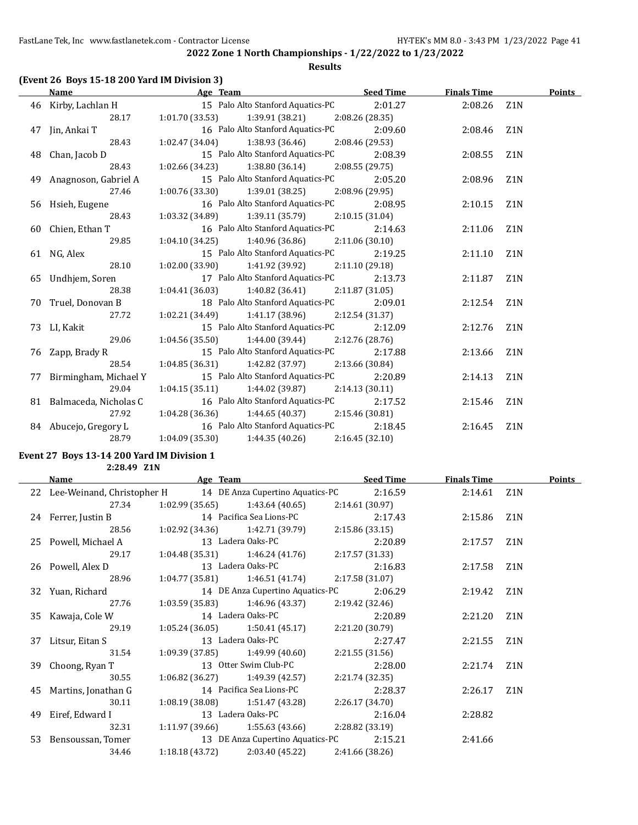FastLane Tek, Inc www.fastlanetek.com - Contractor License HY-TEK's MM 8.0 - 3:43 PM 1/23/2022 Page 41

 $\overline{a}$ 

**2022 Zone 1 North Championships - 1/22/2022 to 1/23/2022**

### **Results**

| (Event 26 Boys 15-18 200 Yard IM Division 3) |                                                               |                |                    |                  |  |
|----------------------------------------------|---------------------------------------------------------------|----------------|--------------------|------------------|--|
| Name                                         | <b>Example 2</b> Seed Time <b>Seed Time Seed Time</b>         |                | <b>Finals Time</b> | <b>Points</b>    |  |
|                                              | 46 Kirby, Lachlan H 15 Palo Alto Stanford Aquatics-PC 2:01.27 |                | 2:08.26 Z1N        |                  |  |
| 28.17                                        | $1:01.70(33.53)$ $1:39.91(38.21)$ $2:08.26(28.35)$            |                |                    |                  |  |
| 47 Jin, Ankai T                              | 16 Palo Alto Stanford Aquatics-PC                             | 2:09.60        | 2:08.46            | Z <sub>1</sub> N |  |
| 28.43                                        | $1:02.47(34.04)$ $1:38.93(36.46)$ $2:08.46(29.53)$            |                |                    |                  |  |
| 48 Chan, Jacob D                             | 15 Palo Alto Stanford Aquatics-PC 2:08.39                     |                | 2:08.55            | Z1N              |  |
| 28.43                                        | $1:02.66$ (34.23) $1:38.80$ (36.14) $2:08.55$ (29.75)         |                |                    |                  |  |
| 49 Anagnoson, Gabriel A                      | 15 Palo Alto Stanford Aquatics-PC                             | 2:05.20        | 2:08.96            | Z1N              |  |
| 27.46                                        | $1:00.76(33.30)$ $1:39.01(38.25)$ $2:08.96(29.95)$            |                |                    |                  |  |
| 56 Hsieh, Eugene                             | 16 Palo Alto Stanford Aquatics-PC 2:08.95                     |                | 2:10.15            | Z1N              |  |
| 28.43                                        | $1:03.32$ (34.89) $1:39.11$ (35.79) $2:10.15$ (31.04)         |                |                    |                  |  |
| 60 Chien, Ethan T                            | 16 Palo Alto Stanford Aquatics-PC                             | 2:14.63        | 2:11.06            | Z1N              |  |
| 29.85                                        | $1:04.10(34.25)$ $1:40.96(36.86)$ $2:11.06(30.10)$            |                |                    |                  |  |
| 61 NG, Alex                                  | 15 Palo Alto Stanford Aquatics-PC 2:19.25                     |                | 2:11.10            | Z1N              |  |
| 28.10                                        | $1:02.00(33.90)$ $1:41.92(39.92)$ $2:11.10(29.18)$            |                |                    |                  |  |
| 65 Undhjem, Soren                            | 17 Palo Alto Stanford Aquatics-PC                             | 2:13.73        | 2:11.87            | Z1N              |  |
| 28.38                                        | $1:04.41(36.03)$ $1:40.82(36.41)$ $2:11.87(31.05)$            |                |                    |                  |  |
| 70 Truel, Donovan B                          | 18 Palo Alto Stanford Aquatics-PC 2:09.01                     |                | 2:12.54            | Z1N              |  |
| 27.72                                        | $1:02.21(34.49)$ $1:41.17(38.96)$ $2:12.54(31.37)$            |                |                    |                  |  |
| 73 LI, Kakit                                 | 15 Palo Alto Stanford Aquatics-PC                             | 2:12.09        | 2:12.76 Z1N        |                  |  |
| 29.06                                        | $1:04.56(35.50)$ $1:44.00(39.44)$ $2:12.76(28.76)$            |                |                    |                  |  |
| 76 Zapp, Brady R                             | 15 Palo Alto Stanford Aquatics-PC 2:17.88                     |                | 2:13.66            | Z1N              |  |
| 28.54                                        | $1:04.85(36.31)$ $1:42.82(37.97)$ $2:13.66(30.84)$            |                |                    |                  |  |
| 77 Birmingham, Michael Y                     | 15 Palo Alto Stanford Aquatics-PC                             | 2:20.89        | 2:14.13            | Z1N              |  |
| 29.04                                        | $1:04.15(35.11)$ $1:44.02(39.87)$ $2:14.13(30.11)$            |                |                    |                  |  |
| 81 Balmaceda, Nicholas C                     | 16 Palo Alto Stanford Aquatics-PC                             | 2:17.52        | 2:15.46            | Z1N              |  |
| 27.92                                        | $1:04.28(36.36)$ $1:44.65(40.37)$ $2:15.46(30.81)$            |                |                    |                  |  |
| 84 Abucejo, Gregory L                        | 16 Palo Alto Stanford Aquatics-PC                             | 2:18.45        | 2:16.45            | Z <sub>1</sub> N |  |
| 28.79                                        | $1:04.09(35.30)$ $1:44.35(40.26)$                             | 2:16.45(32.10) |                    |                  |  |

## **Event 27 Boys 13-14 200 Yard IM Division 1**

**2:28.49 Z1N**

| Name                                                           | Age Team |                                                    | <b>Seed Time</b> | <b>Finals Time</b> |     | Points |
|----------------------------------------------------------------|----------|----------------------------------------------------|------------------|--------------------|-----|--------|
| 22 Lee-Weinand, Christopher H 14 DE Anza Cupertino Aquatics-PC |          |                                                    | 2:16.59          | 2:14.61 Z1N        |     |        |
| 27.34                                                          |          | $1:02.99(35.65)$ $1:43.64(40.65)$                  | 2:14.61(30.97)   |                    |     |        |
| 24 Ferrer, Justin B 2:17.43                                    |          |                                                    |                  | 2:15.86 Z1N        |     |        |
| 28.56                                                          |          | $1:02.92(34.36)$ $1:42.71(39.79)$                  | 2:15.86 (33.15)  |                    |     |        |
|                                                                |          |                                                    | 2:20.89          | $2:17.57$ $Z1N$    |     |        |
| 29.17                                                          |          | $1:04.48(35.31)$ $1:46.24(41.76)$ $2:17.57(31.33)$ |                  |                    |     |        |
| 26 Powell, Alex D                                              |          | 13 Ladera Oaks-PC                                  | 2:16.83          | 2:17.58            | Z1N |        |
| 28.96                                                          |          | $1:04.77(35.81)$ $1:46.51(41.74)$                  | 2:17.58(31.07)   |                    |     |        |
| 32 Yuan, Richard                                               |          | 14 DE Anza Cupertino Aquatics-PC                   | 2:06.29          | 2:19.42            | Z1N |        |
| 27.76                                                          |          | $1:03.59(35.83)$ $1:46.96(43.37)$                  | 2:19.42 (32.46)  |                    |     |        |
| 35 Kawaja, Cole W                                              |          | 14 Ladera Oaks-PC                                  | 2:20.89          | 2:21.20            | Z1N |        |
| 29.19                                                          |          | $1:05.24(36.05)$ $1:50.41(45.17)$ $2:21.20(30.79)$ |                  |                    |     |        |
| 37 Litsur, Eitan S                                             |          | 13 Ladera Oaks-PC                                  | 2:27.47          | 2:21.55            | Z1N |        |
| 31.54                                                          |          | $1:09.39(37.85)$ $1:49.99(40.60)$                  | 2:21.55(31.56)   |                    |     |        |
| 39 Choong, Ryan T                                              |          | 13 Otter Swim Club-PC                              | 2:28.00          | 2:21.74 Z1N        |     |        |
| 30.55                                                          |          | $1:06.82$ (36.27) $1:49.39$ (42.57)                | 2:21.74 (32.35)  |                    |     |        |
| 45 Martins, Jonathan G                                         |          | 14 Pacifica Sea Lions-PC                           | 2:28.37          | 2:26.17 Z1N        |     |        |
| 30.11                                                          |          | $1:08.19(38.08)$ $1:51.47(43.28)$                  | 2:26.17 (34.70)  |                    |     |        |
| 49 Eiref, Edward I                                             |          | 13 Ladera Oaks-PC                                  | 2:16.04          | 2:28.82            |     |        |
| 32.31                                                          |          | $1:11.97(39.66)$ $1:55.63(43.66)$ $2:28.82(33.19)$ |                  |                    |     |        |
| 53 Bensoussan, Tomer                                           |          | 13 DE Anza Cupertino Aquatics-PC                   | 2:15.21          | 2:41.66            |     |        |
| 34.46                                                          |          | $1:18.18(43.72)$ $2:03.40(45.22)$                  | 2:41.66 (38.26)  |                    |     |        |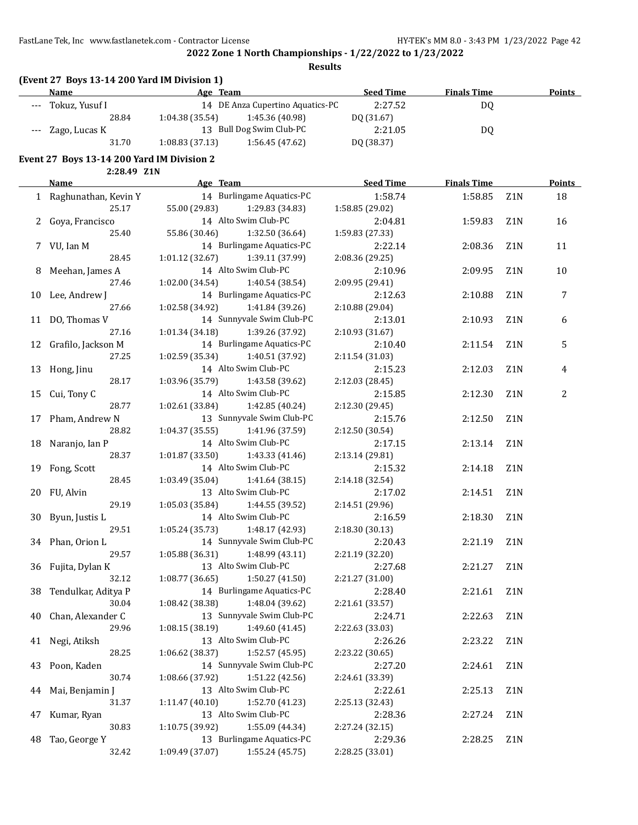FastLane Tek, Inc www.fastlanetek.com - Contractor License HY-TEK's MM 8.0 - 3:43 PM 1/23/2022 Page 42

**2022 Zone 1 North Championships - 1/22/2022 to 1/23/2022**

**Results**

|       | (Event 27 Boys 13-14 200 Yard IM Division 1) |                |                                  |                  |                    |        |
|-------|----------------------------------------------|----------------|----------------------------------|------------------|--------------------|--------|
|       | Name                                         | Age Team       |                                  | <b>Seed Time</b> | <b>Finals Time</b> | Points |
| $---$ | Tokuz, Yusuf I                               |                | 14 DE Anza Cupertino Aquatics-PC | 2:27.52          | DO                 |        |
|       | 28.84                                        | 1:04.38(35.54) | 1:45.36 (40.98)                  | DO (31.67)       |                    |        |
|       | --- Zago, Lucas K                            |                | 13 Bull Dog Swim Club-PC         | 2:21.05          | DQ                 |        |
|       | 31.70                                        | 1:08.83(37.13) | 1:56.45(47.62)                   | DQ (38.37)       |                    |        |

### **Event 27 Boys 13-14 200 Yard IM Division 2**

**2:28.49 Z1N**

|    | <b>Name</b>            | Age Team                          |                           | <b>Seed Time</b> | <b>Finals Time</b> |                  | <b>Points</b> |
|----|------------------------|-----------------------------------|---------------------------|------------------|--------------------|------------------|---------------|
|    | 1 Raghunathan, Kevin Y |                                   | 14 Burlingame Aquatics-PC | 1:58.74          | 1:58.85            | Z1N              | 18            |
|    | 25.17                  | 55.00 (29.83)                     | 1:29.83 (34.83)           | 1:58.85 (29.02)  |                    |                  |               |
|    | 2 Goya, Francisco      |                                   | 14 Alto Swim Club-PC      | 2:04.81          | 1:59.83            | Z1N              | 16            |
|    | 25.40                  | 55.86 (30.46)                     | 1:32.50 (36.64)           | 1:59.83 (27.33)  |                    |                  |               |
|    | 7 VU, Ian M            |                                   | 14 Burlingame Aquatics-PC | 2:22.14          | 2:08.36            | Z1N              | 11            |
|    | 28.45                  | 1:01.12 (32.67) 1:39.11 (37.99)   |                           | 2:08.36 (29.25)  |                    |                  |               |
|    | 8 Meehan, James A      |                                   | 14 Alto Swim Club-PC      | 2:10.96          | 2:09.95            | Z1N              | 10            |
|    | 27.46                  | 1:02.00 (34.54) 1:40.54 (38.54)   |                           | 2:09.95 (29.41)  |                    |                  |               |
|    | 10 Lee, Andrew J       |                                   | 14 Burlingame Aquatics-PC | 2:12.63          | 2:10.88            | Z1N              | 7             |
|    | 27.66                  | 1:02.58 (34.92) 1:41.84 (39.26)   |                           | 2:10.88 (29.04)  |                    |                  |               |
|    | 11 DO, Thomas V        |                                   | 14 Sunnyvale Swim Club-PC | 2:13.01          | 2:10.93            | Z1N              | 6             |
|    | 27.16                  | $1:01.34(34.18)$ $1:39.26(37.92)$ |                           | 2:10.93 (31.67)  |                    |                  |               |
|    | 12 Grafilo, Jackson M  |                                   | 14 Burlingame Aquatics-PC | 2:10.40          | 2:11.54            | Z1N              | 5             |
|    | 27.25                  | $1:02.59(35.34)$ $1:40.51(37.92)$ |                           | 2:11.54 (31.03)  |                    |                  |               |
|    | 13 Hong, Jinu          |                                   | 14 Alto Swim Club-PC      | 2:15.23          | 2:12.03            | Z1N              | 4             |
|    | 28.17                  | 1:03.96 (35.79) 1:43.58 (39.62)   |                           | 2:12.03 (28.45)  |                    |                  |               |
| 15 | Cui, Tony C            |                                   | 14 Alto Swim Club-PC      | 2:15.85          | 2:12.30            | Z1N              | 2             |
|    | 28.77                  | 1:02.61 (33.84) 1:42.85 (40.24)   |                           | 2:12.30 (29.45)  |                    |                  |               |
| 17 | Pham, Andrew N         |                                   | 13 Sunnyvale Swim Club-PC | 2:15.76          | 2:12.50            | Z <sub>1</sub> N |               |
|    | 28.82                  | $1:04.37(35.55)$ $1:41.96(37.59)$ |                           | 2:12.50 (30.54)  |                    |                  |               |
| 18 | Naranjo, Ian P         | 14 Alto Swim Club-PC              |                           | 2:17.15          | 2:13.14            | Z <sub>1</sub> N |               |
|    | 28.37                  | 1:01.87(33.50)                    | 1:43.33 (41.46)           | 2:13.14 (29.81)  |                    |                  |               |
|    | 19 Fong, Scott         | 14 Alto Swim Club-PC              |                           | 2:15.32          | 2:14.18            | Z <sub>1</sub> N |               |
|    | 28.45                  | 1:03.49 (35.04) 1:41.64 (38.15)   |                           | 2:14.18 (32.54)  |                    |                  |               |
|    | 20 FU, Alvin           |                                   | 13 Alto Swim Club-PC      | 2:17.02          | 2:14.51            | Z <sub>1</sub> N |               |
|    | 29.19                  | 1:05.03(35.84)                    | 1:44.55 (39.52)           | 2:14.51 (29.96)  |                    |                  |               |
|    | 30 Byun, Justis L      |                                   | 14 Alto Swim Club-PC      | 2:16.59          | 2:18.30            | Z <sub>1</sub> N |               |
|    | 29.51                  | 1:05.24(35.73)                    | 1:48.17 (42.93)           | 2:18.30 (30.13)  |                    |                  |               |
|    | 34 Phan, Orion L       |                                   | 14 Sunnyvale Swim Club-PC | 2:20.43          | 2:21.19            | Z1N              |               |
|    | 29.57                  | $1:05.88(36.31)$ $1:48.99(43.11)$ |                           | 2:21.19 (32.20)  |                    |                  |               |
|    | 36 Fujita, Dylan K     |                                   | 13 Alto Swim Club-PC      | 2:27.68          | 2:21.27            | Z1N              |               |
|    | 32.12                  | 1:08.77 (36.65)                   | 1:50.27 (41.50)           | 2:21.27 (31.00)  |                    |                  |               |
|    | 38 Tendulkar, Aditya P |                                   | 14 Burlingame Aquatics-PC | 2:28.40          | 2:21.61            | Z1N              |               |
|    | 30.04                  | 1:08.42 (38.38)                   | 1:48.04 (39.62)           | 2:21.61 (33.57)  |                    |                  |               |
|    | 40 Chan, Alexander C   |                                   | 13 Sunnyvale Swim Club-PC | 2:24.71          | 2:22.63            | Z1N              |               |
|    | 29.96                  | 1:08.15 (38.19)                   | 1:49.60 (41.45)           | 2:22.63 (33.03)  |                    |                  |               |
|    | 41 Negi, Atiksh        |                                   | 13 Alto Swim Club-PC      | 2:26.26          | 2:23.22            | Z1N              |               |
|    | 28.25                  | 1:06.62 (38.37)                   | 1:52.57 (45.95)           | 2:23.22 (30.65)  |                    |                  |               |
| 43 | Poon, Kaden            |                                   | 14 Sunnyvale Swim Club-PC | 2:27.20          | 2:24.61            | Z1N              |               |
|    | 30.74                  | 1:08.66 (37.92)                   | 1:51.22 (42.56)           | 2:24.61 (33.39)  |                    |                  |               |
| 44 | Mai, Benjamin J        |                                   | 13 Alto Swim Club-PC      | 2:22.61          | 2:25.13            | Z1N              |               |
|    | 31.37                  | 1:11.47 (40.10)                   | 1:52.70 (41.23)           | 2:25.13 (32.43)  |                    |                  |               |
| 47 | Kumar, Ryan            |                                   | 13 Alto Swim Club-PC      | 2:28.36          | 2:27.24            | Z1N              |               |
|    | 30.83                  | 1:10.75 (39.92)                   | 1:55.09 (44.34)           | 2:27.24 (32.15)  |                    |                  |               |
| 48 | Tao, George Y          |                                   | 13 Burlingame Aquatics-PC | 2:29.36          | 2:28.25            | Z1N              |               |
|    | 32.42                  | 1:09.49 (37.07)                   | 1:55.24 (45.75)           | 2:28.25 (33.01)  |                    |                  |               |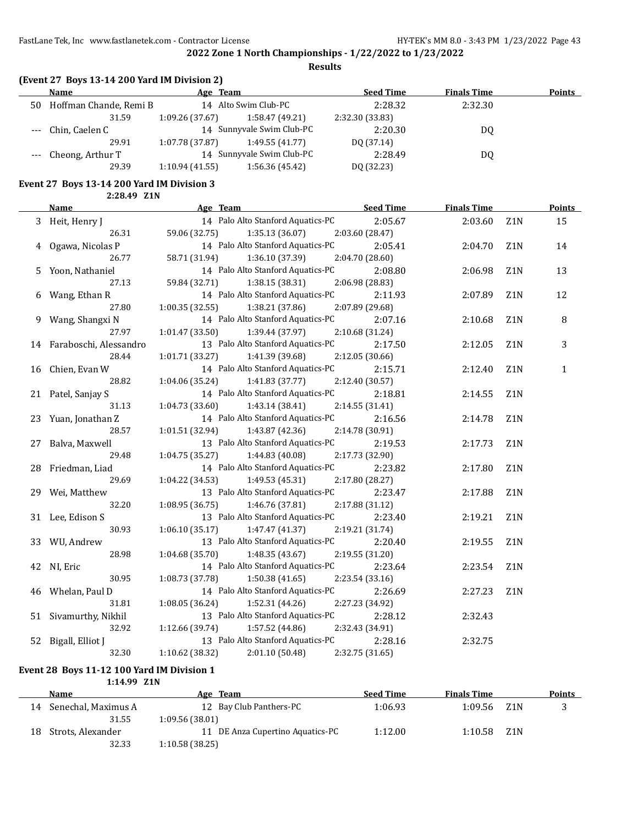**Results**

|  | (Event 27 Boys 13-14 200 Yard IM Division 2) |  |
|--|----------------------------------------------|--|
|--|----------------------------------------------|--|

|    | Name                   | Age Team       |                           | <b>Seed Time</b> | <b>Finals Time</b> | <b>Points</b> |
|----|------------------------|----------------|---------------------------|------------------|--------------------|---------------|
| 50 | Hoffman Chande, Remi B |                | 14 Alto Swim Club-PC      | 2:28.32          | 2:32.30            |               |
|    | 31.59                  | 1:09.26(37.67) | 1:58.47(49.21)            | 2:32.30 (33.83)  |                    |               |
|    | --- Chin, Caelen C     |                | 14 Sunnyvale Swim Club-PC | 2:20.30          | DO.                |               |
|    | 29.91                  | 1:07.78(37.87) | 1:49.55(41.77)            | DQ (37.14)       |                    |               |
|    | --- Cheong, Arthur T   |                | 14 Sunnyvale Swim Club-PC | 2:28.49          | DO.                |               |
|    | 29.39                  | 1:10.94(41.55) | 1:56.36 (45.42)           | DQ (32.23)       |                    |               |

#### **Event 27 Boys 13-14 200 Yard IM Division 3 2:28.49 Z1N**

|    | <b>Name</b>               | Age Team                           | <b>Seed Time</b> | <b>Finals Time</b> |                  | <b>Points</b> |
|----|---------------------------|------------------------------------|------------------|--------------------|------------------|---------------|
|    | 3 Heit, Henry J           | 14 Palo Alto Stanford Aquatics-PC  | 2:05.67          | 2:03.60            | Z <sub>1</sub> N | 15            |
|    | 26.31                     | 1:35.13(36.07)<br>59.06 (32.75)    | 2:03.60 (28.47)  |                    |                  |               |
|    | 4 Ogawa, Nicolas P        | 14 Palo Alto Stanford Aquatics-PC  | 2:05.41          | 2:04.70            | Z <sub>1</sub> N | 14            |
|    | 26.77                     | 58.71 (31.94)<br>1:36.10(37.39)    | 2:04.70 (28.60)  |                    |                  |               |
|    | 5 Yoon, Nathaniel         | 14 Palo Alto Stanford Aquatics-PC  | 2:08.80          | 2:06.98            | Z1N              | 13            |
|    | 27.13                     | 1:38.15(38.31)<br>59.84 (32.71)    | 2:06.98 (28.83)  |                    |                  |               |
|    | 6 Wang, Ethan R           | 14 Palo Alto Stanford Aquatics-PC  | 2:11.93          | 2:07.89            | Z1N              | 12            |
|    | 27.80                     | 1:00.35(32.55)<br>1:38.21 (37.86)  | 2:07.89 (29.68)  |                    |                  |               |
|    | 9 Wang, Shangxi N         | 14 Palo Alto Stanford Aquatics-PC  | 2:07.16          | 2:10.68            | Z <sub>1</sub> N | 8             |
|    | 27.97                     | 1:01.47(33.50)<br>1:39.44 (37.97)  | 2:10.68 (31.24)  |                    |                  |               |
|    | 14 Faraboschi, Alessandro | 13 Palo Alto Stanford Aquatics-PC  | 2:17.50          | 2:12.05            | Z1N              | 3             |
|    | 28.44                     | 1:01.71 (33.27)<br>1:41.39 (39.68) | 2:12.05 (30.66)  |                    |                  |               |
| 16 | Chien, Evan W             | 14 Palo Alto Stanford Aquatics-PC  | 2:15.71          | 2:12.40            | Z <sub>1</sub> N | 1             |
|    | 28.82                     | 1:04.06 (35.24)<br>1:41.83 (37.77) | 2:12.40 (30.57)  |                    |                  |               |
|    | 21 Patel, Sanjay S        | 14 Palo Alto Stanford Aquatics-PC  | 2:18.81          | 2:14.55            | Z1N              |               |
|    | 31.13                     | 1:43.14 (38.41)<br>1:04.73 (33.60) | 2:14.55 (31.41)  |                    |                  |               |
| 23 | Yuan, Jonathan Z          | 14 Palo Alto Stanford Aquatics-PC  | 2:16.56          | 2:14.78            | Z1N              |               |
|    | 28.57                     | 1:43.87 (42.36)<br>1:01.51 (32.94) | 2:14.78 (30.91)  |                    |                  |               |
| 27 | Balva, Maxwell            | 13 Palo Alto Stanford Aquatics-PC  | 2:19.53          | 2:17.73            | Z <sub>1</sub> N |               |
|    | 29.48                     | 1:04.75 (35.27)<br>1:44.83(40.08)  | 2:17.73 (32.90)  |                    |                  |               |
| 28 | Friedman, Liad            | 14 Palo Alto Stanford Aquatics-PC  | 2:23.82          | 2:17.80            | Z <sub>1</sub> N |               |
|    | 29.69                     | 1:04.22 (34.53)<br>1:49.53(45.31)  | 2:17.80 (28.27)  |                    |                  |               |
| 29 | Wei, Matthew              | 13 Palo Alto Stanford Aquatics-PC  | 2:23.47          | 2:17.88            | Z1N              |               |
|    | 32.20                     | 1:08.95 (36.75)<br>1:46.76 (37.81) | 2:17.88 (31.12)  |                    |                  |               |
| 31 | Lee, Edison S             | 13 Palo Alto Stanford Aquatics-PC  | 2:23.40          | 2:19.21            | Z <sub>1</sub> N |               |
|    | 30.93                     | 1:06.10(35.17)<br>1:47.47(41.37)   | 2:19.21 (31.74)  |                    |                  |               |
| 33 | WU, Andrew                | 13 Palo Alto Stanford Aquatics-PC  | 2:20.40          | 2:19.55            | Z1N              |               |
|    | 28.98                     | 1:04.68 (35.70)<br>1:48.35(43.67)  | 2:19.55 (31.20)  |                    |                  |               |
|    | 42 NI, Eric               | 14 Palo Alto Stanford Aquatics-PC  | 2:23.64          | 2:23.54            | Z <sub>1</sub> N |               |
|    | 30.95                     | 1:08.73 (37.78)<br>1:50.38(41.65)  | 2:23.54 (33.16)  |                    |                  |               |
| 46 | Whelan, Paul D            | 14 Palo Alto Stanford Aquatics-PC  | 2:26.69          | 2:27.23            | Z <sub>1</sub> N |               |
|    | 31.81                     | 1:08.05 (36.24)<br>1:52.31(44.26)  | 2:27.23 (34.92)  |                    |                  |               |
|    | 51 Sivamurthy, Nikhil     | 13 Palo Alto Stanford Aquatics-PC  | 2:28.12          | 2:32.43            |                  |               |
|    | 32.92                     | 1:57.52(44.86)<br>1:12.66 (39.74)  | 2:32.43 (34.91)  |                    |                  |               |
| 52 | Bigall, Elliot J          | 13 Palo Alto Stanford Aquatics-PC  | 2:28.16          | 2:32.75            |                  |               |
|    | 32.30                     | 1:10.62 (38.32)<br>2:01.10 (50.48) | 2:32.75 (31.65)  |                    |                  |               |

## **Event 28 Boys 11-12 100 Yard IM Division 1**

**1:14.99 Z1N**

|     | <b>Name</b>         | Age Team                         | <b>Seed Time</b> | <b>Finals Time</b> |                  | Points |
|-----|---------------------|----------------------------------|------------------|--------------------|------------------|--------|
| 14  | Senechal, Maximus A | 12 Bay Club Panthers-PC          | 1:06.93          | 1:09.56            | Z <sub>1</sub> N |        |
|     | 31.55               | 1:09.56(38.01)                   |                  |                    |                  |        |
| 18. | Strots, Alexander   | 11 DE Anza Cupertino Aquatics-PC | 1:12.00          | 1:10.58            | Z1N              |        |
|     | 32.33               | 1:10.58(38.25)                   |                  |                    |                  |        |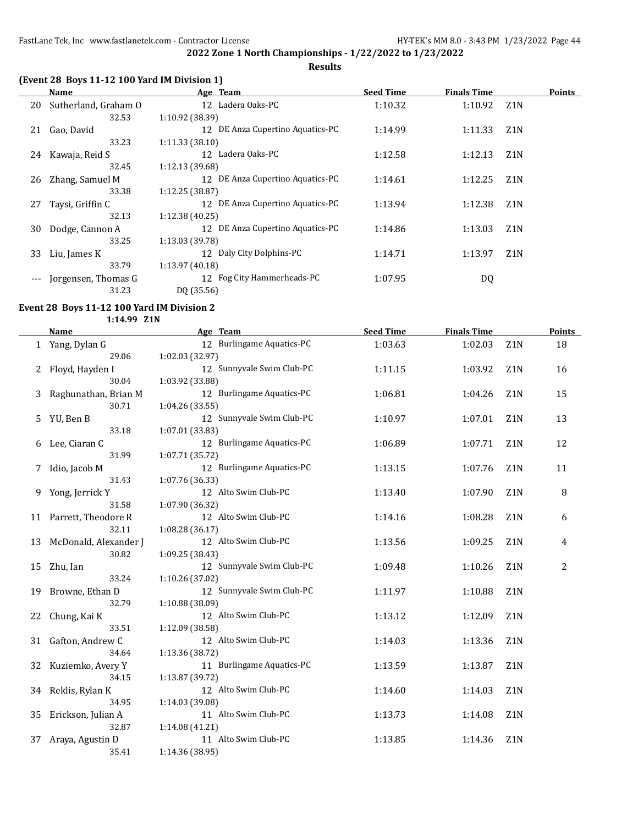## **(Event 28 Boys 11-12 100 Yard IM Division 1)**

|       | Name                 | Age Team                         | <b>Seed Time</b> | <b>Finals Time</b> |                  | <b>Points</b> |
|-------|----------------------|----------------------------------|------------------|--------------------|------------------|---------------|
| 20    | Sutherland, Graham O | 12 Ladera Oaks-PC                | 1:10.32          | 1:10.92            | Z <sub>1</sub> N |               |
|       | 32.53                | 1:10.92 (38.39)                  |                  |                    |                  |               |
| 21    | Gao, David           | 12 DE Anza Cupertino Aquatics-PC | 1:14.99          | 1:11.33            | Z <sub>1</sub> N |               |
|       | 33.23                | 1:11.33(38.10)                   |                  |                    |                  |               |
| 24    | Kawaja, Reid S       | 12 Ladera Oaks-PC                | 1:12.58          | 1:12.13            | Z <sub>1</sub> N |               |
|       | 32.45                | 1:12.13 (39.68)                  |                  |                    |                  |               |
| 26    | Zhang, Samuel M      | 12 DE Anza Cupertino Aquatics-PC | 1:14.61          | 1:12.25            | Z <sub>1</sub> N |               |
|       | 33.38                | 1:12.25 (38.87)                  |                  |                    |                  |               |
| 27    | Taysi, Griffin C     | 12 DE Anza Cupertino Aquatics-PC | 1:13.94          | 1:12.38            | Z <sub>1</sub> N |               |
|       | 32.13                | 1:12.38(40.25)                   |                  |                    |                  |               |
| 30    | Dodge, Cannon A      | 12 DE Anza Cupertino Aquatics-PC | 1:14.86          | 1:13.03            | Z <sub>1</sub> N |               |
|       | 33.25                | 1:13.03 (39.78)                  |                  |                    |                  |               |
| 33    | Liu, James K         | 12 Daly City Dolphins-PC         | 1:14.71          | 1:13.97            | Z <sub>1</sub> N |               |
|       | 33.79                | 1:13.97 (40.18)                  |                  |                    |                  |               |
| $---$ | Jorgensen, Thomas G  | 12 Fog City Hammerheads-PC       | 1:07.95          | DQ                 |                  |               |
|       | 31.23                | DQ (35.56)                       |                  |                    |                  |               |

#### **Event 28 Boys 11-12 100 Yard IM Division 2**

**1:14.99 Z1N**

|    | <b>Name</b>            | Age Team                  | <b>Seed Time</b> | <b>Finals Time</b> |                  | <b>Points</b> |
|----|------------------------|---------------------------|------------------|--------------------|------------------|---------------|
|    | 1 Yang, Dylan G        | 12 Burlingame Aquatics-PC | 1:03.63          | 1:02.03            | Z <sub>1</sub> N | 18            |
|    | 29.06                  | 1:02.03 (32.97)           |                  |                    |                  |               |
|    | Floyd, Hayden I        | 12 Sunnyvale Swim Club-PC | 1:11.15          | 1:03.92            | Z1N              | 16            |
|    | 30.04                  | 1:03.92 (33.88)           |                  |                    |                  |               |
| 3  | Raghunathan, Brian M   | 12 Burlingame Aquatics-PC | 1:06.81          | 1:04.26            | Z1N              | 15            |
|    | 30.71                  | 1:04.26 (33.55)           |                  |                    |                  |               |
| 5  | YU, Ben B              | 12 Sunnyvale Swim Club-PC | 1:10.97          | 1:07.01            | Z <sub>1</sub> N | 13            |
|    | 33.18                  | 1:07.01 (33.83)           |                  |                    |                  |               |
| 6  | Lee, Ciaran C          | 12 Burlingame Aquatics-PC | 1:06.89          | 1:07.71            | Z1N              | 12            |
|    | 31.99                  | 1:07.71 (35.72)           |                  |                    |                  |               |
| 7  | Idio, Jacob M          | 12 Burlingame Aquatics-PC | 1:13.15          | 1:07.76            | Z <sub>1</sub> N | 11            |
|    | 31.43                  | 1:07.76 (36.33)           |                  |                    |                  |               |
|    | 9 Yong, Jerrick Y      | 12 Alto Swim Club-PC      | 1:13.40          | 1:07.90            | Z <sub>1</sub> N | 8             |
|    | 31.58                  | 1:07.90 (36.32)           |                  |                    |                  |               |
|    | 11 Parrett, Theodore R | 12 Alto Swim Club-PC      | 1:14.16          | 1:08.28            | Z1N              | 6             |
|    | 32.11                  | 1:08.28 (36.17)           |                  |                    |                  |               |
| 13 | McDonald, Alexander J  | 12 Alto Swim Club-PC      | 1:13.56          | 1:09.25            | Z <sub>1</sub> N | 4             |
|    | 30.82                  | 1:09.25 (38.43)           |                  |                    |                  |               |
| 15 | Zhu, Ian               | 12 Sunnyvale Swim Club-PC | 1:09.48          | 1:10.26            | Z <sub>1</sub> N | 2             |
|    | 33.24                  | 1:10.26 (37.02)           |                  |                    |                  |               |
| 19 | Browne, Ethan D        | 12 Sunnyvale Swim Club-PC | 1:11.97          | 1:10.88            | Z1N              |               |
|    | 32.79                  | 1:10.88 (38.09)           |                  |                    |                  |               |
| 22 | Chung, Kai K           | 12 Alto Swim Club-PC      | 1:13.12          | 1:12.09            | Z1N              |               |
|    | 33.51                  | 1:12.09 (38.58)           |                  |                    |                  |               |
| 31 | Gafton, Andrew C       | 12 Alto Swim Club-PC      | 1:14.03          | 1:13.36            | Z <sub>1</sub> N |               |
|    | 34.64                  | 1:13.36 (38.72)           |                  |                    |                  |               |
| 32 | Kuziemko, Avery Y      | 11 Burlingame Aquatics-PC | 1:13.59          | 1:13.87            | Z <sub>1</sub> N |               |
|    | 34.15                  | 1:13.87 (39.72)           |                  |                    |                  |               |
|    | 34 Reklis, Rylan K     | 12 Alto Swim Club-PC      | 1:14.60          | 1:14.03            | Z <sub>1</sub> N |               |
|    | 34.95                  | 1:14.03 (39.08)           |                  |                    |                  |               |
| 35 | Erickson, Julian A     | 11 Alto Swim Club-PC      | 1:13.73          | 1:14.08            | Z <sub>1</sub> N |               |
|    | 32.87                  | 1:14.08 (41.21)           |                  |                    |                  |               |
| 37 | Araya, Agustin D       | 11 Alto Swim Club-PC      | 1:13.85          | 1:14.36            | Z <sub>1</sub> N |               |
|    | 35.41                  | 1:14.36 (38.95)           |                  |                    |                  |               |

**Results**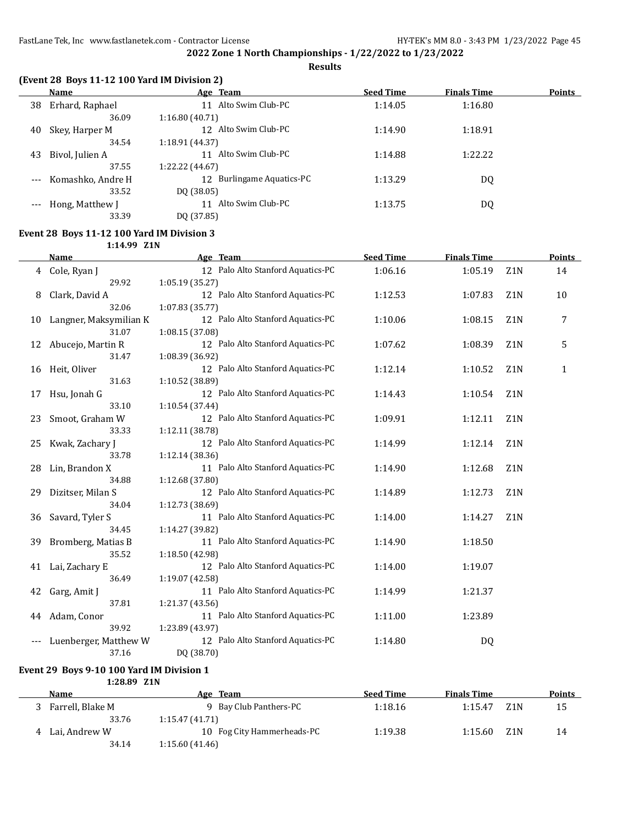**Results**

|       | Name              | Age Team                     | <b>Seed Time</b> | <b>Finals Time</b> | <b>Points</b> |
|-------|-------------------|------------------------------|------------------|--------------------|---------------|
| 38    | Erhard, Raphael   | Alto Swim Club-PC<br>11      | 1:14.05          | 1:16.80            |               |
|       | 36.09             | 1:16.80(40.71)               |                  |                    |               |
| 40    | Skey, Harper M    | 12 Alto Swim Club-PC         | 1:14.90          | 1:18.91            |               |
|       | 34.54             | 1:18.91 (44.37)              |                  |                    |               |
| 43    | Bivol, Julien A   | Alto Swim Club-PC<br>11      | 1:14.88          | 1:22.22            |               |
|       | 37.55             | 1:22.22 (44.67)              |                  |                    |               |
| $---$ | Komashko, Andre H | Burlingame Aquatics-PC<br>12 | 1:13.29          | DQ                 |               |
|       | 33.52             | DQ (38.05)                   |                  |                    |               |
|       | Hong, Matthew J   | Alto Swim Club-PC<br>11      | 1:13.75          | DQ                 |               |
|       | 33.39             | DQ (37.85)                   |                  |                    |               |

#### **Event 28 Boys 11-12 100 Yard IM Division 3**

**1:14.99 Z1N**

|    | <b>Name</b>            | Age Team                          | <b>Seed Time</b> | <b>Finals Time</b> |                  | <b>Points</b> |
|----|------------------------|-----------------------------------|------------------|--------------------|------------------|---------------|
|    | 4 Cole, Ryan J         | 12 Palo Alto Stanford Aquatics-PC | 1:06.16          | 1:05.19            | Z <sub>1</sub> N | 14            |
|    | 29.92                  | 1:05.19(35.27)                    |                  |                    |                  |               |
| 8  | Clark, David A         | 12 Palo Alto Stanford Aquatics-PC | 1:12.53          | 1:07.83            | Z <sub>1</sub> N | 10            |
|    | 32.06                  | 1:07.83(35.77)                    |                  |                    |                  |               |
| 10 | Langner, Maksymilian K | 12 Palo Alto Stanford Aquatics-PC | 1:10.06          | 1:08.15            | Z <sub>1</sub> N | 7             |
|    | 31.07                  | 1:08.15 (37.08)                   |                  |                    |                  |               |
| 12 | Abucejo, Martin R      | 12 Palo Alto Stanford Aquatics-PC | 1:07.62          | 1:08.39            | Z <sub>1</sub> N | 5             |
|    | 31.47                  | 1:08.39 (36.92)                   |                  |                    |                  |               |
| 16 | Heit, Oliver           | 12 Palo Alto Stanford Aquatics-PC | 1:12.14          | 1:10.52            | Z <sub>1</sub> N | $\mathbf{1}$  |
|    | 31.63                  | 1:10.52 (38.89)                   |                  |                    |                  |               |
| 17 | Hsu, Jonah G           | 12 Palo Alto Stanford Aquatics-PC | 1:14.43          | 1:10.54            | Z <sub>1</sub> N |               |
|    | 33.10                  | 1:10.54(37.44)                    |                  |                    |                  |               |
| 23 | Smoot, Graham W        | 12 Palo Alto Stanford Aquatics-PC | 1:09.91          | 1:12.11            | Z <sub>1</sub> N |               |
|    | 33.33                  | 1:12.11 (38.78)                   |                  |                    |                  |               |
| 25 | Kwak, Zachary J        | 12 Palo Alto Stanford Aquatics-PC | 1:14.99          | 1:12.14            | Z <sub>1</sub> N |               |
|    | 33.78                  | 1:12.14(38.36)                    |                  |                    |                  |               |
| 28 | Lin, Brandon X         | 11 Palo Alto Stanford Aquatics-PC | 1:14.90          | 1:12.68            | Z1N              |               |
|    | 34.88                  | 1:12.68 (37.80)                   |                  |                    |                  |               |
| 29 | Dizitser, Milan S      | 12 Palo Alto Stanford Aquatics-PC | 1:14.89          | 1:12.73            | Z <sub>1</sub> N |               |
|    | 34.04                  | 1:12.73 (38.69)                   |                  |                    |                  |               |
| 36 | Savard, Tyler S        | 11 Palo Alto Stanford Aquatics-PC | 1:14.00          | 1:14.27            | Z1N              |               |
|    | 34.45                  | 1:14.27 (39.82)                   |                  |                    |                  |               |
| 39 | Bromberg, Matias B     | 11 Palo Alto Stanford Aquatics-PC | 1:14.90          | 1:18.50            |                  |               |
|    | 35.52                  | 1:18.50 (42.98)                   |                  |                    |                  |               |
| 41 | Lai, Zachary E         | 12 Palo Alto Stanford Aquatics-PC | 1:14.00          | 1:19.07            |                  |               |
|    | 36.49                  | 1:19.07 (42.58)                   |                  |                    |                  |               |
| 42 | Garg, Amit J           | 11 Palo Alto Stanford Aquatics-PC | 1:14.99          | 1:21.37            |                  |               |
|    | 37.81                  | 1:21.37 (43.56)                   |                  |                    |                  |               |
| 44 | Adam, Conor<br>39.92   | 11 Palo Alto Stanford Aquatics-PC | 1:11.00          | 1:23.89            |                  |               |
|    |                        | 1:23.89 (43.97)                   |                  |                    |                  |               |
|    | Luenberger, Matthew W  | 12 Palo Alto Stanford Aquatics-PC | 1:14.80          | DQ                 |                  |               |
|    | 37.16                  | DQ (38.70)                        |                  |                    |                  |               |

## **Event 29 Boys 9-10 100 Yard IM Division 1**

**1:28.89 Z1N**

| <b>Name</b>      | Team<br>Age                | <b>Seed Time</b> | <b>Finals Time</b> |                  | Points |
|------------------|----------------------------|------------------|--------------------|------------------|--------|
| Farrell, Blake M | 9 Bay Club Panthers-PC     | 1:18.16          | 1:15.47            | Z <sub>1</sub> N | 15     |
| 33.76            | 1:15.47(41.71)             |                  |                    |                  |        |
| Lai, Andrew W    | 10 Fog City Hammerheads-PC | 1:19.38          | 1:15.60            | Z <sub>1</sub> N | 14     |
| 34.14            | 1:15.60(41.46)             |                  |                    |                  |        |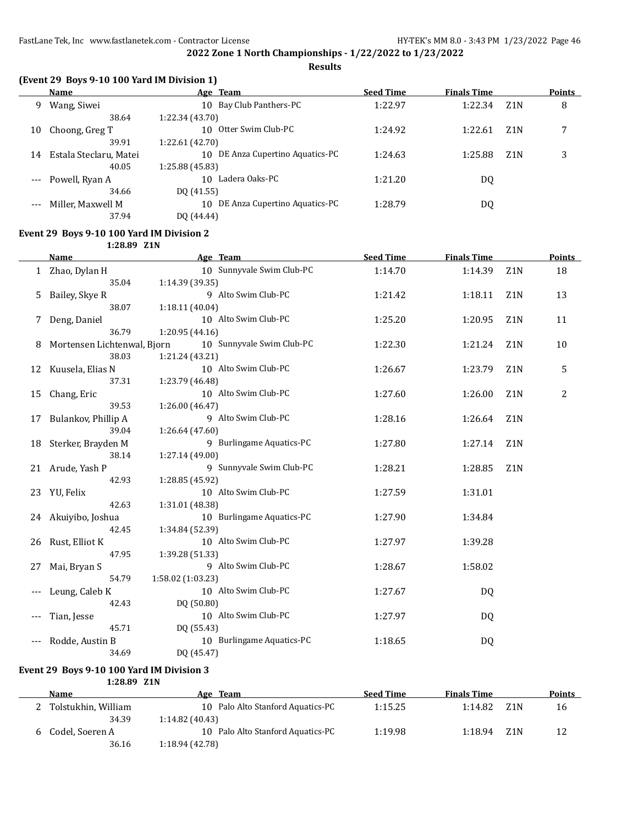**Results**

|  |  |  | (Event 29 Boys 9-10 100 Yard IM Division 1) |  |
|--|--|--|---------------------------------------------|--|
|--|--|--|---------------------------------------------|--|

|       | Name                   | Age Team                            | <b>Seed Time</b> | <b>Finals Time</b> |                  | <b>Points</b> |
|-------|------------------------|-------------------------------------|------------------|--------------------|------------------|---------------|
| 9     | Wang, Siwei            | 10 Bay Club Panthers-PC             | 1:22.97          | 1:22.34            | Z <sub>1</sub> N | 8             |
|       | 38.64                  | 1:22.34 (43.70)                     |                  |                    |                  |               |
| 10    | Choong, Greg T         | Otter Swim Club-PC<br>10            | 1:24.92          | 1:22.61            | Z <sub>1</sub> N | ⇁             |
|       | 39.91                  | 1:22.61 (42.70)                     |                  |                    |                  |               |
| 14    | Estala Steclaru, Matei | DE Anza Cupertino Aquatics-PC<br>10 | 1:24.63          | 1:25.88            | Z <sub>1</sub> N | 3             |
|       | 40.05                  | 1:25.88 (45.83)                     |                  |                    |                  |               |
|       | Powell, Ryan A         | Ladera Oaks-PC<br>10                | 1:21.20          | DQ                 |                  |               |
|       | 34.66                  | DQ (41.55)                          |                  |                    |                  |               |
| $---$ | Miller, Maxwell M      | DE Anza Cupertino Aquatics-PC<br>10 | 1:28.79          | DQ                 |                  |               |
|       | 37.94                  | DO (44.44)                          |                  |                    |                  |               |

## **Event 29 Boys 9-10 100 Yard IM Division 2**

**1:28.89 Z1N**

|    | <b>Name</b>                                                                                      | Age Team                  | <b>Seed Time</b> | <b>Finals Time</b> |                  | <b>Points</b>  |
|----|--------------------------------------------------------------------------------------------------|---------------------------|------------------|--------------------|------------------|----------------|
|    | 1 Zhao, Dylan H                                                                                  | 10 Sunnyvale Swim Club-PC | 1:14.70          | 1:14.39            | Z1N              | 18             |
|    | 35.04                                                                                            | 1:14.39 (39.35)           |                  |                    |                  |                |
| 5. | Bailey, Skye R                                                                                   | 9 Alto Swim Club-PC       | 1:21.42          | 1:18.11            | Z <sub>1</sub> N | 13             |
|    | 38.07                                                                                            | 1:18.11 (40.04)           |                  |                    |                  |                |
| 7  | Deng, Daniel                                                                                     | 10 Alto Swim Club-PC      | 1:25.20          | 1:20.95            | Z <sub>1</sub> N | 11             |
|    | 36.79                                                                                            | 1:20.95 (44.16)           |                  |                    |                  |                |
| 8  | Mortensen Lichtenwal, Bjorn                                                                      | 10 Sunnyvale Swim Club-PC | 1:22.30          | 1:21.24            | Z <sub>1</sub> N | 10             |
|    | 38.03                                                                                            | 1:21.24 (43.21)           |                  |                    |                  |                |
|    | 12 Kuusela, Elias N                                                                              | 10 Alto Swim Club-PC      | 1:26.67          | 1:23.79            | Z <sub>1</sub> N | 5              |
|    | 37.31                                                                                            | 1:23.79 (46.48)           |                  |                    |                  |                |
| 15 | Chang, Eric                                                                                      | 10 Alto Swim Club-PC      | 1:27.60          | 1:26.00            | Z <sub>1</sub> N | $\overline{c}$ |
|    | 39.53                                                                                            | 1:26.00 (46.47)           |                  |                    |                  |                |
| 17 | Bulankov, Phillip A                                                                              | 9 Alto Swim Club-PC       | 1:28.16          | 1:26.64            | Z1N              |                |
|    | 39.04                                                                                            | 1:26.64 (47.60)           |                  |                    |                  |                |
|    | 18 Sterker, Brayden M                                                                            | 9 Burlingame Aquatics-PC  | 1:27.80          | 1:27.14            | Z1N              |                |
|    | 38.14                                                                                            | 1:27.14 (49.00)           |                  |                    |                  |                |
|    | 21 Arude, Yash P                                                                                 | 9 Sunnyvale Swim Club-PC  | 1:28.21          | 1:28.85            | Z1N              |                |
|    | 42.93                                                                                            | 1:28.85 (45.92)           |                  |                    |                  |                |
|    | 23 YU, Felix                                                                                     | 10 Alto Swim Club-PC      | 1:27.59          | 1:31.01            |                  |                |
|    | 42.63                                                                                            | 1:31.01 (48.38)           |                  |                    |                  |                |
|    | 24 Akuiyibo, Joshua                                                                              | 10 Burlingame Aquatics-PC | 1:27.90          | 1:34.84            |                  |                |
|    | 42.45                                                                                            | 1:34.84 (52.39)           |                  |                    |                  |                |
|    | 26 Rust, Elliot K                                                                                | 10 Alto Swim Club-PC      | 1:27.97          | 1:39.28            |                  |                |
|    | 47.95                                                                                            | 1:39.28 (51.33)           |                  |                    |                  |                |
|    | 27 Mai, Bryan S                                                                                  | 9 Alto Swim Club-PC       | 1:28.67          | 1:58.02            |                  |                |
|    | 54.79                                                                                            | 1:58.02 (1:03.23)         |                  |                    |                  |                |
|    | Leung, Caleb K                                                                                   | 10 Alto Swim Club-PC      | 1:27.67          | DQ                 |                  |                |
|    | 42.43                                                                                            | DQ (50.80)                |                  |                    |                  |                |
|    | Tian, Jesse                                                                                      | 10 Alto Swim Club-PC      | 1:27.97          | DQ                 |                  |                |
|    | 45.71                                                                                            | DQ (55.43)                |                  |                    |                  |                |
|    | Rodde, Austin B                                                                                  | 10 Burlingame Aquatics-PC | 1:18.65          | DQ                 |                  |                |
|    | 34.69                                                                                            | DQ (45.47)                |                  |                    |                  |                |
|    | $\ldots$ 00 $\overline{D}_{\text{max}}$ 0.40.400 $V_{\text{end}}$ IM $\overline{D}_{\text{end}}$ |                           |                  |                    |                  |                |

**Event 29 Boys 9-10 100 Yard IM Division 3 1:28.89 Z1N**

| Name                | Age Team                          | <b>Seed Time</b> | <b>Finals Time</b> |      | <b>Points</b> |
|---------------------|-----------------------------------|------------------|--------------------|------|---------------|
| Tolstukhin, William | 10 Palo Alto Stanford Aquatics-PC | 1:15.25          | 1:14.82            | Z1 N | 16            |
| 34.39               | 1:14.82(40.43)                    |                  |                    |      |               |
| 6 Codel, Soeren A   | 10 Palo Alto Stanford Aquatics-PC | 1:19.98          | 1:18.94            | Z1 N | 12            |
| 36.16               | 1:18.94 (42.78)                   |                  |                    |      |               |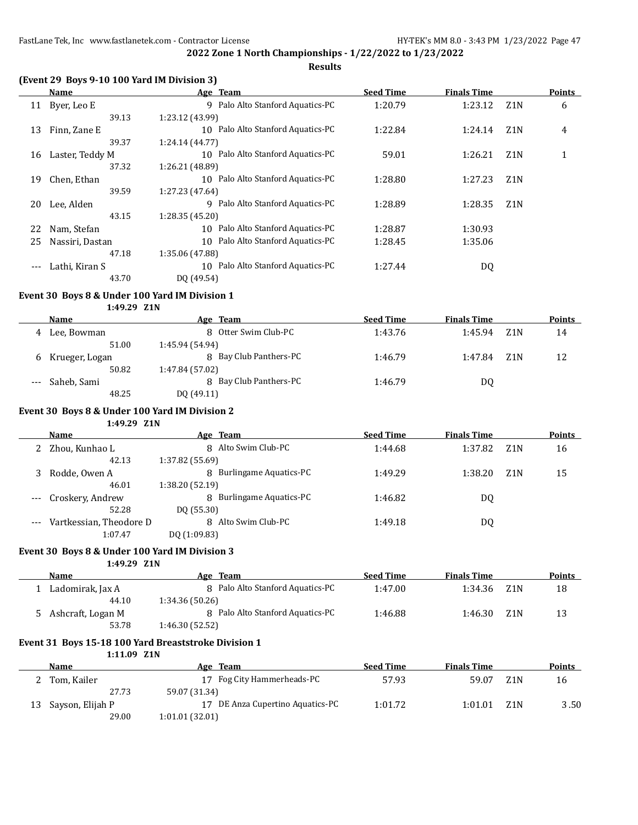**Results**

## **(Event 29 Boys 9-10 100 Yard IM Division 3)**

|     | Name            | Age Team                             | <b>Seed Time</b> | <b>Finals Time</b> |                  | <b>Points</b> |
|-----|-----------------|--------------------------------------|------------------|--------------------|------------------|---------------|
| 11  | Byer, Leo E     | 9 Palo Alto Stanford Aquatics-PC     | 1:20.79          | 1:23.12            | Z <sub>1</sub> N | 6             |
|     | 39.13           | 1:23.12 (43.99)                      |                  |                    |                  |               |
| 13  | Finn, Zane E    | Palo Alto Stanford Aquatics-PC<br>10 | 1:22.84          | 1:24.14            | Z <sub>1</sub> N | 4             |
|     | 39.37           | 1:24.14 (44.77)                      |                  |                    |                  |               |
| 16  | Laster, Teddy M | 10 Palo Alto Stanford Aquatics-PC    | 59.01            | 1:26.21            | Z <sub>1</sub> N | 1             |
|     | 37.32           | 1:26.21 (48.89)                      |                  |                    |                  |               |
| 19  | Chen, Ethan     | 10 Palo Alto Stanford Aquatics-PC    | 1:28.80          | 1:27.23            | Z <sub>1</sub> N |               |
|     | 39.59           | 1:27.23 (47.64)                      |                  |                    |                  |               |
| 20  | Lee, Alden      | Palo Alto Stanford Aquatics-PC<br>9  | 1:28.89          | 1:28.35            | Z <sub>1</sub> N |               |
|     | 43.15           | 1:28.35 (45.20)                      |                  |                    |                  |               |
| 22  | Nam, Stefan     | Palo Alto Stanford Aquatics-PC<br>10 | 1:28.87          | 1:30.93            |                  |               |
| 25  | Nassiri, Dastan | Palo Alto Stanford Aquatics-PC<br>10 | 1:28.45          | 1:35.06            |                  |               |
|     | 47.18           | 1:35.06 (47.88)                      |                  |                    |                  |               |
| --- | Lathi, Kiran S  | Palo Alto Stanford Aquatics-PC<br>10 | 1:27.44          | DQ                 |                  |               |
|     | 43.70           | DQ (49.54)                           |                  |                    |                  |               |

#### **Event 30 Boys 8 & Under 100 Yard IM Division 1**

#### **1:49.29 Z1N**

|   | Name            | Age Team               | <b>Seed Time</b> | <b>Finals Time</b> |     | <b>Points</b> |
|---|-----------------|------------------------|------------------|--------------------|-----|---------------|
| 4 | Lee, Bowman     | 8 Otter Swim Club-PC   | 1:43.76          | 1:45.94            | Z1N | 14            |
|   | 51.00           | 1:45.94 (54.94)        |                  |                    |     |               |
| b | Krueger, Logan  | 8 Bay Club Panthers-PC | 1:46.79          | 1:47.84            | Z1N | 12            |
|   | 50.82           | 1:47.84 (57.02)        |                  |                    |     |               |
|   | --- Saheb, Sami | 8 Bay Club Panthers-PC | 1:46.79          | DQ                 |     |               |
|   | 48.25           | DQ (49.11)             |                  |                    |     |               |

#### **Event 30 Boys 8 & Under 100 Yard IM Division 2**

#### **1:49.29 Z1N**

| Name                    | Age Team                 | <b>Seed Time</b> | <b>Finals Time</b> |                  | <b>Points</b> |
|-------------------------|--------------------------|------------------|--------------------|------------------|---------------|
| Zhou, Kunhao L          | 8 Alto Swim Club-PC      | 1:44.68          | 1:37.82            | Z <sub>1</sub> N | 16            |
| 42.13                   | 1:37.82 (55.69)          |                  |                    |                  |               |
| Rodde, Owen A           | 8 Burlingame Aquatics-PC | 1:49.29          | 1:38.20            | Z <sub>1</sub> N | 15            |
| 46.01                   | 1:38.20 (52.19)          |                  |                    |                  |               |
| Croskery, Andrew        | 8 Burlingame Aquatics-PC | 1:46.82          | DQ                 |                  |               |
| 52.28                   | DO (55.30)               |                  |                    |                  |               |
| Vartkessian, Theodore D | 8 Alto Swim Club-PC      | 1:49.18          | DQ                 |                  |               |
| .                       | - - - - - - - - -        |                  |                    |                  |               |

## 1:07.47 DQ (1:09.83)

## **Event 30 Boys 8 & Under 100 Yard IM Division 3**

**1:49.29 Z1N**

| <b>Name</b>       | Age Team                         | <b>Seed Time</b> | <b>Finals Time</b> |                  | <b>Points</b> |
|-------------------|----------------------------------|------------------|--------------------|------------------|---------------|
| Ladomirak, Jax A  | 8 Palo Alto Stanford Aquatics-PC | 1:47.00          | 1:34.36            | Z <sub>1</sub> N | 18            |
| 44.10             | 1:34.36 (50.26)                  |                  |                    |                  |               |
| Ashcraft, Logan M | 8 Palo Alto Stanford Aquatics-PC | 1:46.88          | 1:46.30            | Z <sub>1</sub> N | 13            |
| 53.78             | 1:46.30(52.52)                   |                  |                    |                  |               |

## **Event 31 Boys 15-18 100 Yard Breaststroke Division 1**

**1:11.09 Z1N**

|    | <b>Name</b>      | Age Team                         | <b>Seed Time</b> | <b>Finals Time</b> |     | <b>Points</b> |
|----|------------------|----------------------------------|------------------|--------------------|-----|---------------|
|    | Tom, Kailer      | 17 Fog City Hammerheads-PC       | 57.93            | 59.07              | Z1N | 16            |
|    | 27.73            | 59.07 (31.34)                    |                  |                    |     |               |
| 13 | Sayson, Elijah P | 17 DE Anza Cupertino Aquatics-PC | 1:01.72          | 1:01.01            | Z1N | 3.50          |
|    | 29.00            | 1:01.01(32.01)                   |                  |                    |     |               |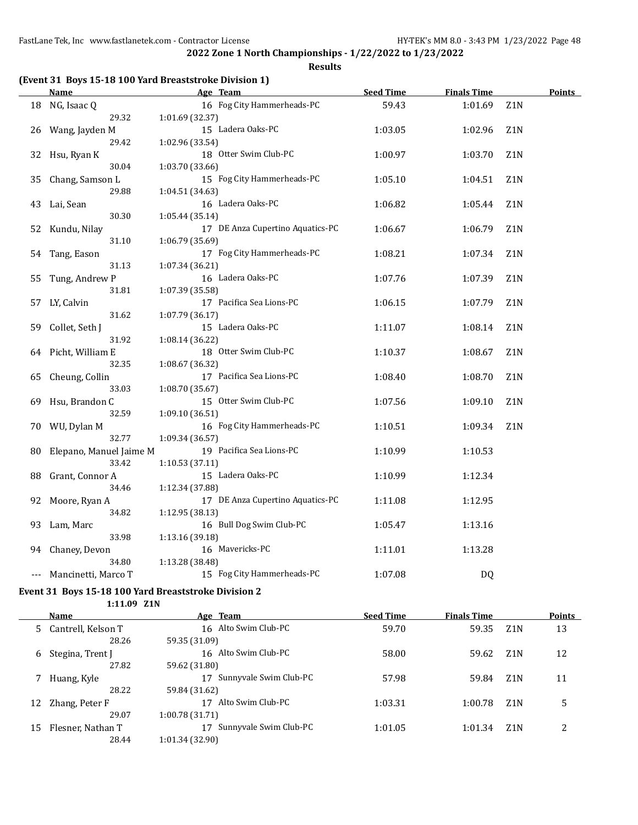**Results**

|     | <b>Name</b>             |                 | Age Team                         | <b>Seed Time</b> | <b>Finals Time</b> |                  | <b>Points</b> |
|-----|-------------------------|-----------------|----------------------------------|------------------|--------------------|------------------|---------------|
|     | 18 NG, Isaac Q          |                 | 16 Fog City Hammerheads-PC       | 59.43            | 1:01.69            | Z1N              |               |
|     | 29.32                   | 1:01.69 (32.37) |                                  |                  |                    |                  |               |
|     | 26 Wang, Jayden M       |                 | 15 Ladera Oaks-PC                | 1:03.05          | 1:02.96            | Z <sub>1</sub> N |               |
|     | 29.42                   | 1:02.96 (33.54) |                                  |                  |                    |                  |               |
| 32  | Hsu, Ryan K             |                 | 18 Otter Swim Club-PC            | 1:00.97          | 1:03.70            | Z1N              |               |
|     | 30.04                   | 1:03.70 (33.66) |                                  |                  |                    |                  |               |
| 35  | Chang, Samson L         |                 | 15 Fog City Hammerheads-PC       | 1:05.10          | 1:04.51            | Z <sub>1</sub> N |               |
|     | 29.88                   | 1:04.51 (34.63) |                                  |                  |                    |                  |               |
| 43  | Lai, Sean               |                 | 16 Ladera Oaks-PC                | 1:06.82          | 1:05.44            | Z <sub>1</sub> N |               |
|     | 30.30                   | 1:05.44 (35.14) |                                  |                  |                    |                  |               |
| 52  | Kundu, Nilay            |                 | 17 DE Anza Cupertino Aquatics-PC | 1:06.67          | 1:06.79            | Z <sub>1</sub> N |               |
|     | 31.10                   | 1:06.79 (35.69) |                                  |                  |                    |                  |               |
| 54  | Tang, Eason             |                 | 17 Fog City Hammerheads-PC       | 1:08.21          | 1:07.34            | Z1N              |               |
|     | 31.13                   | 1:07.34 (36.21) |                                  |                  |                    |                  |               |
| 55  | Tung, Andrew P          |                 | 16 Ladera Oaks-PC                | 1:07.76          | 1:07.39            | Z1N              |               |
|     | 31.81                   | 1:07.39 (35.58) |                                  |                  |                    |                  |               |
| 57  | LY, Calvin              |                 | 17 Pacifica Sea Lions-PC         | 1:06.15          | 1:07.79            | Z1N              |               |
|     | 31.62                   | 1:07.79 (36.17) |                                  |                  |                    |                  |               |
| 59  | Collet, Seth J          |                 | 15 Ladera Oaks-PC                | 1:11.07          | 1:08.14            | Z1N              |               |
|     | 31.92                   | 1:08.14 (36.22) |                                  |                  |                    |                  |               |
|     | 64 Picht, William E     |                 | 18 Otter Swim Club-PC            | 1:10.37          | 1:08.67            | Z1N              |               |
|     | 32.35                   | 1:08.67 (36.32) |                                  |                  |                    |                  |               |
| 65  | Cheung, Collin          |                 | 17 Pacifica Sea Lions-PC         | 1:08.40          | 1:08.70            | Z1N              |               |
|     | 33.03                   | 1:08.70 (35.67) |                                  |                  |                    |                  |               |
| 69  | Hsu, Brandon C          |                 | 15 Otter Swim Club-PC            | 1:07.56          | 1:09.10            | Z1N              |               |
|     | 32.59                   | 1:09.10 (36.51) |                                  |                  |                    |                  |               |
|     | 70 WU, Dylan M          |                 | 16 Fog City Hammerheads-PC       | 1:10.51          | 1:09.34            | Z1N              |               |
|     | 32.77                   | 1:09.34 (36.57) |                                  |                  |                    |                  |               |
| 80  | Elepano, Manuel Jaime M |                 | 19 Pacifica Sea Lions-PC         | 1:10.99          | 1:10.53            |                  |               |
|     | 33.42                   | 1:10.53 (37.11) |                                  |                  |                    |                  |               |
| 88  | Grant, Connor A         |                 | 15 Ladera Oaks-PC                | 1:10.99          | 1:12.34            |                  |               |
|     | 34.46                   | 1:12.34 (37.88) |                                  |                  |                    |                  |               |
| 92  | Moore, Ryan A           |                 | 17 DE Anza Cupertino Aquatics-PC | 1:11.08          | 1:12.95            |                  |               |
|     | 34.82                   | 1:12.95 (38.13) | 16 Bull Dog Swim Club-PC         |                  |                    |                  |               |
| 93  | Lam, Marc               |                 |                                  | 1:05.47          | 1:13.16            |                  |               |
|     | 33.98                   | 1:13.16 (39.18) | 16 Mavericks-PC                  | 1:11.01          | 1:13.28            |                  |               |
| 94  | Chaney, Devon<br>34.80  | 1:13.28 (38.48) |                                  |                  |                    |                  |               |
|     |                         |                 | 15 Fog City Hammerheads-PC       | 1:07.08          | DQ                 |                  |               |
| --- | Mancinetti, Marco T     |                 |                                  |                  |                    |                  |               |

### **Event 31 Boys 15-18 100 Yard Breaststroke Division 2**

**1:11.09 Z1N**

| Name                 | Age Team               | <b>Seed Time</b> | <b>Finals Time</b> |                  | <b>Points</b> |
|----------------------|------------------------|------------------|--------------------|------------------|---------------|
| 5 Cantrell, Kelson T | 16 Alto Swim Club-PC   | 59.70            | 59.35              | Z1N              | 13            |
| 28.26                | 59.35 (31.09)          |                  |                    |                  |               |
| Stegina, Trent J     | 16 Alto Swim Club-PC   | 58.00            | 59.62              | Z <sub>1</sub> N | 12            |
| 27.82                | 59.62 (31.80)          |                  |                    |                  |               |
| Huang, Kyle          | Sunnyvale Swim Club-PC | 57.98            | 59.84              | Z <sub>1</sub> N | 11            |
| 28.22                | 59.84 (31.62)          |                  |                    |                  |               |
| Zhang, Peter F       | Alto Swim Club-PC      | 1:03.31          | 1:00.78            | Z <sub>1</sub> N | 5             |
| 29.07                | 1:00.78(31.71)         |                  |                    |                  |               |
| Flesner, Nathan T    | Sunnyvale Swim Club-PC | 1:01.05          | 1:01.34            | Z <sub>1</sub> N | $\mathcal{D}$ |
| 28.44                | 1:01.34 (32.90)        |                  |                    |                  |               |
|                      |                        |                  |                    |                  |               |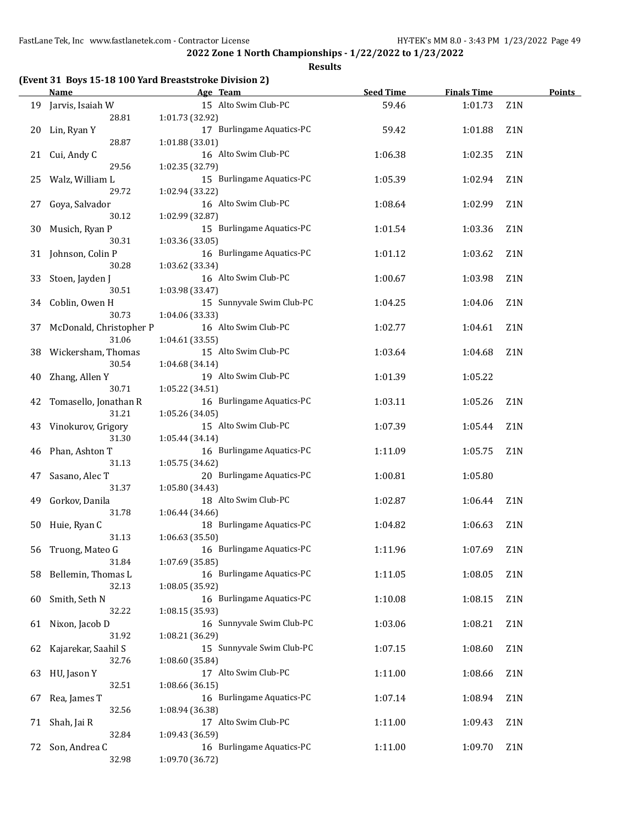**Results**

|  |  |  | (Event 31 Boys 15-18 100 Yard Breaststroke Division 2) |  |  |
|--|--|--|--------------------------------------------------------|--|--|
|--|--|--|--------------------------------------------------------|--|--|

|    | <b>Name</b>             |                 | Age Team                  | <b>Seed Time</b> | <b>Finals Time</b> |                  | <b>Points</b> |
|----|-------------------------|-----------------|---------------------------|------------------|--------------------|------------------|---------------|
|    | 19 Jarvis, Isaiah W     |                 | 15 Alto Swim Club-PC      | 59.46            | 1:01.73            | Z1N              |               |
|    | 28.81                   | 1:01.73 (32.92) |                           |                  |                    |                  |               |
| 20 | Lin, Ryan Y             |                 | 17 Burlingame Aquatics-PC | 59.42            | 1:01.88            | Z <sub>1</sub> N |               |
|    | 28.87                   | 1:01.88 (33.01) |                           |                  |                    |                  |               |
| 21 | Cui, Andy C             |                 | 16 Alto Swim Club-PC      | 1:06.38          | 1:02.35            | Z1N              |               |
|    | 29.56                   | 1:02.35 (32.79) |                           |                  |                    |                  |               |
| 25 | Walz, William L         |                 | 15 Burlingame Aquatics-PC | 1:05.39          | 1:02.94            | Z1N              |               |
|    | 29.72                   | 1:02.94 (33.22) |                           |                  |                    |                  |               |
| 27 | Goya, Salvador          |                 | 16 Alto Swim Club-PC      | 1:08.64          | 1:02.99            | Z1N              |               |
|    | 30.12                   | 1:02.99 (32.87) |                           |                  |                    |                  |               |
| 30 | Musich, Ryan P          |                 | 15 Burlingame Aquatics-PC | 1:01.54          | 1:03.36            | Z1N              |               |
|    | 30.31                   | 1:03.36 (33.05) |                           |                  |                    |                  |               |
| 31 | Johnson, Colin P        |                 | 16 Burlingame Aquatics-PC | 1:01.12          | 1:03.62            | Z1N              |               |
|    | 30.28                   | 1:03.62 (33.34) |                           |                  |                    |                  |               |
| 33 | Stoen, Jayden J         |                 | 16 Alto Swim Club-PC      | 1:00.67          | 1:03.98            | Z1N              |               |
|    | 30.51                   | 1:03.98 (33.47) |                           |                  |                    |                  |               |
| 34 | Coblin, Owen H          |                 | 15 Sunnyvale Swim Club-PC | 1:04.25          | 1:04.06            | Z1N              |               |
|    | 30.73                   | 1:04.06 (33.33) |                           |                  |                    |                  |               |
| 37 | McDonald, Christopher P |                 | 16 Alto Swim Club-PC      | 1:02.77          | 1:04.61            | Z1N              |               |
|    | 31.06                   | 1:04.61 (33.55) |                           |                  |                    |                  |               |
| 38 | Wickersham, Thomas      |                 | 15 Alto Swim Club-PC      | 1:03.64          | 1:04.68            | Z1N              |               |
|    | 30.54                   | 1:04.68 (34.14) |                           |                  |                    |                  |               |
| 40 | Zhang, Allen Y          |                 | 19 Alto Swim Club-PC      | 1:01.39          | 1:05.22            |                  |               |
|    | 30.71                   | 1:05.22 (34.51) |                           |                  |                    |                  |               |
| 42 | Tomasello, Jonathan R   |                 | 16 Burlingame Aquatics-PC | 1:03.11          | 1:05.26            | Z1N              |               |
|    | 31.21                   | 1:05.26 (34.05) |                           |                  |                    |                  |               |
|    | 43 Vinokurov, Grigory   |                 | 15 Alto Swim Club-PC      | 1:07.39          | 1:05.44            | Z <sub>1</sub> N |               |
|    | 31.30                   | 1:05.44 (34.14) |                           |                  |                    |                  |               |
|    | 46 Phan, Ashton T       |                 | 16 Burlingame Aquatics-PC | 1:11.09          | 1:05.75            | Z1N              |               |
|    | 31.13                   | 1:05.75 (34.62) |                           |                  |                    |                  |               |
| 47 | Sasano, Alec T          |                 | 20 Burlingame Aquatics-PC | 1:00.81          | 1:05.80            |                  |               |
|    | 31.37                   | 1:05.80 (34.43) |                           |                  |                    |                  |               |
| 49 | Gorkov, Danila          |                 | 18 Alto Swim Club-PC      | 1:02.87          | 1:06.44            | Z1N              |               |
|    | 31.78                   | 1:06.44 (34.66) |                           |                  |                    |                  |               |
|    | 50 Huie, Ryan C         |                 | 18 Burlingame Aquatics-PC | 1:04.82          | 1:06.63            | Z <sub>1</sub> N |               |
|    | 31.13                   | 1:06.63 (35.50) |                           |                  |                    |                  |               |
|    | 56 Truong, Mateo G      |                 | 16 Burlingame Aquatics-PC | 1:11.96          | 1:07.69            | Z1N              |               |
|    | 31.84                   | 1:07.69 (35.85) |                           |                  |                    |                  |               |
| 58 | Bellemin, Thomas L      |                 | 16 Burlingame Aquatics-PC | 1:11.05          | 1:08.05            | Z1N              |               |
|    | 32.13                   | 1:08.05 (35.92) |                           |                  |                    |                  |               |
| 60 | Smith, Seth N           |                 | 16 Burlingame Aquatics-PC | 1:10.08          | 1:08.15            | Z1N              |               |
|    | 32.22                   | 1:08.15 (35.93) |                           |                  |                    |                  |               |
| 61 | Nixon, Jacob D          |                 | 16 Sunnyvale Swim Club-PC | 1:03.06          | 1:08.21            | Z1N              |               |
|    | 31.92                   | 1:08.21 (36.29) |                           |                  |                    |                  |               |
| 62 | Kajarekar, Saahil S     |                 | 15 Sunnyvale Swim Club-PC | 1:07.15          | 1:08.60            | Z1N              |               |
|    | 32.76                   | 1:08.60 (35.84) |                           |                  |                    |                  |               |
| 63 | HU, Jason Y             |                 | 17 Alto Swim Club-PC      | 1:11.00          | 1:08.66            | Z1N              |               |
|    | 32.51                   | 1:08.66(36.15)  |                           |                  |                    |                  |               |
| 67 | Rea, James T            |                 | 16 Burlingame Aquatics-PC | 1:07.14          | 1:08.94            | Z1N              |               |
|    | 32.56                   | 1:08.94 (36.38) |                           |                  |                    |                  |               |
| 71 | Shah, Jai R             |                 | 17 Alto Swim Club-PC      | 1:11.00          | 1:09.43            | Z1N              |               |
|    | 32.84                   | 1:09.43 (36.59) |                           |                  |                    |                  |               |
| 72 | Son, Andrea C           |                 | 16 Burlingame Aquatics-PC | 1:11.00          | 1:09.70            | Z1N              |               |
|    | 32.98                   | 1:09.70 (36.72) |                           |                  |                    |                  |               |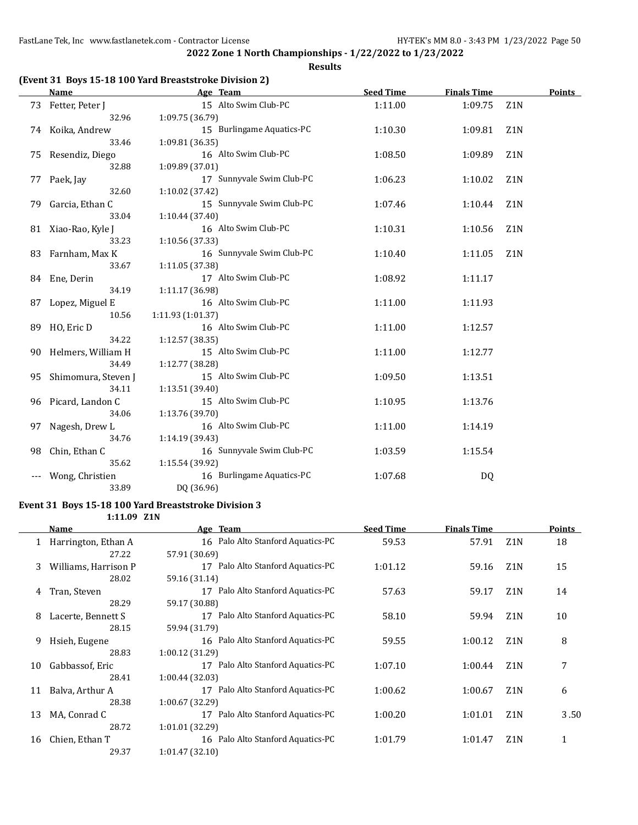**Results**

## **(Event 31 Boys 15-18 100 Yard Breaststroke Division 2)**

|    | <b>Name</b>           | Age Team                  | <b>Seed Time</b> | <b>Finals Time</b> |                  | <b>Points</b> |
|----|-----------------------|---------------------------|------------------|--------------------|------------------|---------------|
|    | 73 Fetter, Peter J    | 15 Alto Swim Club-PC      | 1:11.00          | 1:09.75            | Z <sub>1</sub> N |               |
|    | 32.96                 | 1:09.75 (36.79)           |                  |                    |                  |               |
|    | 74 Koika, Andrew      | 15 Burlingame Aquatics-PC | 1:10.30          | 1:09.81            | Z <sub>1</sub> N |               |
|    | 33.46                 | 1:09.81 (36.35)           |                  |                    |                  |               |
|    | 75 Resendiz, Diego    | 16 Alto Swim Club-PC      | 1:08.50          | 1:09.89            | Z <sub>1</sub> N |               |
|    | 32.88                 | 1:09.89 (37.01)           |                  |                    |                  |               |
| 77 | Paek, Jay             | 17 Sunnyvale Swim Club-PC | 1:06.23          | 1:10.02            | Z <sub>1</sub> N |               |
|    | 32.60                 | 1:10.02 (37.42)           |                  |                    |                  |               |
| 79 | Garcia, Ethan C       | 15 Sunnyvale Swim Club-PC | 1:07.46          | 1:10.44            | Z1N              |               |
|    | 33.04                 | 1:10.44 (37.40)           |                  |                    |                  |               |
|    | 81 Xiao-Rao, Kyle J   | 16 Alto Swim Club-PC      | 1:10.31          | 1:10.56            | Z <sub>1</sub> N |               |
|    | 33.23                 | 1:10.56 (37.33)           |                  |                    |                  |               |
|    | 83 Farnham, Max K     | 16 Sunnyvale Swim Club-PC | 1:10.40          | 1:11.05            | Z <sub>1</sub> N |               |
|    | 33.67                 | 1:11.05 (37.38)           |                  |                    |                  |               |
|    | 84 Ene, Derin         | 17 Alto Swim Club-PC      | 1:08.92          | 1:11.17            |                  |               |
|    | 34.19                 | 1:11.17 (36.98)           |                  |                    |                  |               |
| 87 | Lopez, Miguel E       | 16 Alto Swim Club-PC      | 1:11.00          | 1:11.93            |                  |               |
|    | 10.56                 | 1:11.93 (1:01.37)         |                  |                    |                  |               |
|    | 89 HO, Eric D         | 16 Alto Swim Club-PC      | 1:11.00          | 1:12.57            |                  |               |
|    | 34.22                 | 1:12.57 (38.35)           |                  |                    |                  |               |
|    | 90 Helmers, William H | 15 Alto Swim Club-PC      | 1:11.00          | 1:12.77            |                  |               |
|    | 34.49                 | 1:12.77 (38.28)           |                  |                    |                  |               |
| 95 | Shimomura, Steven J   | 15 Alto Swim Club-PC      | 1:09.50          | 1:13.51            |                  |               |
|    | 34.11                 | 1:13.51 (39.40)           |                  |                    |                  |               |
| 96 | Picard, Landon C      | 15 Alto Swim Club-PC      | 1:10.95          | 1:13.76            |                  |               |
|    | 34.06                 | 1:13.76 (39.70)           |                  |                    |                  |               |
|    | 97 Nagesh, Drew L     | 16 Alto Swim Club-PC      | 1:11.00          | 1:14.19            |                  |               |
|    | 34.76                 | 1:14.19 (39.43)           |                  |                    |                  |               |
| 98 | Chin, Ethan C         | 16 Sunnyvale Swim Club-PC | 1:03.59          | 1:15.54            |                  |               |
|    | 35.62                 | 1:15.54 (39.92)           |                  |                    |                  |               |
|    | Wong, Christien       | 16 Burlingame Aquatics-PC | 1:07.68          | DQ                 |                  |               |
|    | 33.89                 | DQ (36.96)                |                  |                    |                  |               |

#### **Event 31 Boys 15-18 100 Yard Breaststroke Division 3**

**1:11.09 Z1N**

|    | Name                 | Age Team                             | <b>Seed Time</b> | <b>Finals Time</b> |                  | <b>Points</b> |
|----|----------------------|--------------------------------------|------------------|--------------------|------------------|---------------|
|    | Harrington, Ethan A  | 16 Palo Alto Stanford Aquatics-PC    | 59.53            | 57.91              | Z <sub>1</sub> N | 18            |
|    | 27.22                | 57.91 (30.69)                        |                  |                    |                  |               |
| 3  | Williams, Harrison P | 17 Palo Alto Stanford Aquatics-PC    | 1:01.12          | 59.16              | Z <sub>1</sub> N | 15            |
|    | 28.02                | 59.16 (31.14)                        |                  |                    |                  |               |
| 4  | Tran, Steven         | 17 Palo Alto Stanford Aquatics-PC    | 57.63            | 59.17              | Z <sub>1</sub> N | 14            |
|    | 28.29                | 59.17 (30.88)                        |                  |                    |                  |               |
| 8  | Lacerte, Bennett S   | 17 Palo Alto Stanford Aquatics-PC    | 58.10            | 59.94              | Z <sub>1</sub> N | 10            |
|    | 28.15                | 59.94 (31.79)                        |                  |                    |                  |               |
| 9  | Hsieh, Eugene        | 16 Palo Alto Stanford Aquatics-PC    | 59.55            | 1:00.12            | Z <sub>1</sub> N | 8             |
|    | 28.83                | 1:00.12(31.29)                       |                  |                    |                  |               |
| 10 | Gabbassof, Eric      | 17 Palo Alto Stanford Aquatics-PC    | 1:07.10          | 1:00.44            | Z <sub>1</sub> N |               |
|    | 28.41                | 1:00.44(32.03)                       |                  |                    |                  |               |
| 11 | Balva, Arthur A      | Palo Alto Stanford Aquatics-PC<br>17 | 1:00.62          | 1:00.67            | Z <sub>1</sub> N | 6             |
|    | 28.38                | 1:00.67(32.29)                       |                  |                    |                  |               |
| 13 | MA, Conrad C         | Palo Alto Stanford Aquatics-PC<br>17 | 1:00.20          | 1:01.01            | Z <sub>1</sub> N | 3.50          |
|    | 28.72                | 1:01.01(32.29)                       |                  |                    |                  |               |
| 16 | Chien, Ethan T       | 16 Palo Alto Stanford Aquatics-PC    | 1:01.79          | 1:01.47            | Z <sub>1</sub> N | 1             |
|    | 29.37                | 1:01.47(32.10)                       |                  |                    |                  |               |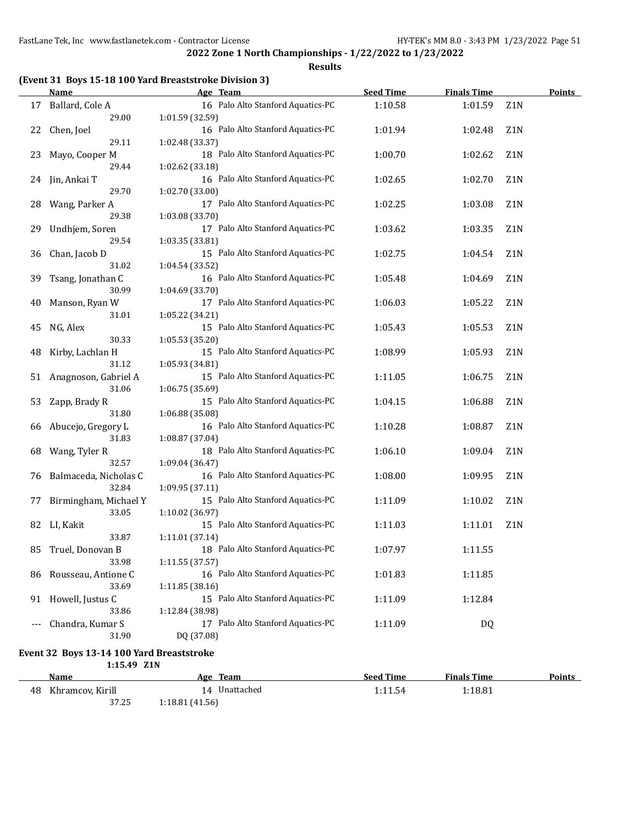**Results**

## **(Event 31 Boys 15-18 100 Yard Breaststroke Division 3)**

|    | <b>Name</b>           | Age Team                          | <b>Seed Time</b> | <b>Finals Time</b> |                  | <b>Points</b> |
|----|-----------------------|-----------------------------------|------------------|--------------------|------------------|---------------|
| 17 | Ballard, Cole A       | 16 Palo Alto Stanford Aquatics-PC | 1:10.58          | 1:01.59            | Z1N              |               |
|    | 29.00                 | 1:01.59 (32.59)                   |                  |                    |                  |               |
| 22 | Chen, Joel            | 16 Palo Alto Stanford Aquatics-PC | 1:01.94          | 1:02.48            | Z <sub>1</sub> N |               |
|    | 29.11                 | 1:02.48 (33.37)                   |                  |                    |                  |               |
| 23 | Mayo, Cooper M        | 18 Palo Alto Stanford Aquatics-PC | 1:00.70          | 1:02.62            | Z1N              |               |
|    | 29.44                 | 1:02.62 (33.18)                   |                  |                    |                  |               |
| 24 | Jin, Ankai T          | 16 Palo Alto Stanford Aquatics-PC | 1:02.65          | 1:02.70            | Z <sub>1</sub> N |               |
|    | 29.70                 | 1:02.70 (33.00)                   |                  |                    |                  |               |
| 28 | Wang, Parker A        | 17 Palo Alto Stanford Aquatics-PC | 1:02.25          | 1:03.08            | Z1N              |               |
|    | 29.38                 | 1:03.08 (33.70)                   |                  |                    |                  |               |
| 29 | Undhjem, Soren        | 17 Palo Alto Stanford Aquatics-PC | 1:03.62          | 1:03.35            | Z1N              |               |
|    | 29.54                 | 1:03.35 (33.81)                   |                  |                    |                  |               |
| 36 | Chan, Jacob D         | 15 Palo Alto Stanford Aquatics-PC | 1:02.75          | 1:04.54            | Z <sub>1</sub> N |               |
|    | 31.02                 | 1:04.54 (33.52)                   |                  |                    |                  |               |
| 39 | Tsang, Jonathan C     | 16 Palo Alto Stanford Aquatics-PC | 1:05.48          | 1:04.69            | Z <sub>1</sub> N |               |
|    | 30.99                 | 1:04.69 (33.70)                   |                  |                    |                  |               |
| 40 | Manson, Ryan W        | 17 Palo Alto Stanford Aquatics-PC | 1:06.03          | 1:05.22            | Z1N              |               |
|    | 31.01                 | 1:05.22 (34.21)                   |                  |                    |                  |               |
| 45 | NG, Alex              | 15 Palo Alto Stanford Aquatics-PC | 1:05.43          | 1:05.53            | Z <sub>1</sub> N |               |
|    | 30.33                 | 1:05.53 (35.20)                   |                  |                    |                  |               |
| 48 | Kirby, Lachlan H      | 15 Palo Alto Stanford Aquatics-PC | 1:08.99          | 1:05.93            | Z1N              |               |
|    | 31.12                 | 1:05.93 (34.81)                   |                  |                    |                  |               |
| 51 | Anagnoson, Gabriel A  | 15 Palo Alto Stanford Aquatics-PC | 1:11.05          | 1:06.75            | Z <sub>1</sub> N |               |
|    | 31.06                 | 1:06.75 (35.69)                   |                  |                    |                  |               |
| 53 | Zapp, Brady R         | 15 Palo Alto Stanford Aquatics-PC | 1:04.15          | 1:06.88            | Z <sub>1</sub> N |               |
|    | 31.80                 | 1:06.88 (35.08)                   |                  |                    |                  |               |
| 66 | Abucejo, Gregory L    | 16 Palo Alto Stanford Aquatics-PC | 1:10.28          | 1:08.87            | Z1N              |               |
|    | 31.83                 | 1:08.87 (37.04)                   |                  |                    |                  |               |
| 68 | Wang, Tyler R         | 18 Palo Alto Stanford Aquatics-PC | 1:06.10          | 1:09.04            | Z <sub>1</sub> N |               |
|    | 32.57                 | 1:09.04 (36.47)                   |                  |                    |                  |               |
| 76 | Balmaceda, Nicholas C | 16 Palo Alto Stanford Aquatics-PC | 1:08.00          | 1:09.95            | Z <sub>1</sub> N |               |
|    | 32.84                 | 1:09.95 (37.11)                   |                  |                    |                  |               |
| 77 | Birmingham, Michael Y | 15 Palo Alto Stanford Aquatics-PC | 1:11.09          | 1:10.02            | Z <sub>1</sub> N |               |
|    | 33.05                 | 1:10.02 (36.97)                   |                  |                    |                  |               |
|    | 82 LI, Kakit          | 15 Palo Alto Stanford Aquatics-PC | 1:11.03          | 1:11.01            | Z <sub>1</sub> N |               |
|    | 33.87                 | 1:11.01 (37.14)                   |                  |                    |                  |               |
| 85 | Truel, Donovan B      | 18 Palo Alto Stanford Aquatics-PC | 1:07.97          | 1:11.55            |                  |               |
|    | 33.98                 | 1:11.55(37.57)                    |                  |                    |                  |               |
| 86 | Rousseau, Antione C   | 16 Palo Alto Stanford Aquatics-PC | 1:01.83          | 1:11.85            |                  |               |
|    | 33.69                 | 1:11.85 (38.16)                   |                  |                    |                  |               |
| 91 | Howell, Justus C      | 15 Palo Alto Stanford Aquatics-PC | 1:11.09          | 1:12.84            |                  |               |
|    | 33.86                 | 1:12.84 (38.98)                   |                  |                    |                  |               |
|    | Chandra, Kumar S      | 17 Palo Alto Stanford Aquatics-PC | 1:11.09          | <b>DQ</b>          |                  |               |
|    | 31.90                 | DQ (37.08)                        |                  |                    |                  |               |

#### **Event 32 Boys 13-14 100 Yard Breaststroke 1:15.49 Z1N**

| Name                   | Age Team       | <b>Seed Time</b> | <b>Finals Time</b> | <b>Points</b> |
|------------------------|----------------|------------------|--------------------|---------------|
| 48<br>Khramcov. Kirill | 14 Unattached  | 1:11.54          | l:18.81            |               |
| 37.25                  | 1:18.81(41.56) |                  |                    |               |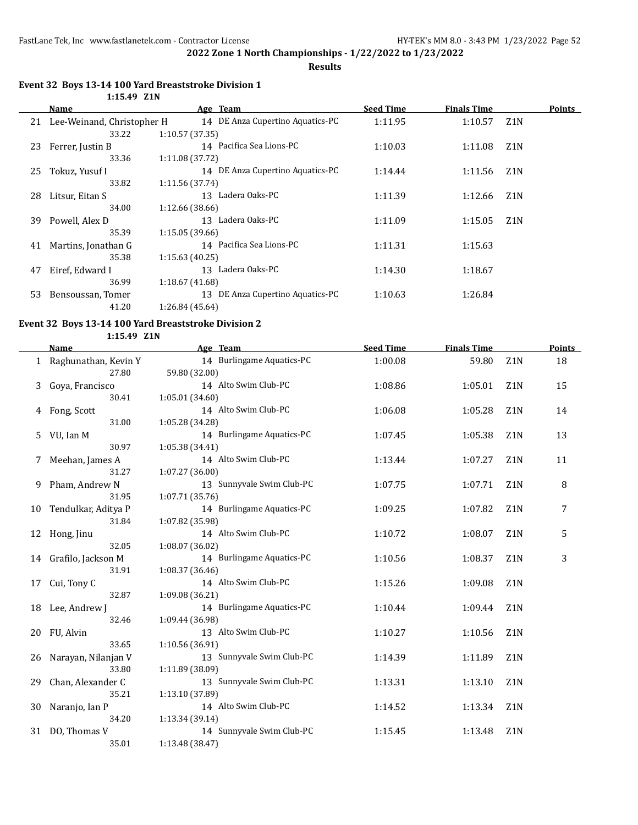**Results**

#### **Event 32 Boys 13-14 100 Yard Breaststroke Division 1 1:15.49 Z1N**

|    | Name                       | Age Team                         | <b>Seed Time</b> | <b>Finals Time</b> |                  | Points |
|----|----------------------------|----------------------------------|------------------|--------------------|------------------|--------|
| 21 | Lee-Weinand, Christopher H | 14 DE Anza Cupertino Aquatics-PC | 1:11.95          | 1:10.57            | Z1N              |        |
|    | 33.22                      | 1:10.57(37.35)                   |                  |                    |                  |        |
| 23 | Ferrer, Justin B           | 14 Pacifica Sea Lions-PC         | 1:10.03          | 1:11.08            | Z <sub>1</sub> N |        |
|    | 33.36                      | 1:11.08 (37.72)                  |                  |                    |                  |        |
| 25 | Tokuz, Yusuf I             | 14 DE Anza Cupertino Aquatics-PC | 1:14.44          | 1:11.56            | Z1N              |        |
|    | 33.82                      | 1:11.56 (37.74)                  |                  |                    |                  |        |
| 28 | Litsur, Eitan S            | 13 Ladera Oaks-PC                | 1:11.39          | 1:12.66            | Z <sub>1</sub> N |        |
|    | 34.00                      | 1:12.66 (38.66)                  |                  |                    |                  |        |
| 39 | Powell, Alex D             | Ladera Oaks-PC<br>13             | 1:11.09          | 1:15.05            | Z <sub>1</sub> N |        |
|    | 35.39                      | 1:15.05(39.66)                   |                  |                    |                  |        |
| 41 | Martins, Jonathan G        | 14 Pacifica Sea Lions-PC         | 1:11.31          | 1:15.63            |                  |        |
|    | 35.38                      | 1:15.63(40.25)                   |                  |                    |                  |        |
| 47 | Eiref, Edward I            | Ladera Oaks-PC<br>13             | 1:14.30          | 1:18.67            |                  |        |
|    | 36.99                      | 1:18.67(41.68)                   |                  |                    |                  |        |
| 53 | Bensoussan, Tomer          | 13 DE Anza Cupertino Aquatics-PC | 1:10.63          | 1:26.84            |                  |        |
|    | 41.20                      | 1:26.84 (45.64)                  |                  |                    |                  |        |

## **Event 32 Boys 13-14 100 Yard Breaststroke Division 2**

**1:15.49 Z1N**

|    | <b>Name</b>            | Age Team                  | <b>Seed Time</b> | <b>Finals Time</b> |                  | Points |
|----|------------------------|---------------------------|------------------|--------------------|------------------|--------|
|    | 1 Raghunathan, Kevin Y | 14 Burlingame Aquatics-PC | 1:00.08          | 59.80              | Z <sub>1</sub> N | 18     |
|    | 27.80                  | 59.80 (32.00)             |                  |                    |                  |        |
| 3  | Goya, Francisco        | 14 Alto Swim Club-PC      | 1:08.86          | 1:05.01            | Z <sub>1</sub> N | 15     |
|    | 30.41                  | 1:05.01(34.60)            |                  |                    |                  |        |
| 4  | Fong, Scott            | 14 Alto Swim Club-PC      | 1:06.08          | 1:05.28            | Z1N              | 14     |
|    | 31.00                  | 1:05.28 (34.28)           |                  |                    |                  |        |
| 5  | VU, Ian M              | 14 Burlingame Aquatics-PC | 1:07.45          | 1:05.38            | Z1N              | 13     |
|    | 30.97                  | 1:05.38 (34.41)           |                  |                    |                  |        |
| 7  | Meehan, James A        | 14 Alto Swim Club-PC      | 1:13.44          | 1:07.27            | Z1N              | 11     |
|    | 31.27                  | 1:07.27 (36.00)           |                  |                    |                  |        |
| 9  | Pham, Andrew N         | 13 Sunnyvale Swim Club-PC | 1:07.75          | 1:07.71            | Z1N              | 8      |
|    | 31.95                  | 1:07.71 (35.76)           |                  |                    |                  |        |
| 10 | Tendulkar, Aditya P    | 14 Burlingame Aquatics-PC | 1:09.25          | 1:07.82            | Z <sub>1</sub> N | 7      |
|    | 31.84                  | 1:07.82 (35.98)           |                  |                    |                  |        |
| 12 | Hong, Jinu             | 14 Alto Swim Club-PC      | 1:10.72          | 1:08.07            | Z <sub>1</sub> N | 5      |
|    | 32.05                  | 1:08.07 (36.02)           |                  |                    |                  |        |
|    | 14 Grafilo, Jackson M  | 14 Burlingame Aquatics-PC | 1:10.56          | 1:08.37            | Z1N              | 3      |
|    | 31.91                  | 1:08.37(36.46)            |                  |                    |                  |        |
| 17 | Cui, Tony C            | 14 Alto Swim Club-PC      | 1:15.26          | 1:09.08            | Z <sub>1</sub> N |        |
|    | 32.87                  | 1:09.08(36.21)            |                  |                    |                  |        |
| 18 | Lee, Andrew J          | 14 Burlingame Aquatics-PC | 1:10.44          | 1:09.44            | Z1N              |        |
|    | 32.46                  | 1:09.44 (36.98)           |                  |                    |                  |        |
| 20 | FU, Alvin              | 13 Alto Swim Club-PC      | 1:10.27          | 1:10.56            | Z <sub>1</sub> N |        |
|    | 33.65                  | 1:10.56 (36.91)           |                  |                    |                  |        |
| 26 | Narayan, Nilanjan V    | 13 Sunnyvale Swim Club-PC | 1:14.39          | 1:11.89            | Z <sub>1</sub> N |        |
|    | 33.80                  | 1:11.89 (38.09)           |                  |                    |                  |        |
| 29 | Chan, Alexander C      | 13 Sunnyvale Swim Club-PC | 1:13.31          | 1:13.10            | Z1N              |        |
|    | 35.21                  | 1:13.10 (37.89)           |                  |                    |                  |        |
| 30 | Naranjo, Ian P         | 14 Alto Swim Club-PC      | 1:14.52          | 1:13.34            | Z1N              |        |
|    | 34.20                  | 1:13.34 (39.14)           |                  |                    |                  |        |
| 31 | DO, Thomas V           | 14 Sunnyvale Swim Club-PC | 1:15.45          | 1:13.48            | Z1N              |        |
|    | 35.01                  | 1:13.48 (38.47)           |                  |                    |                  |        |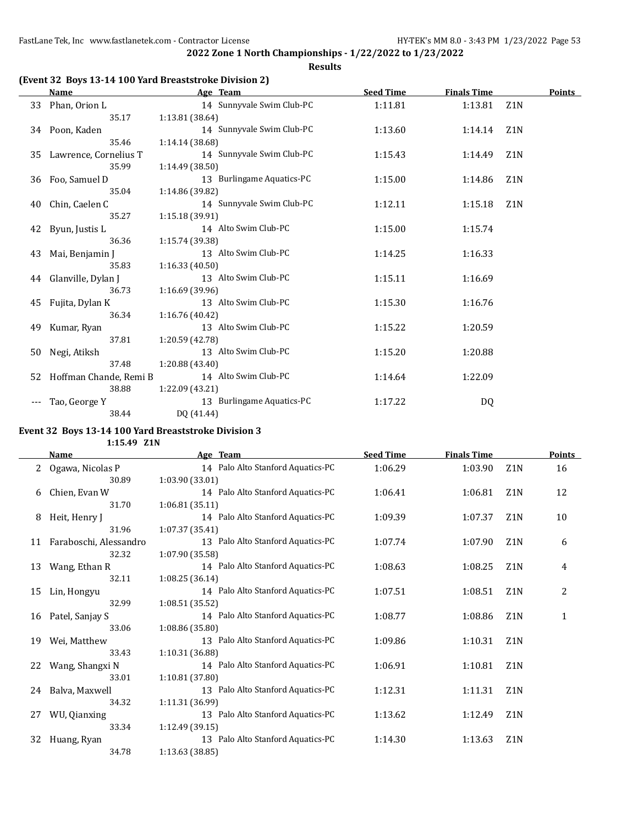**Results**

## **(Event 32 Boys 13-14 100 Yard Breaststroke Division 2)**

|    | <b>Name</b>              | Age Team                  | <b>Seed Time</b> | <b>Finals Time</b> |                  | Points |
|----|--------------------------|---------------------------|------------------|--------------------|------------------|--------|
|    | 33 Phan, Orion L         | 14 Sunnyvale Swim Club-PC | 1:11.81          | 1:13.81            | Z <sub>1</sub> N |        |
|    | 35.17                    | 1:13.81(38.64)            |                  |                    |                  |        |
| 34 | Poon, Kaden              | 14 Sunnyvale Swim Club-PC | 1:13.60          | 1:14.14            | Z1N              |        |
|    | 35.46                    | 1:14.14 (38.68)           |                  |                    |                  |        |
|    | 35 Lawrence, Cornelius T | 14 Sunnyvale Swim Club-PC | 1:15.43          | 1:14.49            | Z <sub>1</sub> N |        |
|    | 35.99                    | 1:14.49 (38.50)           |                  |                    |                  |        |
| 36 | Foo, Samuel D            | 13 Burlingame Aquatics-PC | 1:15.00          | 1:14.86            | Z <sub>1</sub> N |        |
|    | 35.04                    | 1:14.86 (39.82)           |                  |                    |                  |        |
| 40 | Chin, Caelen C           | 14 Sunnyvale Swim Club-PC | 1:12.11          | 1:15.18            | Z <sub>1</sub> N |        |
|    | 35.27                    | 1:15.18(39.91)            |                  |                    |                  |        |
| 42 | Byun, Justis L           | 14 Alto Swim Club-PC      | 1:15.00          | 1:15.74            |                  |        |
|    | 36.36                    | 1:15.74 (39.38)           |                  |                    |                  |        |
| 43 | Mai, Benjamin J          | 13 Alto Swim Club-PC      | 1:14.25          | 1:16.33            |                  |        |
|    | 35.83                    | 1:16.33(40.50)            |                  |                    |                  |        |
|    | 44 Glanville, Dylan J    | 13 Alto Swim Club-PC      | 1:15.11          | 1:16.69            |                  |        |
|    | 36.73                    | 1:16.69 (39.96)           |                  |                    |                  |        |
| 45 | Fujita, Dylan K          | 13 Alto Swim Club-PC      | 1:15.30          | 1:16.76            |                  |        |
|    | 36.34                    | 1:16.76(40.42)            |                  |                    |                  |        |
| 49 | Kumar, Ryan              | 13 Alto Swim Club-PC      | 1:15.22          | 1:20.59            |                  |        |
|    | 37.81                    | 1:20.59 (42.78)           |                  |                    |                  |        |
| 50 | Negi, Atiksh             | 13 Alto Swim Club-PC      | 1:15.20          | 1:20.88            |                  |        |
|    | 37.48                    | 1:20.88 (43.40)           |                  |                    |                  |        |
| 52 | Hoffman Chande, Remi B   | 14 Alto Swim Club-PC      | 1:14.64          | 1:22.09            |                  |        |
|    | 38.88                    | 1:22.09 (43.21)           |                  |                    |                  |        |
|    | Tao, George Y            | 13 Burlingame Aquatics-PC | 1:17.22          | DQ.                |                  |        |
|    | 38.44                    | DQ (41.44)                |                  |                    |                  |        |

## **Event 32 Boys 13-14 100 Yard Breaststroke Division 3**

**1:15.49 Z1N**

|    | <b>Name</b>            | Age Team                          | <b>Seed Time</b> | <b>Finals Time</b> |                  | Points         |
|----|------------------------|-----------------------------------|------------------|--------------------|------------------|----------------|
| 2  | Ogawa, Nicolas P       | 14 Palo Alto Stanford Aquatics-PC | 1:06.29          | 1:03.90            | Z <sub>1</sub> N | 16             |
|    | 30.89                  | 1:03.90 (33.01)                   |                  |                    |                  |                |
| 6  | Chien, Evan W          | 14 Palo Alto Stanford Aquatics-PC | 1:06.41          | 1:06.81            | Z <sub>1</sub> N | 12             |
|    | 31.70                  | 1:06.81(35.11)                    |                  |                    |                  |                |
| 8  | Heit, Henry J          | 14 Palo Alto Stanford Aquatics-PC | 1:09.39          | 1:07.37            | Z <sub>1</sub> N | 10             |
|    | 31.96                  | 1:07.37 (35.41)                   |                  |                    |                  |                |
| 11 | Faraboschi, Alessandro | 13 Palo Alto Stanford Aquatics-PC | 1:07.74          | 1:07.90            | Z <sub>1</sub> N | 6              |
|    | 32.32                  | 1:07.90 (35.58)                   |                  |                    |                  |                |
| 13 | Wang, Ethan R          | 14 Palo Alto Stanford Aquatics-PC | 1:08.63          | 1:08.25            | Z <sub>1</sub> N | 4              |
|    | 32.11                  | 1:08.25(36.14)                    |                  |                    |                  |                |
| 15 | Lin, Hongyu            | 14 Palo Alto Stanford Aquatics-PC | 1:07.51          | 1:08.51            | Z <sub>1</sub> N | $\overline{2}$ |
|    | 32.99                  | 1:08.51 (35.52)                   |                  |                    |                  |                |
| 16 | Patel, Sanjay S        | 14 Palo Alto Stanford Aquatics-PC | 1:08.77          | 1:08.86            | Z <sub>1</sub> N | $\mathbf{1}$   |
|    | 33.06                  | 1:08.86 (35.80)                   |                  |                    |                  |                |
| 19 | Wei, Matthew           | 13 Palo Alto Stanford Aquatics-PC | 1:09.86          | 1:10.31            | Z <sub>1</sub> N |                |
|    | 33.43                  | 1:10.31 (36.88)                   |                  |                    |                  |                |
| 22 | Wang, Shangxi N        | 14 Palo Alto Stanford Aquatics-PC | 1:06.91          | 1:10.81            | Z <sub>1</sub> N |                |
|    | 33.01                  | 1:10.81 (37.80)                   |                  |                    |                  |                |
| 24 | Balva, Maxwell         | 13 Palo Alto Stanford Aquatics-PC | 1:12.31          | 1:11.31            | Z1N              |                |
|    | 34.32                  | 1:11.31 (36.99)                   |                  |                    |                  |                |
| 27 | WU, Qianxing           | 13 Palo Alto Stanford Aquatics-PC | 1:13.62          | 1:12.49            | Z1N              |                |
|    | 33.34                  | 1:12.49 (39.15)                   |                  |                    |                  |                |
| 32 | Huang, Ryan            | 13 Palo Alto Stanford Aquatics-PC | 1:14.30          | 1:13.63            | Z <sub>1</sub> N |                |
|    | 34.78                  | 1:13.63 (38.85)                   |                  |                    |                  |                |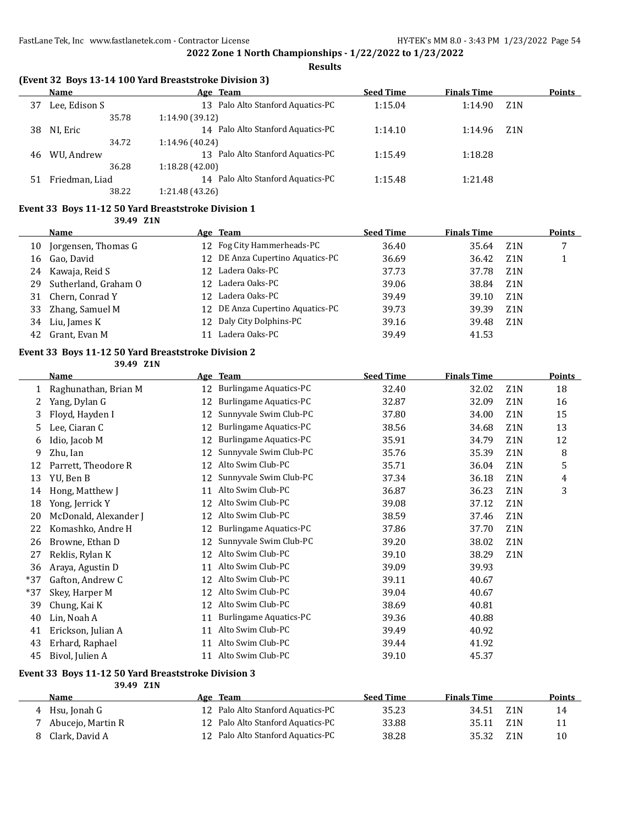**Results**

|  |  | (Event 32 Boys 13-14 100 Yard Breaststroke Division 3) |  |
|--|--|--------------------------------------------------------|--|
|--|--|--------------------------------------------------------|--|

|    | Name           | Age Team                          | <b>Seed Time</b> | <b>Finals Time</b> |                  | <b>Points</b> |
|----|----------------|-----------------------------------|------------------|--------------------|------------------|---------------|
| 37 | Lee, Edison S  | 13 Palo Alto Stanford Aquatics-PC | 1:15.04          | 1:14.90            | Z <sub>1</sub> N |               |
|    | 35.78          | 1:14.90(39.12)                    |                  |                    |                  |               |
| 38 | NI, Eric       | 14 Palo Alto Stanford Aquatics-PC | 1:14.10          | 1:14.96            | Z1N              |               |
|    | 34.72          | 1:14.96 (40.24)                   |                  |                    |                  |               |
| 46 | WU, Andrew     | 13 Palo Alto Stanford Aquatics-PC | 1:15.49          | 1:18.28            |                  |               |
|    | 36.28          | 1:18.28(42.00)                    |                  |                    |                  |               |
| 51 | Friedman, Liad | 14 Palo Alto Stanford Aquatics-PC | 1:15.48          | 1:21.48            |                  |               |
|    | 38.22          | 1:21.48 (43.26)                   |                  |                    |                  |               |

## **Event 33 Boys 11-12 50 Yard Breaststroke Division 1**

**39.49 Z1N**

|    | Name                 |     | Age Team                         | <b>Seed Time</b> | <b>Finals Time</b> |                  | <b>Points</b> |
|----|----------------------|-----|----------------------------------|------------------|--------------------|------------------|---------------|
| 10 | Jorgensen, Thomas G  |     | 12 Fog City Hammerheads-PC       | 36.40            | 35.64              | Z1N              |               |
| 16 | Gao, David           |     | 12 DE Anza Cupertino Aquatics-PC | 36.69            | 36.42              | Z <sub>1</sub> N |               |
| 24 | Kawaja, Reid S       | 12. | Ladera Oaks-PC                   | 37.73            | 37.78              | Z <sub>1</sub> N |               |
| 29 | Sutherland, Graham O |     | 12 Ladera Oaks-PC                | 39.06            | 38.84              | Z <sub>1</sub> N |               |
| 31 | Chern, Conrad Y      | 12. | Ladera Oaks-PC                   | 39.49            | 39.10              | Z <sub>1</sub> N |               |
| 33 | Zhang, Samuel M      |     | 12 DE Anza Cupertino Aquatics-PC | 39.73            | 39.39              | Z <sub>1</sub> N |               |
| 34 | Liu, James K         |     | 12 Daly City Dolphins-PC         | 39.16            | 39.48              | Z <sub>1</sub> N |               |
| 42 | Grant, Evan M        |     | Ladera Oaks-PC                   | 39.49            | 41.53              |                  |               |

#### **Event 33 Boys 11-12 50 Yard Breaststroke Division 2**

**39.49 Z1N**

|       | Name                  |    | Age Team                      | <b>Seed Time</b> | <b>Finals Time</b> |                  | Points |
|-------|-----------------------|----|-------------------------------|------------------|--------------------|------------------|--------|
| 1     | Raghunathan, Brian M  | 12 | <b>Burlingame Aquatics-PC</b> | 32.40            | 32.02              | Z1N              | 18     |
| 2     | Yang, Dylan G         | 12 | <b>Burlingame Aquatics-PC</b> | 32.87            | 32.09              | Z <sub>1</sub> N | 16     |
| 3     | Floyd, Hayden I       | 12 | Sunnyvale Swim Club-PC        | 37.80            | 34.00              | Z1N              | 15     |
| 5.    | Lee, Ciaran C         | 12 | Burlingame Aquatics-PC        | 38.56            | 34.68              | Z1N              | 13     |
| 6     | Idio, Jacob M         | 12 | <b>Burlingame Aquatics-PC</b> | 35.91            | 34.79              | Z <sub>1</sub> N | 12     |
| 9     | Zhu, Ian              | 12 | Sunnyvale Swim Club-PC        | 35.76            | 35.39              | Z1N              | 8      |
| 12    | Parrett, Theodore R   | 12 | Alto Swim Club-PC             | 35.71            | 36.04              | Z <sub>1</sub> N | 5      |
| 13    | YU, Ben B             | 12 | Sunnyvale Swim Club-PC        | 37.34            | 36.18              | Z <sub>1</sub> N | 4      |
| 14    | Hong, Matthew J       | 11 | Alto Swim Club-PC             | 36.87            | 36.23              | Z <sub>1</sub> N | 3      |
| 18    | Yong, Jerrick Y       | 12 | Alto Swim Club-PC             | 39.08            | 37.12              | Z1N              |        |
| 20    | McDonald, Alexander J | 12 | Alto Swim Club-PC             | 38.59            | 37.46              | Z1N              |        |
| 22    | Komashko, Andre H     | 12 | Burlingame Aquatics-PC        | 37.86            | 37.70              | Z1N              |        |
| 26    | Browne, Ethan D       | 12 | Sunnyvale Swim Club-PC        | 39.20            | 38.02              | Z1N              |        |
| 27    | Reklis, Rylan K       | 12 | Alto Swim Club-PC             | 39.10            | 38.29              | Z1N              |        |
| 36    | Araya, Agustin D      | 11 | Alto Swim Club-PC             | 39.09            | 39.93              |                  |        |
| $*37$ | Gafton, Andrew C      | 12 | Alto Swim Club-PC             | 39.11            | 40.67              |                  |        |
| $*37$ | Skey, Harper M        | 12 | Alto Swim Club-PC             | 39.04            | 40.67              |                  |        |
| 39    | Chung, Kai K          | 12 | Alto Swim Club-PC             | 38.69            | 40.81              |                  |        |
| 40    | Lin, Noah A           | 11 | Burlingame Aquatics-PC        | 39.36            | 40.88              |                  |        |
| 41    | Erickson, Julian A    | 11 | Alto Swim Club-PC             | 39.49            | 40.92              |                  |        |
| 43    | Erhard, Raphael       | 11 | Alto Swim Club-PC             | 39.44            | 41.92              |                  |        |
| 45    | Bivol, Julien A       | 11 | Alto Swim Club-PC             | 39.10            | 45.37              |                  |        |

#### **Event 33 Boys 11-12 50 Yard Breaststroke Division 3**

| 39.49 Z1N         |                                   |                  |                    |                  |               |
|-------------------|-----------------------------------|------------------|--------------------|------------------|---------------|
| Name              | Age Team                          | <b>Seed Time</b> | <b>Finals Time</b> |                  | <b>Points</b> |
| 4 Hsu, Jonah G    | 12 Palo Alto Stanford Aquatics-PC | 35.23            | 34.51              | Z1N              | 14            |
| Abucejo, Martin R | 12 Palo Alto Stanford Aquatics-PC | 33.88            | 35.11              | Z1N              | 11            |
| Clark. David A    | 12 Palo Alto Stanford Aquatics-PC | 38.28            | 35.32              | Z <sub>1</sub> N | 10            |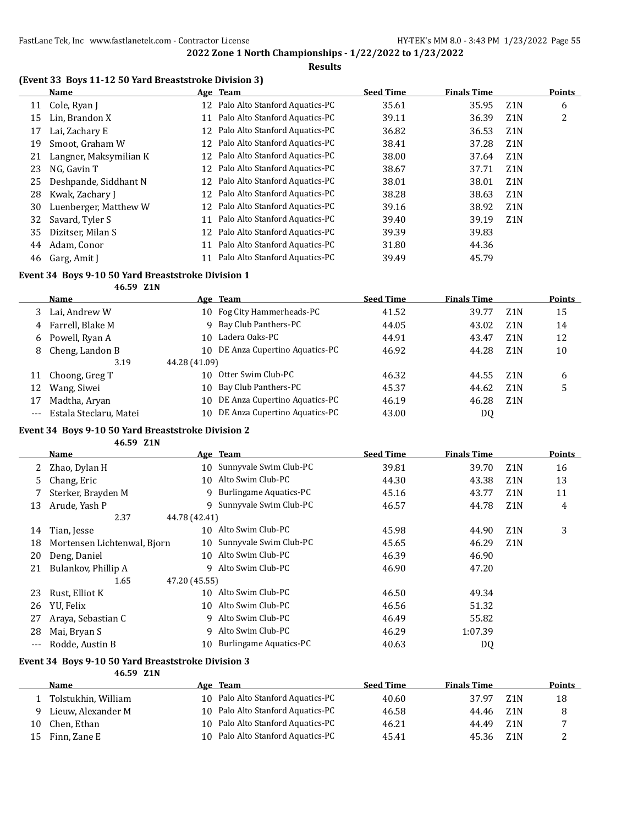### **Results**

|    | (Event 33 Boys 11-12 50 Yard Breaststroke Division 3) |     |                                |                  |                    |                  |               |
|----|-------------------------------------------------------|-----|--------------------------------|------------------|--------------------|------------------|---------------|
|    | Name                                                  |     | Age Team                       | <b>Seed Time</b> | <b>Finals Time</b> |                  | <b>Points</b> |
| 11 | Cole, Ryan J                                          | 12  | Palo Alto Stanford Aquatics-PC | 35.61            | 35.95              | Z1N              | 6             |
| 15 | Lin, Brandon X                                        | 11  | Palo Alto Stanford Aquatics-PC | 39.11            | 36.39              | Z <sub>1</sub> N | 2             |
| 17 | Lai, Zachary E                                        | 12  | Palo Alto Stanford Aquatics-PC | 36.82            | 36.53              | Z <sub>1</sub> N |               |
| 19 | Smoot, Graham W                                       | 12  | Palo Alto Stanford Aquatics-PC | 38.41            | 37.28              | Z1N              |               |
| 21 | Langner, Maksymilian K                                | 12. | Palo Alto Stanford Aquatics-PC | 38.00            | 37.64              | Z <sub>1</sub> N |               |
| 23 | NG, Gavin T                                           | 12  | Palo Alto Stanford Aquatics-PC | 38.67            | 37.71              | Z1N              |               |
| 25 | Deshpande, Siddhant N                                 | 12. | Palo Alto Stanford Aquatics-PC | 38.01            | 38.01              | Z <sub>1</sub> N |               |
| 28 | Kwak, Zachary J                                       | 12  | Palo Alto Stanford Aquatics-PC | 38.28            | 38.63              | Z1N              |               |
| 30 | Luenberger, Matthew W                                 | 12  | Palo Alto Stanford Aquatics-PC | 39.16            | 38.92              | Z <sub>1</sub> N |               |
| 32 | Savard, Tyler S                                       | 11  | Palo Alto Stanford Aquatics-PC | 39.40            | 39.19              | Z1N              |               |
| 35 | Dizitser, Milan S                                     | 12  | Palo Alto Stanford Aquatics-PC | 39.39            | 39.83              |                  |               |
| 44 | Adam, Conor                                           | 11  | Palo Alto Stanford Aquatics-PC | 31.80            | 44.36              |                  |               |
| 46 | Garg, Amit J                                          | 11  | Palo Alto Stanford Aquatics-PC | 39.49            | 45.79              |                  |               |

#### **Event 34 Boys 9-10 50 Yard Breaststroke Division 1**

**46.59 Z1N**

|     | <b>Name</b>            |               | Age Team                      | <b>Seed Time</b> | <b>Finals Time</b> |                  | <b>Points</b> |
|-----|------------------------|---------------|-------------------------------|------------------|--------------------|------------------|---------------|
|     | Lai, Andrew W          | 10            | Fog City Hammerheads-PC       | 41.52            | 39.77              | Z1N              | 15            |
| 4   | Farrell, Blake M       |               | 9 Bay Club Panthers-PC        | 44.05            | 43.02              | Z <sub>1</sub> N | 14            |
| 6   | Powell, Ryan A         | 10            | Ladera Oaks-PC                | 44.91            | 43.47              | Z1N              | 12            |
| 8   | Cheng, Landon B        | 10            | DE Anza Cupertino Aquatics-PC | 46.92            | 44.28              | Z1N              | 10            |
|     | 3.19                   | 44.28 (41.09) |                               |                  |                    |                  |               |
| 11  | Choong, Greg T         | 10            | Otter Swim Club-PC            | 46.32            | 44.55              | Z <sub>1</sub> N | 6             |
| 12  | Wang, Siwei            | 10            | Bay Club Panthers-PC          | 45.37            | 44.62              | Z <sub>1</sub> N | 5             |
|     | Madtha, Aryan          | 10            | DE Anza Cupertino Aquatics-PC | 46.19            | 46.28              | Z1N              |               |
| --- | Estala Steclaru, Matei | 10            | DE Anza Cupertino Aquatics-PC | 43.00            | DQ                 |                  |               |

### **Event 34 Boys 9-10 50 Yard Breaststroke Division 2**

**46.59 Z1N**

|       | Name                        |               | Age Team                  | <b>Seed Time</b> | <b>Finals Time</b> |                  | <b>Points</b> |
|-------|-----------------------------|---------------|---------------------------|------------------|--------------------|------------------|---------------|
|       | 2 Zhao, Dylan H             | 10            | Sunnyvale Swim Club-PC    | 39.81            | 39.70              | Z <sub>1</sub> N | 16            |
| 5.    | Chang, Eric                 | 10            | Alto Swim Club-PC         | 44.30            | 43.38              | Z <sub>1</sub> N | 13            |
|       | Sterker, Brayden M          |               | 9 Burlingame Aquatics-PC  | 45.16            | 43.77              | Z <sub>1</sub> N | 11            |
| 13    | Arude, Yash P               |               | 9 Sunnyvale Swim Club-PC  | 46.57            | 44.78              | Z <sub>1</sub> N | 4             |
|       | 2.37                        | 44.78 (42.41) |                           |                  |                    |                  |               |
| 14    | Tian, Jesse                 | 10            | Alto Swim Club-PC         | 45.98            | 44.90              | Z <sub>1</sub> N | 3             |
| 18    | Mortensen Lichtenwal, Bjorn | 10            | Sunnyvale Swim Club-PC    | 45.65            | 46.29              | Z1N              |               |
| 20    | Deng, Daniel                |               | 10 Alto Swim Club-PC      | 46.39            | 46.90              |                  |               |
| 21    | Bulankov, Phillip A         |               | 9 Alto Swim Club-PC       | 46.90            | 47.20              |                  |               |
|       | 1.65                        | 47.20 (45.55) |                           |                  |                    |                  |               |
| 23    | Rust, Elliot K              | 10            | Alto Swim Club-PC         | 46.50            | 49.34              |                  |               |
| 26    | YU, Felix                   | 10            | Alto Swim Club-PC         | 46.56            | 51.32              |                  |               |
| 27    | Araya, Sebastian C          |               | 9 Alto Swim Club-PC       | 46.49            | 55.82              |                  |               |
| 28    | Mai, Bryan S                |               | 9 Alto Swim Club-PC       | 46.29            | 1:07.39            |                  |               |
| $---$ | Rodde, Austin B             |               | 10 Burlingame Aquatics-PC | 40.63            | DQ                 |                  |               |

#### **Event 34 Boys 9-10 50 Yard Breaststroke Division 3 46.59 Z1N**

|    | Name                |     | Age Team                          | <b>Seed Time</b> | <b>Finals Time</b> |                  | <b>Points</b> |
|----|---------------------|-----|-----------------------------------|------------------|--------------------|------------------|---------------|
|    | Tolstukhin, William |     | 10 Palo Alto Stanford Aquatics-PC | 40.60            | 37.97              | Z <sub>1</sub> N | 18            |
|    | Lieuw, Alexander M  |     | 10 Palo Alto Stanford Aquatics-PC | 46.58            | 44.46              | 7.1 N            |               |
| 10 | Chen. Ethan         |     | 10 Palo Alto Stanford Aquatics-PC | 46.21            | 44.49              | Z1N              |               |
| 15 | Finn, Zane E        | 10. | Palo Alto Stanford Aquatics-PC    | 45.41            | 45.36              | Z1N              |               |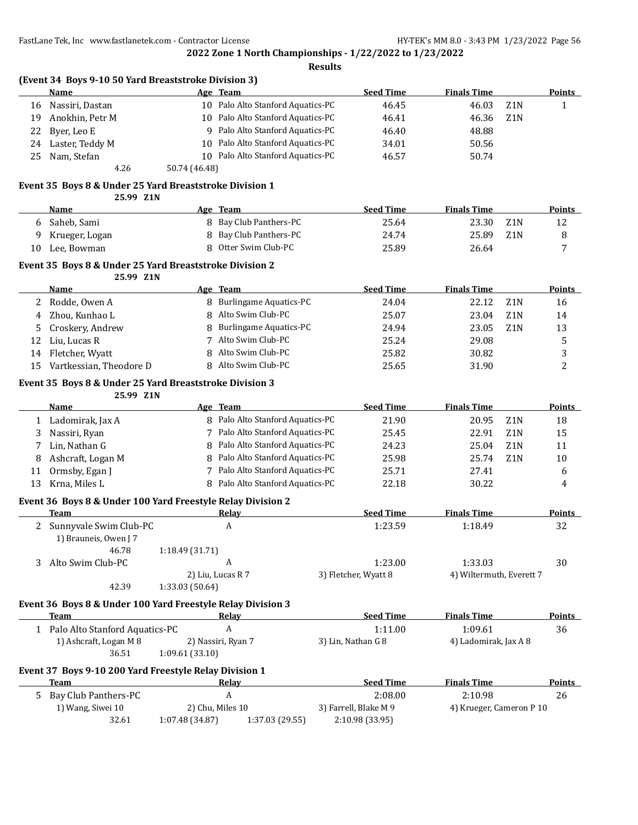$\overline{a}$ 

 $\overline{a}$ 

 $\overline{a}$ 

**2022 Zone 1 North Championships - 1/22/2022 to 1/23/2022**

|    |                                                                      |                 |                                   | <b>Results</b> |                       |                          |                  |               |
|----|----------------------------------------------------------------------|-----------------|-----------------------------------|----------------|-----------------------|--------------------------|------------------|---------------|
|    | (Event 34 Boys 9-10 50 Yard Breaststroke Division 3)<br>Name         |                 | Age Team                          |                | <b>Seed Time</b>      | <b>Finals Time</b>       |                  | <b>Points</b> |
| 16 | Nassiri, Dastan                                                      |                 | 10 Palo Alto Stanford Aquatics-PC |                | 46.45                 | 46.03                    | Z1N              | $\mathbf{1}$  |
| 19 | Anokhin, Petr M                                                      |                 | 10 Palo Alto Stanford Aquatics-PC |                | 46.41                 | 46.36                    | Z1N              |               |
| 22 | Byer, Leo E                                                          |                 | 9 Palo Alto Stanford Aquatics-PC  |                | 46.40                 | 48.88                    |                  |               |
| 24 | Laster, Teddy M                                                      |                 | 10 Palo Alto Stanford Aquatics-PC |                | 34.01                 | 50.56                    |                  |               |
|    |                                                                      |                 | 10 Palo Alto Stanford Aquatics-PC |                |                       |                          |                  |               |
| 25 | Nam, Stefan<br>4.26                                                  | 50.74 (46.48)   |                                   |                | 46.57                 | 50.74                    |                  |               |
|    | Event 35 Boys 8 & Under 25 Yard Breaststroke Division 1              |                 |                                   |                |                       |                          |                  |               |
|    | 25.99 Z1N                                                            |                 |                                   |                |                       |                          |                  |               |
|    | Name                                                                 |                 | Age Team                          |                | <b>Seed Time</b>      | <b>Finals Time</b>       |                  | <b>Points</b> |
| 6  | Saheb, Sami                                                          |                 | 8 Bay Club Panthers-PC            |                | 25.64                 | 23.30                    | Z <sub>1</sub> N | 12            |
| 9  | Krueger, Logan                                                       | 8               | Bay Club Panthers-PC              |                | 24.74                 | 25.89                    | Z1N              | 8             |
| 10 | Lee, Bowman                                                          | 8               | Otter Swim Club-PC                |                | 25.89                 | 26.64                    |                  | 7             |
|    | Event 35 Boys 8 & Under 25 Yard Breaststroke Division 2<br>25.99 Z1N |                 |                                   |                |                       |                          |                  |               |
|    | Name                                                                 |                 | Age Team                          |                | <b>Seed Time</b>      | <b>Finals Time</b>       |                  | <b>Points</b> |
| 2  | Rodde, Owen A                                                        |                 | 8 Burlingame Aquatics-PC          |                | 24.04                 | 22.12                    | Z1N              | 16            |
| 4  | Zhou, Kunhao L                                                       | 8               | Alto Swim Club-PC                 |                | 25.07                 | 23.04                    | Z1N              | 14            |
| 5  | Croskery, Andrew                                                     | 8               | <b>Burlingame Aquatics-PC</b>     |                | 24.94                 | 23.05                    | Z <sub>1</sub> N | 13            |
| 12 | Liu, Lucas R                                                         |                 | 7 Alto Swim Club-PC               |                | 25.24                 | 29.08                    |                  | 5             |
| 14 | Fletcher, Wyatt                                                      | 8               | Alto Swim Club-PC                 |                | 25.82                 | 30.82                    |                  | 3             |
| 15 | Vartkessian, Theodore D                                              |                 | 8 Alto Swim Club-PC               |                | 25.65                 | 31.90                    |                  | 2             |
|    |                                                                      |                 |                                   |                |                       |                          |                  |               |
|    | Event 35 Boys 8 & Under 25 Yard Breaststroke Division 3<br>25.99 Z1N |                 |                                   |                |                       |                          |                  |               |
|    | Name                                                                 |                 | Age Team                          |                | <b>Seed Time</b>      | <b>Finals Time</b>       |                  | <b>Points</b> |
| 1  | Ladomirak, Jax A                                                     |                 | 8 Palo Alto Stanford Aquatics-PC  |                | 21.90                 | 20.95                    | Z <sub>1</sub> N | 18            |
| 3  | Nassiri, Ryan                                                        |                 | 7 Palo Alto Stanford Aquatics-PC  |                | 25.45                 | 22.91                    | Z1N              | 15            |
| 7  | Lin, Nathan G                                                        | 8               | Palo Alto Stanford Aquatics-PC    |                | 24.23                 | 25.04                    | Z1N              | 11            |
| 8  |                                                                      | 8               | Palo Alto Stanford Aquatics-PC    |                | 25.98                 | 25.74                    | Z <sub>1</sub> N | 10            |
|    | Ashcraft, Logan M                                                    |                 | 7 Palo Alto Stanford Aquatics-PC  |                |                       |                          |                  |               |
| 11 | Ormsby, Egan J                                                       |                 | 8 Palo Alto Stanford Aquatics-PC  |                | 25.71                 | 27.41                    |                  | 6             |
| 13 | Krna, Miles L                                                        |                 |                                   |                | 22.18                 | 30.22                    |                  | 4             |
|    | Event 36 Boys 8 & Under 100 Yard Freestyle Relay Division 2          |                 | Relay                             |                |                       |                          |                  |               |
|    | <b>Team</b><br>2 Sunnyvale Swim Club-PC                              |                 | A                                 |                | <b>Seed Time</b>      | <b>Finals Time</b>       |                  | <b>Points</b> |
|    | 1) Brauneis, Owen J 7                                                |                 |                                   |                | 1:23.59               | 1:18.49                  |                  | 32            |
|    | 46.78                                                                | 1:18.49 (31.71) |                                   |                |                       |                          |                  |               |
| 3  | Alto Swim Club-PC                                                    |                 | A                                 |                | 1:23.00               | 1:33.03                  |                  | 30            |
|    |                                                                      |                 | 2) Liu, Lucas R 7                 |                | 3) Fletcher, Wyatt 8  | 4) Wiltermuth, Everett 7 |                  |               |
|    | 42.39                                                                | 1:33.03 (50.64) |                                   |                |                       |                          |                  |               |
|    | Event 36 Boys 8 & Under 100 Yard Freestyle Relay Division 3          |                 |                                   |                |                       |                          |                  |               |
|    | Team                                                                 |                 | <b>Relay</b>                      |                | <b>Seed Time</b>      | <b>Finals Time</b>       |                  | <b>Points</b> |
|    | 1 Palo Alto Stanford Aquatics-PC                                     |                 | A                                 |                | 1:11.00               | 1:09.61                  |                  | 36            |
|    | 1) Ashcraft, Logan M 8                                               |                 | 2) Nassiri, Ryan 7                |                | 3) Lin, Nathan G 8    | 4) Ladomirak, Jax A 8    |                  |               |
|    | 36.51                                                                | 1:09.61 (33.10) |                                   |                |                       |                          |                  |               |
|    | Event 37 Boys 9-10 200 Yard Freestyle Relay Division 1               |                 |                                   |                |                       |                          |                  |               |
|    | <b>Team</b>                                                          |                 | Relay                             |                | <b>Seed Time</b>      | <b>Finals Time</b>       |                  | <b>Points</b> |
|    | 5 Bay Club Panthers-PC                                               |                 | $\boldsymbol{A}$                  |                | 2:08.00               | 2:10.98                  |                  | 26            |
|    | 1) Wang, Siwei 10                                                    |                 | 2) Chu, Miles 10                  |                | 3) Farrell, Blake M 9 | 4) Krueger, Cameron P 10 |                  |               |

32.61 1:07.48 (34.87) 1:37.03 (29.55) 2:10.98 (33.95)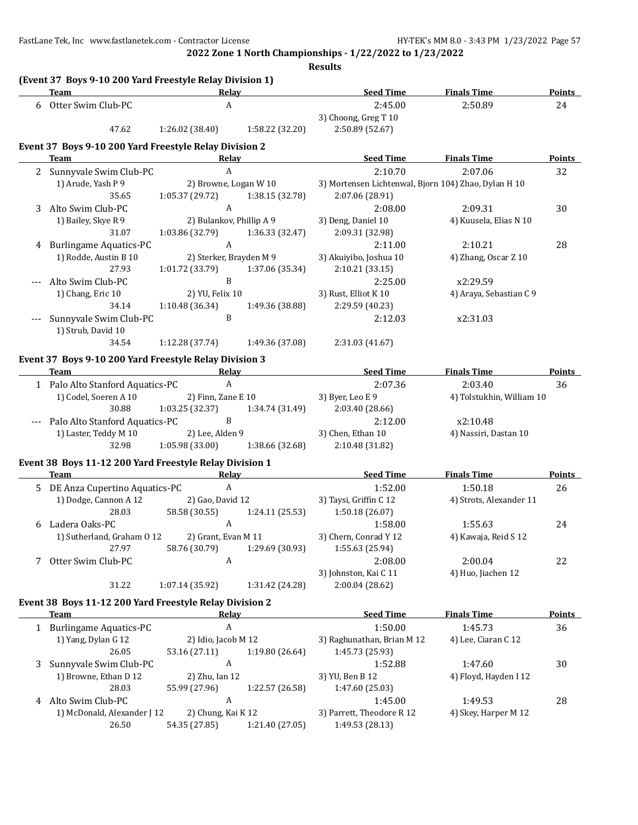|   |                                                                    |                          |                         | <b>Results</b>                                       |                           |               |
|---|--------------------------------------------------------------------|--------------------------|-------------------------|------------------------------------------------------|---------------------------|---------------|
|   | (Event 37 Boys 9-10 200 Yard Freestyle Relay Division 1)<br>Team   | Relay                    |                         | <b>Seed Time</b>                                     | <b>Finals Time</b>        | <b>Points</b> |
| 6 | Otter Swim Club-PC                                                 | $\boldsymbol{A}$         |                         | 2:45.00                                              | 2:50.89                   | 24            |
|   |                                                                    |                          |                         | 3) Choong, Greg T 10                                 |                           |               |
|   | 47.62                                                              | 1:26.02(38.40)           | 1:58.22 (32.20)         | 2:50.89 (52.67)                                      |                           |               |
|   | Event 37 Boys 9-10 200 Yard Freestyle Relay Division 2             |                          |                         |                                                      |                           |               |
|   | <b>Team</b>                                                        | Relay                    |                         | <b>Seed Time</b>                                     | <b>Finals Time</b>        | <b>Points</b> |
|   | 2 Sunnyvale Swim Club-PC                                           | $\mathbf{A}$             |                         | 2:10.70                                              | 2:07.06                   | 32            |
|   | 1) Arude, Yash P 9                                                 |                          | 2) Browne, Logan W 10   | 3) Mortensen Lichtenwal, Bjorn 104) Zhao, Dylan H 10 |                           |               |
|   | 35.65                                                              | 1:05.37 (29.72)          | 1:38.15 (32.78)         | 2:07.06 (28.91)                                      |                           |               |
| 3 | Alto Swim Club-PC                                                  | $\mathbf{A}$             |                         | 2:08.00                                              | 2:09.31                   | 30            |
|   | 1) Bailey, Skye R 9                                                | 2) Bulankov, Phillip A 9 |                         | 3) Deng, Daniel 10                                   | 4) Kuusela, Elias N 10    |               |
|   | 31.07                                                              | 1:03.86 (32.79)          | 1:36.33 (32.47)         | 2:09.31 (32.98)                                      |                           |               |
|   | 4 Burlingame Aquatics-PC                                           | $\mathbf{A}$             |                         | 2:11.00                                              | 2:10.21                   | 28            |
|   | 1) Rodde, Austin B 10                                              |                          | 2) Sterker, Brayden M 9 | 3) Akuiyibo, Joshua 10                               | 4) Zhang, Oscar Z 10      |               |
|   | 27.93                                                              | 1:01.72 (33.79)          | 1:37.06 (35.34)         | 2:10.21 (33.15)                                      |                           |               |
|   | Alto Swim Club-PC                                                  | $\, {\bf B}$             |                         | 2:25.00                                              | x2:29.59                  |               |
|   | 1) Chang, Eric 10                                                  | 2) YU, Felix 10          |                         | 3) Rust, Elliot K 10                                 | 4) Araya, Sebastian C 9   |               |
|   | 34.14                                                              | 1:10.48 (36.34)          | 1:49.36 (38.88)         | 2:29.59 (40.23)                                      |                           |               |
|   | Sunnyvale Swim Club-PC                                             | B                        |                         | 2:12.03                                              | x2:31.03                  |               |
|   | 1) Strub, David 10                                                 |                          |                         |                                                      |                           |               |
|   | 34.54                                                              | 1:12.28(37.74)           | 1:49.36 (37.08)         | 2:31.03 (41.67)                                      |                           |               |
|   |                                                                    |                          |                         |                                                      |                           |               |
|   | Event 37 Boys 9-10 200 Yard Freestyle Relay Division 3             |                          |                         |                                                      |                           |               |
|   | Team<br><u> 1989 - Johann Stein, mars an de Brasilia (b. 1989)</u> | Relay                    |                         | <b>Seed Time</b>                                     | <b>Finals Time</b>        | Points        |
|   | 1 Palo Alto Stanford Aquatics-PC                                   | $\mathbf{A}$             |                         | 2:07.36                                              | 2:03.40                   | 36            |
|   | 1) Codel, Soeren A 10                                              | 2) Finn, Zane E 10       |                         | 3) Byer, Leo E 9                                     | 4) Tolstukhin, William 10 |               |
|   | 30.88                                                              | 1:03.25 (32.37)          | 1:34.74 (31.49)         | 2:03.40 (28.66)                                      |                           |               |
|   | Palo Alto Stanford Aquatics-PC                                     | $\, {\bf B}$             |                         | 2:12.00                                              | x2:10.48                  |               |
|   | 1) Laster, Teddy M 10                                              | 2) Lee, Alden 9          |                         | 3) Chen, Ethan 10                                    | 4) Nassiri, Dastan 10     |               |
|   | 32.98                                                              | 1:05.98(33.00)           | 1:38.66 (32.68)         | 2:10.48 (31.82)                                      |                           |               |
|   | Event 38 Boys 11-12 200 Yard Freestyle Relay Division 1            |                          |                         |                                                      |                           |               |
|   | Team                                                               |                          | Relay                   | <b>Seed Time</b>                                     | <b>Finals Time</b>        | <b>Points</b> |
|   | 5 DE Anza Cupertino Aquatics-PC                                    | $\mathbf{A}$             |                         | 1:52.00                                              | 1:50.18                   | 26            |
|   | 1) Dodge, Cannon A 12                                              | 2) Gao, David 12         |                         | 3) Taysi, Griffin C 12                               | 4) Strots, Alexander 11   |               |
|   | 28.03                                                              | 58.58 (30.55)            | 1:24.11 (25.53)         | 1:50.18(26.07)                                       |                           |               |
|   | 6 Ladera Oaks-PC                                                   |                          |                         | A 1:58.00                                            | 1:55.63                   | 24            |
|   | 1) Sutherland, Graham 0 12                                         | 2) Grant, Evan M 11      |                         | 3) Chern, Conrad Y 12                                | 4) Kawaja, Reid S 12      |               |
|   | 27.97                                                              | 58.76 (30.79)            | 1:29.69 (30.93)         | 1:55.63 (25.94)                                      |                           |               |
| 7 | Otter Swim Club-PC                                                 | A                        |                         | 2:08.00                                              | 2:00.04                   | 22            |
|   |                                                                    |                          |                         | 3) Johnston, Kai C 11                                | 4) Huo, Jiachen 12        |               |
|   | 31.22                                                              | 1:07.14 (35.92)          | 1:31.42 (24.28)         | 2:00.04 (28.62)                                      |                           |               |
|   |                                                                    |                          |                         |                                                      |                           |               |
|   | Event 38 Boys 11-12 200 Yard Freestyle Relay Division 2            |                          |                         |                                                      |                           |               |
|   | Team                                                               | <b>Relay</b>             |                         | <b>Seed Time</b>                                     | <b>Finals Time</b>        | <b>Points</b> |
|   | 1 Burlingame Aquatics-PC                                           | A                        |                         | 1:50.00                                              | 1:45.73                   | 36            |
|   | 1) Yang, Dylan G 12                                                | 2) Idio, Jacob M 12      |                         | 3) Raghunathan, Brian M 12                           | 4) Lee, Ciaran C 12       |               |
|   | 26.05                                                              | 53.16 (27.11)            | 1:19.80 (26.64)         | 1:45.73 (25.93)                                      |                           |               |
| 3 | Sunnyvale Swim Club-PC                                             | $\boldsymbol{A}$         |                         | 1:52.88                                              | 1:47.60                   | 30            |
|   | 1) Browne, Ethan D 12                                              | 2) Zhu, Ian 12           |                         | 3) YU, Ben B 12                                      | 4) Floyd, Hayden I 12     |               |
|   | 28.03                                                              | 55.99 (27.96)            | 1:22.57 (26.58)         | 1:47.60 (25.03)                                      |                           |               |
|   | 4 Alto Swim Club-PC                                                | A                        |                         | 1:45.00                                              | 1:49.53                   | 28            |
|   | 1) McDonald, Alexander J 12                                        | 2) Chung, Kai K 12       |                         | 3) Parrett, Theodore R 12                            | 4) Skey, Harper M 12      |               |
|   | 26.50                                                              | 54.35 (27.85)            | 1:21.40 (27.05)         | 1:49.53 (28.13)                                      |                           |               |
|   |                                                                    |                          |                         |                                                      |                           |               |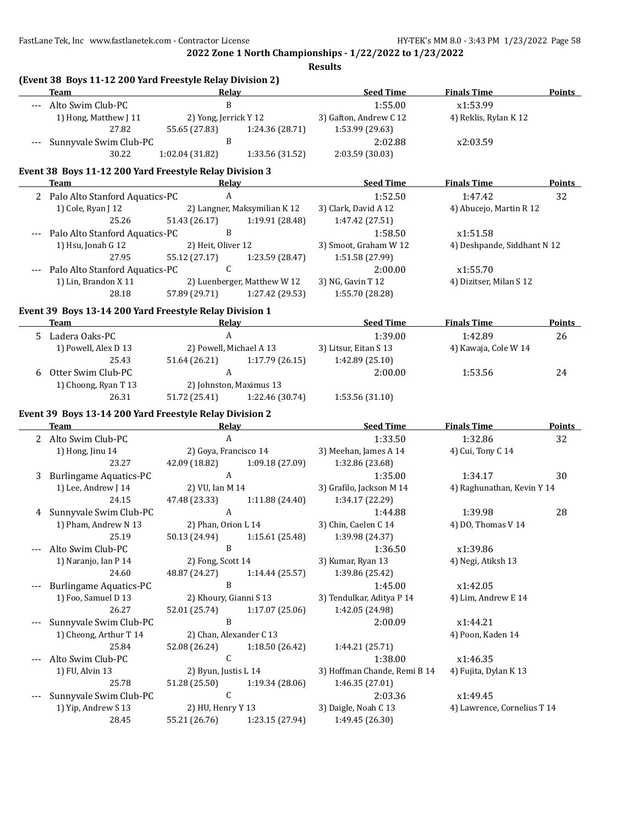FastLane Tek, Inc www.fastlanetek.com - Contractor License HY-TEK's MM 8.0 - 3:43 PM 1/23/2022 Page 58

**2022 Zone 1 North Championships - 1/22/2022 to 1/23/2022**

**Results**

| $\mathbf B$<br>--- Alto Swim Club-PC<br>1:55.00<br>x1:53.99<br>1) Hong, Matthew J 11<br>2) Yong, Jerrick Y 12<br>3) Gafton, Andrew C 12<br>4) Reklis, Rylan K 12<br>27.82<br>1:53.99 (29.63)<br>55.65 (27.83)<br>1:24.36 (28.71)<br>Sunnyvale Swim Club-PC<br>B<br>2:02.88<br>x2:03.59<br>30.22<br>1:02.04 (31.82)<br>2:03.59 (30.03)<br>1:33.56 (31.52)<br>Event 38 Boys 11-12 200 Yard Freestyle Relay Division 3<br><b>Seed Time</b><br><b>Finals Time</b><br><b>Team</b><br>Relay<br>$\mathbf{A}$<br>1:52.50<br>2 Palo Alto Stanford Aquatics-PC<br>1:47.42<br>32<br>1) Cole, Ryan J 12<br>2) Langner, Maksymilian K 12<br>3) Clark, David A 12<br>4) Abucejo, Martin R 12<br>25.26<br>51.43 (26.17)<br>1:19.91 (28.48)<br>1:47.42 (27.51)<br>B<br>Palo Alto Stanford Aquatics-PC<br>1:58.50<br>x1:51.58<br>3) Smoot, Graham W 12<br>1) Hsu, Jonah G 12<br>2) Heit, Oliver 12<br>4) Deshpande, Siddhant N 12<br>27.95<br>55.12 (27.17)<br>1:51.58 (27.99)<br>1:23.59 (28.47)<br>$\mathsf C$<br>Palo Alto Stanford Aquatics-PC<br>2:00.00<br>x1:55.70<br>---<br>3) NG, Gavin T 12<br>1) Lin, Brandon X 11<br>2) Luenberger, Matthew W 12<br>4) Dizitser, Milan S 12<br>28.18<br>57.89 (29.71)<br>1:27.42 (29.53)<br>1:55.70 (28.28)<br>Event 39 Boys 13-14 200 Yard Freestyle Relay Division 1<br><b>Seed Time</b><br>Team<br>Relay<br><b>Finals Time</b><br>$\mathbf{A}$<br>1:39.00<br>5 Ladera Oaks-PC<br>1:42.89<br>26<br>1) Powell, Alex D 13<br>2) Powell, Michael A 13<br>3) Litsur, Eitan S 13<br>4) Kawaja, Cole W 14<br>1:17.79(26.15)<br>25.43<br>51.64 (26.21)<br>1:42.89 (25.10)<br>A<br>Otter Swim Club-PC<br>24<br>2:00.00<br>1:53.56<br>6<br>1) Choong, Ryan T 13<br>2) Johnston, Maximus 13<br>26.31<br>51.72 (25.41)<br>1:22.46 (30.74)<br>1:53.56 (31.10)<br>Event 39 Boys 13-14 200 Yard Freestyle Relay Division 2<br><b>Seed Time</b><br><b>Finals Time</b><br>Team<br>Relay<br>$\boldsymbol{A}$<br>2 Alto Swim Club-PC<br>1:33.50<br>1:32.86<br>32<br>1) Hong, Jinu 14<br>2) Goya, Francisco 14<br>3) Meehan, James A 14<br>4) Cui, Tony C 14<br>42.09 (18.82) 1:09.18 (27.09)<br>23.27<br>1:32.86 (23.68)<br>$\mathbf{A}$<br><b>Burlingame Aquatics-PC</b><br>1:35.00<br>1:34.17<br>30<br>3<br>1) Lee, Andrew J 14<br>2) VU, Ian M 14<br>3) Grafilo, Jackson M 14<br>4) Raghunathan, Kevin Y 14<br>47.48 (23.33)<br>24.15<br>1:11.88 (24.40)<br>1:34.17 (22.29)<br>$\mathbf{A}$<br>Sunnyvale Swim Club-PC<br>1:44.88<br>1:39.98<br>28<br>4<br>1) Pham, Andrew N 13<br>2) Phan, Orion L 14<br>3) Chin, Caelen C 14<br>4) DO, Thomas V 14<br>25.19<br>50.13 (24.94)<br>1:15.61(25.48)<br>1:39.98 (24.37)<br>$\, {\bf B}$<br>1:36.50<br>Alto Swim Club-PC<br>x1:39.86<br>1) Naranjo, Ian P 14<br>2) Fong, Scott 14<br>3) Kumar, Ryan 13<br>4) Negi, Atiksh 13<br>24.60<br>48.87 (24.27)<br>1:14.44 (25.57)<br>1:39.86 (25.42)<br>B<br><b>Burlingame Aquatics-PC</b><br>1:45.00<br>x1:42.05<br>---<br>3) Tendulkar, Aditya P 14<br>1) Foo, Samuel D 13<br>2) Khoury, Gianni S 13<br>4) Lim, Andrew E 14<br>26.27<br>52.01 (25.74)<br>1:17.07 (25.06)<br>1:42.05 (24.98)<br>Sunnyvale Swim Club-PC<br>B<br>x1:44.21<br>2:00.09<br>---<br>1) Cheong, Arthur T 14<br>2) Chan, Alexander C 13<br>4) Poon, Kaden 14<br>25.84<br>52.08 (26.24)<br>1:18.50 (26.42)<br>1:44.21 (25.71)<br>$\mathsf C$<br>Alto Swim Club-PC<br>x1:46.35<br>1:38.00<br>1) FU, Alvin 13<br>2) Byun, Justis L 14<br>3) Hoffman Chande, Remi B 14<br>4) Fujita, Dylan K 13<br>25.78<br>51.28 (25.50)<br>1:19.34 (28.06)<br>1:46.35 (27.01)<br>$\mathsf C$<br>Sunnyvale Swim Club-PC<br>x1:49.45<br>2:03.36<br>---<br>1) Yip, Andrew S 13<br>2) HU, Henry Y 13<br>3) Daigle, Noah C 13<br>4) Lawrence, Cornelius T 14<br>55.21 (26.76)<br>1:23.15 (27.94)<br>1:49.45 (26.30)<br>28.45 | (Event 38 Boys 11-12 200 Yard Freestyle Relay Division 2)<br><b>Team</b><br><u> 1989 - Johann Barn, mars eta bainar eta bainar eta baina eta baina eta baina eta baina eta baina eta baina e</u> | Relay | <b>Seed Time</b> | <b>Finals Time</b> | Points |
|-------------------------------------------------------------------------------------------------------------------------------------------------------------------------------------------------------------------------------------------------------------------------------------------------------------------------------------------------------------------------------------------------------------------------------------------------------------------------------------------------------------------------------------------------------------------------------------------------------------------------------------------------------------------------------------------------------------------------------------------------------------------------------------------------------------------------------------------------------------------------------------------------------------------------------------------------------------------------------------------------------------------------------------------------------------------------------------------------------------------------------------------------------------------------------------------------------------------------------------------------------------------------------------------------------------------------------------------------------------------------------------------------------------------------------------------------------------------------------------------------------------------------------------------------------------------------------------------------------------------------------------------------------------------------------------------------------------------------------------------------------------------------------------------------------------------------------------------------------------------------------------------------------------------------------------------------------------------------------------------------------------------------------------------------------------------------------------------------------------------------------------------------------------------------------------------------------------------------------------------------------------------------------------------------------------------------------------------------------------------------------------------------------------------------------------------------------------------------------------------------------------------------------------------------------------------------------------------------------------------------------------------------------------------------------------------------------------------------------------------------------------------------------------------------------------------------------------------------------------------------------------------------------------------------------------------------------------------------------------------------------------------------------------------------------------------------------------------------------------------------------------------------------------------------------------------------------------------------------------------------------------------------------------------------------------------------------------------------------------------------------------------------------------------------------------------------------------------------------------------------------------------------------------------------------------------------------------------------------------------------------------------------------------------------------------------------------------------------------------------------------------------------------|--------------------------------------------------------------------------------------------------------------------------------------------------------------------------------------------------|-------|------------------|--------------------|--------|
|                                                                                                                                                                                                                                                                                                                                                                                                                                                                                                                                                                                                                                                                                                                                                                                                                                                                                                                                                                                                                                                                                                                                                                                                                                                                                                                                                                                                                                                                                                                                                                                                                                                                                                                                                                                                                                                                                                                                                                                                                                                                                                                                                                                                                                                                                                                                                                                                                                                                                                                                                                                                                                                                                                                                                                                                                                                                                                                                                                                                                                                                                                                                                                                                                                                                                                                                                                                                                                                                                                                                                                                                                                                                                                                                                                               |                                                                                                                                                                                                  |       |                  |                    |        |
|                                                                                                                                                                                                                                                                                                                                                                                                                                                                                                                                                                                                                                                                                                                                                                                                                                                                                                                                                                                                                                                                                                                                                                                                                                                                                                                                                                                                                                                                                                                                                                                                                                                                                                                                                                                                                                                                                                                                                                                                                                                                                                                                                                                                                                                                                                                                                                                                                                                                                                                                                                                                                                                                                                                                                                                                                                                                                                                                                                                                                                                                                                                                                                                                                                                                                                                                                                                                                                                                                                                                                                                                                                                                                                                                                                               |                                                                                                                                                                                                  |       |                  |                    |        |
|                                                                                                                                                                                                                                                                                                                                                                                                                                                                                                                                                                                                                                                                                                                                                                                                                                                                                                                                                                                                                                                                                                                                                                                                                                                                                                                                                                                                                                                                                                                                                                                                                                                                                                                                                                                                                                                                                                                                                                                                                                                                                                                                                                                                                                                                                                                                                                                                                                                                                                                                                                                                                                                                                                                                                                                                                                                                                                                                                                                                                                                                                                                                                                                                                                                                                                                                                                                                                                                                                                                                                                                                                                                                                                                                                                               |                                                                                                                                                                                                  |       |                  |                    |        |
|                                                                                                                                                                                                                                                                                                                                                                                                                                                                                                                                                                                                                                                                                                                                                                                                                                                                                                                                                                                                                                                                                                                                                                                                                                                                                                                                                                                                                                                                                                                                                                                                                                                                                                                                                                                                                                                                                                                                                                                                                                                                                                                                                                                                                                                                                                                                                                                                                                                                                                                                                                                                                                                                                                                                                                                                                                                                                                                                                                                                                                                                                                                                                                                                                                                                                                                                                                                                                                                                                                                                                                                                                                                                                                                                                                               |                                                                                                                                                                                                  |       |                  |                    |        |
|                                                                                                                                                                                                                                                                                                                                                                                                                                                                                                                                                                                                                                                                                                                                                                                                                                                                                                                                                                                                                                                                                                                                                                                                                                                                                                                                                                                                                                                                                                                                                                                                                                                                                                                                                                                                                                                                                                                                                                                                                                                                                                                                                                                                                                                                                                                                                                                                                                                                                                                                                                                                                                                                                                                                                                                                                                                                                                                                                                                                                                                                                                                                                                                                                                                                                                                                                                                                                                                                                                                                                                                                                                                                                                                                                                               |                                                                                                                                                                                                  |       |                  |                    |        |
|                                                                                                                                                                                                                                                                                                                                                                                                                                                                                                                                                                                                                                                                                                                                                                                                                                                                                                                                                                                                                                                                                                                                                                                                                                                                                                                                                                                                                                                                                                                                                                                                                                                                                                                                                                                                                                                                                                                                                                                                                                                                                                                                                                                                                                                                                                                                                                                                                                                                                                                                                                                                                                                                                                                                                                                                                                                                                                                                                                                                                                                                                                                                                                                                                                                                                                                                                                                                                                                                                                                                                                                                                                                                                                                                                                               |                                                                                                                                                                                                  |       |                  |                    |        |
|                                                                                                                                                                                                                                                                                                                                                                                                                                                                                                                                                                                                                                                                                                                                                                                                                                                                                                                                                                                                                                                                                                                                                                                                                                                                                                                                                                                                                                                                                                                                                                                                                                                                                                                                                                                                                                                                                                                                                                                                                                                                                                                                                                                                                                                                                                                                                                                                                                                                                                                                                                                                                                                                                                                                                                                                                                                                                                                                                                                                                                                                                                                                                                                                                                                                                                                                                                                                                                                                                                                                                                                                                                                                                                                                                                               |                                                                                                                                                                                                  |       |                  |                    | Points |
|                                                                                                                                                                                                                                                                                                                                                                                                                                                                                                                                                                                                                                                                                                                                                                                                                                                                                                                                                                                                                                                                                                                                                                                                                                                                                                                                                                                                                                                                                                                                                                                                                                                                                                                                                                                                                                                                                                                                                                                                                                                                                                                                                                                                                                                                                                                                                                                                                                                                                                                                                                                                                                                                                                                                                                                                                                                                                                                                                                                                                                                                                                                                                                                                                                                                                                                                                                                                                                                                                                                                                                                                                                                                                                                                                                               |                                                                                                                                                                                                  |       |                  |                    |        |
|                                                                                                                                                                                                                                                                                                                                                                                                                                                                                                                                                                                                                                                                                                                                                                                                                                                                                                                                                                                                                                                                                                                                                                                                                                                                                                                                                                                                                                                                                                                                                                                                                                                                                                                                                                                                                                                                                                                                                                                                                                                                                                                                                                                                                                                                                                                                                                                                                                                                                                                                                                                                                                                                                                                                                                                                                                                                                                                                                                                                                                                                                                                                                                                                                                                                                                                                                                                                                                                                                                                                                                                                                                                                                                                                                                               |                                                                                                                                                                                                  |       |                  |                    |        |
|                                                                                                                                                                                                                                                                                                                                                                                                                                                                                                                                                                                                                                                                                                                                                                                                                                                                                                                                                                                                                                                                                                                                                                                                                                                                                                                                                                                                                                                                                                                                                                                                                                                                                                                                                                                                                                                                                                                                                                                                                                                                                                                                                                                                                                                                                                                                                                                                                                                                                                                                                                                                                                                                                                                                                                                                                                                                                                                                                                                                                                                                                                                                                                                                                                                                                                                                                                                                                                                                                                                                                                                                                                                                                                                                                                               |                                                                                                                                                                                                  |       |                  |                    |        |
|                                                                                                                                                                                                                                                                                                                                                                                                                                                                                                                                                                                                                                                                                                                                                                                                                                                                                                                                                                                                                                                                                                                                                                                                                                                                                                                                                                                                                                                                                                                                                                                                                                                                                                                                                                                                                                                                                                                                                                                                                                                                                                                                                                                                                                                                                                                                                                                                                                                                                                                                                                                                                                                                                                                                                                                                                                                                                                                                                                                                                                                                                                                                                                                                                                                                                                                                                                                                                                                                                                                                                                                                                                                                                                                                                                               |                                                                                                                                                                                                  |       |                  |                    |        |
|                                                                                                                                                                                                                                                                                                                                                                                                                                                                                                                                                                                                                                                                                                                                                                                                                                                                                                                                                                                                                                                                                                                                                                                                                                                                                                                                                                                                                                                                                                                                                                                                                                                                                                                                                                                                                                                                                                                                                                                                                                                                                                                                                                                                                                                                                                                                                                                                                                                                                                                                                                                                                                                                                                                                                                                                                                                                                                                                                                                                                                                                                                                                                                                                                                                                                                                                                                                                                                                                                                                                                                                                                                                                                                                                                                               |                                                                                                                                                                                                  |       |                  |                    |        |
|                                                                                                                                                                                                                                                                                                                                                                                                                                                                                                                                                                                                                                                                                                                                                                                                                                                                                                                                                                                                                                                                                                                                                                                                                                                                                                                                                                                                                                                                                                                                                                                                                                                                                                                                                                                                                                                                                                                                                                                                                                                                                                                                                                                                                                                                                                                                                                                                                                                                                                                                                                                                                                                                                                                                                                                                                                                                                                                                                                                                                                                                                                                                                                                                                                                                                                                                                                                                                                                                                                                                                                                                                                                                                                                                                                               |                                                                                                                                                                                                  |       |                  |                    |        |
|                                                                                                                                                                                                                                                                                                                                                                                                                                                                                                                                                                                                                                                                                                                                                                                                                                                                                                                                                                                                                                                                                                                                                                                                                                                                                                                                                                                                                                                                                                                                                                                                                                                                                                                                                                                                                                                                                                                                                                                                                                                                                                                                                                                                                                                                                                                                                                                                                                                                                                                                                                                                                                                                                                                                                                                                                                                                                                                                                                                                                                                                                                                                                                                                                                                                                                                                                                                                                                                                                                                                                                                                                                                                                                                                                                               |                                                                                                                                                                                                  |       |                  |                    |        |
|                                                                                                                                                                                                                                                                                                                                                                                                                                                                                                                                                                                                                                                                                                                                                                                                                                                                                                                                                                                                                                                                                                                                                                                                                                                                                                                                                                                                                                                                                                                                                                                                                                                                                                                                                                                                                                                                                                                                                                                                                                                                                                                                                                                                                                                                                                                                                                                                                                                                                                                                                                                                                                                                                                                                                                                                                                                                                                                                                                                                                                                                                                                                                                                                                                                                                                                                                                                                                                                                                                                                                                                                                                                                                                                                                                               |                                                                                                                                                                                                  |       |                  |                    |        |
|                                                                                                                                                                                                                                                                                                                                                                                                                                                                                                                                                                                                                                                                                                                                                                                                                                                                                                                                                                                                                                                                                                                                                                                                                                                                                                                                                                                                                                                                                                                                                                                                                                                                                                                                                                                                                                                                                                                                                                                                                                                                                                                                                                                                                                                                                                                                                                                                                                                                                                                                                                                                                                                                                                                                                                                                                                                                                                                                                                                                                                                                                                                                                                                                                                                                                                                                                                                                                                                                                                                                                                                                                                                                                                                                                                               |                                                                                                                                                                                                  |       |                  |                    |        |
|                                                                                                                                                                                                                                                                                                                                                                                                                                                                                                                                                                                                                                                                                                                                                                                                                                                                                                                                                                                                                                                                                                                                                                                                                                                                                                                                                                                                                                                                                                                                                                                                                                                                                                                                                                                                                                                                                                                                                                                                                                                                                                                                                                                                                                                                                                                                                                                                                                                                                                                                                                                                                                                                                                                                                                                                                                                                                                                                                                                                                                                                                                                                                                                                                                                                                                                                                                                                                                                                                                                                                                                                                                                                                                                                                                               |                                                                                                                                                                                                  |       |                  |                    |        |
|                                                                                                                                                                                                                                                                                                                                                                                                                                                                                                                                                                                                                                                                                                                                                                                                                                                                                                                                                                                                                                                                                                                                                                                                                                                                                                                                                                                                                                                                                                                                                                                                                                                                                                                                                                                                                                                                                                                                                                                                                                                                                                                                                                                                                                                                                                                                                                                                                                                                                                                                                                                                                                                                                                                                                                                                                                                                                                                                                                                                                                                                                                                                                                                                                                                                                                                                                                                                                                                                                                                                                                                                                                                                                                                                                                               |                                                                                                                                                                                                  |       |                  |                    | Points |
|                                                                                                                                                                                                                                                                                                                                                                                                                                                                                                                                                                                                                                                                                                                                                                                                                                                                                                                                                                                                                                                                                                                                                                                                                                                                                                                                                                                                                                                                                                                                                                                                                                                                                                                                                                                                                                                                                                                                                                                                                                                                                                                                                                                                                                                                                                                                                                                                                                                                                                                                                                                                                                                                                                                                                                                                                                                                                                                                                                                                                                                                                                                                                                                                                                                                                                                                                                                                                                                                                                                                                                                                                                                                                                                                                                               |                                                                                                                                                                                                  |       |                  |                    |        |
|                                                                                                                                                                                                                                                                                                                                                                                                                                                                                                                                                                                                                                                                                                                                                                                                                                                                                                                                                                                                                                                                                                                                                                                                                                                                                                                                                                                                                                                                                                                                                                                                                                                                                                                                                                                                                                                                                                                                                                                                                                                                                                                                                                                                                                                                                                                                                                                                                                                                                                                                                                                                                                                                                                                                                                                                                                                                                                                                                                                                                                                                                                                                                                                                                                                                                                                                                                                                                                                                                                                                                                                                                                                                                                                                                                               |                                                                                                                                                                                                  |       |                  |                    |        |
|                                                                                                                                                                                                                                                                                                                                                                                                                                                                                                                                                                                                                                                                                                                                                                                                                                                                                                                                                                                                                                                                                                                                                                                                                                                                                                                                                                                                                                                                                                                                                                                                                                                                                                                                                                                                                                                                                                                                                                                                                                                                                                                                                                                                                                                                                                                                                                                                                                                                                                                                                                                                                                                                                                                                                                                                                                                                                                                                                                                                                                                                                                                                                                                                                                                                                                                                                                                                                                                                                                                                                                                                                                                                                                                                                                               |                                                                                                                                                                                                  |       |                  |                    |        |
|                                                                                                                                                                                                                                                                                                                                                                                                                                                                                                                                                                                                                                                                                                                                                                                                                                                                                                                                                                                                                                                                                                                                                                                                                                                                                                                                                                                                                                                                                                                                                                                                                                                                                                                                                                                                                                                                                                                                                                                                                                                                                                                                                                                                                                                                                                                                                                                                                                                                                                                                                                                                                                                                                                                                                                                                                                                                                                                                                                                                                                                                                                                                                                                                                                                                                                                                                                                                                                                                                                                                                                                                                                                                                                                                                                               |                                                                                                                                                                                                  |       |                  |                    |        |
|                                                                                                                                                                                                                                                                                                                                                                                                                                                                                                                                                                                                                                                                                                                                                                                                                                                                                                                                                                                                                                                                                                                                                                                                                                                                                                                                                                                                                                                                                                                                                                                                                                                                                                                                                                                                                                                                                                                                                                                                                                                                                                                                                                                                                                                                                                                                                                                                                                                                                                                                                                                                                                                                                                                                                                                                                                                                                                                                                                                                                                                                                                                                                                                                                                                                                                                                                                                                                                                                                                                                                                                                                                                                                                                                                                               |                                                                                                                                                                                                  |       |                  |                    |        |
|                                                                                                                                                                                                                                                                                                                                                                                                                                                                                                                                                                                                                                                                                                                                                                                                                                                                                                                                                                                                                                                                                                                                                                                                                                                                                                                                                                                                                                                                                                                                                                                                                                                                                                                                                                                                                                                                                                                                                                                                                                                                                                                                                                                                                                                                                                                                                                                                                                                                                                                                                                                                                                                                                                                                                                                                                                                                                                                                                                                                                                                                                                                                                                                                                                                                                                                                                                                                                                                                                                                                                                                                                                                                                                                                                                               |                                                                                                                                                                                                  |       |                  |                    |        |
|                                                                                                                                                                                                                                                                                                                                                                                                                                                                                                                                                                                                                                                                                                                                                                                                                                                                                                                                                                                                                                                                                                                                                                                                                                                                                                                                                                                                                                                                                                                                                                                                                                                                                                                                                                                                                                                                                                                                                                                                                                                                                                                                                                                                                                                                                                                                                                                                                                                                                                                                                                                                                                                                                                                                                                                                                                                                                                                                                                                                                                                                                                                                                                                                                                                                                                                                                                                                                                                                                                                                                                                                                                                                                                                                                                               |                                                                                                                                                                                                  |       |                  |                    |        |
|                                                                                                                                                                                                                                                                                                                                                                                                                                                                                                                                                                                                                                                                                                                                                                                                                                                                                                                                                                                                                                                                                                                                                                                                                                                                                                                                                                                                                                                                                                                                                                                                                                                                                                                                                                                                                                                                                                                                                                                                                                                                                                                                                                                                                                                                                                                                                                                                                                                                                                                                                                                                                                                                                                                                                                                                                                                                                                                                                                                                                                                                                                                                                                                                                                                                                                                                                                                                                                                                                                                                                                                                                                                                                                                                                                               |                                                                                                                                                                                                  |       |                  |                    | Points |
|                                                                                                                                                                                                                                                                                                                                                                                                                                                                                                                                                                                                                                                                                                                                                                                                                                                                                                                                                                                                                                                                                                                                                                                                                                                                                                                                                                                                                                                                                                                                                                                                                                                                                                                                                                                                                                                                                                                                                                                                                                                                                                                                                                                                                                                                                                                                                                                                                                                                                                                                                                                                                                                                                                                                                                                                                                                                                                                                                                                                                                                                                                                                                                                                                                                                                                                                                                                                                                                                                                                                                                                                                                                                                                                                                                               |                                                                                                                                                                                                  |       |                  |                    |        |
|                                                                                                                                                                                                                                                                                                                                                                                                                                                                                                                                                                                                                                                                                                                                                                                                                                                                                                                                                                                                                                                                                                                                                                                                                                                                                                                                                                                                                                                                                                                                                                                                                                                                                                                                                                                                                                                                                                                                                                                                                                                                                                                                                                                                                                                                                                                                                                                                                                                                                                                                                                                                                                                                                                                                                                                                                                                                                                                                                                                                                                                                                                                                                                                                                                                                                                                                                                                                                                                                                                                                                                                                                                                                                                                                                                               |                                                                                                                                                                                                  |       |                  |                    |        |
|                                                                                                                                                                                                                                                                                                                                                                                                                                                                                                                                                                                                                                                                                                                                                                                                                                                                                                                                                                                                                                                                                                                                                                                                                                                                                                                                                                                                                                                                                                                                                                                                                                                                                                                                                                                                                                                                                                                                                                                                                                                                                                                                                                                                                                                                                                                                                                                                                                                                                                                                                                                                                                                                                                                                                                                                                                                                                                                                                                                                                                                                                                                                                                                                                                                                                                                                                                                                                                                                                                                                                                                                                                                                                                                                                                               |                                                                                                                                                                                                  |       |                  |                    |        |
|                                                                                                                                                                                                                                                                                                                                                                                                                                                                                                                                                                                                                                                                                                                                                                                                                                                                                                                                                                                                                                                                                                                                                                                                                                                                                                                                                                                                                                                                                                                                                                                                                                                                                                                                                                                                                                                                                                                                                                                                                                                                                                                                                                                                                                                                                                                                                                                                                                                                                                                                                                                                                                                                                                                                                                                                                                                                                                                                                                                                                                                                                                                                                                                                                                                                                                                                                                                                                                                                                                                                                                                                                                                                                                                                                                               |                                                                                                                                                                                                  |       |                  |                    |        |
|                                                                                                                                                                                                                                                                                                                                                                                                                                                                                                                                                                                                                                                                                                                                                                                                                                                                                                                                                                                                                                                                                                                                                                                                                                                                                                                                                                                                                                                                                                                                                                                                                                                                                                                                                                                                                                                                                                                                                                                                                                                                                                                                                                                                                                                                                                                                                                                                                                                                                                                                                                                                                                                                                                                                                                                                                                                                                                                                                                                                                                                                                                                                                                                                                                                                                                                                                                                                                                                                                                                                                                                                                                                                                                                                                                               |                                                                                                                                                                                                  |       |                  |                    |        |
|                                                                                                                                                                                                                                                                                                                                                                                                                                                                                                                                                                                                                                                                                                                                                                                                                                                                                                                                                                                                                                                                                                                                                                                                                                                                                                                                                                                                                                                                                                                                                                                                                                                                                                                                                                                                                                                                                                                                                                                                                                                                                                                                                                                                                                                                                                                                                                                                                                                                                                                                                                                                                                                                                                                                                                                                                                                                                                                                                                                                                                                                                                                                                                                                                                                                                                                                                                                                                                                                                                                                                                                                                                                                                                                                                                               |                                                                                                                                                                                                  |       |                  |                    |        |
|                                                                                                                                                                                                                                                                                                                                                                                                                                                                                                                                                                                                                                                                                                                                                                                                                                                                                                                                                                                                                                                                                                                                                                                                                                                                                                                                                                                                                                                                                                                                                                                                                                                                                                                                                                                                                                                                                                                                                                                                                                                                                                                                                                                                                                                                                                                                                                                                                                                                                                                                                                                                                                                                                                                                                                                                                                                                                                                                                                                                                                                                                                                                                                                                                                                                                                                                                                                                                                                                                                                                                                                                                                                                                                                                                                               |                                                                                                                                                                                                  |       |                  |                    |        |
|                                                                                                                                                                                                                                                                                                                                                                                                                                                                                                                                                                                                                                                                                                                                                                                                                                                                                                                                                                                                                                                                                                                                                                                                                                                                                                                                                                                                                                                                                                                                                                                                                                                                                                                                                                                                                                                                                                                                                                                                                                                                                                                                                                                                                                                                                                                                                                                                                                                                                                                                                                                                                                                                                                                                                                                                                                                                                                                                                                                                                                                                                                                                                                                                                                                                                                                                                                                                                                                                                                                                                                                                                                                                                                                                                                               |                                                                                                                                                                                                  |       |                  |                    |        |
|                                                                                                                                                                                                                                                                                                                                                                                                                                                                                                                                                                                                                                                                                                                                                                                                                                                                                                                                                                                                                                                                                                                                                                                                                                                                                                                                                                                                                                                                                                                                                                                                                                                                                                                                                                                                                                                                                                                                                                                                                                                                                                                                                                                                                                                                                                                                                                                                                                                                                                                                                                                                                                                                                                                                                                                                                                                                                                                                                                                                                                                                                                                                                                                                                                                                                                                                                                                                                                                                                                                                                                                                                                                                                                                                                                               |                                                                                                                                                                                                  |       |                  |                    |        |
|                                                                                                                                                                                                                                                                                                                                                                                                                                                                                                                                                                                                                                                                                                                                                                                                                                                                                                                                                                                                                                                                                                                                                                                                                                                                                                                                                                                                                                                                                                                                                                                                                                                                                                                                                                                                                                                                                                                                                                                                                                                                                                                                                                                                                                                                                                                                                                                                                                                                                                                                                                                                                                                                                                                                                                                                                                                                                                                                                                                                                                                                                                                                                                                                                                                                                                                                                                                                                                                                                                                                                                                                                                                                                                                                                                               |                                                                                                                                                                                                  |       |                  |                    |        |
|                                                                                                                                                                                                                                                                                                                                                                                                                                                                                                                                                                                                                                                                                                                                                                                                                                                                                                                                                                                                                                                                                                                                                                                                                                                                                                                                                                                                                                                                                                                                                                                                                                                                                                                                                                                                                                                                                                                                                                                                                                                                                                                                                                                                                                                                                                                                                                                                                                                                                                                                                                                                                                                                                                                                                                                                                                                                                                                                                                                                                                                                                                                                                                                                                                                                                                                                                                                                                                                                                                                                                                                                                                                                                                                                                                               |                                                                                                                                                                                                  |       |                  |                    |        |
|                                                                                                                                                                                                                                                                                                                                                                                                                                                                                                                                                                                                                                                                                                                                                                                                                                                                                                                                                                                                                                                                                                                                                                                                                                                                                                                                                                                                                                                                                                                                                                                                                                                                                                                                                                                                                                                                                                                                                                                                                                                                                                                                                                                                                                                                                                                                                                                                                                                                                                                                                                                                                                                                                                                                                                                                                                                                                                                                                                                                                                                                                                                                                                                                                                                                                                                                                                                                                                                                                                                                                                                                                                                                                                                                                                               |                                                                                                                                                                                                  |       |                  |                    |        |
|                                                                                                                                                                                                                                                                                                                                                                                                                                                                                                                                                                                                                                                                                                                                                                                                                                                                                                                                                                                                                                                                                                                                                                                                                                                                                                                                                                                                                                                                                                                                                                                                                                                                                                                                                                                                                                                                                                                                                                                                                                                                                                                                                                                                                                                                                                                                                                                                                                                                                                                                                                                                                                                                                                                                                                                                                                                                                                                                                                                                                                                                                                                                                                                                                                                                                                                                                                                                                                                                                                                                                                                                                                                                                                                                                                               |                                                                                                                                                                                                  |       |                  |                    |        |
|                                                                                                                                                                                                                                                                                                                                                                                                                                                                                                                                                                                                                                                                                                                                                                                                                                                                                                                                                                                                                                                                                                                                                                                                                                                                                                                                                                                                                                                                                                                                                                                                                                                                                                                                                                                                                                                                                                                                                                                                                                                                                                                                                                                                                                                                                                                                                                                                                                                                                                                                                                                                                                                                                                                                                                                                                                                                                                                                                                                                                                                                                                                                                                                                                                                                                                                                                                                                                                                                                                                                                                                                                                                                                                                                                                               |                                                                                                                                                                                                  |       |                  |                    |        |
|                                                                                                                                                                                                                                                                                                                                                                                                                                                                                                                                                                                                                                                                                                                                                                                                                                                                                                                                                                                                                                                                                                                                                                                                                                                                                                                                                                                                                                                                                                                                                                                                                                                                                                                                                                                                                                                                                                                                                                                                                                                                                                                                                                                                                                                                                                                                                                                                                                                                                                                                                                                                                                                                                                                                                                                                                                                                                                                                                                                                                                                                                                                                                                                                                                                                                                                                                                                                                                                                                                                                                                                                                                                                                                                                                                               |                                                                                                                                                                                                  |       |                  |                    |        |
|                                                                                                                                                                                                                                                                                                                                                                                                                                                                                                                                                                                                                                                                                                                                                                                                                                                                                                                                                                                                                                                                                                                                                                                                                                                                                                                                                                                                                                                                                                                                                                                                                                                                                                                                                                                                                                                                                                                                                                                                                                                                                                                                                                                                                                                                                                                                                                                                                                                                                                                                                                                                                                                                                                                                                                                                                                                                                                                                                                                                                                                                                                                                                                                                                                                                                                                                                                                                                                                                                                                                                                                                                                                                                                                                                                               |                                                                                                                                                                                                  |       |                  |                    |        |
|                                                                                                                                                                                                                                                                                                                                                                                                                                                                                                                                                                                                                                                                                                                                                                                                                                                                                                                                                                                                                                                                                                                                                                                                                                                                                                                                                                                                                                                                                                                                                                                                                                                                                                                                                                                                                                                                                                                                                                                                                                                                                                                                                                                                                                                                                                                                                                                                                                                                                                                                                                                                                                                                                                                                                                                                                                                                                                                                                                                                                                                                                                                                                                                                                                                                                                                                                                                                                                                                                                                                                                                                                                                                                                                                                                               |                                                                                                                                                                                                  |       |                  |                    |        |
|                                                                                                                                                                                                                                                                                                                                                                                                                                                                                                                                                                                                                                                                                                                                                                                                                                                                                                                                                                                                                                                                                                                                                                                                                                                                                                                                                                                                                                                                                                                                                                                                                                                                                                                                                                                                                                                                                                                                                                                                                                                                                                                                                                                                                                                                                                                                                                                                                                                                                                                                                                                                                                                                                                                                                                                                                                                                                                                                                                                                                                                                                                                                                                                                                                                                                                                                                                                                                                                                                                                                                                                                                                                                                                                                                                               |                                                                                                                                                                                                  |       |                  |                    |        |
|                                                                                                                                                                                                                                                                                                                                                                                                                                                                                                                                                                                                                                                                                                                                                                                                                                                                                                                                                                                                                                                                                                                                                                                                                                                                                                                                                                                                                                                                                                                                                                                                                                                                                                                                                                                                                                                                                                                                                                                                                                                                                                                                                                                                                                                                                                                                                                                                                                                                                                                                                                                                                                                                                                                                                                                                                                                                                                                                                                                                                                                                                                                                                                                                                                                                                                                                                                                                                                                                                                                                                                                                                                                                                                                                                                               |                                                                                                                                                                                                  |       |                  |                    |        |
|                                                                                                                                                                                                                                                                                                                                                                                                                                                                                                                                                                                                                                                                                                                                                                                                                                                                                                                                                                                                                                                                                                                                                                                                                                                                                                                                                                                                                                                                                                                                                                                                                                                                                                                                                                                                                                                                                                                                                                                                                                                                                                                                                                                                                                                                                                                                                                                                                                                                                                                                                                                                                                                                                                                                                                                                                                                                                                                                                                                                                                                                                                                                                                                                                                                                                                                                                                                                                                                                                                                                                                                                                                                                                                                                                                               |                                                                                                                                                                                                  |       |                  |                    |        |
|                                                                                                                                                                                                                                                                                                                                                                                                                                                                                                                                                                                                                                                                                                                                                                                                                                                                                                                                                                                                                                                                                                                                                                                                                                                                                                                                                                                                                                                                                                                                                                                                                                                                                                                                                                                                                                                                                                                                                                                                                                                                                                                                                                                                                                                                                                                                                                                                                                                                                                                                                                                                                                                                                                                                                                                                                                                                                                                                                                                                                                                                                                                                                                                                                                                                                                                                                                                                                                                                                                                                                                                                                                                                                                                                                                               |                                                                                                                                                                                                  |       |                  |                    |        |
|                                                                                                                                                                                                                                                                                                                                                                                                                                                                                                                                                                                                                                                                                                                                                                                                                                                                                                                                                                                                                                                                                                                                                                                                                                                                                                                                                                                                                                                                                                                                                                                                                                                                                                                                                                                                                                                                                                                                                                                                                                                                                                                                                                                                                                                                                                                                                                                                                                                                                                                                                                                                                                                                                                                                                                                                                                                                                                                                                                                                                                                                                                                                                                                                                                                                                                                                                                                                                                                                                                                                                                                                                                                                                                                                                                               |                                                                                                                                                                                                  |       |                  |                    |        |
|                                                                                                                                                                                                                                                                                                                                                                                                                                                                                                                                                                                                                                                                                                                                                                                                                                                                                                                                                                                                                                                                                                                                                                                                                                                                                                                                                                                                                                                                                                                                                                                                                                                                                                                                                                                                                                                                                                                                                                                                                                                                                                                                                                                                                                                                                                                                                                                                                                                                                                                                                                                                                                                                                                                                                                                                                                                                                                                                                                                                                                                                                                                                                                                                                                                                                                                                                                                                                                                                                                                                                                                                                                                                                                                                                                               |                                                                                                                                                                                                  |       |                  |                    |        |
|                                                                                                                                                                                                                                                                                                                                                                                                                                                                                                                                                                                                                                                                                                                                                                                                                                                                                                                                                                                                                                                                                                                                                                                                                                                                                                                                                                                                                                                                                                                                                                                                                                                                                                                                                                                                                                                                                                                                                                                                                                                                                                                                                                                                                                                                                                                                                                                                                                                                                                                                                                                                                                                                                                                                                                                                                                                                                                                                                                                                                                                                                                                                                                                                                                                                                                                                                                                                                                                                                                                                                                                                                                                                                                                                                                               |                                                                                                                                                                                                  |       |                  |                    |        |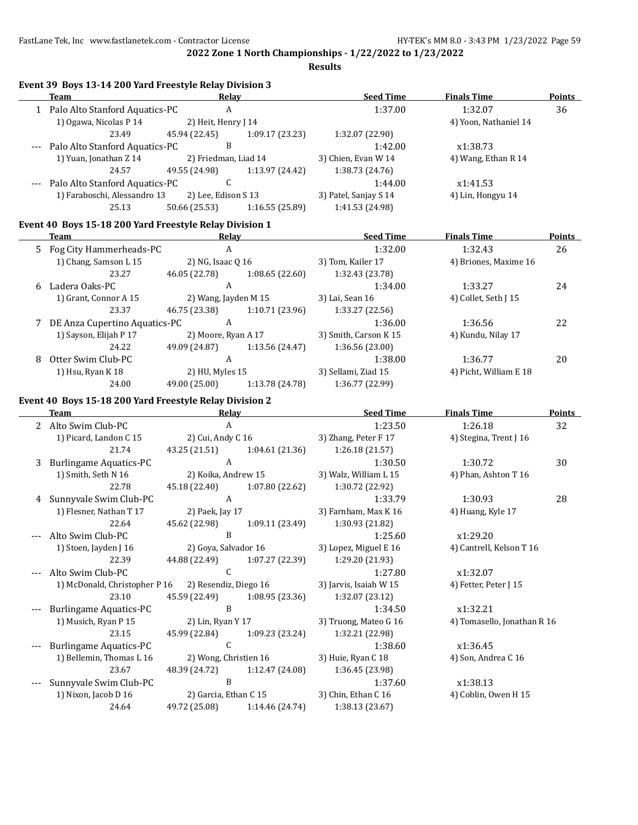**Results**

|       | Event 39 Boys 13-14 200 Yard Freestyle Relay Division 3 |                               |                 |                        |                             |               |
|-------|---------------------------------------------------------|-------------------------------|-----------------|------------------------|-----------------------------|---------------|
|       | <b>Team</b>                                             | Relay                         |                 | <b>Seed Time</b>       | <b>Finals Time</b>          | Points        |
|       | 1 Palo Alto Stanford Aquatics-PC                        | A                             |                 | 1:37.00                | 1:32.07                     | 36            |
|       | 1) Ogawa, Nicolas P 14                                  | 2) Heit, Henry J 14           |                 |                        | 4) Yoon, Nathaniel 14       |               |
|       | 23.49                                                   | 45.94 (22.45)                 | 1:09.17(23.23)  | 1:32.07 (22.90)        |                             |               |
|       | Palo Alto Stanford Aquatics-PC                          | B                             |                 | 1:42.00                | x1:38.73                    |               |
|       | 1) Yuan, Jonathan Z 14                                  | 2) Friedman, Liad 14          |                 | 3) Chien, Evan W 14    | 4) Wang, Ethan R 14         |               |
|       | 24.57                                                   | 49.55 (24.98)                 | 1:13.97 (24.42) | 1:38.73 (24.76)        |                             |               |
|       | Palo Alto Stanford Aquatics-PC                          | C                             |                 | 1:44.00                | x1:41.53                    |               |
|       | 1) Faraboschi, Alessandro 13                            | 2) Lee, Edison S 13           |                 | 3) Patel, Sanjay S 14  | 4) Lin, Hongyu 14           |               |
|       | 25.13                                                   | 50.66 (25.53)                 | 1:16.55 (25.89) | 1:41.53 (24.98)        |                             |               |
|       | Event 40 Boys 15-18 200 Yard Freestyle Relay Division 1 |                               |                 |                        |                             |               |
|       | Team                                                    | Relay                         |                 | <b>Seed Time</b>       | <b>Finals Time</b>          | <b>Points</b> |
|       | 5 Fog City Hammerheads-PC                               | $\boldsymbol{A}$              |                 | 1:32.00                | 1:32.43                     | 26            |
|       | 1) Chang, Samson L 15                                   | 2) NG, Isaac Q 16             |                 | 3) Tom, Kailer 17      | 4) Briones, Maxime 16       |               |
|       | 23.27                                                   | 46.05 (22.78)                 | 1:08.65(22.60)  | 1:32.43 (23.78)        |                             |               |
| 6     | Ladera Oaks-PC                                          | A                             |                 | 1:34.00                | 1:33.27                     | 24            |
|       | 1) Grant, Connor A 15                                   | 2) Wang, Jayden M 15          |                 | 3) Lai, Sean 16        | 4) Collet, Seth J 15        |               |
|       | 23.37                                                   | 46.75 (23.38)                 | 1:10.71(23.96)  | 1:33.27 (22.56)        |                             |               |
|       | 7 DE Anza Cupertino Aquatics-PC                         | $\boldsymbol{A}$              |                 | 1:36.00                | 1:36.56                     | 22            |
|       | 1) Sayson, Elijah P 17                                  | 2) Moore, Ryan A 17           |                 | 3) Smith, Carson K 15  | 4) Kundu, Nilay 17          |               |
|       | 24.22                                                   | 49.09 (24.87)                 | 1:13.56 (24.47) | 1:36.56 (23.00)        |                             |               |
| 8     | Otter Swim Club-PC                                      | A                             |                 | 1:38.00                | 1:36.77                     | 20            |
|       | 1) Hsu, Ryan K 18                                       | 2) HU, Myles 15               |                 | 3) Sellami, Ziad 15    | 4) Picht, William E 18      |               |
|       | 24.00                                                   | 49.00 (25.00)                 | 1:13.78 (24.78) | 1:36.77 (22.99)        |                             |               |
|       | Event 40 Boys 15-18 200 Yard Freestyle Relay Division 2 |                               |                 |                        |                             |               |
|       | Team                                                    | <b>Relay</b>                  |                 | <b>Seed Time</b>       | <b>Finals Time</b>          | <b>Points</b> |
|       | 2 Alto Swim Club-PC                                     | $\boldsymbol{A}$              |                 | 1:23.50                | 1:26.18                     | 32            |
|       | 1) Picard, Landon C 15                                  | 2) Cui, Andy C 16             |                 | 3) Zhang, Peter F 17   | 4) Stegina, Trent J 16      |               |
|       | 21.74                                                   | 43.25 (21.51)                 | 1:04.61(21.36)  | 1:26.18 (21.57)        |                             |               |
| 3     | <b>Burlingame Aquatics-PC</b>                           | $\mathbf{A}$                  |                 | 1:30.50                | 1:30.72                     | 30            |
|       | 1) Smith, Seth N 16                                     | 2) Koika, Andrew 15           |                 | 3) Walz, William L 15  | 4) Phan, Ashton T 16        |               |
|       | 22.78                                                   | 45.18 (22.40)                 | 1:07.80(22.62)  | 1:30.72 (22.92)        |                             |               |
|       | 4 Sunnyvale Swim Club-PC                                | $\boldsymbol{A}$              |                 | 1:33.79                | 1:30.93                     | 28            |
|       | 1) Flesner, Nathan T 17                                 | 2) Paek, Jay 17               |                 | 3) Farnham, Max K 16   | 4) Huang, Kyle 17           |               |
|       | 22.64                                                   | 45.62 (22.98)                 | 1:09.11 (23.49) | 1:30.93 (21.82)        |                             |               |
|       | Alto Swim Club-PC                                       | $\, {\bf B}$                  |                 | 1:25.60                | x1:29.20                    |               |
|       | 1) Stoen, Jayden J 16                                   | 2) Goya, Salvador 16          |                 | 3) Lopez, Miguel E 16  | 4) Cantrell, Kelson T 16    |               |
|       | 22.39                                                   | 44.88 (22.49)                 | 1:07.27 (22.39) | 1:29.20 (21.93)        |                             |               |
|       | Alto Swim Club-PC                                       | C                             |                 | 1:27.80                | x1:32.07                    |               |
|       | 1) McDonald, Christopher P 16                           | 2) Resendiz, Diego 16         |                 | 3) Jarvis, Isaiah W 15 | 4) Fetter, Peter J 15       |               |
|       | 23.10                                                   | 45.59 (22.49)                 | 1:08.95 (23.36) | 1:32.07 (23.12)        |                             |               |
| $---$ | <b>Burlingame Aquatics-PC</b>                           | B                             |                 | 1:34.50                | x1:32.21                    |               |
|       | 1) Musich, Ryan P 15                                    | 2) Lin, Ryan Y 17             |                 | 3) Truong, Mateo G 16  | 4) Tomasello, Jonathan R 16 |               |
|       |                                                         |                               |                 |                        |                             |               |
|       | 23.15                                                   | 45.99 (22.84)<br>$\mathsf{C}$ | 1:09.23 (23.24) | 1:32.21 (22.98)        |                             |               |
| $---$ | <b>Burlingame Aquatics-PC</b>                           |                               |                 | 1:38.60                | x1:36.45                    |               |
|       | 1) Bellemin, Thomas L 16                                | 2) Wong, Christien 16         |                 | 3) Huie, Ryan C 18     | 4) Son, Andrea C 16         |               |
|       | 23.67                                                   | 48.39 (24.72)                 | 1:12.47 (24.08) | 1:36.45 (23.98)        |                             |               |
| $---$ | Sunnyvale Swim Club-PC                                  | $\, {\bf B}$                  |                 | 1:37.60                | x1:38.13                    |               |
|       | 1) Nixon, Jacob D 16                                    | 2) Garcia, Ethan C 15         |                 | 3) Chin, Ethan C 16    | 4) Coblin, Owen H 15        |               |
|       | 24.64                                                   | 49.72 (25.08)                 | 1:14.46 (24.74) | 1:38.13 (23.67)        |                             |               |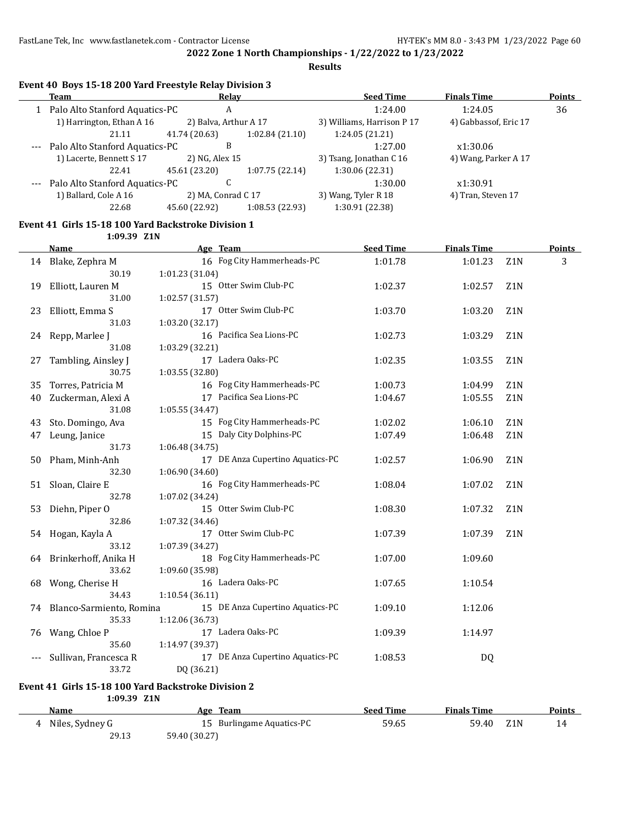**Results**

| Event 40 Boys 15-18 200 Yard Freestyle Relay Division 3 |  |
|---------------------------------------------------------|--|
|---------------------------------------------------------|--|

| Team                               | Relay                 |                 | <b>Seed Time</b>           | <b>Finals Time</b>    | Points |
|------------------------------------|-----------------------|-----------------|----------------------------|-----------------------|--------|
| Palo Alto Stanford Aquatics-PC     | A                     |                 | 1:24.00                    | 1:24.05               | 36     |
| 1) Harrington, Ethan A 16          | 2) Balva, Arthur A 17 |                 | 3) Williams, Harrison P 17 | 4) Gabbassof, Eric 17 |        |
| 21.11                              | 41.74 (20.63)         | 1:02.84(21.10)  | 1:24.05(21.21)             |                       |        |
| Palo Alto Stanford Aquatics-PC     | B                     |                 | 1:27.00                    | x1:30.06              |        |
| 1) Lacerte, Bennett S 17           | 2) NG, Alex 15        |                 | 3) Tsang, Jonathan C 16    | 4) Wang, Parker A 17  |        |
| 22.41                              | 45.61 (23.20)         | 1:07.75(22.14)  | 1:30.06(22.31)             |                       |        |
| --- Palo Alto Stanford Aquatics-PC |                       |                 | 1:30.00                    | x1:30.91              |        |
| 1) Ballard, Cole A 16              | 2) MA, Conrad C 17    |                 | 3) Wang, Tyler R 18        | 4) Tran, Steven 17    |        |
| 22.68                              | 45.60 (22.92)         | 1:08.53 (22.93) | 1:30.91 (22.38)            |                       |        |
|                                    |                       |                 |                            |                       |        |

#### **Event 41 Girls 15-18 100 Yard Backstroke Division 1 1:09.39 Z1N**

|    | <b>Name</b>                          | Age Team and the state of the state of the state of the state of the state of the state of the state of the state of the state of the state of the state of the state of the state of the state of the state of the state of t | <b>Seed Time</b> | <b>Finals Time</b> |                  | <b>Points</b> |
|----|--------------------------------------|--------------------------------------------------------------------------------------------------------------------------------------------------------------------------------------------------------------------------------|------------------|--------------------|------------------|---------------|
|    | 14 Blake, Zephra M                   | 16 Fog City Hammerheads-PC                                                                                                                                                                                                     | 1:01.78          | 1:01.23            | Z <sub>1</sub> N | 3             |
|    | 30.19                                | 1:01.23 (31.04)                                                                                                                                                                                                                |                  |                    |                  |               |
| 19 | Elliott, Lauren M                    | 15 Otter Swim Club-PC                                                                                                                                                                                                          | 1:02.37          | 1:02.57            | Z <sub>1</sub> N |               |
|    | 31.00                                | 1:02.57 (31.57)                                                                                                                                                                                                                |                  |                    |                  |               |
| 23 | Elliott, Emma S                      | 17 Otter Swim Club-PC                                                                                                                                                                                                          | 1:03.70          | 1:03.20            | Z1N              |               |
|    | 31.03                                | 1:03.20 (32.17)                                                                                                                                                                                                                |                  |                    |                  |               |
|    | 24 Repp, Marlee J                    | 16 Pacifica Sea Lions-PC                                                                                                                                                                                                       | 1:02.73          | 1:03.29            | Z <sub>1</sub> N |               |
|    | 31.08                                | 1:03.29 (32.21)                                                                                                                                                                                                                |                  |                    |                  |               |
| 27 | Tambling, Ainsley J                  | 17 Ladera Oaks-PC                                                                                                                                                                                                              | 1:02.35          | 1:03.55            | Z1N              |               |
|    | 30.75                                | 1:03.55 (32.80)                                                                                                                                                                                                                |                  |                    |                  |               |
| 35 | Torres, Patricia M                   | 16 Fog City Hammerheads-PC                                                                                                                                                                                                     | 1:00.73          | 1:04.99            | Z <sub>1</sub> N |               |
| 40 | Zuckerman, Alexi A                   | 17 Pacifica Sea Lions-PC                                                                                                                                                                                                       | 1:04.67          | 1:05.55            | Z <sub>1</sub> N |               |
|    | 31.08                                | 1:05.55 (34.47)                                                                                                                                                                                                                |                  |                    |                  |               |
| 43 | Sto. Domingo, Ava                    | 15 Fog City Hammerheads-PC                                                                                                                                                                                                     | 1:02.02          | 1:06.10            | Z <sub>1</sub> N |               |
| 47 | Leung, Janice                        | 15 Daly City Dolphins-PC                                                                                                                                                                                                       | 1:07.49          | 1:06.48            | Z <sub>1</sub> N |               |
|    | 31.73                                | 1:06.48 (34.75)                                                                                                                                                                                                                |                  |                    |                  |               |
| 50 | Pham, Minh-Anh                       | 17 DE Anza Cupertino Aquatics-PC                                                                                                                                                                                               | 1:02.57          | 1:06.90            | Z <sub>1</sub> N |               |
|    | 32.30                                | 1:06.90(34.60)                                                                                                                                                                                                                 |                  |                    |                  |               |
| 51 | Sloan, Claire E                      | 16 Fog City Hammerheads-PC                                                                                                                                                                                                     | 1:08.04          | 1:07.02            | Z <sub>1</sub> N |               |
|    | 32.78                                | 1:07.02 (34.24)                                                                                                                                                                                                                |                  |                    |                  |               |
| 53 | Diehn, Piper O                       | 15 Otter Swim Club-PC                                                                                                                                                                                                          | 1:08.30          | 1:07.32            | Z1N              |               |
|    | 32.86                                | 1:07.32 (34.46)                                                                                                                                                                                                                |                  |                    |                  |               |
|    | 54 Hogan, Kayla A                    | 17 Otter Swim Club-PC                                                                                                                                                                                                          | 1:07.39          | 1:07.39            | Z <sub>1</sub> N |               |
|    | 33.12                                | 1:07.39 (34.27)                                                                                                                                                                                                                |                  |                    |                  |               |
|    | 64 Brinkerhoff, Anika H              | 18 Fog City Hammerheads-PC                                                                                                                                                                                                     | 1:07.00          | 1:09.60            |                  |               |
|    | 33.62                                | 1:09.60 (35.98)                                                                                                                                                                                                                |                  |                    |                  |               |
| 68 | Wong, Cherise H                      | 16 Ladera Oaks-PC                                                                                                                                                                                                              | 1:07.65          | 1:10.54            |                  |               |
|    | 34.43                                | 1:10.54 (36.11)<br>15 DE Anza Cupertino Aquatics-PC                                                                                                                                                                            |                  |                    |                  |               |
|    | 74 Blanco-Sarmiento, Romina<br>35.33 | 1:12.06 (36.73)                                                                                                                                                                                                                | 1:09.10          | 1:12.06            |                  |               |
|    | 76 Wang, Chloe P                     | 17 Ladera Oaks-PC                                                                                                                                                                                                              | 1:09.39          | 1:14.97            |                  |               |
|    | 35.60                                | 1:14.97 (39.37)                                                                                                                                                                                                                |                  |                    |                  |               |
|    | Sullivan, Francesca R                | 17 DE Anza Cupertino Aquatics-PC                                                                                                                                                                                               | 1:08.53          | DQ                 |                  |               |
|    | 33.72                                | DQ (36.21)                                                                                                                                                                                                                     |                  |                    |                  |               |
|    |                                      |                                                                                                                                                                                                                                |                  |                    |                  |               |

### **Event 41 Girls 15-18 100 Yard Backstroke Division 2**

**1:09.39 Z1N**

| Name              | Age Team                  | <b>Seed Time</b> | <b>Finals Time</b> | <b>Points</b> |
|-------------------|---------------------------|------------------|--------------------|---------------|
| 4 Niles, Sydney G | 15 Burlingame Aquatics-PC | 59.65            | 59.40 Z1N          |               |
| 29.13             | 59.40 (30.27)             |                  |                    |               |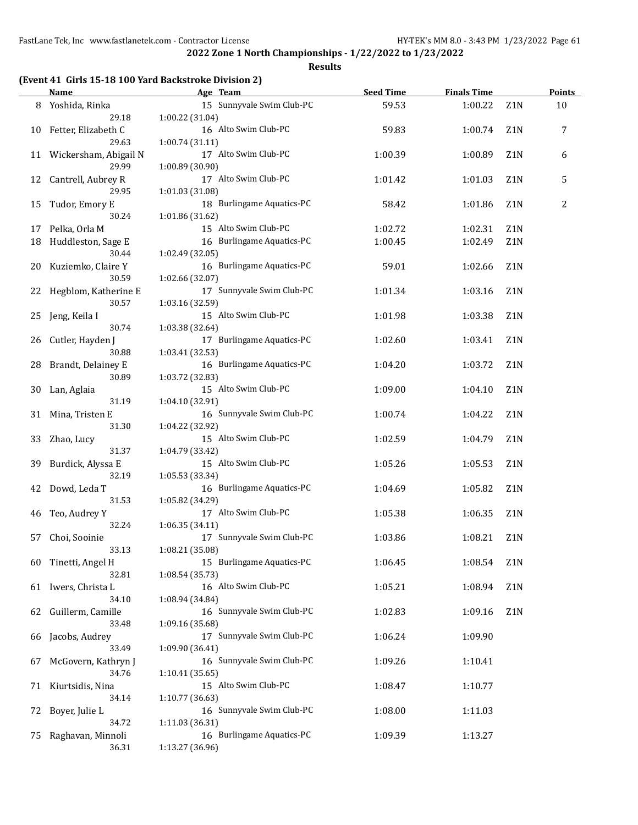#### **Results**

## **(Event 41 Girls 15-18 100 Yard Backstroke Division 2)**

|    | Name                                 | Age Team                                                        | <b>Seed Time</b> | <b>Finals Time</b> |                  | <b>Points</b> |
|----|--------------------------------------|-----------------------------------------------------------------|------------------|--------------------|------------------|---------------|
|    | 8 Yoshida, Rinka<br>29.18            | 15 Sunnyvale Swim Club-PC<br>1:00.22 (31.04)                    | 59.53            | 1:00.22            | Z1N              | 10            |
| 10 | Fetter, Elizabeth C                  | 16 Alto Swim Club-PC                                            | 59.83            | 1:00.74            | Z1N              | 7             |
|    | 29.63<br>11 Wickersham, Abigail N    | 1:00.74 (31.11)<br>17 Alto Swim Club-PC                         | 1:00.39          | 1:00.89            | Z1N              | 6             |
|    | 29.99                                | 1:00.89 (30.90)                                                 |                  |                    |                  |               |
| 12 | Cantrell, Aubrey R<br>29.95          | 17 Alto Swim Club-PC<br>1:01.03 (31.08)                         | 1:01.42          | 1:01.03            | Z1N              | 5             |
| 15 | Tudor, Emory E<br>30.24              | 18 Burlingame Aquatics-PC<br>1:01.86 (31.62)                    | 58.42            | 1:01.86            | Z1N              | 2             |
|    | 17 Pelka, Orla M                     | 15 Alto Swim Club-PC                                            | 1:02.72          | 1:02.31            | Z1N              |               |
| 18 | Huddleston, Sage E<br>30.44          | 16 Burlingame Aquatics-PC<br>1:02.49 (32.05)                    | 1:00.45          | 1:02.49            | Z1N              |               |
|    | 20 Kuziemko, Claire Y<br>30.59       | 16 Burlingame Aquatics-PC<br>1:02.66 (32.07)                    | 59.01            | 1:02.66            | Z <sub>1</sub> N |               |
| 22 | Hegblom, Katherine E<br>30.57        | 17 Sunnyvale Swim Club-PC<br>1:03.16 (32.59)                    | 1:01.34          | 1:03.16            | Z1N              |               |
| 25 | Jeng, Keila I<br>30.74               | 15 Alto Swim Club-PC<br>1:03.38 (32.64)                         | 1:01.98          | 1:03.38            | Z1N              |               |
| 26 | Cutler, Hayden J<br>30.88            | 17 Burlingame Aquatics-PC<br>1:03.41 (32.53)                    | 1:02.60          | 1:03.41            | Z <sub>1</sub> N |               |
| 28 | Brandt, Delainey E                   | 16 Burlingame Aquatics-PC                                       | 1:04.20          | 1:03.72            | Z1N              |               |
| 30 | 30.89<br>Lan, Aglaia                 | 1:03.72 (32.83)<br>15 Alto Swim Club-PC                         | 1:09.00          | 1:04.10            | Z <sub>1</sub> N |               |
|    | 31.19<br>31 Mina, Tristen E<br>31.30 | 1:04.10 (32.91)<br>16 Sunnyvale Swim Club-PC                    | 1:00.74          | 1:04.22            | Z <sub>1</sub> N |               |
|    | 33 Zhao, Lucy<br>31.37               | 1:04.22 (32.92)<br>15 Alto Swim Club-PC<br>1:04.79 (33.42)      | 1:02.59          | 1:04.79            | Z <sub>1</sub> N |               |
| 39 | Burdick, Alyssa E<br>32.19           | 15 Alto Swim Club-PC                                            | 1:05.26          | 1:05.53            | Z <sub>1</sub> N |               |
| 42 | Dowd, Leda T<br>31.53                | 1:05.53 (33.34)<br>16 Burlingame Aquatics-PC<br>1:05.82 (34.29) | 1:04.69          | 1:05.82            | Z1N              |               |
| 46 | Teo, Audrey Y<br>32.24               | 17 Alto Swim Club-PC                                            | 1:05.38          | 1:06.35            | Z <sub>1</sub> N |               |
| 57 | Choi, Sooinie<br>33.13               | 1:06.35 (34.11)<br>17 Sunnyvale Swim Club-PC                    | 1:03.86          | 1:08.21            | Z <sub>1</sub> N |               |
| 60 | Tinetti, Angel H                     | 1:08.21 (35.08)<br>15 Burlingame Aquatics-PC                    | 1:06.45          | 1:08.54            | Z1N              |               |
|    | 32.81<br>61 Iwers, Christa L         | 1:08.54 (35.73)<br>16 Alto Swim Club-PC                         | 1:05.21          | 1:08.94            | Z1N              |               |
| 62 | 34.10<br>Guillerm, Camille           | 1:08.94 (34.84)<br>16 Sunnyvale Swim Club-PC                    | 1:02.83          | 1:09.16            | Z1N              |               |
| 66 | 33.48<br>Jacobs, Audrey              | 1:09.16 (35.68)<br>17 Sunnyvale Swim Club-PC                    | 1:06.24          | 1:09.90            |                  |               |
| 67 | 33.49<br>McGovern, Kathryn J         | 1:09.90 (36.41)<br>16 Sunnyvale Swim Club-PC                    | 1:09.26          | 1:10.41            |                  |               |
| 71 | 34.76<br>Kiurtsidis, Nina            | 1:10.41 (35.65)<br>15 Alto Swim Club-PC                         | 1:08.47          | 1:10.77            |                  |               |
| 72 | 34.14<br>Boyer, Julie L              | 1:10.77 (36.63)<br>16 Sunnyvale Swim Club-PC                    | 1:08.00          | 1:11.03            |                  |               |
|    | 34.72                                | 1:11.03 (36.31)                                                 |                  |                    |                  |               |
| 75 | Raghavan, Minnoli<br>36.31           | 16 Burlingame Aquatics-PC<br>1:13.27 (36.96)                    | 1:09.39          | 1:13.27            |                  |               |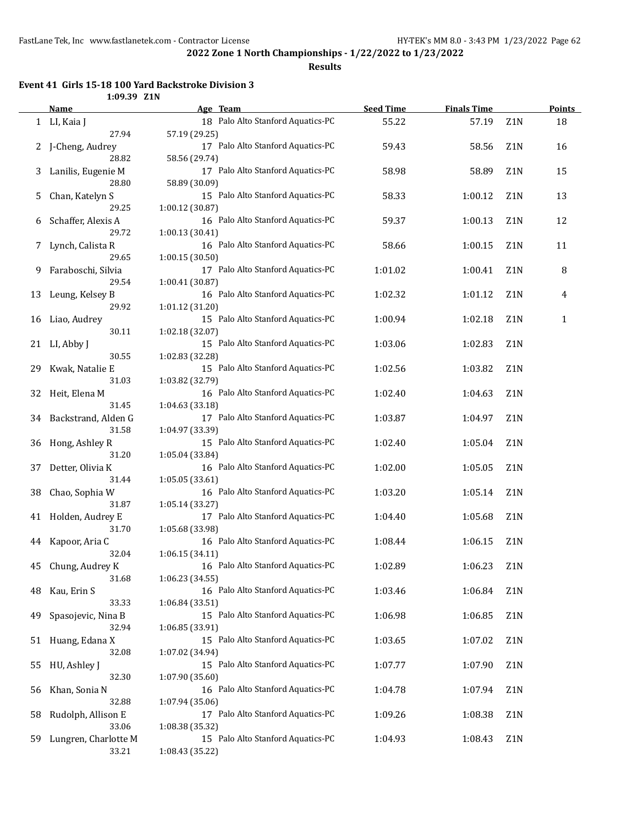**Results**

#### **Event 41 Girls 15-18 100 Yard Backstroke Division 3 1:09.39 Z1N**

|    | Name                        | Age Team                                             | <b>Seed Time</b> | <b>Finals Time</b> |                  | <b>Points</b> |
|----|-----------------------------|------------------------------------------------------|------------------|--------------------|------------------|---------------|
|    | 1 LI, Kaia J                | 18 Palo Alto Stanford Aquatics-PC                    | 55.22            | 57.19              | Z1N              | 18            |
|    | 27.94                       | 57.19 (29.25)                                        |                  |                    |                  |               |
|    | J-Cheng, Audrey             | 17 Palo Alto Stanford Aquatics-PC                    | 59.43            | 58.56              | Z <sub>1</sub> N | 16            |
|    | 28.82                       | 58.56 (29.74)                                        |                  |                    |                  |               |
| 3  | Lanilis, Eugenie M          | 17 Palo Alto Stanford Aquatics-PC                    | 58.98            | 58.89              | Z1N              | 15            |
|    | 28.80                       | 58.89 (30.09)                                        |                  |                    |                  |               |
| 5. | Chan, Katelyn S             | 15 Palo Alto Stanford Aquatics-PC                    | 58.33            | 1:00.12            | Z1N              | 13            |
|    | 29.25                       | 1:00.12 (30.87)                                      |                  |                    |                  |               |
| 6  | Schaffer, Alexis A          | 16 Palo Alto Stanford Aquatics-PC                    | 59.37            | 1:00.13            | Z <sub>1</sub> N | 12            |
|    | 29.72                       | 1:00.13 (30.41)                                      |                  |                    |                  |               |
| 7  | Lynch, Calista R            | 16 Palo Alto Stanford Aquatics-PC                    | 58.66            | 1:00.15            | Z1N              | 11            |
|    | 29.65                       | 1:00.15 (30.50)                                      |                  |                    |                  |               |
| 9  | Faraboschi, Silvia          | 17 Palo Alto Stanford Aquatics-PC                    | 1:01.02          | 1:00.41            | Z1N              | 8             |
|    | 29.54                       | 1:00.41 (30.87)                                      |                  |                    |                  |               |
| 13 | Leung, Kelsey B             | 16 Palo Alto Stanford Aquatics-PC                    | 1:02.32          | 1:01.12            | Z1N              | 4             |
|    | 29.92                       | 1:01.12 (31.20)                                      |                  |                    |                  |               |
| 16 | Liao, Audrey                | 15 Palo Alto Stanford Aquatics-PC                    | 1:00.94          | 1:02.18            | Z1N              | $\mathbf{1}$  |
|    | 30.11                       | 1:02.18 (32.07)                                      |                  |                    |                  |               |
| 21 | LI, Abby J                  | 15 Palo Alto Stanford Aquatics-PC                    | 1:03.06          | 1:02.83            | Z1N              |               |
|    | 30.55                       | 1:02.83 (32.28)                                      |                  |                    |                  |               |
| 29 | Kwak, Natalie E             | 15 Palo Alto Stanford Aquatics-PC                    | 1:02.56          | 1:03.82            | Z1N              |               |
|    | 31.03                       | 1:03.82 (32.79)                                      |                  |                    |                  |               |
| 32 | Heit, Elena M               | 16 Palo Alto Stanford Aquatics-PC                    | 1:02.40          | 1:04.63            | Z1N              |               |
|    | 31.45                       | 1:04.63 (33.18)                                      |                  |                    |                  |               |
| 34 | Backstrand, Alden G         | 17 Palo Alto Stanford Aquatics-PC                    | 1:03.87          | 1:04.97            | Z1N              |               |
|    | 31.58                       | 1:04.97 (33.39)                                      |                  |                    |                  |               |
| 36 | Hong, Ashley R              | 15 Palo Alto Stanford Aquatics-PC                    | 1:02.40          | 1:05.04            | Z <sub>1</sub> N |               |
|    | 31.20                       | 1:05.04 (33.84)                                      |                  |                    |                  |               |
| 37 | Detter, Olivia K            | 16 Palo Alto Stanford Aquatics-PC                    | 1:02.00          | 1:05.05            | Z1N              |               |
|    | 31.44                       | 1:05.05(33.61)                                       |                  |                    |                  |               |
| 38 | Chao, Sophia W              | 16 Palo Alto Stanford Aquatics-PC                    | 1:03.20          | 1:05.14            | Z1N              |               |
|    | 31.87                       | 1:05.14 (33.27)                                      |                  |                    |                  |               |
| 41 | Holden, Audrey E            | 17 Palo Alto Stanford Aquatics-PC                    | 1:04.40          | 1:05.68            | Z <sub>1</sub> N |               |
|    | 31.70                       | 1:05.68 (33.98)                                      |                  |                    |                  |               |
| 44 | Kapoor, Aria C              | 16 Palo Alto Stanford Aquatics-PC                    | 1:08.44          | 1:06.15            | Z <sub>1</sub> N |               |
|    | 32.04                       | 1:06.15(34.11)                                       |                  |                    |                  |               |
| 45 | Chung, Audrey K             | 16 Palo Alto Stanford Aquatics-PC                    | 1:02.89          | 1:06.23            | Z1N              |               |
|    | 31.68                       | 1:06.23 (34.55)                                      |                  |                    |                  |               |
| 48 | Kau, Erin S<br>33.33        | 16 Palo Alto Stanford Aquatics-PC<br>1:06.84 (33.51) | 1:03.46          | 1:06.84            | Z1N              |               |
|    |                             | 15 Palo Alto Stanford Aquatics-PC                    |                  |                    |                  |               |
| 49 | Spasojevic, Nina B<br>32.94 | 1:06.85 (33.91)                                      | 1:06.98          | 1:06.85            | Z1N              |               |
|    |                             | 15 Palo Alto Stanford Aquatics-PC                    | 1:03.65          | 1:07.02            | Z1N              |               |
| 51 | Huang, Edana X<br>32.08     | 1:07.02 (34.94)                                      |                  |                    |                  |               |
| 55 | HU, Ashley J                | 15 Palo Alto Stanford Aquatics-PC                    | 1:07.77          | 1:07.90            | Z1N              |               |
|    | 32.30                       | 1:07.90 (35.60)                                      |                  |                    |                  |               |
| 56 | Khan, Sonia N               | 16 Palo Alto Stanford Aquatics-PC                    | 1:04.78          | 1:07.94            | Z1N              |               |
|    | 32.88                       | 1:07.94 (35.06)                                      |                  |                    |                  |               |
| 58 | Rudolph, Allison E          | 17 Palo Alto Stanford Aquatics-PC                    | 1:09.26          | 1:08.38            | Z1N              |               |
|    | 33.06                       | 1:08.38 (35.32)                                      |                  |                    |                  |               |
| 59 | Lungren, Charlotte M        | 15 Palo Alto Stanford Aquatics-PC                    | 1:04.93          | 1:08.43            | Z1N              |               |
|    | 33.21                       | 1:08.43 (35.22)                                      |                  |                    |                  |               |
|    |                             |                                                      |                  |                    |                  |               |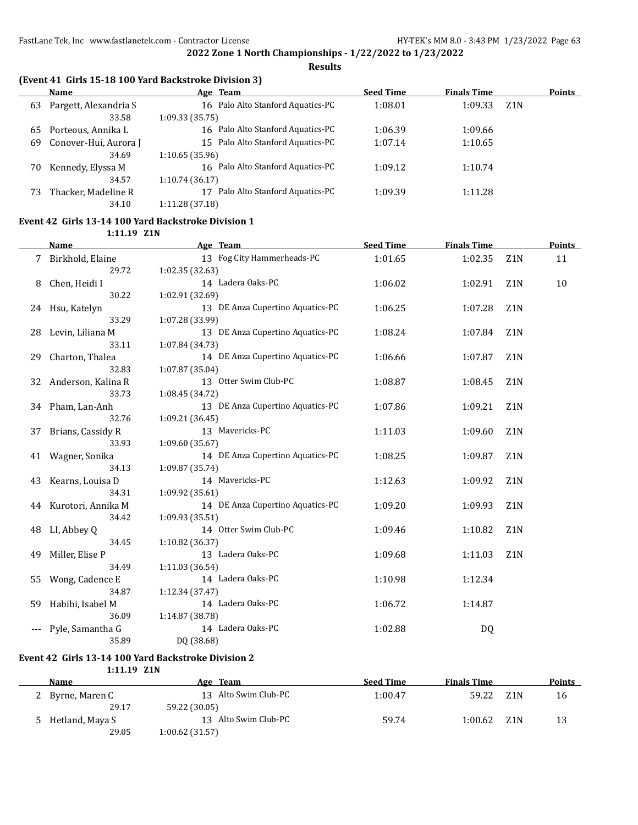**Results**

## **(Event 41 Girls 15-18 100 Yard Backstroke Division 3)**

|     | Name                  | Age Team                             | <b>Seed Time</b> | <b>Finals Time</b>          | <b>Points</b> |
|-----|-----------------------|--------------------------------------|------------------|-----------------------------|---------------|
| 63  | Pargett, Alexandria S | 16 Palo Alto Stanford Aquatics-PC    | 1:08.01          | 1:09.33<br>Z <sub>1</sub> N |               |
|     | 33.58                 | 1:09.33(35.75)                       |                  |                             |               |
| 65  | Porteous, Annika L    | 16 Palo Alto Stanford Aquatics-PC    | 1:06.39          | 1:09.66                     |               |
| 69  | Conover-Hui, Aurora J | 15 Palo Alto Stanford Aquatics-PC    | 1:07.14          | 1:10.65                     |               |
|     | 34.69                 | 1:10.65(35.96)                       |                  |                             |               |
| 70. | Kennedy, Elyssa M     | 16 Palo Alto Stanford Aquatics-PC    | 1:09.12          | 1:10.74                     |               |
|     | 34.57                 | 1:10.74(36.17)                       |                  |                             |               |
| 73  | Thacker, Madeline R   | Palo Alto Stanford Aquatics-PC<br>17 | 1:09.39          | 1:11.28                     |               |
|     | 34.10                 | 1:11.28(37.18)                       |                  |                             |               |

## **Event 42 Girls 13-14 100 Yard Backstroke Division 1**

**1:11.19 Z1N**

|    | <b>Name</b>           | Age Team                         | <b>Seed Time</b> | <b>Finals Time</b> |                  | <b>Points</b> |
|----|-----------------------|----------------------------------|------------------|--------------------|------------------|---------------|
|    | Birkhold, Elaine      | 13 Fog City Hammerheads-PC       | 1:01.65          | 1:02.35            | Z <sub>1</sub> N | 11            |
|    | 29.72                 | 1:02.35 (32.63)                  |                  |                    |                  |               |
| 8  | Chen, Heidi I         | 14 Ladera Oaks-PC                | 1:06.02          | 1:02.91            | Z <sub>1</sub> N | 10            |
|    | 30.22                 | 1:02.91 (32.69)                  |                  |                    |                  |               |
|    | 24 Hsu, Katelyn       | 13 DE Anza Cupertino Aquatics-PC | 1:06.25          | 1:07.28            | Z1N              |               |
|    | 33.29                 | 1:07.28 (33.99)                  |                  |                    |                  |               |
| 28 | Levin, Liliana M      | 13 DE Anza Cupertino Aquatics-PC | 1:08.24          | 1:07.84            | Z <sub>1</sub> N |               |
|    | 33.11                 | 1:07.84 (34.73)                  |                  |                    |                  |               |
| 29 | Charton, Thalea       | 14 DE Anza Cupertino Aquatics-PC | 1:06.66          | 1:07.87            | Z1N              |               |
|    | 32.83                 | 1:07.87 (35.04)                  |                  |                    |                  |               |
|    | 32 Anderson, Kalina R | 13 Otter Swim Club-PC            | 1:08.87          | 1:08.45            | Z <sub>1</sub> N |               |
|    | 33.73                 | 1:08.45 (34.72)                  |                  |                    |                  |               |
|    | 34 Pham, Lan-Anh      | 13 DE Anza Cupertino Aquatics-PC | 1:07.86          | 1:09.21            | Z1N              |               |
|    | 32.76                 | 1:09.21 (36.45)                  |                  |                    |                  |               |
| 37 | Brians, Cassidy R     | 13 Mavericks-PC                  | 1:11.03          | 1:09.60            | Z <sub>1</sub> N |               |
|    | 33.93                 | 1:09.60 (35.67)                  |                  |                    |                  |               |
| 41 | Wagner, Sonika        | 14 DE Anza Cupertino Aquatics-PC | 1:08.25          | 1:09.87            | Z <sub>1</sub> N |               |
|    | 34.13                 | 1:09.87 (35.74)                  |                  |                    |                  |               |
| 43 | Kearns, Louisa D      | 14 Mavericks-PC                  | 1:12.63          | 1:09.92            | Z <sub>1</sub> N |               |
|    | 34.31                 | 1:09.92 (35.61)                  |                  |                    |                  |               |
|    | 44 Kurotori, Annika M | 14 DE Anza Cupertino Aquatics-PC | 1:09.20          | 1:09.93            | Z1N              |               |
|    | 34.42                 | 1:09.93 (35.51)                  |                  |                    |                  |               |
| 48 | LI, Abbey Q           | 14 Otter Swim Club-PC            | 1:09.46          | 1:10.82            | Z <sub>1</sub> N |               |
|    | 34.45                 | 1:10.82 (36.37)                  |                  |                    |                  |               |
| 49 | Miller, Elise P       | 13 Ladera Oaks-PC                | 1:09.68          | 1:11.03            | Z <sub>1</sub> N |               |
|    | 34.49                 | 1:11.03(36.54)                   |                  |                    |                  |               |
| 55 | Wong, Cadence E       | 14 Ladera Oaks-PC                | 1:10.98          | 1:12.34            |                  |               |
|    | 34.87                 | 1:12.34 (37.47)                  |                  |                    |                  |               |
| 59 | Habibi, Isabel M      | 14 Ladera Oaks-PC                | 1:06.72          | 1:14.87            |                  |               |
|    | 36.09                 | 1:14.87 (38.78)                  |                  |                    |                  |               |
|    | Pyle, Samantha G      | 14 Ladera Oaks-PC                | 1:02.88          | DQ                 |                  |               |
|    | 35.89                 | DQ (38.68)                       |                  |                    |                  |               |

### **Event 42 Girls 13-14 100 Yard Backstroke Division 2**

**1:11.19 Z1N**

| Name             | Age Team             | <b>Seed Time</b> | <b>Finals Time</b> |      | <b>Points</b> |
|------------------|----------------------|------------------|--------------------|------|---------------|
| 2 Byrne, Maren C | 13 Alto Swim Club-PC | 1:00.47          | 59.22              | Z1 N | 16            |
| 29.17            | 59.22 (30.05)        |                  |                    |      |               |
| Hetland, Maya S  | 13 Alto Swim Club-PC | 59.74            | 1:00.62            | Z1N  | 13            |
| 29.05            | 1:00.62(31.57)       |                  |                    |      |               |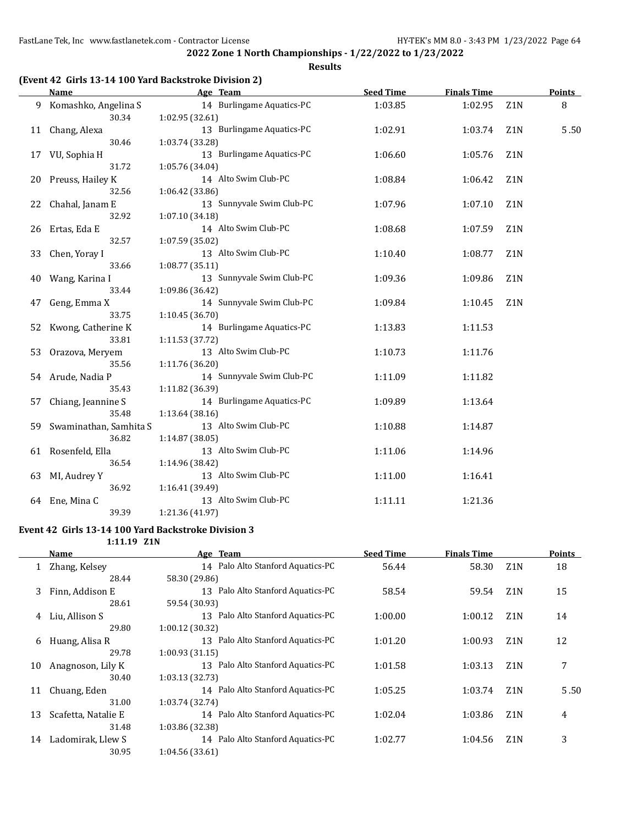**2022 Zone 1 North Championships - 1/22/2022 to 1/23/2022 Results**

## **(Event 42 Girls 13-14 100 Yard Backstroke Division 2)**

|     | Name                   | Age Team                  | <b>Seed Time</b> | <b>Finals Time</b> |                  | Points |
|-----|------------------------|---------------------------|------------------|--------------------|------------------|--------|
|     | 9 Komashko, Angelina S | 14 Burlingame Aquatics-PC | 1:03.85          | 1:02.95            | Z <sub>1</sub> N | 8      |
|     | 30.34                  | 1:02.95 (32.61)           |                  |                    |                  |        |
|     | 11 Chang, Alexa        | 13 Burlingame Aquatics-PC | 1:02.91          | 1:03.74            | Z1N              | 5.50   |
|     | 30.46                  | 1:03.74 (33.28)           |                  |                    |                  |        |
| 17  | VU, Sophia H           | 13 Burlingame Aquatics-PC | 1:06.60          | 1:05.76            | Z <sub>1</sub> N |        |
|     | 31.72                  | 1:05.76 (34.04)           |                  |                    |                  |        |
|     | 20 Preuss, Hailey K    | 14 Alto Swim Club-PC      | 1:08.84          | 1:06.42            | Z <sub>1</sub> N |        |
|     | 32.56                  | 1:06.42 (33.86)           |                  |                    |                  |        |
| 22  | Chahal, Janam E        | 13 Sunnyvale Swim Club-PC | 1:07.96          | 1:07.10            | Z <sub>1</sub> N |        |
|     | 32.92                  | 1:07.10 (34.18)           |                  |                    |                  |        |
| 26  | Ertas, Eda E           | 14 Alto Swim Club-PC      | 1:08.68          | 1:07.59            | Z <sub>1</sub> N |        |
|     | 32.57                  | 1:07.59 (35.02)           |                  |                    |                  |        |
| 33  | Chen, Yoray I          | 13 Alto Swim Club-PC      | 1:10.40          | 1:08.77            | Z <sub>1</sub> N |        |
|     | 33.66                  | 1:08.77(35.11)            |                  |                    |                  |        |
| 40  | Wang, Karina I         | 13 Sunnyvale Swim Club-PC | 1:09.36          | 1:09.86            | Z <sub>1</sub> N |        |
|     | 33.44                  | 1:09.86 (36.42)           |                  |                    |                  |        |
| 47  | Geng, Emma X           | 14 Sunnyvale Swim Club-PC | 1:09.84          | 1:10.45            | Z1N              |        |
|     | 33.75                  | 1:10.45 (36.70)           |                  |                    |                  |        |
| 52  | Kwong, Catherine K     | 14 Burlingame Aquatics-PC | 1:13.83          | 1:11.53            |                  |        |
|     | 33.81                  | 1:11.53 (37.72)           |                  |                    |                  |        |
| 53  | Orazova, Meryem        | 13 Alto Swim Club-PC      | 1:10.73          | 1:11.76            |                  |        |
|     | 35.56                  | 1:11.76 (36.20)           |                  |                    |                  |        |
|     | 54 Arude, Nadia P      | 14 Sunnyvale Swim Club-PC | 1:11.09          | 1:11.82            |                  |        |
|     | 35.43                  | 1:11.82 (36.39)           |                  |                    |                  |        |
| 57  | Chiang, Jeannine S     | 14 Burlingame Aquatics-PC | 1:09.89          | 1:13.64            |                  |        |
|     | 35.48                  | 1:13.64(38.16)            |                  |                    |                  |        |
| 59. | Swaminathan, Samhita S | 13 Alto Swim Club-PC      | 1:10.88          | 1:14.87            |                  |        |
|     | 36.82                  | 1:14.87 (38.05)           |                  |                    |                  |        |
|     | 61 Rosenfeld, Ella     | 13 Alto Swim Club-PC      | 1:11.06          | 1:14.96            |                  |        |
|     | 36.54                  | 1:14.96 (38.42)           |                  |                    |                  |        |
| 63  | MI, Audrey Y           | 13 Alto Swim Club-PC      | 1:11.00          | 1:16.41            |                  |        |
|     | 36.92                  | 1:16.41 (39.49)           |                  |                    |                  |        |
| 64  | Ene, Mina C            | 13 Alto Swim Club-PC      | 1:11.11          | 1:21.36            |                  |        |
|     | 39.39                  | 1:21.36 (41.97)           |                  |                    |                  |        |
|     |                        |                           |                  |                    |                  |        |

#### **Event 42 Girls 13-14 100 Yard Backstroke Division 3 1:11.19 Z1N**

|    | Name                | Age Team                          | <b>Seed Time</b> | <b>Finals Time</b> |                  | <b>Points</b> |
|----|---------------------|-----------------------------------|------------------|--------------------|------------------|---------------|
|    | 1 Zhang, Kelsey     | 14 Palo Alto Stanford Aquatics-PC | 56.44            | 58.30              | Z <sub>1</sub> N | 18            |
|    | 28.44               | 58.30 (29.86)                     |                  |                    |                  |               |
| 3  | Finn, Addison E     | 13 Palo Alto Stanford Aquatics-PC | 58.54            | 59.54              | Z <sub>1</sub> N | 15            |
|    | 28.61               | 59.54 (30.93)                     |                  |                    |                  |               |
| 4  | Liu, Allison S      | 13 Palo Alto Stanford Aquatics-PC | 1:00.00          | 1:00.12            | Z <sub>1</sub> N | 14            |
|    | 29.80               | 1:00.12(30.32)                    |                  |                    |                  |               |
| 6  | Huang, Alisa R      | 13 Palo Alto Stanford Aquatics-PC | 1:01.20          | 1:00.93            | Z <sub>1</sub> N | 12            |
|    | 29.78               | 1:00.93(31.15)                    |                  |                    |                  |               |
| 10 | Anagnoson, Lily K   | 13 Palo Alto Stanford Aquatics-PC | 1:01.58          | 1:03.13            | Z <sub>1</sub> N | 7             |
|    | 30.40               | 1:03.13(32.73)                    |                  |                    |                  |               |
| 11 | Chuang, Eden        | 14 Palo Alto Stanford Aquatics-PC | 1:05.25          | 1:03.74            | Z <sub>1</sub> N | 5.50          |
|    | 31.00               | 1:03.74 (32.74)                   |                  |                    |                  |               |
| 13 | Scafetta, Natalie E | 14 Palo Alto Stanford Aquatics-PC | 1:02.04          | 1:03.86            | Z <sub>1</sub> N | 4             |
|    | 31.48               | 1:03.86 (32.38)                   |                  |                    |                  |               |
| 14 | Ladomirak, Llew S   | 14 Palo Alto Stanford Aquatics-PC | 1:02.77          | 1:04.56            | Z <sub>1</sub> N | 3             |
|    | 30.95               | 1:04.56 (33.61)                   |                  |                    |                  |               |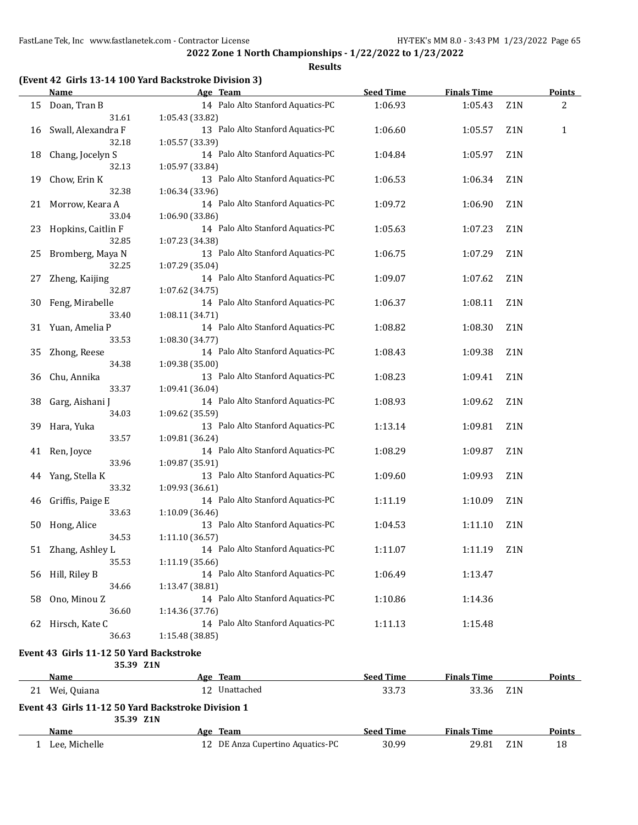**Results**

## **(Event 42 Girls 13-14 100 Yard Backstroke Division 3)**

|    | <b>Name</b>                             | Age Team                                             | <b>Seed Time</b> | <b>Finals Time</b> |                  | <b>Points</b> |
|----|-----------------------------------------|------------------------------------------------------|------------------|--------------------|------------------|---------------|
| 15 | Doan, Tran B                            | 14 Palo Alto Stanford Aquatics-PC                    | 1:06.93          | 1:05.43            | Z1N              | 2             |
|    | 31.61                                   | 1:05.43 (33.82)                                      |                  |                    |                  |               |
| 16 | Swall, Alexandra F                      | 13 Palo Alto Stanford Aquatics-PC                    | 1:06.60          | 1:05.57            | Z <sub>1</sub> N | 1             |
|    | 32.18                                   | 1:05.57 (33.39)                                      |                  |                    |                  |               |
| 18 | Chang, Jocelyn S                        | 14 Palo Alto Stanford Aquatics-PC                    | 1:04.84          | 1:05.97            | Z <sub>1</sub> N |               |
|    | 32.13                                   | 1:05.97 (33.84)                                      |                  |                    |                  |               |
| 19 | Chow, Erin K                            | 13 Palo Alto Stanford Aquatics-PC                    | 1:06.53          | 1:06.34            | Z1N              |               |
|    | 32.38                                   | 1:06.34 (33.96)                                      |                  |                    |                  |               |
| 21 | Morrow, Keara A                         | 14 Palo Alto Stanford Aquatics-PC                    | 1:09.72          | 1:06.90            | Z1N              |               |
|    | 33.04                                   | 1:06.90 (33.86)                                      |                  |                    |                  |               |
| 23 | Hopkins, Caitlin F                      | 14 Palo Alto Stanford Aquatics-PC                    | 1:05.63          | 1:07.23            | Z1N              |               |
|    | 32.85                                   | 1:07.23 (34.38)                                      |                  |                    |                  |               |
| 25 | Bromberg, Maya N                        | 13 Palo Alto Stanford Aquatics-PC                    | 1:06.75          | 1:07.29            | Z1N              |               |
|    | 32.25                                   | 1:07.29 (35.04)                                      |                  |                    |                  |               |
| 27 | Zheng, Kaijing                          | 14 Palo Alto Stanford Aquatics-PC                    | 1:09.07          | 1:07.62            | Z <sub>1</sub> N |               |
|    | 32.87                                   | 1:07.62 (34.75)                                      |                  |                    |                  |               |
| 30 | Feng, Mirabelle                         | 14 Palo Alto Stanford Aquatics-PC                    | 1:06.37          | 1:08.11            | Z1N              |               |
|    | 33.40                                   | 1:08.11 (34.71)                                      |                  |                    |                  |               |
| 31 | Yuan, Amelia P                          | 14 Palo Alto Stanford Aquatics-PC                    | 1:08.82          | 1:08.30            | Z1N              |               |
|    | 33.53                                   | 1:08.30 (34.77)                                      |                  |                    |                  |               |
| 35 | Zhong, Reese                            | 14 Palo Alto Stanford Aquatics-PC                    | 1:08.43          | 1:09.38            | Z1N              |               |
|    | 34.38                                   | 1:09.38 (35.00)                                      |                  |                    |                  |               |
| 36 | Chu, Annika                             | 13 Palo Alto Stanford Aquatics-PC                    | 1:08.23          | 1:09.41            | Z1N              |               |
|    | 33.37                                   | 1:09.41 (36.04)                                      |                  |                    |                  |               |
| 38 | Garg, Aishani J                         | 14 Palo Alto Stanford Aquatics-PC                    | 1:08.93          | 1:09.62            | Z1N              |               |
|    | 34.03                                   | 1:09.62 (35.59)                                      |                  |                    |                  |               |
| 39 | Hara, Yuka                              | 13 Palo Alto Stanford Aquatics-PC                    | 1:13.14          | 1:09.81            | Z1N              |               |
|    | 33.57                                   | 1:09.81 (36.24)                                      |                  |                    |                  |               |
| 41 | Ren, Joyce                              | 14 Palo Alto Stanford Aquatics-PC                    | 1:08.29          | 1:09.87            | Z1N              |               |
|    | 33.96                                   | 1:09.87 (35.91)                                      |                  |                    |                  |               |
| 44 | Yang, Stella K                          | 13 Palo Alto Stanford Aquatics-PC                    | 1:09.60          | 1:09.93            | Z1N              |               |
|    | 33.32                                   | 1:09.93 (36.61)                                      |                  |                    |                  |               |
| 46 | Griffis, Paige E                        | 14 Palo Alto Stanford Aquatics-PC                    | 1:11.19          | 1:10.09            | Z1N              |               |
|    | 33.63                                   | 1:10.09 (36.46)<br>13 Palo Alto Stanford Aquatics-PC |                  | 1:11.10            | Z <sub>1</sub> N |               |
| 50 | Hong, Alice<br>34.53                    | 1:11.10(36.57)                                       | 1:04.53          |                    |                  |               |
|    | 51 Zhang, Ashley L                      | 14 Palo Alto Stanford Aquatics-PC                    | 1:11.07          | 1:11.19            | Z <sub>1</sub> N |               |
|    | 35.53                                   | 1:11.19 (35.66)                                      |                  |                    |                  |               |
| 56 | Hill, Riley B                           | 14 Palo Alto Stanford Aquatics-PC                    | 1:06.49          | 1:13.47            |                  |               |
|    | 34.66                                   | 1:13.47 (38.81)                                      |                  |                    |                  |               |
| 58 | Ono, Minou Z                            | 14 Palo Alto Stanford Aquatics-PC                    | 1:10.86          | 1:14.36            |                  |               |
|    | 36.60                                   | 1:14.36 (37.76)                                      |                  |                    |                  |               |
| 62 | Hirsch, Kate C                          | 14 Palo Alto Stanford Aquatics-PC                    | 1:11.13          | 1:15.48            |                  |               |
|    | 36.63                                   | 1:15.48 (38.85)                                      |                  |                    |                  |               |
|    |                                         |                                                      |                  |                    |                  |               |
|    | Event 43 Girls 11-12 50 Yard Backstroke |                                                      |                  |                    |                  |               |
|    | 35.39 Z1N<br><b>Name</b>                |                                                      | <b>Seed Time</b> | <b>Finals Time</b> |                  | <b>Points</b> |
|    |                                         | Age Team<br>12 Unattached                            |                  |                    |                  |               |
|    | 21 Wei, Quiana                          |                                                      | 33.73            | 33.36              | Z1N              |               |
|    |                                         | Event 42, Cirls 11-12 EQ Vard Packstroke Division 1  |                  |                    |                  |               |

**Event 43 Girls 11-12 50 Yard Backstroke Division 1 35.39 Z1N**

| ____<br>Name  | Age Team                      | Seed Time | <b>Finals Time</b> |     | Points |
|---------------|-------------------------------|-----------|--------------------|-----|--------|
| Lee. Michelle | DE Anza Cupertino Aquatics-PC | 30.99     | 29.81              | Z1N | 18     |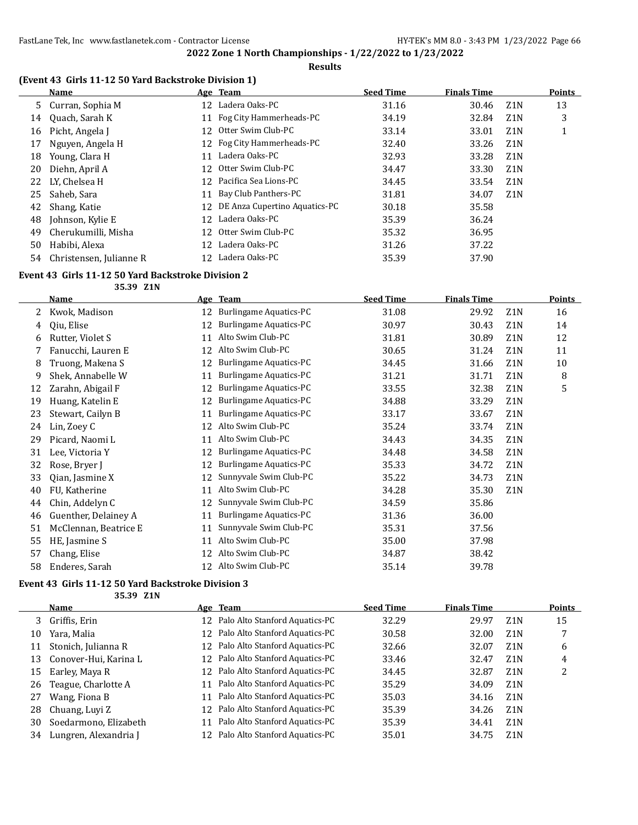### **Results**

## **(Event 43 Girls 11-12 50 Yard Backstroke Division 1)**

|    | Name                    |     | Age Team                         | <b>Seed Time</b> | <b>Finals Time</b> |                  | <b>Points</b> |
|----|-------------------------|-----|----------------------------------|------------------|--------------------|------------------|---------------|
|    | 5 Curran, Sophia M      |     | 12 Ladera Oaks-PC                | 31.16            | 30.46              | Z1N              | 13            |
| 14 | Quach, Sarah K          | 11  | Fog City Hammerheads-PC          | 34.19            | 32.84              | Z <sub>1</sub> N | 3             |
| 16 | Picht, Angela J         | 12  | Otter Swim Club-PC               | 33.14            | 33.01              | Z <sub>1</sub> N |               |
| 17 | Nguyen, Angela H        | 12  | Fog City Hammerheads-PC          | 32.40            | 33.26              | Z <sub>1</sub> N |               |
| 18 | Young, Clara H          | 11  | Ladera Oaks-PC                   | 32.93            | 33.28              | Z <sub>1</sub> N |               |
| 20 | Diehn, April A          | 12. | Otter Swim Club-PC               | 34.47            | 33.30              | Z <sub>1</sub> N |               |
| 22 | LY, Chelsea H           | 12  | Pacifica Sea Lions-PC            | 34.45            | 33.54              | Z <sub>1</sub> N |               |
| 25 | Saheb, Sara             |     | 11 Bay Club Panthers-PC          | 31.81            | 34.07              | Z <sub>1</sub> N |               |
| 42 | Shang, Katie            |     | 12 DE Anza Cupertino Aquatics-PC | 30.18            | 35.58              |                  |               |
| 48 | Johnson, Kylie E        | 12  | Ladera Oaks-PC                   | 35.39            | 36.24              |                  |               |
| 49 | Cherukumilli, Misha     | 12  | Otter Swim Club-PC               | 35.32            | 36.95              |                  |               |
| 50 | Habibi, Alexa           | 12  | Ladera Oaks-PC                   | 31.26            | 37.22              |                  |               |
| 54 | Christensen, Julianne R | 12  | Ladera Oaks-PC                   | 35.39            | 37.90              |                  |               |

#### **Event 43 Girls 11-12 50 Yard Backstroke Division 2**

**35.39 Z1N**

|    | <b>Name</b>           |    | Age Team                      | <b>Seed Time</b> | <b>Finals Time</b> |                  | <b>Points</b> |
|----|-----------------------|----|-------------------------------|------------------|--------------------|------------------|---------------|
| 2  | Kwok, Madison         | 12 | <b>Burlingame Aquatics-PC</b> | 31.08            | 29.92              | Z <sub>1</sub> N | 16            |
| 4  | Oiu, Elise            | 12 | <b>Burlingame Aquatics-PC</b> | 30.97            | 30.43              | Z <sub>1</sub> N | 14            |
| 6  | Rutter, Violet S      | 11 | Alto Swim Club-PC             | 31.81            | 30.89              | Z1N              | 12            |
|    | Fanucchi, Lauren E    | 12 | Alto Swim Club-PC             | 30.65            | 31.24              | Z <sub>1</sub> N | 11            |
| 8  | Truong, Makena S      | 12 | Burlingame Aquatics-PC        | 34.45            | 31.66              | Z <sub>1</sub> N | 10            |
| 9  | Shek, Annabelle W     | 11 | Burlingame Aquatics-PC        | 31.21            | 31.71              | Z1N              | 8             |
| 12 | Zarahn, Abigail F     | 12 | <b>Burlingame Aquatics-PC</b> | 33.55            | 32.38              | Z <sub>1</sub> N | 5             |
| 19 | Huang, Katelin E      | 12 | Burlingame Aquatics-PC        | 34.88            | 33.29              | Z <sub>1</sub> N |               |
| 23 | Stewart, Cailyn B     | 11 | <b>Burlingame Aquatics-PC</b> | 33.17            | 33.67              | Z <sub>1</sub> N |               |
| 24 | Lin, Zoey C           | 12 | Alto Swim Club-PC             | 35.24            | 33.74              | Z <sub>1</sub> N |               |
| 29 | Picard, Naomi L       | 11 | Alto Swim Club-PC             | 34.43            | 34.35              | Z1N              |               |
| 31 | Lee, Victoria Y       | 12 | Burlingame Aquatics-PC        | 34.48            | 34.58              | Z <sub>1</sub> N |               |
| 32 | Rose, Bryer J         | 12 | <b>Burlingame Aquatics-PC</b> | 35.33            | 34.72              | Z1N              |               |
| 33 | Qian, Jasmine X       | 12 | Sunnyvale Swim Club-PC        | 35.22            | 34.73              | Z1N              |               |
| 40 | FU, Katherine         | 11 | Alto Swim Club-PC             | 34.28            | 35.30              | Z1N              |               |
| 44 | Chin, Addelyn C       | 12 | Sunnyvale Swim Club-PC        | 34.59            | 35.86              |                  |               |
| 46 | Guenther, Delainey A  | 11 | <b>Burlingame Aquatics-PC</b> | 31.36            | 36.00              |                  |               |
| 51 | McClennan, Beatrice E | 11 | Sunnyvale Swim Club-PC        | 35.31            | 37.56              |                  |               |
| 55 | HE, Jasmine S         | 11 | Alto Swim Club-PC             | 35.00            | 37.98              |                  |               |
| 57 | Chang, Elise          | 12 | Alto Swim Club-PC             | 34.87            | 38.42              |                  |               |
| 58 | Enderes, Sarah        | 12 | Alto Swim Club-PC             | 35.14            | 39.78              |                  |               |

## **Event 43 Girls 11-12 50 Yard Backstroke Division 3**

**35.39 Z1N**

|    | <b>Name</b>           |                 | Age Team                          | <b>Seed Time</b> | <b>Finals Time</b> |                  | <b>Points</b> |
|----|-----------------------|-----------------|-----------------------------------|------------------|--------------------|------------------|---------------|
| 3  | Griffis, Erin         |                 | 12 Palo Alto Stanford Aquatics-PC | 32.29            | 29.97              | Z <sub>1</sub> N | 15            |
| 10 | Yara, Malia           |                 | 12 Palo Alto Stanford Aquatics-PC | 30.58            | 32.00              | Z <sub>1</sub> N |               |
| 11 | Stonich, Julianna R   |                 | 12 Palo Alto Stanford Aquatics-PC | 32.66            | 32.07              | Z1N              | 6             |
| 13 | Conover-Hui, Karina L |                 | 12 Palo Alto Stanford Aquatics-PC | 33.46            | 32.47              | Z <sub>1</sub> N | 4             |
| 15 | Earley, Maya R        |                 | 12 Palo Alto Stanford Aquatics-PC | 34.45            | 32.87              | Z <sub>1</sub> N | 2             |
| 26 | Teague, Charlotte A   |                 | 11 Palo Alto Stanford Aquatics-PC | 35.29            | 34.09              | Z <sub>1</sub> N |               |
| 27 | Wang, Fiona B         | 11              | Palo Alto Stanford Aquatics-PC    | 35.03            | 34.16              | Z <sub>1</sub> N |               |
| 28 | Chuang, Luyi Z        |                 | 12 Palo Alto Stanford Aquatics-PC | 35.39            | 34.26              | Z <sub>1</sub> N |               |
| 30 | Soedarmono, Elizabeth | 11              | Palo Alto Stanford Aquatics-PC    | 35.39            | 34.41              | Z <sub>1</sub> N |               |
| 34 | Lungren, Alexandria J | 12 <sup>1</sup> | Palo Alto Stanford Aquatics-PC    | 35.01            | 34.75              | Z <sub>1</sub> N |               |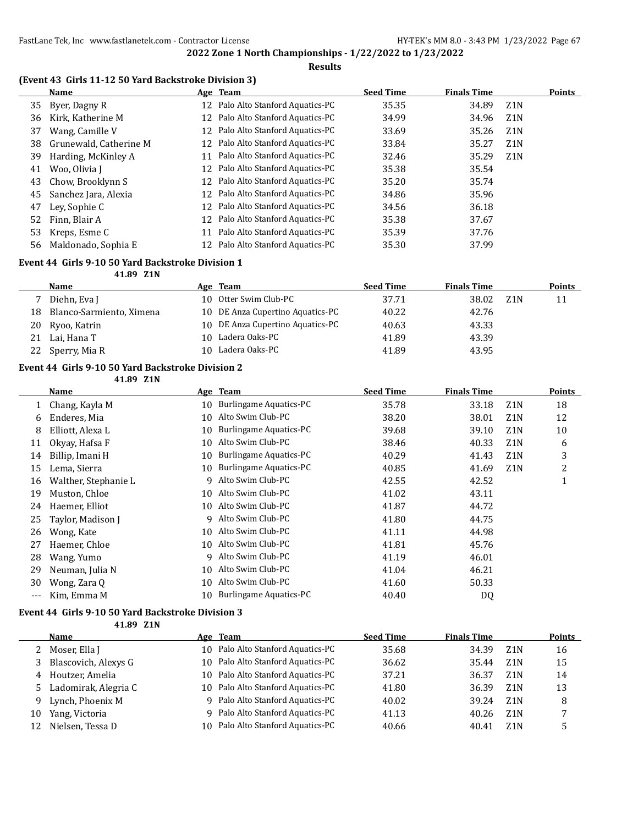#### **Results**

## **(Event 43 Girls 11-12 50 Yard Backstroke Division 3)**

|    | <b>Name</b>            |    | Age Team                          | <b>Seed Time</b> | <b>Finals Time</b> |                  | <b>Points</b> |
|----|------------------------|----|-----------------------------------|------------------|--------------------|------------------|---------------|
| 35 | Byer, Dagny R          |    | 12 Palo Alto Stanford Aquatics-PC | 35.35            | 34.89              | Z <sub>1</sub> N |               |
| 36 | Kirk, Katherine M      |    | 12 Palo Alto Stanford Aquatics-PC | 34.99            | 34.96              | Z1N              |               |
| 37 | Wang, Camille V        | 12 | Palo Alto Stanford Aquatics-PC    | 33.69            | 35.26              | Z <sub>1</sub> N |               |
| 38 | Grunewald, Catherine M |    | 12 Palo Alto Stanford Aquatics-PC | 33.84            | 35.27              | Z <sub>1</sub> N |               |
| 39 | Harding, McKinley A    | 11 | Palo Alto Stanford Aquatics-PC    | 32.46            | 35.29              | Z <sub>1</sub> N |               |
| 41 | Woo, Olivia I          |    | 12 Palo Alto Stanford Aquatics-PC | 35.38            | 35.54              |                  |               |
| 43 | Chow, Brooklynn S      |    | 12 Palo Alto Stanford Aquatics-PC | 35.20            | 35.74              |                  |               |
| 45 | Sanchez Jara, Alexia   |    | 12 Palo Alto Stanford Aquatics-PC | 34.86            | 35.96              |                  |               |
| 47 | Ley, Sophie C          | 12 | Palo Alto Stanford Aquatics-PC    | 34.56            | 36.18              |                  |               |
| 52 | Finn, Blair A          | 12 | Palo Alto Stanford Aquatics-PC    | 35.38            | 37.67              |                  |               |
| 53 | Kreps, Esme C          | 11 | Palo Alto Stanford Aquatics-PC    | 35.39            | 37.76              |                  |               |
| 56 | Maldonado, Sophia E    |    | Palo Alto Stanford Aquatics-PC    | 35.30            | 37.99              |                  |               |

#### **Event 44 Girls 9-10 50 Yard Backstroke Division 1**

**41.89 Z1N**

|    | Name                     | Age Team                         | <b>Seed Time</b> | <b>Finals Time</b> |     | <b>Points</b> |
|----|--------------------------|----------------------------------|------------------|--------------------|-----|---------------|
|    | Diehn, Eva J             | 10 Otter Swim Club-PC            | 37.71            | 38.02              | Z1N | 11            |
| 18 | Blanco-Sarmiento, Ximena | 10 DE Anza Cupertino Aquatics-PC | 40.22            | 42.76              |     |               |
| 20 | Ryoo, Katrin             | 10 DE Anza Cupertino Aquatics-PC | 40.63            | 43.33              |     |               |
| 21 | Lai, Hana T              | 10 Ladera Oaks-PC                | 41.89            | 43.39              |     |               |
| 22 | Sperry, Mia R            | 10 Ladera Oaks-PC                | 41.89            | 43.95              |     |               |

#### **Event 44 Girls 9-10 50 Yard Backstroke Division 2**

**41.89 Z1N**

|       | Name                 |    | Age Team                      | <b>Seed Time</b> | <b>Finals Time</b> |                  | Points |
|-------|----------------------|----|-------------------------------|------------------|--------------------|------------------|--------|
| 1     | Chang, Kayla M       | 10 | <b>Burlingame Aquatics-PC</b> | 35.78            | 33.18              | Z <sub>1</sub> N | 18     |
| 6     | Enderes, Mia         | 10 | Alto Swim Club-PC             | 38.20            | 38.01              | Z <sub>1</sub> N | 12     |
| 8     | Elliott, Alexa L     | 10 | Burlingame Aquatics-PC        | 39.68            | 39.10              | Z <sub>1</sub> N | 10     |
| 11    | Okyay, Hafsa F       | 10 | Alto Swim Club-PC             | 38.46            | 40.33              | Z <sub>1</sub> N | 6      |
| 14    | Billip, Imani H      | 10 | <b>Burlingame Aquatics-PC</b> | 40.29            | 41.43              | Z <sub>1</sub> N | 3      |
| 15    | Lema, Sierra         | 10 | Burlingame Aquatics-PC        | 40.85            | 41.69              | Z <sub>1</sub> N | 2      |
| 16    | Walther, Stephanie L | 9  | Alto Swim Club-PC             | 42.55            | 42.52              |                  | T      |
| 19    | Muston, Chloe        | 10 | Alto Swim Club-PC             | 41.02            | 43.11              |                  |        |
| 24    | Haemer, Elliot       | 10 | Alto Swim Club-PC             | 41.87            | 44.72              |                  |        |
| 25    | Taylor, Madison J    | 9  | Alto Swim Club-PC             | 41.80            | 44.75              |                  |        |
| 26    | Wong, Kate           | 10 | Alto Swim Club-PC             | 41.11            | 44.98              |                  |        |
| 27    | Haemer, Chloe        | 10 | Alto Swim Club-PC             | 41.81            | 45.76              |                  |        |
| 28    | Wang, Yumo           | 9  | Alto Swim Club-PC             | 41.19            | 46.01              |                  |        |
| 29    | Neuman, Julia N      | 10 | Alto Swim Club-PC             | 41.04            | 46.21              |                  |        |
| 30    | Wong, Zara Q         | 10 | Alto Swim Club-PC             | 41.60            | 50.33              |                  |        |
| $---$ | Kim, Emma M          | 10 | Burlingame Aquatics-PC        | 40.40            | DQ                 |                  |        |

#### **Event 44 Girls 9-10 50 Yard Backstroke Division 3**

**41.89 Z1N**

|    | Name                   |     | Age Team                          | <b>Seed Time</b> | <b>Finals Time</b> |                  | Points |
|----|------------------------|-----|-----------------------------------|------------------|--------------------|------------------|--------|
|    | 2 Moser, Ella J        |     | 10 Palo Alto Stanford Aquatics-PC | 35.68            | 34.39              | Z <sub>1</sub> N | 16     |
|    | 3 Blascovich, Alexys G | 10. | Palo Alto Stanford Aquatics-PC    | 36.62            | 35.44              | Z1N              | 15     |
|    | 4 Houtzer, Amelia      |     | 10 Palo Alto Stanford Aquatics-PC | 37.21            | 36.37              | Z <sub>1</sub> N | 14     |
|    | 5 Ladomirak, Alegria C |     | 10 Palo Alto Stanford Aquatics-PC | 41.80            | 36.39              | <b>Z1N</b>       | 13     |
| 9. | Lynch, Phoenix M       |     | 9 Palo Alto Stanford Aquatics-PC  | 40.02            | 39.24              | Z <sub>1</sub> N | 8      |
| 10 | Yang, Victoria         | q   | Palo Alto Stanford Aquatics-PC    | 41.13            | 40.26              | Z <sub>1</sub> N |        |
| 12 | Nielsen, Tessa D       |     | 10 Palo Alto Stanford Aquatics-PC | 40.66            | 40.41              | <b>Z1N</b>       |        |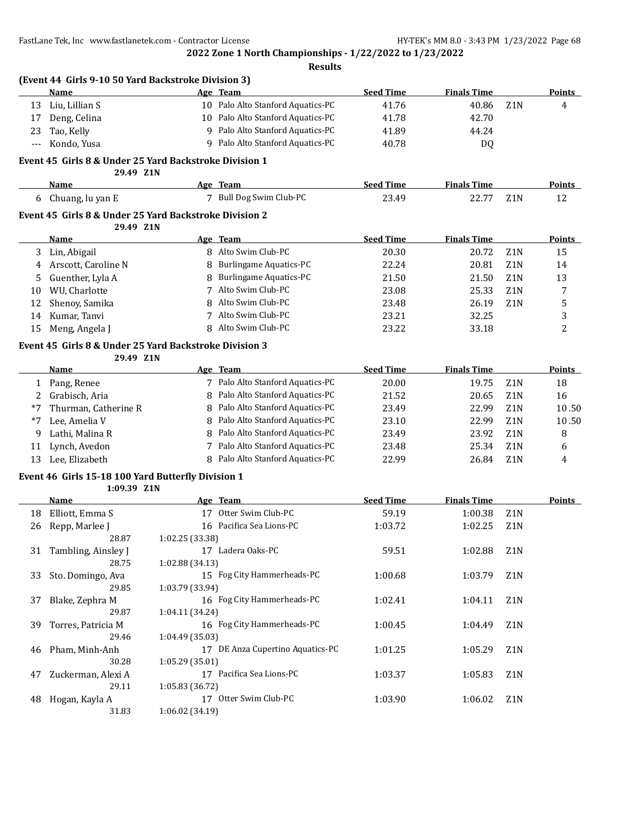**(Event 44 Girls 9-10 50 Yard Backstroke Division 3)**

**2022 Zone 1 North Championships - 1/22/2022 to 1/23/2022**

**Results**

|       | Name                                                                | Age             | <b>Team</b>                         | <b>Seed Time</b> | <b>Finals Time</b> |                  | Points        |
|-------|---------------------------------------------------------------------|-----------------|-------------------------------------|------------------|--------------------|------------------|---------------|
| 13    | Liu, Lillian S                                                      | 10              | Palo Alto Stanford Aquatics-PC      | 41.76            | 40.86              | Z1N              | 4             |
| 17    | Deng, Celina                                                        | 10              | Palo Alto Stanford Aquatics-PC      | 41.78            | 42.70              |                  |               |
| 23    | Tao, Kelly                                                          | 9               | Palo Alto Stanford Aquatics-PC      | 41.89            | 44.24              |                  |               |
| $---$ | Kondo, Yusa                                                         | 9               | Palo Alto Stanford Aquatics-PC      | 40.78            | DQ                 |                  |               |
|       |                                                                     |                 |                                     |                  |                    |                  |               |
|       | Event 45 Girls 8 & Under 25 Yard Backstroke Division 1<br>29.49 Z1N |                 |                                     |                  |                    |                  |               |
|       |                                                                     |                 |                                     | <b>Seed Time</b> | <b>Finals Time</b> |                  |               |
|       | Name                                                                |                 | Age Team<br>7 Bull Dog Swim Club-PC | 23.49            |                    |                  | <b>Points</b> |
| 6     | Chuang, lu yan E                                                    |                 |                                     |                  | 22.77              | Z1N              | 12            |
|       | Event 45 Girls 8 & Under 25 Yard Backstroke Division 2              |                 |                                     |                  |                    |                  |               |
|       | 29.49 Z1N                                                           |                 |                                     |                  |                    |                  |               |
|       | Name                                                                |                 | Age Team                            | <b>Seed Time</b> | <b>Finals Time</b> |                  | Points        |
| 3     | Lin, Abigail                                                        | 8               | Alto Swim Club-PC                   | 20.30            | 20.72              | Z1N              | 15            |
| 4     | Arscott, Caroline N                                                 | 8               | <b>Burlingame Aquatics-PC</b>       | 22.24            | 20.81              | Z <sub>1</sub> N | 14            |
| 5     | Guenther, Lyla A                                                    | 8               | <b>Burlingame Aquatics-PC</b>       | 21.50            | 21.50              | Z1N              | 13            |
| 10    | WU, Charlotte                                                       | 7               | Alto Swim Club-PC                   | 23.08            | 25.33              | Z1N              | 7             |
| 12    | Shenoy, Samika                                                      | 8               | Alto Swim Club-PC                   | 23.48            | 26.19              | Z <sub>1</sub> N | 5             |
| 14    | Kumar, Tanvi                                                        | 7               | Alto Swim Club-PC                   | 23.21            | 32.25              |                  | 3             |
| 15    | Meng, Angela J                                                      | 8               | Alto Swim Club-PC                   | 23.22            | 33.18              |                  | 2             |
|       |                                                                     |                 |                                     |                  |                    |                  |               |
|       | Event 45 Girls 8 & Under 25 Yard Backstroke Division 3<br>29.49 Z1N |                 |                                     |                  |                    |                  |               |
|       |                                                                     |                 | Age Team                            | <b>Seed Time</b> | <b>Finals Time</b> |                  | Points        |
|       | <u>Name</u>                                                         |                 | 7 Palo Alto Stanford Aquatics-PC    |                  |                    |                  |               |
| 1     | Pang, Renee                                                         |                 |                                     | 20.00            | 19.75              | Z1N              | 18            |
| 2     | Grabisch, Aria                                                      | 8               | Palo Alto Stanford Aquatics-PC      | 21.52            | 20.65              | Z <sub>1</sub> N | 16            |
| $*7$  | Thurman, Catherine R                                                | 8               | Palo Alto Stanford Aquatics-PC      | 23.49            | 22.99              | Z <sub>1</sub> N | 10.50         |
| $*7$  | Lee, Amelia V                                                       | 8               | Palo Alto Stanford Aquatics-PC      | 23.10            | 22.99              | Z <sub>1</sub> N | 10.50         |
| 9     | Lathi, Malina R                                                     | 8               | Palo Alto Stanford Aquatics-PC      | 23.49            | 23.92              | Z <sub>1</sub> N | 8             |
| 11    | Lynch, Avedon                                                       | 7               | Palo Alto Stanford Aquatics-PC      | 23.48            | 25.34              | Z1N              | 6             |
| 13    | Lee, Elizabeth                                                      |                 | 8 Palo Alto Stanford Aquatics-PC    | 22.99            | 26.84              | Z1N              | 4             |
|       | Event 46 Girls 15-18 100 Yard Butterfly Division 1                  |                 |                                     |                  |                    |                  |               |
|       | 1:09.39 Z1N                                                         |                 |                                     |                  |                    |                  |               |
|       | <b>Name</b>                                                         |                 | Age Team                            | <b>Seed Time</b> | <b>Finals Time</b> |                  | <b>Points</b> |
| 18    | Elliott, Emma S                                                     |                 | 17 Otter Swim Club-PC               | 59.19            | 1:00.38            | Z1N              |               |
| 26    | Repp, Marlee J                                                      | 16              | Pacifica Sea Lions-PC               | 1:03.72          | 1:02.25            | Z1N              |               |
|       | 28.87                                                               | 1:02.25 (33.38) |                                     |                  |                    |                  |               |
| 31    | Tambling, Ainsley J                                                 |                 | 17 Ladera Oaks-PC                   | 59.51            | 1:02.88            | Z1N              |               |
|       | 28.75                                                               | 1:02.88 (34.13) |                                     |                  |                    |                  |               |
| 33    | Sto. Domingo, Ava                                                   |                 | 15 Fog City Hammerheads-PC          | 1:00.68          | 1:03.79            | Z <sub>1</sub> N |               |
|       | 29.85                                                               | 1:03.79 (33.94) |                                     |                  |                    |                  |               |
| 37    | Blake, Zephra M                                                     |                 | 16 Fog City Hammerheads-PC          | 1:02.41          | 1:04.11            | Z <sub>1</sub> N |               |
|       | 29.87                                                               | 1:04.11 (34.24) |                                     |                  |                    |                  |               |
| 39    | Torres, Patricia M                                                  |                 | 16 Fog City Hammerheads-PC          | 1:00.45          | 1:04.49            | Z <sub>1</sub> N |               |
|       | 29.46                                                               | 1:04.49 (35.03) |                                     |                  |                    |                  |               |
| 46    | Pham, Minh-Anh                                                      |                 | 17 DE Anza Cupertino Aquatics-PC    | 1:01.25          | 1:05.29            | Z <sub>1</sub> N |               |
|       | 30.28                                                               | 1:05.29 (35.01) |                                     |                  |                    |                  |               |
| 47    | Zuckerman, Alexi A                                                  |                 | 17 Pacifica Sea Lions-PC            | 1:03.37          | 1:05.83            | Z <sub>1</sub> N |               |
|       | 29.11                                                               | 1:05.83 (36.72) |                                     |                  |                    |                  |               |
| 48    | Hogan, Kayla A                                                      |                 | 17 Otter Swim Club-PC               | 1:03.90          | 1:06.02            | Z1N              |               |
|       | 31.83                                                               | 1:06.02 (34.19) |                                     |                  |                    |                  |               |
|       |                                                                     |                 |                                     |                  |                    |                  |               |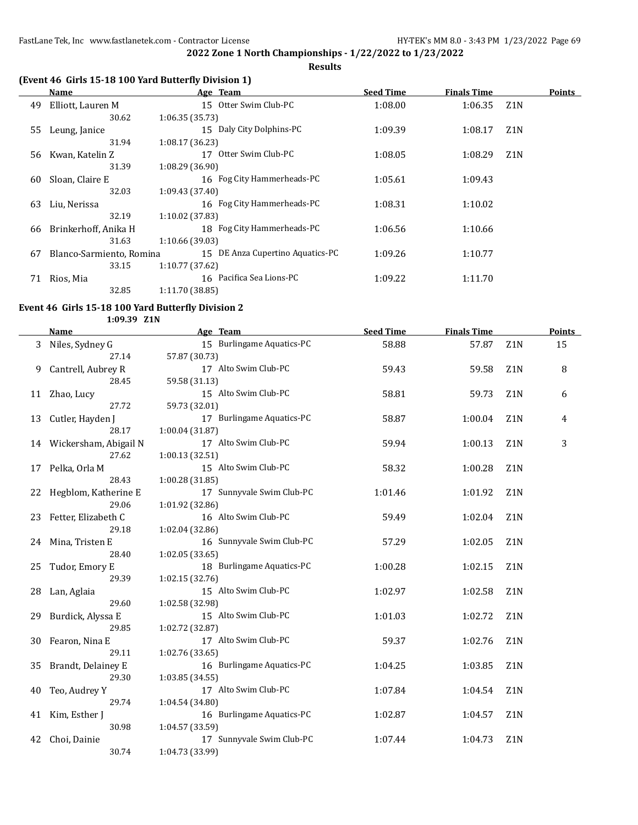**Results**

## **(Event 46 Girls 15-18 100 Yard Butterfly Division 1)**

|    | Name                     |                   | Age Team                         | <b>Seed Time</b> | <b>Finals Time</b> |                  | <b>Points</b> |
|----|--------------------------|-------------------|----------------------------------|------------------|--------------------|------------------|---------------|
| 49 | Elliott, Lauren M        |                   | 15 Otter Swim Club-PC            | 1:08.00          | 1:06.35            | Z1N              |               |
|    | 30.62                    | 1:06.35(35.73)    |                                  |                  |                    |                  |               |
| 55 | Leung, Janice            |                   | 15 Daly City Dolphins-PC         | 1:09.39          | 1:08.17            | Z <sub>1</sub> N |               |
|    | 31.94                    | 1:08.17 (36.23)   |                                  |                  |                    |                  |               |
| 56 | Kwan, Katelin Z          | 17                | Otter Swim Club-PC               | 1:08.05          | 1:08.29            | Z <sub>1</sub> N |               |
|    | 31.39                    | 1:08.29(36.90)    |                                  |                  |                    |                  |               |
| 60 | Sloan, Claire E          |                   | 16 Fog City Hammerheads-PC       | 1:05.61          | 1:09.43            |                  |               |
|    | 32.03                    | 1:09.43 (37.40)   |                                  |                  |                    |                  |               |
| 63 | Liu, Nerissa             |                   | 16 Fog City Hammerheads-PC       | 1:08.31          | 1:10.02            |                  |               |
|    | 32.19                    | $1:10.02$ (37.83) |                                  |                  |                    |                  |               |
| 66 | Brinkerhoff, Anika H     |                   | 18 Fog City Hammerheads-PC       | 1:06.56          | 1:10.66            |                  |               |
|    | 31.63                    | 1:10.66 (39.03)   |                                  |                  |                    |                  |               |
| 67 | Blanco-Sarmiento, Romina |                   | 15 DE Anza Cupertino Aquatics-PC | 1:09.26          | 1:10.77            |                  |               |
|    | 33.15                    | 1:10.77 (37.62)   |                                  |                  |                    |                  |               |
| 71 | Rios, Mia                |                   | 16 Pacifica Sea Lions-PC         | 1:09.22          | 1:11.70            |                  |               |
|    | 32.85                    | 1:11.70(38.85)    |                                  |                  |                    |                  |               |

#### **Event 46 Girls 15-18 100 Yard Butterfly Division 2**

**1:09.39 Z1N**

|    | <b>Name</b>              | Age Team                                | <b>Seed Time</b> | <b>Finals Time</b> |                  | Points |
|----|--------------------------|-----------------------------------------|------------------|--------------------|------------------|--------|
| 3  | Niles, Sydney G          | 15 Burlingame Aquatics-PC               | 58.88            | 57.87              | Z1N              | 15     |
|    | 27.14                    | 57.87 (30.73)                           |                  |                    |                  |        |
| 9  | Cantrell, Aubrey R       | 17 Alto Swim Club-PC                    | 59.43            | 59.58              | Z <sub>1</sub> N | 8      |
|    | 28.45                    | 59.58 (31.13)                           |                  |                    |                  |        |
| 11 | Zhao, Lucy               | 15 Alto Swim Club-PC                    | 58.81            | 59.73              | Z1N              | 6      |
|    | 27.72                    | 59.73 (32.01)                           |                  |                    |                  |        |
| 13 | Cutler, Hayden J         | 17 Burlingame Aquatics-PC               | 58.87            | 1:00.04            | Z1N              | 4      |
|    | 28.17                    | 1:00.04(31.87)                          |                  |                    |                  |        |
|    | 14 Wickersham, Abigail N | 17 Alto Swim Club-PC                    | 59.94            | 1:00.13            | Z1N              | 3      |
|    | 27.62                    | 1:00.13 (32.51)                         |                  |                    |                  |        |
| 17 | Pelka, Orla M            | 15 Alto Swim Club-PC                    | 58.32            | 1:00.28            | Z <sub>1</sub> N |        |
|    | 28.43                    | 1:00.28(31.85)                          |                  |                    |                  |        |
| 22 | Hegblom, Katherine E     | 17 Sunnyvale Swim Club-PC               | 1:01.46          | 1:01.92            | Z <sub>1</sub> N |        |
|    | 29.06                    | 1:01.92 (32.86)                         |                  |                    |                  |        |
| 23 | Fetter, Elizabeth C      | 16 Alto Swim Club-PC                    | 59.49            | 1:02.04            | Z <sub>1</sub> N |        |
|    | 29.18                    | 1:02.04 (32.86)                         |                  |                    |                  |        |
|    | 24 Mina, Tristen E       | 16 Sunnyvale Swim Club-PC               | 57.29            | 1:02.05            | Z1N              |        |
|    | 28.40                    | 1:02.05 (33.65)                         |                  |                    |                  |        |
| 25 | Tudor, Emory E           | 18 Burlingame Aquatics-PC               | 1:00.28          | 1:02.15            | Z1N              |        |
|    | 29.39                    | 1:02.15(32.76)                          |                  |                    |                  |        |
| 28 | Lan, Aglaia              | 15 Alto Swim Club-PC                    | 1:02.97          | 1:02.58            | Z1N              |        |
|    | 29.60                    | 1:02.58 (32.98)                         |                  |                    |                  |        |
| 29 | Burdick, Alyssa E        | 15 Alto Swim Club-PC                    | 1:01.03          | 1:02.72            | Z <sub>1</sub> N |        |
|    | 29.85                    | 1:02.72 (32.87)<br>17 Alto Swim Club-PC |                  |                    |                  |        |
| 30 | Fearon, Nina E<br>29.11  | 1:02.76 (33.65)                         | 59.37            | 1:02.76            | Z <sub>1</sub> N |        |
| 35 | Brandt, Delainey E       | 16 Burlingame Aquatics-PC               | 1:04.25          |                    | Z1N              |        |
|    | 29.30                    | 1:03.85(34.55)                          |                  | 1:03.85            |                  |        |
|    |                          | 17 Alto Swim Club-PC                    | 1:07.84          | 1:04.54            | Z <sub>1</sub> N |        |
| 40 | Teo, Audrey Y<br>29.74   | 1:04.54 (34.80)                         |                  |                    |                  |        |
| 41 | Kim, Esther J            | 16 Burlingame Aquatics-PC               | 1:02.87          | 1:04.57            | Z1N              |        |
|    | 30.98                    | 1:04.57 (33.59)                         |                  |                    |                  |        |
| 42 | Choi, Dainie             | 17 Sunnyvale Swim Club-PC               | 1:07.44          | 1:04.73            | Z1N              |        |
|    |                          |                                         |                  |                    |                  |        |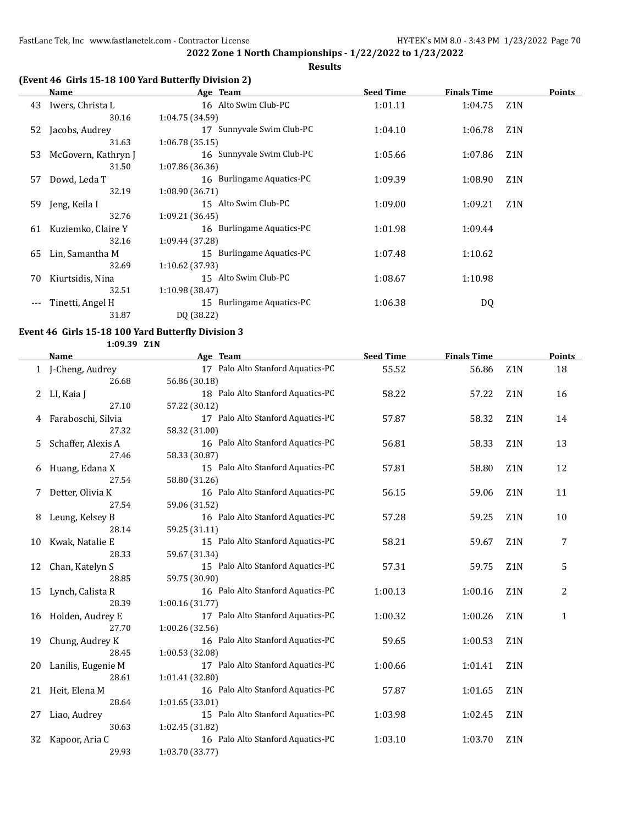**Results**

## **(Event 46 Girls 15-18 100 Yard Butterfly Division 2)**

|     | Name                | Age Team                  | <b>Seed Time</b> | <b>Finals Time</b> |                  | <b>Points</b> |
|-----|---------------------|---------------------------|------------------|--------------------|------------------|---------------|
| 43  | Iwers, Christa L    | 16 Alto Swim Club-PC      | 1:01.11          | 1:04.75            | Z <sub>1</sub> N |               |
|     | 30.16               | 1:04.75 (34.59)           |                  |                    |                  |               |
| 52  | Jacobs, Audrey      | 17 Sunnyvale Swim Club-PC | 1:04.10          | 1:06.78            | Z <sub>1</sub> N |               |
|     | 31.63               | 1:06.78(35.15)            |                  |                    |                  |               |
| 53  | McGovern, Kathryn J | 16 Sunnyvale Swim Club-PC | 1:05.66          | 1:07.86            | Z <sub>1</sub> N |               |
|     | 31.50               | 1:07.86 (36.36)           |                  |                    |                  |               |
| 57  | Dowd, Leda T        | 16 Burlingame Aquatics-PC | 1:09.39          | 1:08.90            | Z <sub>1</sub> N |               |
|     | 32.19               | 1:08.90(36.71)            |                  |                    |                  |               |
| 59. | Jeng, Keila I       | 15 Alto Swim Club-PC      | 1:09.00          | 1:09.21            | Z1N              |               |
|     | 32.76               | 1:09.21(36.45)            |                  |                    |                  |               |
| 61  | Kuziemko, Claire Y  | 16 Burlingame Aquatics-PC | 1:01.98          | 1:09.44            |                  |               |
|     | 32.16               | 1:09.44 (37.28)           |                  |                    |                  |               |
| 65  | Lin, Samantha M     | 15 Burlingame Aquatics-PC | 1:07.48          | 1:10.62            |                  |               |
|     | 32.69               | $1:10.62$ (37.93)         |                  |                    |                  |               |
| 70  | Kiurtsidis, Nina    | 15 Alto Swim Club-PC      | 1:08.67          | 1:10.98            |                  |               |
|     | 32.51               | 1:10.98 (38.47)           |                  |                    |                  |               |
|     | Tinetti, Angel H    | 15 Burlingame Aquatics-PC | 1:06.38          | DQ                 |                  |               |
|     | 31.87               | DQ (38.22)                |                  |                    |                  |               |

### **Event 46 Girls 15-18 100 Yard Butterfly Division 3 1:09.39 Z1N**

|    | Name               | Age Team                          | <b>Seed Time</b> | <b>Finals Time</b> |                  | Points |
|----|--------------------|-----------------------------------|------------------|--------------------|------------------|--------|
|    | 1 J-Cheng, Audrey  | 17 Palo Alto Stanford Aquatics-PC | 55.52            | 56.86              | Z1N              | 18     |
|    | 26.68              | 56.86 (30.18)                     |                  |                    |                  |        |
| 2  | LI, Kaia J         | 18 Palo Alto Stanford Aquatics-PC | 58.22            | 57.22              | Z1N              | 16     |
|    | 27.10              | 57.22 (30.12)                     |                  |                    |                  |        |
| 4  | Faraboschi, Silvia | 17 Palo Alto Stanford Aquatics-PC | 57.87            | 58.32              | Z1N              | 14     |
|    | 27.32              | 58.32 (31.00)                     |                  |                    |                  |        |
| 5. | Schaffer, Alexis A | 16 Palo Alto Stanford Aquatics-PC | 56.81            | 58.33              | Z1N              | 13     |
|    | 27.46              | 58.33 (30.87)                     |                  |                    |                  |        |
| 6  | Huang, Edana X     | 15 Palo Alto Stanford Aquatics-PC | 57.81            | 58.80              | Z1N              | 12     |
|    | 27.54              | 58.80 (31.26)                     |                  |                    |                  |        |
| 7  | Detter, Olivia K   | 16 Palo Alto Stanford Aquatics-PC | 56.15            | 59.06              | Z1N              | 11     |
|    | 27.54              | 59.06 (31.52)                     |                  |                    |                  |        |
| 8  | Leung, Kelsey B    | 16 Palo Alto Stanford Aquatics-PC | 57.28            | 59.25              | Z1N              | 10     |
|    | 28.14              | 59.25 (31.11)                     |                  |                    |                  |        |
| 10 | Kwak, Natalie E    | 15 Palo Alto Stanford Aquatics-PC | 58.21            | 59.67              | Z <sub>1</sub> N | 7      |
|    | 28.33              | 59.67 (31.34)                     |                  |                    |                  |        |
| 12 | Chan, Katelyn S    | 15 Palo Alto Stanford Aquatics-PC | 57.31            | 59.75              | Z1N              | 5      |
|    | 28.85              | 59.75 (30.90)                     |                  |                    |                  |        |
| 15 | Lynch, Calista R   | 16 Palo Alto Stanford Aquatics-PC | 1:00.13          | 1:00.16            | Z1N              | 2      |
|    | 28.39              | 1:00.16 (31.77)                   |                  |                    |                  |        |
| 16 | Holden, Audrey E   | 17 Palo Alto Stanford Aquatics-PC | 1:00.32          | 1:00.26            | Z1N              | 1      |
|    | 27.70              | 1:00.26 (32.56)                   |                  |                    |                  |        |
| 19 | Chung, Audrey K    | 16 Palo Alto Stanford Aquatics-PC | 59.65            | 1:00.53            | Z <sub>1</sub> N |        |
|    | 28.45              | 1:00.53 (32.08)                   |                  |                    |                  |        |
| 20 | Lanilis, Eugenie M | 17 Palo Alto Stanford Aquatics-PC | 1:00.66          | 1:01.41            | Z1N              |        |
|    | 28.61              | 1:01.41 (32.80)                   |                  |                    |                  |        |
| 21 | Heit, Elena M      | 16 Palo Alto Stanford Aquatics-PC | 57.87            | 1:01.65            | Z <sub>1</sub> N |        |
|    | 28.64              | 1:01.65(33.01)                    |                  |                    |                  |        |
| 27 | Liao, Audrey       | 15 Palo Alto Stanford Aquatics-PC | 1:03.98          | 1:02.45            | Z <sub>1</sub> N |        |
|    | 30.63              | 1:02.45 (31.82)                   |                  |                    |                  |        |
| 32 | Kapoor, Aria C     | 16 Palo Alto Stanford Aquatics-PC | 1:03.10          | 1:03.70            | Z1N              |        |
|    | 29.93              | 1:03.70 (33.77)                   |                  |                    |                  |        |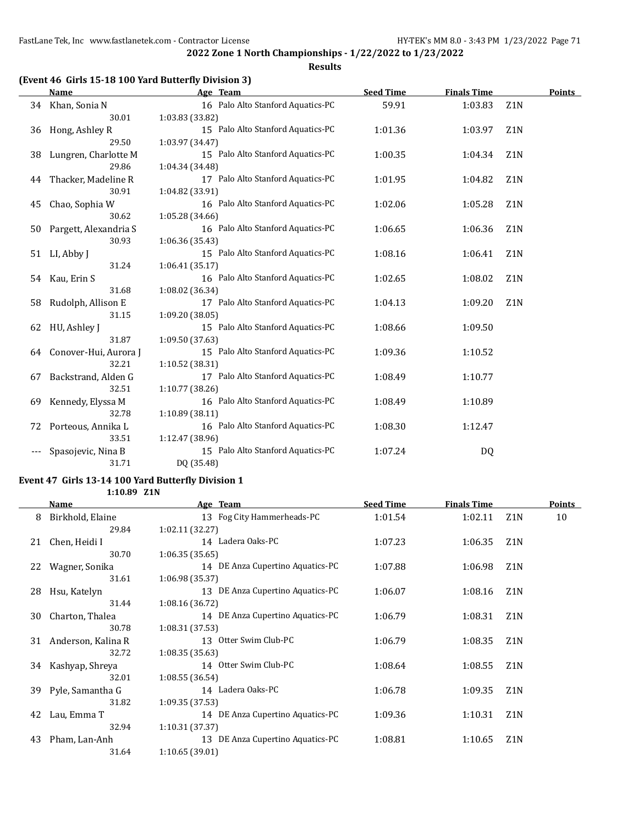**Results**

## **(Event 46 Girls 15-18 100 Yard Butterfly Division 3)**

|    | <b>Name</b>           | Age Team                          | <b>Seed Time</b> | <b>Finals Time</b> |                  | <b>Points</b> |
|----|-----------------------|-----------------------------------|------------------|--------------------|------------------|---------------|
|    | 34 Khan, Sonia N      | 16 Palo Alto Stanford Aquatics-PC | 59.91            | 1:03.83            | Z <sub>1</sub> N |               |
|    | 30.01                 | 1:03.83 (33.82)                   |                  |                    |                  |               |
| 36 | Hong, Ashley R        | 15 Palo Alto Stanford Aquatics-PC | 1:01.36          | 1:03.97            | Z <sub>1</sub> N |               |
|    | 29.50                 | 1:03.97 (34.47)                   |                  |                    |                  |               |
| 38 | Lungren, Charlotte M  | 15 Palo Alto Stanford Aquatics-PC | 1:00.35          | 1:04.34            | Z <sub>1</sub> N |               |
|    | 29.86                 | 1:04.34 (34.48)                   |                  |                    |                  |               |
| 44 | Thacker, Madeline R   | 17 Palo Alto Stanford Aquatics-PC | 1:01.95          | 1:04.82            | Z <sub>1</sub> N |               |
|    | 30.91                 | 1:04.82 (33.91)                   |                  |                    |                  |               |
| 45 | Chao, Sophia W        | 16 Palo Alto Stanford Aquatics-PC | 1:02.06          | 1:05.28            | Z <sub>1</sub> N |               |
|    | 30.62                 | 1:05.28 (34.66)                   |                  |                    |                  |               |
| 50 | Pargett, Alexandria S | 16 Palo Alto Stanford Aquatics-PC | 1:06.65          | 1:06.36            | Z <sub>1</sub> N |               |
|    | 30.93                 | 1:06.36 (35.43)                   |                  |                    |                  |               |
| 51 | LI, Abby J            | 15 Palo Alto Stanford Aquatics-PC | 1:08.16          | 1:06.41            | Z <sub>1</sub> N |               |
|    | 31.24                 | 1:06.41(35.17)                    |                  |                    |                  |               |
| 54 | Kau, Erin S           | 16 Palo Alto Stanford Aquatics-PC | 1:02.65          | 1:08.02            | Z <sub>1</sub> N |               |
|    | 31.68                 | 1:08.02 (36.34)                   |                  |                    |                  |               |
| 58 | Rudolph, Allison E    | 17 Palo Alto Stanford Aquatics-PC | 1:04.13          | 1:09.20            | Z <sub>1</sub> N |               |
|    | 31.15                 | 1:09.20 (38.05)                   |                  |                    |                  |               |
| 62 | HU, Ashley J          | 15 Palo Alto Stanford Aquatics-PC | 1:08.66          | 1:09.50            |                  |               |
|    | 31.87                 | 1:09.50 (37.63)                   |                  |                    |                  |               |
| 64 | Conover-Hui, Aurora J | 15 Palo Alto Stanford Aquatics-PC | 1:09.36          | 1:10.52            |                  |               |
|    | 32.21                 | 1:10.52 (38.31)                   |                  |                    |                  |               |
| 67 | Backstrand, Alden G   | 17 Palo Alto Stanford Aquatics-PC | 1:08.49          | 1:10.77            |                  |               |
|    | 32.51                 | 1:10.77 (38.26)                   |                  |                    |                  |               |
| 69 | Kennedy, Elyssa M     | 16 Palo Alto Stanford Aquatics-PC | 1:08.49          | 1:10.89            |                  |               |
|    | 32.78                 | 1:10.89(38.11)                    |                  |                    |                  |               |
| 72 | Porteous, Annika L    | 16 Palo Alto Stanford Aquatics-PC | 1:08.30          | 1:12.47            |                  |               |
|    | 33.51                 | 1:12.47 (38.96)                   |                  |                    |                  |               |
|    | Spasojevic, Nina B    | 15 Palo Alto Stanford Aquatics-PC | 1:07.24          | DQ                 |                  |               |
|    | 31.71                 | DQ (35.48)                        |                  |                    |                  |               |

### **Event 47 Girls 13-14 100 Yard Butterfly Division 1 1:10.89 Z1N**

|    | Name               | Age Team                         | <b>Seed Time</b> | <b>Finals Time</b> |                  | <b>Points</b> |
|----|--------------------|----------------------------------|------------------|--------------------|------------------|---------------|
| 8  | Birkhold, Elaine   | 13 Fog City Hammerheads-PC       | 1:01.54          | 1:02.11            | Z1N              | 10            |
|    | 29.84              | 1:02.11(32.27)                   |                  |                    |                  |               |
| 21 | Chen, Heidi I      | 14 Ladera Oaks-PC                | 1:07.23          | 1:06.35            | Z <sub>1</sub> N |               |
|    | 30.70              | 1:06.35(35.65)                   |                  |                    |                  |               |
| 22 | Wagner, Sonika     | 14 DE Anza Cupertino Aquatics-PC | 1:07.88          | 1:06.98            | Z <sub>1</sub> N |               |
|    | 31.61              | 1:06.98(35.37)                   |                  |                    |                  |               |
| 28 | Hsu, Katelyn       | 13 DE Anza Cupertino Aquatics-PC | 1:06.07          | 1:08.16            | Z1N              |               |
|    | 31.44              | 1:08.16 (36.72)                  |                  |                    |                  |               |
| 30 | Charton, Thalea    | 14 DE Anza Cupertino Aquatics-PC | 1:06.79          | 1:08.31            | Z1N              |               |
|    | 30.78              | 1:08.31(37.53)                   |                  |                    |                  |               |
| 31 | Anderson, Kalina R | 13 Otter Swim Club-PC            | 1:06.79          | 1:08.35            | Z1N              |               |
|    | 32.72              | 1:08.35(35.63)                   |                  |                    |                  |               |
| 34 | Kashyap, Shreya    | 14 Otter Swim Club-PC            | 1:08.64          | 1:08.55            | Z1N              |               |
|    | 32.01              | 1:08.55(36.54)                   |                  |                    |                  |               |
| 39 | Pyle, Samantha G   | 14 Ladera Oaks-PC                | 1:06.78          | 1:09.35            | Z <sub>1</sub> N |               |
|    | 31.82              | 1:09.35(37.53)                   |                  |                    |                  |               |
| 42 | Lau, Emma T        | 14 DE Anza Cupertino Aquatics-PC | 1:09.36          | 1:10.31            | Z <sub>1</sub> N |               |
|    | 32.94              | 1:10.31(37.37)                   |                  |                    |                  |               |
| 43 | Pham, Lan-Anh      | 13 DE Anza Cupertino Aquatics-PC | 1:08.81          | 1:10.65            | Z <sub>1</sub> N |               |
|    | 31.64              | 1:10.65(39.01)                   |                  |                    |                  |               |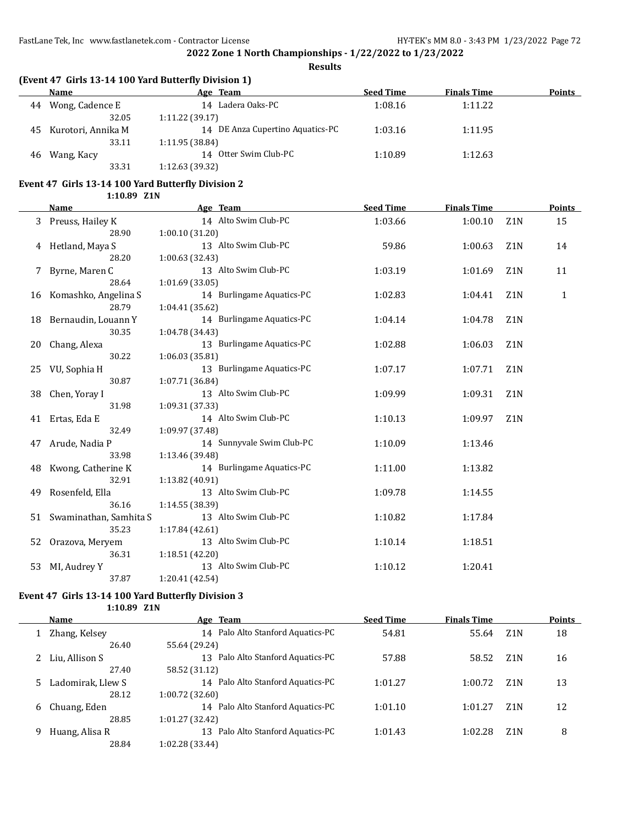**Results**

## **(Event 47 Girls 13-14 100 Yard Butterfly Division 1)**

|    | Name               | Age Team                         | <b>Seed Time</b> | <b>Finals Time</b> | <b>Points</b> |
|----|--------------------|----------------------------------|------------------|--------------------|---------------|
| 44 | Wong, Cadence E    | 14 Ladera Oaks-PC                | 1:08.16          | 1:11.22            |               |
|    | 32.05              | 1:11.22(39.17)                   |                  |                    |               |
| 45 | Kurotori, Annika M | 14 DE Anza Cupertino Aquatics-PC | 1:03.16          | 1:11.95            |               |
|    | 33.11              | 1:11.95(38.84)                   |                  |                    |               |
| 46 | Wang, Kacy         | 14 Otter Swim Club-PC            | 1:10.89          | 1:12.63            |               |
|    | 33.31              | 1:12.63 (39.32)                  |                  |                    |               |

# **Event 47 Girls 13-14 100 Yard Butterfly Division 2**

**1:10.89 Z1N**

|    | <b>Name</b>             | Age Team                  | <b>Seed Time</b> | <b>Finals Time</b> |                  | Points       |
|----|-------------------------|---------------------------|------------------|--------------------|------------------|--------------|
| 3  | Preuss, Hailey K        | 14 Alto Swim Club-PC      | 1:03.66          | 1:00.10            | Z <sub>1</sub> N | 15           |
|    | 28.90                   | 1:00.10(31.20)            |                  |                    |                  |              |
|    | 4 Hetland, Maya S       | 13 Alto Swim Club-PC      | 59.86            | 1:00.63            | Z <sub>1</sub> N | 14           |
|    | 28.20                   | 1:00.63 (32.43)           |                  |                    |                  |              |
|    | Byrne, Maren C          | 13 Alto Swim Club-PC      | 1:03.19          | 1:01.69            | Z1N              | 11           |
|    | 28.64                   | 1:01.69(33.05)            |                  |                    |                  |              |
|    | 16 Komashko, Angelina S | 14 Burlingame Aquatics-PC | 1:02.83          | 1:04.41            | Z <sub>1</sub> N | $\mathbf{1}$ |
|    | 28.79                   | 1:04.41 (35.62)           |                  |                    |                  |              |
|    | 18 Bernaudin, Louann Y  | 14 Burlingame Aquatics-PC | 1:04.14          | 1:04.78            | Z <sub>1</sub> N |              |
|    | 30.35                   | 1:04.78 (34.43)           |                  |                    |                  |              |
| 20 | Chang, Alexa            | 13 Burlingame Aquatics-PC | 1:02.88          | 1:06.03            | Z <sub>1</sub> N |              |
|    | 30.22                   | 1:06.03(35.81)            |                  |                    |                  |              |
| 25 | VU, Sophia H            | 13 Burlingame Aquatics-PC | 1:07.17          | 1:07.71            | Z <sub>1</sub> N |              |
|    | 30.87                   | 1:07.71 (36.84)           |                  |                    |                  |              |
| 38 | Chen, Yoray I           | 13 Alto Swim Club-PC      | 1:09.99          | 1:09.31            | Z <sub>1</sub> N |              |
|    | 31.98                   | 1:09.31 (37.33)           |                  |                    |                  |              |
| 41 | Ertas, Eda E            | 14 Alto Swim Club-PC      | 1:10.13          | 1:09.97            | Z <sub>1</sub> N |              |
|    | 32.49                   | 1:09.97 (37.48)           |                  |                    |                  |              |
| 47 | Arude, Nadia P          | 14 Sunnyvale Swim Club-PC | 1:10.09          | 1:13.46            |                  |              |
|    | 33.98                   | 1:13.46 (39.48)           |                  |                    |                  |              |
| 48 | Kwong, Catherine K      | 14 Burlingame Aquatics-PC | 1:11.00          | 1:13.82            |                  |              |
|    | 32.91                   | 1:13.82 (40.91)           |                  |                    |                  |              |
| 49 | Rosenfeld, Ella         | 13 Alto Swim Club-PC      | 1:09.78          | 1:14.55            |                  |              |
|    | 36.16                   | 1:14.55 (38.39)           |                  |                    |                  |              |
| 51 | Swaminathan, Samhita S  | 13 Alto Swim Club-PC      | 1:10.82          | 1:17.84            |                  |              |
|    | 35.23                   | 1:17.84(42.61)            |                  |                    |                  |              |
| 52 | Orazova, Meryem         | 13 Alto Swim Club-PC      | 1:10.14          | 1:18.51            |                  |              |
|    | 36.31                   | 1:18.51 (42.20)           |                  |                    |                  |              |
| 53 | MI, Audrey Y            | 13 Alto Swim Club-PC      | 1:10.12          | 1:20.41            |                  |              |
|    | 37.87                   | 1:20.41 (42.54)           |                  |                    |                  |              |

### **Event 47 Girls 13-14 100 Yard Butterfly Division 3**

**1:10.89 Z1N**

|   | Name              | Age Team                                          | <b>Seed Time</b> | <b>Finals Time</b> |                  | <b>Points</b> |
|---|-------------------|---------------------------------------------------|------------------|--------------------|------------------|---------------|
|   | Zhang, Kelsey     | 14 Palo Alto Stanford Aquatics-PC                 | 54.81            | 55.64              | Z <sub>1</sub> N | 18            |
|   | 26.40             | 55.64 (29.24)                                     |                  |                    |                  |               |
|   | 2 Liu, Allison S  | Palo Alto Stanford Aquatics-PC<br>13 <sup>7</sup> | 57.88            | 58.52              | Z <sub>1</sub> N | 16            |
|   | 27.40             | 58.52 (31.12)                                     |                  |                    |                  |               |
|   | Ladomirak, Llew S | 14 Palo Alto Stanford Aquatics-PC                 | 1:01.27          | 1:00.72            | Z <sub>1</sub> N | 13            |
|   | 28.12             | 1:00.72 (32.60)                                   |                  |                    |                  |               |
| 6 | Chuang, Eden      | 14 Palo Alto Stanford Aquatics-PC                 | 1:01.10          | 1:01.27            | Z <sub>1</sub> N | 12            |
|   | 28.85             | 1:01.27 (32.42)                                   |                  |                    |                  |               |
| 9 | Huang, Alisa R    | Palo Alto Stanford Aquatics-PC<br>13              | 1:01.43          | 1:02.28            | Z <sub>1</sub> N | 8             |
|   | 28.84             | 1:02.28 (33.44)                                   |                  |                    |                  |               |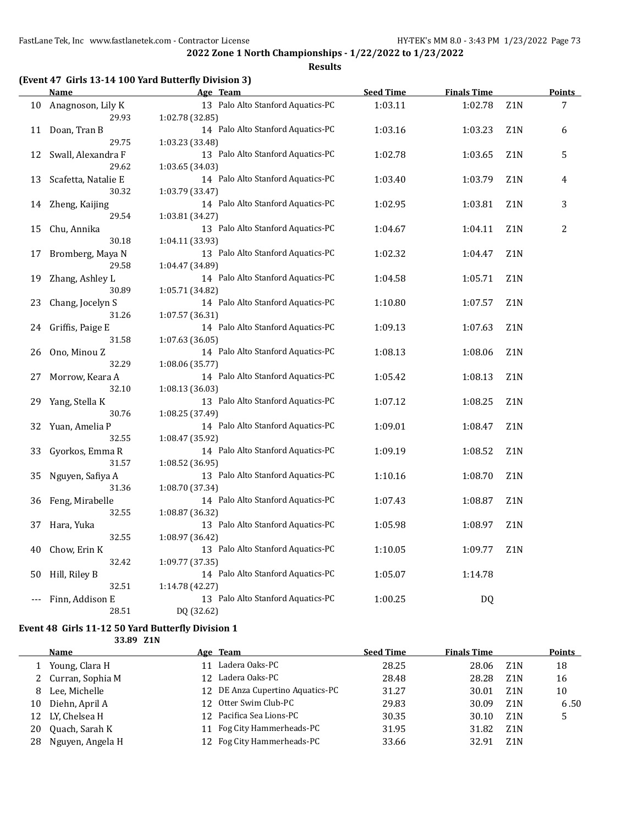#### **Results**

### **(Event 47 Girls 13-14 100 Yard Butterfly Division 3)**

|    | <b>Name</b>         | Age Team                          | <b>Seed Time</b> | <b>Finals Time</b> |                  | <b>Points</b> |
|----|---------------------|-----------------------------------|------------------|--------------------|------------------|---------------|
| 10 | Anagnoson, Lily K   | 13 Palo Alto Stanford Aquatics-PC | 1:03.11          | 1:02.78            | Z <sub>1</sub> N | 7             |
|    | 29.93               | 1:02.78 (32.85)                   |                  |                    |                  |               |
| 11 | Doan, Tran B        | 14 Palo Alto Stanford Aquatics-PC | 1:03.16          | 1:03.23            | Z <sub>1</sub> N | 6             |
|    | 29.75               | 1:03.23 (33.48)                   |                  |                    |                  |               |
| 12 | Swall, Alexandra F  | 13 Palo Alto Stanford Aquatics-PC | 1:02.78          | 1:03.65            | Z <sub>1</sub> N | 5             |
|    | 29.62               | 1:03.65 (34.03)                   |                  |                    |                  |               |
| 13 | Scafetta, Natalie E | 14 Palo Alto Stanford Aquatics-PC | 1:03.40          | 1:03.79            | Z1N              | 4             |
|    | 30.32               | 1:03.79 (33.47)                   |                  |                    |                  |               |
| 14 | Zheng, Kaijing      | 14 Palo Alto Stanford Aquatics-PC | 1:02.95          | 1:03.81            | Z1N              | 3             |
|    | 29.54               | 1:03.81 (34.27)                   |                  |                    |                  |               |
| 15 | Chu, Annika         | 13 Palo Alto Stanford Aquatics-PC | 1:04.67          | 1:04.11            | Z <sub>1</sub> N | 2             |
|    | 30.18               | 1:04.11 (33.93)                   |                  |                    |                  |               |
| 17 | Bromberg, Maya N    | 13 Palo Alto Stanford Aquatics-PC | 1:02.32          | 1:04.47            | Z <sub>1</sub> N |               |
|    | 29.58               | 1:04.47 (34.89)                   |                  |                    |                  |               |
| 19 | Zhang, Ashley L     | 14 Palo Alto Stanford Aquatics-PC | 1:04.58          | 1:05.71            | Z <sub>1</sub> N |               |
|    | 30.89               | 1:05.71 (34.82)                   |                  |                    |                  |               |
| 23 | Chang, Jocelyn S    | 14 Palo Alto Stanford Aquatics-PC | 1:10.80          | 1:07.57            | Z1N              |               |
|    | 31.26               | 1:07.57 (36.31)                   |                  |                    |                  |               |
| 24 | Griffis, Paige E    | 14 Palo Alto Stanford Aquatics-PC | 1:09.13          | 1:07.63            | Z1N              |               |
|    | 31.58               | 1:07.63 (36.05)                   |                  |                    |                  |               |
| 26 | Ono, Minou Z        | 14 Palo Alto Stanford Aquatics-PC | 1:08.13          | 1:08.06            | Z <sub>1</sub> N |               |
|    | 32.29               | 1:08.06 (35.77)                   |                  |                    |                  |               |
| 27 | Morrow, Keara A     | 14 Palo Alto Stanford Aquatics-PC | 1:05.42          | 1:08.13            | Z <sub>1</sub> N |               |
|    | 32.10               | 1:08.13 (36.03)                   |                  |                    |                  |               |
| 29 | Yang, Stella K      | 13 Palo Alto Stanford Aquatics-PC | 1:07.12          | 1:08.25            | Z1N              |               |
|    | 30.76               | 1:08.25 (37.49)                   |                  |                    |                  |               |
| 32 | Yuan, Amelia P      | 14 Palo Alto Stanford Aquatics-PC | 1:09.01          | 1:08.47            | Z1N              |               |
|    | 32.55               | 1:08.47 (35.92)                   |                  |                    |                  |               |
| 33 | Gyorkos, Emma R     | 14 Palo Alto Stanford Aquatics-PC | 1:09.19          | 1:08.52            | Z1N              |               |
|    | 31.57               | 1:08.52 (36.95)                   |                  |                    |                  |               |
| 35 | Nguyen, Safiya A    | 13 Palo Alto Stanford Aquatics-PC | 1:10.16          | 1:08.70            | Z <sub>1</sub> N |               |
|    | 31.36               | 1:08.70 (37.34)                   |                  |                    |                  |               |
| 36 | Feng, Mirabelle     | 14 Palo Alto Stanford Aquatics-PC | 1:07.43          | 1:08.87            | Z <sub>1</sub> N |               |
|    | 32.55               | 1:08.87 (36.32)                   |                  |                    |                  |               |
| 37 | Hara, Yuka          | 13 Palo Alto Stanford Aquatics-PC | 1:05.98          | 1:08.97            | Z <sub>1</sub> N |               |
|    | 32.55               | 1:08.97 (36.42)                   |                  |                    |                  |               |
| 40 | Chow, Erin K        | 13 Palo Alto Stanford Aquatics-PC | 1:10.05          | 1:09.77            | Z <sub>1</sub> N |               |
|    | 32.42               | 1:09.77 (37.35)                   |                  |                    |                  |               |
| 50 | Hill, Riley B       | 14 Palo Alto Stanford Aquatics-PC | 1:05.07          | 1:14.78            |                  |               |
|    | 32.51               | 1:14.78 (42.27)                   |                  |                    |                  |               |
|    | Finn, Addison E     | 13 Palo Alto Stanford Aquatics-PC | 1:00.25          | DQ                 |                  |               |
|    | 28.51               | DQ (32.62)                        |                  |                    |                  |               |

### **Event 48 Girls 11-12 50 Yard Butterfly Division 1**

**33.89 Z1N**

|    | Name               |    | Age Team                         | <b>Seed Time</b> | <b>Finals Time</b> |                  | <b>Points</b> |
|----|--------------------|----|----------------------------------|------------------|--------------------|------------------|---------------|
|    | Young, Clara H     | 11 | Ladera Oaks-PC                   | 28.25            | 28.06              | Z1N              | 18            |
|    | 2 Curran, Sophia M |    | 12 Ladera Oaks-PC                | 28.48            | 28.28              | Z <sub>1</sub> N | 16            |
| 8  | Lee, Michelle      |    | 12 DE Anza Cupertino Aquatics-PC | 31.27            | 30.01              | Z <sub>1</sub> N | 10            |
| 10 | Diehn, April A     |    | 12 Otter Swim Club-PC            | 29.83            | 30.09              | Z <sub>1</sub> N | 6.50          |
|    | 12 LY, Chelsea H   |    | 12 Pacifica Sea Lions-PC         | 30.35            | 30.10              | Z <sub>1</sub> N | 5.            |
| 20 | Quach, Sarah K     | 11 | Fog City Hammerheads-PC          | 31.95            | 31.82              | Z <sub>1</sub> N |               |
| 28 | Nguyen, Angela H   |    | 12 Fog City Hammerheads-PC       | 33.66            | 32.91              | Z1N              |               |
|    |                    |    |                                  |                  |                    |                  |               |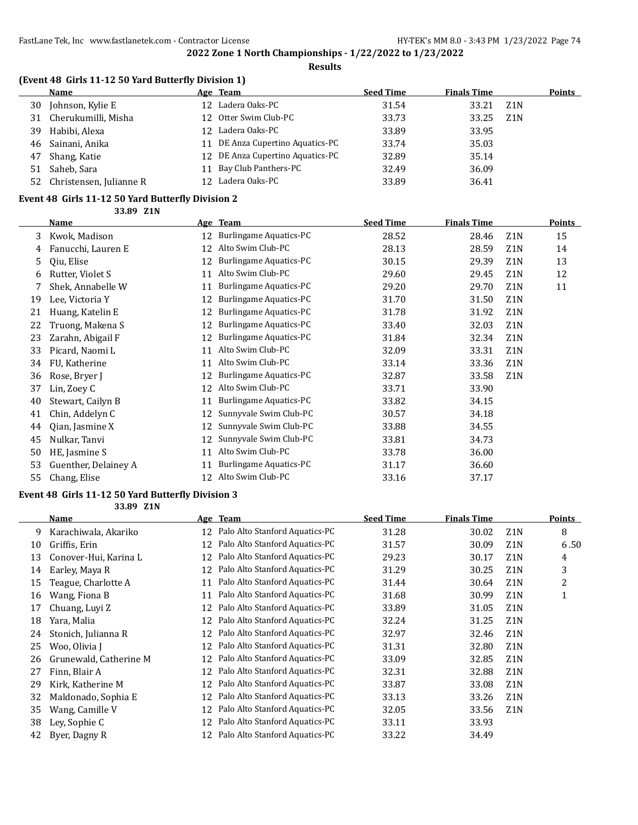**Results**

### **(Event 48 Girls 11-12 50 Yard Butterfly Division 1)**

|    | Name                       |                 | Age Team                         | <b>Seed Time</b> | <b>Finals Time</b> |                  | <b>Points</b> |
|----|----------------------------|-----------------|----------------------------------|------------------|--------------------|------------------|---------------|
| 30 | Johnson, Kylie E           | 12 <sup>1</sup> | Ladera Oaks-PC                   | 31.54            | 33.21              | Z <sub>1</sub> N |               |
| 31 | Cherukumilli, Misha        |                 | 12 Otter Swim Club-PC            | 33.73            | 33.25              | Z <sub>1</sub> N |               |
|    | 39 Habibi, Alexa           | 12.             | Ladera Oaks-PC                   | 33.89            | 33.95              |                  |               |
|    | 46 Sainani, Anika          | 11              | DE Anza Cupertino Aquatics-PC    | 33.74            | 35.03              |                  |               |
| 47 | Shang, Katie               |                 | 12 DE Anza Cupertino Aquatics-PC | 32.89            | 35.14              |                  |               |
| 51 | Saheb, Sara                | 11              | Bay Club Panthers-PC             | 32.49            | 36.09              |                  |               |
|    | 52 Christensen, Julianne R |                 | 12 Ladera Oaks-PC                | 33.89            | 36.41              |                  |               |

#### **Event 48 Girls 11-12 50 Yard Butterfly Division 2**

**33.89 Z1N**

|    | <b>Name</b>          |    | Age Team                      | <b>Seed Time</b> | <b>Finals Time</b> |                  | <b>Points</b> |
|----|----------------------|----|-------------------------------|------------------|--------------------|------------------|---------------|
| 3  | Kwok, Madison        | 12 | <b>Burlingame Aquatics-PC</b> | 28.52            | 28.46              | Z <sub>1</sub> N | 15            |
| 4  | Fanucchi, Lauren E   | 12 | Alto Swim Club-PC             | 28.13            | 28.59              | Z <sub>1</sub> N | 14            |
| 5  | Qiu, Elise           | 12 | Burlingame Aquatics-PC        | 30.15            | 29.39              | Z <sub>1</sub> N | 13            |
| 6  | Rutter, Violet S     | 11 | Alto Swim Club-PC             | 29.60            | 29.45              | Z <sub>1</sub> N | 12            |
|    | Shek, Annabelle W    | 11 | <b>Burlingame Aquatics-PC</b> | 29.20            | 29.70              | Z <sub>1</sub> N | 11            |
| 19 | Lee, Victoria Y      | 12 | <b>Burlingame Aquatics-PC</b> | 31.70            | 31.50              | Z <sub>1</sub> N |               |
| 21 | Huang, Katelin E     | 12 | <b>Burlingame Aquatics-PC</b> | 31.78            | 31.92              | Z <sub>1</sub> N |               |
| 22 | Truong, Makena S     | 12 | Burlingame Aquatics-PC        | 33.40            | 32.03              | Z <sub>1</sub> N |               |
| 23 | Zarahn, Abigail F    | 12 | <b>Burlingame Aquatics-PC</b> | 31.84            | 32.34              | Z <sub>1</sub> N |               |
| 33 | Picard, Naomi L      | 11 | Alto Swim Club-PC             | 32.09            | 33.31              | Z <sub>1</sub> N |               |
| 34 | FU, Katherine        | 11 | Alto Swim Club-PC             | 33.14            | 33.36              | Z <sub>1</sub> N |               |
| 36 | Rose, Bryer J        | 12 | <b>Burlingame Aquatics-PC</b> | 32.87            | 33.58              | Z <sub>1</sub> N |               |
| 37 | Lin, Zoey C          | 12 | Alto Swim Club-PC             | 33.71            | 33.90              |                  |               |
| 40 | Stewart, Cailyn B    | 11 | Burlingame Aquatics-PC        | 33.82            | 34.15              |                  |               |
| 41 | Chin, Addelyn C      | 12 | Sunnyvale Swim Club-PC        | 30.57            | 34.18              |                  |               |
| 44 | Qian, Jasmine X      | 12 | Sunnyvale Swim Club-PC        | 33.88            | 34.55              |                  |               |
| 45 | Nulkar, Tanvi        | 12 | Sunnyvale Swim Club-PC        | 33.81            | 34.73              |                  |               |
| 50 | HE, Jasmine S        | 11 | Alto Swim Club-PC             | 33.78            | 36.00              |                  |               |
| 53 | Guenther, Delainey A | 11 | <b>Burlingame Aquatics-PC</b> | 31.17            | 36.60              |                  |               |
| 55 | Chang, Elise         | 12 | Alto Swim Club-PC             | 33.16            | 37.17              |                  |               |

### **Event 48 Girls 11-12 50 Yard Butterfly Division 3**

**33.89 Z1N**

|    | Name                   |    | Age Team                       | <b>Seed Time</b> | <b>Finals Time</b> |                  | <b>Points</b> |
|----|------------------------|----|--------------------------------|------------------|--------------------|------------------|---------------|
| 9. | Karachiwala, Akariko   | 12 | Palo Alto Stanford Aquatics-PC | 31.28            | 30.02              | Z <sub>1</sub> N | 8             |
| 10 | Griffis, Erin          | 12 | Palo Alto Stanford Aquatics-PC | 31.57            | 30.09              | Z <sub>1</sub> N | 6.50          |
| 13 | Conover-Hui, Karina L  | 12 | Palo Alto Stanford Aquatics-PC | 29.23            | 30.17              | Z <sub>1</sub> N | 4             |
| 14 | Earley, Maya R         | 12 | Palo Alto Stanford Aquatics-PC | 31.29            | 30.25              | Z <sub>1</sub> N | 3             |
| 15 | Teague, Charlotte A    | 11 | Palo Alto Stanford Aquatics-PC | 31.44            | 30.64              | Z <sub>1</sub> N | 2             |
| 16 | Wang, Fiona B          | 11 | Palo Alto Stanford Aquatics-PC | 31.68            | 30.99              | Z <sub>1</sub> N | $\mathbf{1}$  |
| 17 | Chuang, Luyi Z         | 12 | Palo Alto Stanford Aquatics-PC | 33.89            | 31.05              | Z <sub>1</sub> N |               |
| 18 | Yara, Malia            | 12 | Palo Alto Stanford Aquatics-PC | 32.24            | 31.25              | Z <sub>1</sub> N |               |
| 24 | Stonich, Julianna R    | 12 | Palo Alto Stanford Aquatics-PC | 32.97            | 32.46              | Z <sub>1</sub> N |               |
| 25 | Woo, Olivia J          | 12 | Palo Alto Stanford Aquatics-PC | 31.31            | 32.80              | Z <sub>1</sub> N |               |
| 26 | Grunewald, Catherine M | 12 | Palo Alto Stanford Aquatics-PC | 33.09            | 32.85              | Z <sub>1</sub> N |               |
| 27 | Finn, Blair A          | 12 | Palo Alto Stanford Aquatics-PC | 32.31            | 32.88              | Z <sub>1</sub> N |               |
| 29 | Kirk, Katherine M      | 12 | Palo Alto Stanford Aquatics-PC | 33.87            | 33.08              | Z <sub>1</sub> N |               |
| 32 | Maldonado, Sophia E    | 12 | Palo Alto Stanford Aquatics-PC | 33.13            | 33.26              | Z <sub>1</sub> N |               |
| 35 | Wang, Camille V        | 12 | Palo Alto Stanford Aquatics-PC | 32.05            | 33.56              | Z <sub>1</sub> N |               |
| 38 | Ley, Sophie C          | 12 | Palo Alto Stanford Aquatics-PC | 33.11            | 33.93              |                  |               |
| 42 | Byer, Dagny R          | 12 | Palo Alto Stanford Aquatics-PC | 33.22            | 34.49              |                  |               |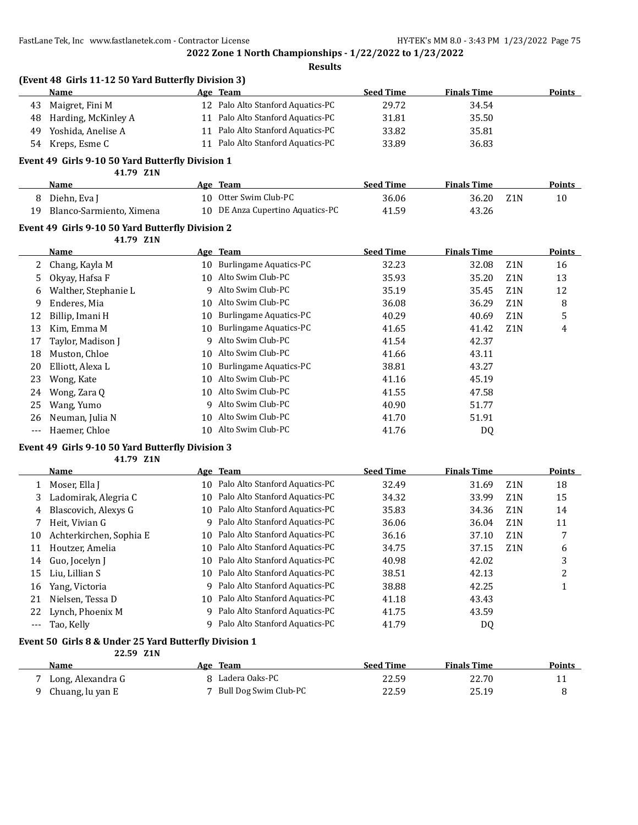**Results**

|    | (Event 48 Girls 11-12 50 Yard Butterfly Division 3) |     |                                   |                  |                    |                  |               |
|----|-----------------------------------------------------|-----|-----------------------------------|------------------|--------------------|------------------|---------------|
|    | <b>Name</b>                                         |     | Age Team                          | <b>Seed Time</b> | <b>Finals Time</b> |                  | <b>Points</b> |
| 43 | Maigret, Fini M                                     |     | 12 Palo Alto Stanford Aquatics-PC | 29.72            | 34.54              |                  |               |
| 48 | Harding, McKinley A                                 |     | 11 Palo Alto Stanford Aquatics-PC | 31.81            | 35.50              |                  |               |
| 49 | Yoshida. Anelise A                                  | 11  | Palo Alto Stanford Aquatics-PC    | 33.82            | 35.81              |                  |               |
| 54 | Kreps, Esme C                                       | 11  | Palo Alto Stanford Aquatics-PC    | 33.89            | 36.83              |                  |               |
|    | Event 49 Girls 9-10 50 Yard Butterfly Division 1    |     |                                   |                  |                    |                  |               |
|    | 41.79 Z1N                                           |     |                                   |                  |                    |                  |               |
|    | <b>Name</b>                                         |     | Age Team                          | <b>Seed Time</b> | <b>Finals Time</b> |                  | <b>Points</b> |
| 8  | Diehn, Eva J                                        | 10. | Otter Swim Club-PC                | 36.06            | 36.20              | Z <sub>1</sub> N | 10            |
| 19 | Blanco-Sarmiento, Ximena                            | 10  | DE Anza Cupertino Aquatics-PC     | 41.59            | 43.26              |                  |               |
|    | Event 49 Girls 9-10 50 Yard Butterfly Division 2    |     |                                   |                  |                    |                  |               |

#### **41.79 Z1N**

|     | Name                 |    | Age Team                      | <b>Seed Time</b> | <b>Finals Time</b> |                  | <b>Points</b> |
|-----|----------------------|----|-------------------------------|------------------|--------------------|------------------|---------------|
| 2   | Chang, Kayla M       | 10 | <b>Burlingame Aquatics-PC</b> | 32.23            | 32.08              | Z1N              | 16            |
| 5.  | Okyay, Hafsa F       | 10 | Alto Swim Club-PC             | 35.93            | 35.20              | Z <sub>1</sub> N | 13            |
| 6.  | Walther, Stephanie L |    | 9 Alto Swim Club-PC           | 35.19            | 35.45              | Z <sub>1</sub> N | 12            |
| 9   | Enderes, Mia         | 10 | Alto Swim Club-PC             | 36.08            | 36.29              | Z <sub>1</sub> N | 8             |
| 12  | Billip, Imani H      | 10 | <b>Burlingame Aquatics-PC</b> | 40.29            | 40.69              | Z <sub>1</sub> N | 5             |
| 13  | Kim, Emma M          | 10 | <b>Burlingame Aquatics-PC</b> | 41.65            | 41.42              | Z <sub>1</sub> N | 4             |
| 17  | Taylor, Madison J    | 9  | Alto Swim Club-PC             | 41.54            | 42.37              |                  |               |
| 18  | Muston, Chloe        | 10 | Alto Swim Club-PC             | 41.66            | 43.11              |                  |               |
| 20  | Elliott, Alexa L     | 10 | <b>Burlingame Aquatics-PC</b> | 38.81            | 43.27              |                  |               |
| 23  | Wong, Kate           | 10 | Alto Swim Club-PC             | 41.16            | 45.19              |                  |               |
| 24  | Wong, Zara Q         | 10 | Alto Swim Club-PC             | 41.55            | 47.58              |                  |               |
| 25  | Wang, Yumo           |    | 9 Alto Swim Club-PC           | 40.90            | 51.77              |                  |               |
| 26  | Neuman, Julia N      | 10 | Alto Swim Club-PC             | 41.70            | 51.91              |                  |               |
| --- | Haemer, Chloe        | 10 | Alto Swim Club-PC             | 41.76            | DQ                 |                  |               |

## **Event 49 Girls 9-10 50 Yard Butterfly Division 3**

| 41.79 Z1N |  |
|-----------|--|
|-----------|--|

|       | Name                    |    | Age Team                          | <b>Seed Time</b> | <b>Finals Time</b> |                  | <b>Points</b> |
|-------|-------------------------|----|-----------------------------------|------------------|--------------------|------------------|---------------|
|       | Moser, Ella J           | 10 | Palo Alto Stanford Aquatics-PC    | 32.49            | 31.69              | Z1N              | 18            |
| 3     | Ladomirak, Alegria C    | 10 | Palo Alto Stanford Aquatics-PC    | 34.32            | 33.99              | Z <sub>1</sub> N | 15            |
| 4     | Blascovich, Alexys G    | 10 | Palo Alto Stanford Aquatics-PC    | 35.83            | 34.36              | Z1N              | 14            |
|       | Heit. Vivian G          | q  | Palo Alto Stanford Aquatics-PC    | 36.06            | 36.04              | Z <sub>1</sub> N | 11            |
| 10    | Achterkirchen, Sophia E | 10 | Palo Alto Stanford Aquatics-PC    | 36.16            | 37.10              | Z1N              |               |
| 11    | Houtzer, Amelia         | 10 | Palo Alto Stanford Aquatics-PC    | 34.75            | 37.15              | Z1N              | 6             |
| 14    | Guo, Jocelyn J          | 10 | Palo Alto Stanford Aquatics-PC    | 40.98            | 42.02              |                  | 3             |
| 15    | Liu. Lillian S          |    | 10 Palo Alto Stanford Aquatics-PC | 38.51            | 42.13              |                  | っ             |
| 16    | Yang, Victoria          | 9  | Palo Alto Stanford Aquatics-PC    | 38.88            | 42.25              |                  |               |
| 21    | Nielsen, Tessa D        | 10 | Palo Alto Stanford Aquatics-PC    | 41.18            | 43.43              |                  |               |
| 22    | Lynch, Phoenix M        | q  | Palo Alto Stanford Aquatics-PC    | 41.75            | 43.59              |                  |               |
| $---$ | Tao, Kelly              | 9  | Palo Alto Stanford Aquatics-PC    | 41.79            | DQ                 |                  |               |

### **Event 50 Girls 8 & Under 25 Yard Butterfly Division 1**

| 22.59 Z1N         |                         |                  |                    |        |
|-------------------|-------------------------|------------------|--------------------|--------|
| <b>Name</b>       | Age Team                | <b>Seed Time</b> | <b>Finals Time</b> | Points |
| Long, Alexandra G | 8 Ladera Oaks-PC        | 22.59            | 22.70              |        |
| Chuang, lu yan E  | 7 Bull Dog Swim Club-PC | 22.59            | 25.19              |        |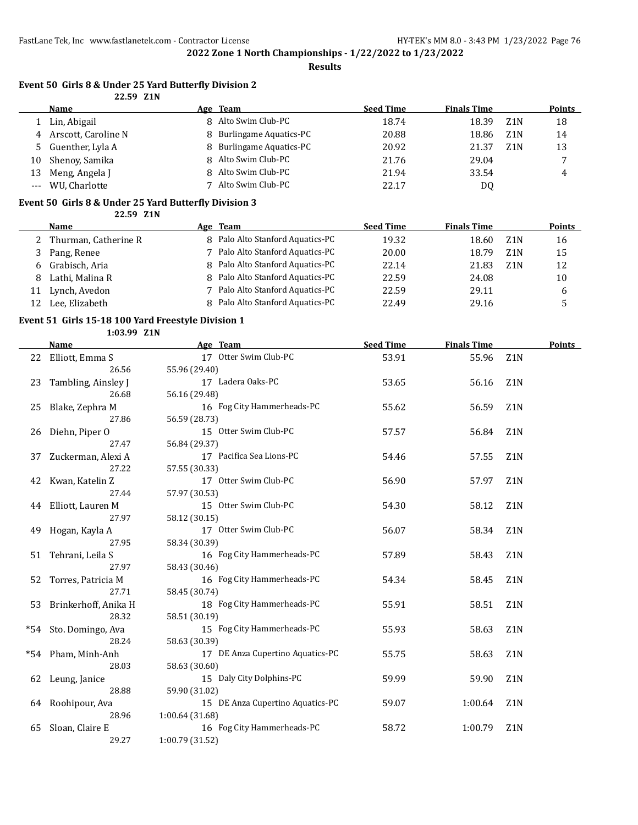**Results**

#### **Event 50 Girls 8 & Under 25 Yard Butterfly Division 2 22.59 Z1N**

|    | Name                  |    | Age Team                 | <b>Seed Time</b> | <b>Finals Time</b> |                  | Points |
|----|-----------------------|----|--------------------------|------------------|--------------------|------------------|--------|
|    | 1 Lin, Abigail        |    | 8 Alto Swim Club-PC      | 18.74            | 18.39              | Z1N              | 18     |
|    | 4 Arscott, Caroline N |    | 8 Burlingame Aquatics-PC | 20.88            | 18.86              | Z <sub>1</sub> N | 14     |
|    | 5 Guenther, Lyla A    |    | 8 Burlingame Aquatics-PC | 20.92            | 21.37              | Z1N              | 13     |
| 10 | Shenov, Samika        |    | 8 Alto Swim Club-PC      | 21.76            | 29.04              |                  |        |
| 13 | Meng, Angela J        | R. | Alto Swim Club-PC        | 21.94            | 33.54              |                  | 4      |
|    | WU. Charlotte         |    | Alto Swim Club-PC        | 22.17            | D0                 |                  |        |

### **Event 50 Girls 8 & Under 25 Yard Butterfly Division 3**

**22.59 Z1N**

|    | Name                   | Age Team                         | <b>Seed Time</b> | <b>Finals Time</b> |                  | <b>Points</b> |
|----|------------------------|----------------------------------|------------------|--------------------|------------------|---------------|
|    | 2 Thurman, Catherine R | 8 Palo Alto Stanford Aquatics-PC | 19.32            | 18.60              | Z1N              | 16            |
|    | Pang, Renee            | 7 Palo Alto Stanford Aquatics-PC | 20.00            | 18.79              | Z <sub>1</sub> N | 15            |
|    | 6 Grabisch, Aria       | 8 Palo Alto Stanford Aquatics-PC | 22.14            | 21.83              | Z <sub>1</sub> N | 12            |
|    | Lathi, Malina R        | 8 Palo Alto Stanford Aquatics-PC | 22.59            | 24.08              |                  | 10            |
| 11 | Lynch, Avedon          | 7 Palo Alto Stanford Aquatics-PC | 22.59            | 29.11              |                  | b             |
|    | Lee, Elizabeth         | 8 Palo Alto Stanford Aquatics-PC | 22.49            | 29.16              |                  |               |

### **Event 51 Girls 15-18 100 Yard Freestyle Division 1**

**1:03.99 Z1N**

|       | <b>Name</b>           | Age Team                         | <b>Seed Time</b> | <b>Finals Time</b> |                  | Points |
|-------|-----------------------|----------------------------------|------------------|--------------------|------------------|--------|
| 22    | Elliott, Emma S       | 17 Otter Swim Club-PC            | 53.91            | 55.96              | Z <sub>1</sub> N |        |
|       | 26.56                 | 55.96 (29.40)                    |                  |                    |                  |        |
| 23    | Tambling, Ainsley J   | 17 Ladera Oaks-PC                | 53.65            | 56.16              | Z <sub>1</sub> N |        |
|       | 26.68                 | 56.16 (29.48)                    |                  |                    |                  |        |
| 25    | Blake, Zephra M       | 16 Fog City Hammerheads-PC       | 55.62            | 56.59              | Z <sub>1</sub> N |        |
|       | 27.86                 | 56.59 (28.73)                    |                  |                    |                  |        |
| 26    | Diehn, Piper O        | 15 Otter Swim Club-PC            | 57.57            | 56.84              | Z <sub>1</sub> N |        |
|       | 27.47                 | 56.84 (29.37)                    |                  |                    |                  |        |
| 37    | Zuckerman, Alexi A    | 17 Pacifica Sea Lions-PC         | 54.46            | 57.55              | Z1N              |        |
|       | 27.22                 | 57.55 (30.33)                    |                  |                    |                  |        |
| 42    | Kwan, Katelin Z       | 17 Otter Swim Club-PC            | 56.90            | 57.97              | Z <sub>1</sub> N |        |
|       | 27.44                 | 57.97 (30.53)                    |                  |                    |                  |        |
|       | 44 Elliott, Lauren M  | 15 Otter Swim Club-PC            | 54.30            | 58.12              | Z <sub>1</sub> N |        |
|       | 27.97                 | 58.12 (30.15)                    |                  |                    |                  |        |
| 49    | Hogan, Kayla A        | 17 Otter Swim Club-PC            | 56.07            | 58.34              | Z <sub>1</sub> N |        |
|       | 27.95                 | 58.34 (30.39)                    |                  |                    |                  |        |
|       | 51 Tehrani, Leila S   | 16 Fog City Hammerheads-PC       | 57.89            | 58.43              | Z <sub>1</sub> N |        |
|       | 27.97                 | 58.43 (30.46)                    |                  |                    |                  |        |
| 52    | Torres, Patricia M    | 16 Fog City Hammerheads-PC       | 54.34            | 58.45              | Z <sub>1</sub> N |        |
|       | 27.71                 | 58.45 (30.74)                    |                  |                    |                  |        |
|       | Brinkerhoff, Anika H  | 18 Fog City Hammerheads-PC       | 55.91            | 58.51              | Z1N              |        |
|       | 28.32                 | 58.51 (30.19)                    |                  |                    |                  |        |
|       | *54 Sto. Domingo, Ava | 15 Fog City Hammerheads-PC       | 55.93            | 58.63              | Z <sub>1</sub> N |        |
|       | 28.24                 | 58.63 (30.39)                    |                  |                    |                  |        |
| $*54$ | Pham, Minh-Anh        | 17 DE Anza Cupertino Aquatics-PC | 55.75            | 58.63              | Z <sub>1</sub> N |        |
|       | 28.03                 | 58.63 (30.60)                    |                  |                    |                  |        |
| 62    | Leung, Janice         | 15 Daly City Dolphins-PC         | 59.99            | 59.90              | Z1N              |        |
|       | 28.88                 | 59.90 (31.02)                    |                  |                    |                  |        |
| 64    | Roohipour, Ava        | 15 DE Anza Cupertino Aquatics-PC | 59.07            | 1:00.64            | Z <sub>1</sub> N |        |
|       | 28.96                 | 1:00.64 (31.68)                  |                  |                    |                  |        |
| 65    | Sloan, Claire E       | 16 Fog City Hammerheads-PC       | 58.72            | 1:00.79            | Z1N              |        |
|       | 29.27                 | 1:00.79 (31.52)                  |                  |                    |                  |        |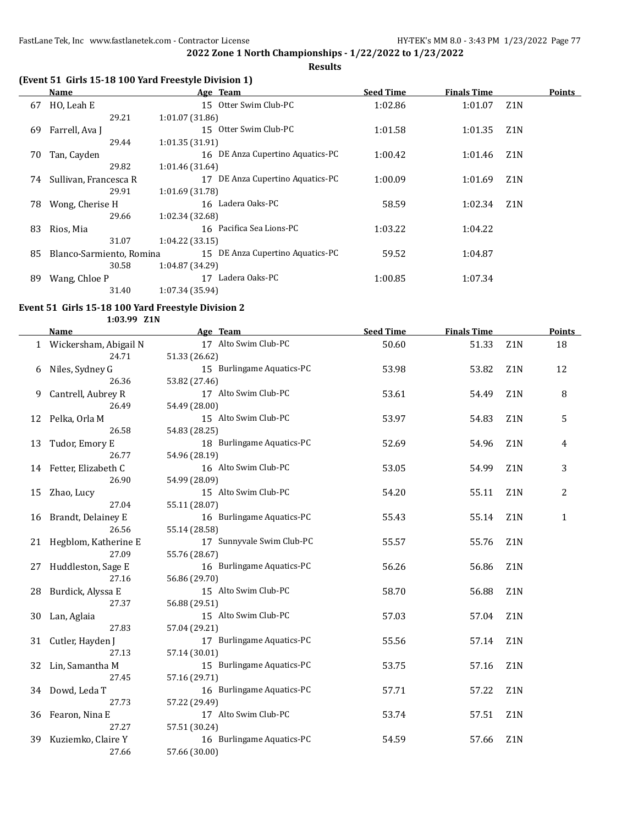**Results**

## **(Event 51 Girls 15-18 100 Yard Freestyle Division 1)**

|    | Name                     | Age Team                         | <b>Seed Time</b> | <b>Finals Time</b> |                  | <b>Points</b> |
|----|--------------------------|----------------------------------|------------------|--------------------|------------------|---------------|
| 67 | HO, Leah E               | 15 Otter Swim Club-PC            | 1:02.86          | 1:01.07            | Z1N              |               |
|    | 29.21                    | 1:01.07 (31.86)                  |                  |                    |                  |               |
| 69 | Farrell, Ava I           | 15 Otter Swim Club-PC            | 1:01.58          | 1:01.35            | Z <sub>1</sub> N |               |
|    | 29.44                    | 1:01.35 (31.91)                  |                  |                    |                  |               |
| 70 | Tan, Cayden              | 16 DE Anza Cupertino Aquatics-PC | 1:00.42          | 1:01.46            | Z <sub>1</sub> N |               |
|    | 29.82                    | 1:01.46 (31.64)                  |                  |                    |                  |               |
| 74 | Sullivan, Francesca R    | 17 DE Anza Cupertino Aquatics-PC | 1:00.09          | 1:01.69            | Z <sub>1</sub> N |               |
|    | 29.91                    | 1:01.69 (31.78)                  |                  |                    |                  |               |
| 78 | Wong, Cherise H          | 16 Ladera Oaks-PC                | 58.59            | 1:02.34            | Z <sub>1</sub> N |               |
|    | 29.66                    | 1:02.34 (32.68)                  |                  |                    |                  |               |
| 83 | Rios, Mia                | 16 Pacifica Sea Lions-PC         | 1:03.22          | 1:04.22            |                  |               |
|    | 31.07                    | 1:04.22(33.15)                   |                  |                    |                  |               |
| 85 | Blanco-Sarmiento, Romina | 15 DE Anza Cupertino Aquatics-PC | 59.52            | 1:04.87            |                  |               |
|    | 30.58                    | 1:04.87 (34.29)                  |                  |                    |                  |               |
| 89 | Wang, Chloe P            | Ladera Oaks-PC<br>17             | 1:00.85          | 1:07.34            |                  |               |
|    | 31.40                    | 1:07.34 (35.94)                  |                  |                    |                  |               |

#### **Event 51 Girls 15-18 100 Yard Freestyle Division 2**

**1:03.99 Z1N**

|    | Name                    | Age Team                              | <b>Seed Time</b> | <b>Finals Time</b> |                  | <b>Points</b> |
|----|-------------------------|---------------------------------------|------------------|--------------------|------------------|---------------|
|    | 1 Wickersham, Abigail N | 17 Alto Swim Club-PC                  | 50.60            | 51.33              | Z <sub>1</sub> N | 18            |
|    | 24.71                   | 51.33 (26.62)                         |                  |                    |                  |               |
| 6  | Niles, Sydney G         | 15 Burlingame Aquatics-PC             | 53.98            | 53.82              | Z1N              | 12            |
|    | 26.36                   | 53.82 (27.46)                         |                  |                    |                  |               |
| 9  | Cantrell, Aubrey R      | 17 Alto Swim Club-PC                  | 53.61            | 54.49              | Z1N              | 8             |
|    | 26.49                   | 54.49 (28.00)                         |                  |                    |                  |               |
| 12 | Pelka, Orla M           | 15 Alto Swim Club-PC                  | 53.97            | 54.83              | Z1N              | 5             |
|    | 26.58                   | 54.83 (28.25)                         |                  |                    |                  |               |
| 13 | Tudor, Emory E          | 18 Burlingame Aquatics-PC             | 52.69            | 54.96              | Z1N              | 4             |
|    | 26.77                   | 54.96 (28.19)                         |                  |                    |                  |               |
|    | 14 Fetter, Elizabeth C  | 16 Alto Swim Club-PC                  | 53.05            | 54.99              | Z1N              | 3             |
|    | 26.90                   | 54.99 (28.09)                         |                  |                    |                  |               |
|    | 15 Zhao, Lucy           | 15 Alto Swim Club-PC                  | 54.20            | 55.11              | Z1N              | 2             |
|    | 27.04                   | 55.11 (28.07)                         |                  |                    |                  |               |
| 16 | Brandt, Delainey E      | 16 Burlingame Aquatics-PC             | 55.43            | 55.14              | Z1N              | $\mathbf{1}$  |
|    | 26.56                   | 55.14 (28.58)                         |                  |                    |                  |               |
|    | 21 Hegblom, Katherine E | 17 Sunnyvale Swim Club-PC             | 55.57            | 55.76              | Z <sub>1</sub> N |               |
|    | 27.09                   | 55.76 (28.67)                         |                  |                    |                  |               |
| 27 | Huddleston, Sage E      | 16 Burlingame Aquatics-PC             | 56.26            | 56.86              | Z <sub>1</sub> N |               |
|    | 27.16                   | 56.86 (29.70)                         |                  |                    |                  |               |
|    | 28 Burdick, Alyssa E    | 15 Alto Swim Club-PC                  | 58.70            | 56.88              | Z1N              |               |
|    | 27.37                   | 56.88 (29.51)                         |                  |                    |                  |               |
| 30 | Lan, Aglaia             | 15 Alto Swim Club-PC                  | 57.03            | 57.04              | Z1N              |               |
|    | 27.83                   | 57.04 (29.21)                         |                  |                    |                  |               |
| 31 | Cutler, Hayden J        | 17 Burlingame Aquatics-PC             | 55.56            | 57.14              | Z1N              |               |
|    | 27.13                   | 57.14 (30.01)                         |                  |                    |                  |               |
| 32 | Lin, Samantha M         | 15 Burlingame Aquatics-PC             | 53.75            | 57.16              | Z <sub>1</sub> N |               |
|    | 27.45                   | 57.16 (29.71)                         |                  |                    |                  |               |
| 34 | Dowd, Leda T<br>27.73   | 16 Burlingame Aquatics-PC             | 57.71            | 57.22              | Z1N              |               |
|    |                         | 57.22 (29.49)<br>17 Alto Swim Club-PC |                  |                    |                  |               |
| 36 | Fearon, Nina E<br>27.27 | 57.51 (30.24)                         | 53.74            | 57.51              | Z <sub>1</sub> N |               |
| 39 | Kuziemko, Claire Y      | 16 Burlingame Aquatics-PC             | 54.59            | 57.66              | Z1N              |               |
|    | 27.66                   | 57.66 (30.00)                         |                  |                    |                  |               |
|    |                         |                                       |                  |                    |                  |               |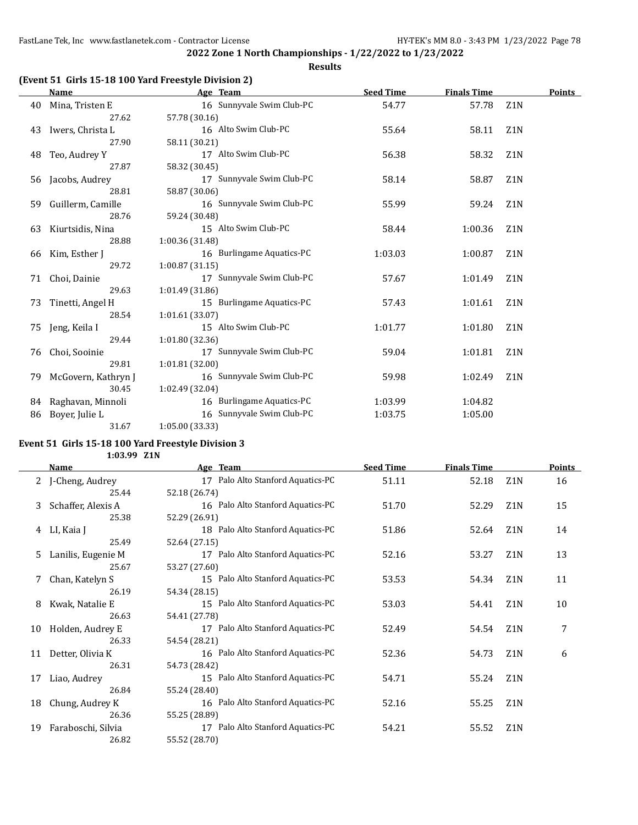**2022 Zone 1 North Championships - 1/22/2022 to 1/23/2022 Results**

### **(Event 51 Girls 15-18 100 Yard Freestyle Division 2)**

|    | Name                | Age Team                  | <b>Seed Time</b> | <b>Finals Time</b> |                  | <b>Points</b> |
|----|---------------------|---------------------------|------------------|--------------------|------------------|---------------|
| 40 | Mina, Tristen E     | 16 Sunnyvale Swim Club-PC | 54.77            | 57.78              | Z <sub>1</sub> N |               |
|    | 27.62               | 57.78 (30.16)             |                  |                    |                  |               |
| 43 | Iwers, Christa L    | 16 Alto Swim Club-PC      | 55.64            | 58.11              | Z <sub>1</sub> N |               |
|    | 27.90               | 58.11 (30.21)             |                  |                    |                  |               |
| 48 | Teo, Audrey Y       | 17 Alto Swim Club-PC      | 56.38            | 58.32              | Z1N              |               |
|    | 27.87               | 58.32 (30.45)             |                  |                    |                  |               |
| 56 | Jacobs, Audrey      | 17 Sunnyvale Swim Club-PC | 58.14            | 58.87              | Z <sub>1</sub> N |               |
|    | 28.81               | 58.87 (30.06)             |                  |                    |                  |               |
| 59 | Guillerm, Camille   | 16 Sunnyvale Swim Club-PC | 55.99            | 59.24              | Z <sub>1</sub> N |               |
|    | 28.76               | 59.24 (30.48)             |                  |                    |                  |               |
| 63 | Kiurtsidis, Nina    | 15 Alto Swim Club-PC      | 58.44            | 1:00.36            | Z <sub>1</sub> N |               |
|    | 28.88               | 1:00.36 (31.48)           |                  |                    |                  |               |
| 66 | Kim, Esther J       | 16 Burlingame Aquatics-PC | 1:03.03          | 1:00.87            | Z <sub>1</sub> N |               |
|    | 29.72               | 1:00.87(31.15)            |                  |                    |                  |               |
| 71 | Choi, Dainie        | 17 Sunnyvale Swim Club-PC | 57.67            | 1:01.49            | Z <sub>1</sub> N |               |
|    | 29.63               | 1:01.49 (31.86)           |                  |                    |                  |               |
| 73 | Tinetti, Angel H    | 15 Burlingame Aquatics-PC | 57.43            | 1:01.61            | Z <sub>1</sub> N |               |
|    | 28.54               | 1:01.61 (33.07)           |                  |                    |                  |               |
| 75 | Jeng, Keila I       | 15 Alto Swim Club-PC      | 1:01.77          | 1:01.80            | Z <sub>1</sub> N |               |
|    | 29.44               | 1:01.80(32.36)            |                  |                    |                  |               |
| 76 | Choi, Sooinie       | 17 Sunnyvale Swim Club-PC | 59.04            | 1:01.81            | Z1N              |               |
|    | 29.81               | 1:01.81 (32.00)           |                  |                    |                  |               |
| 79 | McGovern, Kathryn J | 16 Sunnyvale Swim Club-PC | 59.98            | 1:02.49            | Z <sub>1</sub> N |               |
|    | 30.45               | 1:02.49 (32.04)           |                  |                    |                  |               |
| 84 | Raghavan, Minnoli   | 16 Burlingame Aquatics-PC | 1:03.99          | 1:04.82            |                  |               |
| 86 | Boyer, Julie L      | 16 Sunnyvale Swim Club-PC | 1:03.75          | 1:05.00            |                  |               |
|    | 31.67               | 1:05.00 (33.33)           |                  |                    |                  |               |

#### **Event 51 Girls 15-18 100 Yard Freestyle Division 3**

**1:03.99 Z1N**

|    | Name               | Age Team                          | <b>Seed Time</b> | <b>Finals Time</b> |                  | <b>Points</b> |
|----|--------------------|-----------------------------------|------------------|--------------------|------------------|---------------|
|    | 2 J-Cheng, Audrey  | 17 Palo Alto Stanford Aquatics-PC | 51.11            | 52.18              | Z <sub>1</sub> N | 16            |
|    | 25.44              | 52.18 (26.74)                     |                  |                    |                  |               |
| 3  | Schaffer, Alexis A | 16 Palo Alto Stanford Aquatics-PC | 51.70            | 52.29              | Z <sub>1</sub> N | 15            |
|    | 25.38              | 52.29 (26.91)                     |                  |                    |                  |               |
| 4  | LI, Kaia J         | 18 Palo Alto Stanford Aquatics-PC | 51.86            | 52.64              | Z <sub>1</sub> N | 14            |
|    | 25.49              | 52.64 (27.15)                     |                  |                    |                  |               |
| 5. | Lanilis, Eugenie M | 17 Palo Alto Stanford Aquatics-PC | 52.16            | 53.27              | Z <sub>1</sub> N | 13            |
|    | 25.67              | 53.27 (27.60)                     |                  |                    |                  |               |
| 7  | Chan, Katelyn S    | 15 Palo Alto Stanford Aquatics-PC | 53.53            | 54.34              | Z <sub>1</sub> N | 11            |
|    | 26.19              | 54.34 (28.15)                     |                  |                    |                  |               |
| 8  | Kwak, Natalie E    | 15 Palo Alto Stanford Aquatics-PC | 53.03            | 54.41              | Z <sub>1</sub> N | 10            |
|    | 26.63              | 54.41 (27.78)                     |                  |                    |                  |               |
| 10 | Holden, Audrey E   | 17 Palo Alto Stanford Aquatics-PC | 52.49            | 54.54              | Z <sub>1</sub> N | 7             |
|    | 26.33              | 54.54 (28.21)                     |                  |                    |                  |               |
| 11 | Detter, Olivia K   | 16 Palo Alto Stanford Aquatics-PC | 52.36            | 54.73              | Z <sub>1</sub> N | 6             |
|    | 26.31              | 54.73 (28.42)                     |                  |                    |                  |               |
| 17 | Liao, Audrey       | 15 Palo Alto Stanford Aquatics-PC | 54.71            | 55.24              | Z <sub>1</sub> N |               |
|    | 26.84              | 55.24 (28.40)                     |                  |                    |                  |               |
| 18 | Chung, Audrey K    | 16 Palo Alto Stanford Aquatics-PC | 52.16            | 55.25              | Z <sub>1</sub> N |               |
|    | 26.36              | 55.25 (28.89)                     |                  |                    |                  |               |
| 19 | Faraboschi, Silvia | 17 Palo Alto Stanford Aquatics-PC | 54.21            | 55.52              | Z <sub>1</sub> N |               |
|    | 26.82              | 55.52 (28.70)                     |                  |                    |                  |               |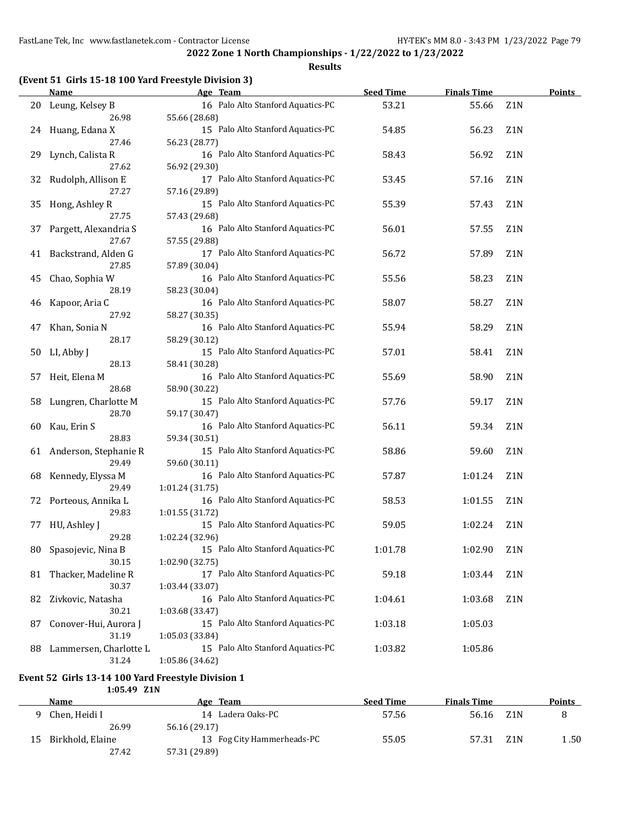#### **Results**

### **(Event 51 Girls 15-18 100 Yard Freestyle Division 3)**

|    | <b>Name</b>            | Age Team                                             | <b>Seed Time</b> | <b>Finals Time</b> |                  | <b>Points</b> |
|----|------------------------|------------------------------------------------------|------------------|--------------------|------------------|---------------|
| 20 | Leung, Kelsey B        | 16 Palo Alto Stanford Aquatics-PC                    | 53.21            | 55.66              | Z <sub>1</sub> N |               |
|    | 26.98                  | 55.66 (28.68)                                        |                  |                    |                  |               |
| 24 | Huang, Edana X         | 15 Palo Alto Stanford Aquatics-PC                    | 54.85            | 56.23              | Z1N              |               |
|    | 27.46                  | 56.23 (28.77)                                        |                  |                    |                  |               |
| 29 | Lynch, Calista R       | 16 Palo Alto Stanford Aquatics-PC                    | 58.43            | 56.92              | Z1N              |               |
|    | 27.62                  | 56.92 (29.30)                                        |                  |                    |                  |               |
| 32 | Rudolph, Allison E     | 17 Palo Alto Stanford Aquatics-PC                    | 53.45            | 57.16              | Z1N              |               |
|    | 27.27                  | 57.16 (29.89)                                        |                  |                    |                  |               |
| 35 | Hong, Ashley R         | 15 Palo Alto Stanford Aquatics-PC                    | 55.39            | 57.43              | Z <sub>1</sub> N |               |
|    | 27.75                  | 57.43 (29.68)                                        |                  |                    |                  |               |
| 37 | Pargett, Alexandria S  | 16 Palo Alto Stanford Aquatics-PC                    | 56.01            | 57.55              | Z1N              |               |
|    | 27.67                  | 57.55 (29.88)                                        |                  |                    |                  |               |
| 41 | Backstrand, Alden G    | 17 Palo Alto Stanford Aquatics-PC                    | 56.72            | 57.89              | Z <sub>1</sub> N |               |
|    | 27.85                  | 57.89 (30.04)                                        |                  |                    |                  |               |
| 45 | Chao, Sophia W         | 16 Palo Alto Stanford Aquatics-PC                    | 55.56            | 58.23              | Z1N              |               |
|    | 28.19                  | 58.23 (30.04)                                        |                  |                    |                  |               |
| 46 | Kapoor, Aria C         | 16 Palo Alto Stanford Aquatics-PC                    | 58.07            | 58.27              | Z1N              |               |
|    | 27.92                  | 58.27 (30.35)                                        |                  |                    |                  |               |
| 47 | Khan, Sonia N          | 16 Palo Alto Stanford Aquatics-PC                    | 55.94            | 58.29              | Z <sub>1</sub> N |               |
|    | 28.17                  | 58.29 (30.12)                                        |                  |                    |                  |               |
| 50 | LI, Abby J             | 15 Palo Alto Stanford Aquatics-PC                    | 57.01            | 58.41              | Z1N              |               |
|    | 28.13                  | 58.41 (30.28)                                        |                  |                    |                  |               |
| 57 | Heit, Elena M          | 16 Palo Alto Stanford Aquatics-PC                    | 55.69            | 58.90              | Z1N              |               |
|    | 28.68                  | 58.90 (30.22)                                        |                  |                    |                  |               |
| 58 | Lungren, Charlotte M   | 15 Palo Alto Stanford Aquatics-PC                    | 57.76            | 59.17              | Z1N              |               |
|    | 28.70                  | 59.17 (30.47)                                        |                  |                    |                  |               |
| 60 | Kau, Erin S            | 16 Palo Alto Stanford Aquatics-PC                    | 56.11            | 59.34              | Z1N              |               |
|    | 28.83                  | 59.34 (30.51)                                        |                  |                    |                  |               |
| 61 | Anderson, Stephanie R  | 15 Palo Alto Stanford Aquatics-PC                    | 58.86            | 59.60              | Z1N              |               |
|    | 29.49                  | 59.60 (30.11)                                        |                  |                    |                  |               |
| 68 | Kennedy, Elyssa M      | 16 Palo Alto Stanford Aquatics-PC                    | 57.87            | 1:01.24            | Z <sub>1</sub> N |               |
|    | 29.49                  | 1:01.24 (31.75)                                      |                  |                    |                  |               |
| 72 | Porteous, Annika L     | 16 Palo Alto Stanford Aquatics-PC                    | 58.53            | 1:01.55            | Z <sub>1</sub> N |               |
|    | 29.83                  | 1:01.55 (31.72)                                      |                  |                    |                  |               |
| 77 | HU, Ashley J           | 15 Palo Alto Stanford Aquatics-PC                    | 59.05            | 1:02.24            | Z <sub>1</sub> N |               |
|    | 29.28                  | 1:02.24 (32.96)                                      |                  |                    |                  |               |
| 80 | Spasojevic, Nina B     | 15 Palo Alto Stanford Aquatics-PC                    | 1:01.78          | 1:02.90            | Z <sub>1</sub> N |               |
|    | 30.15                  | 1:02.90 (32.75)                                      |                  |                    |                  |               |
| 81 | Thacker, Madeline R    | 17 Palo Alto Stanford Aquatics-PC                    | 59.18            | 1:03.44            | Z <sub>1</sub> N |               |
|    | 30.37                  | 1:03.44 (33.07)                                      |                  |                    |                  |               |
| 82 | Zivkovic, Natasha      | 16 Palo Alto Stanford Aquatics-PC                    | 1:04.61          | 1:03.68            | Z1N              |               |
|    | 30.21                  |                                                      |                  |                    |                  |               |
|    | Conover-Hui, Aurora J  | 1:03.68 (33.47)<br>15 Palo Alto Stanford Aquatics-PC | 1:03.18          |                    |                  |               |
| 87 | 31.19                  | 1:05.03 (33.84)                                      |                  | 1:05.03            |                  |               |
|    | Lammersen, Charlotte L | 15 Palo Alto Stanford Aquatics-PC                    | 1:03.82          | 1:05.86            |                  |               |
| 88 | 31.24                  | 1:05.86 (34.62)                                      |                  |                    |                  |               |
|    |                        |                                                      |                  |                    |                  |               |

### **Event 52 Girls 13-14 100 Yard Freestyle Division 1**

**1:05.49 Z1N**

|    | Name             | Age Team                   | <b>Seed Time</b> | <b>Finals Time</b> |     | <b>Points</b> |
|----|------------------|----------------------------|------------------|--------------------|-----|---------------|
|    | Chen, Heidi I    | 14 Ladera Oaks-PC          | 57.56            | 56.16              | Z1N |               |
|    | 26.99            | 56.16 (29.17)              |                  |                    |     |               |
| 15 | Birkhold, Elaine | 13 Fog City Hammerheads-PC | 55.05            | 57.31              | Z1N | 1.50          |
|    | 27.42            | 57.31 (29.89)              |                  |                    |     |               |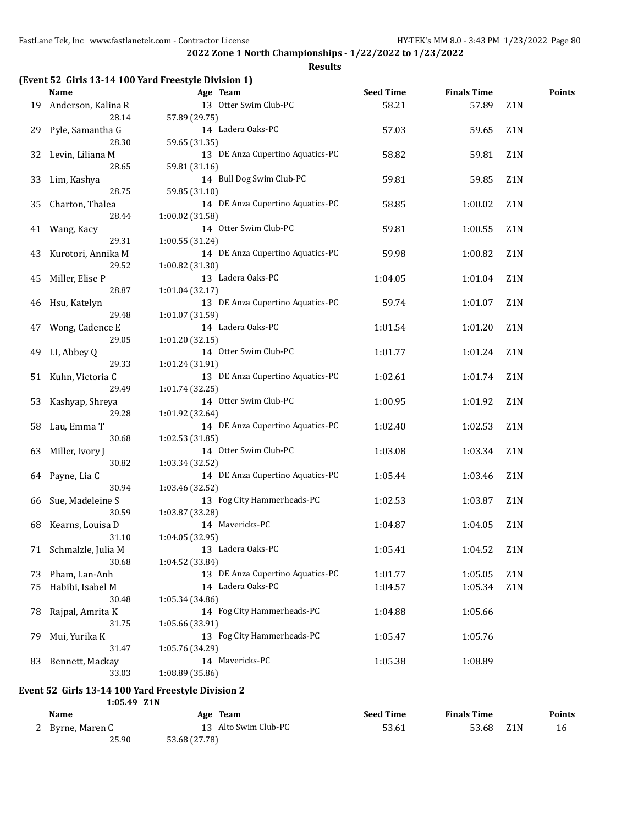**Results**

|    | <b>Name</b>                 | Age Team                                            | <b>Seed Time</b> | <b>Finals Time</b> |                  | Points |
|----|-----------------------------|-----------------------------------------------------|------------------|--------------------|------------------|--------|
| 19 | Anderson, Kalina R          | 13 Otter Swim Club-PC                               | 58.21            | 57.89              | Z1N              |        |
|    | 28.14                       | 57.89 (29.75)                                       |                  |                    |                  |        |
| 29 | Pyle, Samantha G            | 14 Ladera Oaks-PC                                   | 57.03            | 59.65              | Z <sub>1</sub> N |        |
|    | 28.30                       | 59.65 (31.35)                                       |                  |                    |                  |        |
| 32 | Levin, Liliana M            | 13 DE Anza Cupertino Aquatics-PC                    | 58.82            | 59.81              | Z <sub>1</sub> N |        |
|    | 28.65                       | 59.81 (31.16)                                       |                  |                    |                  |        |
| 33 | Lim, Kashya                 | 14 Bull Dog Swim Club-PC                            | 59.81            | 59.85              | Z <sub>1</sub> N |        |
|    | 28.75                       | 59.85 (31.10)                                       |                  |                    |                  |        |
| 35 | Charton, Thalea             | 14 DE Anza Cupertino Aquatics-PC                    | 58.85            | 1:00.02            | Z <sub>1</sub> N |        |
|    | 28.44                       | 1:00.02 (31.58)                                     |                  |                    |                  |        |
| 41 | Wang, Kacy                  | 14 Otter Swim Club-PC                               | 59.81            | 1:00.55            | Z <sub>1</sub> N |        |
|    | 29.31                       | 1:00.55 (31.24)                                     |                  |                    |                  |        |
|    |                             | 14 DE Anza Cupertino Aquatics-PC                    | 59.98            |                    | Z1N              |        |
| 43 | Kurotori, Annika M<br>29.52 |                                                     |                  | 1:00.82            |                  |        |
|    |                             | 1:00.82 (31.30)<br>13 Ladera Oaks-PC                | 1:04.05          |                    | Z <sub>1</sub> N |        |
| 45 | Miller, Elise P<br>28.87    |                                                     |                  | 1:01.04            |                  |        |
|    |                             | 1:01.04 (32.17)<br>13 DE Anza Cupertino Aquatics-PC |                  |                    |                  |        |
| 46 | Hsu, Katelyn                |                                                     | 59.74            | 1:01.07            | Z1N              |        |
|    | 29.48                       | 1:01.07 (31.59)                                     |                  |                    |                  |        |
| 47 | Wong, Cadence E             | 14 Ladera Oaks-PC                                   | 1:01.54          | 1:01.20            | Z1N              |        |
|    | 29.05                       | 1:01.20 (32.15)                                     |                  |                    |                  |        |
| 49 | LI, Abbey Q                 | 14 Otter Swim Club-PC                               | 1:01.77          | 1:01.24            | Z1N              |        |
|    | 29.33                       | 1:01.24 (31.91)                                     |                  |                    |                  |        |
|    | 51 Kuhn, Victoria C         | 13 DE Anza Cupertino Aquatics-PC                    | 1:02.61          | 1:01.74            | Z1N              |        |
|    | 29.49                       | 1:01.74 (32.25)                                     |                  |                    |                  |        |
| 53 | Kashyap, Shreya             | 14 Otter Swim Club-PC                               | 1:00.95          | 1:01.92            | Z <sub>1</sub> N |        |
|    | 29.28                       | 1:01.92 (32.64)                                     |                  |                    |                  |        |
| 58 | Lau, Emma T                 | 14 DE Anza Cupertino Aquatics-PC                    | 1:02.40          | 1:02.53            | Z <sub>1</sub> N |        |
|    | 30.68                       | 1:02.53 (31.85)                                     |                  |                    |                  |        |
| 63 | Miller, Ivory J             | 14 Otter Swim Club-PC                               | 1:03.08          | 1:03.34            | Z <sub>1</sub> N |        |
|    | 30.82                       | 1:03.34 (32.52)                                     |                  |                    |                  |        |
|    | 64 Payne, Lia C             | 14 DE Anza Cupertino Aquatics-PC                    | 1:05.44          | 1:03.46            | Z <sub>1</sub> N |        |
|    | 30.94                       | 1:03.46 (32.52)                                     |                  |                    |                  |        |
| 66 | Sue, Madeleine S            | 13 Fog City Hammerheads-PC                          | 1:02.53          | 1:03.87            | Z <sub>1</sub> N |        |
|    | 30.59                       | 1:03.87 (33.28)                                     |                  |                    |                  |        |
| 68 | Kearns, Louisa D            | 14 Mavericks-PC                                     | 1:04.87          | 1:04.05            | Z <sub>1</sub> N |        |
|    | 31.10                       | 1:04.05 (32.95)                                     |                  |                    |                  |        |
|    | 71 Schmalzle, Julia M       | 13 Ladera Oaks-PC                                   | 1:05.41          | 1:04.52            | Z <sub>1</sub> N |        |
|    | 30.68                       | 1:04.52 (33.84)                                     |                  |                    |                  |        |
| 73 | Pham, Lan-Anh               | 13 DE Anza Cupertino Aquatics-PC                    | 1:01.77          | 1:05.05            | Z1N              |        |
| 75 | Habibi, Isabel M            | 14 Ladera Oaks-PC                                   | 1:04.57          | 1:05.34            | Z <sub>1</sub> N |        |
|    | 30.48                       | 1:05.34 (34.86)                                     |                  |                    |                  |        |
| 78 | Rajpal, Amrita K            | 14 Fog City Hammerheads-PC                          | 1:04.88          | 1:05.66            |                  |        |
|    | 31.75                       | 1:05.66 (33.91)                                     |                  |                    |                  |        |
| 79 | Mui, Yurika K               | 13 Fog City Hammerheads-PC                          | 1:05.47          | 1:05.76            |                  |        |
|    | 31.47                       | 1:05.76 (34.29)                                     |                  |                    |                  |        |
| 83 | Bennett, Mackay             | 14 Mavericks-PC                                     | 1:05.38          | 1:08.89            |                  |        |
|    | 33.03                       | 1:08.89 (35.86)                                     |                  |                    |                  |        |
|    | 1:05.49 Z1N                 | Event 52 Girls 13-14 100 Yard Freestyle Division 2  |                  |                    |                  |        |

**Name Age Team Seed Time Finals Time Points** 2 Byrne, Maren C 13 Alto Swim Club-PC 53.61 53.68 Z1N 16 25.90 53.68 (27.78)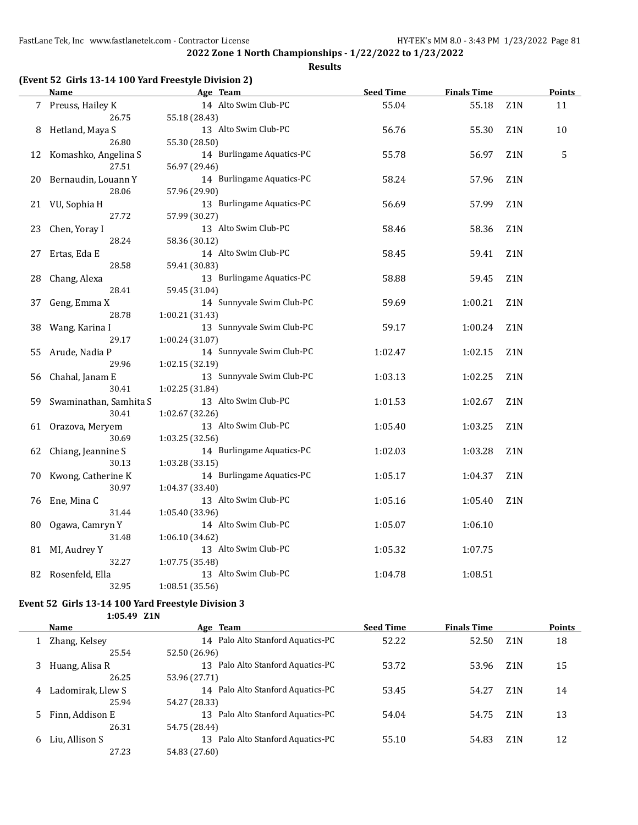#### **Results**

### **(Event 52 Girls 13-14 100 Yard Freestyle Division 2)**

|    | <b>Name</b>             | Age Team                  | <b>Seed Time</b> | <b>Finals Time</b> |                  | <b>Points</b> |
|----|-------------------------|---------------------------|------------------|--------------------|------------------|---------------|
|    | 7 Preuss, Hailey K      | 14 Alto Swim Club-PC      | 55.04            | 55.18              | Z1N              | 11            |
|    | 26.75                   | 55.18 (28.43)             |                  |                    |                  |               |
| 8  | Hetland, Maya S         | 13 Alto Swim Club-PC      | 56.76            | 55.30              | Z <sub>1</sub> N | 10            |
|    | 26.80                   | 55.30 (28.50)             |                  |                    |                  |               |
|    | 12 Komashko, Angelina S | 14 Burlingame Aquatics-PC | 55.78            | 56.97              | Z <sub>1</sub> N | 5             |
|    | 27.51                   | 56.97 (29.46)             |                  |                    |                  |               |
| 20 | Bernaudin, Louann Y     | 14 Burlingame Aquatics-PC | 58.24            | 57.96              | Z1N              |               |
|    | 28.06                   | 57.96 (29.90)             |                  |                    |                  |               |
|    | 21 VU, Sophia H         | 13 Burlingame Aquatics-PC | 56.69            | 57.99              | Z <sub>1</sub> N |               |
|    | 27.72                   | 57.99 (30.27)             |                  |                    |                  |               |
| 23 | Chen, Yoray I           | 13 Alto Swim Club-PC      | 58.46            | 58.36              | Z1N              |               |
|    | 28.24                   | 58.36 (30.12)             |                  |                    |                  |               |
| 27 | Ertas, Eda E            | 14 Alto Swim Club-PC      | 58.45            | 59.41              | Z1N              |               |
|    | 28.58                   | 59.41 (30.83)             |                  |                    |                  |               |
| 28 | Chang, Alexa            | 13 Burlingame Aquatics-PC | 58.88            | 59.45              | Z1N              |               |
|    | 28.41                   | 59.45 (31.04)             |                  |                    |                  |               |
| 37 | Geng, Emma X            | 14 Sunnyvale Swim Club-PC | 59.69            | 1:00.21            | Z <sub>1</sub> N |               |
|    | 28.78                   | 1:00.21 (31.43)           |                  |                    |                  |               |
| 38 | Wang, Karina I          | 13 Sunnyvale Swim Club-PC | 59.17            | 1:00.24            | Z1N              |               |
|    | 29.17                   | 1:00.24 (31.07)           |                  |                    |                  |               |
| 55 | Arude, Nadia P          | 14 Sunnyvale Swim Club-PC | 1:02.47          | 1:02.15            | Z <sub>1</sub> N |               |
|    | 29.96                   | 1:02.15 (32.19)           |                  |                    |                  |               |
| 56 | Chahal, Janam E         | 13 Sunnyvale Swim Club-PC | 1:03.13          | 1:02.25            | Z1N              |               |
|    | 30.41                   | 1:02.25 (31.84)           |                  |                    |                  |               |
| 59 | Swaminathan, Samhita S  | 13 Alto Swim Club-PC      | 1:01.53          | 1:02.67            | Z1N              |               |
|    | 30.41                   | 1:02.67 (32.26)           |                  |                    |                  |               |
|    | 61 Orazova, Meryem      | 13 Alto Swim Club-PC      | 1:05.40          | 1:03.25            | Z1N              |               |
|    | 30.69                   | 1:03.25 (32.56)           |                  |                    |                  |               |
| 62 | Chiang, Jeannine S      | 14 Burlingame Aquatics-PC | 1:02.03          | 1:03.28            | Z1N              |               |
|    | 30.13                   | 1:03.28 (33.15)           |                  |                    |                  |               |
| 70 | Kwong, Catherine K      | 14 Burlingame Aquatics-PC | 1:05.17          | 1:04.37            | Z <sub>1</sub> N |               |
|    | 30.97                   | 1:04.37 (33.40)           |                  |                    |                  |               |
| 76 | Ene, Mina C             | 13 Alto Swim Club-PC      | 1:05.16          | 1:05.40            | Z1N              |               |
|    | 31.44                   | 1:05.40 (33.96)           |                  |                    |                  |               |
| 80 | Ogawa, Camryn Y         | 14 Alto Swim Club-PC      | 1:05.07          | 1:06.10            |                  |               |
|    | 31.48                   | 1:06.10 (34.62)           |                  |                    |                  |               |
| 81 | MI, Audrey Y            | 13 Alto Swim Club-PC      | 1:05.32          | 1:07.75            |                  |               |
|    | 32.27                   | 1:07.75 (35.48)           |                  |                    |                  |               |
| 82 | Rosenfeld, Ella         | 13 Alto Swim Club-PC      | 1:04.78          | 1:08.51            |                  |               |
|    | 32.95                   | 1:08.51 (35.56)           |                  |                    |                  |               |

#### **Event 52 Girls 13-14 100 Yard Freestyle Division 3 1:05.49 Z1N**

L,

|    | Name              | Age Team                             | <b>Seed Time</b> | <b>Finals Time</b> |                  | <b>Points</b> |
|----|-------------------|--------------------------------------|------------------|--------------------|------------------|---------------|
|    | Zhang, Kelsey     | 14 Palo Alto Stanford Aquatics-PC    | 52.22            | 52.50              | Z <sub>1</sub> N | 18            |
|    | 25.54             | 52.50 (26.96)                        |                  |                    |                  |               |
|    | Huang, Alisa R    | Palo Alto Stanford Aquatics-PC<br>13 | 53.72            | 53.96              | Z <sub>1</sub> N | 15            |
|    | 26.25             | 53.96 (27.71)                        |                  |                    |                  |               |
| 4  | Ladomirak, Llew S | Palo Alto Stanford Aquatics-PC<br>14 | 53.45            | 54.27              | Z <sub>1</sub> N | 14            |
|    | 25.94             | 54.27 (28.33)                        |                  |                    |                  |               |
|    | Finn, Addison E   | Palo Alto Stanford Aquatics-PC<br>13 | 54.04            | 54.75              | Z <sub>1</sub> N | 13            |
|    | 26.31             | 54.75 (28.44)                        |                  |                    |                  |               |
| 6. | Liu, Allison S    | Palo Alto Stanford Aquatics-PC<br>13 | 55.10            | 54.83              | Z1N              | 12            |
|    | 27.23             | 54.83 (27.60)                        |                  |                    |                  |               |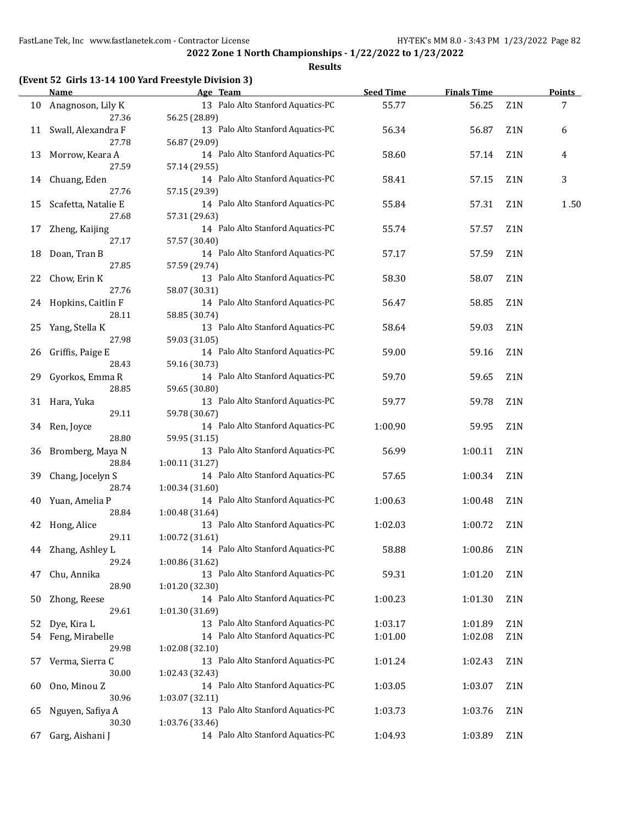#### **Results**

### **(Event 52 Girls 13-14 100 Yard Freestyle Division 3)**

|    | <b>Name</b>         | Age Team                                           | <b>Seed Time</b> | <b>Finals Time</b> |                  | <b>Points</b> |
|----|---------------------|----------------------------------------------------|------------------|--------------------|------------------|---------------|
| 10 | Anagnoson, Lily K   | 13 Palo Alto Stanford Aquatics-PC                  | 55.77            | 56.25              | Z1N              | 7             |
|    | 27.36               | 56.25 (28.89)                                      |                  |                    |                  |               |
| 11 | Swall, Alexandra F  | 13 Palo Alto Stanford Aquatics-PC                  | 56.34            | 56.87              | Z1N              | 6             |
|    | 27.78               | 56.87 (29.09)                                      |                  |                    |                  |               |
| 13 | Morrow, Keara A     | 14 Palo Alto Stanford Aquatics-PC                  | 58.60            | 57.14              | Z <sub>1</sub> N | 4             |
|    | 27.59               | 57.14 (29.55)                                      |                  |                    |                  |               |
| 14 | Chuang, Eden        | 14 Palo Alto Stanford Aquatics-PC                  | 58.41            | 57.15              | Z <sub>1</sub> N | 3             |
|    | 27.76               | 57.15 (29.39)                                      |                  |                    |                  |               |
| 15 | Scafetta, Natalie E | 14 Palo Alto Stanford Aquatics-PC                  | 55.84            | 57.31              | Z <sub>1</sub> N | 1.50          |
|    | 27.68               | 57.31 (29.63)                                      |                  |                    |                  |               |
| 17 | Zheng, Kaijing      | 14 Palo Alto Stanford Aquatics-PC                  | 55.74            | 57.57              | Z <sub>1</sub> N |               |
|    | 27.17               | 57.57 (30.40)                                      |                  |                    |                  |               |
| 18 | Doan, Tran B        | 14 Palo Alto Stanford Aquatics-PC                  | 57.17            | 57.59              | Z <sub>1</sub> N |               |
|    | 27.85               | 57.59 (29.74)                                      |                  |                    |                  |               |
| 22 | Chow, Erin K        | 13 Palo Alto Stanford Aquatics-PC                  | 58.30            | 58.07              | Z <sub>1</sub> N |               |
|    | 27.76               | 58.07 (30.31)                                      |                  |                    |                  |               |
| 24 | Hopkins, Caitlin F  | 14 Palo Alto Stanford Aquatics-PC                  | 56.47            | 58.85              | Z1N              |               |
|    | 28.11               | 58.85 (30.74)                                      |                  |                    |                  |               |
| 25 | Yang, Stella K      | 13 Palo Alto Stanford Aquatics-PC                  | 58.64            | 59.03              | Z1N              |               |
|    | 27.98               | 59.03 (31.05)                                      |                  |                    |                  |               |
| 26 | Griffis, Paige E    | 14 Palo Alto Stanford Aquatics-PC                  | 59.00            | 59.16              | Z1N              |               |
|    | 28.43               | 59.16 (30.73)                                      |                  |                    |                  |               |
|    |                     | 14 Palo Alto Stanford Aquatics-PC                  |                  |                    |                  |               |
| 29 | Gyorkos, Emma R     |                                                    | 59.70            | 59.65              | Z1N              |               |
|    | 28.85               | 59.65 (30.80)<br>13 Palo Alto Stanford Aquatics-PC |                  |                    |                  |               |
| 31 | Hara, Yuka          |                                                    | 59.77            | 59.78              | Z <sub>1</sub> N |               |
|    | 29.11               | 59.78 (30.67)                                      |                  |                    |                  |               |
| 34 | Ren, Joyce          | 14 Palo Alto Stanford Aquatics-PC                  | 1:00.90          | 59.95              | Z1N              |               |
|    | 28.80               | 59.95 (31.15)                                      |                  |                    |                  |               |
| 36 | Bromberg, Maya N    | 13 Palo Alto Stanford Aquatics-PC                  | 56.99            | 1:00.11            | Z1N              |               |
|    | 28.84               | 1:00.11 (31.27)                                    |                  |                    |                  |               |
| 39 | Chang, Jocelyn S    | 14 Palo Alto Stanford Aquatics-PC                  | 57.65            | 1:00.34            | Z1N              |               |
|    | 28.74               | 1:00.34 (31.60)                                    |                  |                    |                  |               |
| 40 | Yuan, Amelia P      | 14 Palo Alto Stanford Aquatics-PC                  | 1:00.63          | 1:00.48            | Z1N              |               |
|    | 28.84               | 1:00.48(31.64)                                     |                  |                    |                  |               |
| 42 | Hong, Alice         | 13 Palo Alto Stanford Aquatics-PC                  | 1:02.03          | 1:00.72            | Z <sub>1</sub> N |               |
|    | 29.11               | 1:00.72(31.61)                                     |                  |                    |                  |               |
| 44 | Zhang, Ashley L     | 14 Palo Alto Stanford Aquatics-PC                  | 58.88            | 1:00.86            | Z <sub>1</sub> N |               |
|    | 29.24               | 1:00.86 (31.62)                                    |                  |                    |                  |               |
| 47 | Chu, Annika         | 13 Palo Alto Stanford Aquatics-PC                  | 59.31            | 1:01.20            | Z1N              |               |
|    | 28.90               | 1:01.20 (32.30)                                    |                  |                    |                  |               |
| 50 | Zhong, Reese        | 14 Palo Alto Stanford Aquatics-PC                  | 1:00.23          | 1:01.30            | Z1N              |               |
|    | 29.61               | 1:01.30 (31.69)                                    |                  |                    |                  |               |
| 52 | Dye, Kira L         | 13 Palo Alto Stanford Aquatics-PC                  | 1:03.17          | 1:01.89            | Z1N              |               |
| 54 | Feng, Mirabelle     | 14 Palo Alto Stanford Aquatics-PC                  | 1:01.00          | 1:02.08            | Z <sub>1</sub> N |               |
|    | 29.98               | 1:02.08 (32.10)                                    |                  |                    |                  |               |
| 57 | Verma, Sierra C     | 13 Palo Alto Stanford Aquatics-PC                  | 1:01.24          | 1:02.43            | Z <sub>1</sub> N |               |
|    | 30.00               | 1:02.43 (32.43)                                    |                  |                    |                  |               |
| 60 | Ono, Minou Z        | 14 Palo Alto Stanford Aquatics-PC                  | 1:03.05          | 1:03.07            | Z <sub>1</sub> N |               |
|    | 30.96               | 1:03.07 (32.11)                                    |                  |                    |                  |               |
| 65 | Nguyen, Safiya A    | 13 Palo Alto Stanford Aquatics-PC                  | 1:03.73          | 1:03.76            | Z <sub>1</sub> N |               |
|    | 30.30               | 1:03.76 (33.46)                                    |                  |                    |                  |               |
| 67 | Garg, Aishani J     | 14 Palo Alto Stanford Aquatics-PC                  | 1:04.93          | 1:03.89            | Z1N              |               |
|    |                     |                                                    |                  |                    |                  |               |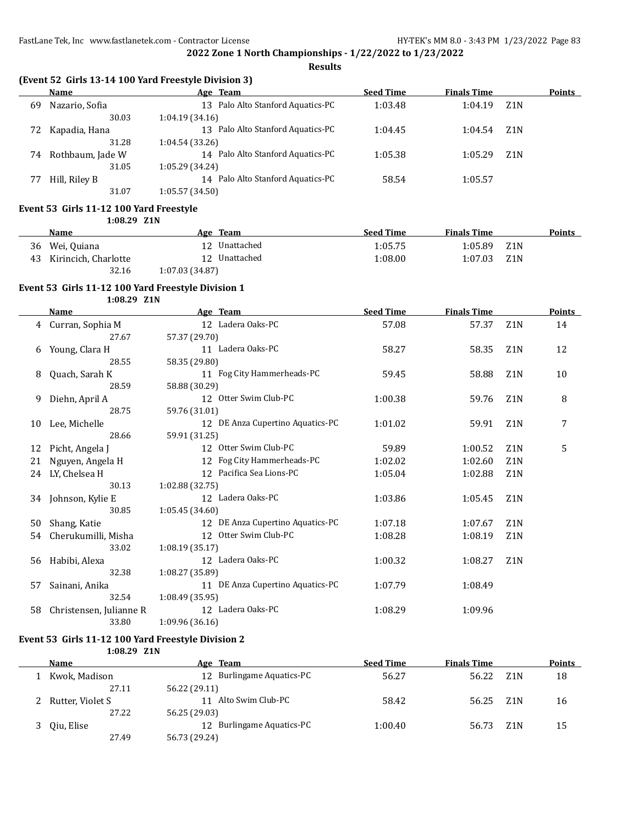**Results**

## **(Event 52 Girls 13-14 100 Yard Freestyle Division 3)**

| <b>Name</b>      | Age Team                          |         | <b>Finals Time</b> |                  | <b>Points</b> |
|------------------|-----------------------------------|---------|--------------------|------------------|---------------|
| Nazario, Sofia   | 13 Palo Alto Stanford Aquatics-PC | 1:03.48 | 1:04.19            | Z <sub>1</sub> N |               |
| 30.03            | 1:04.19(34.16)                    |         |                    |                  |               |
| Kapadia, Hana    | 13 Palo Alto Stanford Aquatics-PC | 1:04.45 | 1:04.54            | Z1N              |               |
| 31.28            | 1:04.54(33.26)                    |         |                    |                  |               |
| Rothbaum, Jade W | 14 Palo Alto Stanford Aquatics-PC | 1:05.38 | 1:05.29            | Z1N              |               |
| 31.05            | 1:05.29(34.24)                    |         |                    |                  |               |
| Hill, Riley B    | 14 Palo Alto Stanford Aquatics-PC | 58.54   | 1:05.57            |                  |               |
| 31.07            | 1:05.57(34.50)                    |         |                    |                  |               |
|                  | 72                                |         | <b>Seed Time</b>   |                  |               |

#### **Event 53 Girls 11-12 100 Yard Freestyle 1:08.29 Z1N**

|    | <b>Name</b>          |                | Age Team      | <b>Seed Time</b> | <b>Finals Time</b> |     | Points |
|----|----------------------|----------------|---------------|------------------|--------------------|-----|--------|
|    | 36 Wei, Quiana       |                | 12 Unattached | 1:05.75          | 1:05.89            | Z1N |        |
| 43 | Kirincich, Charlotte |                | 12 Unattached | 1:08.00          | 1:07.03            | Z1N |        |
|    | 32.16                | 1:07.03(34.87) |               |                  |                    |     |        |

### **Event 53 Girls 11-12 100 Yard Freestyle Division 1**

**1:08.29 Z1N**

|    | Name                    | Age Team                         | <b>Seed Time</b> | <b>Finals Time</b> |                  | <b>Points</b> |
|----|-------------------------|----------------------------------|------------------|--------------------|------------------|---------------|
| 4  | Curran, Sophia M        | 12 Ladera Oaks-PC                | 57.08            | 57.37              | Z <sub>1</sub> N | 14            |
|    | 27.67                   | 57.37 (29.70)                    |                  |                    |                  |               |
| 6  | Young, Clara H          | 11 Ladera Oaks-PC                | 58.27            | 58.35              | Z1N              | 12            |
|    | 28.55                   | 58.35 (29.80)                    |                  |                    |                  |               |
| 8  | Quach, Sarah K          | 11 Fog City Hammerheads-PC       | 59.45            | 58.88              | Z <sub>1</sub> N | 10            |
|    | 28.59                   | 58.88 (30.29)                    |                  |                    |                  |               |
| 9  | Diehn, April A          | 12 Otter Swim Club-PC            | 1:00.38          | 59.76              | Z1N              | 8             |
|    | 28.75                   | 59.76 (31.01)                    |                  |                    |                  |               |
| 10 | Lee, Michelle           | 12 DE Anza Cupertino Aquatics-PC | 1:01.02          | 59.91              | Z1N              | 7             |
|    | 28.66                   | 59.91 (31.25)                    |                  |                    |                  |               |
| 12 | Picht, Angela J         | 12 Otter Swim Club-PC            | 59.89            | 1:00.52            | Z <sub>1</sub> N | 5             |
| 21 | Nguyen, Angela H        | Fog City Hammerheads-PC<br>12    | 1:02.02          | 1:02.60            | Z <sub>1</sub> N |               |
| 24 | LY, Chelsea H           | 12 Pacifica Sea Lions-PC         | 1:05.04          | 1:02.88            | Z1N              |               |
|    | 30.13                   | 1:02.88(32.75)                   |                  |                    |                  |               |
|    | 34 Johnson, Kylie E     | 12 Ladera Oaks-PC                | 1:03.86          | 1:05.45            | Z <sub>1</sub> N |               |
|    | 30.85                   | 1:05.45(34.60)                   |                  |                    |                  |               |
| 50 | Shang, Katie            | 12 DE Anza Cupertino Aquatics-PC | 1:07.18          | 1:07.67            | Z <sub>1</sub> N |               |
| 54 | Cherukumilli, Misha     | 12 Otter Swim Club-PC            | 1:08.28          | 1:08.19            | Z <sub>1</sub> N |               |
|    | 33.02                   | 1:08.19(35.17)                   |                  |                    |                  |               |
| 56 | Habibi, Alexa           | 12 Ladera Oaks-PC                | 1:00.32          | 1:08.27            | Z <sub>1</sub> N |               |
|    | 32.38                   | 1:08.27 (35.89)                  |                  |                    |                  |               |
| 57 | Sainani, Anika          | 11 DE Anza Cupertino Aquatics-PC | 1:07.79          | 1:08.49            |                  |               |
|    | 32.54                   | 1:08.49(35.95)                   |                  |                    |                  |               |
| 58 | Christensen, Julianne R | 12 Ladera Oaks-PC                | 1:08.29          | 1:09.96            |                  |               |
|    | 33.80                   | 1:09.96 (36.16)                  |                  |                    |                  |               |

### **Event 53 Girls 11-12 100 Yard Freestyle Division 2**

**1:08.29 Z1N**

| Name               | Age Team                  | <b>Seed Time</b> | <b>Finals Time</b> |                  | <b>Points</b> |
|--------------------|---------------------------|------------------|--------------------|------------------|---------------|
| Kwok, Madison      | 12 Burlingame Aquatics-PC | 56.27            | 56.22              | Z <sub>1</sub> N | 18            |
| 27.11              | 56.22 (29.11)             |                  |                    |                  |               |
| 2 Rutter, Violet S | 11 Alto Swim Club-PC      | 58.42            | 56.25              | Z <sub>1</sub> N | 16            |
| 27.22              | 56.25 (29.03)             |                  |                    |                  |               |
| Qiu, Elise         | 12 Burlingame Aquatics-PC | 1:00.40          | 56.73              | Z1N              | 15            |
| 27.49              | 56.73 (29.24)             |                  |                    |                  |               |
|                    |                           |                  |                    |                  |               |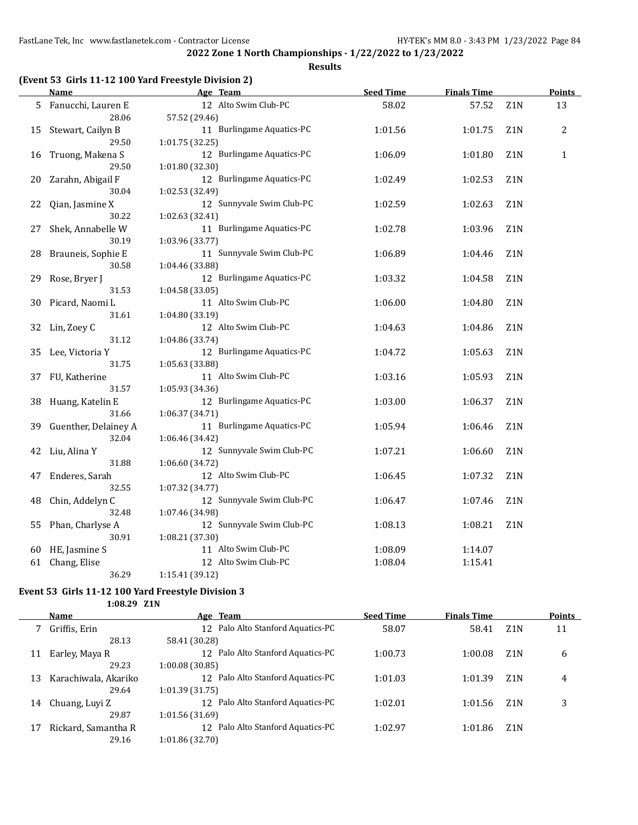### **Results**

## **(Event 53 Girls 11-12 100 Yard Freestyle Division 2)**

|    | <b>Name</b>          | Age Team                  | <b>Seed Time</b> | <b>Finals Time</b> |                  | <b>Points</b> |
|----|----------------------|---------------------------|------------------|--------------------|------------------|---------------|
| 5  | Fanucchi, Lauren E   | 12 Alto Swim Club-PC      | 58.02            | 57.52              | Z1N              | 13            |
|    | 28.06                | 57.52 (29.46)             |                  |                    |                  |               |
| 15 | Stewart, Cailyn B    | 11 Burlingame Aquatics-PC | 1:01.56          | 1:01.75            | Z1N              | 2             |
|    | 29.50                | 1:01.75 (32.25)           |                  |                    |                  |               |
| 16 | Truong, Makena S     | 12 Burlingame Aquatics-PC | 1:06.09          | 1:01.80            | Z1N              | $\mathbf{1}$  |
|    | 29.50                | 1:01.80 (32.30)           |                  |                    |                  |               |
| 20 | Zarahn, Abigail F    | 12 Burlingame Aquatics-PC | 1:02.49          | 1:02.53            | Z1N              |               |
|    | 30.04                | 1:02.53 (32.49)           |                  |                    |                  |               |
| 22 | Qian, Jasmine X      | 12 Sunnyvale Swim Club-PC | 1:02.59          | 1:02.63            | Z1N              |               |
|    | 30.22                | 1:02.63 (32.41)           |                  |                    |                  |               |
| 27 | Shek, Annabelle W    | 11 Burlingame Aquatics-PC | 1:02.78          | 1:03.96            | Z1N              |               |
|    | 30.19                | 1:03.96 (33.77)           |                  |                    |                  |               |
| 28 | Brauneis, Sophie E   | 11 Sunnyvale Swim Club-PC | 1:06.89          | 1:04.46            | Z1N              |               |
|    | 30.58                | 1:04.46 (33.88)           |                  |                    |                  |               |
| 29 | Rose, Bryer J        | 12 Burlingame Aquatics-PC | 1:03.32          | 1:04.58            | Z1N              |               |
|    | 31.53                | 1:04.58 (33.05)           |                  |                    |                  |               |
| 30 | Picard, Naomi L      | 11 Alto Swim Club-PC      | 1:06.00          | 1:04.80            | Z1N              |               |
|    | 31.61                | 1:04.80 (33.19)           |                  |                    |                  |               |
| 32 | Lin, Zoey C          | 12 Alto Swim Club-PC      | 1:04.63          | 1:04.86            | Z1N              |               |
|    | 31.12                | 1:04.86 (33.74)           |                  |                    |                  |               |
| 35 | Lee, Victoria Y      | 12 Burlingame Aquatics-PC | 1:04.72          | 1:05.63            | Z1N              |               |
|    | 31.75                | 1:05.63 (33.88)           |                  |                    |                  |               |
| 37 | FU, Katherine        | 11 Alto Swim Club-PC      | 1:03.16          | 1:05.93            | Z1N              |               |
|    | 31.57                | 1:05.93 (34.36)           |                  |                    |                  |               |
| 38 | Huang, Katelin E     | 12 Burlingame Aquatics-PC | 1:03.00          | 1:06.37            | Z1N              |               |
|    | 31.66                | 1:06.37 (34.71)           |                  |                    |                  |               |
| 39 | Guenther, Delainey A | 11 Burlingame Aquatics-PC | 1:05.94          | 1:06.46            | Z <sub>1</sub> N |               |
|    | 32.04                | 1:06.46 (34.42)           |                  |                    |                  |               |
| 42 | Liu, Alina Y         | 12 Sunnyvale Swim Club-PC | 1:07.21          | 1:06.60            | Z1N              |               |
|    | 31.88                | 1:06.60 (34.72)           |                  |                    |                  |               |
| 47 | Enderes, Sarah       | 12 Alto Swim Club-PC      | 1:06.45          | 1:07.32            | Z1N              |               |
|    | 32.55                | 1:07.32 (34.77)           |                  |                    |                  |               |
| 48 | Chin, Addelyn C      | 12 Sunnyvale Swim Club-PC | 1:06.47          | 1:07.46            | Z1N              |               |
|    | 32.48                | 1:07.46 (34.98)           |                  |                    |                  |               |
| 55 | Phan, Charlyse A     | 12 Sunnyvale Swim Club-PC | 1:08.13          | 1:08.21            | Z1N              |               |
|    | 30.91                | 1:08.21 (37.30)           |                  |                    |                  |               |
| 60 | HE, Jasmine S        | 11 Alto Swim Club-PC      | 1:08.09          | 1:14.07            |                  |               |
| 61 | Chang, Elise         | 12 Alto Swim Club-PC      | 1:08.04          | 1:15.41            |                  |               |
|    | 36.29                | 1:15.41 (39.12)           |                  |                    |                  |               |

#### **Event 53 Girls 11-12 100 Yard Freestyle Division 3**

**1:08.29 Z1N**

|    | Name                 | Age Team                                          | <b>Seed Time</b> | <b>Finals Time</b> |                  | <b>Points</b> |
|----|----------------------|---------------------------------------------------|------------------|--------------------|------------------|---------------|
|    | Griffis, Erin        | 12 Palo Alto Stanford Aquatics-PC                 | 58.07            | 58.41              | Z <sub>1</sub> N | 11            |
|    | 28.13                | 58.41 (30.28)                                     |                  |                    |                  |               |
| 11 | Earley, Maya R       | Palo Alto Stanford Aquatics-PC<br>12 <sup>°</sup> | 1:00.73          | 1:00.08            | Z <sub>1</sub> N | 6             |
|    | 29.23                | 1:00.08(30.85)                                    |                  |                    |                  |               |
| 13 | Karachiwala, Akariko | 12 Palo Alto Stanford Aquatics-PC                 | 1:01.03          | 1:01.39            | Z <sub>1</sub> N | 4             |
|    | 29.64                | 1:01.39(31.75)                                    |                  |                    |                  |               |
| 14 | Chuang, Luyi Z       | 12 Palo Alto Stanford Aquatics-PC                 | 1:02.01          | 1:01.56            | Z <sub>1</sub> N | 3             |
|    | 29.87                | 1:01.56(31.69)                                    |                  |                    |                  |               |
| 17 | Rickard, Samantha R  | 12 Palo Alto Stanford Aquatics-PC                 | 1:02.97          | 1:01.86            | Z <sub>1</sub> N |               |
|    | 29.16                | 1:01.86 (32.70)                                   |                  |                    |                  |               |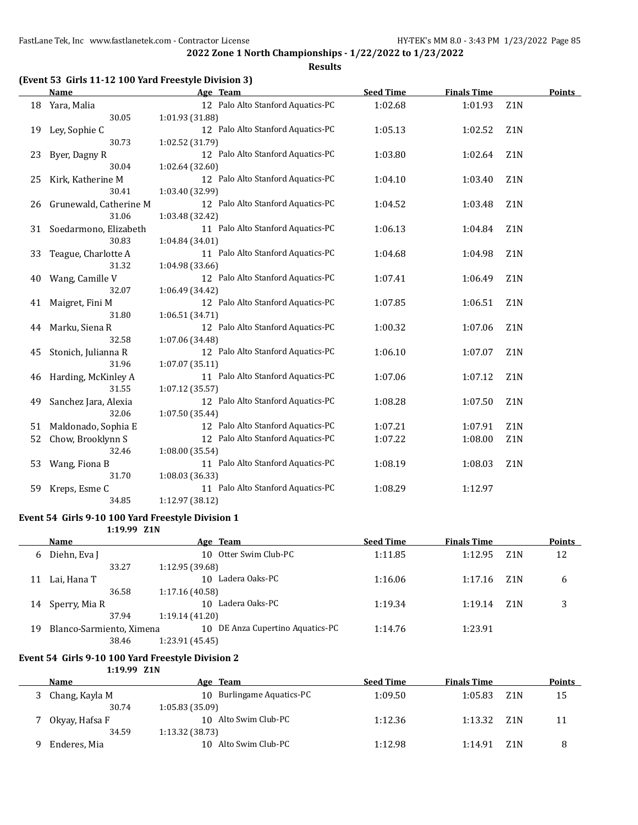**Results**

### **(Event 53 Girls 11-12 100 Yard Freestyle Division 3)**

|    | <b>Name</b>            | Age Team                          | <b>Seed Time</b> | <b>Finals Time</b> |                  | <b>Points</b> |
|----|------------------------|-----------------------------------|------------------|--------------------|------------------|---------------|
| 18 | Yara, Malia            | 12 Palo Alto Stanford Aquatics-PC | 1:02.68          | 1:01.93            | Z <sub>1</sub> N |               |
|    | 30.05                  | 1:01.93 (31.88)                   |                  |                    |                  |               |
| 19 | Ley, Sophie C          | 12 Palo Alto Stanford Aquatics-PC | 1:05.13          | 1:02.52            | Z <sub>1</sub> N |               |
|    | 30.73                  | 1:02.52 (31.79)                   |                  |                    |                  |               |
| 23 | Byer, Dagny R          | 12 Palo Alto Stanford Aquatics-PC | 1:03.80          | 1:02.64            | Z <sub>1</sub> N |               |
|    | 30.04                  | 1:02.64 (32.60)                   |                  |                    |                  |               |
| 25 | Kirk, Katherine M      | 12 Palo Alto Stanford Aquatics-PC | 1:04.10          | 1:03.40            | Z1N              |               |
|    | 30.41                  | 1:03.40 (32.99)                   |                  |                    |                  |               |
| 26 | Grunewald, Catherine M | 12 Palo Alto Stanford Aquatics-PC | 1:04.52          | 1:03.48            | Z <sub>1</sub> N |               |
|    | 31.06                  | 1:03.48 (32.42)                   |                  |                    |                  |               |
| 31 | Soedarmono, Elizabeth  | 11 Palo Alto Stanford Aquatics-PC | 1:06.13          | 1:04.84            | Z <sub>1</sub> N |               |
|    | 30.83                  | 1:04.84 (34.01)                   |                  |                    |                  |               |
| 33 | Teague, Charlotte A    | 11 Palo Alto Stanford Aquatics-PC | 1:04.68          | 1:04.98            | Z <sub>1</sub> N |               |
|    | 31.32                  | 1:04.98 (33.66)                   |                  |                    |                  |               |
| 40 | Wang, Camille V        | 12 Palo Alto Stanford Aquatics-PC | 1:07.41          | 1:06.49            | Z1N              |               |
|    | 32.07                  | 1:06.49 (34.42)                   |                  |                    |                  |               |
| 41 | Maigret, Fini M        | 12 Palo Alto Stanford Aquatics-PC | 1:07.85          | 1:06.51            | Z <sub>1</sub> N |               |
|    | 31.80                  | 1:06.51 (34.71)                   |                  |                    |                  |               |
| 44 | Marku, Siena R         | 12 Palo Alto Stanford Aquatics-PC | 1:00.32          | 1:07.06            | Z <sub>1</sub> N |               |
|    | 32.58                  | 1:07.06 (34.48)                   |                  |                    |                  |               |
| 45 | Stonich, Julianna R    | 12 Palo Alto Stanford Aquatics-PC | 1:06.10          | 1:07.07            | Z <sub>1</sub> N |               |
|    | 31.96                  | 1:07.07(35.11)                    |                  |                    |                  |               |
| 46 | Harding, McKinley A    | 11 Palo Alto Stanford Aquatics-PC | 1:07.06          | 1:07.12            | Z <sub>1</sub> N |               |
|    | 31.55                  | 1:07.12 (35.57)                   |                  |                    |                  |               |
| 49 | Sanchez Jara, Alexia   | 12 Palo Alto Stanford Aquatics-PC | 1:08.28          | 1:07.50            | Z1N              |               |
|    | 32.06                  | 1:07.50 (35.44)                   |                  |                    |                  |               |
| 51 | Maldonado, Sophia E    | 12 Palo Alto Stanford Aquatics-PC | 1:07.21          | 1:07.91            | Z1N              |               |
| 52 | Chow, Brooklynn S      | 12 Palo Alto Stanford Aquatics-PC | 1:07.22          | 1:08.00            | Z1N              |               |
|    | 32.46                  | 1:08.00 (35.54)                   |                  |                    |                  |               |
| 53 | Wang, Fiona B          | 11 Palo Alto Stanford Aquatics-PC | 1:08.19          | 1:08.03            | Z1N              |               |
|    | 31.70                  | 1:08.03 (36.33)                   |                  |                    |                  |               |
| 59 | Kreps, Esme C          | 11 Palo Alto Stanford Aquatics-PC | 1:08.29          | 1:12.97            |                  |               |
|    | 34.85                  | 1:12.97 (38.12)                   |                  |                    |                  |               |

### **Event 54 Girls 9-10 100 Yard Freestyle Division 1**

**1:19.99 Z1N**

|    | Name                     | Age Team                         | <b>Seed Time</b> | <b>Finals Time</b> |                  | <b>Points</b> |
|----|--------------------------|----------------------------------|------------------|--------------------|------------------|---------------|
| 6  | Diehn, Eva J             | 10 Otter Swim Club-PC            | 1:11.85          | 1:12.95            | Z <sub>1</sub> N | 12            |
|    | 33.27                    | 1:12.95 (39.68)                  |                  |                    |                  |               |
| 11 | Lai, Hana T              | 10 Ladera Oaks-PC                | 1:16.06          | 1:17.16            | Z1N              | 6             |
|    | 36.58                    | 1:17.16(40.58)                   |                  |                    |                  |               |
| 14 | Sperry, Mia R            | 10 Ladera Oaks-PC                | 1:19.34          | 1:19.14            | Z <sub>1</sub> N | 3             |
|    | 37.94                    | 1:19.14(41.20)                   |                  |                    |                  |               |
| 19 | Blanco-Sarmiento, Ximena | 10 DE Anza Cupertino Aquatics-PC | 1:14.76          | 1:23.91            |                  |               |
|    | 38.46                    | 1:23.91 (45.45)                  |                  |                    |                  |               |

#### **Event 54 Girls 9-10 100 Yard Freestyle Division 2**

**1:19.99 Z1N**

| <b>Name</b>    | Age Team                            | <b>Seed Time</b> | <b>Finals Time</b> |                  | <b>Points</b> |
|----------------|-------------------------------------|------------------|--------------------|------------------|---------------|
| Chang, Kayla M | <b>Burlingame Aquatics-PC</b><br>10 | 1:09.50          | 1:05.83            | Z <sub>1</sub> N | 15            |
| 30.74          | 1:05.83 (35.09)                     |                  |                    |                  |               |
| Okyay, Hafsa F | 10 Alto Swim Club-PC                | 1:12.36          | 1:13.32            | Z <sub>1</sub> N | 11            |
| 34.59          | $1:13.32$ (38.73)                   |                  |                    |                  |               |
| Enderes, Mia   | Alto Swim Club-PC<br>10.            | 1:12.98          | 1:14.91            | Z1N              |               |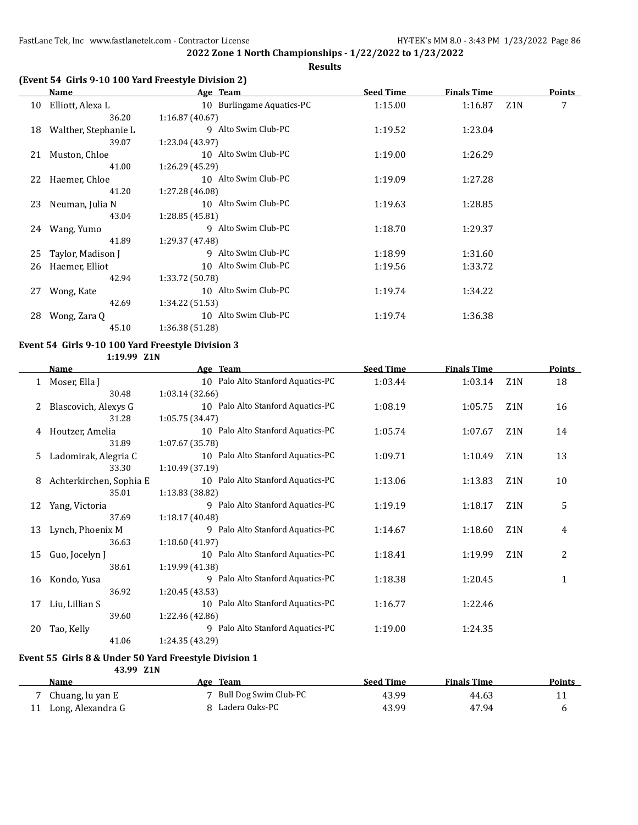### **Results**

#### **(Event 54 Girls 9-10 100 Yard Freestyle Division 2)**

|    | Name                 | Age Team                  | <b>Seed Time</b><br><b>Finals Time</b> |         |     | <b>Points</b> |
|----|----------------------|---------------------------|----------------------------------------|---------|-----|---------------|
| 10 | Elliott, Alexa L     | 10 Burlingame Aquatics-PC | 1:15.00                                | 1:16.87 | Z1N | 7             |
|    | 36.20                | 1:16.87(40.67)            |                                        |         |     |               |
| 18 | Walther, Stephanie L | 9 Alto Swim Club-PC       | 1:19.52                                | 1:23.04 |     |               |
|    | 39.07                | 1:23.04 (43.97)           |                                        |         |     |               |
| 21 | Muston, Chloe        | 10 Alto Swim Club-PC      | 1:19.00                                | 1:26.29 |     |               |
|    | 41.00                | 1:26.29 (45.29)           |                                        |         |     |               |
| 22 | Haemer, Chloe        | 10 Alto Swim Club-PC      | 1:19.09                                | 1:27.28 |     |               |
|    | 41.20                | 1:27.28 (46.08)           |                                        |         |     |               |
| 23 | Neuman, Julia N      | 10 Alto Swim Club-PC      | 1:19.63                                | 1:28.85 |     |               |
|    | 43.04                | 1:28.85 (45.81)           |                                        |         |     |               |
|    | 24 Wang, Yumo        | 9 Alto Swim Club-PC       | 1:18.70                                | 1:29.37 |     |               |
|    | 41.89                | 1:29.37 (47.48)           |                                        |         |     |               |
| 25 | Taylor, Madison J    | 9 Alto Swim Club-PC       | 1:18.99                                | 1:31.60 |     |               |
| 26 | Haemer, Elliot       | 10 Alto Swim Club-PC      | 1:19.56                                | 1:33.72 |     |               |
|    | 42.94                | 1:33.72 (50.78)           |                                        |         |     |               |
| 27 | Wong, Kate           | 10 Alto Swim Club-PC      | 1:19.74                                | 1:34.22 |     |               |
|    | 42.69                | 1:34.22(51.53)            |                                        |         |     |               |
| 28 | Wong, Zara Q         | 10 Alto Swim Club-PC      | 1:19.74                                | 1:36.38 |     |               |
|    | 45.10                | 1:36.38 (51.28)           |                                        |         |     |               |
|    |                      |                           |                                        |         |     |               |

#### **Event 54 Girls 9-10 100 Yard Freestyle Division 3 1:19.99 Z1N**

**Name Age Team Seed Time Finals Time Points** 1 Moser, Ella J 10 Palo Alto Stanford Aquatics-PC 1:03.44 1:03.14 21N 18 30.48 1:03.14 (32.66) 2 Blascovich, Alexys G 10 Palo Alto Stanford Aquatics-PC 1:08.19 1:05.75 Z1N 16 31.28 1:05.75 (34.47) 4 Houtzer, Amelia 10 Palo Alto Stanford Aquatics-PC 1:05.74 1:07.67 Z1N 14 31.89 1:07.67 (35.78) 5 Ladomirak, Alegria C 10 Palo Alto Stanford Aquatics-PC 1:09.71 1:10.49 Z1N 13 33.30 1:10.49 (37.19) 8 Achterkirchen, Sophia E 10 Palo Alto Stanford Aquatics-PC 1:13.06 1:13.83 Z1N 10 35.01 1:13.83 (38.82) 12 Yang, Victoria 19 9 Palo Alto Stanford Aquatics-PC 1:19.19 1:18.17 21N 5 37.69 1:18.17 (40.48) 13 Lynch, Phoenix M 9 Palo Alto Stanford Aquatics-PC 1:14.67 1:18.60 Z1N 4 36.63 1:18.60 (41.97) 15 Guo, Jocelyn J 10 Palo Alto Stanford Aquatics-PC 1:18.41 1:19.99 Z1N 2 38.61 1:19.99 (41.38) 16 Kondo, Yusa 9 Palo Alto Stanford Aquatics-PC 1:18.38 1:20.45 1 36.92 1:20.45 (43.53) 17 Liu, Lillian S<br>1.22.46 39.60 1:22.46 (42.86) 20 Tao, Kelly **1:24.35** 9 Palo Alto Stanford Aquatics-PC 1:19.00 1:24.35 41.06 1:24.35 (43.29)

### **Event 55 Girls 8 & Under 50 Yard Freestyle Division 1**

| 43.99 Z1N            |                         |                  |                    |               |
|----------------------|-------------------------|------------------|--------------------|---------------|
| Name                 | Age Team                | <b>Seed Time</b> | <b>Finals Time</b> | <b>Points</b> |
| 7 Chuang, lu yan E   | 7 Bull Dog Swim Club-PC | 43.99            | 44.63              |               |
| 11 Long, Alexandra G | Ladera Oaks-PC          | 43.99            | 47.94              |               |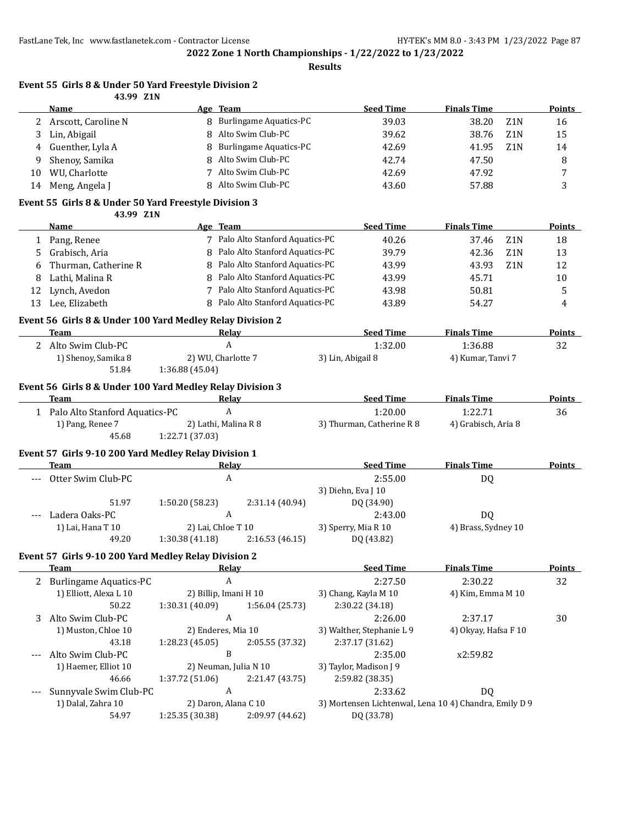**Results**

#### **Event 55 Girls 8 & Under 50 Yard Freestyle Division 2 43.99 Z1N**

|        | <b>Name</b>                                               |                 | Age Team                                     | <b>Seed Time</b>                             | <b>Finals Time</b>                                     | <b>Points</b> |
|--------|-----------------------------------------------------------|-----------------|----------------------------------------------|----------------------------------------------|--------------------------------------------------------|---------------|
| 2      | Arscott, Caroline N                                       |                 | 8 Burlingame Aquatics-PC                     | 39.03                                        | 38.20<br>Z1N                                           | 16            |
| 3      | Lin, Abigail                                              | 8               | Alto Swim Club-PC                            | 39.62                                        | 38.76<br>Z <sub>1</sub> N                              | 15            |
| 4      | Guenther, Lyla A                                          | 8               | <b>Burlingame Aquatics-PC</b>                | 42.69                                        | 41.95<br>Z <sub>1</sub> N                              | 14            |
| 9      | Shenoy, Samika                                            | 8               | Alto Swim Club-PC                            | 42.74                                        | 47.50                                                  | 8             |
| 10     | WU, Charlotte                                             | 7               | Alto Swim Club-PC                            | 42.69                                        | 47.92                                                  | 7             |
| 14     | Meng, Angela J                                            | 8               | Alto Swim Club-PC                            | 43.60                                        | 57.88                                                  | 3             |
|        | Event 55 Girls 8 & Under 50 Yard Freestyle Division 3     |                 |                                              |                                              |                                                        |               |
|        | 43.99 Z1N                                                 |                 |                                              |                                              |                                                        |               |
|        | Name                                                      |                 | Age Team                                     | <b>Seed Time</b>                             | <b>Finals Time</b>                                     | <b>Points</b> |
| 1      | Pang, Renee                                               |                 | 7 Palo Alto Stanford Aquatics-PC             | 40.26                                        | 37.46<br>Z1N                                           | 18            |
| 5      | Grabisch, Aria                                            |                 | 8 Palo Alto Stanford Aquatics-PC             | 39.79                                        | 42.36<br>Z1N                                           | 13            |
|        | Thurman, Catherine R                                      |                 | 8 Palo Alto Stanford Aquatics-PC             | 43.99                                        | 43.93<br>Z <sub>1</sub> N                              | 12            |
| 6<br>8 | Lathi, Malina R                                           | 8               | Palo Alto Stanford Aquatics-PC               | 43.99                                        | 45.71                                                  | 10            |
|        |                                                           |                 | 7 Palo Alto Stanford Aquatics-PC             |                                              |                                                        |               |
| 12     | Lynch, Avedon                                             |                 | 8 Palo Alto Stanford Aquatics-PC             | 43.98                                        | 50.81                                                  | 5             |
| 13     | Lee, Elizabeth                                            |                 |                                              | 43.89                                        | 54.27                                                  | 4             |
|        | Event 56 Girls 8 & Under 100 Yard Medley Relay Division 2 |                 |                                              |                                              |                                                        |               |
|        | Team                                                      |                 | <b>Relay</b>                                 | <b>Seed Time</b>                             | <b>Finals Time</b>                                     | <b>Points</b> |
|        | 2 Alto Swim Club-PC                                       |                 | A                                            | 1:32.00                                      | 1:36.88                                                | 32            |
|        | 1) Shenoy, Samika 8                                       |                 | 2) WU, Charlotte 7                           | 3) Lin, Abigail 8                            | 4) Kumar, Tanvi 7                                      |               |
|        | 51.84                                                     | 1:36.88 (45.04) |                                              |                                              |                                                        |               |
|        | Event 56 Girls 8 & Under 100 Yard Medley Relay Division 3 |                 |                                              |                                              |                                                        |               |
|        | <b>Team</b>                                               |                 | Relay                                        | <b>Seed Time</b>                             | <b>Finals Time</b>                                     | Points        |
|        | 1 Palo Alto Stanford Aquatics-PC                          |                 | $\boldsymbol{A}$                             | 1:20.00                                      | 1:22.71                                                | 36            |
|        | 1) Pang, Renee 7                                          |                 | 2) Lathi, Malina R 8                         | 3) Thurman, Catherine R 8                    | 4) Grabisch, Aria 8                                    |               |
|        | 45.68                                                     | 1:22.71 (37.03) |                                              |                                              |                                                        |               |
|        | Event 57 Girls 9-10 200 Yard Medley Relay Division 1      |                 |                                              |                                              |                                                        |               |
|        | Team                                                      |                 | <b>Relay</b>                                 | <b>Seed Time</b>                             | <b>Finals Time</b>                                     | <b>Points</b> |
|        | Otter Swim Club-PC                                        |                 | A                                            | 2:55.00                                      | DQ                                                     |               |
|        |                                                           |                 |                                              | 3) Diehn, Eva J 10                           |                                                        |               |
|        | 51.97                                                     | 1:50.20 (58.23) | 2:31.14 (40.94)                              | DQ (34.90)                                   |                                                        |               |
|        | Ladera Oaks-PC                                            |                 | A                                            | 2:43.00                                      | DQ                                                     |               |
|        | 1) Lai, Hana T 10                                         |                 | 2) Lai, Chloe T 10                           | 3) Sperry, Mia R 10                          | 4) Brass, Sydney 10                                    |               |
|        | 49.20                                                     | 1:30.38 (41.18) | 2:16.53 (46.15)                              | DQ (43.82)                                   |                                                        |               |
|        |                                                           |                 |                                              |                                              |                                                        |               |
|        | Event 57 Girls 9-10 200 Yard Medley Relay Division 2      |                 |                                              | <b>Seed Time</b>                             | <b>Finals Time</b>                                     | <b>Points</b> |
|        | <b>Team</b>                                               |                 | <u>Relay</u><br>$\boldsymbol{A}$             | 2:27.50                                      | 2:30.22                                                |               |
|        | 2 Burlingame Aquatics-PC<br>1) Elliott, Alexa L 10        |                 | 2) Billip, Imani H 10                        | 3) Chang, Kayla M 10                         | 4) Kim, Emma M 10                                      | 32            |
|        | 50.22                                                     | 1:30.31 (40.09) | 1:56.04 (25.73)                              | 2:30.22 (34.18)                              |                                                        |               |
|        |                                                           |                 | A                                            |                                              |                                                        |               |
| 3      | Alto Swim Club-PC                                         |                 |                                              | 2:26.00                                      | 2:37.17<br>4) Okyay, Hafsa F 10                        | 30            |
|        | 1) Muston, Chloe 10<br>43.18                              |                 | 2) Enderes, Mia 10<br>2:05.55 (37.32)        | 3) Walther, Stephanie L 9<br>2:37.17 (31.62) |                                                        |               |
|        | Alto Swim Club-PC                                         | 1:28.23 (45.05) | B                                            |                                              | x2:59.82                                               |               |
| $---$  | 1) Haemer, Elliot 10                                      |                 |                                              | 2:35.00                                      |                                                        |               |
|        | 46.66                                                     |                 | 2) Neuman, Julia N 10                        | 3) Taylor, Madison J 9                       |                                                        |               |
|        |                                                           | 1:37.72 (51.06) | 2:21.47 (43.75)<br>$\boldsymbol{\mathsf{A}}$ | 2:59.82 (38.35)<br>2:33.62                   |                                                        |               |
|        | Sunnyvale Swim Club-PC<br>1) Dalal, Zahra 10              |                 | 2) Daron, Alana C 10                         |                                              | DQ                                                     |               |
|        | 54.97                                                     | 1:25.35 (30.38) | 2:09.97 (44.62)                              | DQ (33.78)                                   | 3) Mortensen Lichtenwal, Lena 10 4) Chandra, Emily D 9 |               |
|        |                                                           |                 |                                              |                                              |                                                        |               |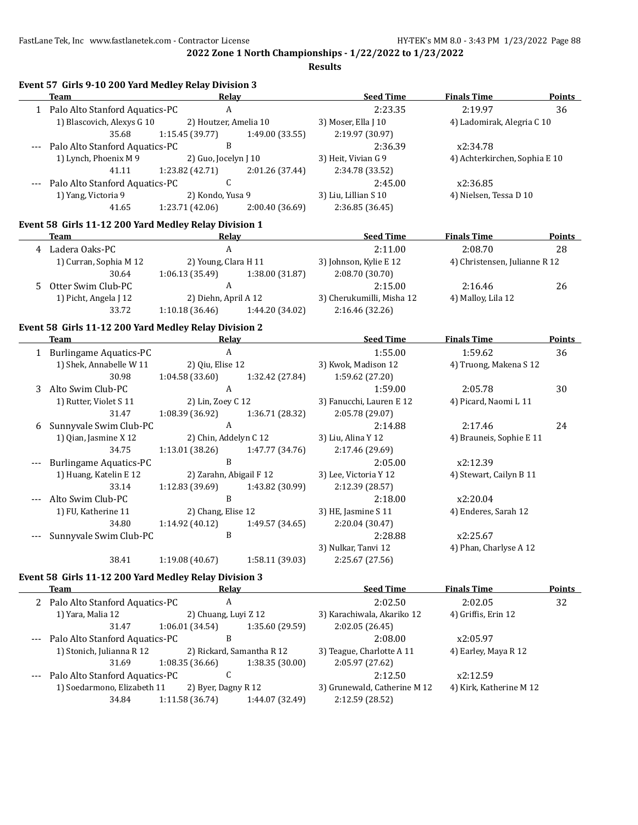**Results**

|             | Event 57 Girls 9-10 200 Yard Medley Relay Division 3  |                                         |                                   |                                                 |                               |               |
|-------------|-------------------------------------------------------|-----------------------------------------|-----------------------------------|-------------------------------------------------|-------------------------------|---------------|
|             | Team                                                  | Relay                                   |                                   | <b>Seed Time</b>                                | <b>Finals Time</b>            | Points        |
|             | 1 Palo Alto Stanford Aquatics-PC                      | A                                       |                                   | 2:23.35                                         | 2:19.97                       | 36            |
|             | 1) Blascovich, Alexys G 10                            | 2) Houtzer, Amelia 10                   |                                   | 3) Moser, Ella J 10                             | 4) Ladomirak, Alegria C 10    |               |
|             | 35.68                                                 | 1:15.45(39.77)                          | 1:49.00 (33.55)                   | 2:19.97 (30.97)                                 |                               |               |
|             | Palo Alto Stanford Aquatics-PC                        | B                                       |                                   | 2:36.39                                         | x2:34.78                      |               |
|             | 1) Lynch, Phoenix M 9                                 | 2) Guo, Jocelyn J 10                    |                                   | 3) Heit, Vivian G 9                             | 4) Achterkirchen, Sophia E 10 |               |
|             | 41.11                                                 | 1:23.82 (42.71)                         | 2:01.26 (37.44)                   | 2:34.78 (33.52)                                 |                               |               |
|             | Palo Alto Stanford Aquatics-PC                        | C                                       |                                   | 2:45.00                                         | x2:36.85                      |               |
|             | 1) Yang, Victoria 9                                   | 2) Kondo, Yusa 9                        |                                   | 3) Liu, Lillian S 10                            | 4) Nielsen, Tessa D 10        |               |
|             | 41.65                                                 | 1:23.71(42.06)                          | 2:00.40(36.69)                    | 2:36.85 (36.45)                                 |                               |               |
|             | Event 58 Girls 11-12 200 Yard Medley Relay Division 1 |                                         |                                   |                                                 |                               |               |
|             | Team                                                  | Relay                                   |                                   | <b>Seed Time</b>                                | <b>Finals Time</b>            | Points        |
|             | 4 Ladera Oaks-PC                                      | $\mathbf{A}$                            |                                   | 2:11.00                                         | 2:08.70                       | 28            |
|             | 1) Curran, Sophia M 12                                | 2) Young, Clara H 11                    |                                   | 3) Johnson, Kylie E 12                          | 4) Christensen, Julianne R 12 |               |
|             | 30.64                                                 | 1:06.13(35.49)                          | 1:38.00(31.87)                    | 2:08.70 (30.70)                                 |                               |               |
| 5.          | Otter Swim Club-PC                                    | $\boldsymbol{A}$                        |                                   | 2:15.00                                         | 2:16.46                       | 26            |
|             | 1) Picht, Angela J 12                                 | 2) Diehn, April A 12                    |                                   | 3) Cherukumilli, Misha 12                       | 4) Malloy, Lila 12            |               |
|             | 33.72                                                 |                                         | $1:10.18(36.46)$ $1:44.20(34.02)$ | 2:16.46 (32.26)                                 |                               |               |
|             | Event 58 Girls 11-12 200 Yard Medley Relay Division 2 |                                         |                                   |                                                 |                               |               |
|             | Team                                                  | Relay                                   |                                   | <b>Seed Time</b>                                | <b>Finals Time</b>            | <b>Points</b> |
|             | 1 Burlingame Aquatics-PC                              | $\mathbf{A}$                            |                                   | 1:55.00                                         | 1:59.62                       | 36            |
|             | 1) Shek, Annabelle W 11                               | 2) Qiu, Elise 12                        |                                   | 3) Kwok, Madison 12                             | 4) Truong, Makena S 12        |               |
|             | 30.98                                                 | 1:04.58(33.60)                          | 1:32.42 (27.84)                   | 1:59.62 (27.20)                                 |                               |               |
| 3           | Alto Swim Club-PC                                     | $\mathbf{A}$                            |                                   | 1:59.00                                         | 2:05.78                       | 30            |
|             | 1) Rutter, Violet S 11                                | 2) Lin, Zoey C 12                       |                                   | 3) Fanucchi, Lauren E 12                        | 4) Picard, Naomi L 11         |               |
|             | 31.47                                                 |                                         | $1:08.39(36.92)$ $1:36.71(28.32)$ | 2:05.78 (29.07)                                 |                               |               |
| 6           | Sunnyvale Swim Club-PC                                | $\mathbf{A}$                            |                                   | 2:14.88                                         | 2:17.46                       | 24            |
|             | 1) Qian, Jasmine X 12                                 | 2) Chin, Addelyn C 12                   |                                   | 3) Liu, Alina Y 12                              | 4) Brauneis, Sophie E 11      |               |
|             | 34.75                                                 |                                         | $1:13.01(38.26)$ $1:47.77(34.76)$ | 2:17.46 (29.69)                                 |                               |               |
|             |                                                       | $\, {\bf B}$                            |                                   |                                                 |                               |               |
|             | <b>Burlingame Aquatics-PC</b>                         |                                         |                                   | 2:05.00                                         | x2:12.39                      |               |
|             | 1) Huang, Katelin E 12                                | 2) Zarahn, Abigail F 12                 |                                   | 3) Lee, Victoria Y 12                           | 4) Stewart, Cailyn B 11       |               |
|             | 33.14                                                 |                                         | $1:12.83(39.69)$ $1:43.82(30.99)$ | 2:12.39 (28.57)                                 |                               |               |
|             | Alto Swim Club-PC                                     | $\mathbf{B}$                            |                                   | 2:18.00                                         | x2:20.04                      |               |
|             | 1) FU, Katherine 11                                   | 2) Chang, Elise 12                      |                                   | 3) HE, Jasmine S 11                             | 4) Enderes, Sarah 12          |               |
|             | 34.80                                                 | 1:14.92 (40.12) $1:49.57$ (34.65)       |                                   | 2:20.04 (30.47)                                 |                               |               |
|             | Sunnyvale Swim Club-PC                                | B                                       |                                   | 2:28.88                                         | x2:25.67                      |               |
|             |                                                       |                                         |                                   | 3) Nulkar, Tanvi 12                             | 4) Phan, Charlyse A 12        |               |
|             | 38.41                                                 | 1:19.08 (40.67)                         | 1:58.11 (39.03)                   | 2:25.67 (27.56)                                 |                               |               |
|             | Event 58 Girls 11-12 200 Yard Medley Relay Division 3 |                                         |                                   |                                                 |                               |               |
|             | Team                                                  | Relay                                   |                                   | <b>Seed Time</b>                                | <b>Finals Time</b>            | <b>Points</b> |
| $2^{\circ}$ | Palo Alto Stanford Aquatics-PC                        | A                                       |                                   | 2:02.50                                         | 2:02.05                       | 32            |
|             | 1) Yara, Malia 12<br>31.47                            | 2) Chuang, Luyi Z 12<br>1:06.01 (34.54) | 1:35.60 (29.59)                   | 3) Karachiwala, Akariko 12<br>2:02.05 (26.45)   | 4) Griffis, Erin 12           |               |
|             |                                                       | B                                       |                                   |                                                 |                               |               |
| ---         | Palo Alto Stanford Aquatics-PC                        |                                         |                                   | 2:08.00                                         | x2:05.97                      |               |
|             | 1) Stonich, Julianna R 12                             |                                         | 2) Rickard, Samantha R 12         | 3) Teague, Charlotte A 11                       | 4) Earley, Maya R 12          |               |
|             | 31.69                                                 | 1:08.35(36.66)                          | 1:38.35 (30.00)                   | 2:05.97 (27.62)                                 |                               |               |
| ---         | Palo Alto Stanford Aquatics-PC                        | C                                       |                                   | 2:12.50                                         | x2:12.59                      |               |
|             | 1) Soedarmono, Elizabeth 11<br>34.84                  | 2) Byer, Dagny R 12<br>1:11.58 (36.74)  | 1:44.07 (32.49)                   | 3) Grunewald, Catherine M 12<br>2:12.59 (28.52) | 4) Kirk, Katherine M 12       |               |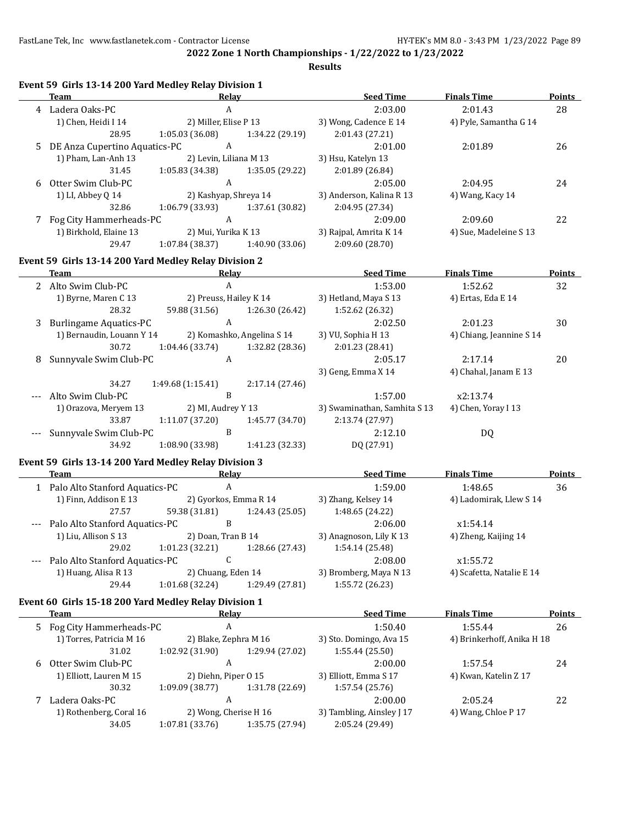**Results**

|   | <b>Team</b>                        | Event 59 Girls 13-14 200 Yard Medley Relay Division 1<br>Relay | <b>Seed Time</b>             | <b>Finals Time</b>         | <b>Points</b> |
|---|------------------------------------|----------------------------------------------------------------|------------------------------|----------------------------|---------------|
|   | 4 Ladera Oaks-PC                   | $\boldsymbol{A}$                                               | 2:03.00                      | 2:01.43                    | 28            |
|   | 1) Chen, Heidi I 14                | 2) Miller, Elise P 13                                          | 3) Wong, Cadence E 14        | 4) Pyle, Samantha G 14     |               |
|   | 28.95                              | 1:05.03 (36.08)<br>1:34.22 (29.19)                             | 2:01.43 (27.21)              |                            |               |
| 5 | DE Anza Cupertino Aquatics-PC      | $\mathbf{A}$                                                   | 2:01.00                      | 2:01.89                    | 26            |
|   | 1) Pham, Lan-Anh 13                | 2) Levin, Liliana M 13                                         | 3) Hsu, Katelyn 13           |                            |               |
|   | 31.45                              | 1:05.83 (34.38)<br>1:35.05 (29.22)                             | 2:01.89 (26.84)              |                            |               |
| 6 | Otter Swim Club-PC                 | $\mathbf{A}$                                                   | 2:05.00                      | 2:04.95                    | 24            |
|   | 1) LI, Abbey Q 14                  | 2) Kashyap, Shreya 14                                          | 3) Anderson, Kalina R 13     | 4) Wang, Kacy 14           |               |
|   | 32.86                              | 1:06.79 (33.93)<br>1:37.61 (30.82)                             | 2:04.95 (27.34)              |                            |               |
| 7 | Fog City Hammerheads-PC            | $\mathbf{A}$                                                   | 2:09.00                      | 2:09.60                    | 22            |
|   | 1) Birkhold, Elaine 13             | 2) Mui, Yurika K 13                                            | 3) Rajpal, Amrita K 14       | 4) Sue, Madeleine S 13     |               |
|   | 29.47                              | 1:07.84 (38.37)<br>1:40.90 (33.06)                             | 2:09.60 (28.70)              |                            |               |
|   |                                    | Event 59 Girls 13-14 200 Yard Medley Relay Division 2          |                              |                            |               |
|   | Team                               | <b>Relay</b>                                                   | <b>Example 2 Seed Time</b>   | <b>Finals Time</b>         | <b>Points</b> |
|   | 2 Alto Swim Club-PC                | $\mathbf{A}$                                                   | 1:53.00                      | 1:52.62                    | 32            |
|   | 1) Byrne, Maren C 13               | 2) Preuss, Hailey K 14                                         | 3) Hetland, Maya S 13        | 4) Ertas, Eda E 14         |               |
|   | 28.32                              | 59.88 (31.56)<br>1:26.30 (26.42)                               | 1:52.62 (26.32)              |                            |               |
| 3 | <b>Burlingame Aquatics-PC</b>      | $\mathbf{A}$                                                   | 2:02.50                      | 2:01.23                    | 30            |
|   | 1) Bernaudin, Louann Y 14          | 2) Komashko, Angelina S 14                                     | 3) VU, Sophia H 13           | 4) Chiang, Jeannine S 14   |               |
|   | 30.72                              | 1:04.46 (33.74)<br>1:32.82 (28.36)                             | 2:01.23 (28.41)              |                            |               |
| 8 | Sunnyvale Swim Club-PC             | $\mathbf{A}$                                                   | 2:05.17                      | 2:17.14                    | 20            |
|   |                                    |                                                                | 3) Geng, Emma X 14           | 4) Chahal, Janam E 13      |               |
|   | 34.27                              | 1:49.68 (1:15.41)<br>2:17.14 (27.46)                           |                              |                            |               |
|   | Alto Swim Club-PC                  | $\, {\bf B}$                                                   | 1:57.00                      | x2:13.74                   |               |
|   | 1) Orazova, Meryem 13              | 2) MI, Audrey Y 13                                             | 3) Swaminathan, Samhita S 13 | 4) Chen, Yoray I 13        |               |
|   | 33.87                              | 1:11.07 (37.20)<br>1:45.77 (34.70)                             | 2:13.74 (27.97)              |                            |               |
|   | Sunnyvale Swim Club-PC             | $\, {\bf B}$                                                   | 2:12.10                      | DQ                         |               |
|   | 34.92                              | 1:08.90 (33.98)<br>1:41.23 (32.33)                             | DQ (27.91)                   |                            |               |
|   |                                    |                                                                |                              |                            |               |
|   |                                    | Event 59 Girls 13-14 200 Yard Medley Relay Division 3          |                              |                            |               |
|   | Team                               | Relay                                                          | <b>Seed Time</b>             | <b>Finals Time</b>         | <b>Points</b> |
|   | 1 Palo Alto Stanford Aquatics-PC   | $\mathbf{A}$                                                   | 1:59.00                      | 1:48.65                    | 36            |
|   | 1) Finn, Addison E 13              | 2) Gyorkos, Emma R 14                                          | 3) Zhang, Kelsey 14          | 4) Ladomirak, Llew S 14    |               |
|   | 27.57                              | 59.38 (31.81)<br>1:24.43 (25.05)                               | 1:48.65 (24.22)              |                            |               |
|   | --- Palo Alto Stanford Aquatics-PC | B                                                              | 2:06.00                      | x1:54.14                   |               |
|   | 1) Liu, Allison S 13               | 2) Doan, Tran B 14                                             | 3) Anagnoson, Lily K 13      | 4) Zheng, Kaijing 14       |               |
|   | 29.02                              | 1:01.23 (32.21) $1:28.66$ (27.43) $1:54.14$ (25.48)            |                              |                            |               |
|   | Palo Alto Stanford Aquatics-PC     | C                                                              | 2:08.00                      | x1:55.72                   |               |
|   | 1) Huang, Alisa R 13               | 2) Chuang, Eden 14                                             | 3) Bromberg, Maya N 13       | 4) Scafetta, Natalie E 14  |               |
|   | 29.44                              | 1:01.68 (32.24)<br>1:29.49 (27.81)                             | 1:55.72 (26.23)              |                            |               |
|   |                                    | Event 60 Girls 15-18 200 Yard Medley Relay Division 1          |                              |                            |               |
|   | <b>Team</b>                        | <b>Relay</b>                                                   | <b>Seed Time</b>             | <b>Finals Time</b>         | <b>Points</b> |
| 5 | Fog City Hammerheads-PC            | $\boldsymbol{A}$                                               | 1:50.40                      | 1:55.44                    | 26            |
|   | 1) Torres, Patricia M 16           | 2) Blake, Zephra M 16                                          | 3) Sto. Domingo, Ava 15      | 4) Brinkerhoff, Anika H 18 |               |
|   | 31.02                              | 1:02.92 (31.90)<br>1:29.94 (27.02)                             | 1:55.44 (25.50)              |                            |               |
| 6 | Otter Swim Club-PC                 | $\boldsymbol{A}$                                               | 2:00.00                      | 1:57.54                    | 24            |
|   | 1) Elliott, Lauren M 15            | 2) Diehn, Piper 0 15                                           | 3) Elliott, Emma S 17        | 4) Kwan, Katelin Z 17      |               |
|   | 30.32                              | 1:09.09 (38.77)<br>1:31.78 (22.69)                             | 1:57.54 (25.76)              |                            |               |
| 7 | Ladera Oaks-PC                     | A                                                              | 2:00.00                      | 2:05.24                    | 22            |
|   | 1) Rothenberg, Coral 16            | 2) Wong, Cherise H 16                                          | 3) Tambling, Ainsley J 17    | 4) Wang, Chloe P 17        |               |
|   | 34.05                              | 1:07.81 (33.76)<br>1:35.75 (27.94)                             | 2:05.24 (29.49)              |                            |               |
|   |                                    |                                                                |                              |                            |               |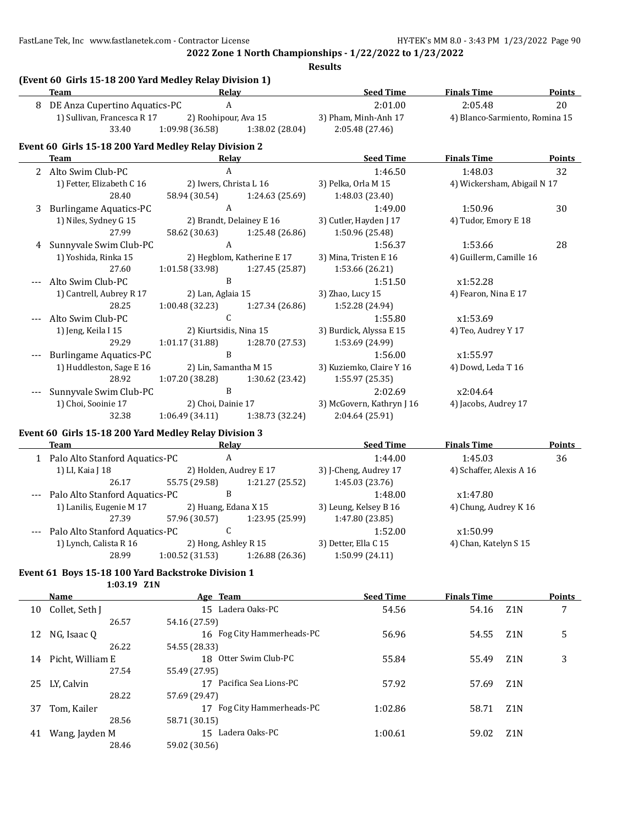FastLane Tek, Inc www.fastlanetek.com - Contractor License HY-TEK's MM 8.0 - 3:43 PM 1/23/2022 Page 90

**2022 Zone 1 North Championships - 1/22/2022 to 1/23/2022**

**Results**

|              | (Event 60 Girls 15-18 200 Yard Medley Relay Division 1)<br><b>Team</b> | Relay                  |                                 | <b>Seed Time</b>          | <b>Finals Time</b>             | Points        |
|--------------|------------------------------------------------------------------------|------------------------|---------------------------------|---------------------------|--------------------------------|---------------|
|              | 8 DE Anza Cupertino Aquatics-PC                                        | $\boldsymbol{A}$       |                                 | 2:01.00                   | 2:05.48                        | 20            |
|              | 1) Sullivan, Francesca R 17                                            | 2) Roohipour, Ava 15   |                                 | 3) Pham, Minh-Anh 17      | 4) Blanco-Sarmiento, Romina 15 |               |
|              | 33.40                                                                  | 1:09.98 (36.58)        | 1:38.02 (28.04)                 | 2:05.48 (27.46)           |                                |               |
|              | Event 60 Girls 15-18 200 Yard Medley Relay Division 2                  |                        |                                 |                           |                                |               |
|              | <b>Team</b>                                                            | Relay                  |                                 | <b>Seed Time</b>          | <b>Finals Time</b>             | Points        |
| $\mathbf{2}$ | Alto Swim Club-PC                                                      | $\mathsf{A}$           |                                 | 1:46.50                   | 1:48.03                        | 32            |
|              | 1) Fetter, Elizabeth C 16                                              | 2) Iwers, Christa L 16 |                                 | 3) Pelka, Orla M 15       | 4) Wickersham, Abigail N 17    |               |
|              | 28.40                                                                  | 58.94 (30.54)          | 1:24.63 (25.69)                 | 1:48.03 (23.40)           |                                |               |
| 3            | <b>Burlingame Aquatics-PC</b>                                          | $\mathbf{A}$           |                                 | 1:49.00                   | 1:50.96                        | 30            |
|              | 1) Niles, Sydney G 15                                                  |                        | 2) Brandt, Delainey E 16        | 3) Cutler, Hayden J 17    | 4) Tudor, Emory E 18           |               |
|              | 27.99                                                                  |                        | 58.62 (30.63) 1:25.48 (26.86)   | 1:50.96 (25.48)           |                                |               |
| 4            | Sunnyvale Swim Club-PC                                                 | $\boldsymbol{A}$       |                                 | 1:56.37                   | 1:53.66                        | 28            |
|              | 1) Yoshida, Rinka 15                                                   |                        | 2) Hegblom, Katherine E 17      | 3) Mina, Tristen E 16     | 4) Guillerm, Camille 16        |               |
|              | 27.60                                                                  |                        | 1:01.58 (33.98) 1:27.45 (25.87) | 1:53.66 (26.21)           |                                |               |
|              | Alto Swim Club-PC                                                      | B                      |                                 | 1:51.50                   | x1:52.28                       |               |
|              | 1) Cantrell, Aubrey R 17                                               | 2) Lan, Aglaia 15      |                                 | 3) Zhao, Lucy 15          | 4) Fearon, Nina E 17           |               |
|              | 28.25                                                                  | 1:00.48(32.23)         | 1:27.34 (26.86)                 | 1:52.28 (24.94)           |                                |               |
|              | Alto Swim Club-PC                                                      | $\mathsf{C}$           |                                 | 1:55.80                   | x1:53.69                       |               |
|              | 1) Jeng, Keila I 15                                                    | 2) Kiurtsidis, Nina 15 |                                 | 3) Burdick, Alyssa E 15   | 4) Teo, Audrey Y 17            |               |
|              | 29.29                                                                  | 1:01.17 (31.88)        | 1:28.70 (27.53)                 | 1:53.69 (24.99)           |                                |               |
|              | <b>Burlingame Aquatics-PC</b>                                          | B                      |                                 | 1:56.00                   | x1:55.97                       |               |
|              | 1) Huddleston, Sage E 16                                               | 2) Lin, Samantha M 15  |                                 | 3) Kuziemko, Claire Y 16  | 4) Dowd, Leda T 16             |               |
|              | 28.92                                                                  |                        | 1:07.20 (38.28) 1:30.62 (23.42) | 1:55.97 (25.35)           |                                |               |
|              | Sunnyvale Swim Club-PC                                                 | $\, {\bf B}$           |                                 | 2:02.69                   | x2:04.64                       |               |
|              | 1) Choi, Sooinie 17                                                    | 2) Choi, Dainie 17     |                                 | 3) McGovern, Kathryn J 16 | 4) Jacobs, Audrey 17           |               |
|              | 32.38                                                                  | 1:06.49(34.11)         | 1:38.73 (32.24)                 | 2:04.64 (25.91)           |                                |               |
|              | Event 60 Girls 15-18 200 Yard Medley Relay Division 3                  |                        |                                 |                           |                                |               |
|              | Team                                                                   | Relay                  |                                 | <b>Seed Time</b>          | <b>Finals Time</b>             | <b>Points</b> |
|              | 1 Palo Alto Stanford Aquatics-PC                                       | $\boldsymbol{\rm{A}}$  |                                 | 1:44.00                   | 1:45.03                        | 36            |
|              | 1) LI, Kaia J 18                                                       | 2) Holden, Audrey E 17 |                                 | 3) J-Cheng, Audrey 17     | 4) Schaffer, Alexis A 16       |               |
|              | 26.17                                                                  | 55.75 (29.58)          | 1:21.27 (25.52)                 | 1:45.03 (23.76)           |                                |               |
|              | Palo Alto Stanford Aquatics-PC                                         | B                      |                                 | 1:48.00                   | x1:47.80                       |               |

1) Lanilis, Eugenie M 17 2) Huang, Edana X 15 3) Leung, Kelsey B 16 4) Chung, Audrey K 16 27.39 57.96 (30.57) 1:23.95 (25.99) 1:47.80 (23.85) --- Palo Alto Stanford Aquatics-PC C C 1:52.00 x1:50.99 1) Lynch, Calista R 16 2) Hong, Ashley R 15 3) Detter, Ella C 15 4) Chan, Katelyn S 15 28.99 1:00.52 (31.53) 1:26.88 (26.36) 1:50.99 (24.11)

#### **Event 61 Boys 15-18 100 Yard Backstroke Division 1 1:03.19 Z1N**

|    | Name             | Age Team                          | <b>Seed Time</b> | <b>Finals Time</b> |                  | <b>Points</b> |
|----|------------------|-----------------------------------|------------------|--------------------|------------------|---------------|
| 10 | Collet, Seth J   | 15 Ladera Oaks-PC                 | 54.56            | 54.16              | Z1N              | 7             |
|    | 26.57            | 54.16 (27.59)                     |                  |                    |                  |               |
| 12 | NG, Isaac Q      | 16 Fog City Hammerheads-PC        | 56.96            | 54.55              | Z1N              | 5             |
|    | 26.22            | 54.55 (28.33)                     |                  |                    |                  |               |
| 14 | Picht, William E | Otter Swim Club-PC<br>18          | 55.84            | 55.49              | Z1N              | 3             |
|    | 27.54            | 55.49 (27.95)                     |                  |                    |                  |               |
| 25 | LY, Calvin       | 17 Pacifica Sea Lions-PC          | 57.92            | 57.69              | Z1N              |               |
|    | 28.22            | 57.69 (29.47)                     |                  |                    |                  |               |
| 37 | Tom, Kailer      | 17 Fog City Hammerheads-PC        | 1:02.86          | 58.71              | Z <sub>1</sub> N |               |
|    | 28.56            | 58.71 (30.15)                     |                  |                    |                  |               |
| 41 | Wang, Jayden M   | Ladera Oaks-PC<br>15 <sup>2</sup> | 1:00.61          | 59.02              | Z <sub>1</sub> N |               |
|    | 28.46            | 59.02 (30.56)                     |                  |                    |                  |               |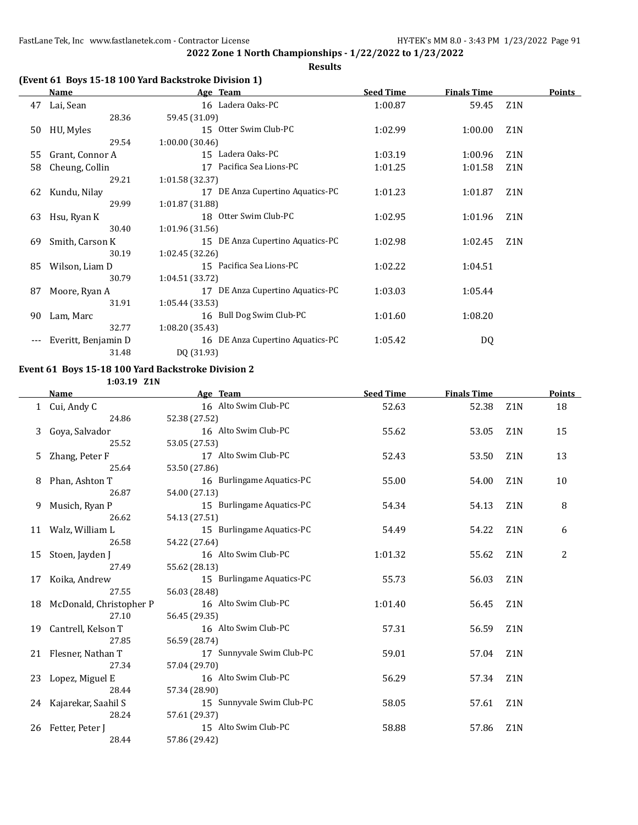**Results**

## **(Event 61 Boys 15-18 100 Yard Backstroke Division 1)**

|    | Name                | Age Team                            | <b>Seed Time</b> | <b>Finals Time</b> |                  | <b>Points</b> |
|----|---------------------|-------------------------------------|------------------|--------------------|------------------|---------------|
| 47 | Lai, Sean           | 16 Ladera Oaks-PC                   | 1:00.87          | 59.45              | Z <sub>1</sub> N |               |
|    | 28.36               | 59.45 (31.09)                       |                  |                    |                  |               |
| 50 | HU, Myles           | 15 Otter Swim Club-PC               | 1:02.99          | 1:00.00            | Z <sub>1</sub> N |               |
|    | 29.54               | 1:00.00 (30.46)                     |                  |                    |                  |               |
| 55 | Grant, Connor A     | 15 Ladera Oaks-PC                   | 1:03.19          | 1:00.96            | Z <sub>1</sub> N |               |
| 58 | Cheung, Collin      | Pacifica Sea Lions-PC<br>17         | 1:01.25          | 1:01.58            | Z <sub>1</sub> N |               |
|    | 29.21               | 1:01.58 (32.37)                     |                  |                    |                  |               |
| 62 | Kundu, Nilay        | DE Anza Cupertino Aquatics-PC<br>17 | 1:01.23          | 1:01.87            | Z1N              |               |
|    | 29.99               | 1:01.87 (31.88)                     |                  |                    |                  |               |
| 63 | Hsu, Ryan K         | 18 Otter Swim Club-PC               | 1:02.95          | 1:01.96            | Z <sub>1</sub> N |               |
|    | 30.40               | 1:01.96 (31.56)                     |                  |                    |                  |               |
| 69 | Smith, Carson K     | 15 DE Anza Cupertino Aquatics-PC    | 1:02.98          | 1:02.45            | Z1N              |               |
|    | 30.19               | 1:02.45 (32.26)                     |                  |                    |                  |               |
| 85 | Wilson, Liam D      | 15 Pacifica Sea Lions-PC            | 1:02.22          | 1:04.51            |                  |               |
|    | 30.79               | 1:04.51 (33.72)                     |                  |                    |                  |               |
| 87 | Moore, Ryan A       | 17 DE Anza Cupertino Aquatics-PC    | 1:03.03          | 1:05.44            |                  |               |
|    | 31.91               | 1:05.44 (33.53)                     |                  |                    |                  |               |
| 90 | Lam, Marc           | 16 Bull Dog Swim Club-PC            | 1:01.60          | 1:08.20            |                  |               |
|    | 32.77               | 1:08.20 (35.43)                     |                  |                    |                  |               |
|    | Everitt, Benjamin D | 16 DE Anza Cupertino Aquatics-PC    | 1:05.42          | DQ                 |                  |               |
|    | 31.48               | DQ (31.93)                          |                  |                    |                  |               |

#### **Event 61 Boys 15-18 100 Yard Backstroke Division 2**

**1:03.19 Z1N**

|    | Name                       | Age Team                  | <b>Seed Time</b> | <b>Finals Time</b> |                  | Points |
|----|----------------------------|---------------------------|------------------|--------------------|------------------|--------|
|    | 1 Cui, Andy C              | 16 Alto Swim Club-PC      | 52.63            | 52.38              | Z <sub>1</sub> N | 18     |
|    | 24.86                      | 52.38 (27.52)             |                  |                    |                  |        |
| 3  | Goya, Salvador             | 16 Alto Swim Club-PC      | 55.62            | 53.05              | Z <sub>1</sub> N | 15     |
|    | 25.52                      | 53.05 (27.53)             |                  |                    |                  |        |
| 5. | Zhang, Peter F             | 17 Alto Swim Club-PC      | 52.43            | 53.50              | Z <sub>1</sub> N | 13     |
|    | 25.64                      | 53.50 (27.86)             |                  |                    |                  |        |
| 8  | Phan, Ashton T             | 16 Burlingame Aquatics-PC | 55.00            | 54.00              | Z <sub>1</sub> N | 10     |
|    | 26.87                      | 54.00 (27.13)             |                  |                    |                  |        |
| 9  | Musich, Ryan P             | 15 Burlingame Aquatics-PC | 54.34            | 54.13              | Z <sub>1</sub> N | 8      |
|    | 26.62                      | 54.13 (27.51)             |                  |                    |                  |        |
|    | 11 Walz, William L         | 15 Burlingame Aquatics-PC | 54.49            | 54.22              | Z <sub>1</sub> N | 6      |
|    | 26.58                      | 54.22 (27.64)             |                  |                    |                  |        |
| 15 | Stoen, Jayden J            | 16 Alto Swim Club-PC      | 1:01.32          | 55.62              | Z <sub>1</sub> N | 2      |
|    | 27.49                      | 55.62 (28.13)             |                  |                    |                  |        |
| 17 | Koika, Andrew              | 15 Burlingame Aquatics-PC | 55.73            | 56.03              | Z <sub>1</sub> N |        |
|    | 27.55                      | 56.03 (28.48)             |                  |                    |                  |        |
|    | 18 McDonald, Christopher P | 16 Alto Swim Club-PC      | 1:01.40          | 56.45              | Z <sub>1</sub> N |        |
|    | 27.10                      | 56.45 (29.35)             |                  |                    |                  |        |
| 19 | Cantrell, Kelson T         | 16 Alto Swim Club-PC      | 57.31            | 56.59              | Z <sub>1</sub> N |        |
|    | 27.85                      | 56.59 (28.74)             |                  |                    |                  |        |
|    | 21 Flesner, Nathan T       | 17 Sunnyvale Swim Club-PC | 59.01            | 57.04              | Z <sub>1</sub> N |        |
|    | 27.34                      | 57.04 (29.70)             |                  |                    |                  |        |
|    | 23 Lopez, Miguel E         | 16 Alto Swim Club-PC      | 56.29            | 57.34              | Z <sub>1</sub> N |        |
|    | 28.44                      | 57.34 (28.90)             |                  |                    |                  |        |
|    | 24 Kajarekar, Saahil S     | 15 Sunnyvale Swim Club-PC | 58.05            | 57.61              | Z <sub>1</sub> N |        |
|    | 28.24                      | 57.61 (29.37)             |                  |                    |                  |        |
| 26 | Fetter, Peter J            | 15 Alto Swim Club-PC      | 58.88            | 57.86              | Z <sub>1</sub> N |        |
|    | 28.44                      | 57.86 (29.42)             |                  |                    |                  |        |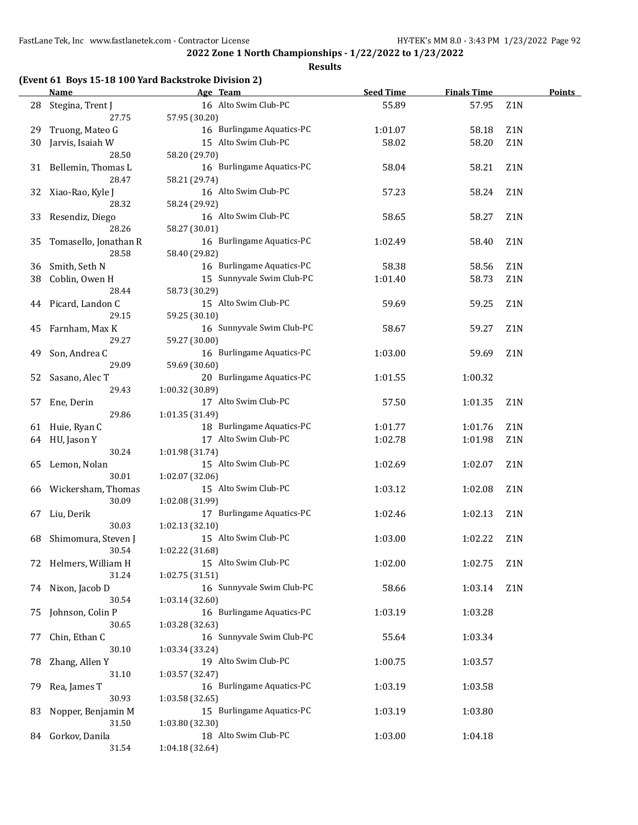#### **Results**

## **(Event 61 Boys 15-18 100 Yard Backstroke Division 2)**

|    | <b>Name</b>           | Age Team                  | <b>Seed Time</b> | <b>Finals Time</b> |                  | <b>Points</b> |
|----|-----------------------|---------------------------|------------------|--------------------|------------------|---------------|
| 28 | Stegina, Trent J      | 16 Alto Swim Club-PC      | 55.89            | 57.95              | Z1N              |               |
|    | 27.75                 | 57.95 (30.20)             |                  |                    |                  |               |
| 29 | Truong, Mateo G       | 16 Burlingame Aquatics-PC | 1:01.07          | 58.18              | Z1N              |               |
| 30 | Jarvis, Isaiah W      | 15 Alto Swim Club-PC      | 58.02            | 58.20              | Z1N              |               |
|    | 28.50                 | 58.20 (29.70)             |                  |                    |                  |               |
|    | 31 Bellemin, Thomas L | 16 Burlingame Aquatics-PC | 58.04            | 58.21              | Z1N              |               |
|    | 28.47                 | 58.21 (29.74)             |                  |                    |                  |               |
|    |                       |                           |                  |                    |                  |               |
| 32 | Xiao-Rao, Kyle J      | 16 Alto Swim Club-PC      | 57.23            | 58.24              | Z1N              |               |
|    | 28.32                 | 58.24 (29.92)             |                  |                    |                  |               |
| 33 | Resendiz, Diego       | 16 Alto Swim Club-PC      | 58.65            | 58.27              | Z <sub>1</sub> N |               |
|    | 28.26                 | 58.27 (30.01)             |                  |                    |                  |               |
| 35 | Tomasello, Jonathan R | 16 Burlingame Aquatics-PC | 1:02.49          | 58.40              | Z1N              |               |
|    | 28.58                 | 58.40 (29.82)             |                  |                    |                  |               |
| 36 | Smith, Seth N         | 16 Burlingame Aquatics-PC | 58.38            | 58.56              | Z <sub>1</sub> N |               |
| 38 | Coblin, Owen H        | 15 Sunnyvale Swim Club-PC | 1:01.40          | 58.73              | Z <sub>1</sub> N |               |
|    | 28.44                 | 58.73 (30.29)             |                  |                    |                  |               |
| 44 | Picard, Landon C      | 15 Alto Swim Club-PC      | 59.69            | 59.25              | Z <sub>1</sub> N |               |
|    | 29.15                 | 59.25 (30.10)             |                  |                    |                  |               |
| 45 | Farnham, Max K        | 16 Sunnyvale Swim Club-PC | 58.67            | 59.27              | Z <sub>1</sub> N |               |
|    | 29.27                 | 59.27 (30.00)             |                  |                    |                  |               |
| 49 | Son, Andrea C         | 16 Burlingame Aquatics-PC | 1:03.00          | 59.69              | Z <sub>1</sub> N |               |
|    | 29.09                 | 59.69 (30.60)             |                  |                    |                  |               |
| 52 | Sasano, Alec T        | 20 Burlingame Aquatics-PC | 1:01.55          | 1:00.32            |                  |               |
|    | 29.43                 | 1:00.32 (30.89)           |                  |                    |                  |               |
| 57 | Ene, Derin            | 17 Alto Swim Club-PC      | 57.50            | 1:01.35            | Z <sub>1</sub> N |               |
|    | 29.86                 | 1:01.35 (31.49)           |                  |                    |                  |               |
|    |                       | 18 Burlingame Aquatics-PC |                  |                    | Z <sub>1</sub> N |               |
| 61 | Huie, Ryan C          |                           | 1:01.77          | 1:01.76            |                  |               |
| 64 | HU, Jason Y           | 17 Alto Swim Club-PC      | 1:02.78          | 1:01.98            | Z <sub>1</sub> N |               |
|    | 30.24                 | 1:01.98 (31.74)           |                  |                    |                  |               |
| 65 | Lemon, Nolan          | 15 Alto Swim Club-PC      | 1:02.69          | 1:02.07            | Z <sub>1</sub> N |               |
|    | 30.01                 | 1:02.07 (32.06)           |                  |                    |                  |               |
|    | 66 Wickersham, Thomas | 15 Alto Swim Club-PC      | 1:03.12          | 1:02.08            | Z <sub>1</sub> N |               |
|    | 30.09                 | 1:02.08 (31.99)           |                  |                    |                  |               |
| 67 | Liu, Derik            | 17 Burlingame Aquatics-PC | 1:02.46          | 1:02.13            | Z <sub>1</sub> N |               |
|    | 30.03                 | 1:02.13 (32.10)           |                  |                    |                  |               |
| 68 | Shimomura, Steven J   | 15 Alto Swim Club-PC      | 1:03.00          | 1:02.22            | Z <sub>1</sub> N |               |
|    | 30.54                 | 1:02.22 (31.68)           |                  |                    |                  |               |
|    | 72 Helmers, William H | 15 Alto Swim Club-PC      | 1:02.00          | 1:02.75            | Z1N              |               |
|    | 31.24                 | 1:02.75 (31.51)           |                  |                    |                  |               |
| 74 | Nixon, Jacob D        | 16 Sunnyvale Swim Club-PC | 58.66            | 1:03.14            | Z1N              |               |
|    | 30.54                 | 1:03.14 (32.60)           |                  |                    |                  |               |
| 75 | Johnson, Colin P      | 16 Burlingame Aquatics-PC | 1:03.19          | 1:03.28            |                  |               |
|    | 30.65                 | 1:03.28 (32.63)           |                  |                    |                  |               |
| 77 | Chin, Ethan C         | 16 Sunnyvale Swim Club-PC | 55.64            | 1:03.34            |                  |               |
|    | 30.10                 | 1:03.34 (33.24)           |                  |                    |                  |               |
| 78 | Zhang, Allen Y        | 19 Alto Swim Club-PC      | 1:00.75          | 1:03.57            |                  |               |
|    | 31.10                 | 1:03.57 (32.47)           |                  |                    |                  |               |
| 79 | Rea, James T          | 16 Burlingame Aquatics-PC | 1:03.19          | 1:03.58            |                  |               |
|    | 30.93                 | 1:03.58 (32.65)           |                  |                    |                  |               |
|    |                       | 15 Burlingame Aquatics-PC |                  |                    |                  |               |
| 83 | Nopper, Benjamin M    |                           | 1:03.19          | 1:03.80            |                  |               |
|    | 31.50                 | 1:03.80 (32.30)           |                  |                    |                  |               |
|    | 84 Gorkov, Danila     | 18 Alto Swim Club-PC      | 1:03.00          | 1:04.18            |                  |               |
|    | 31.54                 | 1:04.18 (32.64)           |                  |                    |                  |               |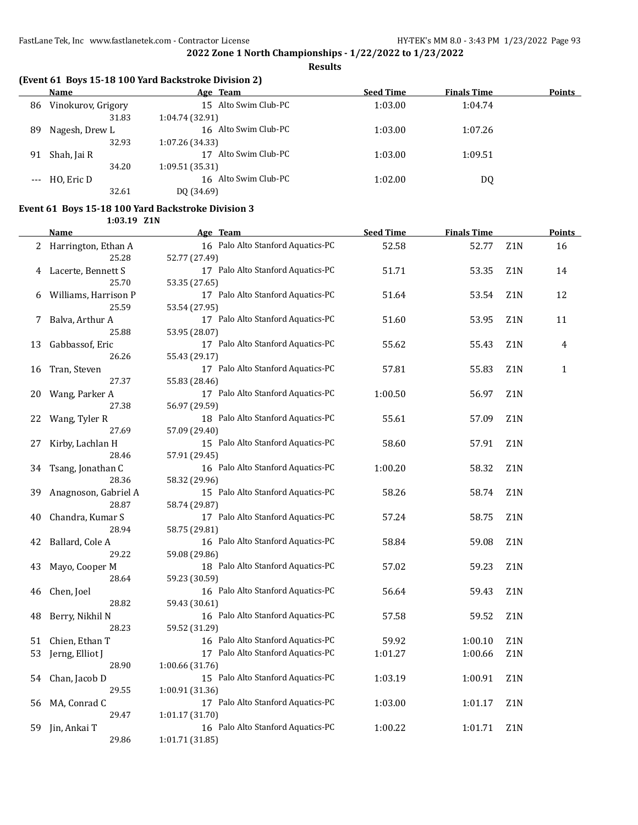**Results**

| (Event 61 Boys 15-18 100 Yard Backstroke Division 2) |  |  |  |  |  |  |  |
|------------------------------------------------------|--|--|--|--|--|--|--|
|------------------------------------------------------|--|--|--|--|--|--|--|

|    | Name               | Age Team             | <b>Seed Time</b> | <b>Finals Time</b> | <b>Points</b> |
|----|--------------------|----------------------|------------------|--------------------|---------------|
| 86 | Vinokurov, Grigory | 15 Alto Swim Club-PC | 1:03.00          | 1:04.74            |               |
|    | 31.83              | 1:04.74 (32.91)      |                  |                    |               |
| 89 | Nagesh, Drew L     | 16 Alto Swim Club-PC | 1:03.00          | 1:07.26            |               |
|    | 32.93              | 1:07.26(34.33)       |                  |                    |               |
| 91 | Shah, Jai R        | Alto Swim Club-PC    | 1:03.00          | 1:09.51            |               |
|    | 34.20              | 1:09.51 (35.31)      |                  |                    |               |
|    | $-$ HO, Eric D     | 16 Alto Swim Club-PC | 1:02.00          | DQ                 |               |
|    | 32.61              | DQ (34.69)           |                  |                    |               |

#### **Event 61 Boys 15-18 100 Yard Backstroke Division 3 1:03.19 Z1N**

|    | Name                    | Age Team                                           | <b>Seed Time</b> | <b>Finals Time</b> |                  | <b>Points</b> |
|----|-------------------------|----------------------------------------------------|------------------|--------------------|------------------|---------------|
|    | 2 Harrington, Ethan A   | 16 Palo Alto Stanford Aquatics-PC                  | 52.58            | 52.77              | Z1N              | 16            |
|    | 25.28                   | 52.77 (27.49)                                      |                  |                    |                  |               |
| 4  | Lacerte, Bennett S      | 17 Palo Alto Stanford Aquatics-PC                  | 51.71            | 53.35              | Z1N              | 14            |
|    | 25.70                   | 53.35 (27.65)                                      |                  |                    |                  |               |
| 6  | Williams, Harrison P    | 17 Palo Alto Stanford Aquatics-PC                  | 51.64            | 53.54              | Z1N              | 12            |
|    | 25.59                   | 53.54 (27.95)                                      |                  |                    |                  |               |
| 7  | Balva, Arthur A         | 17 Palo Alto Stanford Aquatics-PC                  | 51.60            | 53.95              | Z1N              | 11            |
|    | 25.88                   | 53.95 (28.07)                                      |                  |                    |                  |               |
| 13 | Gabbassof, Eric         | 17 Palo Alto Stanford Aquatics-PC                  | 55.62            | 55.43              | Z <sub>1</sub> N | 4             |
|    | 26.26                   | 55.43 (29.17)<br>17 Palo Alto Stanford Aquatics-PC |                  |                    |                  |               |
| 16 | Tran, Steven            |                                                    | 57.81            | 55.83              | Z1N              | 1             |
|    | 27.37                   | 55.83 (28.46)<br>17 Palo Alto Stanford Aquatics-PC |                  |                    |                  |               |
| 20 | Wang, Parker A<br>27.38 | 56.97 (29.59)                                      | 1:00.50          | 56.97              | Z1N              |               |
| 22 | Wang, Tyler R           | 18 Palo Alto Stanford Aquatics-PC                  | 55.61            | 57.09              | Z <sub>1</sub> N |               |
|    | 27.69                   | 57.09 (29.40)                                      |                  |                    |                  |               |
| 27 | Kirby, Lachlan H        | 15 Palo Alto Stanford Aquatics-PC                  | 58.60            | 57.91              | Z1N              |               |
|    | 28.46                   | 57.91 (29.45)                                      |                  |                    |                  |               |
| 34 | Tsang, Jonathan C       | 16 Palo Alto Stanford Aquatics-PC                  | 1:00.20          | 58.32              | Z1N              |               |
|    | 28.36                   | 58.32 (29.96)                                      |                  |                    |                  |               |
| 39 | Anagnoson, Gabriel A    | 15 Palo Alto Stanford Aquatics-PC                  | 58.26            | 58.74              | Z1N              |               |
|    | 28.87                   | 58.74 (29.87)                                      |                  |                    |                  |               |
| 40 | Chandra, Kumar S        | 17 Palo Alto Stanford Aquatics-PC                  | 57.24            | 58.75              | Z <sub>1</sub> N |               |
|    | 28.94                   | 58.75 (29.81)                                      |                  |                    |                  |               |
| 42 | Ballard, Cole A         | 16 Palo Alto Stanford Aquatics-PC                  | 58.84            | 59.08              | Z1N              |               |
|    | 29.22                   | 59.08 (29.86)                                      |                  |                    |                  |               |
| 43 | Mayo, Cooper M          | 18 Palo Alto Stanford Aquatics-PC                  | 57.02            | 59.23              | Z1N              |               |
|    | 28.64                   | 59.23 (30.59)                                      |                  |                    |                  |               |
| 46 | Chen, Joel              | 16 Palo Alto Stanford Aquatics-PC                  | 56.64            | 59.43              | Z1N              |               |
|    | 28.82                   | 59.43 (30.61)                                      |                  |                    |                  |               |
| 48 | Berry, Nikhil N         | 16 Palo Alto Stanford Aquatics-PC                  | 57.58            | 59.52              | Z1N              |               |
|    | 28.23                   | 59.52 (31.29)                                      |                  |                    |                  |               |
| 51 | Chien, Ethan T          | 16 Palo Alto Stanford Aquatics-PC                  | 59.92            | 1:00.10            | Z1N              |               |
| 53 | Jerng, Elliot J         | 17 Palo Alto Stanford Aquatics-PC                  | 1:01.27          | 1:00.66            | Z1N              |               |
|    | 28.90                   | 1:00.66 (31.76)                                    |                  |                    |                  |               |
| 54 | Chan, Jacob D           | 15 Palo Alto Stanford Aquatics-PC                  | 1:03.19          | 1:00.91            | Z1N              |               |
|    | 29.55                   | 1:00.91 (31.36)                                    |                  |                    |                  |               |
| 56 | MA, Conrad C            | 17 Palo Alto Stanford Aquatics-PC                  | 1:03.00          | 1:01.17            | Z1N              |               |
|    | 29.47                   | 1:01.17 (31.70)                                    |                  |                    |                  |               |
| 59 | Jin, Ankai T            | 16 Palo Alto Stanford Aquatics-PC                  | 1:00.22          | 1:01.71            | Z1N              |               |
|    | 29.86                   | 1:01.71 (31.85)                                    |                  |                    |                  |               |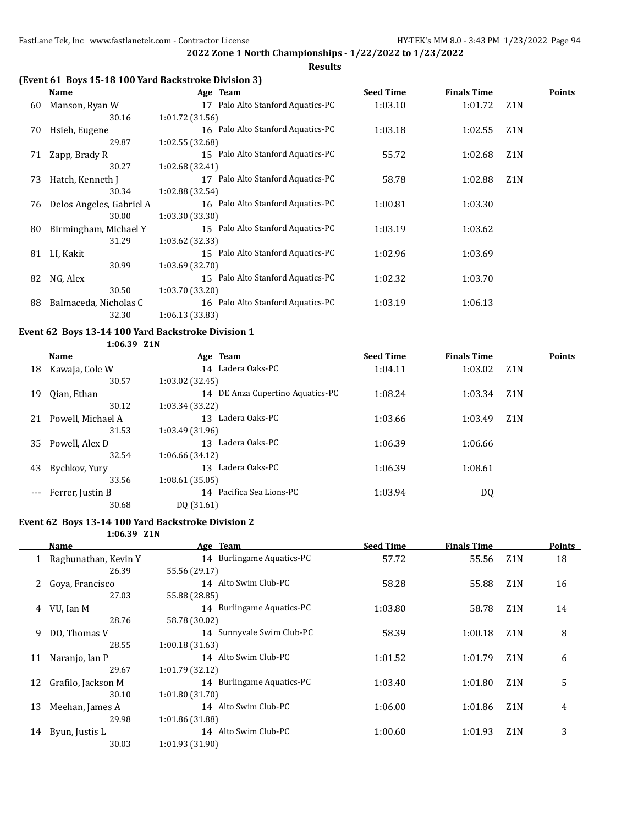**Results**

## **(Event 61 Boys 15-18 100 Yard Backstroke Division 3)**

|    | Name                     | Age Team                          | <b>Seed Time</b> | <b>Finals Time</b> |                  | <b>Points</b> |
|----|--------------------------|-----------------------------------|------------------|--------------------|------------------|---------------|
| 60 | Manson, Ryan W           | 17 Palo Alto Stanford Aquatics-PC | 1:03.10          | 1:01.72            | Z1N              |               |
|    | 30.16                    | 1:01.72 (31.56)                   |                  |                    |                  |               |
| 70 | Hsieh, Eugene            | 16 Palo Alto Stanford Aquatics-PC | 1:03.18          | 1:02.55            | Z <sub>1</sub> N |               |
|    | 29.87                    | 1:02.55 (32.68)                   |                  |                    |                  |               |
| 71 | Zapp, Brady R            | 15 Palo Alto Stanford Aquatics-PC | 55.72            | 1:02.68            | Z <sub>1</sub> N |               |
|    | 30.27                    | 1:02.68 (32.41)                   |                  |                    |                  |               |
| 73 | Hatch, Kenneth J         | 17 Palo Alto Stanford Aquatics-PC | 58.78            | 1:02.88            | Z <sub>1</sub> N |               |
|    | 30.34                    | 1:02.88 (32.54)                   |                  |                    |                  |               |
| 76 | Delos Angeles, Gabriel A | 16 Palo Alto Stanford Aquatics-PC | 1:00.81          | 1:03.30            |                  |               |
|    | 30.00                    | 1:03.30 (33.30)                   |                  |                    |                  |               |
| 80 | Birmingham, Michael Y    | 15 Palo Alto Stanford Aquatics-PC | 1:03.19          | 1:03.62            |                  |               |
|    | 31.29                    | 1:03.62 (32.33)                   |                  |                    |                  |               |
| 81 | LI, Kakit                | 15 Palo Alto Stanford Aquatics-PC | 1:02.96          | 1:03.69            |                  |               |
|    | 30.99                    | 1:03.69 (32.70)                   |                  |                    |                  |               |
| 82 | NG, Alex                 | 15 Palo Alto Stanford Aquatics-PC | 1:02.32          | 1:03.70            |                  |               |
|    | 30.50                    | 1:03.70 (33.20)                   |                  |                    |                  |               |
| 88 | Balmaceda, Nicholas C    | 16 Palo Alto Stanford Aquatics-PC | 1:03.19          | 1:06.13            |                  |               |
|    | 32.30                    | 1:06.13(33.83)                    |                  |                    |                  |               |

# **Event 62 Boys 13-14 100 Yard Backstroke Division 1**

| 1:06.39 | 21N |
|---------|-----|
|---------|-----|

|    | Name              | Age Team                         | <b>Seed Time</b> | <b>Finals Time</b> |                  | <b>Points</b> |
|----|-------------------|----------------------------------|------------------|--------------------|------------------|---------------|
| 18 | Kawaja, Cole W    | 14 Ladera Oaks-PC                | 1:04.11          | 1:03.02            | Z <sub>1</sub> N |               |
|    | 30.57             | 1:03.02 (32.45)                  |                  |                    |                  |               |
| 19 | Oian, Ethan       | 14 DE Anza Cupertino Aquatics-PC | 1:08.24          | 1:03.34            | Z <sub>1</sub> N |               |
|    | 30.12             | 1:03.34 (33.22)                  |                  |                    |                  |               |
| 21 | Powell, Michael A | Ladera Oaks-PC<br>13             | 1:03.66          | 1:03.49            | Z <sub>1</sub> N |               |
|    | 31.53             | 1:03.49 (31.96)                  |                  |                    |                  |               |
| 35 | Powell, Alex D    | Ladera Oaks-PC<br>13             | 1:06.39          | 1:06.66            |                  |               |
|    | 32.54             | 1:06.66 (34.12)                  |                  |                    |                  |               |
| 43 | Bychkov, Yury     | Ladera Oaks-PC<br>13             | 1:06.39          | 1:08.61            |                  |               |
|    | 33.56             | 1:08.61(35.05)                   |                  |                    |                  |               |
|    | Ferrer, Justin B  | 14 Pacifica Sea Lions-PC         | 1:03.94          | DQ                 |                  |               |
|    | 30.68             | DQ (31.61)                       |                  |                    |                  |               |
|    |                   |                                  |                  |                    |                  |               |

## **Event 62 Boys 13-14 100 Yard Backstroke Division 2**

**1:06.39 Z1N**

|    | Name                   | Age Team                  | <b>Seed Time</b> | <b>Finals Time</b> |                  | <b>Points</b> |
|----|------------------------|---------------------------|------------------|--------------------|------------------|---------------|
|    | 1 Raghunathan, Kevin Y | 14 Burlingame Aquatics-PC | 57.72            | 55.56              | Z1N              | 18            |
|    | 26.39                  | 55.56 (29.17)             |                  |                    |                  |               |
|    | Goya, Francisco        | 14 Alto Swim Club-PC      | 58.28            | 55.88              | Z <sub>1</sub> N | 16            |
|    | 27.03                  | 55.88 (28.85)             |                  |                    |                  |               |
| 4  | VU, Ian M              | 14 Burlingame Aquatics-PC | 1:03.80          | 58.78              | Z <sub>1</sub> N | 14            |
|    | 28.76                  | 58.78 (30.02)             |                  |                    |                  |               |
| 9  | DO, Thomas V           | 14 Sunnyvale Swim Club-PC | 58.39            | 1:00.18            | Z <sub>1</sub> N | 8             |
|    | 28.55                  | 1:00.18(31.63)            |                  |                    |                  |               |
| 11 | Naranjo, Ian P         | 14 Alto Swim Club-PC      | 1:01.52          | 1:01.79            | Z <sub>1</sub> N | 6             |
|    | 29.67                  | 1:01.79 (32.12)           |                  |                    |                  |               |
| 12 | Grafilo, Jackson M     | 14 Burlingame Aquatics-PC | 1:03.40          | 1:01.80            | Z <sub>1</sub> N | 5             |
|    | 30.10                  | 1:01.80(31.70)            |                  |                    |                  |               |
| 13 | Meehan, James A        | 14 Alto Swim Club-PC      | 1:06.00          | 1:01.86            | Z <sub>1</sub> N | 4             |
|    | 29.98                  | 1:01.86 (31.88)           |                  |                    |                  |               |
| 14 | Byun, Justis L         | 14 Alto Swim Club-PC      | 1:00.60          | 1:01.93            | Z <sub>1</sub> N | 3             |
|    | 30.03                  | 1:01.93 (31.90)           |                  |                    |                  |               |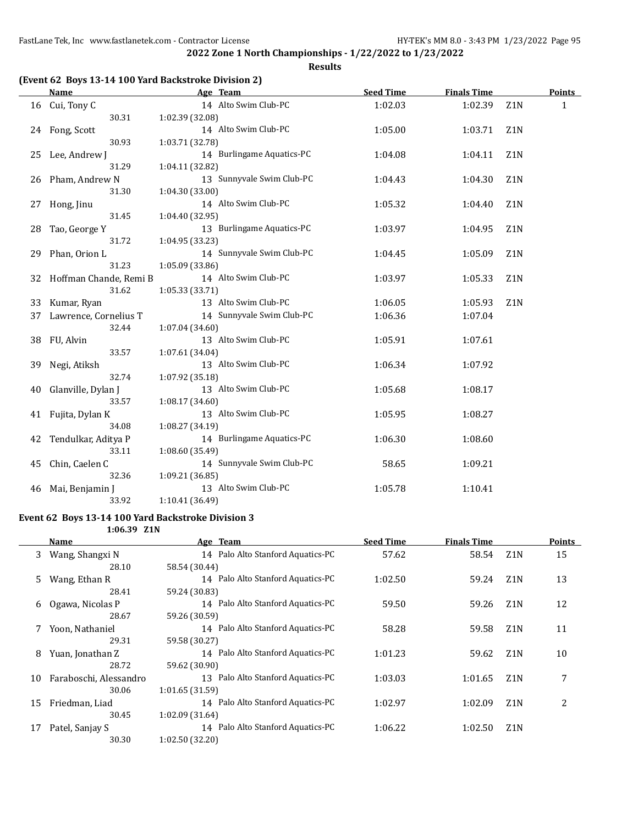#### **Results**

### **(Event 62 Boys 13-14 100 Yard Backstroke Division 2)**

|    | Name                      | Age Team                  | <b>Seed Time</b> | <b>Finals Time</b> |                  | <b>Points</b> |
|----|---------------------------|---------------------------|------------------|--------------------|------------------|---------------|
|    | 16 Cui, Tony C            | 14 Alto Swim Club-PC      | 1:02.03          | 1:02.39            | Z <sub>1</sub> N | $\mathbf{1}$  |
|    | 30.31                     | 1:02.39 (32.08)           |                  |                    |                  |               |
|    | 24 Fong, Scott            | 14 Alto Swim Club-PC      | 1:05.00          | 1:03.71            | Z <sub>1</sub> N |               |
|    | 30.93                     | 1:03.71 (32.78)           |                  |                    |                  |               |
|    | 25 Lee, Andrew J          | 14 Burlingame Aquatics-PC | 1:04.08          | 1:04.11            | Z <sub>1</sub> N |               |
|    | 31.29                     | 1:04.11 (32.82)           |                  |                    |                  |               |
|    | 26 Pham, Andrew N         | 13 Sunnyvale Swim Club-PC | 1:04.43          | 1:04.30            | Z1N              |               |
|    | 31.30                     | 1:04.30 (33.00)           |                  |                    |                  |               |
| 27 | Hong, Jinu                | 14 Alto Swim Club-PC      | 1:05.32          | 1:04.40            | Z <sub>1</sub> N |               |
|    | 31.45                     | 1:04.40 (32.95)           |                  |                    |                  |               |
| 28 | Tao, George Y             | 13 Burlingame Aquatics-PC | 1:03.97          | 1:04.95            | Z <sub>1</sub> N |               |
|    | 31.72                     | 1:04.95 (33.23)           |                  |                    |                  |               |
| 29 | Phan, Orion L             | 14 Sunnyvale Swim Club-PC | 1:04.45          | 1:05.09            | Z <sub>1</sub> N |               |
|    | 31.23                     | 1:05.09 (33.86)           |                  |                    |                  |               |
|    | 32 Hoffman Chande, Remi B | 14 Alto Swim Club-PC      | 1:03.97          | 1:05.33            | Z <sub>1</sub> N |               |
|    | 31.62                     | 1:05.33(33.71)            |                  |                    |                  |               |
| 33 | Kumar, Ryan               | 13 Alto Swim Club-PC      | 1:06.05          | 1:05.93            | Z1N              |               |
| 37 | Lawrence, Cornelius T     | 14 Sunnyvale Swim Club-PC | 1:06.36          | 1:07.04            |                  |               |
|    | 32.44                     | 1:07.04 (34.60)           |                  |                    |                  |               |
|    | 38 FU, Alvin              | 13 Alto Swim Club-PC      | 1:05.91          | 1:07.61            |                  |               |
|    | 33.57                     | 1:07.61 (34.04)           |                  |                    |                  |               |
| 39 | Negi, Atiksh              | 13 Alto Swim Club-PC      | 1:06.34          | 1:07.92            |                  |               |
|    | 32.74                     | 1:07.92 (35.18)           |                  |                    |                  |               |
| 40 | Glanville, Dylan J        | 13 Alto Swim Club-PC      | 1:05.68          | 1:08.17            |                  |               |
|    | 33.57                     | 1:08.17 (34.60)           |                  |                    |                  |               |
| 41 | Fujita, Dylan K           | 13 Alto Swim Club-PC      | 1:05.95          | 1:08.27            |                  |               |
|    | 34.08                     | 1:08.27 (34.19)           |                  |                    |                  |               |
| 42 | Tendulkar, Aditya P       | 14 Burlingame Aquatics-PC | 1:06.30          | 1:08.60            |                  |               |
|    | 33.11                     | 1:08.60 (35.49)           |                  |                    |                  |               |
| 45 | Chin, Caelen C            | 14 Sunnyvale Swim Club-PC | 58.65            | 1:09.21            |                  |               |
|    | 32.36                     | 1:09.21 (36.85)           |                  |                    |                  |               |
| 46 | Mai, Benjamin J           | 13 Alto Swim Club-PC      | 1:05.78          | 1:10.41            |                  |               |
|    | 33.92                     | 1:10.41 (36.49)           |                  |                    |                  |               |

#### **Event 62 Boys 13-14 100 Yard Backstroke Division 3 1:06.39 Z1N**

|    | Name                   | Age Team                          | <b>Seed Time</b> | <b>Finals Time</b> |                  | Points |
|----|------------------------|-----------------------------------|------------------|--------------------|------------------|--------|
| 3  | Wang, Shangxi N        | 14 Palo Alto Stanford Aquatics-PC | 57.62            | 58.54              | Z <sub>1</sub> N | 15     |
|    | 28.10                  | 58.54 (30.44)                     |                  |                    |                  |        |
| 5. | Wang, Ethan R          | 14 Palo Alto Stanford Aquatics-PC | 1:02.50          | 59.24              | Z <sub>1</sub> N | 13     |
|    | 28.41                  | 59.24 (30.83)                     |                  |                    |                  |        |
| 6  | Ogawa, Nicolas P       | 14 Palo Alto Stanford Aquatics-PC | 59.50            | 59.26              | Z <sub>1</sub> N | 12     |
|    | 28.67                  | 59.26 (30.59)                     |                  |                    |                  |        |
|    | Yoon, Nathaniel        | 14 Palo Alto Stanford Aquatics-PC | 58.28            | 59.58              | Z <sub>1</sub> N | 11     |
|    | 29.31                  | 59.58 (30.27)                     |                  |                    |                  |        |
| 8  | Yuan, Jonathan Z       | 14 Palo Alto Stanford Aquatics-PC | 1:01.23          | 59.62              | Z <sub>1</sub> N | 10     |
|    | 28.72                  | 59.62 (30.90)                     |                  |                    |                  |        |
| 10 | Faraboschi, Alessandro | 13 Palo Alto Stanford Aquatics-PC | 1:03.03          | 1:01.65            | Z <sub>1</sub> N | 7      |
|    | 30.06                  | 1:01.65(31.59)                    |                  |                    |                  |        |
| 15 | Friedman, Liad         | 14 Palo Alto Stanford Aquatics-PC | 1:02.97          | 1:02.09            | Z <sub>1</sub> N | 2      |
|    | 30.45                  | 1:02.09(31.64)                    |                  |                    |                  |        |
| 17 | Patel, Sanjay S        | 14 Palo Alto Stanford Aquatics-PC | 1:06.22          | 1:02.50            | Z <sub>1</sub> N |        |
|    | 30.30                  | 1:02.50(32.20)                    |                  |                    |                  |        |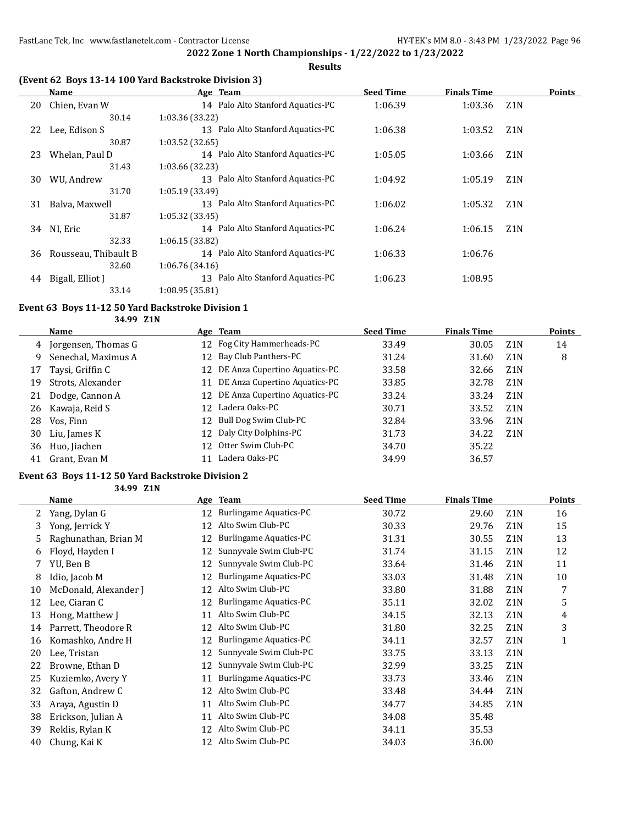**Results**

## **(Event 62 Boys 13-14 100 Yard Backstroke Division 3)**

|    | Name                 | Age Team                             | <b>Seed Time</b> | <b>Finals Time</b> | <b>Points</b>    |
|----|----------------------|--------------------------------------|------------------|--------------------|------------------|
| 20 | Chien, Evan W        | 14 Palo Alto Stanford Aquatics-PC    | 1:06.39          | 1:03.36            | Z1N              |
|    | 30.14                | 1:03.36 (33.22)                      |                  |                    |                  |
| 22 | Lee, Edison S        | 13 Palo Alto Stanford Aquatics-PC    | 1:06.38          | 1:03.52            | Z1N              |
|    | 30.87                | 1:03.52(32.65)                       |                  |                    |                  |
| 23 | Whelan, Paul D       | 14 Palo Alto Stanford Aquatics-PC    | 1:05.05          | 1:03.66            | Z <sub>1</sub> N |
|    | 31.43                | 1:03.66 (32.23)                      |                  |                    |                  |
| 30 | WU, Andrew           | 13 Palo Alto Stanford Aquatics-PC    | 1:04.92          | 1:05.19            | Z <sub>1</sub> N |
|    | 31.70                | 1:05.19(33.49)                       |                  |                    |                  |
| 31 | Balva, Maxwell       | 13 Palo Alto Stanford Aquatics-PC    | 1:06.02          | 1:05.32            | Z <sub>1</sub> N |
|    | 31.87                | 1:05.32 (33.45)                      |                  |                    |                  |
| 34 | NI, Eric             | 14 Palo Alto Stanford Aquatics-PC    | 1:06.24          | 1:06.15            | Z <sub>1</sub> N |
|    | 32.33                | 1:06.15(33.82)                       |                  |                    |                  |
| 36 | Rousseau, Thibault B | 14 Palo Alto Stanford Aquatics-PC    | 1:06.33          | 1:06.76            |                  |
|    | 32.60                | 1:06.76(34.16)                       |                  |                    |                  |
| 44 | Bigall, Elliot J     | Palo Alto Stanford Aquatics-PC<br>13 | 1:06.23          | 1:08.95            |                  |
|    | 33.14                | 1:08.95 (35.81)                      |                  |                    |                  |

#### **Event 63 Boys 11-12 50 Yard Backstroke Division 1**

**34.99 Z1N**

|    | Name                |     | Age Team                         | <b>Seed Time</b> | <b>Finals Time</b> |                  | <b>Points</b> |
|----|---------------------|-----|----------------------------------|------------------|--------------------|------------------|---------------|
| 4  | Jorgensen, Thomas G |     | 12 Fog City Hammerheads-PC       | 33.49            | 30.05              | Z <sub>1</sub> N | 14            |
| 9  | Senechal, Maximus A |     | 12 Bay Club Panthers-PC          | 31.24            | 31.60              | Z <sub>1</sub> N | 8             |
| 17 | Taysi, Griffin C    |     | 12 DE Anza Cupertino Aquatics-PC | 33.58            | 32.66              | Z <sub>1</sub> N |               |
| 19 | Strots, Alexander   |     | 11 DE Anza Cupertino Aquatics-PC | 33.85            | 32.78              | Z <sub>1</sub> N |               |
| 21 | Dodge, Cannon A     |     | 12 DE Anza Cupertino Aquatics-PC | 33.24            | 33.24              | Z1N              |               |
| 26 | Kawaja, Reid S      | 12. | Ladera Oaks-PC                   | 30.71            | 33.52              | Z1N              |               |
| 28 | Vos, Finn           | 12  | Bull Dog Swim Club-PC            | 32.84            | 33.96              | Z <sub>1</sub> N |               |
| 30 | Liu, James K        |     | 12 Daly City Dolphins-PC         | 31.73            | 34.22              | Z1N              |               |
| 36 | Huo, Jiachen        |     | 12 Otter Swim Club-PC            | 34.70            | 35.22              |                  |               |
| 41 | Grant, Evan M       |     | Ladera Oaks-PC                   | 34.99            | 36.57              |                  |               |

### **Event 63 Boys 11-12 50 Yard Backstroke Division 2**

**34.99 Z1N**

|    | Name                  |    | Age Team                      | <b>Seed Time</b> | <b>Finals Time</b> |                  | Points |
|----|-----------------------|----|-------------------------------|------------------|--------------------|------------------|--------|
|    | Yang, Dylan G         | 12 | Burlingame Aquatics-PC        | 30.72            | 29.60              | Z <sub>1</sub> N | 16     |
| 3  | Yong, Jerrick Y       | 12 | Alto Swim Club-PC             | 30.33            | 29.76              | Z <sub>1</sub> N | 15     |
| 5. | Raghunathan, Brian M  | 12 | Burlingame Aquatics-PC        | 31.31            | 30.55              | Z <sub>1</sub> N | 13     |
| 6  | Floyd, Hayden I       |    | Sunnyvale Swim Club-PC        | 31.74            | 31.15              | Z1N              | 12     |
| 7  | YU, Ben B             | 12 | Sunnyvale Swim Club-PC        | 33.64            | 31.46              | Z <sub>1</sub> N | 11     |
| 8  | Idio, Jacob M         | 12 | <b>Burlingame Aquatics-PC</b> | 33.03            | 31.48              | Z1N              | 10     |
| 10 | McDonald, Alexander J | 12 | Alto Swim Club-PC             | 33.80            | 31.88              | Z <sub>1</sub> N | 7      |
| 12 | Lee, Ciaran C         | 12 | <b>Burlingame Aquatics-PC</b> | 35.11            | 32.02              | Z <sub>1</sub> N | 5      |
| 13 | Hong, Matthew J       | 11 | Alto Swim Club-PC             | 34.15            | 32.13              | Z <sub>1</sub> N | 4      |
| 14 | Parrett, Theodore R   | 12 | Alto Swim Club-PC             | 31.80            | 32.25              | Z <sub>1</sub> N | 3      |
| 16 | Komashko, Andre H     | 12 | <b>Burlingame Aquatics-PC</b> | 34.11            | 32.57              | Z <sub>1</sub> N | 1      |
| 20 | Lee, Tristan          | 12 | Sunnyvale Swim Club-PC        | 33.75            | 33.13              | Z <sub>1</sub> N |        |
| 22 | Browne, Ethan D       | 12 | Sunnyvale Swim Club-PC        | 32.99            | 33.25              | Z <sub>1</sub> N |        |
| 25 | Kuziemko, Avery Y     | 11 | Burlingame Aquatics-PC        | 33.73            | 33.46              | Z <sub>1</sub> N |        |
| 32 | Gafton, Andrew C      | 12 | Alto Swim Club-PC             | 33.48            | 34.44              | Z1N              |        |
| 33 | Araya, Agustin D      | 11 | Alto Swim Club-PC             | 34.77            | 34.85              | Z <sub>1</sub> N |        |
| 38 | Erickson, Julian A    | 11 | Alto Swim Club-PC             | 34.08            | 35.48              |                  |        |
| 39 | Reklis, Rylan K       | 12 | Alto Swim Club-PC             | 34.11            | 35.53              |                  |        |
| 40 | Chung, Kai K          | 12 | Alto Swim Club-PC             | 34.03            | 36.00              |                  |        |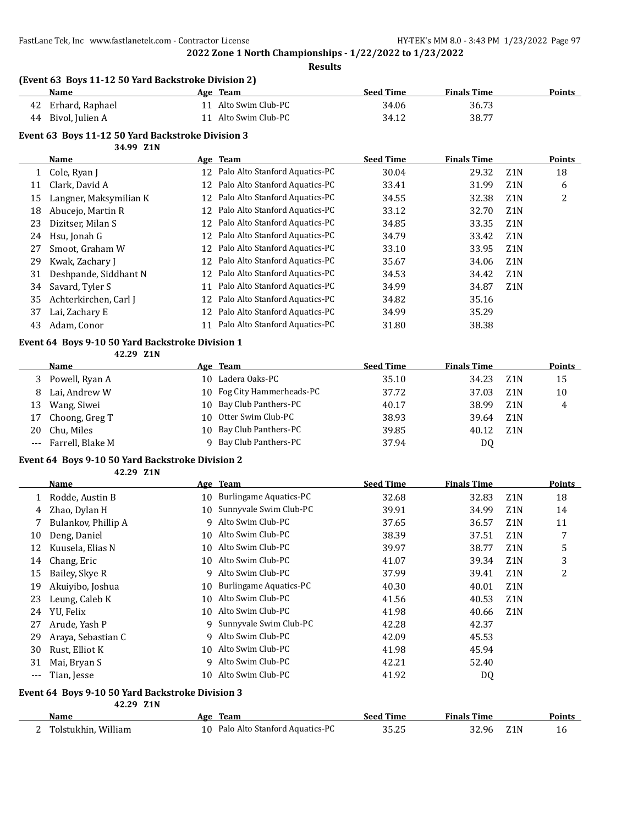**Results**

### **(Event 63 Boys 11-12 50 Yard Backstroke Division 2)**

| Name               | Age 1 | Team                 | Seed Time | <b>Finals Time</b> | <b>Points</b> |
|--------------------|-------|----------------------|-----------|--------------------|---------------|
| 42 Erhard, Raphael |       | 11 Alto Swim Club-PC | 34.06     | 36.73              |               |
| 44 Bivol, Julien A |       | 11 Alto Swim Club-PC | 34.12     | 38.77              |               |

#### **Event 63 Boys 11-12 50 Yard Backstroke Division 3 34.99 Z1N**

|              | Name                   |    | Age Team                       | <b>Seed Time</b> | <b>Finals Time</b> |                  | <b>Points</b> |
|--------------|------------------------|----|--------------------------------|------------------|--------------------|------------------|---------------|
| $\mathbf{1}$ | Cole, Ryan J           | 12 | Palo Alto Stanford Aquatics-PC | 30.04            | 29.32              | Z <sub>1</sub> N | 18            |
| 11           | Clark, David A         | 12 | Palo Alto Stanford Aquatics-PC | 33.41            | 31.99              | Z <sub>1</sub> N | 6             |
| 15           | Langner, Maksymilian K | 12 | Palo Alto Stanford Aquatics-PC | 34.55            | 32.38              | Z <sub>1</sub> N | 2             |
| 18           | Abucejo, Martin R      | 12 | Palo Alto Stanford Aquatics-PC | 33.12            | 32.70              | Z <sub>1</sub> N |               |
| 23           | Dizitser, Milan S      | 12 | Palo Alto Stanford Aquatics-PC | 34.85            | 33.35              | Z <sub>1</sub> N |               |
| 24           | Hsu, Jonah G           | 12 | Palo Alto Stanford Aquatics-PC | 34.79            | 33.42              | Z <sub>1</sub> N |               |
| 27           | Smoot, Graham W        | 12 | Palo Alto Stanford Aquatics-PC | 33.10            | 33.95              | Z <sub>1</sub> N |               |
| 29           | Kwak, Zachary J        | 12 | Palo Alto Stanford Aquatics-PC | 35.67            | 34.06              | Z <sub>1</sub> N |               |
| 31           | Deshpande, Siddhant N  | 12 | Palo Alto Stanford Aquatics-PC | 34.53            | 34.42              | Z <sub>1</sub> N |               |
| 34           | Savard, Tyler S        | 11 | Palo Alto Stanford Aquatics-PC | 34.99            | 34.87              | Z <sub>1</sub> N |               |
| 35           | Achterkirchen, Carl J  | 12 | Palo Alto Stanford Aquatics-PC | 34.82            | 35.16              |                  |               |
| 37           | Lai, Zachary E         | 12 | Palo Alto Stanford Aquatics-PC | 34.99            | 35.29              |                  |               |
| 43           | Adam, Conor            |    | Palo Alto Stanford Aquatics-PC | 31.80            | 38.38              |                  |               |

### **Event 64 Boys 9-10 50 Yard Backstroke Division 1**

**42.29 Z1N**

|    | <b>Name</b>          | Age Team                   | <b>Seed Time</b> | <b>Finals Time</b> |                  | <b>Points</b> |
|----|----------------------|----------------------------|------------------|--------------------|------------------|---------------|
| 3  | Powell, Ryan A       | 10 Ladera Oaks-PC          | 35.10            | 34.23              | Z <sub>1</sub> N | 15            |
| 8. | Lai, Andrew W        | 10 Fog City Hammerheads-PC | 37.72            | 37.03              | Z <sub>1</sub> N | 10            |
| 13 | Wang, Siwei          | 10 Bay Club Panthers-PC    | 40.17            | 38.99              | Z <sub>1</sub> N | 4             |
|    | 17 Choong, Greg T    | 10 Otter Swim Club-PC      | 38.93            | 39.64              | Z1N              |               |
| 20 | Chu, Miles           | 10 Bay Club Panthers-PC    | 39.85            | 40.12              | Z <sub>1</sub> N |               |
|    | --- Farrell, Blake M | Bay Club Panthers-PC       | 37.94            | DQ                 |                  |               |

#### **Event 64 Boys 9-10 50 Yard Backstroke Division 2**

**42.29 Z1N**

|          | Name                |     | Age Team                      | <b>Seed Time</b> | <b>Finals Time</b> |                  | <b>Points</b> |
|----------|---------------------|-----|-------------------------------|------------------|--------------------|------------------|---------------|
|          | Rodde, Austin B     | 10  | <b>Burlingame Aquatics-PC</b> | 32.68            | 32.83              | Z <sub>1</sub> N | 18            |
| 4        | Zhao, Dylan H       | 10. | Sunnyvale Swim Club-PC        | 39.91            | 34.99              | Z <sub>1</sub> N | 14            |
|          | Bulankov, Phillip A | 9   | Alto Swim Club-PC             | 37.65            | 36.57              | Z <sub>1</sub> N | 11            |
| 10       | Deng, Daniel        | 10. | Alto Swim Club-PC             | 38.39            | 37.51              | Z <sub>1</sub> N | 7             |
| 12       | Kuusela, Elias N    | 10. | Alto Swim Club-PC             | 39.97            | 38.77              | Z <sub>1</sub> N | 5             |
| 14       | Chang, Eric         | 10. | Alto Swim Club-PC             | 41.07            | 39.34              | Z <sub>1</sub> N | 3             |
| 15       | Bailey, Skye R      | q   | Alto Swim Club-PC             | 37.99            | 39.41              | Z <sub>1</sub> N | 2             |
| 19       | Akuiyibo, Joshua    | 10. | <b>Burlingame Aquatics-PC</b> | 40.30            | 40.01              | Z <sub>1</sub> N |               |
| 23       | Leung, Caleb K      | 10  | Alto Swim Club-PC             | 41.56            | 40.53              | Z <sub>1</sub> N |               |
| 24       | YU, Felix           | 10  | Alto Swim Club-PC             | 41.98            | 40.66              | Z <sub>1</sub> N |               |
| 27       | Arude, Yash P       | 9   | Sunnyvale Swim Club-PC        | 42.28            | 42.37              |                  |               |
| 29       | Araya, Sebastian C  | q   | Alto Swim Club-PC             | 42.09            | 45.53              |                  |               |
| 30       | Rust, Elliot K      | 10. | Alto Swim Club-PC             | 41.98            | 45.94              |                  |               |
| 31       | Mai, Bryan S        | q   | Alto Swim Club-PC             | 42.21            | 52.40              |                  |               |
| $\cdots$ | Tian, Jesse         | 10. | Alto Swim Club-PC             | 41.92            | DQ                 |                  |               |

#### **Event 64 Boys 9-10 50 Yard Backstroke Division 3 42.29 Z1N**

| Name                | Team<br>Age                       | Seed Time      | <b>Finals Time</b>        | <b>Points</b> |
|---------------------|-----------------------------------|----------------|---------------------------|---------------|
| Tolstukhin. William | 10 Palo Alto Stanford Aquatics-PC | חר חר<br>35.ZS | 32.96<br>Z <sub>1</sub> N |               |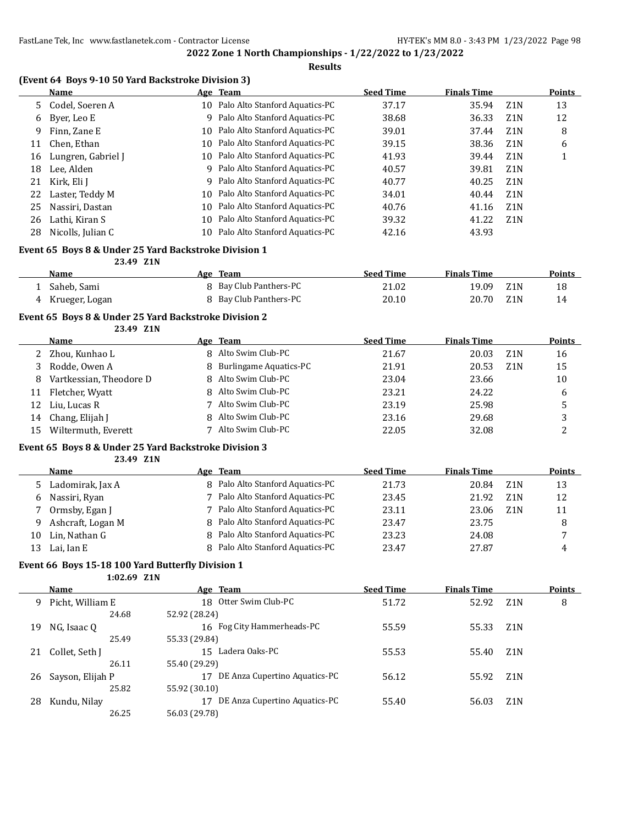#### **Results**

### **(Event 64 Boys 9-10 50 Yard Backstroke Division 3)**

|    | Name               | Age Team                          | <b>Seed Time</b> | <b>Finals Time</b> |                  | <b>Points</b> |
|----|--------------------|-----------------------------------|------------------|--------------------|------------------|---------------|
| 5. | Codel, Soeren A    | 10 Palo Alto Stanford Aquatics-PC | 37.17            | 35.94              | Z <sub>1</sub> N | 13            |
| 6  | Byer, Leo E        | 9 Palo Alto Stanford Aquatics-PC  | 38.68            | 36.33              | Z <sub>1</sub> N | 12            |
| 9  | Finn, Zane E       | 10 Palo Alto Stanford Aquatics-PC | 39.01            | 37.44              | Z1N              | 8             |
| 11 | Chen, Ethan        | 10 Palo Alto Stanford Aquatics-PC | 39.15            | 38.36              | Z1N              | 6             |
| 16 | Lungren, Gabriel J | 10 Palo Alto Stanford Aquatics-PC | 41.93            | 39.44              | Z <sub>1</sub> N |               |
| 18 | Lee, Alden         | 9 Palo Alto Stanford Aquatics-PC  | 40.57            | 39.81              | Z1N              |               |
| 21 | Kirk, Eli J        | 9 Palo Alto Stanford Aquatics-PC  | 40.77            | 40.25              | Z <sub>1</sub> N |               |
| 22 | Laster, Teddy M    | 10 Palo Alto Stanford Aquatics-PC | 34.01            | 40.44              | Z1N              |               |
| 25 | Nassiri, Dastan    | 10 Palo Alto Stanford Aquatics-PC | 40.76            | 41.16              | Z <sub>1</sub> N |               |
| 26 | Lathi, Kiran S     | 10 Palo Alto Stanford Aquatics-PC | 39.32            | 41.22              | Z <sub>1</sub> N |               |
| 28 | Nicolls, Julian C  | 10 Palo Alto Stanford Aquatics-PC | 42.16            | 43.93              |                  |               |

#### **Event 65 Boys 8 & Under 25 Yard Backstroke Division 1**

| Name           | Team<br>Age            | <b>Seed Time</b> | <b>Finals Time</b> | <b>Points</b> |
|----------------|------------------------|------------------|--------------------|---------------|
| -Saheb. Sami   | 8 Bay Club Panthers-PC | 21.02            | 19.09<br>Z1N       | 18            |
| Krueger, Logan | 8 Bay Club Panthers-PC | 20.10            | 20.70 Z1N          | 14            |

#### **Event 65 Boys 8 & Under 25 Yard Backstroke Division 2 23.49 Z1N**

|    | Name                    |    | Age Team                      | <b>Seed Time</b> | <b>Finals Time</b> |                  | <b>Points</b> |
|----|-------------------------|----|-------------------------------|------------------|--------------------|------------------|---------------|
|    | Zhou, Kunhao L          |    | 8 Alto Swim Club-PC           | 21.67            | 20.03              | Z1N              | 16            |
|    | Rodde, Owen A           | 8. | <b>Burlingame Aquatics-PC</b> | 21.91            | 20.53              | Z <sub>1</sub> N | 15            |
| 8  | Vartkessian, Theodore D |    | 8 Alto Swim Club-PC           | 23.04            | 23.66              |                  | 10            |
| 11 | Fletcher, Wyatt         |    | 8 Alto Swim Club-PC           | 23.21            | 24.22              |                  | 6             |
| 12 | Liu, Lucas R            |    | 7 Alto Swim Club-PC           | 23.19            | 25.98              |                  | כ             |
| 14 | Chang, Elijah J         | 8  | Alto Swim Club-PC             | 23.16            | 29.68              |                  | 2             |
| 15 | Wiltermuth, Everett     |    | Alto Swim Club-PC             | 22.05            | 32.08              |                  |               |
|    |                         |    |                               |                  |                    |                  |               |

### **Event 65 Boys 8 & Under 25 Yard Backstroke Division 3**

#### **23.49 Z1N**

|    | <b>Name</b>       | Age Team                         | <b>Seed Time</b> | <b>Finals Time</b> |                  | Points |
|----|-------------------|----------------------------------|------------------|--------------------|------------------|--------|
| 5. | Ladomirak, Jax A  | 8 Palo Alto Stanford Aquatics-PC | 21.73            | 20.84              | Z1N              | 13     |
| 6  | Nassiri, Ryan     | 7 Palo Alto Stanford Aquatics-PC | 23.45            | 21.92              | Z <sub>1</sub> N | 12     |
|    | Ormsby, Egan J    | 7 Palo Alto Stanford Aquatics-PC | 23.11            | 23.06              | Z <sub>1</sub> N | 11     |
| g  | Ashcraft, Logan M | 8 Palo Alto Stanford Aquatics-PC | 23.47            | 23.75              |                  | 8      |
| 10 | Lin, Nathan G     | 8 Palo Alto Stanford Aquatics-PC | 23.23            | 24.08              |                  |        |
|    | Lai, Ian E        | 8 Palo Alto Stanford Aquatics-PC | 23.47            | 27.87              |                  | 4      |

### **Event 66 Boys 15-18 100 Yard Butterfly Division 1**

**<sup>1:02.69</sup> Z1N**

|    | <b>Name</b>      | Age Team                            | <b>Seed Time</b> | <b>Finals Time</b> |                  | Points |
|----|------------------|-------------------------------------|------------------|--------------------|------------------|--------|
| 9  | Picht, William E | 18 Otter Swim Club-PC               | 51.72            | 52.92              | Z1N              | 8      |
|    | 24.68            | 52.92 (28.24)                       |                  |                    |                  |        |
| 19 | NG, Isaac O      | 16 Fog City Hammerheads-PC          | 55.59            | 55.33              | Z1N              |        |
|    | 25.49            | 55.33 (29.84)                       |                  |                    |                  |        |
| 21 | Collet, Seth I   | 15 Ladera Oaks-PC                   | 55.53            | 55.40              | Z1N              |        |
|    | 26.11            | 55.40 (29.29)                       |                  |                    |                  |        |
| 26 | Sayson, Elijah P | DE Anza Cupertino Aquatics-PC<br>17 | 56.12            | 55.92              | Z1N              |        |
|    | 25.82            | 55.92 (30.10)                       |                  |                    |                  |        |
| 28 | Kundu, Nilay     | DE Anza Cupertino Aquatics-PC       | 55.40            | 56.03              | Z <sub>1</sub> N |        |
|    | 26.25            | 56.03 (29.78)                       |                  |                    |                  |        |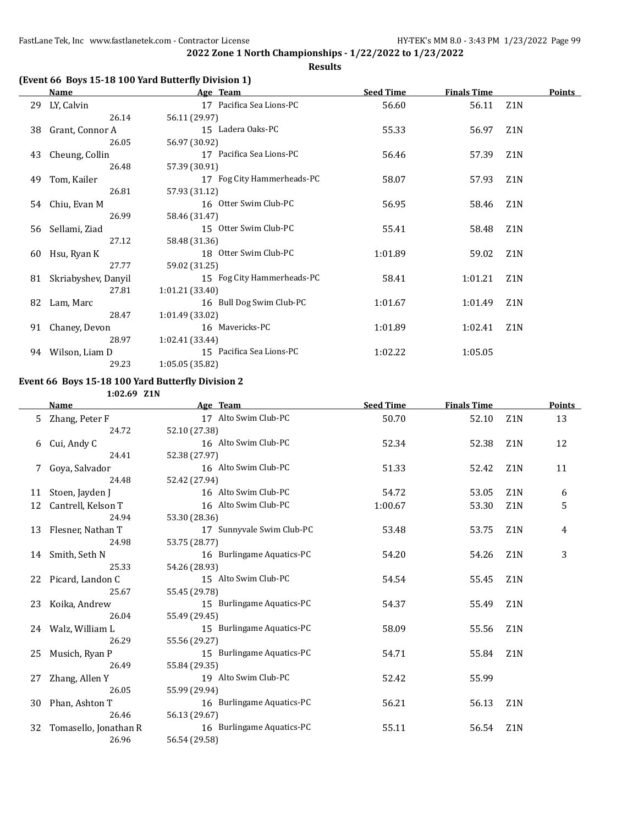### **Results**

### **(Event 66 Boys 15-18 100 Yard Butterfly Division 1)**

|    | Name                | Age Team                   | <b>Seed Time</b> | <b>Finals Time</b> |                  | Points |
|----|---------------------|----------------------------|------------------|--------------------|------------------|--------|
| 29 | LY, Calvin          | 17 Pacifica Sea Lions-PC   | 56.60            | 56.11              | Z <sub>1</sub> N |        |
|    | 26.14               | 56.11 (29.97)              |                  |                    |                  |        |
| 38 | Grant, Connor A     | 15 Ladera Oaks-PC          | 55.33            | 56.97              | Z <sub>1</sub> N |        |
|    | 26.05               | 56.97 (30.92)              |                  |                    |                  |        |
| 43 | Cheung, Collin      | 17 Pacifica Sea Lions-PC   | 56.46            | 57.39              | Z <sub>1</sub> N |        |
|    | 26.48               | 57.39 (30.91)              |                  |                    |                  |        |
| 49 | Tom, Kailer         | 17 Fog City Hammerheads-PC | 58.07            | 57.93              | Z <sub>1</sub> N |        |
|    | 26.81               | 57.93 (31.12)              |                  |                    |                  |        |
|    | 54 Chiu, Evan M     | 16 Otter Swim Club-PC      | 56.95            | 58.46              | Z <sub>1</sub> N |        |
|    | 26.99               | 58.46 (31.47)              |                  |                    |                  |        |
|    | 56 Sellami, Ziad    | 15 Otter Swim Club-PC      | 55.41            | 58.48              | Z <sub>1</sub> N |        |
|    | 27.12               | 58.48 (31.36)              |                  |                    |                  |        |
| 60 | Hsu, Ryan K         | 18 Otter Swim Club-PC      | 1:01.89          | 59.02              | Z <sub>1</sub> N |        |
|    | 27.77               | 59.02 (31.25)              |                  |                    |                  |        |
| 81 | Skriabyshev, Danyil | 15 Fog City Hammerheads-PC | 58.41            | 1:01.21            | Z <sub>1</sub> N |        |
|    | 27.81               | 1:01.21 (33.40)            |                  |                    |                  |        |
| 82 | Lam, Marc           | 16 Bull Dog Swim Club-PC   | 1:01.67          | 1:01.49            | Z <sub>1</sub> N |        |
|    | 28.47               | 1:01.49 (33.02)            |                  |                    |                  |        |
| 91 | Chaney, Devon       | 16 Mavericks-PC            | 1:01.89          | 1:02.41            | Z1N              |        |
|    | 28.97               | 1:02.41 (33.44)            |                  |                    |                  |        |
| 94 | Wilson, Liam D      | 15 Pacifica Sea Lions-PC   | 1:02.22          | 1:05.05            |                  |        |
|    | 29.23               | 1:05.05 (35.82)            |                  |                    |                  |        |

## **Event 66 Boys 15-18 100 Yard Butterfly Division 2**

**1:02.69 Z1N**

|    | <b>Name</b>           | Age Team                  | <b>Seed Time</b> | <b>Finals Time</b> |                  | Points |
|----|-----------------------|---------------------------|------------------|--------------------|------------------|--------|
| 5. | Zhang, Peter F        | 17 Alto Swim Club-PC      | 50.70            | 52.10              | Z <sub>1</sub> N | 13     |
|    | 24.72                 | 52.10 (27.38)             |                  |                    |                  |        |
| 6  | Cui, Andy C           | 16 Alto Swim Club-PC      | 52.34            | 52.38              | Z <sub>1</sub> N | 12     |
|    | 24.41                 | 52.38 (27.97)             |                  |                    |                  |        |
| 7  | Goya, Salvador        | 16 Alto Swim Club-PC      | 51.33            | 52.42              | Z1N              | 11     |
|    | 24.48                 | 52.42 (27.94)             |                  |                    |                  |        |
| 11 | Stoen, Jayden J       | 16 Alto Swim Club-PC      | 54.72            | 53.05              | Z <sub>1</sub> N | 6      |
| 12 | Cantrell, Kelson T    | 16 Alto Swim Club-PC      | 1:00.67          | 53.30              | Z <sub>1</sub> N | 5      |
|    | 24.94                 | 53.30 (28.36)             |                  |                    |                  |        |
|    | 13 Flesner, Nathan T  | 17 Sunnyvale Swim Club-PC | 53.48            | 53.75              | Z <sub>1</sub> N | 4      |
|    | 24.98                 | 53.75 (28.77)             |                  |                    |                  |        |
|    | 14 Smith, Seth N      | 16 Burlingame Aquatics-PC | 54.20            | 54.26              | Z <sub>1</sub> N | 3      |
|    | 25.33                 | 54.26 (28.93)             |                  |                    |                  |        |
|    | 22 Picard, Landon C   | 15 Alto Swim Club-PC      | 54.54            | 55.45              | Z <sub>1</sub> N |        |
|    | 25.67                 | 55.45 (29.78)             |                  |                    |                  |        |
| 23 | Koika, Andrew         | 15 Burlingame Aquatics-PC | 54.37            | 55.49              | Z <sub>1</sub> N |        |
|    | 26.04                 | 55.49 (29.45)             |                  |                    |                  |        |
|    | 24 Walz, William L    | 15 Burlingame Aquatics-PC | 58.09            | 55.56              | Z <sub>1</sub> N |        |
|    | 26.29                 | 55.56 (29.27)             |                  |                    |                  |        |
| 25 | Musich, Ryan P        | 15 Burlingame Aquatics-PC | 54.71            | 55.84              | Z <sub>1</sub> N |        |
|    | 26.49                 | 55.84 (29.35)             |                  |                    |                  |        |
| 27 | Zhang, Allen Y        | 19 Alto Swim Club-PC      | 52.42            | 55.99              |                  |        |
|    | 26.05                 | 55.99 (29.94)             |                  |                    |                  |        |
| 30 | Phan, Ashton T        | 16 Burlingame Aquatics-PC | 56.21            | 56.13              | Z <sub>1</sub> N |        |
|    | 26.46                 | 56.13 (29.67)             |                  |                    |                  |        |
| 32 | Tomasello, Jonathan R | 16 Burlingame Aquatics-PC | 55.11            | 56.54              | Z <sub>1</sub> N |        |
|    | 26.96                 | 56.54 (29.58)             |                  |                    |                  |        |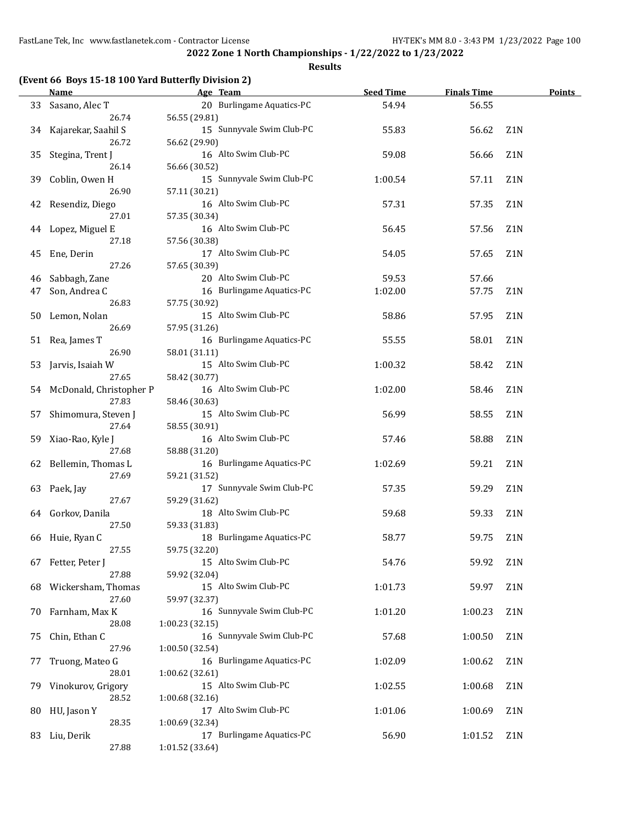#### **Results**

### **(Event 66 Boys 15-18 100 Yard Butterfly Division 2)**

|    | Name                    | Age Team                                   | <b>Seed Time</b> | <b>Finals Time</b> |                  | <b>Points</b> |
|----|-------------------------|--------------------------------------------|------------------|--------------------|------------------|---------------|
| 33 | Sasano, Alec T          | 20 Burlingame Aquatics-PC                  | 54.94            | 56.55              |                  |               |
|    | 26.74                   | 56.55 (29.81)                              |                  |                    |                  |               |
| 34 | Kajarekar, Saahil S     | 15 Sunnyvale Swim Club-PC                  | 55.83            | 56.62              | Z <sub>1</sub> N |               |
|    | 26.72                   | 56.62 (29.90)                              |                  |                    |                  |               |
| 35 | Stegina, Trent J        | 16 Alto Swim Club-PC                       | 59.08            | 56.66              | Z1N              |               |
|    | 26.14                   | 56.66 (30.52)                              |                  |                    |                  |               |
| 39 | Coblin, Owen H          | 15 Sunnyvale Swim Club-PC                  | 1:00.54          | 57.11              | Z1N              |               |
|    | 26.90                   | 57.11 (30.21)                              |                  |                    |                  |               |
| 42 | Resendiz, Diego         | 16 Alto Swim Club-PC                       | 57.31            | 57.35              | Z <sub>1</sub> N |               |
|    | 27.01                   | 57.35 (30.34)                              |                  |                    |                  |               |
|    | 44 Lopez, Miguel E      | 16 Alto Swim Club-PC                       | 56.45            | 57.56              | Z <sub>1</sub> N |               |
|    | 27.18                   | 57.56 (30.38)                              |                  |                    |                  |               |
| 45 | Ene, Derin              | 17 Alto Swim Club-PC                       | 54.05            | 57.65              | Z <sub>1</sub> N |               |
|    | 27.26                   | 57.65 (30.39)                              |                  |                    |                  |               |
| 46 | Sabbagh, Zane           | 20 Alto Swim Club-PC                       | 59.53            | 57.66              |                  |               |
| 47 | Son, Andrea C           | 16 Burlingame Aquatics-PC                  | 1:02.00          | 57.75              | Z <sub>1</sub> N |               |
|    | 26.83                   | 57.75 (30.92)                              |                  |                    |                  |               |
| 50 | Lemon, Nolan            | 15 Alto Swim Club-PC                       | 58.86            | 57.95              | Z <sub>1</sub> N |               |
|    | 26.69                   | 57.95 (31.26)                              |                  |                    |                  |               |
| 51 | Rea, James T            | 16 Burlingame Aquatics-PC                  | 55.55            | 58.01              | Z1N              |               |
|    | 26.90                   | 58.01 (31.11)                              |                  |                    |                  |               |
| 53 | Jarvis, Isaiah W        | 15 Alto Swim Club-PC                       | 1:00.32          | 58.42              | Z1N              |               |
|    | 27.65                   | 58.42 (30.77)                              |                  |                    |                  |               |
|    | McDonald, Christopher P | 16 Alto Swim Club-PC                       | 1:02.00          |                    | Z1N              |               |
| 54 | 27.83                   | 58.46 (30.63)                              |                  | 58.46              |                  |               |
|    |                         | 15 Alto Swim Club-PC                       |                  |                    | Z1N              |               |
| 57 | Shimomura, Steven J     |                                            | 56.99            | 58.55              |                  |               |
|    | 27.64                   | 58.55 (30.91)                              |                  |                    |                  |               |
| 59 | Xiao-Rao, Kyle J        | 16 Alto Swim Club-PC                       | 57.46            | 58.88              | Z1N              |               |
|    | 27.68                   | 58.88 (31.20)<br>16 Burlingame Aquatics-PC |                  |                    |                  |               |
|    | 62 Bellemin, Thomas L   |                                            | 1:02.69          | 59.21              | Z1N              |               |
|    | 27.69                   | 59.21 (31.52)                              |                  |                    |                  |               |
|    | 63 Paek, Jay            | 17 Sunnyvale Swim Club-PC                  | 57.35            | 59.29              | Z1N              |               |
|    | 27.67                   | 59.29 (31.62)<br>18 Alto Swim Club-PC      |                  |                    |                  |               |
|    | 64 Gorkov, Danila       |                                            | 59.68            | 59.33              | Z <sub>1</sub> N |               |
|    | 27.50                   | 59.33 (31.83)                              |                  |                    |                  |               |
| 66 | Huie, Ryan C            | 18 Burlingame Aquatics-PC                  | 58.77            | 59.75              | Z1N              |               |
|    | 27.55                   | 59.75 (32.20)                              |                  |                    |                  |               |
|    | 67 Fetter, Peter J      | 15 Alto Swim Club-PC                       | 54.76            | 59.92              | Z1N              |               |
|    | 27.88                   | 59.92 (32.04)<br>15 Alto Swim Club-PC      |                  |                    |                  |               |
| 68 | Wickersham, Thomas      |                                            | 1:01.73          | 59.97              | Z1N              |               |
|    | 27.60                   | 59.97 (32.37)                              |                  |                    |                  |               |
| 70 | Farnham, Max K          | 16 Sunnyvale Swim Club-PC                  | 1:01.20          | 1:00.23            | Z1N              |               |
|    | 28.08                   | 1:00.23 (32.15)                            |                  |                    |                  |               |
| 75 | Chin, Ethan C           | 16 Sunnyvale Swim Club-PC                  | 57.68            | 1:00.50            | Z1N              |               |
|    | 27.96                   | 1:00.50 (32.54)                            |                  |                    |                  |               |
| 77 | Truong, Mateo G         | 16 Burlingame Aquatics-PC                  | 1:02.09          | 1:00.62            | Z1N              |               |
|    | 28.01                   | 1:00.62 (32.61)                            |                  |                    |                  |               |
| 79 | Vinokurov, Grigory      | 15 Alto Swim Club-PC                       | 1:02.55          | 1:00.68            | Z1N              |               |
|    | 28.52                   | 1:00.68 (32.16)                            |                  |                    |                  |               |
| 80 | HU, Jason Y             | 17 Alto Swim Club-PC                       | 1:01.06          | 1:00.69            | Z1N              |               |
|    | 28.35                   | 1:00.69 (32.34)                            |                  |                    |                  |               |
|    | 83 Liu, Derik           | 17 Burlingame Aquatics-PC                  | 56.90            | 1:01.52            | Z1N              |               |
|    | 27.88                   | 1:01.52 (33.64)                            |                  |                    |                  |               |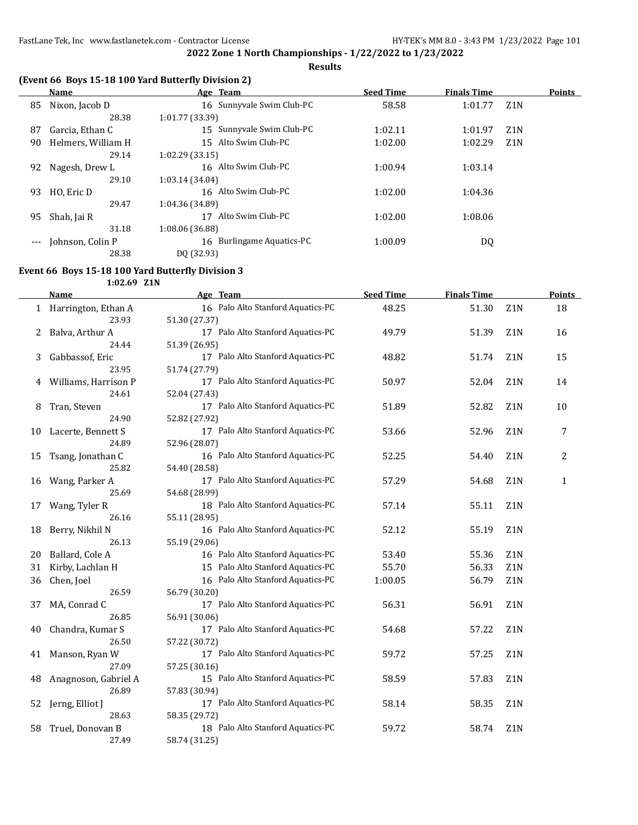**Results**

### **(Event 66 Boys 15-18 100 Yard Butterfly Division 2)**

|       | Name               | Age Team                  | <b>Seed Time</b> | <b>Finals Time</b> |                  | <b>Points</b> |
|-------|--------------------|---------------------------|------------------|--------------------|------------------|---------------|
| 85    | Nixon, Jacob D     | 16 Sunnyvale Swim Club-PC | 58.58            | 1:01.77            | Z <sub>1</sub> N |               |
|       | 28.38              | 1:01.77(33.39)            |                  |                    |                  |               |
| 87    | Garcia, Ethan C    | 15 Sunnyvale Swim Club-PC | 1:02.11          | 1:01.97            | Z <sub>1</sub> N |               |
| 90    | Helmers, William H | 15 Alto Swim Club-PC      | 1:02.00          | 1:02.29            | Z1N              |               |
|       | 29.14              | 1:02.29(33.15)            |                  |                    |                  |               |
| 92    | Nagesh, Drew L     | 16 Alto Swim Club-PC      | 1:00.94          | 1:03.14            |                  |               |
|       | 29.10              | 1:03.14 (34.04)           |                  |                    |                  |               |
| 93    | HO, Eric D         | 16 Alto Swim Club-PC      | 1:02.00          | 1:04.36            |                  |               |
|       | 29.47              | 1:04.36 (34.89)           |                  |                    |                  |               |
| 95    | Shah, Jai R        | Alto Swim Club-PC         | 1:02.00          | 1:08.06            |                  |               |
|       | 31.18              | 1:08.06 (36.88)           |                  |                    |                  |               |
| $---$ | Johnson, Colin P   | 16 Burlingame Aquatics-PC | 1:00.09          | DQ                 |                  |               |
|       | 28.38              | DO (32.93)                |                  |                    |                  |               |

#### **Event 66 Boys 15-18 100 Yard Butterfly Division 3**

**1:02.69 Z1N**

|    | <b>Name</b>                    | Age Team                                           | <b>Seed Time</b> | <b>Finals Time</b> |                  | <b>Points</b> |
|----|--------------------------------|----------------------------------------------------|------------------|--------------------|------------------|---------------|
|    | 1 Harrington, Ethan A<br>23.93 | 16 Palo Alto Stanford Aquatics-PC<br>51.30 (27.37) | 48.25            | 51.30              | Z <sub>1</sub> N | 18            |
| 2  | Balva, Arthur A                | 17 Palo Alto Stanford Aquatics-PC                  | 49.79            | 51.39              | Z <sub>1</sub> N | 16            |
|    | 24.44                          | 51.39 (26.95)                                      |                  |                    |                  |               |
| 3  | Gabbassof, Eric                | 17 Palo Alto Stanford Aquatics-PC                  | 48.82            | 51.74              | Z <sub>1</sub> N | 15            |
|    | 23.95                          | 51.74 (27.79)                                      |                  |                    |                  |               |
| 4  | Williams, Harrison P           | 17 Palo Alto Stanford Aquatics-PC                  | 50.97            | 52.04              | Z <sub>1</sub> N | 14            |
|    | 24.61                          | 52.04 (27.43)                                      |                  |                    |                  |               |
| 8  | Tran, Steven                   | 17 Palo Alto Stanford Aquatics-PC                  | 51.89            | 52.82              | Z <sub>1</sub> N | 10            |
|    | 24.90                          | 52.82 (27.92)                                      |                  |                    |                  |               |
| 10 | Lacerte, Bennett S             | 17 Palo Alto Stanford Aquatics-PC                  | 53.66            | 52.96              | Z <sub>1</sub> N | 7             |
|    | 24.89                          | 52.96 (28.07)                                      |                  |                    |                  |               |
| 15 | Tsang, Jonathan C              | 16 Palo Alto Stanford Aquatics-PC                  | 52.25            | 54.40              | Z1N              | 2             |
|    | 25.82                          | 54.40 (28.58)                                      |                  |                    |                  |               |
| 16 | Wang, Parker A                 | 17 Palo Alto Stanford Aquatics-PC                  | 57.29            | 54.68              | Z <sub>1</sub> N | $\mathbf{1}$  |
|    | 25.69                          | 54.68 (28.99)                                      |                  |                    |                  |               |
| 17 | Wang, Tyler R                  | 18 Palo Alto Stanford Aquatics-PC                  | 57.14            | 55.11              | Z1N              |               |
|    | 26.16                          | 55.11 (28.95)                                      |                  |                    |                  |               |
| 18 | Berry, Nikhil N                | 16 Palo Alto Stanford Aquatics-PC                  | 52.12            | 55.19              | Z <sub>1</sub> N |               |
|    | 26.13                          | 55.19 (29.06)                                      |                  |                    |                  |               |
| 20 | Ballard, Cole A                | 16 Palo Alto Stanford Aquatics-PC                  | 53.40            | 55.36              | Z1N              |               |
| 31 | Kirby, Lachlan H               | 15 Palo Alto Stanford Aquatics-PC                  | 55.70            | 56.33              | Z <sub>1</sub> N |               |
| 36 | Chen, Joel                     | 16 Palo Alto Stanford Aquatics-PC                  | 1:00.05          | 56.79              | Z1N              |               |
|    | 26.59                          | 56.79 (30.20)                                      |                  |                    |                  |               |
| 37 | MA, Conrad C                   | 17 Palo Alto Stanford Aquatics-PC                  | 56.31            | 56.91              | Z1N              |               |
|    | 26.85                          | 56.91 (30.06)                                      |                  |                    |                  |               |
| 40 | Chandra, Kumar S               | 17 Palo Alto Stanford Aquatics-PC                  | 54.68            | 57.22              | Z <sub>1</sub> N |               |
|    | 26.50                          | 57.22 (30.72)                                      |                  |                    |                  |               |
| 41 | Manson, Ryan W                 | 17 Palo Alto Stanford Aquatics-PC                  | 59.72            | 57.25              | Z1N              |               |
|    | 27.09                          | 57.25 (30.16)                                      |                  |                    |                  |               |
| 48 | Anagnoson, Gabriel A           | 15 Palo Alto Stanford Aquatics-PC                  | 58.59            | 57.83              | Z <sub>1</sub> N |               |
|    | 26.89                          | 57.83 (30.94)                                      |                  |                    |                  |               |
| 52 | Jerng, Elliot J                | 17 Palo Alto Stanford Aquatics-PC                  | 58.14            | 58.35              | Z1N              |               |
|    | 28.63                          | 58.35 (29.72)                                      |                  |                    |                  |               |
| 58 | Truel, Donovan B               | 18 Palo Alto Stanford Aquatics-PC                  | 59.72            | 58.74              | Z <sub>1</sub> N |               |
|    | 27.49                          | 58.74 (31.25)                                      |                  |                    |                  |               |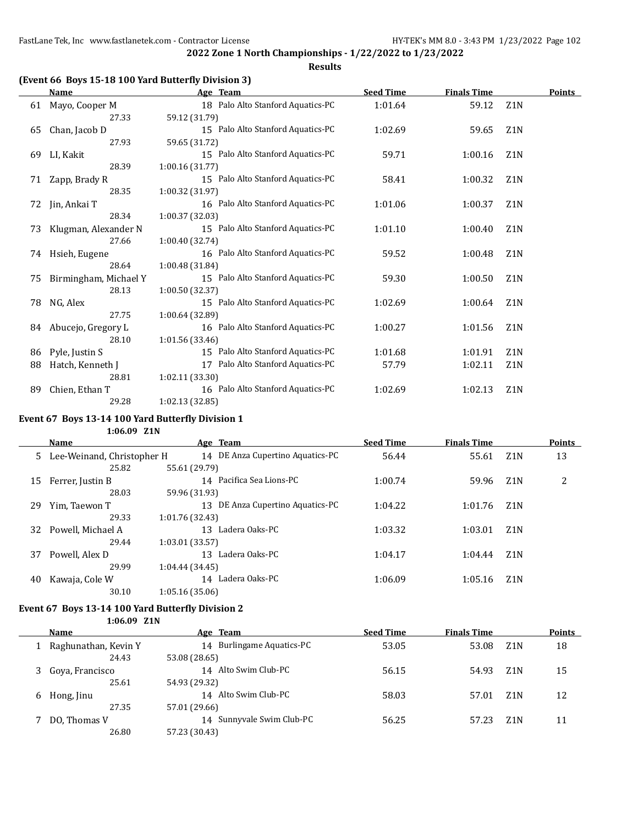#### **Results**

### **(Event 66 Boys 15-18 100 Yard Butterfly Division 3)**

|    | <b>Name</b>           | Age Team                          | <b>Seed Time</b> | <b>Finals Time</b> |                  | <b>Points</b> |
|----|-----------------------|-----------------------------------|------------------|--------------------|------------------|---------------|
| 61 | Mayo, Cooper M        | 18 Palo Alto Stanford Aquatics-PC | 1:01.64          | 59.12              | Z <sub>1</sub> N |               |
|    | 27.33                 | 59.12 (31.79)                     |                  |                    |                  |               |
| 65 | Chan, Jacob D         | 15 Palo Alto Stanford Aquatics-PC | 1:02.69          | 59.65              | Z <sub>1</sub> N |               |
|    | 27.93                 | 59.65 (31.72)                     |                  |                    |                  |               |
| 69 | LI, Kakit             | 15 Palo Alto Stanford Aquatics-PC | 59.71            | 1:00.16            | Z <sub>1</sub> N |               |
|    | 28.39                 | 1:00.16 (31.77)                   |                  |                    |                  |               |
| 71 | Zapp, Brady R         | 15 Palo Alto Stanford Aquatics-PC | 58.41            | 1:00.32            | Z <sub>1</sub> N |               |
|    | 28.35                 | 1:00.32 (31.97)                   |                  |                    |                  |               |
| 72 | Jin, Ankai T          | 16 Palo Alto Stanford Aquatics-PC | 1:01.06          | 1:00.37            | Z <sub>1</sub> N |               |
|    | 28.34                 | 1:00.37 (32.03)                   |                  |                    |                  |               |
| 73 | Klugman, Alexander N  | 15 Palo Alto Stanford Aquatics-PC | 1:01.10          | 1:00.40            | Z <sub>1</sub> N |               |
|    | 27.66                 | 1:00.40(32.74)                    |                  |                    |                  |               |
| 74 | Hsieh, Eugene         | 16 Palo Alto Stanford Aquatics-PC | 59.52            | 1:00.48            | Z <sub>1</sub> N |               |
|    | 28.64                 | 1:00.48(31.84)                    |                  |                    |                  |               |
| 75 | Birmingham, Michael Y | 15 Palo Alto Stanford Aquatics-PC | 59.30            | 1:00.50            | Z <sub>1</sub> N |               |
|    | 28.13                 | 1:00.50 (32.37)                   |                  |                    |                  |               |
| 78 | NG, Alex              | 15 Palo Alto Stanford Aquatics-PC | 1:02.69          | 1:00.64            | Z <sub>1</sub> N |               |
|    | 27.75                 | 1:00.64 (32.89)                   |                  |                    |                  |               |
|    | 84 Abucejo, Gregory L | 16 Palo Alto Stanford Aquatics-PC | 1:00.27          | 1:01.56            | Z <sub>1</sub> N |               |
|    | 28.10                 | 1:01.56 (33.46)                   |                  |                    |                  |               |
| 86 | Pyle, Justin S        | 15 Palo Alto Stanford Aquatics-PC | 1:01.68          | 1:01.91            | Z <sub>1</sub> N |               |
| 88 | Hatch, Kenneth J      | 17 Palo Alto Stanford Aquatics-PC | 57.79            | 1:02.11            | Z <sub>1</sub> N |               |
|    | 28.81                 | 1:02.11(33.30)                    |                  |                    |                  |               |
| 89 | Chien, Ethan T        | 16 Palo Alto Stanford Aquatics-PC | 1:02.69          | 1:02.13            | Z1N              |               |
|    | 29.28                 | 1:02.13 (32.85)                   |                  |                    |                  |               |

### **Event 67 Boys 13-14 100 Yard Butterfly Division 1**

### **1:06.09 Z1N**

|    | Name                         | Age Team                            | <b>Seed Time</b> | <b>Finals Time</b> |                  | <b>Points</b> |
|----|------------------------------|-------------------------------------|------------------|--------------------|------------------|---------------|
|    | 5 Lee-Weinand, Christopher H | 14 DE Anza Cupertino Aquatics-PC    | 56.44            | 55.61              | Z <sub>1</sub> N | 13            |
|    | 25.82                        | 55.61 (29.79)                       |                  |                    |                  |               |
| 15 | Ferrer, Justin B             | 14 Pacifica Sea Lions-PC            | 1:00.74          | 59.96              | Z <sub>1</sub> N | 2             |
|    | 28.03                        | 59.96 (31.93)                       |                  |                    |                  |               |
| 29 | Yim, Taewon T                | DE Anza Cupertino Aquatics-PC<br>13 | 1:04.22          | 1:01.76            | Z <sub>1</sub> N |               |
|    | 29.33                        | 1:01.76 (32.43)                     |                  |                    |                  |               |
| 32 | Powell, Michael A            | Ladera Oaks-PC<br>13                | 1:03.32          | 1:03.01            | Z <sub>1</sub> N |               |
|    | 29.44                        | 1:03.01(33.57)                      |                  |                    |                  |               |
| 37 | Powell, Alex D               | Ladera Oaks-PC<br>13                | 1:04.17          | 1:04.44            | Z <sub>1</sub> N |               |
|    | 29.99                        | 1:04.44(34.45)                      |                  |                    |                  |               |
| 40 | Kawaja, Cole W               | 14 Ladera Oaks-PC                   | 1:06.09          | 1:05.16            | Z <sub>1</sub> N |               |
|    | 30.10                        | 1:05.16 (35.06)                     |                  |                    |                  |               |

#### **Event 67 Boys 13-14 100 Yard Butterfly Division 2 1:06.09 Z1N**

|   | <b>Name</b>          | Age Team                  | <b>Seed Time</b> | <b>Finals Time</b> |                  | <b>Points</b> |
|---|----------------------|---------------------------|------------------|--------------------|------------------|---------------|
|   | Raghunathan, Kevin Y | 14 Burlingame Aquatics-PC | 53.05            | 53.08              | Z <sub>1</sub> N | 18            |
|   | 24.43                | 53.08 (28.65)             |                  |                    |                  |               |
|   | Goya, Francisco      | 14 Alto Swim Club-PC      | 56.15            | 54.93              | Z1N              | 15            |
|   | 25.61                | 54.93 (29.32)             |                  |                    |                  |               |
| 6 | Hong, Jinu           | 14 Alto Swim Club-PC      | 58.03            | 57.01              | Z <sub>1</sub> N | 12            |
|   | 27.35                | 57.01 (29.66)             |                  |                    |                  |               |
|   | DO, Thomas V         | 14 Sunnyvale Swim Club-PC | 56.25            | 57.23              | Z1N              | 11            |
|   | 26.80                | 57.23 (30.43)             |                  |                    |                  |               |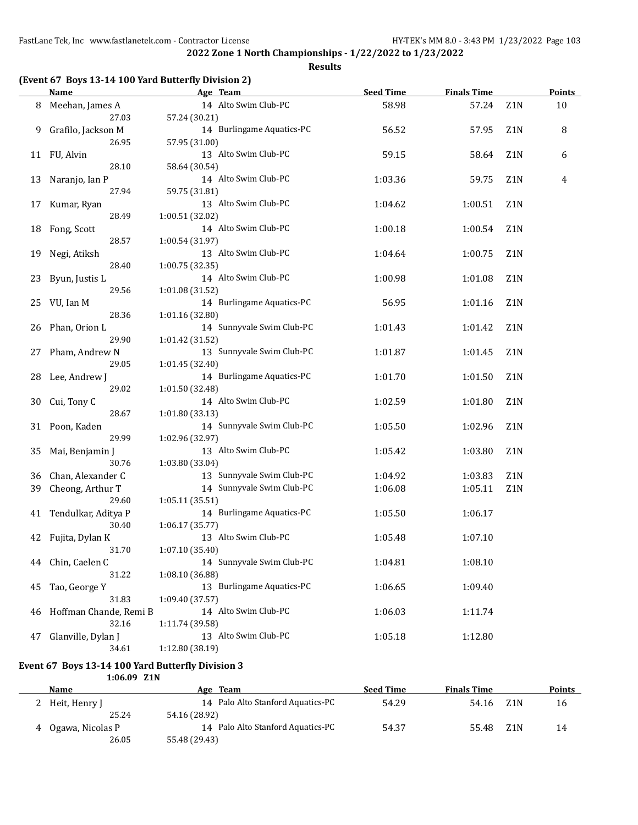**2022 Zone 1 North Championships - 1/22/2022 to 1/23/2022 Results**

### **(Event 67 Boys 13-14 100 Yard Butterfly Division 2)**

 $\overline{a}$ 

|    | <b>Name</b>                                                      | Age Team                                | <b>Seed Time</b> | <b>Finals Time</b> |                  | <b>Points</b> |  |  |  |  |  |
|----|------------------------------------------------------------------|-----------------------------------------|------------------|--------------------|------------------|---------------|--|--|--|--|--|
| 8  | Meehan, James A                                                  | 14 Alto Swim Club-PC                    | 58.98            | 57.24              | Z1N              | 10            |  |  |  |  |  |
|    | 27.03                                                            | 57.24 (30.21)                           |                  |                    |                  |               |  |  |  |  |  |
| 9  | Grafilo, Jackson M                                               | 14 Burlingame Aquatics-PC               | 56.52            | 57.95              | Z1N              | 8             |  |  |  |  |  |
|    | 26.95                                                            | 57.95 (31.00)                           |                  |                    |                  |               |  |  |  |  |  |
|    | 11 FU, Alvin                                                     | 13 Alto Swim Club-PC                    | 59.15            | 58.64              | Z1N              | 6             |  |  |  |  |  |
|    | 28.10                                                            | 58.64 (30.54)                           |                  |                    |                  |               |  |  |  |  |  |
| 13 | Naranjo, Ian P                                                   | 14 Alto Swim Club-PC                    | 1:03.36          | 59.75              | Z1N              | 4             |  |  |  |  |  |
|    | 27.94                                                            | 59.75 (31.81)                           |                  |                    |                  |               |  |  |  |  |  |
| 17 | Kumar, Ryan                                                      | 13 Alto Swim Club-PC                    | 1:04.62          | 1:00.51            | Z1N              |               |  |  |  |  |  |
|    | 28.49                                                            | 1:00.51 (32.02)                         |                  |                    |                  |               |  |  |  |  |  |
| 18 | Fong, Scott                                                      | 14 Alto Swim Club-PC                    | 1:00.18          | 1:00.54            | Z <sub>1</sub> N |               |  |  |  |  |  |
|    | 28.57                                                            | 1:00.54 (31.97)                         |                  |                    |                  |               |  |  |  |  |  |
| 19 | Negi, Atiksh                                                     | 13 Alto Swim Club-PC                    | 1:04.64          | 1:00.75            | Z1N              |               |  |  |  |  |  |
|    | 28.40                                                            | 1:00.75 (32.35)<br>14 Alto Swim Club-PC | 1:00.98          | 1:01.08            | Z <sub>1</sub> N |               |  |  |  |  |  |
| 23 | Byun, Justis L<br>29.56                                          | 1:01.08 (31.52)                         |                  |                    |                  |               |  |  |  |  |  |
| 25 | VU, Ian M                                                        | 14 Burlingame Aquatics-PC               | 56.95            | 1:01.16            | Z1N              |               |  |  |  |  |  |
|    | 28.36                                                            | 1:01.16 (32.80)                         |                  |                    |                  |               |  |  |  |  |  |
| 26 | Phan, Orion L                                                    | 14 Sunnyvale Swim Club-PC               | 1:01.43          | 1:01.42            | Z1N              |               |  |  |  |  |  |
|    | 29.90                                                            | 1:01.42 (31.52)                         |                  |                    |                  |               |  |  |  |  |  |
| 27 | Pham, Andrew N                                                   | 13 Sunnyvale Swim Club-PC               | 1:01.87          | 1:01.45            | Z1N              |               |  |  |  |  |  |
|    | 29.05                                                            | 1:01.45 (32.40)                         |                  |                    |                  |               |  |  |  |  |  |
| 28 | Lee, Andrew J                                                    | 14 Burlingame Aquatics-PC               | 1:01.70          | 1:01.50            | Z1N              |               |  |  |  |  |  |
|    | 29.02                                                            | 1:01.50 (32.48)                         |                  |                    |                  |               |  |  |  |  |  |
| 30 | Cui, Tony C                                                      | 14 Alto Swim Club-PC                    | 1:02.59          | 1:01.80            | Z1N              |               |  |  |  |  |  |
|    | 28.67                                                            | 1:01.80 (33.13)                         |                  |                    |                  |               |  |  |  |  |  |
| 31 | Poon, Kaden                                                      | 14 Sunnyvale Swim Club-PC               | 1:05.50          | 1:02.96            | Z1N              |               |  |  |  |  |  |
|    | 29.99                                                            | 1:02.96 (32.97)                         |                  |                    |                  |               |  |  |  |  |  |
| 35 | Mai, Benjamin J                                                  | 13 Alto Swim Club-PC                    | 1:05.42          | 1:03.80            | Z1N              |               |  |  |  |  |  |
|    | 30.76                                                            | 1:03.80 (33.04)                         |                  |                    |                  |               |  |  |  |  |  |
| 36 | Chan, Alexander C                                                | 13 Sunnyvale Swim Club-PC               | 1:04.92          | 1:03.83            | Z <sub>1</sub> N |               |  |  |  |  |  |
| 39 | Cheong, Arthur T                                                 | 14 Sunnyvale Swim Club-PC               | 1:06.08          | 1:05.11            | Z1N              |               |  |  |  |  |  |
|    | 29.60                                                            | 1:05.11(35.51)                          |                  |                    |                  |               |  |  |  |  |  |
| 41 | Tendulkar, Aditya P                                              | 14 Burlingame Aquatics-PC               | 1:05.50          | 1:06.17            |                  |               |  |  |  |  |  |
|    | 30.40                                                            | 1:06.17 (35.77)                         |                  |                    |                  |               |  |  |  |  |  |
| 42 | Fujita, Dylan K                                                  | 13 Alto Swim Club-PC                    | 1:05.48          | 1:07.10            |                  |               |  |  |  |  |  |
|    | 31.70                                                            | 1:07.10 (35.40)                         |                  |                    |                  |               |  |  |  |  |  |
|    | 44 Chin, Caelen C                                                | 14 Sunnyvale Swim Club-PC               | 1:04.81          | 1:08.10            |                  |               |  |  |  |  |  |
|    | 31.22                                                            | 1:08.10 (36.88)                         |                  |                    |                  |               |  |  |  |  |  |
| 45 | Tao, George Y                                                    | 13 Burlingame Aquatics-PC               | 1:06.65          | 1:09.40            |                  |               |  |  |  |  |  |
|    | 31.83                                                            | 1:09.40 (37.57)                         |                  |                    |                  |               |  |  |  |  |  |
| 46 | Hoffman Chande, Remi B<br>32.16                                  | 14 Alto Swim Club-PC                    | 1:06.03          | 1:11.74            |                  |               |  |  |  |  |  |
|    |                                                                  | 1:11.74 (39.58)<br>13 Alto Swim Club-PC |                  | 1:12.80            |                  |               |  |  |  |  |  |
| 47 | Glanville, Dylan J<br>34.61                                      | 1:12.80 (38.19)                         | 1:05.18          |                    |                  |               |  |  |  |  |  |
|    |                                                                  |                                         |                  |                    |                  |               |  |  |  |  |  |
|    | Event 67 Boys 13-14 100 Yard Butterfly Division 3<br>1:06.09 Z1N |                                         |                  |                    |                  |               |  |  |  |  |  |

| <b>Name</b>      | Age Team                          | <b>Seed Time</b> | <b>Finals Time</b> | Points |
|------------------|-----------------------------------|------------------|--------------------|--------|
| Heit, Henry J    | 14 Palo Alto Stanford Aquatics-PC | 54.29            | Z1N<br>54.16       | 16     |
| 25.24            | 54.16 (28.92)                     |                  |                    |        |
| Ogawa, Nicolas P | 14 Palo Alto Stanford Aquatics-PC | 54.37            | Z1N<br>55.48       | 14     |
| 26.05            | 55.48 (29.43)                     |                  |                    |        |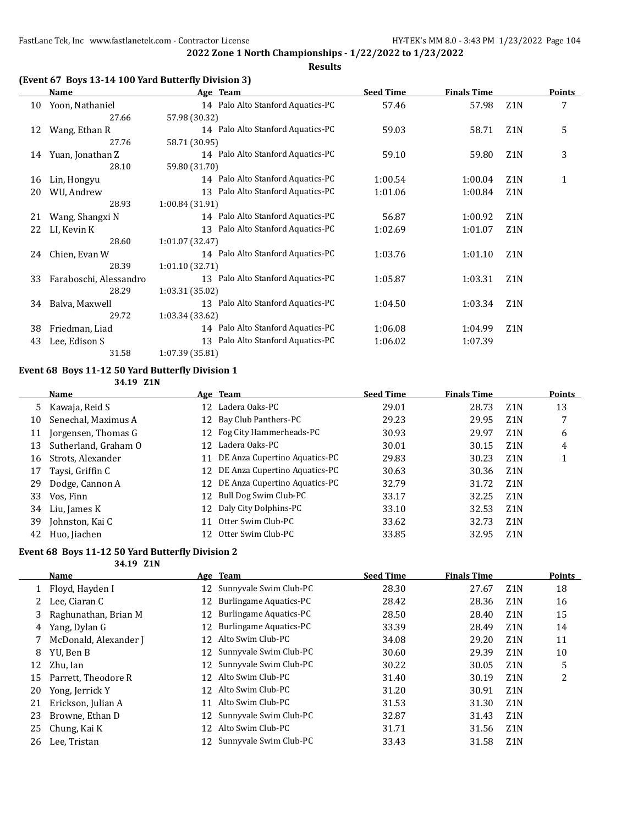#### **Results**

#### **(Event 67 Boys 13-14 100 Yard Butterfly Division 3)**

|    | Name                   | Age Team                             | <b>Seed Time</b> | <b>Finals Time</b> |                  | Points |
|----|------------------------|--------------------------------------|------------------|--------------------|------------------|--------|
| 10 | Yoon, Nathaniel        | 14 Palo Alto Stanford Aquatics-PC    | 57.46            | 57.98              | Z <sub>1</sub> N | 7      |
|    | 27.66                  | 57.98 (30.32)                        |                  |                    |                  |        |
| 12 | Wang, Ethan R          | 14 Palo Alto Stanford Aquatics-PC    | 59.03            | 58.71              | Z <sub>1</sub> N | 5      |
|    | 27.76                  | 58.71 (30.95)                        |                  |                    |                  |        |
| 14 | Yuan, Jonathan Z       | 14 Palo Alto Stanford Aquatics-PC    | 59.10            | 59.80              | Z <sub>1</sub> N | 3      |
|    | 28.10                  | 59.80 (31.70)                        |                  |                    |                  |        |
| 16 | Lin, Hongyu            | 14 Palo Alto Stanford Aquatics-PC    | 1:00.54          | 1:00.04            | Z <sub>1</sub> N | 1      |
| 20 | WU, Andrew             | 13 Palo Alto Stanford Aquatics-PC    | 1:01.06          | 1:00.84            | Z <sub>1</sub> N |        |
|    | 28.93                  | 1:00.84(31.91)                       |                  |                    |                  |        |
| 21 | Wang, Shangxi N        | 14 Palo Alto Stanford Aquatics-PC    | 56.87            | 1:00.92            | Z <sub>1</sub> N |        |
| 22 | LI, Kevin K            | 13 Palo Alto Stanford Aquatics-PC    | 1:02.69          | 1:01.07            | Z <sub>1</sub> N |        |
|    | 28.60                  | 1:01.07(32.47)                       |                  |                    |                  |        |
| 24 | Chien, Evan W          | 14 Palo Alto Stanford Aquatics-PC    | 1:03.76          | 1:01.10            | Z <sub>1</sub> N |        |
|    | 28.39                  | 1:01.10(32.71)                       |                  |                    |                  |        |
| 33 | Faraboschi, Alessandro | Palo Alto Stanford Aquatics-PC<br>13 | 1:05.87          | 1:03.31            | Z <sub>1</sub> N |        |
|    | 28.29                  | 1:03.31 (35.02)                      |                  |                    |                  |        |
| 34 | Balva, Maxwell         | 13 Palo Alto Stanford Aquatics-PC    | 1:04.50          | 1:03.34            | Z <sub>1</sub> N |        |
|    | 29.72                  | 1:03.34 (33.62)                      |                  |                    |                  |        |
| 38 | Friedman, Liad         | 14 Palo Alto Stanford Aquatics-PC    | 1:06.08          | 1:04.99            | Z <sub>1</sub> N |        |
| 43 | Lee, Edison S          | Palo Alto Stanford Aquatics-PC<br>13 | 1:06.02          | 1:07.39            |                  |        |
|    | 31.58                  | 1:07.39 (35.81)                      |                  |                    |                  |        |

#### **Event 68 Boys 11-12 50 Yard Butterfly Division 1**

**34.19 Z1N**

|    | <b>Name</b>          |    | Age Team                         | <b>Seed Time</b> | <b>Finals Time</b> |                  | <b>Points</b> |
|----|----------------------|----|----------------------------------|------------------|--------------------|------------------|---------------|
| 5  | Kawaja, Reid S       | 12 | Ladera Oaks-PC                   | 29.01            | 28.73              | Z <sub>1</sub> N | 13            |
| 10 | Senechal, Maximus A  |    | 12 Bay Club Panthers-PC          | 29.23            | 29.95              | Z <sub>1</sub> N | 7             |
| 11 | Jorgensen, Thomas G  |    | 12 Fog City Hammerheads-PC       | 30.93            | 29.97              | Z <sub>1</sub> N | 6             |
| 13 | Sutherland, Graham O | 12 | Ladera Oaks-PC                   | 30.01            | 30.15              | Z <sub>1</sub> N | 4             |
| 16 | Strots, Alexander    |    | 11 DE Anza Cupertino Aquatics-PC | 29.83            | 30.23              | Z <sub>1</sub> N |               |
| 17 | Taysi, Griffin C     |    | 12 DE Anza Cupertino Aquatics-PC | 30.63            | 30.36              | Z <sub>1</sub> N |               |
| 29 | Dodge, Cannon A      |    | 12 DE Anza Cupertino Aquatics-PC | 32.79            | 31.72              | Z <sub>1</sub> N |               |
| 33 | Vos, Finn            |    | 12 Bull Dog Swim Club-PC         | 33.17            | 32.25              | Z <sub>1</sub> N |               |
| 34 | Liu, James K         |    | 12 Daly City Dolphins-PC         | 33.10            | 32.53              | Z <sub>1</sub> N |               |
| 39 | Johnston, Kai C      | 11 | Otter Swim Club-PC               | 33.62            | 32.73              | Z <sub>1</sub> N |               |
|    | 42 Huo, Jiachen      |    | 12 Otter Swim Club-PC            | 33.85            | 32.95              | Z <sub>1</sub> N |               |

### **Event 68 Boys 11-12 50 Yard Butterfly Division 2**

**34.19 Z1N**

**Name Age Team Seed Time Finals Time Points** 1 Floyd, Hayden I 12 Sunnyvale Swim Club-PC 28.30 27.67 Z1N 18 2 Lee, Ciaran C 12 Burlingame Aquatics-PC 28.42 28.36 Z1N 16 3 Raghunathan, Brian M 12 Burlingame Aquatics-PC 28.50 28.40 Z1N 15 4 Yang, Dylan G 12 Burlingame Aquatics-PC 33.39 28.49 Z1N 14 7 McDonald, Alexander J 12 Alto Swim Club-PC 34.08 29.20 Z1N 11 8 YU, Ben B 12 Sunnyvale Swim Club-PC 30.60 29.39 Z1N 10 12 Zhu, Ian 12 Sunnyvale Swim Club-PC 30.22 30.05 Z1N 5<br>15 Parrett. Theodore R 12 Alto Swim Club-PC 31.40 30.19 Z1N 2 15 Parrett, Theodore R 12 Alto Swim Club-PC 31.40 30.19 21N 2 20 Yong, Jerrick Y 12 Alto Swim Club-PC 31.20 30.91 Z1N 21 Erickson, Julian A 11 Alto Swim Club-PC 31.53 31.30 Z1N 23 Browne, Ethan D 12 Sunnyvale Swim Club-PC 32.87 31.43 Z1N 25 Chung, Kai K 12 Alto Swim Club-PC 31.71 31.56 Z1N 26 Lee, Tristan 12 Sunnyvale Swim Club-PC 33.43 31.58 Z1N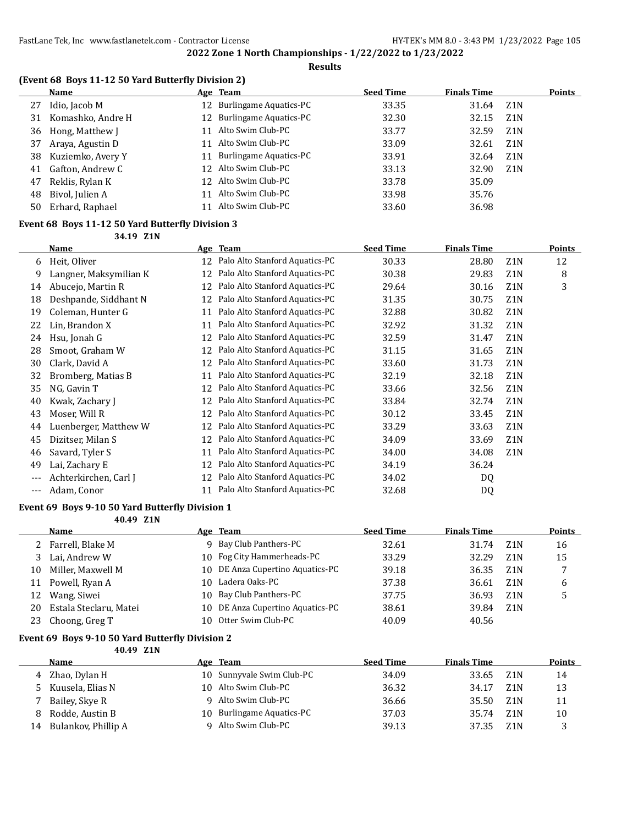#### **Results**

### **(Event 68 Boys 11-12 50 Yard Butterfly Division 2)**

|    | Name               |    | <u>Age Team</u>           | <b>Seed Time</b> | <b>Finals Time</b> |                  | <b>Points</b> |
|----|--------------------|----|---------------------------|------------------|--------------------|------------------|---------------|
| 27 | Idio, Jacob M      |    | 12 Burlingame Aquatics-PC | 33.35            | 31.64              | Z1N              |               |
| 31 | Komashko, Andre H  |    | 12 Burlingame Aquatics-PC | 32.30            | 32.15              | Z1N              |               |
|    | 36 Hong, Matthew J | 11 | Alto Swim Club-PC         | 33.77            | 32.59              | Z <sub>1</sub> N |               |
| 37 | Araya, Agustin D   | 11 | Alto Swim Club-PC         | 33.09            | 32.61              | Z1N              |               |
| 38 | Kuziemko, Avery Y  | 11 | Burlingame Aquatics-PC    | 33.91            | 32.64              | Z1N              |               |
| 41 | Gafton, Andrew C   |    | 12 Alto Swim Club-PC      | 33.13            | 32.90              | Z <sub>1</sub> N |               |
| 47 | Reklis, Rylan K    |    | 12 Alto Swim Club-PC      | 33.78            | 35.09              |                  |               |
| 48 | Bivol, Julien A    | 11 | Alto Swim Club-PC         | 33.98            | 35.76              |                  |               |
| 50 | Erhard, Raphael    | 11 | Alto Swim Club-PC         | 33.60            | 36.98              |                  |               |
|    |                    |    |                           |                  |                    |                  |               |

## **Event 68 Boys 11-12 50 Yard Butterfly Division 3**

**34.19 Z1N**

|       | Name                   |    | Age Team                          | <b>Seed Time</b> | <b>Finals Time</b> |                  | <b>Points</b> |
|-------|------------------------|----|-----------------------------------|------------------|--------------------|------------------|---------------|
| 6     | Heit, Oliver           |    | 12 Palo Alto Stanford Aquatics-PC | 30.33            | 28.80              | Z <sub>1</sub> N | 12            |
| 9     | Langner, Maksymilian K | 12 | Palo Alto Stanford Aquatics-PC    | 30.38            | 29.83              | Z <sub>1</sub> N | 8             |
| 14    | Abucejo, Martin R      | 12 | Palo Alto Stanford Aquatics-PC    | 29.64            | 30.16              | Z <sub>1</sub> N | 3             |
| 18    | Deshpande, Siddhant N  | 12 | Palo Alto Stanford Aquatics-PC    | 31.35            | 30.75              | Z <sub>1</sub> N |               |
| 19    | Coleman, Hunter G      | 11 | Palo Alto Stanford Aquatics-PC    | 32.88            | 30.82              | Z <sub>1</sub> N |               |
| 22    | Lin, Brandon X         | 11 | Palo Alto Stanford Aquatics-PC    | 32.92            | 31.32              | Z <sub>1</sub> N |               |
| 24    | Hsu, Jonah G           | 12 | Palo Alto Stanford Aquatics-PC    | 32.59            | 31.47              | Z <sub>1</sub> N |               |
| 28    | Smoot, Graham W        | 12 | Palo Alto Stanford Aquatics-PC    | 31.15            | 31.65              | Z1N              |               |
| 30    | Clark, David A         | 12 | Palo Alto Stanford Aquatics-PC    | 33.60            | 31.73              | Z <sub>1</sub> N |               |
| 32    | Bromberg, Matias B     | 11 | Palo Alto Stanford Aquatics-PC    | 32.19            | 32.18              | Z <sub>1</sub> N |               |
| 35    | NG, Gavin T            | 12 | Palo Alto Stanford Aquatics-PC    | 33.66            | 32.56              | Z <sub>1</sub> N |               |
| 40    | Kwak, Zachary J        | 12 | Palo Alto Stanford Aquatics-PC    | 33.84            | 32.74              | Z <sub>1</sub> N |               |
| 43    | Moser, Will R          | 12 | Palo Alto Stanford Aquatics-PC    | 30.12            | 33.45              | Z <sub>1</sub> N |               |
| 44    | Luenberger, Matthew W  | 12 | Palo Alto Stanford Aquatics-PC    | 33.29            | 33.63              | Z <sub>1</sub> N |               |
| 45    | Dizitser, Milan S      | 12 | Palo Alto Stanford Aquatics-PC    | 34.09            | 33.69              | Z <sub>1</sub> N |               |
| 46    | Savard, Tyler S        | 11 | Palo Alto Stanford Aquatics-PC    | 34.00            | 34.08              | Z <sub>1</sub> N |               |
| 49    | Lai, Zachary E         | 12 | Palo Alto Stanford Aquatics-PC    | 34.19            | 36.24              |                  |               |
| $---$ | Achterkirchen, Carl J  | 12 | Palo Alto Stanford Aquatics-PC    | 34.02            | DQ                 |                  |               |
| $---$ | Adam, Conor            | 11 | Palo Alto Stanford Aquatics-PC    | 32.68            | DQ                 |                  |               |

### **Event 69 Boys 9-10 50 Yard Butterfly Division 1**

**40.49 Z1N**

|    | Name                   |     | Age Team                         | <b>Seed Time</b> | <b>Finals Time</b> |                  | <b>Points</b> |
|----|------------------------|-----|----------------------------------|------------------|--------------------|------------------|---------------|
|    | 2 Farrell, Blake M     |     | 9 Bay Club Panthers-PC           | 32.61            | 31.74              | 7.1 N            | 16            |
|    | 3 Lai, Andrew W        |     | 10 Fog City Hammerheads-PC       | 33.29            | 32.29              | Z <sub>1</sub> N | 15            |
| 10 | Miller, Maxwell M      |     | 10 DE Anza Cupertino Aquatics-PC | 39.18            | 36.35              | Z <sub>1</sub> N |               |
| 11 | Powell, Ryan A         | 10. | Ladera Oaks-PC                   | 37.38            | 36.61              | Z1N              | 6             |
| 12 | Wang, Siwei            | 10. | Bay Club Panthers-PC             | 37.75            | 36.93              | Z <sub>1</sub> N |               |
| 20 | Estala Steclaru, Matei |     | 10 DE Anza Cupertino Aquatics-PC | 38.61            | 39.84              | Z1N              |               |
| 23 | Choong, Greg T         |     | 10 Otter Swim Club-PC            | 40.09            | 40.56              |                  |               |

#### **Event 69 Boys 9-10 50 Yard Butterfly Division 2**

**40.49 Z1N**

|    | Name                |        | Age Team                  | <b>Seed Time</b> | <b>Finals Time</b> |                  | Points |
|----|---------------------|--------|---------------------------|------------------|--------------------|------------------|--------|
|    | 4 Zhao, Dylan H     |        | 10 Sunnyvale Swim Club-PC | 34.09            | 33.65              | Z1N              | 14     |
|    | 5 Kuusela, Elias N  |        | 10 Alto Swim Club-PC      | 36.32            | 34.17              | Z <sub>1</sub> N | 13     |
|    | Bailey, Skye R      |        | Alto Swim Club-PC         | 36.66            | 35.50              | Z1N              | 11     |
| 8  | Rodde, Austin B     | 1 () - | Burlingame Aquatics-PC    | 37.03            | 35.74              | Z1N              | 10     |
| 14 | Bulankov, Phillip A |        | Alto Swim Club-PC         | 39.13            | 37.35              | Z <sub>1</sub> N |        |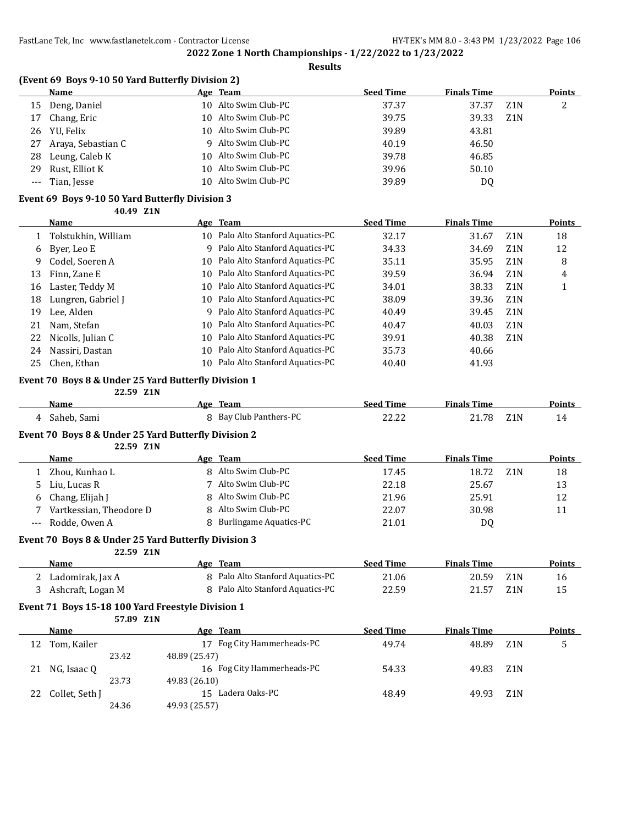**Results**

|                     | (Event 69 Boys 9-10 50 Yard Butterfly Division 2) |    |                                  |                  |                    |                  |               |
|---------------------|---------------------------------------------------|----|----------------------------------|------------------|--------------------|------------------|---------------|
|                     | Name                                              |    | Age Team                         | <b>Seed Time</b> | <b>Finals Time</b> |                  | <b>Points</b> |
| 15                  | Deng, Daniel                                      |    | 10 Alto Swim Club-PC             | 37.37            | 37.37              | Z <sub>1</sub> N | 2             |
| 17                  | Chang, Eric                                       |    | 10 Alto Swim Club-PC             | 39.75            | 39.33              | Z <sub>1</sub> N |               |
| 26                  | YU. Felix                                         |    | 10 Alto Swim Club-PC             | 39.89            | 43.81              |                  |               |
| 27                  | Araya, Sebastian C                                |    | 9 Alto Swim Club-PC              | 40.19            | 46.50              |                  |               |
| 28                  | Leung, Caleb K                                    |    | 10 Alto Swim Club-PC             | 39.78            | 46.85              |                  |               |
| 29                  | Rust, Elliot K                                    |    | 10 Alto Swim Club-PC             | 39.96            | 50.10              |                  |               |
| $\qquad \qquad - -$ | Tian, Jesse                                       | 10 | Alto Swim Club-PC                | 39.89            | DQ                 |                  |               |
|                     | Event 69 Boys 9-10 50 Yard Butterfly Division 3   |    |                                  |                  |                    |                  |               |
|                     | 40.49 Z1N                                         |    |                                  |                  |                    |                  |               |
|                     | <b>Name</b>                                       |    | Age Team                         | <b>Seed Time</b> | <b>Finals Time</b> |                  | Points        |
|                     | Tolstukhin, William                               | 10 | Palo Alto Stanford Aquatics-PC   | 32.17            | 31.67              | Z <sub>1</sub> N | 18            |
| $\epsilon$          | $Draw \, I \, \alpha \, \Gamma$                   |    | Q Palo Alto Stanford Aquatics-DC | 2422             | 24.GO              | <b>71 N</b>      | 12            |

|    | Tolstukhin, William  | 1 O | - Paio Alto Staniord Aquatics-PC  | 32.17 | 31.67 | ZIN              | 18 |
|----|----------------------|-----|-----------------------------------|-------|-------|------------------|----|
| 6  | Byer, Leo E          |     | 9 Palo Alto Stanford Aquatics-PC  | 34.33 | 34.69 | Z1N              | 12 |
| 9  | Codel, Soeren A      |     | 10 Palo Alto Stanford Aquatics-PC | 35.11 | 35.95 | Z <sub>1</sub> N | 8  |
| 13 | Finn, Zane E         |     | 10 Palo Alto Stanford Aquatics-PC | 39.59 | 36.94 | Z <sub>1</sub> N | 4  |
| 16 | Laster, Teddy M      |     | 10 Palo Alto Stanford Aquatics-PC | 34.01 | 38.33 | Z1N              |    |
| 18 | Lungren, Gabriel J   |     | 10 Palo Alto Stanford Aquatics-PC | 38.09 | 39.36 | Z <sub>1</sub> N |    |
| 19 | Lee, Alden           |     | 9 Palo Alto Stanford Aquatics-PC  | 40.49 | 39.45 | Z1N              |    |
| 21 | Nam, Stefan          |     | 10 Palo Alto Stanford Aquatics-PC | 40.47 | 40.03 | Z1N              |    |
|    | 22 Nicolls, Julian C |     | 10 Palo Alto Stanford Aquatics-PC | 39.91 | 40.38 | Z <sub>1</sub> N |    |
| 24 | Nassiri, Dastan      |     | 10 Palo Alto Stanford Aquatics-PC | 35.73 | 40.66 |                  |    |
|    | 25 Chen, Ethan       |     | 10 Palo Alto Stanford Aquatics-PC | 40.40 | 41.93 |                  |    |
|    |                      |     |                                   |       |       |                  |    |

#### **Event 70 Boys 8 & Under 25 Yard Butterfly Division 1 22.59 Z1N**

| Name        | Age Team             | Seed Time | <b>Finals Time</b>        | <b>Points</b> |
|-------------|----------------------|-----------|---------------------------|---------------|
| Saheb, Sami | Bay Club Panthers-PC | 22.22     | Z <sub>1</sub> N<br>21.78 |               |

#### **Event 70 Boys 8 & Under 25 Yard Butterfly Division 2**

**22.59 Z1N**

|               | Name                    | Age Team                      | <b>Seed Time</b> | <b>Finals Time</b> | <b>Points</b> |
|---------------|-------------------------|-------------------------------|------------------|--------------------|---------------|
|               | Zhou, Kunhao L          | 8 Alto Swim Club-PC           | 17.45            | 18.72<br>Z1N       | 18            |
| $\mathcal{D}$ | Liu, Lucas R            | Alto Swim Club-PC             | 22.18            | 25.67              | 13            |
| 6             | Chang, Elijah J         | 8 Alto Swim Club-PC           | 21.96            | 25.91              | 12            |
|               | Vartkessian, Theodore D | 8 Alto Swim Club-PC           | 22.07            | 30.98              | 11            |
|               | --- Rodde, Owen A       | <b>Burlingame Aquatics-PC</b> | 21.01            | D0                 |               |

#### **Event 70 Boys 8 & Under 25 Yard Butterfly Division 3**

**22.59 Z1N**

| Name              | Team<br>Age                      | <b>Seed Time</b> | <b>Finals Time</b> | <b>Points</b> |
|-------------------|----------------------------------|------------------|--------------------|---------------|
| Ladomirak, Jax A  | 8 Palo Alto Stanford Aquatics-PC | 21.06            | 20.59<br>Z1N       |               |
| Ashcraft, Logan M | 8 Palo Alto Stanford Aquatics-PC | 22.59            | 21.57<br>Z1N       |               |

#### **Event 71 Boys 15-18 100 Yard Freestyle Division 1**

|    |                | 57.89 Z1N |                               |                  |                    |                  |               |
|----|----------------|-----------|-------------------------------|------------------|--------------------|------------------|---------------|
|    | Name           |           | Team<br>Age                   | <b>Seed Time</b> | <b>Finals Time</b> |                  | <b>Points</b> |
| 12 | Tom, Kailer    |           | Fog City Hammerheads-PC<br>17 | 49.74            | 48.89              | Z <sub>1</sub> N | 5             |
|    |                | 23.42     | 48.89 (25.47)                 |                  |                    |                  |               |
| 21 | NG, Isaac Q    |           | 16 Fog City Hammerheads-PC    | 54.33            | 49.83              | Z1N              |               |
|    |                | 23.73     | 49.83 (26.10)                 |                  |                    |                  |               |
| 22 | Collet, Seth J |           | 15 Ladera Oaks-PC             | 48.49            | 49.93              | Z <sub>1</sub> N |               |
|    |                | 24.36     | 49.93 (25.57)                 |                  |                    |                  |               |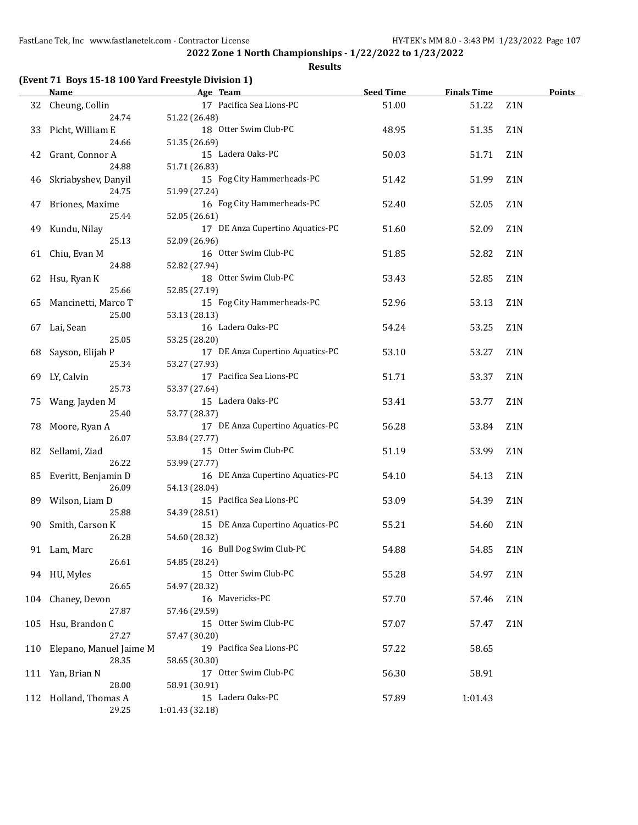### **Results**

|     | <b>Name</b>             | Age Team                         | <b>Seed Time</b> | <b>Finals Time</b> |                  | <b>Points</b> |
|-----|-------------------------|----------------------------------|------------------|--------------------|------------------|---------------|
|     | 32 Cheung, Collin       | 17 Pacifica Sea Lions-PC         | 51.00            | 51.22              | Z1N              |               |
|     | 24.74                   | 51.22 (26.48)                    |                  |                    |                  |               |
| 33  | Picht, William E        | 18 Otter Swim Club-PC            | 48.95            | 51.35              | Z1N              |               |
|     | 24.66                   | 51.35 (26.69)                    |                  |                    |                  |               |
| 42  | Grant, Connor A         | 15 Ladera Oaks-PC                | 50.03            | 51.71              | Z <sub>1</sub> N |               |
|     | 24.88                   | 51.71 (26.83)                    |                  |                    |                  |               |
| 46  | Skriabyshev, Danyil     | 15 Fog City Hammerheads-PC       | 51.42            | 51.99              | Z <sub>1</sub> N |               |
|     | 24.75                   | 51.99 (27.24)                    |                  |                    |                  |               |
| 47  | Briones, Maxime         | 16 Fog City Hammerheads-PC       | 52.40            | 52.05              | Z <sub>1</sub> N |               |
|     | 25.44                   | 52.05 (26.61)                    |                  |                    |                  |               |
| 49  | Kundu, Nilay            | 17 DE Anza Cupertino Aquatics-PC | 51.60            | 52.09              | Z <sub>1</sub> N |               |
|     | 25.13                   | 52.09 (26.96)                    |                  |                    |                  |               |
|     | 61 Chiu, Evan M         | 16 Otter Swim Club-PC            | 51.85            | 52.82              | Z1N              |               |
|     | 24.88                   | 52.82 (27.94)                    |                  |                    |                  |               |
| 62  | Hsu, Ryan K             | 18 Otter Swim Club-PC            | 53.43            | 52.85              | Z1N              |               |
|     | 25.66                   | 52.85 (27.19)                    |                  |                    |                  |               |
| 65  | Mancinetti, Marco T     | 15 Fog City Hammerheads-PC       | 52.96            | 53.13              | Z1N              |               |
|     | 25.00                   | 53.13 (28.13)                    |                  |                    |                  |               |
| 67  | Lai, Sean               | 16 Ladera Oaks-PC                | 54.24            | 53.25              | Z <sub>1</sub> N |               |
|     | 25.05                   | 53.25 (28.20)                    |                  |                    |                  |               |
| 68  | Sayson, Elijah P        | 17 DE Anza Cupertino Aquatics-PC | 53.10            | 53.27              | Z <sub>1</sub> N |               |
|     | 25.34                   | 53.27 (27.93)                    |                  |                    |                  |               |
| 69  | LY, Calvin              | 17 Pacifica Sea Lions-PC         | 51.71            | 53.37              | Z <sub>1</sub> N |               |
|     | 25.73                   | 53.37 (27.64)                    |                  |                    |                  |               |
| 75  | Wang, Jayden M          | 15 Ladera Oaks-PC                | 53.41            | 53.77              | Z <sub>1</sub> N |               |
|     | 25.40                   | 53.77 (28.37)                    |                  |                    |                  |               |
| 78  | Moore, Ryan A           | 17 DE Anza Cupertino Aquatics-PC | 56.28            | 53.84              | Z <sub>1</sub> N |               |
|     | 26.07                   | 53.84 (27.77)                    |                  |                    |                  |               |
| 82  | Sellami, Ziad           | 15 Otter Swim Club-PC            | 51.19            | 53.99              | Z1N              |               |
|     | 26.22                   | 53.99 (27.77)                    |                  |                    |                  |               |
| 85  | Everitt, Benjamin D     | 16 DE Anza Cupertino Aquatics-PC | 54.10            | 54.13              | Z <sub>1</sub> N |               |
|     | 26.09                   | 54.13 (28.04)                    |                  |                    |                  |               |
| 89  | Wilson, Liam D          | 15 Pacifica Sea Lions-PC         | 53.09            | 54.39              | Z <sub>1</sub> N |               |
|     | 25.88                   | 54.39 (28.51)                    |                  |                    |                  |               |
| 90  | Smith, Carson K         | 15 DE Anza Cupertino Aquatics-PC | 55.21            | 54.60              | Z1N              |               |
|     | 26.28                   | 54.60 (28.32)                    |                  |                    |                  |               |
| 91  | Lam, Marc               | 16 Bull Dog Swim Club-PC         | 54.88            | 54.85              | Z <sub>1</sub> N |               |
|     | 26.61                   | 54.85 (28.24)                    |                  |                    |                  |               |
|     | 94 HU, Myles            | 15 Otter Swim Club-PC            | 55.28            | 54.97              | Z1N              |               |
|     | 26.65                   | 54.97 (28.32)                    |                  |                    |                  |               |
|     | 104 Chaney, Devon       | 16 Mavericks-PC                  | 57.70            | 57.46              | Z1N              |               |
|     | 27.87                   | 57.46 (29.59)                    |                  |                    |                  |               |
| 105 | Hsu, Brandon C          | 15 Otter Swim Club-PC            | 57.07            | 57.47              | Z1N              |               |
|     | 27.27                   | 57.47 (30.20)                    |                  |                    |                  |               |
| 110 | Elepano, Manuel Jaime M | 19 Pacifica Sea Lions-PC         | 57.22            | 58.65              |                  |               |
|     | 28.35                   | 58.65 (30.30)                    |                  |                    |                  |               |
|     | 111 Yan, Brian N        | 17 Otter Swim Club-PC            | 56.30            | 58.91              |                  |               |
|     | 28.00                   | 58.91 (30.91)                    |                  |                    |                  |               |
| 112 | Holland, Thomas A       | 15 Ladera Oaks-PC                | 57.89            | 1:01.43            |                  |               |
|     | 29.25                   | 1:01.43 (32.18)                  |                  |                    |                  |               |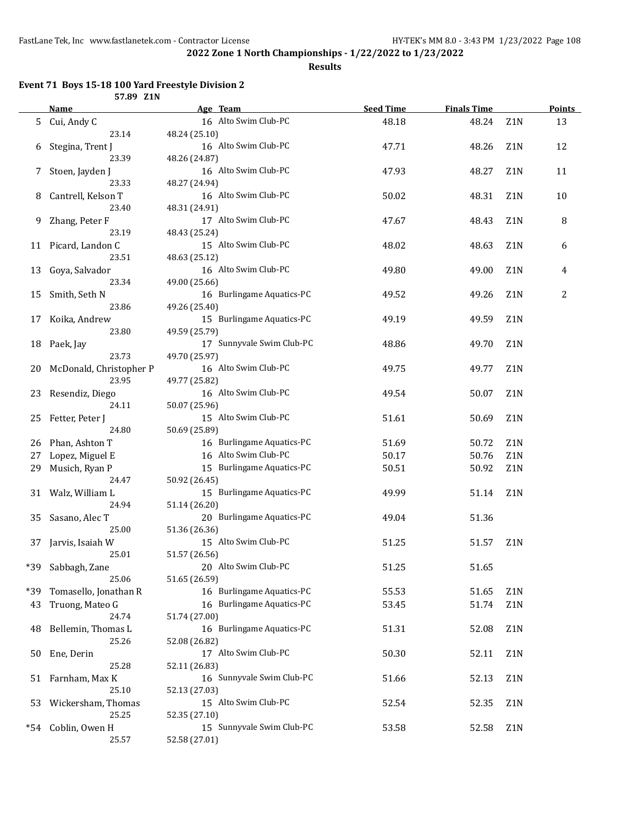**Results**

#### **Event 71 Boys 15-18 100 Yard Freestyle Division 2 57.89 Z1N**

|     | 37.09 LIN<br><u>Name</u> |               | Age Team                  | <b>Seed Time</b> | <b>Finals Time</b> |                  | <b>Points</b> |
|-----|--------------------------|---------------|---------------------------|------------------|--------------------|------------------|---------------|
|     | 5 Cui, Andy C            |               | 16 Alto Swim Club-PC      | 48.18            | 48.24              | Z1N              | 13            |
|     | 23.14                    | 48.24 (25.10) |                           |                  |                    |                  |               |
|     | 6 Stegina, Trent J       |               | 16 Alto Swim Club-PC      | 47.71            | 48.26              | Z <sub>1</sub> N | 12            |
|     | 23.39                    | 48.26 (24.87) |                           |                  |                    |                  |               |
|     | 7 Stoen, Jayden J        |               | 16 Alto Swim Club-PC      | 47.93            | 48.27              | Z <sub>1</sub> N | 11            |
|     | 23.33                    | 48.27 (24.94) |                           |                  |                    |                  |               |
| 8   | Cantrell, Kelson T       |               | 16 Alto Swim Club-PC      | 50.02            | 48.31              | Z <sub>1</sub> N | 10            |
|     | 23.40                    | 48.31 (24.91) |                           |                  |                    |                  |               |
| 9   | Zhang, Peter F           |               | 17 Alto Swim Club-PC      | 47.67            | 48.43              | Z1N              | 8             |
|     | 23.19                    | 48.43 (25.24) |                           |                  |                    |                  |               |
| 11  | Picard, Landon C         |               | 15 Alto Swim Club-PC      | 48.02            | 48.63              | Z <sub>1</sub> N | 6             |
|     | 23.51                    | 48.63 (25.12) |                           |                  |                    |                  |               |
| 13  | Goya, Salvador           |               | 16 Alto Swim Club-PC      | 49.80            | 49.00              | Z <sub>1</sub> N | 4             |
|     | 23.34                    | 49.00 (25.66) |                           |                  |                    |                  |               |
| 15  | Smith, Seth N            |               | 16 Burlingame Aquatics-PC | 49.52            | 49.26              | Z <sub>1</sub> N | 2             |
|     | 23.86                    | 49.26 (25.40) |                           |                  |                    |                  |               |
| 17  | Koika, Andrew            |               | 15 Burlingame Aquatics-PC | 49.19            | 49.59              | Z <sub>1</sub> N |               |
|     | 23.80                    | 49.59 (25.79) |                           |                  |                    |                  |               |
| 18  | Paek, Jay                |               | 17 Sunnyvale Swim Club-PC | 48.86            | 49.70              | Z <sub>1</sub> N |               |
|     | 23.73                    | 49.70 (25.97) |                           |                  |                    |                  |               |
| 20  | McDonald, Christopher P  |               | 16 Alto Swim Club-PC      | 49.75            | 49.77              | Z <sub>1</sub> N |               |
|     | 23.95                    | 49.77 (25.82) |                           |                  |                    |                  |               |
| 23  | Resendiz, Diego          |               | 16 Alto Swim Club-PC      | 49.54            | 50.07              | Z <sub>1</sub> N |               |
|     | 24.11                    | 50.07 (25.96) |                           |                  |                    |                  |               |
| 25  | Fetter, Peter J          |               | 15 Alto Swim Club-PC      | 51.61            | 50.69              | Z <sub>1</sub> N |               |
|     | 24.80                    | 50.69 (25.89) |                           |                  |                    |                  |               |
| 26  | Phan, Ashton T           |               | 16 Burlingame Aquatics-PC | 51.69            | 50.72              | Z <sub>1</sub> N |               |
| 27  | Lopez, Miguel E          |               | 16 Alto Swim Club-PC      | 50.17            | 50.76              | Z <sub>1</sub> N |               |
| 29  | Musich, Ryan P           |               | 15 Burlingame Aquatics-PC | 50.51            | 50.92              | Z1N              |               |
|     | 24.47                    | 50.92 (26.45) |                           |                  |                    |                  |               |
| 31  | Walz, William L          |               | 15 Burlingame Aquatics-PC | 49.99            | 51.14              | Z <sub>1</sub> N |               |
|     | 24.94                    | 51.14 (26.20) |                           |                  |                    |                  |               |
| 35  | Sasano, Alec T           |               | 20 Burlingame Aquatics-PC | 49.04            | 51.36              |                  |               |
|     | 25.00                    | 51.36 (26.36) |                           |                  |                    |                  |               |
| 37  | Jarvis, Isaiah W         |               | 15 Alto Swim Club-PC      | 51.25            | 51.57              | Z <sub>1</sub> N |               |
|     | 25.01                    | 51.57 (26.56) |                           |                  |                    |                  |               |
| *39 | Sabbagh, Zane            |               | 20 Alto Swim Club-PC      | 51.25            | 51.65              |                  |               |
|     | 25.06                    | 51.65 (26.59) |                           |                  |                    |                  |               |
| *39 | Tomasello, Jonathan R    |               | 16 Burlingame Aquatics-PC | 55.53            | 51.65              | Z <sub>1</sub> N |               |
| 43  | Truong, Mateo G          |               | 16 Burlingame Aquatics-PC | 53.45            | 51.74              | Z <sub>1</sub> N |               |
|     | 24.74                    | 51.74 (27.00) |                           |                  |                    |                  |               |
| 48  | Bellemin, Thomas L       |               | 16 Burlingame Aquatics-PC | 51.31            | 52.08              | Z <sub>1</sub> N |               |
|     | 25.26                    | 52.08 (26.82) |                           |                  |                    |                  |               |
| 50  | Ene, Derin               |               | 17 Alto Swim Club-PC      | 50.30            | 52.11              | Z1N              |               |
|     | 25.28                    | 52.11 (26.83) |                           |                  |                    |                  |               |
| 51  | Farnham, Max K           |               | 16 Sunnyvale Swim Club-PC | 51.66            | 52.13              | Z1N              |               |
|     | 25.10                    | 52.13 (27.03) |                           |                  |                    |                  |               |
| 53  | Wickersham, Thomas       |               | 15 Alto Swim Club-PC      | 52.54            | 52.35              | Z1N              |               |
|     | 25.25                    | 52.35 (27.10) |                           |                  |                    |                  |               |
| *54 | Coblin, Owen H           |               | 15 Sunnyvale Swim Club-PC | 53.58            | 52.58              | Z1N              |               |
|     | 25.57                    | 52.58 (27.01) |                           |                  |                    |                  |               |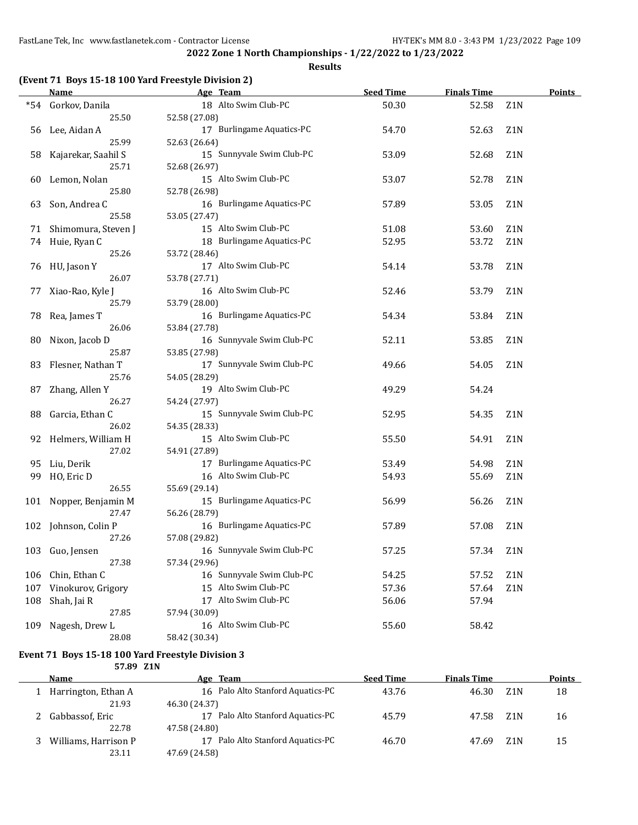## **Results**

|  |  | (Event 71 Boys 15-18 100 Yard Freestyle Division 2) |  |
|--|--|-----------------------------------------------------|--|
|--|--|-----------------------------------------------------|--|

|     | <b>Name</b>            | Age Team                  | <b>Seed Time</b> | <b>Finals Time</b> |                  | <b>Points</b> |
|-----|------------------------|---------------------------|------------------|--------------------|------------------|---------------|
|     | *54 Gorkov, Danila     | 18 Alto Swim Club-PC      | 50.30            | 52.58              | Z1N              |               |
|     | 25.50                  | 52.58 (27.08)             |                  |                    |                  |               |
|     | 56 Lee, Aidan A        | 17 Burlingame Aquatics-PC | 54.70            | 52.63              | Z <sub>1</sub> N |               |
|     | 25.99                  | 52.63 (26.64)             |                  |                    |                  |               |
| 58  | Kajarekar, Saahil S    | 15 Sunnyvale Swim Club-PC | 53.09            | 52.68              | Z <sub>1</sub> N |               |
|     | 25.71                  | 52.68 (26.97)             |                  |                    |                  |               |
| 60  | Lemon, Nolan           | 15 Alto Swim Club-PC      | 53.07            | 52.78              | Z <sub>1</sub> N |               |
|     | 25.80                  | 52.78 (26.98)             |                  |                    |                  |               |
| 63  | Son, Andrea C          | 16 Burlingame Aquatics-PC | 57.89            | 53.05              | Z <sub>1</sub> N |               |
|     | 25.58                  | 53.05 (27.47)             |                  |                    |                  |               |
|     | 71 Shimomura, Steven J | 15 Alto Swim Club-PC      | 51.08            | 53.60              | Z <sub>1</sub> N |               |
|     | 74 Huie, Ryan C        | 18 Burlingame Aquatics-PC | 52.95            | 53.72              | Z <sub>1</sub> N |               |
|     | 25.26                  | 53.72 (28.46)             |                  |                    |                  |               |
|     | 76 HU, Jason Y         | 17 Alto Swim Club-PC      | 54.14            | 53.78              | Z1N              |               |
|     | 26.07                  | 53.78 (27.71)             |                  |                    |                  |               |
| 77  | Xiao-Rao, Kyle J       | 16 Alto Swim Club-PC      | 52.46            | 53.79              | Z1N              |               |
|     | 25.79                  | 53.79 (28.00)             |                  |                    |                  |               |
| 78  | Rea, James T           | 16 Burlingame Aquatics-PC | 54.34            | 53.84              | Z <sub>1</sub> N |               |
|     | 26.06                  | 53.84 (27.78)             |                  |                    |                  |               |
| 80  | Nixon, Jacob D         | 16 Sunnyvale Swim Club-PC | 52.11            | 53.85              | Z <sub>1</sub> N |               |
|     | 25.87                  | 53.85 (27.98)             |                  |                    |                  |               |
| 83  | Flesner, Nathan T      | 17 Sunnyvale Swim Club-PC | 49.66            | 54.05              | Z <sub>1</sub> N |               |
|     | 25.76                  | 54.05 (28.29)             |                  |                    |                  |               |
| 87  | Zhang, Allen Y         | 19 Alto Swim Club-PC      | 49.29            | 54.24              |                  |               |
|     | 26.27                  | 54.24 (27.97)             |                  |                    |                  |               |
| 88  | Garcia, Ethan C        | 15 Sunnyvale Swim Club-PC | 52.95            | 54.35              | Z <sub>1</sub> N |               |
|     | 26.02                  | 54.35 (28.33)             |                  |                    |                  |               |
| 92  | Helmers, William H     | 15 Alto Swim Club-PC      | 55.50            | 54.91              | Z1N              |               |
|     | 27.02                  | 54.91 (27.89)             |                  |                    |                  |               |
| 95  | Liu, Derik             | 17 Burlingame Aquatics-PC | 53.49            | 54.98              | Z <sub>1</sub> N |               |
| 99  | HO, Eric D             | 16 Alto Swim Club-PC      | 54.93            | 55.69              | Z <sub>1</sub> N |               |
|     | 26.55                  | 55.69 (29.14)             |                  |                    |                  |               |
|     | 101 Nopper, Benjamin M | 15 Burlingame Aquatics-PC | 56.99            | 56.26              | Z <sub>1</sub> N |               |
|     | 27.47                  | 56.26 (28.79)             |                  |                    |                  |               |
|     | 102 Johnson, Colin P   | 16 Burlingame Aquatics-PC | 57.89            | 57.08              | Z <sub>1</sub> N |               |
|     | 27.26                  | 57.08 (29.82)             |                  |                    |                  |               |
|     | 103 Guo, Jensen        | 16 Sunnyvale Swim Club-PC | 57.25            | 57.34              | Z1N              |               |
|     | 27.38                  | 57.34 (29.96)             |                  |                    |                  |               |
| 106 | Chin, Ethan C          | 16 Sunnyvale Swim Club-PC | 54.25            | 57.52              | Z1N              |               |
| 107 | Vinokurov, Grigory     | 15 Alto Swim Club-PC      | 57.36            | 57.64              | Z1N              |               |
| 108 | Shah, Jai R            | 17 Alto Swim Club-PC      | 56.06            | 57.94              |                  |               |
|     | 27.85                  | 57.94 (30.09)             |                  |                    |                  |               |
| 109 | Nagesh, Drew L         | 16 Alto Swim Club-PC      | 55.60            | 58.42              |                  |               |
|     | 28.08                  | 58.42 (30.34)             |                  |                    |                  |               |

#### **Event 71 Boys 15-18 100 Yard Freestyle Division 3 57.89 Z1N**

| Name                 | Age Team                          | <b>Seed Time</b> | <b>Finals Time</b>        | <b>Points</b> |
|----------------------|-----------------------------------|------------------|---------------------------|---------------|
| Harrington, Ethan A  | 16 Palo Alto Stanford Aquatics-PC | 43.76            | 46.30<br>Z <sub>1</sub> N | 18            |
| 21.93                | 46.30 (24.37)                     |                  |                           |               |
| Gabbassof, Eric      | Palo Alto Stanford Aquatics-PC    | 45.79            | Z <sub>1</sub> N<br>47.58 | 16            |
| 22.78                | 47.58 (24.80)                     |                  |                           |               |
| Williams, Harrison P | Palo Alto Stanford Aquatics-PC    | 46.70            | Z1N<br>47.69              | 15            |
| 23.11                | 47.69 (24.58)                     |                  |                           |               |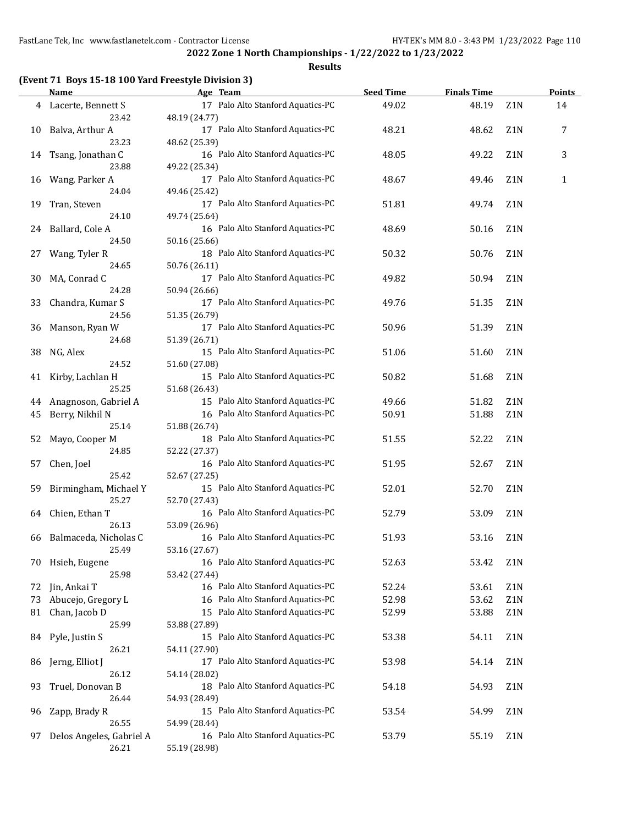#### **Results**

## **(Event 71 Boys 15-18 100 Yard Freestyle Division 3)**

|    | <b>Name</b>                       | Age Team                                           | <b>Seed Time</b> | <b>Finals Time</b> |     | <b>Points</b> |
|----|-----------------------------------|----------------------------------------------------|------------------|--------------------|-----|---------------|
|    | 4 Lacerte, Bennett S<br>23.42     | 17 Palo Alto Stanford Aquatics-PC<br>48.19 (24.77) | 49.02            | 48.19              | Z1N | 14            |
| 10 | Balva, Arthur A                   | 17 Palo Alto Stanford Aquatics-PC                  | 48.21            | 48.62              | Z1N | 7             |
| 14 | 23.23<br>Tsang, Jonathan C        | 48.62 (25.39)<br>16 Palo Alto Stanford Aquatics-PC | 48.05            | 49.22              | Z1N | 3             |
| 16 | 23.88<br>Wang, Parker A           | 49.22 (25.34)<br>17 Palo Alto Stanford Aquatics-PC | 48.67            | 49.46              | Z1N | 1             |
|    | 24.04                             | 49.46 (25.42)                                      |                  |                    |     |               |
| 19 | Tran, Steven<br>24.10             | 17 Palo Alto Stanford Aquatics-PC<br>49.74 (25.64) | 51.81            | 49.74              | Z1N |               |
| 24 | Ballard, Cole A<br>24.50          | 16 Palo Alto Stanford Aquatics-PC<br>50.16 (25.66) | 48.69            | 50.16              | Z1N |               |
| 27 | Wang, Tyler R<br>24.65            | 18 Palo Alto Stanford Aquatics-PC                  | 50.32            | 50.76              | Z1N |               |
| 30 | MA, Conrad C                      | 50.76 (26.11)<br>17 Palo Alto Stanford Aquatics-PC | 49.82            | 50.94              | Z1N |               |
| 33 | 24.28<br>Chandra, Kumar S         | 50.94 (26.66)<br>17 Palo Alto Stanford Aquatics-PC | 49.76            | 51.35              | Z1N |               |
|    | 24.56                             | 51.35 (26.79)                                      |                  |                    |     |               |
| 36 | Manson, Ryan W<br>24.68           | 17 Palo Alto Stanford Aquatics-PC<br>51.39 (26.71) | 50.96            | 51.39              | Z1N |               |
| 38 | NG, Alex<br>24.52                 | 15 Palo Alto Stanford Aquatics-PC<br>51.60 (27.08) | 51.06            | 51.60              | Z1N |               |
| 41 | Kirby, Lachlan H<br>25.25         | 15 Palo Alto Stanford Aquatics-PC<br>51.68 (26.43) | 50.82            | 51.68              | Z1N |               |
| 44 | Anagnoson, Gabriel A              | 15 Palo Alto Stanford Aquatics-PC                  | 49.66            | 51.82              | Z1N |               |
| 45 | Berry, Nikhil N                   | 16 Palo Alto Stanford Aquatics-PC                  | 50.91            | 51.88              | Z1N |               |
|    | 25.14                             | 51.88 (26.74)                                      |                  |                    |     |               |
| 52 | Mayo, Cooper M<br>24.85           | 18 Palo Alto Stanford Aquatics-PC<br>52.22 (27.37) | 51.55            | 52.22              | Z1N |               |
| 57 | Chen, Joel<br>25.42               | 16 Palo Alto Stanford Aquatics-PC                  | 51.95            | 52.67              | Z1N |               |
| 59 | Birmingham, Michael Y             | 52.67 (27.25)<br>15 Palo Alto Stanford Aquatics-PC | 52.01            | 52.70              | Z1N |               |
| 64 | 25.27<br>Chien, Ethan T           | 52.70 (27.43)<br>16 Palo Alto Stanford Aquatics-PC | 52.79            | 53.09              | Z1N |               |
| 66 | 26.13<br>Balmaceda, Nicholas C    | 53.09 (26.96)<br>16 Palo Alto Stanford Aquatics-PC | 51.93            | 53.16              | Z1N |               |
|    | 25.49                             | 53.16 (27.67)                                      |                  |                    |     |               |
| 70 | Hsieh, Eugene<br>25.98            | 16 Palo Alto Stanford Aquatics-PC<br>53.42 (27.44) | 52.63            | 53.42              | Z1N |               |
| 72 | Jin, Ankai T                      | 16 Palo Alto Stanford Aquatics-PC                  | 52.24            | 53.61              | Z1N |               |
| 73 | Abucejo, Gregory L                | 16 Palo Alto Stanford Aquatics-PC                  | 52.98            | 53.62              | Z1N |               |
| 81 | Chan, Jacob D                     | 15 Palo Alto Stanford Aquatics-PC                  | 52.99            | 53.88              | Z1N |               |
|    | 25.99                             | 53.88 (27.89)                                      |                  |                    |     |               |
| 84 | Pyle, Justin S<br>26.21           | 15 Palo Alto Stanford Aquatics-PC<br>54.11 (27.90) | 53.38            | 54.11              | Z1N |               |
| 86 | Jerng, Elliot J<br>26.12          | 17 Palo Alto Stanford Aquatics-PC<br>54.14 (28.02) | 53.98            | 54.14              | Z1N |               |
| 93 | Truel, Donovan B<br>26.44         | 18 Palo Alto Stanford Aquatics-PC<br>54.93 (28.49) | 54.18            | 54.93              | Z1N |               |
| 96 | Zapp, Brady R                     | 15 Palo Alto Stanford Aquatics-PC                  | 53.54            | 54.99              | Z1N |               |
| 97 | 26.55<br>Delos Angeles, Gabriel A | 54.99 (28.44)<br>16 Palo Alto Stanford Aquatics-PC | 53.79            | 55.19              | Z1N |               |
|    | 26.21                             | 55.19 (28.98)                                      |                  |                    |     |               |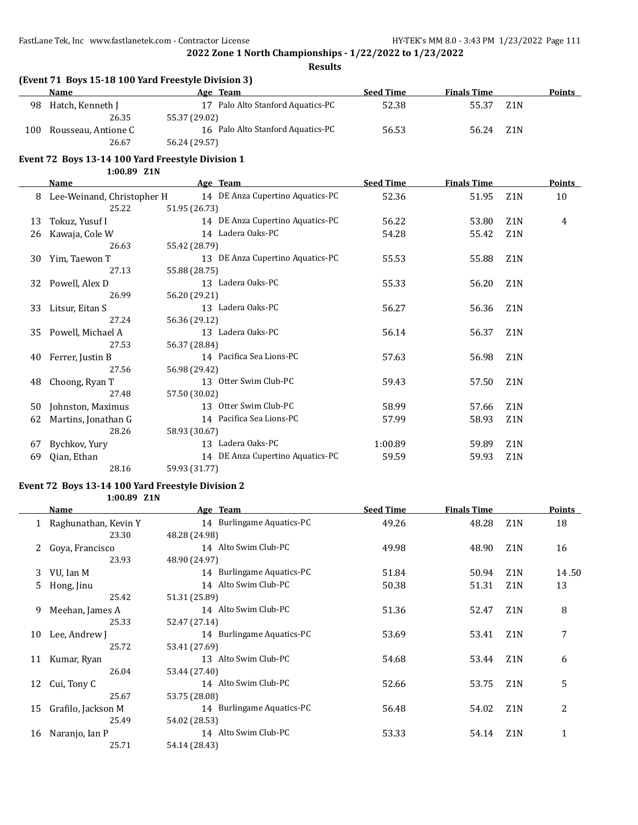#### **Results**

## **(Event 71 Boys 15-18 100 Yard Freestyle Division 3)**

|     | Name                | Age Team                          | <b>Seed Time</b> | <b>Finals Time</b> | Points           |
|-----|---------------------|-----------------------------------|------------------|--------------------|------------------|
| 98  | Hatch, Kenneth J    | 17 Palo Alto Stanford Aquatics-PC | 52.38            | 55.37              | Z <sub>1</sub> N |
|     | 26.35               | 55.37 (29.02)                     |                  |                    |                  |
| 100 | Rousseau, Antione C | 16 Palo Alto Stanford Aquatics-PC | 56.53            | 56.24              | Z1N              |
|     | 26.67               | 56.24 (29.57)                     |                  |                    |                  |

#### **Event 72 Boys 13-14 100 Yard Freestyle Division 1**

#### **1:00.89 Z1N**

|    | Name                       | Age Team                         | <b>Seed Time</b> | <b>Finals Time</b> |                  | <b>Points</b> |
|----|----------------------------|----------------------------------|------------------|--------------------|------------------|---------------|
| 8  | Lee-Weinand, Christopher H | 14 DE Anza Cupertino Aquatics-PC | 52.36            | 51.95              | Z <sub>1</sub> N | 10            |
|    | 25.22                      | 51.95 (26.73)                    |                  |                    |                  |               |
| 13 | Tokuz, Yusuf I             | 14 DE Anza Cupertino Aquatics-PC | 56.22            | 53.80              | Z <sub>1</sub> N | 4             |
| 26 | Kawaja, Cole W             | 14 Ladera Oaks-PC                | 54.28            | 55.42              | Z1N              |               |
|    | 26.63                      | 55.42 (28.79)                    |                  |                    |                  |               |
| 30 | Yim, Taewon T              | 13 DE Anza Cupertino Aquatics-PC | 55.53            | 55.88              | Z <sub>1</sub> N |               |
|    | 27.13                      | 55.88 (28.75)                    |                  |                    |                  |               |
| 32 | Powell, Alex D             | 13 Ladera Oaks-PC                | 55.33            | 56.20              | Z <sub>1</sub> N |               |
|    | 26.99                      | 56.20 (29.21)                    |                  |                    |                  |               |
| 33 | Litsur, Eitan S            | 13 Ladera Oaks-PC                | 56.27            | 56.36              | Z <sub>1</sub> N |               |
|    | 27.24                      | 56.36 (29.12)                    |                  |                    |                  |               |
| 35 | Powell, Michael A          | 13 Ladera Oaks-PC                | 56.14            | 56.37              | Z <sub>1</sub> N |               |
|    | 27.53                      | 56.37 (28.84)                    |                  |                    |                  |               |
| 40 | Ferrer, Justin B           | 14 Pacifica Sea Lions-PC         | 57.63            | 56.98              | Z <sub>1</sub> N |               |
|    | 27.56                      | 56.98 (29.42)                    |                  |                    |                  |               |
| 48 | Choong, Ryan T             | 13 Otter Swim Club-PC            | 59.43            | 57.50              | Z <sub>1</sub> N |               |
|    | 27.48                      | 57.50 (30.02)                    |                  |                    |                  |               |
| 50 | Johnston, Maximus          | 13 Otter Swim Club-PC            | 58.99            | 57.66              | Z1N              |               |
| 62 | Martins, Jonathan G        | 14 Pacifica Sea Lions-PC         | 57.99            | 58.93              | Z <sub>1</sub> N |               |
|    | 28.26                      | 58.93 (30.67)                    |                  |                    |                  |               |
| 67 | Bychkov, Yury              | 13 Ladera Oaks-PC                | 1:00.89          | 59.89              | Z <sub>1</sub> N |               |
| 69 | Qian, Ethan                | 14 DE Anza Cupertino Aquatics-PC | 59.59            | 59.93              | Z <sub>1</sub> N |               |
|    | 28.16                      | 59.93 (31.77)                    |                  |                    |                  |               |

## **Event 72 Boys 13-14 100 Yard Freestyle Division 2**

#### **1:00.89 Z1N**

|    | Name                   | Age Team                  | <b>Seed Time</b> | <b>Finals Time</b> |                  | <b>Points</b> |
|----|------------------------|---------------------------|------------------|--------------------|------------------|---------------|
|    | 1 Raghunathan, Kevin Y | 14 Burlingame Aquatics-PC | 49.26            | 48.28              | Z1N              | 18            |
|    | 23.30                  | 48.28 (24.98)             |                  |                    |                  |               |
| 2  | Goya, Francisco        | 14 Alto Swim Club-PC      | 49.98            | 48.90              | Z <sub>1</sub> N | 16            |
|    | 23.93                  | 48.90 (24.97)             |                  |                    |                  |               |
| 3  | VU, Ian M              | 14 Burlingame Aquatics-PC | 51.84            | 50.94              | Z <sub>1</sub> N | 14.50         |
| 5. | Hong, Jinu             | 14 Alto Swim Club-PC      | 50.38            | 51.31              | Z <sub>1</sub> N | 13            |
|    | 25.42                  | 51.31 (25.89)             |                  |                    |                  |               |
| 9  | Meehan, James A        | 14 Alto Swim Club-PC      | 51.36            | 52.47              | Z <sub>1</sub> N | 8             |
|    | 25.33                  | 52.47 (27.14)             |                  |                    |                  |               |
| 10 | Lee, Andrew J          | 14 Burlingame Aquatics-PC | 53.69            | 53.41              | Z <sub>1</sub> N | 7             |
|    | 25.72                  | 53.41 (27.69)             |                  |                    |                  |               |
| 11 | Kumar, Ryan            | 13 Alto Swim Club-PC      | 54.68            | 53.44              | Z <sub>1</sub> N | 6             |
|    | 26.04                  | 53.44 (27.40)             |                  |                    |                  |               |
| 12 | Cui, Tony C            | 14 Alto Swim Club-PC      | 52.66            | 53.75              | Z <sub>1</sub> N | 5             |
|    | 25.67                  | 53.75 (28.08)             |                  |                    |                  |               |
| 15 | Grafilo, Jackson M     | 14 Burlingame Aquatics-PC | 56.48            | 54.02              | Z <sub>1</sub> N | 2             |
|    | 25.49                  | 54.02 (28.53)             |                  |                    |                  |               |
| 16 | Naranjo, Ian P         | 14 Alto Swim Club-PC      | 53.33            | 54.14              | Z <sub>1</sub> N | 1             |
|    | 25.71                  | 54.14 (28.43)             |                  |                    |                  |               |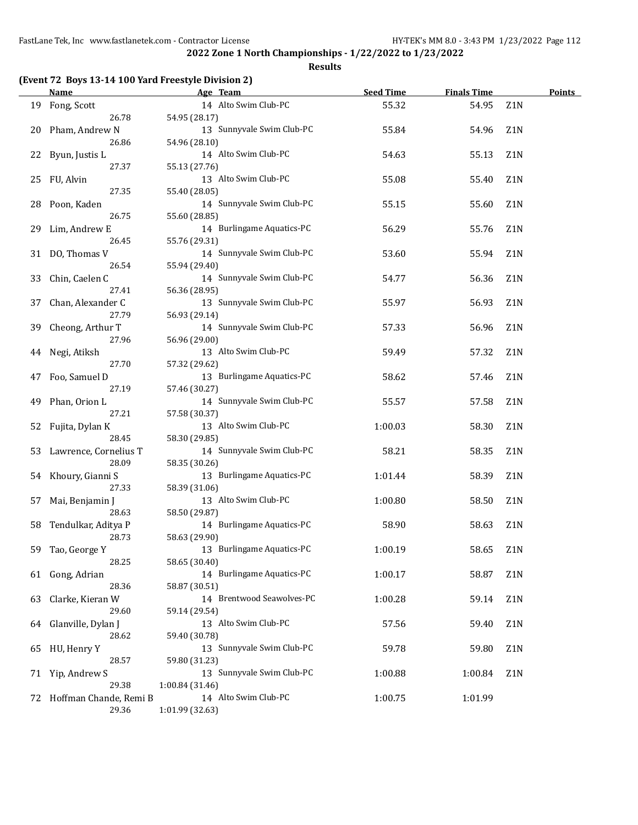**2022 Zone 1 North Championships - 1/22/2022 to 1/23/2022 Results**

## **(Event 72 Boys 13-14 100 Yard Freestyle Division 2)**

|    | <b>Name</b>            | Age Team                  | <b>Seed Time</b> | <b>Finals Time</b> |                  | <b>Points</b> |
|----|------------------------|---------------------------|------------------|--------------------|------------------|---------------|
| 19 | Fong, Scott            | 14 Alto Swim Club-PC      | 55.32            | 54.95              | Z1N              |               |
|    | 26.78                  | 54.95 (28.17)             |                  |                    |                  |               |
| 20 | Pham, Andrew N         | 13 Sunnyvale Swim Club-PC | 55.84            | 54.96              | Z <sub>1</sub> N |               |
|    | 26.86                  | 54.96 (28.10)             |                  |                    |                  |               |
| 22 | Byun, Justis L         | 14 Alto Swim Club-PC      | 54.63            | 55.13              | Z1N              |               |
|    | 27.37                  | 55.13 (27.76)             |                  |                    |                  |               |
| 25 | FU, Alvin              | 13 Alto Swim Club-PC      | 55.08            | 55.40              | Z1N              |               |
|    | 27.35                  | 55.40 (28.05)             |                  |                    |                  |               |
| 28 | Poon, Kaden            | 14 Sunnyvale Swim Club-PC | 55.15            | 55.60              | Z <sub>1</sub> N |               |
|    | 26.75                  | 55.60 (28.85)             |                  |                    |                  |               |
| 29 | Lim, Andrew E          | 14 Burlingame Aquatics-PC | 56.29            | 55.76              | Z <sub>1</sub> N |               |
|    | 26.45                  | 55.76 (29.31)             |                  |                    |                  |               |
|    | 31 DO, Thomas V        | 14 Sunnyvale Swim Club-PC | 53.60            | 55.94              | Z <sub>1</sub> N |               |
|    | 26.54                  | 55.94 (29.40)             |                  |                    |                  |               |
| 33 | Chin, Caelen C         | 14 Sunnyvale Swim Club-PC | 54.77            | 56.36              | Z1N              |               |
|    | 27.41                  | 56.36 (28.95)             |                  |                    |                  |               |
| 37 | Chan, Alexander C      | 13 Sunnyvale Swim Club-PC | 55.97            | 56.93              | Z <sub>1</sub> N |               |
|    | 27.79                  | 56.93 (29.14)             |                  |                    |                  |               |
| 39 | Cheong, Arthur T       | 14 Sunnyvale Swim Club-PC | 57.33            | 56.96              | Z <sub>1</sub> N |               |
|    | 27.96                  | 56.96 (29.00)             |                  |                    |                  |               |
| 44 | Negi, Atiksh           | 13 Alto Swim Club-PC      | 59.49            | 57.32              | Z1N              |               |
|    | 27.70                  | 57.32 (29.62)             |                  |                    |                  |               |
| 47 | Foo, Samuel D          | 13 Burlingame Aquatics-PC | 58.62            | 57.46              | Z1N              |               |
|    | 27.19                  | 57.46 (30.27)             |                  |                    |                  |               |
| 49 | Phan, Orion L          | 14 Sunnyvale Swim Club-PC | 55.57            | 57.58              | Z1N              |               |
|    | 27.21                  | 57.58 (30.37)             |                  |                    |                  |               |
| 52 | Fujita, Dylan K        | 13 Alto Swim Club-PC      | 1:00.03          | 58.30              | Z1N              |               |
|    | 28.45                  | 58.30 (29.85)             |                  |                    |                  |               |
| 53 | Lawrence, Cornelius T  | 14 Sunnyvale Swim Club-PC | 58.21            | 58.35              | Z1N              |               |
|    | 28.09                  | 58.35 (30.26)             |                  |                    |                  |               |
| 54 | Khoury, Gianni S       | 13 Burlingame Aquatics-PC | 1:01.44          | 58.39              | Z1N              |               |
|    | 27.33                  | 58.39 (31.06)             |                  |                    |                  |               |
| 57 | Mai, Benjamin J        | 13 Alto Swim Club-PC      | 1:00.80          | 58.50              | Z <sub>1</sub> N |               |
|    | 28.63                  | 58.50 (29.87)             |                  |                    |                  |               |
| 58 | Tendulkar, Aditya P    | 14 Burlingame Aquatics-PC | 58.90            | 58.63              | Z1N              |               |
|    | 28.73                  | 58.63 (29.90)             |                  |                    |                  |               |
| 59 | Tao, George Y          | 13 Burlingame Aquatics-PC | 1:00.19          | 58.65              | Z1N              |               |
|    | 28.25                  | 58.65 (30.40)             |                  |                    |                  |               |
|    | 61 Gong, Adrian        | 14 Burlingame Aquatics-PC | 1:00.17          | 58.87              | Z1N              |               |
|    | 28.36                  | 58.87 (30.51)             |                  |                    |                  |               |
| 63 | Clarke, Kieran W       | 14 Brentwood Seawolves-PC | 1:00.28          | 59.14              | Z1N              |               |
|    | 29.60                  | 59.14 (29.54)             |                  |                    |                  |               |
| 64 | Glanville, Dylan J     | 13 Alto Swim Club-PC      | 57.56            | 59.40              | Z1N              |               |
|    | 28.62                  | 59.40 (30.78)             |                  |                    |                  |               |
| 65 | HU, Henry Y            | 13 Sunnyvale Swim Club-PC | 59.78            | 59.80              | Z1N              |               |
|    | 28.57                  | 59.80 (31.23)             |                  |                    |                  |               |
|    | 71 Yip, Andrew S       | 13 Sunnyvale Swim Club-PC | 1:00.88          | 1:00.84            | Z1N              |               |
|    | 29.38                  | 1:00.84 (31.46)           |                  |                    |                  |               |
| 72 | Hoffman Chande, Remi B | 14 Alto Swim Club-PC      | 1:00.75          | 1:01.99            |                  |               |
|    | 29.36                  | 1:01.99 (32.63)           |                  |                    |                  |               |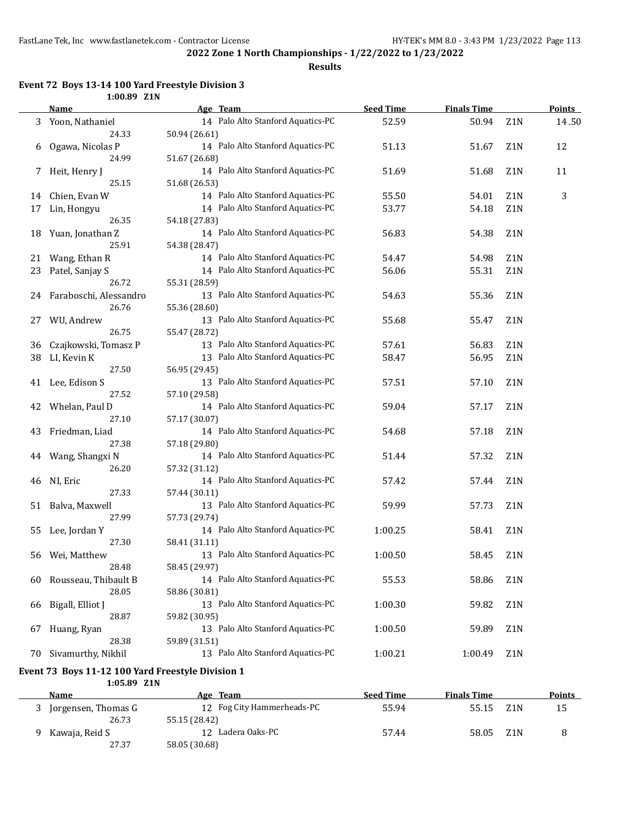**Results**

## **Event 72 Boys 13-14 100 Yard Freestyle Division 3**

|    | 1:00.89 Z1N                                       |                                                    |                  |                    |                  |               |
|----|---------------------------------------------------|----------------------------------------------------|------------------|--------------------|------------------|---------------|
|    | Name                                              | Age Team                                           | <b>Seed Time</b> | <b>Finals Time</b> |                  | <b>Points</b> |
| 3  | Yoon, Nathaniel                                   | 14 Palo Alto Stanford Aquatics-PC                  | 52.59            | 50.94              | Z1N              | 14.50         |
|    | 24.33                                             | 50.94 (26.61)                                      |                  |                    |                  |               |
| 6  | Ogawa, Nicolas P                                  | 14 Palo Alto Stanford Aquatics-PC                  | 51.13            | 51.67              | Z1N              | 12            |
|    | 24.99                                             | 51.67 (26.68)                                      |                  |                    |                  |               |
| 7  | Heit, Henry J                                     | 14 Palo Alto Stanford Aquatics-PC                  | 51.69            | 51.68              | Z1N              | 11            |
|    | 25.15                                             | 51.68 (26.53)                                      |                  |                    |                  |               |
| 14 | Chien, Evan W                                     | 14 Palo Alto Stanford Aquatics-PC                  | 55.50            | 54.01              | Z1N              | 3             |
| 17 | Lin, Hongyu                                       | 14 Palo Alto Stanford Aquatics-PC                  | 53.77            | 54.18              | Z1N              |               |
|    | 26.35                                             | 54.18 (27.83)                                      |                  |                    |                  |               |
| 18 | Yuan, Jonathan Z                                  | 14 Palo Alto Stanford Aquatics-PC                  | 56.83            | 54.38              | Z1N              |               |
|    | 25.91                                             | 54.38 (28.47)                                      |                  |                    |                  |               |
| 21 | Wang, Ethan R                                     | 14 Palo Alto Stanford Aquatics-PC                  | 54.47            | 54.98              | Z1N              |               |
| 23 | Patel, Sanjay S                                   | 14 Palo Alto Stanford Aquatics-PC                  | 56.06            | 55.31              | Z1N              |               |
|    | 26.72                                             | 55.31 (28.59)                                      |                  |                    |                  |               |
| 24 | Faraboschi, Alessandro                            | 13 Palo Alto Stanford Aquatics-PC                  | 54.63            | 55.36              | Z1N              |               |
|    | 26.76                                             | 55.36 (28.60)                                      |                  |                    |                  |               |
| 27 | WU, Andrew                                        | 13 Palo Alto Stanford Aquatics-PC                  | 55.68            | 55.47              | Z1N              |               |
|    | 26.75                                             | 55.47 (28.72)                                      |                  |                    |                  |               |
| 36 | Czajkowski, Tomasz P                              | 13 Palo Alto Stanford Aquatics-PC                  | 57.61            | 56.83              | Z1N              |               |
| 38 | LI, Kevin K                                       | 13 Palo Alto Stanford Aquatics-PC                  | 58.47            | 56.95              | Z <sub>1</sub> N |               |
|    | 27.50                                             |                                                    |                  |                    |                  |               |
|    | Lee, Edison S                                     | 56.95 (29.45)<br>13 Palo Alto Stanford Aquatics-PC |                  | 57.10              |                  |               |
| 41 | 27.52                                             |                                                    | 57.51            |                    | Z1N              |               |
|    |                                                   | 57.10 (29.58)<br>14 Palo Alto Stanford Aquatics-PC |                  |                    |                  |               |
| 42 | Whelan, Paul D<br>27.10                           |                                                    | 59.04            | 57.17              | Z1N              |               |
|    |                                                   | 57.17 (30.07)                                      |                  |                    |                  |               |
| 43 | Friedman, Liad                                    | 14 Palo Alto Stanford Aquatics-PC                  | 54.68            | 57.18              | Z1N              |               |
|    | 27.38                                             | 57.18 (29.80)                                      |                  |                    |                  |               |
| 44 | Wang, Shangxi N                                   | 14 Palo Alto Stanford Aquatics-PC                  | 51.44            | 57.32              | Z <sub>1</sub> N |               |
|    | 26.20                                             | 57.32 (31.12)                                      |                  |                    |                  |               |
| 46 | NI, Eric                                          | 14 Palo Alto Stanford Aquatics-PC                  | 57.42            | 57.44              | Z <sub>1</sub> N |               |
|    | 27.33                                             | 57.44 (30.11)                                      |                  |                    |                  |               |
| 51 | Balva, Maxwell                                    | 13 Palo Alto Stanford Aquatics-PC                  | 59.99            | 57.73              | Z <sub>1</sub> N |               |
|    | 27.99                                             | 57.73 (29.74)                                      |                  |                    |                  |               |
| 55 | Lee, Jordan Y                                     | 14 Palo Alto Stanford Aquatics-PC                  | 1:00.25          | 58.41              | Z1N              |               |
|    | 27.30                                             | 58.41 (31.11)                                      |                  |                    |                  |               |
| 56 | Wei, Matthew                                      | 13 Palo Alto Stanford Aquatics-PC                  | 1:00.50          | 58.45              | Z1N              |               |
|    | 28.48                                             | 58.45 (29.97)                                      |                  |                    |                  |               |
| 60 | Rousseau, Thibault B                              | 14 Palo Alto Stanford Aquatics-PC                  | 55.53            | 58.86              | Z1N              |               |
|    | 28.05                                             | 58.86 (30.81)                                      |                  |                    |                  |               |
| 66 | Bigall, Elliot J                                  | 13 Palo Alto Stanford Aquatics-PC                  | 1:00.30          | 59.82              | Z1N              |               |
|    | 28.87                                             | 59.82 (30.95)                                      |                  |                    |                  |               |
| 67 | Huang, Ryan                                       | 13 Palo Alto Stanford Aquatics-PC                  | 1:00.50          | 59.89              | Z1N              |               |
|    | 28.38                                             | 59.89 (31.51)                                      |                  |                    |                  |               |
| 70 | Sivamurthy, Nikhil                                | 13 Palo Alto Stanford Aquatics-PC                  | 1:00.21          | 1:00.49            | Z1N              |               |
|    | Event 73 Boys 11-12 100 Yard Freestyle Division 1 |                                                    |                  |                    |                  |               |
|    | 1:05.89 Z1N                                       |                                                    |                  |                    |                  |               |
|    | Name                                              | Age Team                                           | <b>Seed Time</b> | <b>Finals Time</b> |                  | <b>Points</b> |
| 3  | Jorgensen, Thomas G                               | 12 Fog City Hammerheads-PC                         | 55.94            | 55.15              | Z1N              | 15            |
|    | 26.73                                             | 55.15 (28.42)                                      |                  |                    |                  |               |
|    |                                                   |                                                    |                  |                    |                  |               |

9 Kawaja, Reid S<br>
12 Ladera Oaks-PC<br>
57.44 58.05 Z1N 8

27.37 58.05 (30.68)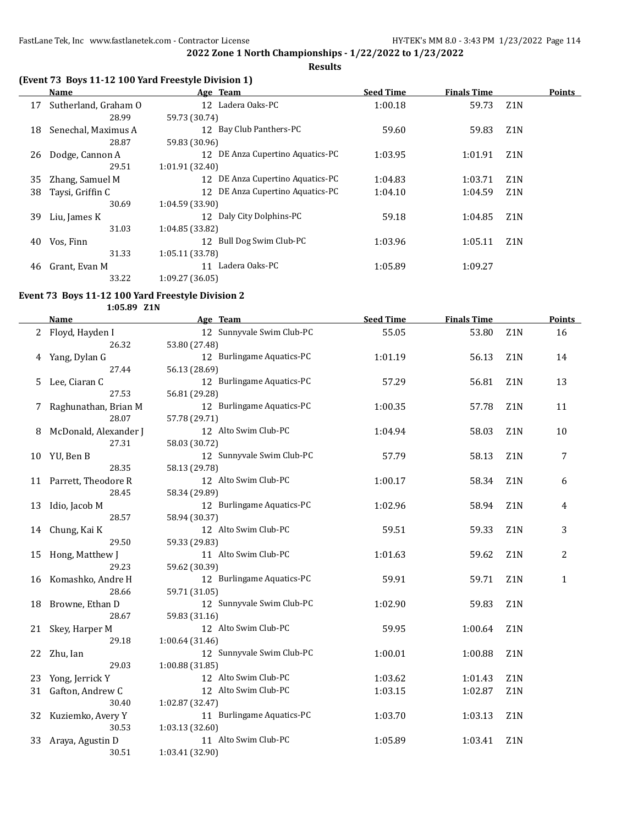**Results**

## **(Event 73 Boys 11-12 100 Yard Freestyle Division 1)**

|    | Name                 |                 | Age Team                         | <b>Seed Time</b> | <b>Finals Time</b> |                  | <b>Points</b> |
|----|----------------------|-----------------|----------------------------------|------------------|--------------------|------------------|---------------|
| 17 | Sutherland, Graham O |                 | 12 Ladera Oaks-PC                | 1:00.18          | 59.73              | Z1N              |               |
|    | 28.99                | 59.73 (30.74)   |                                  |                  |                    |                  |               |
| 18 | Senechal, Maximus A  |                 | 12 Bay Club Panthers-PC          | 59.60            | 59.83              | Z <sub>1</sub> N |               |
|    | 28.87                | 59.83 (30.96)   |                                  |                  |                    |                  |               |
| 26 | Dodge, Cannon A      |                 | 12 DE Anza Cupertino Aquatics-PC | 1:03.95          | 1:01.91            | Z <sub>1</sub> N |               |
|    | 29.51                | 1:01.91(32.40)  |                                  |                  |                    |                  |               |
| 35 | Zhang, Samuel M      |                 | 12 DE Anza Cupertino Aquatics-PC | 1:04.83          | 1:03.71            | Z <sub>1</sub> N |               |
| 38 | Taysi, Griffin C     | 12 <sup>1</sup> | DE Anza Cupertino Aquatics-PC    | 1:04.10          | 1:04.59            | Z <sub>1</sub> N |               |
|    | 30.69                | 1:04.59(33.90)  |                                  |                  |                    |                  |               |
| 39 | Liu, James K         |                 | 12 Daly City Dolphins-PC         | 59.18            | 1:04.85            | Z1N              |               |
|    | 31.03                | 1:04.85(33.82)  |                                  |                  |                    |                  |               |
| 40 | Vos, Finn            |                 | 12 Bull Dog Swim Club-PC         | 1:03.96          | 1:05.11            | Z <sub>1</sub> N |               |
|    | 31.33                | 1:05.11 (33.78) |                                  |                  |                    |                  |               |
| 46 | Grant, Evan M        | 11              | Ladera Oaks-PC                   | 1:05.89          | 1:09.27            |                  |               |
|    | 33.22                | 1:09.27 (36.05) |                                  |                  |                    |                  |               |

## **Event 73 Boys 11-12 100 Yard Freestyle Division 2**

#### **1:05.89 Z1N**

|    | <b>Name</b>            | Age Team                  | <b>Seed Time</b> | <b>Finals Time</b> |                  | <b>Points</b> |
|----|------------------------|---------------------------|------------------|--------------------|------------------|---------------|
|    | 2 Floyd, Hayden I      | 12 Sunnyvale Swim Club-PC | 55.05            | 53.80              | Z1N              | 16            |
|    | 26.32                  | 53.80 (27.48)             |                  |                    |                  |               |
| 4  | Yang, Dylan G          | 12 Burlingame Aquatics-PC | 1:01.19          | 56.13              | Z <sub>1</sub> N | 14            |
|    | 27.44                  | 56.13 (28.69)             |                  |                    |                  |               |
| 5  | Lee, Ciaran C          | 12 Burlingame Aquatics-PC | 57.29            | 56.81              | Z <sub>1</sub> N | 13            |
|    | 27.53                  | 56.81 (29.28)             |                  |                    |                  |               |
|    | Raghunathan, Brian M   | 12 Burlingame Aquatics-PC | 1:00.35          | 57.78              | Z <sub>1</sub> N | 11            |
|    | 28.07                  | 57.78 (29.71)             |                  |                    |                  |               |
| 8  | McDonald, Alexander J  | 12 Alto Swim Club-PC      | 1:04.94          | 58.03              | Z1N              | 10            |
|    | 27.31                  | 58.03 (30.72)             |                  |                    |                  |               |
|    | 10 YU, Ben B           | 12 Sunnyvale Swim Club-PC | 57.79            | 58.13              | Z <sub>1</sub> N | 7             |
|    | 28.35                  | 58.13 (29.78)             |                  |                    |                  |               |
|    | 11 Parrett, Theodore R | 12 Alto Swim Club-PC      | 1:00.17          | 58.34              | Z <sub>1</sub> N | 6             |
|    | 28.45                  | 58.34 (29.89)             |                  |                    |                  |               |
| 13 | Idio, Jacob M          | 12 Burlingame Aquatics-PC | 1:02.96          | 58.94              | Z1N              | 4             |
|    | 28.57                  | 58.94 (30.37)             |                  |                    |                  |               |
|    | 14 Chung, Kai K        | 12 Alto Swim Club-PC      | 59.51            | 59.33              | Z <sub>1</sub> N | 3             |
|    | 29.50                  | 59.33 (29.83)             |                  |                    |                  |               |
|    | 15 Hong, Matthew J     | 11 Alto Swim Club-PC      | 1:01.63          | 59.62              | Z1N              | 2             |
|    | 29.23                  | 59.62 (30.39)             |                  |                    |                  |               |
|    | 16 Komashko, Andre H   | 12 Burlingame Aquatics-PC | 59.91            | 59.71              | Z <sub>1</sub> N | $\mathbf{1}$  |
|    | 28.66                  | 59.71 (31.05)             |                  |                    |                  |               |
| 18 | Browne, Ethan D        | 12 Sunnyvale Swim Club-PC | 1:02.90          | 59.83              | Z <sub>1</sub> N |               |
|    | 28.67                  | 59.83 (31.16)             |                  |                    |                  |               |
| 21 | Skey, Harper M         | 12 Alto Swim Club-PC      | 59.95            | 1:00.64            | Z <sub>1</sub> N |               |
|    | 29.18                  | 1:00.64 (31.46)           |                  |                    |                  |               |
| 22 | Zhu, Ian               | 12 Sunnyvale Swim Club-PC | 1:00.01          | 1:00.88            | Z <sub>1</sub> N |               |
|    | 29.03                  | 1:00.88 (31.85)           |                  |                    |                  |               |
| 23 | Yong, Jerrick Y        | 12 Alto Swim Club-PC      | 1:03.62          | 1:01.43            | Z <sub>1</sub> N |               |
| 31 | Gafton, Andrew C       | 12 Alto Swim Club-PC      | 1:03.15          | 1:02.87            | Z1N              |               |
|    | 30.40                  | 1:02.87 (32.47)           |                  |                    |                  |               |
| 32 | Kuziemko, Avery Y      | 11 Burlingame Aquatics-PC | 1:03.70          | 1:03.13            | Z1N              |               |
|    | 30.53                  | 1:03.13 (32.60)           |                  |                    |                  |               |
| 33 | Araya, Agustin D       | 11 Alto Swim Club-PC      | 1:05.89          | 1:03.41            | Z <sub>1</sub> N |               |
|    | 30.51                  | 1:03.41 (32.90)           |                  |                    |                  |               |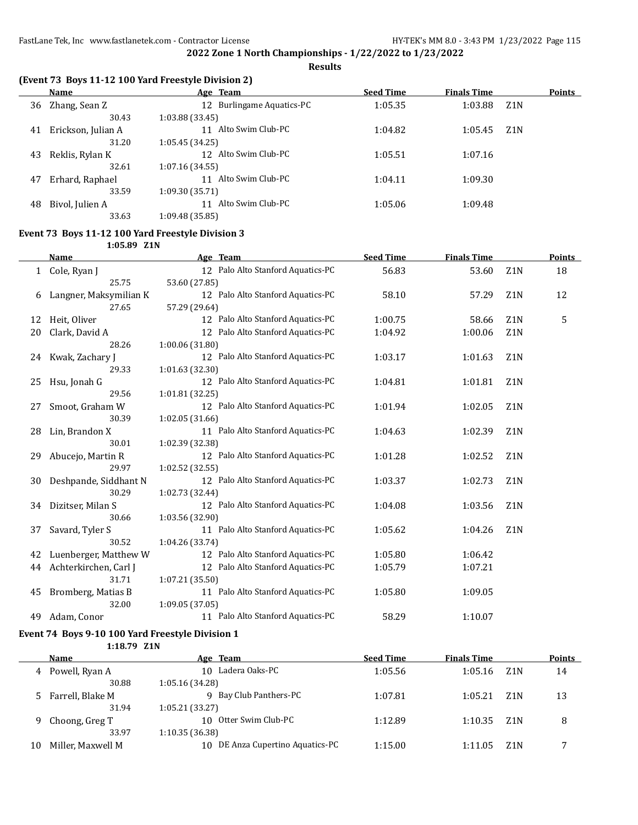**Results**

## **(Event 73 Boys 11-12 100 Yard Freestyle Division 2)**

|    | Name               | Age Team                             | <b>Seed Time</b> | <b>Finals Time</b> |                  | <b>Points</b> |
|----|--------------------|--------------------------------------|------------------|--------------------|------------------|---------------|
| 36 | Zhang, Sean Z      | 12 Burlingame Aquatics-PC            | 1:05.35          | 1:03.88            | Z <sub>1</sub> N |               |
|    | 30.43              | 1:03.88 (33.45)                      |                  |                    |                  |               |
| 41 | Erickson, Julian A | Alto Swim Club-PC<br>11              | 1:04.82          | 1:05.45            | Z <sub>1</sub> N |               |
|    | 31.20              | 1:05.45 (34.25)                      |                  |                    |                  |               |
| 43 | Reklis, Rylan K    | Alto Swim Club-PC<br>12 <sub>1</sub> | 1:05.51          | 1:07.16            |                  |               |
|    | 32.61              | 1:07.16 (34.55)                      |                  |                    |                  |               |
| 47 | Erhard, Raphael    | Alto Swim Club-PC<br>11              | 1:04.11          | 1:09.30            |                  |               |
|    | 33.59              | 1:09.30 (35.71)                      |                  |                    |                  |               |
| 48 | Bivol, Julien A    | Alto Swim Club-PC<br>11              | 1:05.06          | 1:09.48            |                  |               |
|    | 33.63              | 1:09.48 (35.85)                      |                  |                    |                  |               |

#### **Event 73 Boys 11-12 100 Yard Freestyle Division 3**

**1:05.89 Z1N**

|    | <b>Name</b>            | Age Team                          | <b>Seed Time</b> | <b>Finals Time</b> |                  | <b>Points</b> |
|----|------------------------|-----------------------------------|------------------|--------------------|------------------|---------------|
|    | Cole, Ryan J           | 12 Palo Alto Stanford Aquatics-PC | 56.83            | 53.60              | Z <sub>1</sub> N | 18            |
|    | 25.75                  | 53.60 (27.85)                     |                  |                    |                  |               |
| 6  | Langner, Maksymilian K | 12 Palo Alto Stanford Aquatics-PC | 58.10            | 57.29              | Z1N              | 12            |
|    | 27.65                  | 57.29 (29.64)                     |                  |                    |                  |               |
| 12 | Heit, Oliver           | 12 Palo Alto Stanford Aquatics-PC | 1:00.75          | 58.66              | Z1N              | 5             |
| 20 | Clark, David A         | 12 Palo Alto Stanford Aquatics-PC | 1:04.92          | 1:00.06            | Z <sub>1</sub> N |               |
|    | 28.26                  | 1:00.06(31.80)                    |                  |                    |                  |               |
| 24 | Kwak, Zachary J        | 12 Palo Alto Stanford Aquatics-PC | 1:03.17          | 1:01.63            | Z1N              |               |
|    | 29.33                  | 1:01.63 (32.30)                   |                  |                    |                  |               |
| 25 | Hsu, Jonah G           | 12 Palo Alto Stanford Aquatics-PC | 1:04.81          | 1:01.81            | Z <sub>1</sub> N |               |
|    | 29.56                  | 1:01.81(32.25)                    |                  |                    |                  |               |
| 27 | Smoot, Graham W        | 12 Palo Alto Stanford Aquatics-PC | 1:01.94          | 1:02.05            | Z <sub>1</sub> N |               |
|    | 30.39                  | 1:02.05(31.66)                    |                  |                    |                  |               |
| 28 | Lin, Brandon X         | 11 Palo Alto Stanford Aquatics-PC | 1:04.63          | 1:02.39            | Z <sub>1</sub> N |               |
|    | 30.01                  | 1:02.39 (32.38)                   |                  |                    |                  |               |
| 29 | Abucejo, Martin R      | 12 Palo Alto Stanford Aquatics-PC | 1:01.28          | 1:02.52            | Z <sub>1</sub> N |               |
|    | 29.97                  | 1:02.52 (32.55)                   |                  |                    |                  |               |
| 30 | Deshpande, Siddhant N  | 12 Palo Alto Stanford Aquatics-PC | 1:03.37          | 1:02.73            | Z <sub>1</sub> N |               |
|    | 30.29                  | 1:02.73 (32.44)                   |                  |                    |                  |               |
| 34 | Dizitser, Milan S      | 12 Palo Alto Stanford Aquatics-PC | 1:04.08          | 1:03.56            | Z <sub>1</sub> N |               |
|    | 30.66                  | 1:03.56 (32.90)                   |                  |                    |                  |               |
| 37 | Savard, Tyler S        | 11 Palo Alto Stanford Aquatics-PC | 1:05.62          | 1:04.26            | Z <sub>1</sub> N |               |
|    | 30.52                  | 1:04.26 (33.74)                   |                  |                    |                  |               |
| 42 | Luenberger, Matthew W  | 12 Palo Alto Stanford Aquatics-PC | 1:05.80          | 1:06.42            |                  |               |
| 44 | Achterkirchen, Carl J  | 12 Palo Alto Stanford Aquatics-PC | 1:05.79          | 1:07.21            |                  |               |
|    | 31.71                  | 1:07.21 (35.50)                   |                  |                    |                  |               |
| 45 | Bromberg, Matias B     | 11 Palo Alto Stanford Aquatics-PC | 1:05.80          | 1:09.05            |                  |               |
|    | 32.00                  | 1:09.05 (37.05)                   |                  |                    |                  |               |
| 49 | Adam, Conor            | 11 Palo Alto Stanford Aquatics-PC | 58.29            | 1:10.07            |                  |               |

## **Event 74 Boys 9-10 100 Yard Freestyle Division 1**

**1:18.79 Z1N**

|    | Name              | Age Team                             | <b>Seed Time</b> | <b>Finals Time</b> |                  | <b>Points</b> |
|----|-------------------|--------------------------------------|------------------|--------------------|------------------|---------------|
| 4  | Powell, Ryan A    | 10 Ladera Oaks-PC                    | 1:05.56          | 1:05.16            | Z <sub>1</sub> N | 14            |
|    | 30.88             | 1:05.16 (34.28)                      |                  |                    |                  |               |
|    | Farrell, Blake M  | Bay Club Panthers-PC<br>9.           | 1:07.81          | 1:05.21            | Z <sub>1</sub> N | 13            |
|    | 31.94             | 1:05.21 (33.27)                      |                  |                    |                  |               |
| 9  | Choong, Greg T    | 10 Otter Swim Club-PC                | 1:12.89          | 1:10.35            | Z <sub>1</sub> N | 8             |
|    | 33.97             | 1:10.35(36.38)                       |                  |                    |                  |               |
| 10 | Miller, Maxwell M | DE Anza Cupertino Aquatics-PC<br>10. | 1:15.00          | 1:11.05            | 7.1 N            |               |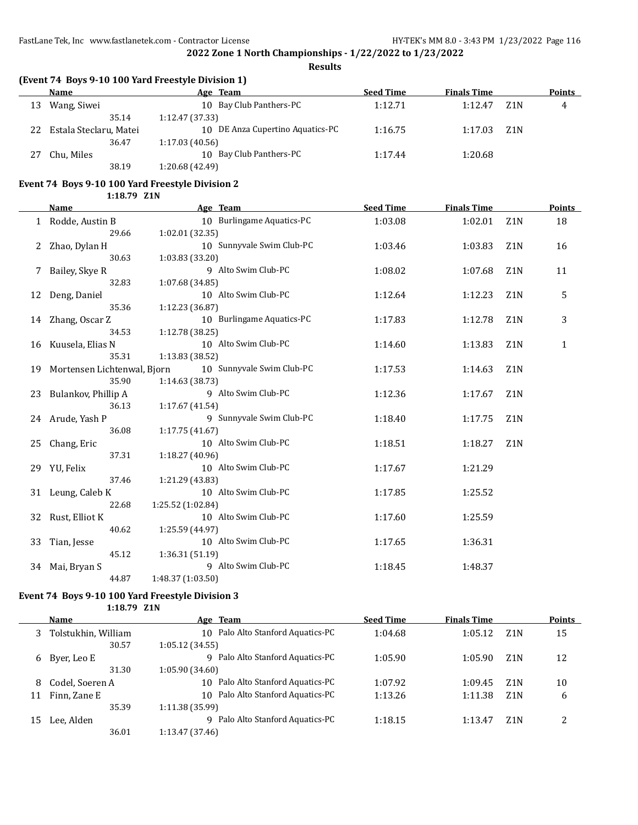**Results**

## **(Event 74 Boys 9-10 100 Yard Freestyle Division 1)**

|    | Name                   | Age Team                         | <b>Seed Time</b> | <b>Finals Time</b> |                  | <b>Points</b> |
|----|------------------------|----------------------------------|------------------|--------------------|------------------|---------------|
| 13 | Wang, Siwei            | 10 Bay Club Panthers-PC          | 1:12.71          | 1:12.47            | Z1N              | 4             |
|    | 35.14                  | 1:12.47(37.33)                   |                  |                    |                  |               |
| 22 | Estala Steclaru, Matei | 10 DE Anza Cupertino Aquatics-PC | 1:16.75          | 1:17.03            | Z <sub>1</sub> N |               |
|    | 36.47                  | 1:17.03(40.56)                   |                  |                    |                  |               |
|    | Chu, Miles             | 10 Bay Club Panthers-PC          | 1:17.44          | 1:20.68            |                  |               |
|    | 38.19                  | 1:20.68 (42.49)                  |                  |                    |                  |               |

# **Event 74 Boys 9-10 100 Yard Freestyle Division 2**

**1:18.79 Z1N**

|    | <b>Name</b>                    | Age Team                  | <b>Seed Time</b> | <b>Finals Time</b> |                  | Points       |
|----|--------------------------------|---------------------------|------------------|--------------------|------------------|--------------|
|    | 1 Rodde, Austin B              | 10 Burlingame Aquatics-PC | 1:03.08          | 1:02.01            | Z <sub>1</sub> N | 18           |
|    | 29.66                          | 1:02.01(32.35)            |                  |                    |                  |              |
| 2  | Zhao, Dylan H                  | 10 Sunnyvale Swim Club-PC | 1:03.46          | 1:03.83            | Z <sub>1</sub> N | 16           |
|    | 30.63                          | 1:03.83 (33.20)           |                  |                    |                  |              |
|    | Bailey, Skye R                 | 9 Alto Swim Club-PC       | 1:08.02          | 1:07.68            | Z1N              | 11           |
|    | 32.83                          | 1:07.68 (34.85)           |                  |                    |                  |              |
| 12 | Deng, Daniel                   | 10 Alto Swim Club-PC      | 1:12.64          | 1:12.23            | Z <sub>1</sub> N | 5            |
|    | 35.36                          | 1:12.23 (36.87)           |                  |                    |                  |              |
|    | 14 Zhang, Oscar Z              | 10 Burlingame Aquatics-PC | 1:17.83          | 1:12.78            | Z <sub>1</sub> N | 3            |
|    | 34.53                          | 1:12.78 (38.25)           |                  |                    |                  |              |
| 16 | Kuusela, Elias N               | 10 Alto Swim Club-PC      | 1:14.60          | 1:13.83            | Z <sub>1</sub> N | $\mathbf{1}$ |
|    | 35.31                          | 1:13.83 (38.52)           |                  |                    |                  |              |
|    | 19 Mortensen Lichtenwal, Bjorn | 10 Sunnyvale Swim Club-PC | 1:17.53          | 1:14.63            | Z <sub>1</sub> N |              |
|    | 35.90                          | 1:14.63 (38.73)           |                  |                    |                  |              |
|    | 23 Bulankov, Phillip A         | 9 Alto Swim Club-PC       | 1:12.36          | 1:17.67            | Z <sub>1</sub> N |              |
|    | 36.13                          | 1:17.67 (41.54)           |                  |                    |                  |              |
|    | 24 Arude, Yash P               | 9 Sunnyvale Swim Club-PC  | 1:18.40          | 1:17.75            | Z <sub>1</sub> N |              |
|    | 36.08                          | 1:17.75(41.67)            |                  |                    |                  |              |
|    | 25 Chang, Eric                 | 10 Alto Swim Club-PC      | 1:18.51          | 1:18.27            | Z <sub>1</sub> N |              |
|    | 37.31                          | 1:18.27 (40.96)           |                  |                    |                  |              |
|    | 29 YU, Felix                   | 10 Alto Swim Club-PC      | 1:17.67          | 1:21.29            |                  |              |
|    | 37.46                          | 1:21.29 (43.83)           |                  |                    |                  |              |
| 31 | Leung, Caleb K                 | 10 Alto Swim Club-PC      | 1:17.85          | 1:25.52            |                  |              |
|    | 22.68                          | 1:25.52 (1:02.84)         |                  |                    |                  |              |
| 32 | Rust, Elliot K                 | 10 Alto Swim Club-PC      | 1:17.60          | 1:25.59            |                  |              |
|    | 40.62                          | 1:25.59 (44.97)           |                  |                    |                  |              |
| 33 | Tian, Jesse                    | 10 Alto Swim Club-PC      | 1:17.65          | 1:36.31            |                  |              |
|    | 45.12                          | 1:36.31 (51.19)           |                  |                    |                  |              |
| 34 | Mai, Bryan S                   | 9 Alto Swim Club-PC       | 1:18.45          | 1:48.37            |                  |              |
|    | 44.87                          | 1:48.37 (1:03.50)         |                  |                    |                  |              |

## **Event 74 Boys 9-10 100 Yard Freestyle Division 3**

**1:18.79 Z1N**

|    | Name                | Age Team                             | <b>Seed Time</b> | <b>Finals Time</b> |                  | <b>Points</b> |
|----|---------------------|--------------------------------------|------------------|--------------------|------------------|---------------|
| 3  | Tolstukhin, William | 10 Palo Alto Stanford Aquatics-PC    | 1:04.68          | 1:05.12            | Z <sub>1</sub> N | 15            |
|    | 30.57               | 1:05.12 (34.55)                      |                  |                    |                  |               |
|    | 6 Byer, Leo E       | Palo Alto Stanford Aquatics-PC<br>q  | 1:05.90          | 1:05.90            | Z1N              | 12            |
|    | 31.30               | 1:05.90 (34.60)                      |                  |                    |                  |               |
| 8  | Codel, Soeren A     | 10 Palo Alto Stanford Aquatics-PC    | 1:07.92          | 1:09.45            | Z1N              | 10            |
| 11 | Finn, Zane E        | Palo Alto Stanford Aquatics-PC<br>10 | 1:13.26          | 1:11.38            | Z <sub>1</sub> N | 6             |
|    | 35.39               | 1:11.38(35.99)                       |                  |                    |                  |               |
| 15 | Lee, Alden          | Palo Alto Stanford Aquatics-PC<br>q  | 1:18.15          | 1:13.47            | Z1N              | っ             |
|    | 36.01               | 1:13.47 (37.46)                      |                  |                    |                  |               |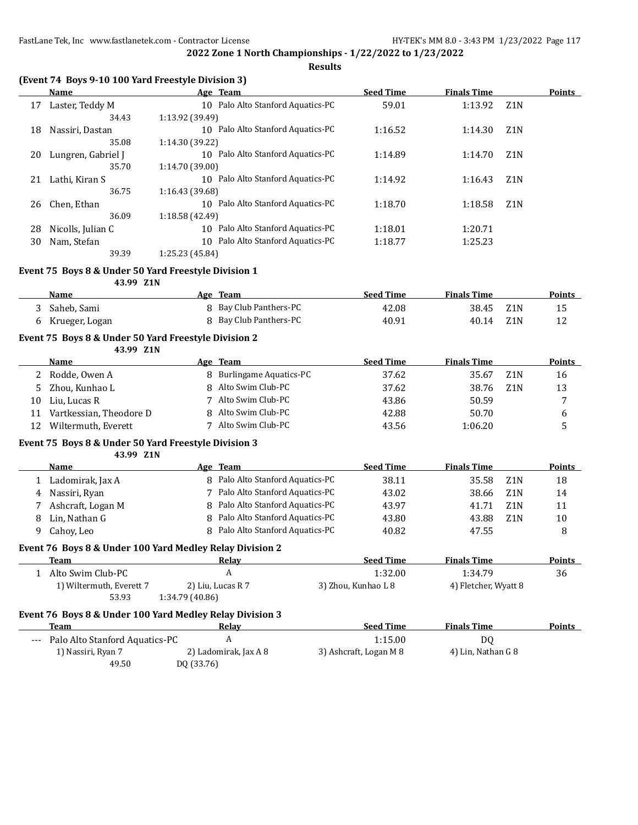**Results**

## **(Event 74 Boys 9-10 100 Yard Freestyle Division 3)**

|    | <b>Name</b>        | Age Team                             | <b>Seed Time</b> | <b>Finals Time</b> |                  | <b>Points</b> |
|----|--------------------|--------------------------------------|------------------|--------------------|------------------|---------------|
| 17 | Laster, Teddy M    | 10 Palo Alto Stanford Aquatics-PC    | 59.01            | 1:13.92            | Z1N              |               |
|    | 34.43              | 1:13.92 (39.49)                      |                  |                    |                  |               |
| 18 | Nassiri, Dastan    | Palo Alto Stanford Aquatics-PC<br>10 | 1:16.52          | 1:14.30            | Z <sub>1</sub> N |               |
|    | 35.08              | 1:14.30 (39.22)                      |                  |                    |                  |               |
| 20 | Lungren, Gabriel J | 10 Palo Alto Stanford Aquatics-PC    | 1:14.89          | 1:14.70            | Z <sub>1</sub> N |               |
|    | 35.70              | 1:14.70 (39.00)                      |                  |                    |                  |               |
| 21 | Lathi, Kiran S     | Palo Alto Stanford Aquatics-PC<br>10 | 1:14.92          | 1:16.43            | Z <sub>1</sub> N |               |
|    | 36.75              | 1:16.43 (39.68)                      |                  |                    |                  |               |
| 26 | Chen. Ethan        | 10 Palo Alto Stanford Aquatics-PC    | 1:18.70          | 1:18.58            | Z <sub>1</sub> N |               |
|    | 36.09              | 1:18.58 (42.49)                      |                  |                    |                  |               |
| 28 | Nicolls, Julian C  | Palo Alto Stanford Aquatics-PC<br>10 | 1:18.01          | 1:20.71            |                  |               |
| 30 | Nam, Stefan        | Palo Alto Stanford Aquatics-PC<br>10 | 1:18.77          | 1:25.23            |                  |               |
|    | 39.39              | 1:25.23 (45.84)                      |                  |                    |                  |               |

#### **Event 75 Boys 8 & Under 50 Yard Freestyle Division 1**

**43.99 Z1N**

| Name           | Age Team               | <b>Seed Time</b> | <b>Finals Time</b> |     | Points |
|----------------|------------------------|------------------|--------------------|-----|--------|
| 3 Saheb Sami   | 8 Bay Club Panthers-PC | 42.08            | 38.45 Z1N          |     |        |
| Krueger, Logan | Bay Club Panthers-PC   | 40.91            | 40.14              | Z1N |        |

## **Event 75 Boys 8 & Under 50 Yard Freestyle Division 2**

**43.99 Z1N**

|    | Name                    | Age Team               | <b>Seed Time</b> | <b>Finals Time</b> |                  | <b>Points</b> |
|----|-------------------------|------------------------|------------------|--------------------|------------------|---------------|
|    | 2 Rodde, Owen A         | Burlingame Aquatics-PC | 37.62            | 35.67              | Z1N              | 16            |
|    | Zhou, Kunhao L          | 8 Alto Swim Club-PC    | 37.62            | 38.76              | Z <sub>1</sub> N | 13            |
| 10 | Liu. Lucas R            | Alto Swim Club-PC      | 43.86            | 50.59              |                  | −             |
| 11 | Vartkessian, Theodore D | 8 Alto Swim Club-PC    | 42.88            | 50.70              |                  |               |
| 12 | Wiltermuth, Everett     | Alto Swim Club-PC      | 43.56            | 1:06.20            |                  |               |

#### **Event 75 Boys 8 & Under 50 Yard Freestyle Division 3**

**43.99 Z1N**

|   | <b>Name</b>                                              |                 | Age Team                         |                                | <b>Seed Time</b>    | <b>Finals Time</b>   |                  | <b>Points</b> |  |  |
|---|----------------------------------------------------------|-----------------|----------------------------------|--------------------------------|---------------------|----------------------|------------------|---------------|--|--|
|   | Ladomirak, Jax A                                         |                 | 8 Palo Alto Stanford Aquatics-PC |                                | 38.11               | 35.58                | Z1N              | 18            |  |  |
| 4 | Nassiri, Ryan                                            |                 |                                  | Palo Alto Stanford Aquatics-PC | 43.02               | 38.66                | Z <sub>1</sub> N | 14            |  |  |
|   | Ashcraft, Logan M                                        |                 | 8 Palo Alto Stanford Aquatics-PC |                                | 43.97               | 41.71                | Z <sub>1</sub> N | 11            |  |  |
| 8 | Lin. Nathan G                                            |                 | 8 Palo Alto Stanford Aquatics-PC |                                | 43.80               | 43.88                | Z <sub>1</sub> N | 10            |  |  |
| 9 | Cahoy, Leo                                               |                 | 8 Palo Alto Stanford Aquatics-PC |                                | 40.82               | 47.55                |                  | 8             |  |  |
|   | Event 76 Boys 8 & Under 100 Yard Medley Relay Division 2 |                 |                                  |                                |                     |                      |                  |               |  |  |
|   | Team                                                     |                 | Relay                            |                                | <b>Seed Time</b>    | <b>Finals Time</b>   |                  | <b>Points</b> |  |  |
|   | Alto Swim Club-PC                                        |                 | A                                |                                | 1:32.00             | 1:34.79              |                  | 36            |  |  |
|   | 1) Wiltermuth, Everett 7                                 |                 | 2) Liu, Lucas R 7                |                                | 3) Zhou, Kunhao L 8 | 4) Fletcher, Wyatt 8 |                  |               |  |  |
|   | 53.93                                                    | 1:34.79 (40.86) |                                  |                                |                     |                      |                  |               |  |  |
|   | Event 76 Boys 8 & Under 100 Yard Medley Relay Division 3 |                 |                                  |                                |                     |                      |                  |               |  |  |
|   | <b>Team</b>                                              |                 | Relav                            |                                | <b>Seed Time</b>    | <b>Finals Time</b>   |                  | <b>Points</b> |  |  |
|   |                                                          |                 |                                  |                                |                     |                      |                  |               |  |  |

| Palo Alto Stanford Aquatics-PC<br>---- |                       | 1:15.00                | D0                 |  |
|----------------------------------------|-----------------------|------------------------|--------------------|--|
| 1) Nassiri, Ryan 7                     | 2) Ladomirak, Jax A 8 | 3) Ashcraft, Logan M 8 | 4) Lin, Nathan G 8 |  |
| 49.50                                  | DQ (33.76)            |                        |                    |  |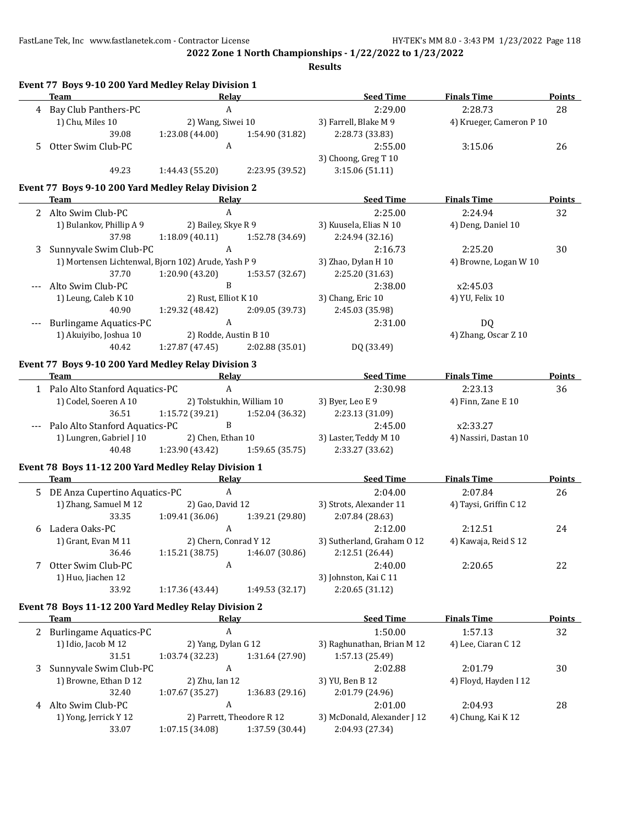FastLane Tek, Inc www.fastlanetek.com - Contractor License HY-TEK's MM 8.0 - 3:43 PM 1/23/2022 Page 118

**Event 77 Boys 9-10 200 Yard Medley Relay Division 1**

**2022 Zone 1 North Championships - 1/22/2022 to 1/23/2022**

**Results**

|    | Team                                                 | <b>Relay</b>              |                 | <b>Seed Time</b>            | <b>Finals Time</b>       | <b>Points</b> |
|----|------------------------------------------------------|---------------------------|-----------------|-----------------------------|--------------------------|---------------|
|    | 4 Bay Club Panthers-PC                               | $\mathbf{A}$              |                 | 2:29.00                     | 2:28.73                  | 28            |
|    | 1) Chu, Miles 10                                     | 2) Wang, Siwei 10         |                 | 3) Farrell, Blake M 9       | 4) Krueger, Cameron P 10 |               |
|    | 39.08                                                | 1:23.08 (44.00)           | 1:54.90 (31.82) | 2:28.73 (33.83)             |                          |               |
| 5. | Otter Swim Club-PC                                   | $\mathbf{A}$              |                 | 2:55.00                     | 3:15.06                  | 26            |
|    |                                                      |                           |                 | 3) Choong, Greg T 10        |                          |               |
|    | 49.23                                                | 1:44.43 (55.20)           | 2:23.95 (39.52) | 3:15.06(51.11)              |                          |               |
|    |                                                      |                           |                 |                             |                          |               |
|    | Event 77 Boys 9-10 200 Yard Medley Relay Division 2  |                           |                 |                             |                          |               |
|    | Team                                                 | Relay                     |                 | <b>Seed Time</b>            | <b>Finals Time</b>       | <b>Points</b> |
| 2  | Alto Swim Club-PC                                    | $\mathbf{A}$              |                 | 2:25.00                     | 2:24.94                  | 32            |
|    | 1) Bulankov, Phillip A 9                             | 2) Bailey, Skye R 9       |                 | 3) Kuusela, Elias N 10      | 4) Deng, Daniel 10       |               |
|    | 37.98                                                | 1:18.09(40.11)            | 1:52.78 (34.69) | 2:24.94 (32.16)             |                          |               |
| 3  | Sunnyvale Swim Club-PC                               | A                         |                 | 2:16.73                     | 2:25.20                  | 30            |
|    | 1) Mortensen Lichtenwal, Bjorn 102) Arude, Yash P 9  |                           |                 | 3) Zhao, Dylan H 10         | 4) Browne, Logan W 10    |               |
|    | 37.70                                                | 1:20.90(43.20)            | 1:53.57 (32.67) | 2:25.20 (31.63)             |                          |               |
|    | Alto Swim Club-PC                                    | $\mathbf{B}$              |                 | 2:38.00                     | x2:45.03                 |               |
|    | 1) Leung, Caleb K 10                                 | 2) Rust, Elliot K 10      |                 | 3) Chang, Eric 10           | 4) YU, Felix 10          |               |
|    | 40.90                                                | 1:29.32 (48.42)           | 2:09.05 (39.73) | 2:45.03 (35.98)             |                          |               |
|    | <b>Burlingame Aquatics-PC</b>                        | $\mathbf{A}$              |                 | 2:31.00                     | DQ                       |               |
|    | 1) Akuiyibo, Joshua 10                               | 2) Rodde, Austin B 10     |                 |                             | 4) Zhang, Oscar Z 10     |               |
|    | 40.42                                                | 1:27.87(47.45)            | 2:02.88 (35.01) | DQ (33.49)                  |                          |               |
|    | Event 77 Boys 9-10 200 Yard Medley Relay Division 3  |                           |                 |                             |                          |               |
|    | Team                                                 | Relay                     |                 | <b>Seed Time</b>            | <b>Finals Time</b>       | <b>Points</b> |
|    | 1 Palo Alto Stanford Aquatics-PC                     | $\mathbf{A}$              |                 | 2:30.98                     | 2:23.13                  | 36            |
|    | 1) Codel, Soeren A 10                                | 2) Tolstukhin, William 10 |                 | 3) Byer, Leo E 9            | 4) Finn, Zane E 10       |               |
|    | 36.51                                                | 1:15.72 (39.21)           | 1:52.04 (36.32) | 2:23.13 (31.09)             |                          |               |
|    |                                                      | B                         |                 |                             |                          |               |
|    | Palo Alto Stanford Aquatics-PC                       |                           |                 | 2:45.00                     | x2:33.27                 |               |
|    | 1) Lungren, Gabriel J 10                             | 2) Chen, Ethan 10         |                 | 3) Laster, Teddy M 10       | 4) Nassiri, Dastan 10    |               |
|    | 40.48                                                | 1:23.90 (43.42)           | 1:59.65 (35.75) | 2:33.27 (33.62)             |                          |               |
|    | Event 78 Boys 11-12 200 Yard Medley Relay Division 1 |                           |                 |                             |                          |               |
|    | Team                                                 | Relay                     |                 | <b>Seed Time</b>            | <b>Finals Time</b>       | <b>Points</b> |
|    | 5 DE Anza Cupertino Aquatics-PC                      | $\,$ A                    |                 | 2:04.00                     | 2:07.84                  | 26            |
|    | 1) Zhang, Samuel M 12                                | 2) Gao, David 12          |                 | 3) Strots, Alexander 11     | 4) Taysi, Griffin C 12   |               |
|    | 33.35                                                | 1:09.41 (36.06)           | 1:39.21 (29.80) | 2:07.84 (28.63)             |                          |               |
| 6  | Ladera Oaks-PC                                       | $\,$ A                    |                 | 2:12.00                     | 2:12.51                  | 24            |
|    | 1) Grant, Evan M 11                                  | 2) Chern, Conrad Y 12     |                 | 3) Sutherland, Graham 0 12  | 4) Kawaja, Reid S 12     |               |
|    | 36.46                                                | 1:15.21 (38.75)           | 1:46.07 (30.86) | 2:12.51 (26.44)             |                          |               |
| 7  | Otter Swim Club-PC                                   | A                         |                 | 2:40.00                     | 2:20.65                  | 22            |
|    | 1) Huo, Jiachen 12                                   |                           |                 | 3) Johnston, Kai C 11       |                          |               |
|    | 33.92                                                | 1:17.36 (43.44)           | 1:49.53 (32.17) | 2:20.65 (31.12)             |                          |               |
|    |                                                      |                           |                 |                             |                          |               |
|    | Event 78 Boys 11-12 200 Yard Medley Relay Division 2 |                           |                 |                             |                          |               |
|    | Team                                                 | <b>Relay</b>              |                 | <b>Seed Time</b>            | <b>Finals Time</b>       | <b>Points</b> |
| 2  | <b>Burlingame Aquatics-PC</b>                        | A                         |                 | 1:50.00                     | 1:57.13                  | 32            |
|    | 1) Idio, Jacob M 12                                  | 2) Yang, Dylan G 12       |                 | 3) Raghunathan, Brian M 12  | 4) Lee, Ciaran C 12      |               |
|    | 31.51                                                | 1:03.74 (32.23)           | 1:31.64 (27.90) | 1:57.13 (25.49)             |                          |               |
| 3  | Sunnyvale Swim Club-PC                               | $\boldsymbol{A}$          |                 | 2:02.88                     | 2:01.79                  | 30            |
|    | 1) Browne, Ethan D 12                                | 2) Zhu, Ian 12            |                 | 3) YU, Ben B 12             | 4) Floyd, Hayden I 12    |               |
|    | 32.40                                                | 1:07.67 (35.27)           | 1:36.83 (29.16) | 2:01.79 (24.96)             |                          |               |
| 4  | Alto Swim Club-PC                                    | $\boldsymbol{A}$          |                 | 2:01.00                     | 2:04.93                  | 28            |
|    | 1) Yong, Jerrick Y 12                                | 2) Parrett, Theodore R 12 |                 | 3) McDonald, Alexander J 12 | 4) Chung, Kai K 12       |               |
|    | 33.07                                                | 1:07.15 (34.08)           | 1:37.59 (30.44) | 2:04.93 (27.34)             |                          |               |
|    |                                                      |                           |                 |                             |                          |               |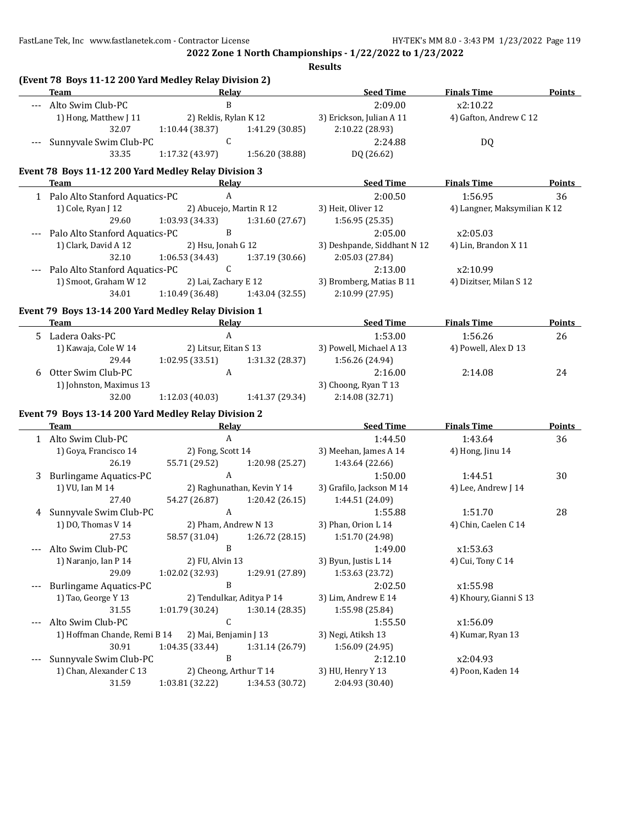FastLane Tek, Inc www.fastlanetek.com - Contractor License HY-TEK's MM 8.0 - 3:43 PM 1/23/2022 Page 119

**2022 Zone 1 North Championships - 1/22/2022 to 1/23/2022**

**Results**

|       | (Event 78 Boys 11-12 200 Yard Medley Relay Division 2)<br><b>Team</b>              | Relay                      |                 |                             |                              | Points        |
|-------|------------------------------------------------------------------------------------|----------------------------|-----------------|-----------------------------|------------------------------|---------------|
|       |                                                                                    | B                          |                 | <b>Seed Time</b>            | <b>Finals Time</b>           |               |
|       | Alto Swim Club-PC                                                                  |                            |                 | 2:09.00                     | x2:10.22                     |               |
|       | 1) Hong, Matthew J 11<br>32.07                                                     | 2) Reklis, Rylan K 12      |                 | 3) Erickson, Julian A 11    | 4) Gafton, Andrew C 12       |               |
|       |                                                                                    | 1:10.44 (38.37)<br>C       | 1:41.29 (30.85) | 2:10.22 (28.93)             |                              |               |
|       | Sunnyvale Swim Club-PC<br>33.35                                                    |                            |                 | 2:24.88                     | DQ                           |               |
|       |                                                                                    | 1:17.32 (43.97)            | 1:56.20 (38.88) | DQ (26.62)                  |                              |               |
|       | Event 78 Boys 11-12 200 Yard Medley Relay Division 3                               |                            |                 |                             |                              |               |
|       | Team                                                                               | Relay                      |                 | <b>Seed Time</b>            | <b>Finals Time</b>           | Points        |
|       | 1 Palo Alto Stanford Aquatics-PC                                                   | $\mathbf{A}$               |                 | 2:00.50                     | 1:56.95                      | 36            |
|       | 1) Cole, Ryan J 12                                                                 | 2) Abucejo, Martin R 12    |                 | 3) Heit, Oliver 12          | 4) Langner, Maksymilian K 12 |               |
|       | 29.60                                                                              | 1:03.93 (34.33)            | 1:31.60 (27.67) | 1:56.95(25.35)              |                              |               |
|       | Palo Alto Stanford Aquatics-PC                                                     | $\, {\bf B}$               |                 | 2:05.00                     | x2:05.03                     |               |
|       | 1) Clark, David A 12                                                               | 2) Hsu, Jonah G 12         |                 | 3) Deshpande, Siddhant N 12 | 4) Lin, Brandon X 11         |               |
|       | 32.10                                                                              | 1:06.53 (34.43)            | 1:37.19 (30.66) | 2:05.03 (27.84)             |                              |               |
|       | Palo Alto Stanford Aquatics-PC                                                     | $\mathsf{C}$               |                 | 2:13.00                     | x2:10.99                     |               |
|       | 1) Smoot, Graham W 12                                                              | 2) Lai, Zachary E 12       |                 | 3) Bromberg, Matias B 11    | 4) Dizitser, Milan S 12      |               |
|       | 34.01                                                                              | 1:10.49(36.48)             | 1:43.04 (32.55) | 2:10.99 (27.95)             |                              |               |
|       | Event 79 Boys 13-14 200 Yard Medley Relay Division 1                               |                            |                 |                             |                              |               |
|       | Team<br>the control of the control of the control of the control of the control of | <b>Relay</b>               |                 | <b>Seed Time</b>            | <b>Finals Time</b>           | <b>Points</b> |
|       | 5 Ladera Oaks-PC                                                                   | $\boldsymbol{\mathsf{A}}$  |                 | 1:53.00                     | 1:56.26                      | 26            |
|       | 1) Kawaja, Cole W 14                                                               | 2) Litsur, Eitan S 13      |                 | 3) Powell, Michael A 13     | 4) Powell, Alex D 13         |               |
|       | 29.44                                                                              | 1:02.95(33.51)             | 1:31.32 (28.37) | 1:56.26 (24.94)             |                              |               |
| 6     | Otter Swim Club-PC                                                                 | A                          |                 | 2:16.00                     | 2:14.08                      | 24            |
|       | 1) Johnston, Maximus 13                                                            |                            |                 | 3) Choong, Ryan T 13        |                              |               |
|       | 32.00                                                                              | 1:12.03(40.03)             | 1:41.37 (29.34) | 2:14.08 (32.71)             |                              |               |
|       |                                                                                    |                            |                 |                             |                              |               |
|       | Event 79 Boys 13-14 200 Yard Medley Relay Division 2<br>Team                       | <b>Relay</b>               |                 | <b>Seed Time</b>            | <b>Finals Time</b>           | Points        |
|       | 1 Alto Swim Club-PC                                                                | $\boldsymbol{A}$           |                 | 1:44.50                     | 1:43.64                      | 36            |
|       | 1) Goya, Francisco 14                                                              | 2) Fong, Scott 14          |                 | 3) Meehan, James A 14       | 4) Hong, Jinu 14             |               |
|       | 26.19                                                                              | 55.71 (29.52)              | 1:20.98 (25.27) | 1:43.64 (22.66)             |                              |               |
| 3     | <b>Burlingame Aquatics-PC</b>                                                      | A                          |                 | 1:50.00                     | 1:44.51                      | 30            |
|       | 1) VU, Ian M 14                                                                    | 2) Raghunathan, Kevin Y 14 |                 | 3) Grafilo, Jackson M 14    | 4) Lee, Andrew J 14          |               |
|       | 27.40                                                                              | 54.27 (26.87)              | 1:20.42 (26.15) | 1:44.51 (24.09)             |                              |               |
| 4     | Sunnyvale Swim Club-PC                                                             | $\mathbf{A}$               |                 | 1:55.88                     | 1:51.70                      | 28            |
|       | 1) DO, Thomas V 14                                                                 | 2) Pham, Andrew N 13       |                 | 3) Phan, Orion L 14         | 4) Chin, Caelen C 14         |               |
|       | 27.53                                                                              | 58.57 (31.04)              | 1:26.72 (28.15) | 1:51.70 (24.98)             |                              |               |
| $---$ | Alto Swim Club-PC                                                                  | B                          |                 | 1:49.00                     | x1:53.63                     |               |
|       | 1) Naranjo, Ian P 14                                                               | 2) FU, Alvin 13            |                 | 3) Byun, Justis L 14        | 4) Cui, Tony C 14            |               |
|       | 29.09                                                                              | 1:02.02 (32.93)            | 1:29.91 (27.89) | 1:53.63 (23.72)             |                              |               |
| $---$ | <b>Burlingame Aquatics-PC</b>                                                      | B                          |                 | 2:02.50                     | x1:55.98                     |               |
|       | 1) Tao, George Y 13                                                                | 2) Tendulkar, Aditya P 14  |                 | 3) Lim, Andrew E 14         | 4) Khoury, Gianni S 13       |               |
|       | 31.55                                                                              | 1:01.79 (30.24)            | 1:30.14 (28.35) | 1:55.98 (25.84)             |                              |               |
| $---$ | Alto Swim Club-PC                                                                  | C                          |                 | 1:55.50                     | x1:56.09                     |               |
|       | 1) Hoffman Chande, Remi B 14                                                       | 2) Mai, Benjamin J 13      |                 | 3) Negi, Atiksh 13          | 4) Kumar, Ryan 13            |               |
|       | 30.91                                                                              | 1:04.35 (33.44)            | 1:31.14 (26.79) | 1:56.09 (24.95)             |                              |               |
| $---$ | Sunnyvale Swim Club-PC                                                             | B                          |                 | 2:12.10                     | x2:04.93                     |               |
|       | 1) Chan, Alexander C 13                                                            | 2) Cheong, Arthur T 14     |                 | 3) HU, Henry Y 13           | 4) Poon, Kaden 14            |               |
|       | 31.59                                                                              | 1:03.81 (32.22)            | 1:34.53 (30.72) | 2:04.93 (30.40)             |                              |               |
|       |                                                                                    |                            |                 |                             |                              |               |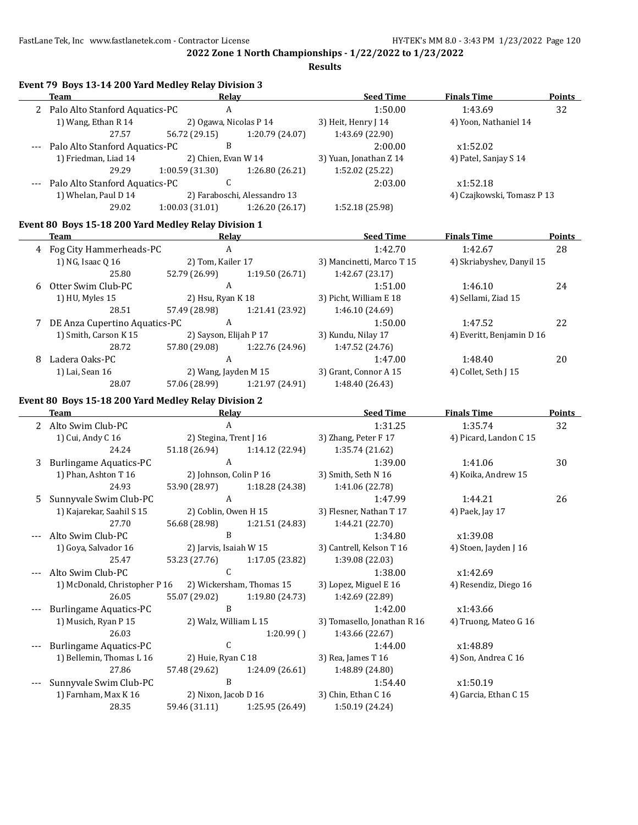**Results**

|     | Event 79 Boys 13-14 200 Yard Medley Relay Division 3      |                                           |                                               |                                        |                            |               |  |
|-----|-----------------------------------------------------------|-------------------------------------------|-----------------------------------------------|----------------------------------------|----------------------------|---------------|--|
|     | <b>Team</b>                                               | Relay                                     |                                               | <b>Seed Time</b>                       | <b>Finals Time</b>         | Points        |  |
|     | A<br>2 Palo Alto Stanford Aquatics-PC                     |                                           |                                               | 1:50.00                                | 1:43.69                    | 32            |  |
|     | 1) Wang, Ethan R 14<br>2) Ogawa, Nicolas P 14             |                                           |                                               | 3) Heit, Henry J 14                    | 4) Yoon, Nathaniel 14      |               |  |
|     | 27.57                                                     | 56.72 (29.15)                             | 1:20.79 (24.07)                               | 1:43.69 (22.90)                        |                            |               |  |
|     | B<br>Palo Alto Stanford Aquatics-PC                       |                                           |                                               | 2:00.00                                | x1:52.02                   |               |  |
|     | 1) Friedman, Liad 14<br>2) Chien, Evan W 14               |                                           |                                               | 3) Yuan, Jonathan Z 14                 | 4) Patel, Sanjay S 14      |               |  |
|     | 29.29                                                     | 1:00.59 (31.30)                           | 1:26.80 (26.21)                               | 1:52.02 (25.22)                        |                            |               |  |
|     | C<br>Palo Alto Stanford Aquatics-PC                       |                                           |                                               | 2:03.00                                | x1:52.18                   |               |  |
|     | 1) Whelan, Paul D 14<br>2) Faraboschi, Alessandro 13      |                                           |                                               |                                        | 4) Czajkowski, Tomasz P 13 |               |  |
|     | 29.02<br>1:00.03(31.01)<br>1:26.20 (26.17)                |                                           |                                               | 1:52.18 (25.98)                        |                            |               |  |
|     | Event 80 Boys 15-18 200 Yard Medley Relay Division 1      |                                           |                                               |                                        |                            |               |  |
|     | Team<br>Relay                                             |                                           |                                               | <b>Seed Time</b>                       | <b>Finals Time</b>         | Points        |  |
|     | 4 Fog City Hammerheads-PC                                 | $\mathbf{A}$                              |                                               | 1:42.70                                | 1:42.67                    | 28            |  |
|     | 1) NG, Isaac Q 16<br>2) Tom, Kailer 17                    |                                           |                                               | 3) Mancinetti, Marco T 15              | 4) Skriabyshev, Danyil 15  |               |  |
|     | 25.80                                                     | 52.79 (26.99)                             | 1:19.50 (26.71)                               | 1:42.67 (23.17)                        |                            |               |  |
| 6   | Otter Swim Club-PC                                        | $\mathbf{A}$                              |                                               | 1:51.00                                | 1:46.10                    | 24            |  |
|     | 1) HU, Myles 15                                           | 2) Hsu, Ryan K 18                         | 3) Picht, William E 18<br>4) Sellami, Ziad 15 |                                        |                            |               |  |
|     | 28.51                                                     | 57.49 (28.98)                             | 1:21.41 (23.92)                               | 1:46.10 (24.69)                        |                            |               |  |
|     | 7 DE Anza Cupertino Aquatics-PC                           | $\mathbf{A}$                              |                                               | 1:50.00                                | 1:47.52                    | 22            |  |
|     | 1) Smith, Carson K 15<br>2) Sayson, Elijah P 17           |                                           |                                               | 3) Kundu, Nilay 17                     | 4) Everitt, Benjamin D 16  |               |  |
|     | 28.72                                                     | 57.80 (29.08)                             | 1:22.76 (24.96)                               | 1:47.52 (24.76)                        |                            |               |  |
| 8   | Ladera Oaks-PC                                            | $\mathsf{A}$                              |                                               | 1:47.00                                | 1:48.40                    | 20            |  |
|     | 1) Lai, Sean 16                                           | 2) Wang, Jayden M 15                      |                                               | 3) Grant, Connor A 15                  | 4) Collet, Seth J 15       |               |  |
|     | 28.07                                                     | 57.06 (28.99)                             | 1:21.97 (24.91)                               | 1:48.40 (26.43)                        |                            |               |  |
|     | Event 80 Boys 15-18 200 Yard Medley Relay Division 2      |                                           |                                               |                                        |                            |               |  |
|     | <b>Team</b>                                               | <b>Relay</b>                              |                                               | <b>Seed Time</b>                       | <b>Finals Time</b>         | <b>Points</b> |  |
|     | 2 Alto Swim Club-PC                                       | $\mathbf{A}$                              |                                               | 1:31.25                                | 1:35.74                    | 32            |  |
|     | 1) Cui, Andy C 16                                         | 2) Stegina, Trent J 16                    |                                               | 3) Zhang, Peter F 17                   | 4) Picard, Landon C 15     |               |  |
|     | 24.24                                                     |                                           | 51.18 (26.94) 1:14.12 (22.94)                 | 1:35.74 (21.62)                        |                            |               |  |
| 3   | <b>Burlingame Aquatics-PC</b>                             | $\mathbf{A}$                              |                                               | 1:39.00                                | 1:41.06                    | 30            |  |
|     | 1) Phan, Ashton T 16                                      | 2) Johnson, Colin P 16                    |                                               | 3) Smith, Seth N 16                    | 4) Koika, Andrew 15        |               |  |
|     | 24.93                                                     | 53.90 (28.97)                             | 1:18.28 (24.38)                               | 1:41.06 (22.78)                        |                            |               |  |
| 5   | Sunnyvale Swim Club-PC                                    | $\mathbf{A}$                              |                                               | 1:47.99                                | 1:44.21                    | 26            |  |
|     | 1) Kajarekar, Saahil S 15                                 | 2) Coblin, Owen H 15                      |                                               | 3) Flesner, Nathan T 17                | 4) Paek, Jay 17            |               |  |
|     | 27.70                                                     | 56.68 (28.98)                             | 1:21.51 (24.83)                               | 1:44.21 (22.70)                        |                            |               |  |
|     | Alto Swim Club-PC                                         | $\, {\bf B}$                              |                                               | 1:34.80                                | x1:39.08                   |               |  |
|     | 1) Goya, Salvador 16                                      | 2) Jarvis, Isaiah W 15                    |                                               | 3) Cantrell, Kelson T 16               | 4) Stoen, Jayden J 16      |               |  |
|     | 25.47                                                     | 53.23 (27.76)                             |                                               | 1:39.08 (22.03)                        |                            |               |  |
|     | Alto Swim Club-PC                                         | 1:17.05 (23.82)<br>C                      |                                               |                                        | x1:42.69                   |               |  |
| --- | 1) McDonald, Christopher P 16<br>2) Wickersham, Thomas 15 |                                           |                                               | 1:38.00<br>3) Lopez, Miguel E 16       | 4) Resendiz, Diego 16      |               |  |
|     | 26.05<br>55.07 (29.02)<br>1:19.80 (24.73)                 |                                           |                                               | 1:42.69 (22.89)                        |                            |               |  |
| --- | <b>Burlingame Aquatics-PC</b><br>B                        |                                           |                                               |                                        | x1:43.66                   |               |  |
|     |                                                           |                                           |                                               | 1:42.00<br>3) Tomasello, Jonathan R 16 | 4) Truong, Mateo G 16      |               |  |
|     | 1) Musich, Ryan P 15<br>2) Walz, William L 15             |                                           |                                               |                                        |                            |               |  |
|     | 26.03<br>1:20.99()                                        |                                           |                                               | 1:43.66 (22.67)                        |                            |               |  |
|     | C<br><b>Burlingame Aquatics-PC</b>                        |                                           |                                               | 1:44.00                                | x1:48.89                   |               |  |
|     | 1) Bellemin, Thomas L 16                                  | 2) Huie, Ryan C 18<br>3) Rea, James T 16  |                                               | 4) Son, Andrea C 16                    |                            |               |  |
|     | 27.86                                                     | 57.48 (29.62)                             | 1:24.09 (26.61)                               | 1:48.89 (24.80)                        |                            |               |  |
| --- | B<br>Sunnyvale Swim Club-PC                               |                                           |                                               | 1:54.40                                | x1:50.19                   |               |  |
|     | 1) Farnham, Max K 16                                      | 2) Nixon, Jacob D 16                      |                                               | 3) Chin, Ethan C 16                    | 4) Garcia, Ethan C 15      |               |  |
|     |                                                           | 28.35<br>59.46 (31.11)<br>1:25.95 (26.49) |                                               | 1:50.19 (24.24)                        |                            |               |  |